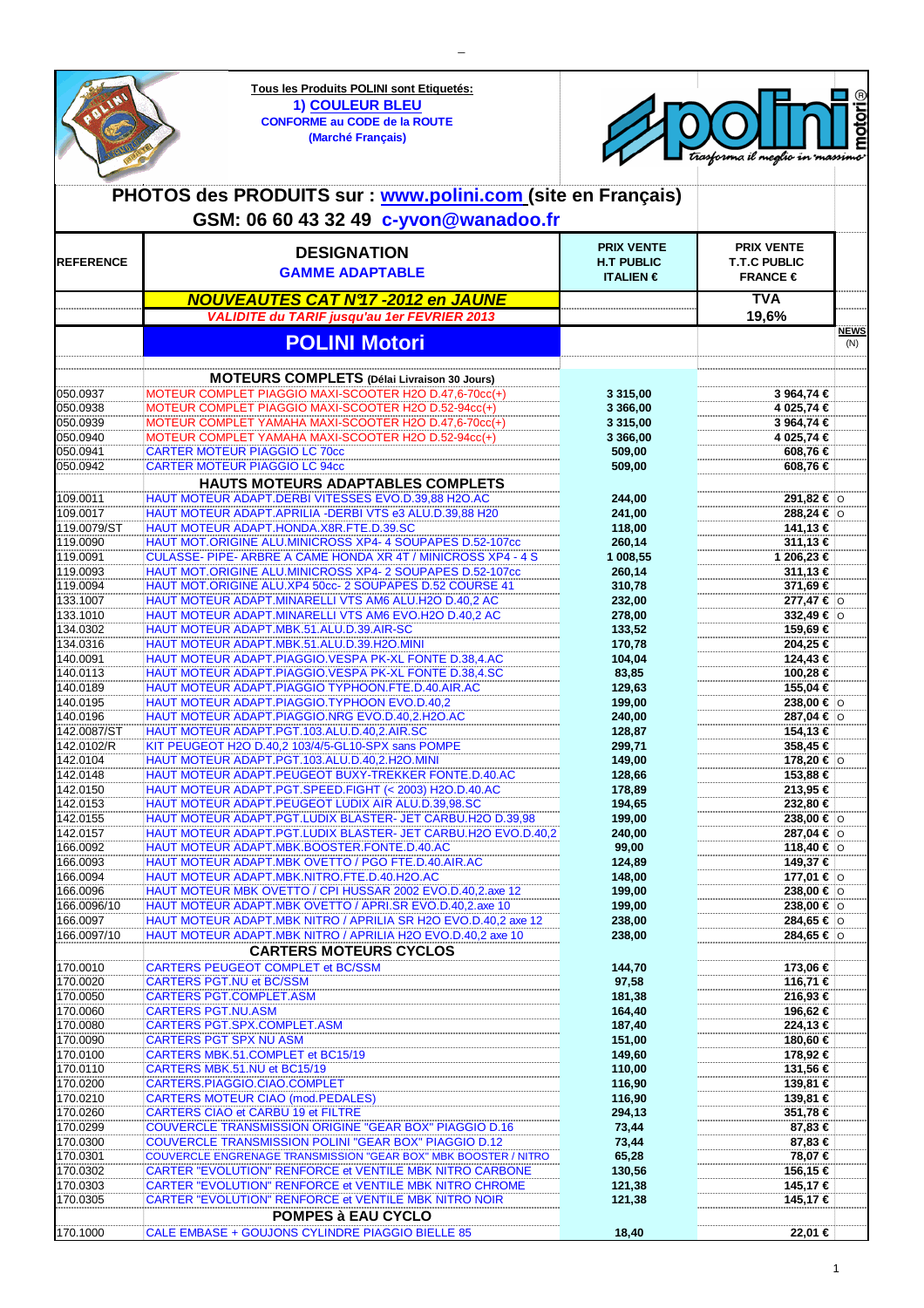| OLINI                | Tous les Produits POLINI sont Etiquetés:<br><b>1) COULEUR BLEU</b><br><b>CONFORME au CODE de la ROUTE</b><br>(Marché Français)<br>PHOTOS des PRODUITS sur : www.polini.com (site en Français) |                                        | trasforma il meglio in massimo           | motoriଇ     |
|----------------------|-----------------------------------------------------------------------------------------------------------------------------------------------------------------------------------------------|----------------------------------------|------------------------------------------|-------------|
|                      | GSM: 06 60 43 32 49 c-yvon@wanadoo.fr                                                                                                                                                         |                                        |                                          |             |
|                      |                                                                                                                                                                                               |                                        |                                          |             |
| <b>REFERENCE</b>     | <b>DESIGNATION</b>                                                                                                                                                                            | <b>PRIX VENTE</b><br><b>H.T PUBLIC</b> | <b>PRIX VENTE</b><br><b>T.T.C PUBLIC</b> |             |
|                      | <b>GAMME ADAPTABLE</b>                                                                                                                                                                        | <b>ITALIEN</b> $\epsilon$              | FRANCE $\in$                             |             |
|                      |                                                                                                                                                                                               |                                        | <b>TVA</b>                               |             |
|                      | <b>NOUVEAUTES CAT N°17 -2012 en JAUNE</b><br><b>VALIDITE du TARIF jusqu'au 1er FEVRIER 2013</b>                                                                                               |                                        | 19,6%                                    |             |
|                      |                                                                                                                                                                                               |                                        |                                          | <b>NEWS</b> |
|                      | <b>POLINI Motori</b>                                                                                                                                                                          |                                        |                                          | (N)         |
|                      |                                                                                                                                                                                               |                                        |                                          |             |
|                      | <b>MOTEURS COMPLETS</b> (Délai Livraison 30 Jours)                                                                                                                                            |                                        |                                          |             |
| 050.0937<br>050.0938 | MOTEUR COMPLET PIAGGIO MAXI-SCOOTER H2O D.47,6-70cc(+)<br>MOTEUR COMPLET PIAGGIO MAXI-SCOOTER H2O D.52-94cc(+)                                                                                | 3 315,00<br>3 366,00                   | 3 964,74 €<br>4 025,74 €                 |             |
| 050.0939             | MOTEUR COMPLET YAMAHA MAXI-SCOOTER H2O D.47,6-70cc(+)                                                                                                                                         | 3 3 1 5 , 0 0                          | 3 964,74 €                               |             |
| 050.0940             | MOTEUR COMPLET YAMAHA MAXI-SCOOTER H2O D.52-94cc(+)                                                                                                                                           | 3 366,00                               | 4 025,74 €                               |             |
| 050.0941             | <b>CARTER MOTEUR PIAGGIO LC 70cc</b>                                                                                                                                                          | 509,00                                 | 608,76 €                                 |             |
| 050.0942             | <b>CARTER MOTEUR PIAGGIO LC 94cc</b>                                                                                                                                                          | 509,00                                 | 608,76 €                                 |             |
|                      | <b>HAUTS MOTEURS ADAPTABLES COMPLETS</b>                                                                                                                                                      |                                        |                                          |             |
| 109.0011<br>109.0017 | HAUT MOTEUR ADAPT.DERBI VITESSES EVO.D.39,88 H2O.AC<br>HAUT MOTEUR ADAPT.APRILIA - DERBI VTS e3 ALU.D.39,88 H20                                                                               | 244,00<br>241,00                       | 291,82 € 0<br>288,24 € 0                 |             |
| 119.0079/ST          | HAUT MOTEUR ADAPT.HONDA.X8R.FTE.D.39.SC                                                                                                                                                       | 118,00                                 | 141,13 €                                 |             |
| 119.0090             | HAUT MOT.ORIGINE ALU.MINICROSS XP4- 4 SOUPAPES D.52-107cc                                                                                                                                     | 260,14                                 | 311,13 €                                 |             |
| 119.0091             | CULASSE- PIPE- ARBRE A CAME HONDA XR 4T / MINICROSS XP4 - 4 S                                                                                                                                 | 1 008,55                               | 1 206,23 €                               |             |
| 119.0093             | HAUT MOT.ORIGINE ALU.MINICROSS XP4- 2 SOUPAPES D.52-107cc                                                                                                                                     | 260,14                                 | 311,13 €                                 |             |
| 119.0094<br>133.1007 | HAUT MOT.ORIGINE ALU.XP4 50cc- 2 SOUPAPES D.52 COURSE 41<br>HAUT MOTEUR ADAPT.MINARELLI VTS AM6 ALU.H2O D.40,2 AC                                                                             | 310,78<br>232,00                       | 371,69 €<br>277,47 € 0                   |             |
| 133.1010             | HAUT MOTEUR ADAPT.MINARELLI VTS AM6 EVO.H2O D.40,2 AC                                                                                                                                         | 278,00                                 | 332,49 € 0                               |             |
| 134.0302             | HAUT MOTEUR ADAPT.MBK.51.ALU.D.39.AIR-SC                                                                                                                                                      | 133,52                                 | 159,69 €                                 |             |
| 134.0316             | HAUT MOTEUR ADAPT.MBK.51.ALU.D.39.H2O.MINI                                                                                                                                                    | 170,78                                 | 204,25 €                                 |             |
| 140.0091             | HAUT MOTEUR ADAPT.PIAGGIO.VESPA PK-XL FONTE D.38,4.AC                                                                                                                                         | 104,04                                 | 124,43 €                                 |             |
| 140.0113             | HAUT MOTEUR ADAPT.PIAGGIO.VESPA PK-XL FONTE D.38,4.SC                                                                                                                                         | 83,85                                  | 100,28 €                                 |             |
| 140.0189<br>140.0195 | HAUT MOTEUR ADAPT.PIAGGIO TYPHOON.FTE.D.40.AIR.AC<br>HAUT MOTEUR ADAPT.PIAGGIO.TYPHOON EVO.D.40,2                                                                                             | 129,63<br>199,00                       | 155,04 €<br>238,00 € $ $ ⊙               |             |
| 140.0196             | HAUT MOTEUR ADAPT.PIAGGIO.NRG EVO.D.40,2.H2O.AC                                                                                                                                               | 240,00                                 | 287,04 € 0                               |             |
| 142.0087/ST          | HAUT MOTEUR ADAPT.PGT.103.ALU.D.40,2.AIR.SC                                                                                                                                                   | 128,87                                 | 154,13€                                  |             |
| 142.0102/R           | KIT PEUGEOT H2O D.40,2 103/4/5-GL10-SPX sans POMPE                                                                                                                                            | 299,71                                 | 358,45 €                                 |             |
| 142.0104             | HAUT MOTEUR ADAPT.PGT.103.ALU.D.40,2.H2O.MINI                                                                                                                                                 | 149,00                                 | 178,20 € 0                               |             |
| 142.0148<br>142.0150 | HAUT MOTEUR ADAPT.PEUGEOT BUXY-TREKKER FONTE.D.40.AC<br>HAUT MOTEUR ADAPT.PGT.SPEED.FIGHT (< 2003) H2O.D.40.AC                                                                                | 128,66<br>178,89                       | 153,88 €<br>213,95 €                     |             |
| 142.0153             | HAUT MOTEUR ADAPT.PEUGEOT LUDIX AIR ALU.D.39,98.SC                                                                                                                                            | 194,65                                 | 232,80 €                                 |             |
| 142.0155             | HAUT MOTEUR ADAPT.PGT.LUDIX BLASTER- JET CARBU.H2O D.39,98                                                                                                                                    | 199,00                                 | 238,00 € $\circ$                         |             |
| 142.0157             | HAUT MOTEUR ADAPT.PGT.LUDIX BLASTER- JET CARBU.H2O EVO.D.40,2                                                                                                                                 | 240,00                                 | $287,04 €$ 0                             |             |
| 166.0092<br>166.0093 | HAUT MOTEUR ADAPT.MBK.BOOSTER.FONTE.D.40.AC<br>HAUT MOTEUR ADAPT.MBK OVETTO / PGO FTE.D.40.AIR.AC                                                                                             | 99,00<br>124,89                        | 118,40 € 0<br>149,37 €                   |             |
| 166.0094             | HAUT MOTEUR ADAPT.MBK.NITRO.FTE.D.40.H2O.AC                                                                                                                                                   | 148,00                                 | 177,01 € 0                               |             |
| 166.0096             | HAUT MOTEUR MBK OVETTO / CPI HUSSAR 2002 EVO.D.40,2.axe 12                                                                                                                                    | 199,00                                 | 238,00 € $\circ$                         |             |
| 166.0096/10          | HAUT MOTEUR ADAPT.MBK OVETTO / APRI.SR EVO.D.40,2.axe 10                                                                                                                                      | 199,00                                 | 238,00 € $\circ$                         |             |
| 166.0097             | HAUT MOTEUR ADAPT.MBK NITRO / APRILIA SR H2O EVO.D.40,2 axe 12                                                                                                                                | 238,00                                 | 284,65 €   ⊙                             |             |
| 166.0097/10          | HAUT MOTEUR ADAPT.MBK NITRO / APRILIA H2O EVO.D.40,2 axe 10<br><b>CARTERS MOTEURS CYCLOS</b>                                                                                                  | 238,00                                 | 284,65 €  o                              |             |
| 170.0010             | CARTERS PEUGEOT COMPLET et BC/SSM                                                                                                                                                             | 144,70                                 | 173,06 €                                 |             |
| 170.0020             | <b>CARTERS PGT.NU et BC/SSM</b>                                                                                                                                                               | 97,58                                  | 116,71 €                                 |             |
| 170.0050             | <b>CARTERS PGT.COMPLET.ASM</b>                                                                                                                                                                | 181,38                                 | 216,93 €                                 |             |
| 170.0060             | <b>CARTERS PGT.NU.ASM</b>                                                                                                                                                                     | 164,40                                 | 196,62 €                                 |             |
| 170.0080             | <b>CARTERS PGT.SPX.COMPLET.ASM</b>                                                                                                                                                            | 187,40                                 | 224,13 €                                 |             |
| 170.0090<br>170.0100 | <b>CARTERS PGT SPX NU ASM</b><br>CARTERS MBK.51.COMPLET et BC15/19                                                                                                                            | 151,00<br>149,60                       | 180,60 €<br>178,92 €                     |             |
| 170.0110             | CARTERS MBK.51.NU et BC15/19                                                                                                                                                                  | 110,00                                 | 131,56 €                                 |             |
| 170.0200             | CARTERS.PIAGGIO.CIAO.COMPLET                                                                                                                                                                  | 116,90                                 | 139,81 €                                 |             |
| 170.0210             | CARTERS MOTEUR CIAO (mod.PEDALES)                                                                                                                                                             | 116,90                                 | 139,81 €                                 |             |
| 170.0260             | CARTERS CIAO et CARBU 19 et FILTRE                                                                                                                                                            | 294,13                                 | 351,78 €                                 |             |
| 170.0299<br>170.0300 | COUVERCLE TRANSMISSION ORIGINE "GEAR BOX" PIAGGIO D.16<br>COUVERCLE TRANSMISSION POLINI "GEAR BOX" PIAGGIO D.12                                                                               | 73,44<br>73,44                         | 87,83 €<br>87,83 €                       |             |
| 170.0301             | COUVERCLE ENGRENAGE TRANSMISSION "GEAR BOX" MBK BOOSTER / NITRO                                                                                                                               | 65,28                                  | 78,07 €                                  |             |
| 170.0302             | CARTER "EVOLUTION" RENFORCE et VENTILE MBK NITRO CARBONE                                                                                                                                      | 130,56                                 | 156,15 €                                 |             |
| 170.0303             | CARTER "EVOLUTION" RENFORCE et VENTILE MBK NITRO CHROME                                                                                                                                       | 121,38                                 | 145,17 €                                 |             |
| 170.0305             | CARTER "EVOLUTION" RENFORCE et VENTILE MBK NITRO NOIR                                                                                                                                         | 121,38                                 | 145,17 €                                 |             |
|                      | <b>POMPES à EAU CYCLO</b>                                                                                                                                                                     |                                        |                                          |             |
| 170.1000             | CALE EMBASE + GOUJONS CYLINDRE PIAGGIO BIELLE 85                                                                                                                                              | 18,40                                  | 22,01 €                                  |             |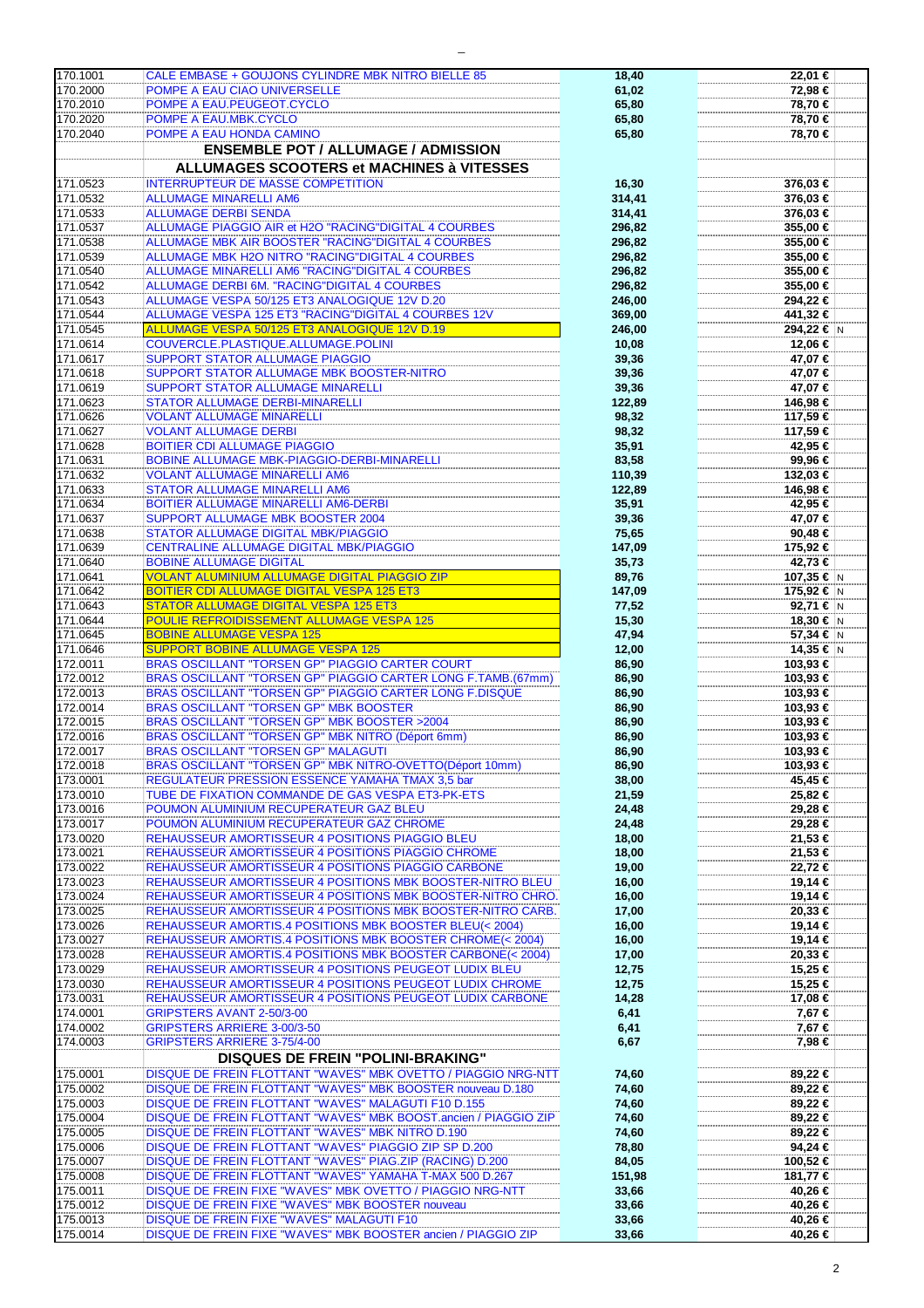| 170.1001 | CALE EMBASE + GOUJONS CYLINDRE MBK NITRO BIELLE 85              | 18,40  | 22,01  |
|----------|-----------------------------------------------------------------|--------|--------|
| 170.2000 | POMPE A EAU CIAO UNIVERSELLE                                    | 61,02  | 72,98  |
| 170.2010 | POMPE A EAU.PEUGEOT.CYCLO                                       | 65,80  | 78,70  |
| 170.2020 | POMPE A EAU.MBK.CYCLO                                           | 65,80  | 78,70  |
| 170.2040 | POMPE A EAU HONDA CAMINO                                        | 65,80  | 78,70  |
|          | <b>ENSEMBLE POT / ALLUMAGE / ADMISSION</b>                      |        |        |
|          |                                                                 |        |        |
|          | <b>ALLUMAGES SCOOTERS et MACHINES à VITESSES</b>                |        |        |
| 171.0523 | <b>INTERRUPTEUR DE MASSE COMPETITION</b>                        | 16,30  | 376,03 |
| 171.0532 | <b>ALLUMAGE MINARELLI AM6</b>                                   | 314,41 | 376,03 |
| 171.0533 | <b>ALLUMAGE DERBI SENDA</b>                                     | 314,41 | 376,03 |
| 171.0537 | ALLUMAGE PIAGGIO AIR et H2O "RACING"DIGITAL 4 COURBES           | 296,82 | 355,00 |
| 171.0538 | ALLUMAGE MBK AIR BOOSTER "RACING"DIGITAL 4 COURBES              | 296,82 | 355,00 |
| 171.0539 | ALLUMAGE MBK H2O NITRO "RACING"DIGITAL 4 COURBES                | 296,82 | 355,00 |
| 171.0540 | ALLUMAGE MINARELLI AM6 "RACING"DIGITAL 4 COURBES                | 296,82 | 355,00 |
| 171.0542 | <b>ALLUMAGE DERBI 6M. "RACING"DIGITAL 4 COURBES</b>             | 296,82 | 355,00 |
|          |                                                                 |        |        |
| 171.0543 | ALLUMAGE VESPA 50/125 ET3 ANALOGIQUE 12V D.20                   | 246,00 | 294,22 |
| 171.0544 | ALLUMAGE VESPA 125 ET3 "RACING"DIGITAL 4 COURBES 12V            | 369,00 | 441,32 |
| 171.0545 | ALLUMAGE VESPA 50/125 ET3 ANALOGIQUE 12V D.19                   | 246,00 | 294,22 |
| 171.0614 | COUVERCLE.PLASTIQUE.ALLUMAGE.POLINI                             | 10,08  | 12,06  |
| 171.0617 | <b>SUPPORT STATOR ALLUMAGE PIAGGIO</b>                          | 39,36  | 47,07  |
| 171.0618 | SUPPORT STATOR ALLUMAGE MBK BOOSTER-NITRO                       | 39,36  | 47,07  |
| 171.0619 | SUPPORT STATOR ALLUMAGE MINARELLI                               | 39,36  | 47,07  |
| 171.0623 | <b>STATOR ALLUMAGE DERBI-MINARELLI</b>                          | 122,89 | 146,98 |
| 171.0626 | <b>VOLANT ALLUMAGE MINARELLI</b>                                | 98,32  | 117,59 |
| 171.0627 | <b>VOLANT ALLUMAGE DERBI</b>                                    | 98,32  | 117,59 |
| 171.0628 | <b>BOITIER CDI ALLUMAGE PIAGGIO</b>                             |        | 42,95  |
|          |                                                                 | 35,91  |        |
| 171.0631 | BOBINE ALLUMAGE MBK-PIAGGIO-DERBI-MINARELLI                     | 83,58  | 99,96  |
| 171.0632 | <b>VOLANT ALLUMAGE MINARELLI AM6</b>                            | 110,39 | 132,03 |
| 171.0633 | <b>STATOR ALLUMAGE MINARELLI AM6</b>                            | 122,89 | 146,98 |
| 171.0634 | <b>BOITIER ALLUMAGE MINARELLI AM6-DERBI</b>                     | 35,91  | 42,95  |
| 171.0637 | SUPPORT ALLUMAGE MBK BOOSTER 2004                               | 39,36  | 47,07  |
| 171.0638 | STATOR ALLUMAGE DIGITAL MBK/PIAGGIO                             | 75,65  | 90,48  |
| 171.0639 | CENTRALINE ALLUMAGE DIGITAL MBK/PIAGGIO                         | 147,09 | 175,92 |
| 171.0640 | <b>BOBINE ALLUMAGE DIGITAL</b>                                  | 35,73  | 42,73  |
| 171.0641 | <b>VOLANT ALUMINIUM ALLUMAGE DIGITAL PIAGGIO ZIP</b>            | 89,76  | 107,35 |
| 171.0642 | <b>BOITIER CDI ALLUMAGE DIGITAL VESPA 125 ET3</b>               | 147,09 | 175,92 |
| 171.0643 | <b>STATOR ALLUMAGE DIGITAL VESPA 125 ET3</b>                    | 77,52  | 92,71  |
|          |                                                                 |        |        |
| 171.0644 | POULIE REFROIDISSEMENT ALLUMAGE VESPA 125                       | 15,30  | 18,30  |
| 171.0645 | <b>BOBINE ALLUMAGE VESPA 125</b>                                | 47,94  | 57,34  |
| 171.0646 | <b>SUPPORT BOBINE ALLUMAGE VESPA 125</b>                        | 12,00  | 14,35  |
| 172.0011 | <b>BRAS OSCILLANT "TORSEN GP" PIAGGIO CARTER COURT</b>          | 86,90  | 103,93 |
| 172.0012 | BRAS OSCILLANT "TORSEN GP" PIAGGIO CARTER LONG F.TAMB.(67mm)    | 86,90  | 103,93 |
| 172.0013 | BRAS OSCILLANT "TORSEN GP" PIAGGIO CARTER LONG F.DISQUE         | 86,90  | 103,93 |
| 172.0014 | BRAS OSCILLANT "TORSEN GP" MBK BOOSTER                          | 86,90  | 103,93 |
| 172.0015 | <b>BRAS OSCILLANT "TORSEN GP" MBK BOOSTER &gt;2004</b>          | 86,90  | 103,93 |
| 172.0016 | BRAS OSCILLANT "TORSEN GP" MBK NITRO (Déport 6mm)               | 86,90  | 103,93 |
| 172.0017 | <b>BRAS OSCILLANT "TORSEN GP" MALAGUTI</b>                      | 86,90  | 103,93 |
| 172.0018 | BRAS OSCILLANT "TORSEN GP" MBK NITRO-OVETTO(Déport 10mm)        | 86,90  | 103,93 |
| 173.0001 | REGULATEUR PRESSION ESSENCE YAMAHA TMAX 3,5 bar                 | 38,00  | 45,45  |
| 173.0010 | TUBE DE FIXATION COMMANDE DE GAS VESPA ET3-PK-ETS               |        |        |
|          |                                                                 | 21,59  | 25,82  |
| 173.0016 | POUMON ALUMINIUM RECUPERATEUR GAZ BLEU                          | 24,48  | 29,28  |
| 173.0017 | POUMON ALUMINIUM RECUPERATEUR GAZ CHROME                        | 24,48  | 29,28  |
| 173.0020 | REHAUSSEUR AMORTISSEUR 4 POSITIONS PIAGGIO BLEU                 | 18,00  | 21,53  |
| 173.0021 | REHAUSSEUR AMORTISSEUR 4 POSITIONS PIAGGIO CHROME               | 18,00  | 21,53  |
| 173.0022 | REHAUSSEUR AMORTISSEUR 4 POSITIONS PIAGGIO CARBONE              | 19,00  | 22,72  |
| 173.0023 | REHAUSSEUR AMORTISSEUR 4 POSITIONS MBK BOOSTER-NITRO BLEU       | 16,00  | 19,14  |
| 173.0024 | REHAUSSEUR AMORTISSEUR 4 POSITIONS MBK BOOSTER-NITRO CHRO.      | 16,00  | 19,14  |
| 173.0025 | REHAUSSEUR AMORTISSEUR 4 POSITIONS MBK BOOSTER-NITRO CARB.      | 17,00  | 20,33  |
| 173.0026 | REHAUSSEUR AMORTIS.4 POSITIONS MBK BOOSTER BLEU(< 2004)         | 16,00  | 19,14  |
| 173.0027 | REHAUSSEUR AMORTIS.4 POSITIONS MBK BOOSTER CHROME(< 2004)       | 16,00  | 19,14  |
| 173.0028 | REHAUSSEUR AMORTIS.4 POSITIONS MBK BOOSTER CARBONE(< 2004)      | 17,00  | 20,33  |
| 173.0029 | REHAUSSEUR AMORTISSEUR 4 POSITIONS PEUGEOT LUDIX BLEU           | 12,75  | 15,25  |
| 173.0030 | REHAUSSEUR AMORTISSEUR 4 POSITIONS PEUGEOT LUDIX CHROME         | 12,75  | 15,25  |
| 173.0031 | REHAUSSEUR AMORTISSEUR 4 POSITIONS PEUGEOT LUDIX CARBONE        | 14,28  | 17,08  |
|          |                                                                 |        |        |
| 174.0001 | GRIPSTERS AVANT 2-50/3-00                                       | 6,41   | 7,67   |
| 174.0002 | GRIPSTERS ARRIERE 3-00/3-50                                     | 6,41   | 7,67   |
| 174.0003 | <b>GRIPSTERS ARRIERE 3-75/4-00</b>                              | 6,67   | 7,98   |
|          | <b>DISQUES DE FREIN "POLINI-BRAKING"</b>                        |        |        |
| 175.0001 | DISQUE DE FREIN FLOTTANT "WAVES" MBK OVETTO / PIAGGIO NRG-NTT   | 74,60  | 89,22  |
| 175.0002 | DISQUE DE FREIN FLOTTANT "WAVES" MBK BOOSTER nouveau D.180      | 74,60  | 89,22  |
| 175.0003 | DISQUE DE FREIN FLOTTANT "WAVES" MALAGUTI F10 D.155             | 74,60  | 89,22  |
| 175.0004 | DISQUE DE FREIN FLOTTANT "WAVES" MBK BOOST.ancien / PIAGGIO ZIP | 74,60  | 89,22  |
| 175.0005 | DISQUE DE FREIN FLOTTANT "WAVES" MBK NITRO D.190                |        |        |
|          |                                                                 | 74,60  | 89,22  |
| 175.0006 | DISQUE DE FREIN FLOTTANT "WAVES" PIAGGIO ZIP SP D.200           | 78,80  | 94,24  |
| 175.0007 | DISQUE DE FREIN FLOTTANT "WAVES" PIAG.ZIP (RACING) D.200        | 84,05  | 100,52 |
| 175.0008 | DISQUE DE FREIN FLOTTANT "WAVES" YAMAHA T-MAX 500 D.267         | 151,98 | 181,77 |
| 175.0011 | DISQUE DE FREIN FIXE "WAVES" MBK OVETTO / PIAGGIO NRG-NTT       | 33,66  | 40,26  |
| 175.0012 | DISQUE DE FREIN FIXE "WAVES" MBK BOOSTER nouveau                | 33,66  | 40,26  |
| 175.0013 | DISQUE DE FREIN FIXE "WAVES" MALAGUTI F10                       | 33,66  | 40,26  |
| 175.0014 | DISQUE DE FREIN FIXE "WAVES" MBK BOOSTER ancien / PIAGGIO ZIP   | 33,66  | 40,26  |

| 22,01 €  |   |
|----------|---|
| 72,98 €  |   |
| 78,70 €  |   |
| 78,70 €  |   |
| 78,70 €  |   |
|          |   |
|          |   |
|          |   |
| 376,03 € |   |
|          |   |
| 376,03 € |   |
| 376,03 € |   |
| 355,00 € |   |
| 355,00 € |   |
| 355,00 € |   |
| 355,00 € |   |
| 355,00 € |   |
|          |   |
| 294,22 € |   |
| 441,32 € |   |
| 294,22 € | N |
| 12,06 €  |   |
| 47,07 €  |   |
| 47,07 €  |   |
| 47,07 €  |   |
|          |   |
| 146,98 € |   |
| 117,59 € |   |
| 117,59 € |   |
| 42,95 €  |   |
| 99,96€   |   |
| 132,03 € |   |
| 146,98 € |   |
|          |   |
| 42,95 €  |   |
| 47,07 €  |   |
| 90,48 €  |   |
| 175,92 € |   |
| 42,73 €  |   |
| 107,35 € | N |
| 175,92 € | N |
|          |   |
| 92,71 €  | N |
| 18,30 €  | Ν |
| 57,34 €  | N |
| 14,35 €  | Ν |
| 103,93 € |   |
| 103,93 € |   |
|          |   |
| 103,93 € |   |
| 103,93 € |   |
| 103,93 € |   |
| 103,93 € |   |
| 103,93 € |   |
| 103,93€  |   |
| 45,45 €  |   |
|          |   |
| 25,82 €  |   |
| 29,28 €  |   |
| 29,28 €  |   |
| 21,53 €  |   |
| 21,53 €  |   |
| 22,72 €  |   |
|          |   |
| 19,14 €  |   |
| 19,14 €  |   |
| 20,33 €  |   |
| 19,14 €  |   |
| 19,14 €  |   |
| 20,33 €  |   |
| 15,25 €  |   |
| 15,25 €  |   |
|          |   |
| 17,08 €  |   |
| 7,67 €   |   |
| 7,67 €   |   |
| 7,98€    |   |
|          |   |
|          |   |
| 89,22 €  |   |
| 89,22 €  |   |
| 89,22 €  |   |
| 89,22 €  |   |
| 89,22 €  |   |
| 94,24 €  |   |
| 100,52 € |   |
|          |   |
| 181,77 € |   |
| 40,26 €  |   |
| 40,26 €  |   |
| 40,26 €  |   |
| 40,26 €  |   |
|          |   |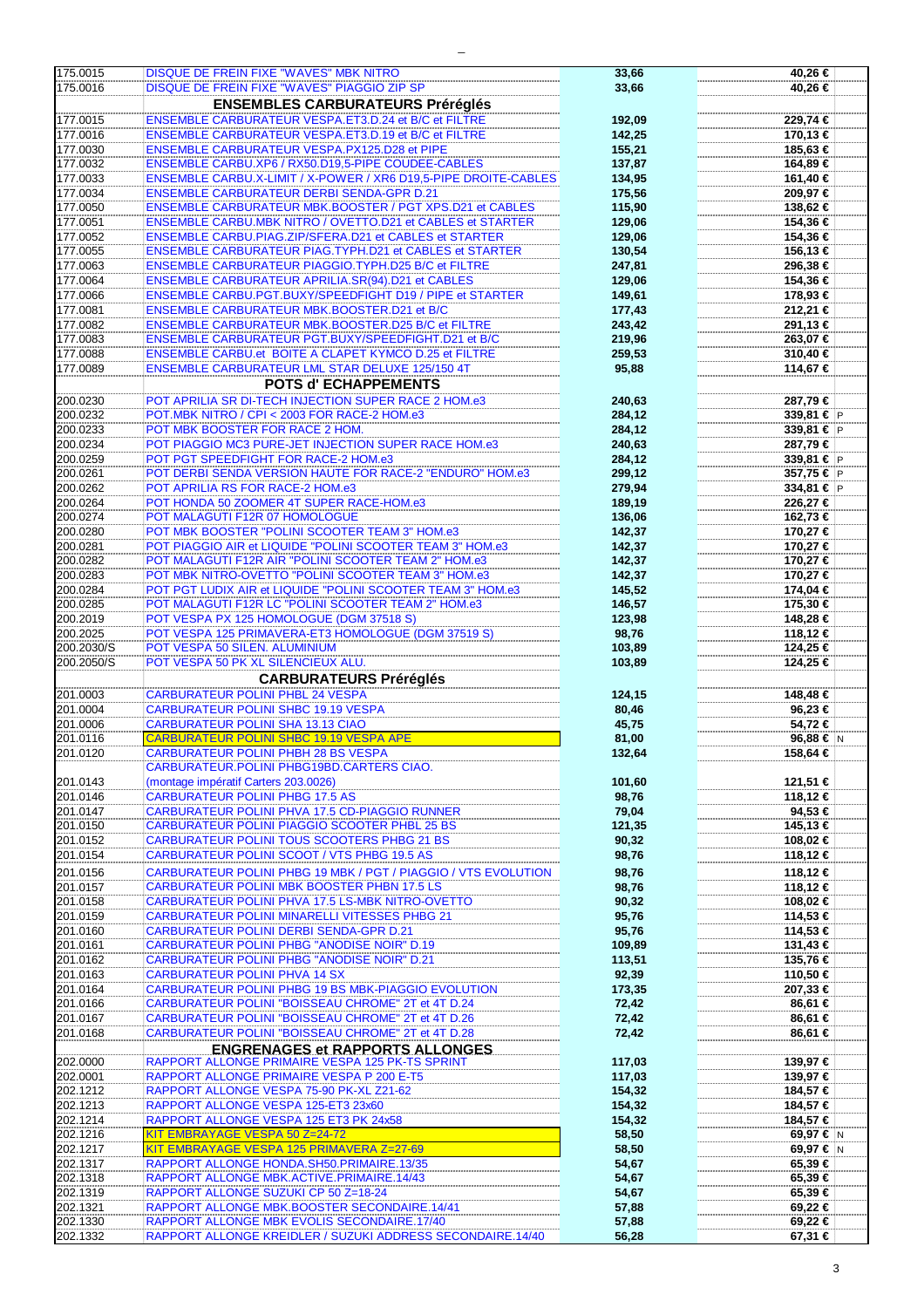|                      | <b>DISQUE DE FREIN FIXE "WAVES" MBK NITRO</b>                                                             | 33,66          | 40,26 €            |
|----------------------|-----------------------------------------------------------------------------------------------------------|----------------|--------------------|
| 175.0015             |                                                                                                           |                |                    |
| 175.0016             | DISQUE DE FREIN FIXE "WAVES" PIAGGIO ZIP SP                                                               | 33,66          | 40,26 €            |
|                      | <b>ENSEMBLES CARBURATEURS Préréglés</b>                                                                   |                |                    |
|                      |                                                                                                           |                |                    |
| 177.0015             | <b>ENSEMBLE CARBURATEUR VESPA.ET3.D.24 et B/C et FILTRE</b>                                               | 192,09         | 229,74 €           |
| 177.0016             | <b>ENSEMBLE CARBURATEUR VESPA.ET3.D.19 et B/C et FILTRE</b>                                               | 142,25         | 170,13 €           |
| 177.0030             | ENSEMBLE CARBURATEUR VESPA.PX125.D28 et PIPE                                                              | 155,21         | 185,63 €           |
|                      |                                                                                                           |                |                    |
| 177.0032             | ENSEMBLE CARBU.XP6 / RX50.D19,5-PIPE COUDEE-CABLES                                                        | 137,87         | 164,89 €           |
| 177.0033             | ENSEMBLE CARBU.X-LIMIT / X-POWER / XR6 D19,5-PIPE DROITE-CABLES                                           | 134,95         | 161,40 €           |
| 177.0034             | <b>ENSEMBLE CARBURATEUR DERBI SENDA-GPR D.21</b>                                                          | 175,56         | 209,97 €           |
|                      |                                                                                                           |                |                    |
| 177.0050             | <b>ENSEMBLE CARBURATEUR MBK.BOOSTER / PGT XPS.D21 et CABLES</b>                                           | 115,90         | 138,62 €           |
| 177.0051             | ENSEMBLE CARBU.MBK NITRO / OVETTO.D21 et CABLES et STARTER                                                | 129,06         | 154,36 €           |
| 177.0052             | <b>ENSEMBLE CARBU.PIAG.ZIP/SFERA.D21 et CABLES et STARTER</b>                                             | 129,06         | 154,36 €           |
|                      |                                                                                                           |                |                    |
| 177.0055             | <b>ENSEMBLE CARBURATEUR PIAG.TYPH.D21 et CABLES et STARTER</b>                                            | 130,54         | 156,13 €           |
| 177.0063             | <b>ENSEMBLE CARBURATEUR PIAGGIO.TYPH.D25 B/C et FILTRE</b>                                                | 247,81         | 296,38 €           |
| 177.0064             | ENSEMBLE CARBURATEUR APRILIA.SR(94).D21 et CABLES                                                         | 129,06         | 154,36 €           |
|                      |                                                                                                           |                |                    |
| 177.0066             | ENSEMBLE CARBU.PGT.BUXY/SPEEDFIGHT D19 / PIPE et STARTER                                                  | 149,61         | 178,93 €           |
| 177.0081             | <b>ENSEMBLE CARBURATEUR MBK.BOOSTER.D21 et B/C</b>                                                        | 177,43         | 212,21 €           |
| 177.0082             | <b>ENSEMBLE CARBURATEUR MBK.BOOSTER.D25 B/C et FILTRE</b>                                                 | 243,42         | 291,13 €           |
|                      |                                                                                                           |                |                    |
| 177.0083             | ENSEMBLE CARBURATEUR PGT.BUXY/SPEEDFIGHT.D21 et B/C                                                       | 219,96         | 263,07 €           |
| 177.0088             | ENSEMBLE CARBU.et BOITE A CLAPET KYMCO D.25 et FILTRE                                                     | 259,53         | 310,40 €           |
| 177.0089             | ENSEMBLE CARBURATEUR LML STAR DELUXE 125/150 4T                                                           | 95,88          | 114,67 €           |
|                      |                                                                                                           |                |                    |
|                      | POTS d'ECHAPPEMENTS                                                                                       |                |                    |
| 200.0230             | POT APRILIA SR DI-TECH INJECTION SUPER RACE 2 HOM.e3                                                      | 240,63         | 287,79€            |
| 200.0232             | POT.MBK NITRO / CPI < 2003 FOR RACE-2 HOM.e3                                                              | 284,12         | 339,81 € P         |
|                      |                                                                                                           |                |                    |
| 200.0233             | POT MBK BOOSTER FOR RACE 2 HOM.                                                                           | 284,12         | 339,81 € P         |
| 200.0234             | POT PIAGGIO MC3 PURE-JET INJECTION SUPER RACE HOM.e3                                                      | 240,63         | 287,79€            |
| 200.0259             | POT PGT SPEEDFIGHT FOR RACE-2 HOM.e3                                                                      | 284,12         | 339,81 € $ P $     |
|                      |                                                                                                           |                |                    |
| 200.0261             | POT DERBI SENDA VERSION HAUTE FOR RACE-2 "ENDURO" HOM.e3                                                  | 299,12         | 357,75 € P         |
| 200.0262             | POT APRILIA RS FOR RACE-2 HOM.e3                                                                          | 279,94         | 334,81 € $ P $     |
| 200.0264             | POT HONDA 50 ZOOMER 4T SUPER RACE-HOM.e3                                                                  | 189,19         | 226,27 €           |
|                      |                                                                                                           |                |                    |
| 200.0274             | POT MALAGUTI F12R 07 HOMOLOGUE                                                                            | 136,06         | 162,73 €           |
| 200.0280             | POT MBK BOOSTER "POLINI SCOOTER TEAM 3" HOM.e3                                                            | 142,37         | 170,27 €           |
| 200.0281             | POT PIAGGIO AIR et LIQUIDE "POLINI SCOOTER TEAM 3" HOM.e3                                                 | 142,37         | 170,27 €           |
|                      |                                                                                                           |                |                    |
| 200.0282             | POT MALAGUTI F12R AIR "POLINI SCOOTER TEAM 2" HOM.e3                                                      | 142,37         | 170,27 €           |
| 200.0283             | POT MBK NITRO-OVETTO "POLINI SCOOTER TEAM 3" HOM.e3                                                       | 142,37         | 170,27 €           |
| 200.0284             | POT PGT LUDIX AIR et LIQUIDE "POLINI SCOOTER TEAM 3" HOM.e3                                               | 145,52         | 174,04 €           |
|                      |                                                                                                           |                |                    |
| 200.0285             | POT MALAGUTI F12R LC "POLINI SCOOTER TEAM 2" HOM.e3                                                       | 146,57         | 175,30 €           |
| 200.2019             | POT VESPA PX 125 HOMOLOGUE (DGM 37518 S)                                                                  | 123,98         | 148,28 €           |
| 200.2025             | POT VESPA 125 PRIMAVERA-ET3 HOMOLOGUE (DGM 37519 S)                                                       | 98,76          | 118,12 €           |
|                      |                                                                                                           |                |                    |
| 200.2030/S           | POT VESPA 50 SILEN. ALUMINIUM                                                                             | 103,89         | 124,25 €           |
|                      |                                                                                                           |                |                    |
| 200.2050/S           |                                                                                                           |                |                    |
|                      | POT VESPA 50 PK XL SILENCIEUX ALU.                                                                        | 103,89         | 124,25 €           |
|                      | <b>CARBURATEURS Préréglés</b>                                                                             |                |                    |
| 201.0003             | <b>CARBURATEUR POLINI PHBL 24 VESPA</b>                                                                   | 124,15         | 148,48 €           |
|                      |                                                                                                           |                |                    |
| 201.0004             | <b>CARBURATEUR POLINI SHBC 19.19 VESPA</b>                                                                | 80,46          | 96,23 €            |
| 201.0006             | <b>CARBURATEUR POLINI SHA 13.13 CIAO</b>                                                                  | 45,75          | 54,72€             |
| 201.0116             | CARBURATEUR POLINI SHBC 19.19 VESPA APE                                                                   | 81,00          | 96,88 € N          |
|                      |                                                                                                           |                |                    |
| 201.0120             | <b>CARBURATEUR POLINI PHBH 28 BS VESPA</b>                                                                | 132,64         | 158,64 €           |
|                      | CARBURATEUR.POLINI PHBG19BD.CARTERS CIAO.                                                                 |                |                    |
| 201.0143             | (montage impératif Carters 203.0026)                                                                      | 101,60         | 121,51 €           |
|                      | <b>CARBURATEUR POLINI PHBG 17.5 AS</b>                                                                    |                |                    |
| 201.0146             |                                                                                                           | 98,76          | 118,12 €           |
| 201.0147             | CARBURATEUR POLINI PHVA 17.5 CD-PIAGGIO RUNNER                                                            | 79,04          | 94,53 €            |
| 201.0150             | CARBURATEUR POLINI PIAGGIO SCOOTER PHBL 25 BS                                                             | 121,35         | 145,13 €           |
| 201.0152             | CARBURATEUR POLINI TOUS SCOOTERS PHBG 21 BS                                                               |                | 108,02 €           |
|                      |                                                                                                           | 90,32          |                    |
| 201.0154             | CARBURATEUR POLINI SCOOT / VTS PHBG 19.5 AS                                                               | 98,76          | 118,12 €           |
| 201.0156             | CARBURATEUR POLINI PHBG 19 MBK / PGT / PIAGGIO / VTS EVOLUTION                                            | 98,76          | 118,12 €           |
|                      | <b>CARBURATEUR POLINI MBK BOOSTER PHBN 17.5 LS</b>                                                        |                |                    |
| 201.0157             |                                                                                                           | 98,76          | 118,12 €           |
| 201.0158             | CARBURATEUR POLINI PHVA 17.5 LS-MBK NITRO-OVETTO                                                          | 90,32          | 108,02 €           |
| 201.0159             | <b>CARBURATEUR POLINI MINARELLI VITESSES PHBG 21</b>                                                      | 95,76          | 114,53 €           |
| 201.0160             | <b>CARBURATEUR POLINI DERBI SENDA-GPR D.21</b>                                                            |                | 114,53 €           |
|                      |                                                                                                           | 95,76          |                    |
| 201.0161             | CARBURATEUR POLINI PHBG "ANODISE NOIR" D.19                                                               | 109,89         | 131,43 €           |
| 201.0162             | <b>CARBURATEUR POLINI PHBG "ANODISE NOIR" D.21</b>                                                        | 113,51         | 135,76 €           |
|                      |                                                                                                           |                |                    |
| 201.0163             | <b>CARBURATEUR POLINI PHVA 14 SX</b>                                                                      | 92,39          | 110,50 €           |
| 201.0164             | CARBURATEUR POLINI PHBG 19 BS MBK-PIAGGIO EVOLUTION                                                       | 173,35         | 207,33 €           |
| 201.0166             | CARBURATEUR POLINI "BOISSEAU CHROME" 2T et 4T D.24                                                        | 72,42          | 86,61 €            |
| 201.0167             | CARBURATEUR POLINI "BOISSEAU CHROME" 2T et 4T D.26                                                        | 72,42          | 86,61 €            |
|                      |                                                                                                           |                |                    |
| 201.0168             | CARBURATEUR POLINI "BOISSEAU CHROME" 2T et 4T D.28                                                        | 72,42          | 86,61 €            |
|                      | <b>ENGRENAGES et RAPPORTS ALLONGES</b>                                                                    |                |                    |
| 202.0000             | RAPPORT ALLONGE PRIMAIRE VESPA 125 PK-TS SPRINT                                                           | 117,03         | 139,97 €           |
|                      |                                                                                                           |                |                    |
| 202.0001             | RAPPORT ALLONGE PRIMAIRE VESPA P 200 E-T5                                                                 | 117,03         | 139,97 €           |
| 202.1212             | RAPPORT ALLONGE VESPA 75-90 PK-XL Z21-62                                                                  | 154,32         | 184,57 €           |
| 202.1213             | RAPPORT ALLONGE VESPA 125-ET3 23x60                                                                       | 154,32         | 184,57 €           |
|                      |                                                                                                           |                |                    |
| 202.1214             | RAPPORT ALLONGE VESPA 125 ET3 PK 24x58                                                                    | 154,32         | 184,57 €           |
| 202.1216             | KIT EMBRAYAGE VESPA 50 Z=24-72                                                                            | 58,50          | 69,97 € N          |
| 202.1217             | KIT EMBRAYAGE VESPA 125 PRIMAVERA Z=27-69                                                                 | 58,50          | 69,97 € N          |
|                      |                                                                                                           |                |                    |
| 202.1317             | RAPPORT ALLONGE HONDA.SH50.PRIMAIRE.13/35                                                                 | 54,67          | 65,39€             |
| 202.1318             | RAPPORT ALLONGE MBK.ACTIVE.PRIMAIRE.14/43                                                                 | 54,67          | 65,39 €            |
| 202.1319             | RAPPORT ALLONGE SUZUKI CP 50 Z=18-24                                                                      | 54,67          | 65,39 €            |
|                      |                                                                                                           |                |                    |
| 202.1321             | RAPPORT ALLONGE MBK.BOOSTER SECONDAIRE.14/41                                                              | 57,88          | 69,22 €            |
| 202.1330<br>202.1332 | RAPPORT ALLONGE MBK EVOLIS SECONDAIRE.17/40<br>RAPPORT ALLONGE KREIDLER / SUZUKI ADDRESS SECONDAIRE.14/40 | 57,88<br>56,28 | 69,22 €<br>67,31 € |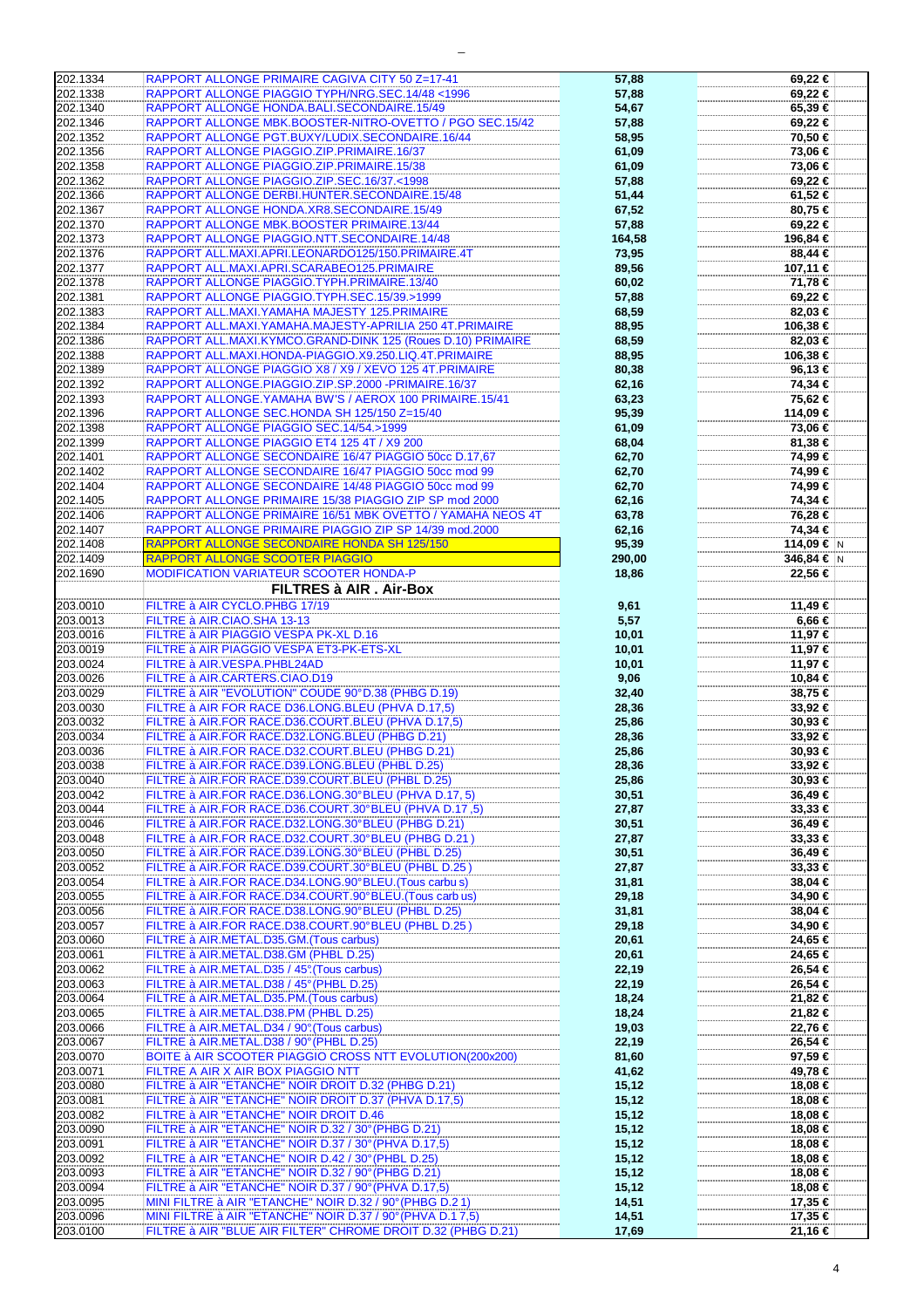| 202.1334             | RAPPORT ALLONGE PRIMAIRE CAGIVA CITY 50 Z=17-41                                                                      | 57,88           | 69,22 €                  |
|----------------------|----------------------------------------------------------------------------------------------------------------------|-----------------|--------------------------|
| 202.1338             | RAPPORT ALLONGE PIAGGIO TYPH/NRG.SEC.14/48 <1996                                                                     | 57,88           | 69,22 €                  |
| 202.1340             | RAPPORT ALLONGE HONDA.BALI.SECONDAIRE.15/49                                                                          | 54,67           | 65,39€                   |
| 202.1346             | RAPPORT ALLONGE MBK.BOOSTER-NITRO-OVETTO / PGO SEC.15/42                                                             | 57,88           | 69,22 €                  |
| 202.1352             | RAPPORT ALLONGE PGT.BUXY/LUDIX.SECONDAIRE.16/44                                                                      | 58,95           | 70,50 €                  |
| 202.1356             | RAPPORT ALLONGE PIAGGIO.ZIP.PRIMAIRE.16/37                                                                           | 61,09           | 73,06 €                  |
| 202.1358             | RAPPORT ALLONGE PIAGGIO.ZIP.PRIMAIRE.15/38                                                                           | 61,09           | 73,06 €                  |
| 202.1362             | RAPPORT ALLONGE PIAGGIO.ZIP.SEC.16/37.<1998                                                                          | 57,88           | 69,22 €                  |
| 202.1366             | RAPPORT ALLONGE DERBI.HUNTER.SECONDAIRE.15/48                                                                        | 51,44           | 61,52 €                  |
| 202.1367             | RAPPORT ALLONGE HONDA.XR8.SECONDAIRE.15/49                                                                           | 67,52           | 80,75 €                  |
| 202.1370             | RAPPORT ALLONGE MBK.BOOSTER PRIMAIRE.13/44                                                                           | 57,88           | 69,22 €                  |
| 202.1373             | RAPPORT ALLONGE PIAGGIO.NTT.SECONDAIRE.14/48                                                                         | 164,58          | 196,84 €                 |
| 202.1376             | RAPPORT ALL.MAXI.APRI.LEONARDO125/150.PRIMAIRE.4T                                                                    | 73,95           | 88,44 €                  |
| 202.1377             | RAPPORT ALL.MAXI.APRI.SCARABEO125.PRIMAIRE                                                                           | 89,56           | 107,11 €                 |
| 202.1378             | RAPPORT ALLONGE PIAGGIO.TYPH.PRIMAIRE.13/40                                                                          | 60,02           | 71,78 €                  |
| 202.1381             | RAPPORT ALLONGE PIAGGIO.TYPH.SEC.15/39.>1999                                                                         | 57,88           | 69,22 €                  |
| 202.1383             | RAPPORT ALL.MAXI.YAMAHA MAJESTY 125.PRIMAIRE                                                                         | 68,59           | 82,03 €                  |
| 202.1384             | RAPPORT ALL.MAXI.YAMAHA.MAJESTY-APRILIA 250 4T.PRIMAIRE                                                              | 88,95           | 106,38 €                 |
| 202.1386             | RAPPORT ALL.MAXI.KYMCO.GRAND-DINK 125 (Roues D.10) PRIMAIRE                                                          | 68,59           | 82,03 €                  |
| 202.1388             | RAPPORT ALL.MAXI.HONDA-PIAGGIO.X9.250.LIQ.4T.PRIMAIRE                                                                | 88,95           | 106,38 €                 |
| 202.1389             | RAPPORT ALLONGE PIAGGIO X8 / X9 / XEVO 125 4T. PRIMAIRE                                                              | 80,38           | 96,13 €                  |
| 202.1392             | RAPPORT ALLONGE.PIAGGIO.ZIP.SP.2000 -PRIMAIRE.16/37                                                                  | 62,16           | 74,34 €                  |
| 202.1393             | RAPPORT ALLONGE. YAMAHA BW'S / AEROX 100 PRIMAIRE. 15/41                                                             | 63,23           | 75,62 €                  |
| 202.1396             | RAPPORT ALLONGE SEC.HONDA SH 125/150 Z=15/40                                                                         | 95,39           | 114,09 €                 |
| 202.1398             | RAPPORT ALLONGE PIAGGIO SEC.14/54.>1999                                                                              | 61,09           | 73,06 €                  |
| 202.1399             | RAPPORT ALLONGE PIAGGIO ET4 125 4T / X9 200                                                                          | 68,04           | 81,38 €                  |
| 202.1401             | RAPPORT ALLONGE SECONDAIRE 16/47 PIAGGIO 50cc D.17,67                                                                | 62,70           | 74,99 €                  |
| 202.1402             | RAPPORT ALLONGE SECONDAIRE 16/47 PIAGGIO 50cc mod 99                                                                 | 62,70           | 74,99 €                  |
| 202.1404             | RAPPORT ALLONGE SECONDAIRE 14/48 PIAGGIO 50cc mod 99                                                                 | 62,70           | 74,99 €                  |
| 202.1405<br>202.1406 | RAPPORT ALLONGE PRIMAIRE 15/38 PIAGGIO ZIP SP mod 2000<br>RAPPORT ALLONGE PRIMAIRE 16/51 MBK OVETTO / YAMAHA NEOS 4T | 62,16           | 74,34 €<br>76,28 €       |
|                      |                                                                                                                      | 63,78           |                          |
| 202.1407<br>202.1408 | RAPPORT ALLONGE PRIMAIRE PIAGGIO ZIP SP 14/39 mod.2000<br>RAPPORT ALLONGE SECONDAIRE HONDA SH 125/150                | 62,16           | 74,34 €                  |
| 202.1409             | RAPPORT ALLONGE SCOOTER PIAGGIO                                                                                      | 95,39<br>290,00 | 114,09 € N<br>346,84 € N |
| 202.1690             | MODIFICATION VARIATEUR SCOOTER HONDA-P                                                                               | 18,86           | 22,56 €                  |
|                      | FILTRES à AIR. Air-Box                                                                                               |                 |                          |
| 203.0010             | FILTRE à AIR CYCLO.PHBG 17/19                                                                                        | 9,61            | 11,49 €                  |
| 203.0013             | FILTRE à AIR.CIAO.SHA 13-13                                                                                          | 5,57            | 6,66 €                   |
| 203.0016             | FILTRE à AIR PIAGGIO VESPA PK-XL D.16                                                                                | 10,01           | 11,97 €                  |
| 203.0019             | FILTRE à AIR PIAGGIO VESPA ET3-PK-ETS-XL                                                                             | 10,01           | 11,97 €                  |
| 203.0024             | FILTRE à AIR.VESPA.PHBL24AD                                                                                          | 10,01           | 11,97 €                  |
| 203.0026             | FILTRE à AIR.CARTERS.CIAO.D19                                                                                        | 9,06            | 10,84 €                  |
| 203.0029             | FILTRE à AIR "EVOLUTION" COUDE 90° D.38 (PHBG D.19)                                                                  | 32,40           | 38,75 €                  |
| 203.0030             | FILTRE à AIR FOR RACE D36.LONG.BLEU (PHVA D.17,5)                                                                    | 28,36           | 33,92 €                  |
| 203.0032             | FILTRE à AIR.FOR RACE.D36.COURT.BLEU (PHVA D.17,5)                                                                   | 25,86           | 30,93 €                  |
| 203.0034             | FILTRE à AIR.FOR RACE.D32.LONG.BLEU (PHBG D.21)                                                                      | 28,36           | 33,92 €                  |
| 203.0036             | FILTRE à AIR.FOR RACE.D32.COURT.BLEU (PHBG D.21)                                                                     | 25,86           | 30,93 €                  |
| 203.0038             | FILTRE à AIR.FOR RACE.D39.LONG.BLEU (PHBL D.25)                                                                      | 28,36           | $33,92$ €                |
| 203.0040             | FILTRE à AIR.FOR RACE.D39.COURT.BLEU (PHBL D.25)                                                                     | 25,86           | 30,93 €                  |
| 203.0042             | FILTRE à AIR.FOR RACE.D36.LONG.30°BLEU (PHVA D.17, 5)                                                                | 30,51           | 36,49€                   |
| 203.0044             | FILTRE à AIR.FOR RACE.D36.COURT.30°BLEU (PHVA D.17,5)<br>FILTRE à AIR.FOR RACE.D32.LONG.30°BLEU (PHBG D.21)          | 27,87           | $33,33 \in$              |
| 203.0046             |                                                                                                                      | 30,51           | 36,49€                   |
| 203.0048             | FILTRE à AIR.FOR RACE.D32.COURT.30°BLEU (PHBG D.21)                                                                  | 27,87           | $33,33 \in$              |
| 203.0050<br>203.0052 | FILTRE à AIR.FOR RACE.D39.LONG.30°BLEU (PHBL D.25)<br>FILTRE à AIR.FOR RACE.D39.COURT.30°BLEU (PHBL D.25)            | 30,51           | 36,49 €<br>33,33 €       |
| 203.0054             | FILTRE à AIR.FOR RACE.D34.LONG.90°BLEU.(Tous carbu s)                                                                | 27,87<br>31,81  | 38,04 €                  |
| 203.0055             | FILTRE à AIR.FOR RACE.D34.COURT.90°BLEU.(Tous carb us)                                                               | 29,18           | 34,90 €                  |
| 203.0056             | FILTRE à AIR.FOR RACE.D38.LONG.90°BLEU (PHBL D.25)                                                                   | 31,81           | 38,04 €                  |
| 203.0057             | FILTRE à AIR.FOR RACE.D38.COURT.90°BLEU (PHBL D.25)                                                                  | 29,18           | 34,90 €                  |
| 203.0060             | FILTRE à AIR.METAL.D35.GM.(Tous carbus)                                                                              | 20,61           | 24,65 €                  |
| 203.0061             | FILTRE à AIR.METAL.D38.GM (PHBL D.25)                                                                                | 20,61           | 24,65 €                  |
| 203.0062             | FILTRE à AIR.METAL.D35 / 45° (Tous carbus)                                                                           | 22,19           | 26,54 €                  |
| 203.0063             | FILTRE à AIR.METAL.D38 / 45° (PHBL D.25)                                                                             | 22,19           | 26,54 €                  |
| 203.0064             | FILTRE à AIR.METAL.D35.PM.(Tous carbus)                                                                              | 18,24           | 21,82 €                  |
| 203.0065             | FILTRE à AIR.METAL.D38.PM (PHBL D.25)                                                                                | 18,24           | 21,82 €                  |
| 203.0066             | FILTRE à AIR.METAL.D34 / 90° (Tous carbus)                                                                           | 19,03           | 22,76 €                  |
| 203.0067             | FILTRE à AIR.METAL.D38 / 90° (PHBL D.25)                                                                             | 22,19           | 26,54 €                  |
| 203.0070             | BOITE à AIR SCOOTER PIAGGIO CROSS NTT EVOLUTION(200x200)                                                             | 81,60           | 97,59 €                  |
| 203.0071             | FILTRE A AIR X AIR BOX PIAGGIO NTT                                                                                   | 41,62           | 49,78 €                  |
| 203.0080             | FILTRE à AIR "ETANCHE" NOIR DROIT D.32 (PHBG D.21)                                                                   | 15, 12          | 18,08 €                  |
| 203.0081             | FILTRE à AIR "ETANCHE" NOIR DROIT D.37 (PHVA D.17,5)                                                                 | 15, 12          | 18,08 €                  |
| 203.0082<br>203.0090 | FILTRE à AIR "ETANCHE" NOIR DROIT D.46<br>FILTRE à AIR "ETANCHE" NOIR D.32 / 30° (PHBG D.21)                         | 15,12           | 18,08 €<br>18,08 €       |
| 203.0091             | FILTRE à AIR "ETANCHE" NOIR D.37 / 30° (PHVA D.17,5)                                                                 | 15, 12<br>15,12 | 18,08 €                  |
| 203.0092             | FILTRE à AIR "ETANCHE" NOIR D.42 / 30° (PHBL D.25)                                                                   | 15, 12          | 18,08 €                  |
| 203.0093             | FILTRE à AIR "ETANCHE" NOIR D.32 / 90° (PHBG D.21)                                                                   | 15,12           | 18,08 €                  |
| 203.0094             | FILTRE à AIR "ETANCHE" NOIR D.37 / 90° (PHVA D.17,5)                                                                 | 15, 12          | 18,08 €                  |
| 203.0095             | MINI FILTRE à AIR "ETANCHE" NOIR D.32 / 90° (PHBG D.21)                                                              | 14,51           | 17,35 €                  |
|                      |                                                                                                                      |                 |                          |
| 203.0096             | MINI FILTRE à AIR "ETANCHE" NOIR D.37 / 90° (PHVA D.17,5)                                                            | 14,51           | 17,35 €                  |

 $\equiv$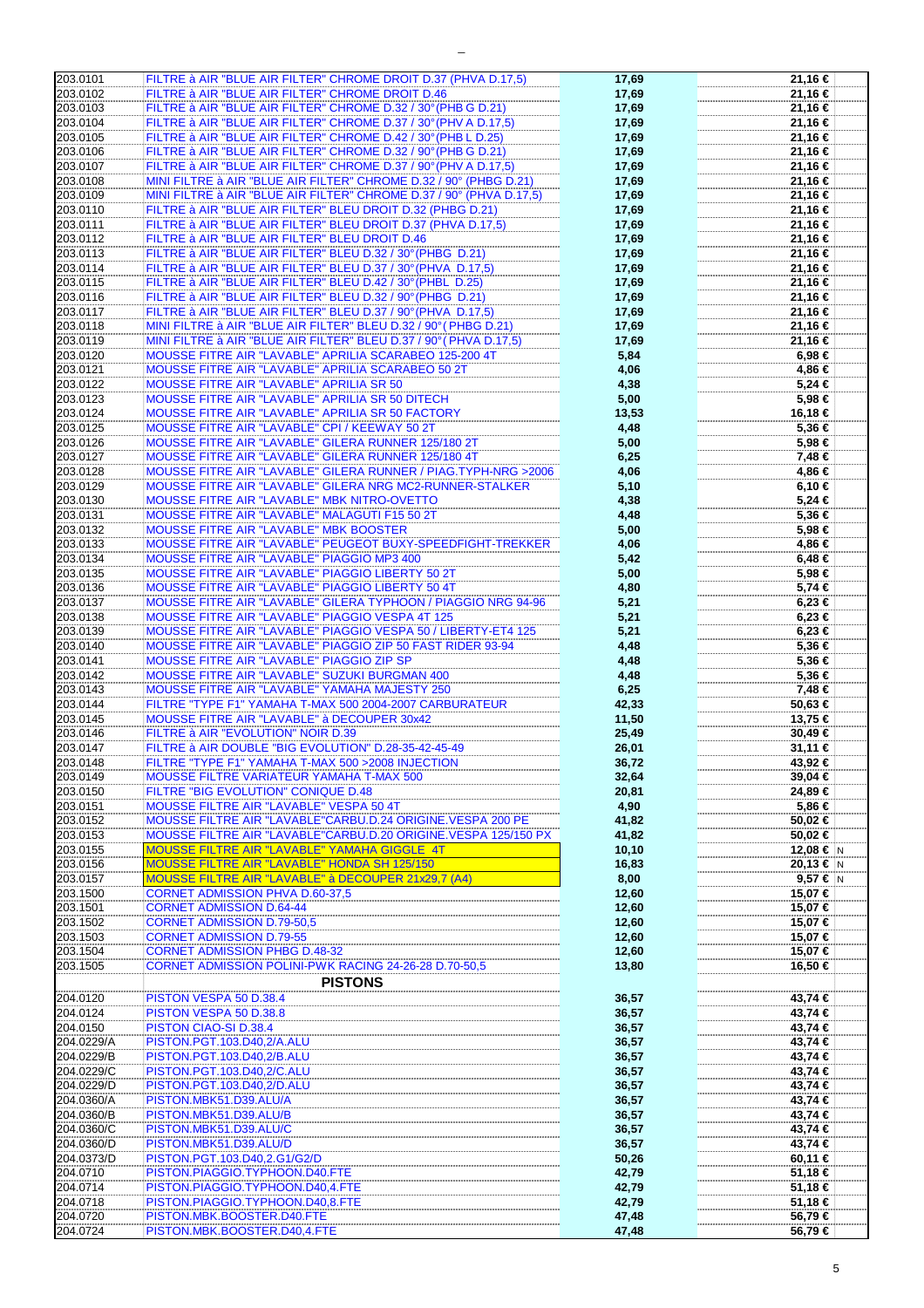| 203.0101             | FILTRE à AIR "BLUE AIR FILTER" CHROME DROIT D.37 (PHVA D.17,5)      | 17,69          | 21,16 €            |
|----------------------|---------------------------------------------------------------------|----------------|--------------------|
| 203.0102             | FILTRE à AIR "BLUE AIR FILTER" CHROME DROIT D.46                    | 17,69          | 21,16 €            |
|                      |                                                                     |                |                    |
| 203.0103             | FILTRE à AIR "BLUE AIR FILTER" CHROME D.32 / 30° (PHB G D.21)       | 17,69          | 21,16 €            |
| 203.0104             | FILTRE à AIR "BLUE AIR FILTER" CHROME D.37 / 30° (PHV A D.17,5)     | 17,69          | 21,16 €            |
| 203.0105             | FILTRE à AIR "BLUE AIR FILTER" CHROME D.42 / 30° (PHB L D.25)       | 17,69          | 21,16 €            |
|                      |                                                                     |                |                    |
| 203.0106             | FILTRE à AIR "BLUE AIR FILTER" CHROME D.32 / 90° (PHB G D.21)       | 17,69          | 21,16 €            |
| 203.0107             | FILTRE à AIR "BLUE AIR FILTER" CHROME D.37 / 90° (PHV A D.17,5)     | 17,69          | 21,16 €            |
| 203.0108             |                                                                     |                |                    |
|                      | MINI FILTRE à AIR "BLUE AIR FILTER" CHROME D.32 / 90° (PHBG D.21)   | 17,69          | 21,16 €            |
| 203.0109             | MINI FILTRE à AIR "BLUE AIR FILTER" CHROME D.37 / 90° (PHVA D.17,5) | 17,69          | 21,16 €            |
| 203.0110             | FILTRE à AIR "BLUE AIR FILTER" BLEU DROIT D.32 (PHBG D.21)          | 17,69          | 21,16 €            |
|                      |                                                                     |                |                    |
| 203.0111             | FILTRE à AIR "BLUE AIR FILTER" BLEU DROIT D.37 (PHVA D.17,5)        | 17,69          | 21,16 €            |
| 203.0112             | FILTRE à AIR "BLUE AIR FILTER" BLEU DROIT D.46                      | 17,69          | 21,16 €            |
| 203.0113             | FILTRE à AIR "BLUE AIR FILTER" BLEU D.32 / 30° (PHBG D.21)          | 17,69          | 21,16 €            |
|                      |                                                                     |                |                    |
| 203.0114             | FILTRE à AIR "BLUE AIR FILTER" BLEU D.37 / 30° (PHVA D.17,5)        | 17,69          | 21,16 €            |
| 203.0115             | FILTRE à AIR "BLUE AIR FILTER" BLEU D.42 / 30° (PHBL D.25)          | 17,69          | 21,16 €            |
|                      |                                                                     |                |                    |
| 203.0116             | FILTRE à AIR "BLUE AIR FILTER" BLEU D.32 / 90° (PHBG D.21)          | 17,69          | 21,16 €            |
| 203.0117             | FILTRE à AIR "BLUE AIR FILTER" BLEU D.37 / 90° (PHVA D.17,5)        | 17,69          | 21,16 €            |
| 203.0118             | MINI FILTRE à AIR "BLUE AIR FILTER" BLEU D.32 / 90° (PHBG D.21)     | 17,69          | 21,16 €            |
|                      |                                                                     |                |                    |
| 203.0119             | MINI FILTRE à AIR "BLUE AIR FILTER" BLEU D.37 / 90° (PHVA D.17,5)   | 17,69          | 21,16 €            |
| 203.0120             | MOUSSE FITRE AIR "LAVABLE" APRILIA SCARABEO 125-200 4T              | 5,84           | 6,98 €             |
|                      |                                                                     |                |                    |
| 203.0121             | MOUSSE FITRE AIR "LAVABLE" APRILIA SCARABEO 50 2T                   | 4,06           | 4,86 €             |
| 203.0122             | <b>MOUSSE FITRE AIR "LAVABLE" APRILIA SR 50</b>                     | 4,38           | 5,24 €             |
| 203.0123             | MOUSSE FITRE AIR "LAVABLE" APRILIA SR 50 DITECH                     | 5,00           | 5,98 €             |
|                      |                                                                     |                |                    |
| 203.0124             | MOUSSE FITRE AIR "LAVABLE" APRILIA SR 50 FACTORY                    | 13,53          | 16,18 €            |
| 203.0125             | MOUSSE FITRE AIR "LAVABLE" CPI / KEEWAY 50 2T                       | 4,48           | 5,36 €             |
|                      |                                                                     |                |                    |
| 203.0126             | MOUSSE FITRE AIR "LAVABLE" GILERA RUNNER 125/180 2T                 | 5,00           | 5,98 €             |
| 203.0127             | MOUSSE FITRE AIR "LAVABLE" GILERA RUNNER 125/180 4T                 | 6,25           | 7,48 €             |
| 203.0128             | MOUSSE FITRE AIR "LAVABLE" GILERA RUNNER / PIAG.TYPH-NRG >2006      | 4,06           | 4,86 €             |
|                      |                                                                     |                |                    |
| 203.0129             | MOUSSE FITRE AIR "LAVABLE" GILERA NRG MC2-RUNNER-STALKER            | 5,10           | 6,10 €             |
| 203.0130             | MOUSSE FITRE AIR "LAVABLE" MBK NITRO-OVETTO                         | 4,38           | 5,24 €             |
|                      |                                                                     |                |                    |
| 203.0131             | MOUSSE FITRE AIR "LAVABLE" MALAGUTI F15 50 2T                       | 4,48           | 5,36 €             |
| 203.0132             | <b>MOUSSE FITRE AIR "LAVABLE" MBK BOOSTER</b>                       | 5,00           | 5,98 €             |
|                      |                                                                     |                |                    |
| 203.0133             | MOUSSE FITRE AIR "LAVABLE" PEUGEOT BUXY-SPEEDFIGHT-TREKKER          | 4,06           | 4,86 €             |
| 203.0134             | MOUSSE FITRE AIR "LAVABLE" PIAGGIO MP3 400                          | 5,42           | $6,48 \in$         |
| 203.0135             | MOUSSE FITRE AIR "LAVABLE" PIAGGIO LIBERTY 50 2T                    | 5,00           | 5,98 €             |
|                      |                                                                     |                |                    |
| 203.0136             | MOUSSE FITRE AIR "LAVABLE" PIAGGIO LIBERTY 50 4T                    | 4,80           | 5,74 €             |
| 203.0137             | MOUSSE FITRE AIR "LAVABLE" GILERA TYPHOON / PIAGGIO NRG 94-96       | 5,21           | 6,23 €             |
|                      |                                                                     |                |                    |
| 203.0138             | MOUSSE FITRE AIR "LAVABLE" PIAGGIO VESPA 4T 125                     | 5,21           | 6,23 €             |
| 203.0139             | MOUSSE FITRE AIR "LAVABLE" PIAGGIO VESPA 50 / LIBERTY-ET4 125       | 5,21           | $6,23 \in$         |
| 203.0140             | MOUSSE FITRE AIR "LAVABLE" PIAGGIO ZIP 50 FAST RIDER 93-94          | 4,48           | 5,36 €             |
|                      |                                                                     |                |                    |
| 203.0141             | MOUSSE FITRE AIR "LAVABLE" PIAGGIO ZIP SP                           | 4,48           | 5,36 €             |
| 203.0142             | MOUSSE FITRE AIR "LAVABLE" SUZUKI BURGMAN 400                       | 4,48           | 5,36 €             |
|                      |                                                                     |                |                    |
| 203.0143             | MOUSSE FITRE AIR "LAVABLE" YAMAHA MAJESTY 250                       | 6,25           | 7,48 €             |
| 203.0144             | FILTRE "TYPE F1" YAMAHA T-MAX 500 2004-2007 CARBURATEUR             | 42,33          | 50,63 €            |
| 203.0145             | <b>MOUSSE FITRE AIR "LAVABLE" à DECOUPER 30x42</b>                  | 11,50          | 13,75 €            |
|                      |                                                                     |                |                    |
| 203.0146             | FILTRE à AIR "EVOLUTION" NOIR D.39                                  | 25,49          | 30,49 €            |
| 203.0147             | FILTRE à AIR DOUBLE "BIG EVOLUTION" D.28-35-42-45-49                | 26,01          | 31,11 €            |
|                      |                                                                     |                | 43.92 €            |
| 203.0148             | FILTRE "TYPE F1" YAMAHA T-MAX 500 > 2008 INJECTION                  | 36,72          |                    |
| 203.0149             | MOUSSE FILTRE VARIATEUR YAMAHA T-MAX 500                            | 32,64          | 39,04 €            |
| 203.0150             | FILTRE "BIG EVOLUTION" CONIQUE D.48                                 | 20,81          | 24.89 €            |
|                      |                                                                     |                |                    |
| 203.0151             | MOUSSE FILTRE AIR "LAVABLE" VESPA 50 4T                             | 4,90           | 5,86 €             |
| 203.0152             | MOUSSE FILTRE AIR "LAVABLE"CARBU.D.24 ORIGINE.VESPA 200 PE          | 41,82          | 50,02 €            |
|                      |                                                                     |                |                    |
| 203.0153             | MOUSSE FILTRE AIR "LAVABLE"CARBU.D.20 ORIGINE.VESPA 125/150 PX      | 41,82          | 50,02 €            |
| 203.0155             | MOUSSE FILTRE AIR "LAVABLE" YAMAHA GIGGLE 4T                        | 10, 10         | 12,08 € N          |
| 203.0156             | MOUSSE FILTRE AIR "LAVABLE" HONDA SH 125/150                        | 16,83          | 20,13 € $ N $      |
|                      |                                                                     |                |                    |
| 203.0157             | MOUSSE FILTRE AIR "LAVABLE" à DECOUPER 21x29,7 (A4)                 | 8,00           | 9,57 $\epsilon$ N  |
| 203.1500             | <b>CORNET ADMISSION PHVA D.60-37,5</b>                              | 12,60          | 15,07 €            |
| 203.1501             | <b>CORNET ADMISSION D.64-44</b>                                     | 12,60          | 15,07 €            |
|                      |                                                                     |                |                    |
| 203.1502             | <b>CORNET ADMISSION D.79-50,5</b>                                   | 12,60          | 15,07 €            |
| 203.1503             | <b>CORNET ADMISSION D.79-55</b>                                     | 12,60          | 15,07 €            |
|                      |                                                                     |                |                    |
| 203.1504             | <b>CORNET ADMISSION PHBG D.48-32</b>                                | 12,60          | 15,07 €            |
| 203.1505             | CORNET ADMISSION POLINI-PWK RACING 24-26-28 D.70-50.5               | 13,80          | 16,50 €            |
|                      | <b>PISTONS</b>                                                      |                |                    |
|                      |                                                                     |                |                    |
| 204.0120             |                                                                     |                | 43,74 €            |
| 204.0124             | PISTON VESPA 50 D.38.4                                              |                |                    |
|                      |                                                                     | 36,57          |                    |
|                      | PISTON VESPA 50 D.38.8                                              | 36,57          | 43,74 €            |
| 204.0150             | PISTON CIAO-SI D.38.4                                               | 36,57          | 43,74 €            |
| 204.0229/A           |                                                                     |                |                    |
|                      | PISTON.PGT.103.D40,2/A.ALU                                          | 36,57          | 43,74 €            |
| 204.0229/B           | PISTON.PGT.103.D40,2/B.ALU                                          | 36,57          | 43,74 €            |
| 204.0229/C           | PISTON.PGT.103.D40,2/C.ALU                                          | 36,57          | 43,74 €            |
|                      |                                                                     |                |                    |
| 204.0229/D           | PISTON.PGT.103.D40,2/D.ALU                                          | 36,57          | 43,74 €            |
| 204.0360/A           | PISTON.MBK51.D39.ALU/A                                              | 36,57          | 43,74 €            |
|                      |                                                                     |                |                    |
| 204.0360/B           | PISTON.MBK51.D39.ALU/B                                              | 36,57          | 43,74 €            |
| 204.0360/C           | PISTON.MBK51.D39.ALU/C                                              | 36,57          | 43,74 €            |
| 204.0360/D           | PISTON.MBK51.D39.ALU/D                                              |                | 43,74 €            |
|                      |                                                                     | 36,57          |                    |
| 204.0373/D           | PISTON.PGT.103.D40,2.G1/G2/D                                        | 50,26          | 60,11 €            |
| 204.0710             | PISTON.PIAGGIO.TYPHOON.D40.FTE                                      | 42,79          | 51,18 €            |
|                      |                                                                     |                |                    |
| 204.0714             | PISTON.PIAGGIO.TYPHOON.D40,4.FTE                                    | 42,79          | 51,18 €            |
| 204.0718             | PISTON.PIAGGIO.TYPHOON.D40,8.FTE                                    | 42,79          | 51,18 €            |
|                      |                                                                     |                |                    |
| 204.0720<br>204.0724 | PISTON.MBK.BOOSTER.D40.FTE<br>PISTON.MBK.BOOSTER.D40,4.FTE          | 47,48<br>47,48 | 56,79 €<br>56,79 € |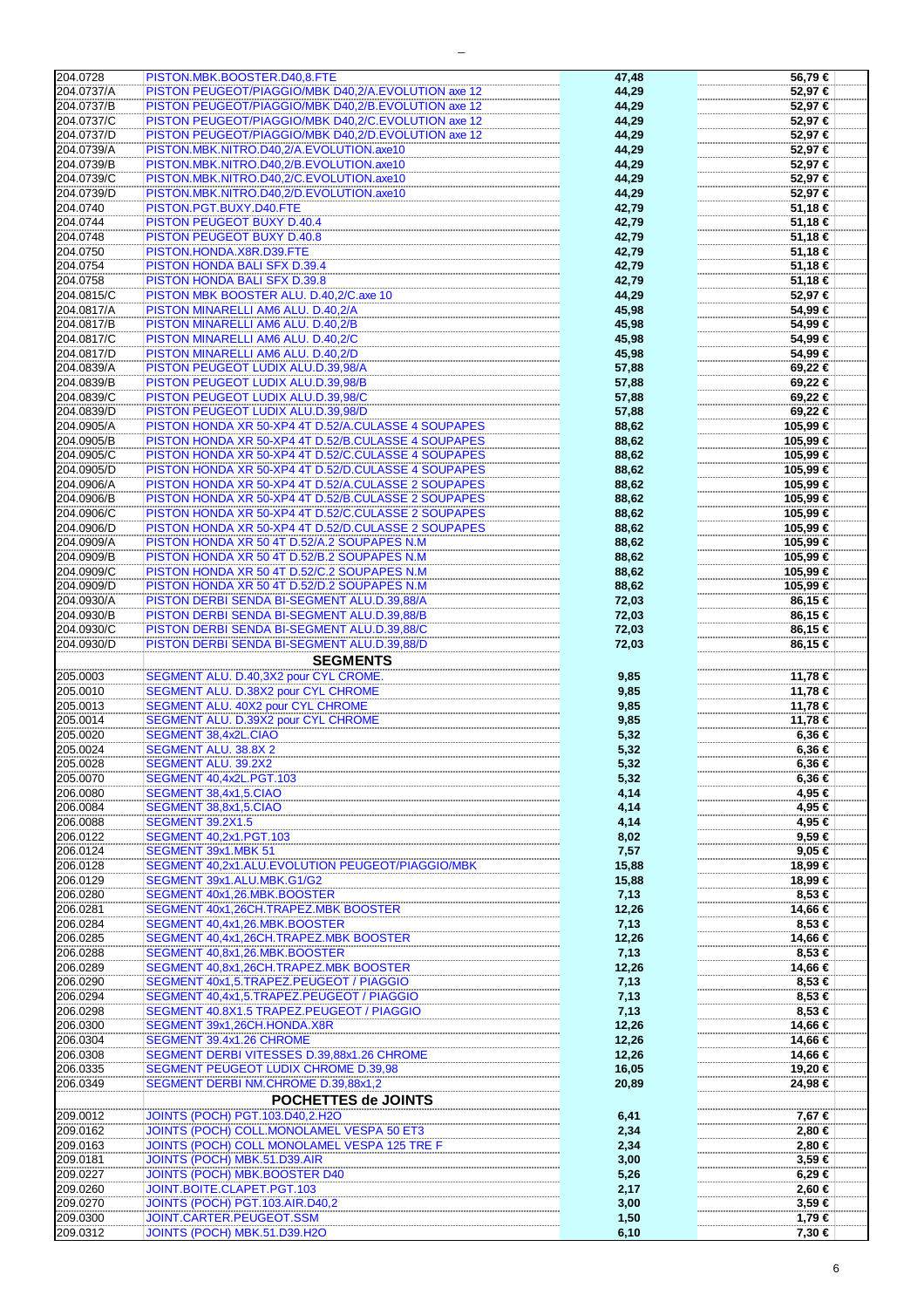| 204.0728             | PISTON.MBK.BOOSTER.D40,8.FTE                             | 47,48         | 56,79€           |
|----------------------|----------------------------------------------------------|---------------|------------------|
| 204.0737/A           | PISTON PEUGEOT/PIAGGIO/MBK D40,2/A.EVOLUTION axe 12      | 44,29         | 52,97€           |
|                      |                                                          |               |                  |
| 204.0737/B           | PISTON PEUGEOT/PIAGGIO/MBK D40,2/B.EVOLUTION axe 12      | 44,29         | 52,97€           |
| 204.0737/C           | PISTON PEUGEOT/PIAGGIO/MBK D40.2/C.EVOLUTION axe 12      | 44,29         | 52,97€           |
| 204.0737/D           | PISTON PEUGEOT/PIAGGIO/MBK D40,2/D.EVOLUTION axe 12      | 44,29         | 52,97€           |
| 204.0739/A           | PISTON.MBK.NITRO.D40,2/A.EVOLUTION.axe10                 | 44,29         | 52,97€           |
| 204.0739/B           |                                                          |               |                  |
|                      | PISTON.MBK.NITRO.D40,2/B.EVOLUTION.axe10                 | 44,29         | 52,97€           |
| 204.0739/C           | PISTON.MBK.NITRO.D40,2/C.EVOLUTION.axe10                 | 44,29         | 52,97€           |
| 204.0739/D           | PISTON.MBK.NITRO.D40,2/D.EVOLUTION.axe10                 | 44,29         | 52,97€           |
| 204.0740             | PISTON.PGT.BUXY.D40.FTE                                  | 42,79         | 51,18 €          |
| 204.0744             | PISTON PEUGEOT BUXY D.40.4                               |               | 51,18 €          |
|                      |                                                          | 42,79         |                  |
| 204.0748             | <b>PISTON PEUGEOT BUXY D.40.8</b>                        | 42,79         | 51,18 €          |
| 204.0750             | PISTON.HONDA.X8R.D39.FTE                                 | 42,79         | 51,18 €          |
| 204.0754             | PISTON HONDA BALI SFX D.39.4                             | 42,79         | 51,18 €          |
| 204.0758             |                                                          |               |                  |
|                      | PISTON HONDA BALI SFX D.39.8                             | 42,79         | 51,18 €          |
| 204.0815/C           | PISTON MBK BOOSTER ALU. D.40,2/C.axe 10                  | 44,29         | 52,97 €          |
| 204.0817/A           | PISTON MINARELLI AM6 ALU. D.40,2/A                       | 45,98         | 54,99 €          |
| 204.0817/B           | PISTON MINARELLI AM6 ALU. D.40,2/B                       | 45,98         | 54,99 €          |
|                      |                                                          |               |                  |
| 204.0817/C           | PISTON MINARELLI AM6 ALU. D.40,2/C                       | 45,98         | 54,99€           |
| 204.0817/D           | PISTON MINARELLI AM6 ALU. D.40,2/D                       | 45,98         | 54,99 €          |
| 204.0839/A           | PISTON PEUGEOT LUDIX ALU.D.39,98/A                       | 57,88         | 69,22 €          |
| 204.0839/B           | PISTON PEUGEOT LUDIX ALU.D.39,98/B                       | 57,88         | 69,22 €          |
|                      |                                                          |               |                  |
| 204.0839/C           | PISTON PEUGEOT LUDIX ALU.D.39,98/C                       | 57,88         | 69,22 €          |
| 204.0839/D           | PISTON PEUGEOT LUDIX ALU.D.39,98/D                       | 57,88         | 69,22 €          |
| 204.0905/A           | PISTON HONDA XR 50-XP4 4T D.52/A.CULASSE 4 SOUPAPES      | 88,62         | 105,99 €         |
| 204.0905/B           | PISTON HONDA XR 50-XP4 4T D.52/B.CULASSE 4 SOUPAPES      | 88,62         | 105,99€          |
|                      |                                                          |               |                  |
| 204.0905/C           | PISTON HONDA XR 50-XP4 4T D.52/C.CULASSE 4 SOUPAPES      | 88,62         | 105,99 €         |
| 204.0905/D           | PISTON HONDA XR 50-XP4 4T D.52/D.CULASSE 4 SOUPAPES      | 88,62         | 105,99 €         |
| 204.0906/A           | PISTON HONDA XR 50-XP4 4T D.52/A.CULASSE 2 SOUPAPES      | 88,62         | 105,99 €         |
| 204.0906/B           | PISTON HONDA XR 50-XP4 4T D.52/B.CULASSE 2 SOUPAPES      | 88,62         | 105,99 €         |
|                      |                                                          |               |                  |
| 204.0906/C           | PISTON HONDA XR 50-XP4 4T D.52/C.CULASSE 2 SOUPAPES      | 88,62         | 105,99 €         |
| 204.0906/D           | PISTON HONDA XR 50-XP4 4T D.52/D.CULASSE 2 SOUPAPES      | 88,62         | 105,99 €         |
| 204.0909/A           | PISTON HONDA XR 50 4T D.52/A.2 SOUPAPES N.M              | 88,62         | 105,99€          |
| 204.0909/B           | PISTON HONDA XR 50 4T D.52/B.2 SOUPAPES N.M              | 88,62         | 105,99 €         |
| 204.0909/C           | PISTON HONDA XR 50 4T D.52/C.2 SOUPAPES N.M              |               | 105,99€          |
|                      |                                                          | 88,62         |                  |
| 204.0909/D           | PISTON HONDA XR 50 4T D.52/D.2 SOUPAPES N.M              | 88,62         | 105,99 €         |
| 204.0930/A           | PISTON DERBI SENDA BI-SEGMENT ALU.D.39,88/A              | 72,03         | 86,15 €          |
| 204.0930/B           | PISTON DERBI SENDA BI-SEGMENT ALU.D.39,88/B              | 72,03         | 86,15 €          |
| 204.0930/C           | PISTON DERBI SENDA BI-SEGMENT ALU.D.39,88/C              |               | 86,15 €          |
|                      |                                                          | 72,03         |                  |
| 204.0930/D           | PISTON DERBI SENDA BI-SEGMENT ALU.D.39,88/D              | 72,03         | 86,15 €          |
|                      |                                                          |               |                  |
|                      |                                                          |               |                  |
|                      | <b>SEGMENTS</b>                                          |               |                  |
| 205.0003             | SEGMENT ALU. D.40,3X2 pour CYL CROME.                    | 9,85          | 11,78 €          |
| 205.0010             | <b>SEGMENT ALU. D.38X2 pour CYL CHROME</b>               | 9,85          | 11,78 €          |
| 205.0013             | SEGMENT ALU. 40X2 pour CYL CHROME                        |               |                  |
|                      |                                                          | 9,85          | 11,78 €          |
| 205.0014             | SEGMENT ALU. D.39X2 pour CYL CHROME                      | 9,85          | 11,78 €          |
| 205.0020             | SEGMENT 38,4x2L.CIAO                                     | 5,32          | 6,36 €           |
| 205.0024             | <b>SEGMENT ALU. 38.8X 2</b>                              | 5,32          | 6,36 €           |
| 205.0028             | SEGMENT ALU. 39.2X2                                      | 5,32          | 6,36 €           |
|                      |                                                          |               |                  |
| 205.0070             | SEGMENT 40,4x2L.PGT.103                                  | 5,32          | 6,36 €           |
| 206.0080             | SEGMENT 38,4x1,5.CIAO                                    | 4,14          | 4,95 €           |
| 206.0084             | SEGMENT 38,8x1,5.CIAO                                    | 4,14          | 4,95 €           |
| 206.0088             | <b>SEGMENT 39.2X1.5</b>                                  | 4,14          | 4,95 €           |
|                      |                                                          |               |                  |
| 206.0122             | SEGMENT 40,2x1.PGT.103                                   | 8,02          | 9,59€            |
| 206.0124             | SEGMENT 39x1.MBK 51                                      | 7,57          | 9,05 €           |
| 206.0128             | SEGMENT 40,2x1.ALU.EVOLUTION PEUGEOT/PIAGGIO/MBK         | 15,88         | 18,99 €          |
| 206.0129             | SEGMENT 39x1.ALU.MBK.G1/G2                               | 15,88         | 18,99 €          |
| 206.0280             | SEGMENT 40x1,26.MBK.BOOSTER                              | 7,13          | 8,53 €           |
| 206.0281             | SEGMENT 40x1,26CH.TRAPEZ.MBK BOOSTER                     |               | 14,66 €          |
|                      |                                                          | 12,26         |                  |
| 206.0284             | SEGMENT 40,4x1,26.MBK.BOOSTER                            | 7,13          | 8,53 €           |
| 206.0285             | SEGMENT 40,4x1,26CH.TRAPEZ.MBK BOOSTER                   | 12,26         | 14,66 €          |
| 206.0288             | SEGMENT 40,8x1,26.MBK.BOOSTER                            | 7,13          | 8,53 €           |
| 206.0289             | SEGMENT 40,8x1,26CH.TRAPEZ.MBK BOOSTER                   | 12,26         | 14,66 €          |
|                      |                                                          |               |                  |
| 206.0290             | SEGMENT 40x1,5.TRAPEZ.PEUGEOT / PIAGGIO                  | 7,13          | 8,53 €           |
| 206.0294             | SEGMENT 40,4x1,5.TRAPEZ.PEUGEOT / PIAGGIO                | 7,13          | 8,53 €           |
| 206.0298             | SEGMENT 40.8X1.5 TRAPEZ.PEUGEOT / PIAGGIO                | 7,13          | 8,53 €           |
| 206.0300             | SEGMENT 39x1,26CH.HONDA.X8R                              | 12,26         | 14,66 €          |
|                      |                                                          |               |                  |
| 206.0304             | SEGMENT 39.4x1.26 CHROME                                 | 12,26         | 14,66 €          |
| 206.0308             | SEGMENT DERBI VITESSES D.39,88x1.26 CHROME               | 12,26         | 14,66 €          |
| 206.0335             | SEGMENT PEUGEOT LUDIX CHROME D.39,98                     | 16,05         | 19,20 €          |
| 206.0349             | SEGMENT DERBI NM.CHROME D.39,88x1,2                      | 20,89         | 24,98 €          |
|                      |                                                          |               |                  |
|                      | POCHETTES de JOINTS                                      |               |                  |
| 209.0012             | <b>JOINTS (POCH) PGT.103.D40,2.H2O</b>                   | 6,41          | 7,67 €           |
| 209.0162             | JOINTS (POCH) COLL.MONOLAMEL VESPA 50 ET3                | 2,34          | 2,80 €           |
|                      |                                                          |               |                  |
| 209.0163             | JOINTS (POCH) COLL MONOLAMEL VESPA 125 TRE F             | 2,34          | 2,80 €           |
| 209.0181             | JOINTS (POCH) MBK.51.D39.AIR                             | 3,00          | $3,59 \in$       |
| 209.0227             | JOINTS (POCH) MBK.BOOSTER D40                            | 5,26          | 6,29€            |
| 209.0260             | JOINT.BOITE.CLAPET.PGT.103                               | 2,17          | 2,60 €           |
|                      |                                                          |               |                  |
| 209.0270             | JOINTS (POCH) PGT.103.AIR.D40,2                          | 3,00          | $3,59 \in$       |
| 209.0300<br>209.0312 | JOINT.CARTER.PEUGEOT.SSM<br>JOINTS (POCH) MBK.51.D39.H2O | 1,50<br>6, 10 | 1,79 €<br>7,30 € |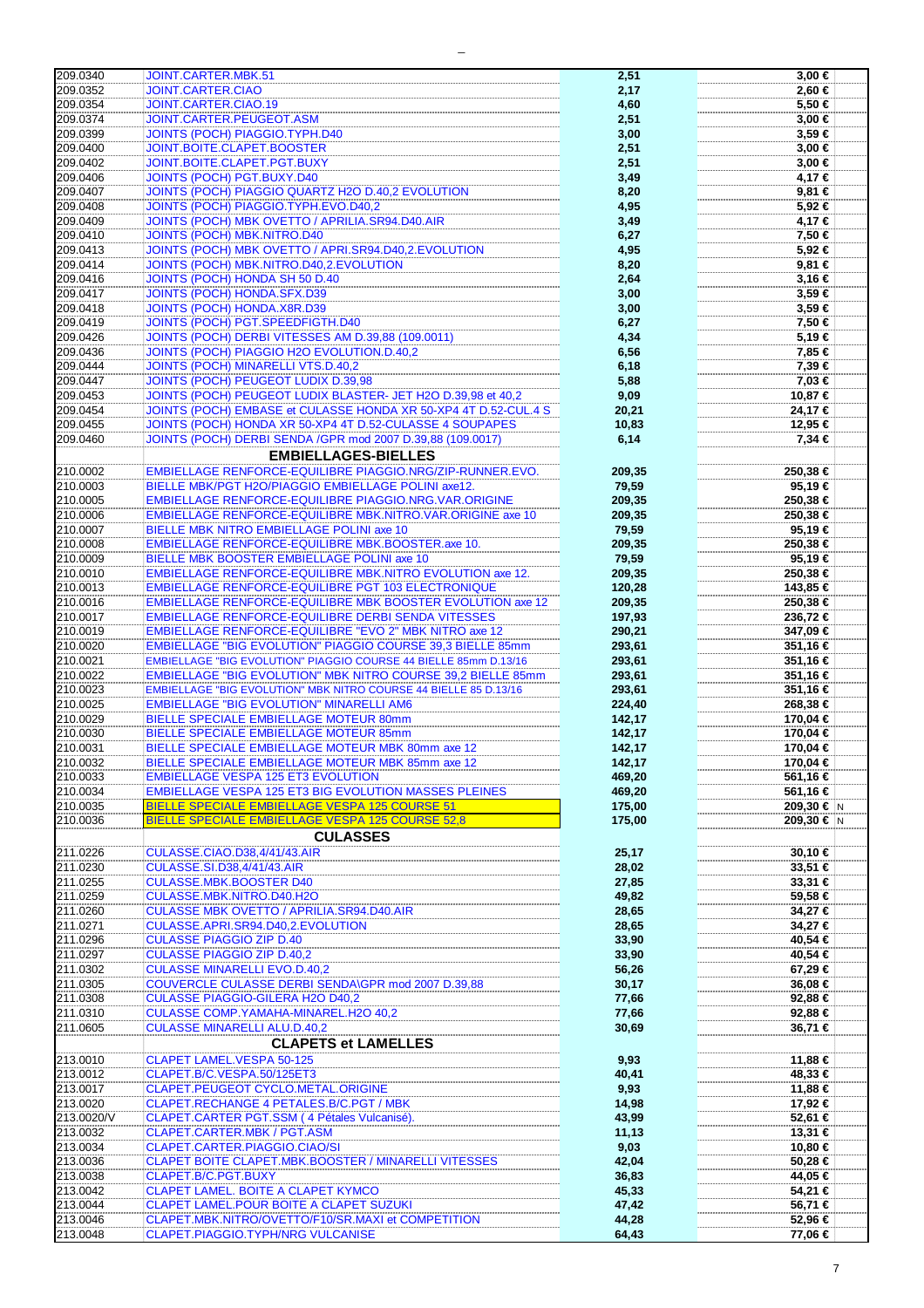| 209.0340   | JOINT.CARTER.MBK.51                                                 | 2,51   | 3,00 €     |
|------------|---------------------------------------------------------------------|--------|------------|
| 209.0352   | <b>JOINT.CARTER.CIAO</b>                                            | 2,17   | 2.60 €     |
| 209.0354   | JOINT.CARTER.CIAO.19                                                | 4,60   | 5,50 €     |
| 209.0374   | JOINT.CARTER.PEUGEOT.ASM                                            | 2,51   | 3,00 €     |
|            |                                                                     |        |            |
| 209.0399   | <b>JOINTS (POCH) PIAGGIO.TYPH.D40</b>                               | 3,00   | $3,59 \in$ |
| 209.0400   | JOINT.BOITE.CLAPET.BOOSTER                                          | 2,51   | $3,00 \in$ |
| 209.0402   | JOINT.BOITE.CLAPET.PGT.BUXY                                         | 2,51   | $3,00 \in$ |
| 209.0406   | <b>JOINTS (POCH) PGT.BUXY.D40</b>                                   | 3,49   | 4,17 €     |
|            |                                                                     |        |            |
| 209.0407   | JOINTS (POCH) PIAGGIO QUARTZ H2O D.40,2 EVOLUTION                   | 8,20   | 9,81 €     |
| 209.0408   | JOINTS (POCH) PIAGGIO.TYPH.EVO.D40,2                                | 4,95   | 5,92 €     |
| 209.0409   | JOINTS (POCH) MBK OVETTO / APRILIA.SR94.D40.AIR                     | 3,49   | 4,17 €     |
| 209.0410   | <b>JOINTS (POCH) MBK.NITRO.D40</b>                                  | 6,27   | 7,50 €     |
| 209.0413   | JOINTS (POCH) MBK OVETTO / APRI.SR94.D40,2.EVOLUTION                | 4,95   | 5,92€      |
|            |                                                                     |        |            |
| 209.0414   | JOINTS (POCH) MBK.NITRO.D40,2.EVOLUTION                             | 8,20   | 9,81 €     |
| 209.0416   | JOINTS (POCH) HONDA SH 50 D.40                                      | 2,64   | $3,16$ €   |
| 209.0417   | <b>JOINTS (POCH) HONDA.SFX.D39</b>                                  | 3,00   | $3,59 \in$ |
| 209.0418   | JOINTS (POCH) HONDA.X8R.D39                                         | 3,00   | $3,59 \in$ |
| 209.0419   | <b>JOINTS (POCH) PGT.SPEEDFIGTH.D40</b>                             |        | $7,50$ €   |
|            |                                                                     | 6,27   |            |
| 209.0426   | JOINTS (POCH) DERBI VITESSES AM D.39,88 (109.0011)                  | 4,34   | 5,19 €     |
| 209.0436   | JOINTS (POCH) PIAGGIO H2O EVOLUTION.D.40,2                          | 6,56   | 7,85 €     |
| 209.0444   | JOINTS (POCH) MINARELLI VTS.D.40,2                                  | 6,18   | 7,39 €     |
| 209.0447   | JOINTS (POCH) PEUGEOT LUDIX D.39,98                                 | 5,88   | 7,03 €     |
|            |                                                                     |        |            |
| 209.0453   | JOINTS (POCH) PEUGEOT LUDIX BLASTER- JET H2O D.39,98 et 40,2        | 9,09   | 10,87 €    |
| 209.0454   | JOINTS (POCH) EMBASE et CULASSE HONDA XR 50-XP4 4T D.52-CUL.4 S     | 20,21  | 24,17€     |
| 209.0455   | JOINTS (POCH) HONDA XR 50-XP4 4T D.52-CULASSE 4 SOUPAPES            | 10,83  | 12,95 €    |
| 209.0460   | JOINTS (POCH) DERBI SENDA / GPR mod 2007 D.39,88 (109.0017)         | 6,14   | 7,34 €     |
|            |                                                                     |        |            |
|            | <b>EMBIELLAGES-BIELLES</b>                                          |        |            |
| 210.0002   | EMBIELLAGE RENFORCE-EQUILIBRE PIAGGIO.NRG/ZIP-RUNNER.EVO.           | 209,35 | 250,38 €   |
| 210.0003   | BIELLE MBK/PGT H2O/PIAGGIO EMBIELLAGE POLINI axe12.                 | 79,59  | 95,19 €    |
| 210.0005   | EMBIELLAGE RENFORCE-EQUILIBRE PIAGGIO.NRG.VAR.ORIGINE               | 209,35 | 250,38 €   |
|            |                                                                     |        |            |
| 210.0006   | EMBIELLAGE RENFORCE-EQUILIBRE MBK.NITRO.VAR.ORIGINE axe 10          | 209,35 | 250,38 €   |
| 210.0007   | BIELLE MBK NITRO EMBIELLAGE POLINI axe 10                           | 79,59  | 95,19€     |
| 210.0008   | EMBIELLAGE RENFORCE-EQUILIBRE MBK.BOOSTER.axe 10.                   | 209,35 | 250,38 €   |
| 210.0009   | BIELLE MBK BOOSTER EMBIELLAGE POLINI axe 10                         | 79,59  | 95,19 €    |
|            |                                                                     |        |            |
| 210.0010   | <b>EMBIELLAGE RENFORCE-EQUILIBRE MBK.NITRO EVOLUTION axe 12.</b>    | 209,35 | 250,38 €   |
| 210.0013   | <b>EMBIELLAGE RENFORCE-EQUILIBRE PGT 103 ELECTRONIQUE</b>           | 120,28 | 143,85 €   |
| 210.0016   | EMBIELLAGE RENFORCE-EQUILIBRE MBK BOOSTER EVOLUTION axe 12          | 209,35 | 250,38 €   |
| 210.0017   | EMBIELLAGE RENFORCE-EQUILIBRE DERBI SENDA VITESSES                  | 197,93 | 236,72 €   |
| 210.0019   | EMBIELLAGE RENFORCE-EQUILIBRE "EVO 2" MBK NITRO axe 12              |        |            |
|            |                                                                     | 290,21 | 347,09 €   |
| 210.0020   | <b>EMBIELLAGE "BIG EVOLUTION" PIAGGIO COURSE 39,3 BIELLE 85mm</b>   | 293,61 | 351,16 €   |
| 210.0021   | EMBIELLAGE "BIG EVOLUTION" PIAGGIO COURSE 44 BIELLE 85mm D.13/16    | 293,61 | 351,16 €   |
| 210.0022   | <b>EMBIELLAGE "BIG EVOLUTION" MBK NITRO COURSE 39,2 BIELLE 85mm</b> | 293,61 | 351,16 €   |
| 210.0023   | EMBIELLAGE "BIG EVOLUTION" MBK NITRO COURSE 44 BIELLE 85 D.13/16    | 293,61 | 351,16 €   |
|            |                                                                     |        |            |
| 210.0025   | <b>EMBIELLAGE "BIG EVOLUTION" MINARELLI AM6</b>                     | 224,40 | 268,38 €   |
| 210.0029   | <b>BIELLE SPECIALE EMBIELLAGE MOTEUR 80mm</b>                       | 142,17 | 170,04 €   |
| 210.0030   | <b>BIELLE SPECIALE EMBIELLAGE MOTEUR 85mm</b>                       | 142,17 | 170,04 €   |
| 210.0031   | BIELLE SPECIALE EMBIELLAGE MOTEUR MBK 80mm axe 12                   | 142,17 | 170,04 €   |
| 210.0032   | BIELLE SPECIALE EMBIELLAGE MOTEUR MBK 85mm axe 12                   | 142,17 | 170,04 €   |
|            |                                                                     |        |            |
| 210.0033   | <b>EMBIELLAGE VESPA 125 ET3 EVOLUTION</b>                           | 469,20 | 561,16 €   |
| 210.0034   | <b>EMBIELLAGE VESPA 125 ET3 BIG EVOLUTION MASSES PLEINES</b>        | 469,20 | 561,16 €   |
| 210.0035   | BIELLE SPECIALE EMBIELLAGE VESPA 125 COURSE 51                      | 175,00 | 209,30 € N |
| 210.0036   | BIELLE SPECIALE EMBIELLAGE VESPA 125 COURSE 52,8                    | 175,00 | 209,30 € N |
|            |                                                                     |        |            |
|            | <b>CULASSES</b>                                                     |        |            |
| 211.0226   | CULASSE.CIAO.D38,4/41/43.AIR                                        | 25,17  | 30,10 €    |
| 211.0230   | CULASSE.SI.D38,4/41/43.AIR                                          | 28,02  | 33,51 €    |
| 211.0255   | <b>CULASSE.MBK.BOOSTER D40</b>                                      | 27,85  | 33,31 €    |
|            |                                                                     |        |            |
| 211.0259   | CULASSE.MBK.NITRO.D40.H2O                                           | 49,82  | 59,58 €    |
| 211.0260   | <b>CULASSE MBK OVETTO / APRILIA.SR94.D40.AIR</b>                    | 28,65  | 34,27 €    |
| 211.0271   | CULASSE.APRI.SR94.D40.2.EVOLUTION                                   | 28,65  | 34,27 €    |
| 211.0296   | <b>CULASSE PIAGGIO ZIP D.40</b>                                     | 33,90  | 40,54 €    |
| 211.0297   | <b>CULASSE PIAGGIO ZIP D.40,2</b>                                   |        |            |
|            |                                                                     | 33,90  | 40,54 €    |
| 211.0302   | <b>CULASSE MINARELLI EVO.D.40,2</b>                                 | 56,26  | 67,29€     |
| 211.0305   | COUVERCLE CULASSE DERBI SENDA\GPR mod 2007 D.39,88                  | 30,17  | 36,08 €    |
| 211.0308   | <b>CULASSE PIAGGIO-GILERA H2O D40,2</b>                             | 77,66  | 92,88 €    |
| 211.0310   | CULASSE COMP.YAMAHA-MINAREL.H2O 40,2                                | 77,66  | 92,88 €    |
|            |                                                                     |        |            |
| 211.0605   | <b>CULASSE MINARELLI ALU.D.40,2</b>                                 | 30,69  | 36,71 €    |
|            | <b>CLAPETS et LAMELLES</b>                                          |        |            |
| 213.0010   | CLAPET LAMEL.VESPA 50-125                                           | 9,93   | 11,88 €    |
|            |                                                                     |        |            |
| 213.0012   | CLAPET.B/C.VESPA.50/125ET3                                          | 40,41  | 48,33 €    |
| 213.0017   | CLAPET.PEUGEOT CYCLO.METAL.ORIGINE                                  | 9,93   | 11,88 €    |
| 213.0020   | CLAPET.RECHANGE 4 PETALES.B/C.PGT / MBK                             | 14,98  | 17,92 €    |
| 213.0020/V | CLAPET.CARTER PGT.SSM (4 Pétales Vulcanisé).                        | 43,99  | 52,61 €    |
|            |                                                                     |        |            |
| 213.0032   | CLAPET.CARTER.MBK / PGT.ASM                                         | 11,13  | 13,31 €    |
| 213.0034   | CLAPET.CARTER.PIAGGIO.CIAO/SI                                       | 9,03   | 10,80 €    |
| 213.0036   | <b>CLAPET BOITE CLAPET.MBK.BOOSTER / MINARELLI VITESSES</b>         | 42,04  | 50,28 €    |
| 213.0038   | CLAPET.B/C.PGT.BUXY                                                 | 36,83  | 44,05 €    |
| 213.0042   | CLAPET LAMEL. BOITE A CLAPET KYMCO                                  | 45,33  | 54,21 €    |
|            |                                                                     |        |            |
| 213.0044   | CLAPET LAMEL. POUR BOITE A CLAPET SUZUKI                            | 47,42  | 56,71 €    |
| 213.0046   | CLAPET.MBK.NITRO/OVETTO/F10/SR.MAXI et COMPETITION                  | 44,28  | 52,96 €    |
|            |                                                                     |        |            |
| 213.0048   | CLAPET.PIAGGIO.TYPH/NRG VULCANISE                                   | 64,43  | 77,06 €    |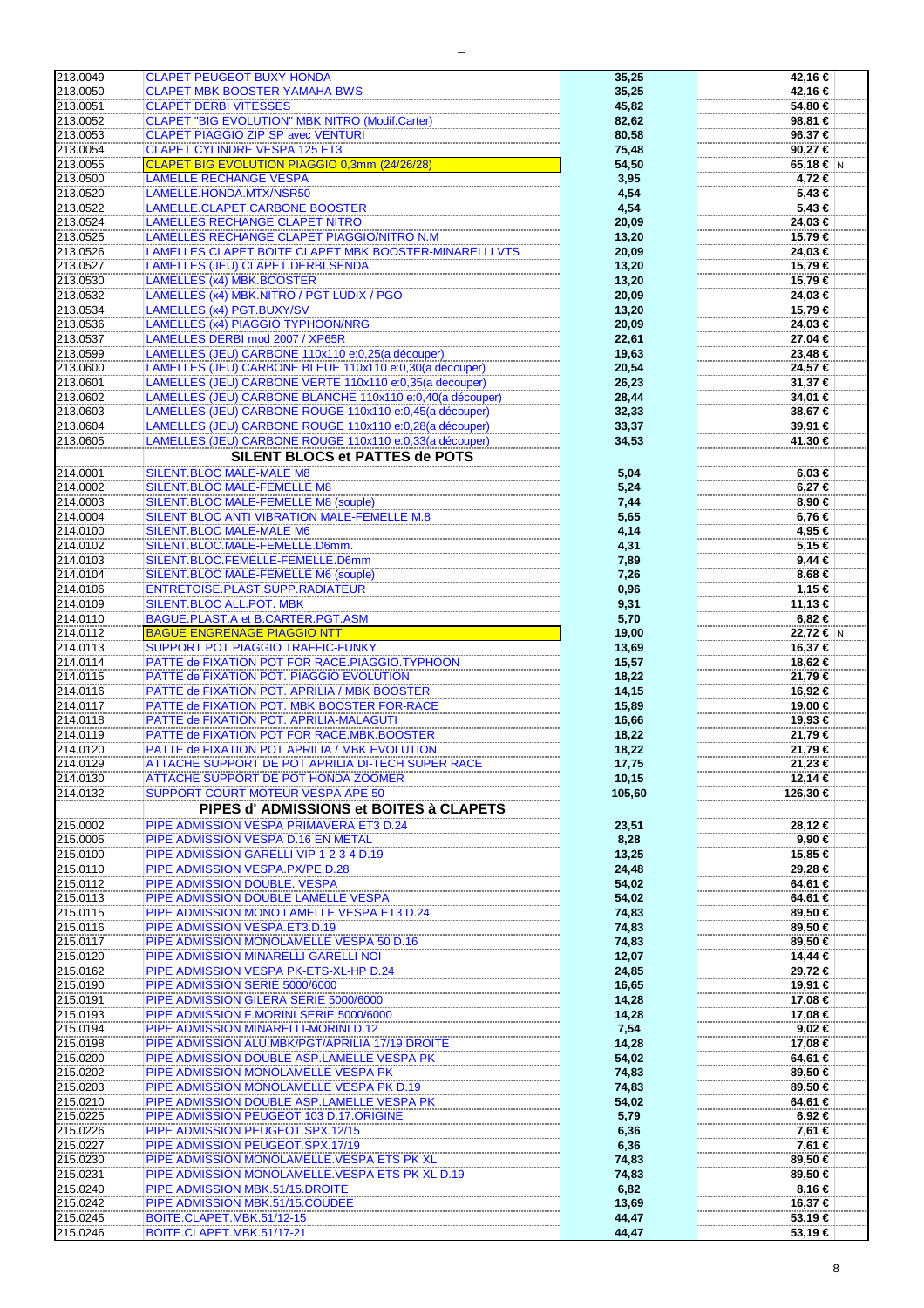| 213.0049             | <b>CLAPET PEUGEOT BUXY-HONDA</b>                          | 35,25          | 42,16 €           |
|----------------------|-----------------------------------------------------------|----------------|-------------------|
| 213.0050             | <b>CLAPET MBK BOOSTER-YAMAHA BWS</b>                      | 35,25          | 42,16 €           |
|                      |                                                           |                |                   |
| 213.0051             | <b>CLAPET DERBI VITESSES</b>                              | 45,82          | 54,80 €           |
| 213.0052             | <b>CLAPET "BIG EVOLUTION" MBK NITRO (Modif.Carter)</b>    | 82,62          | 98,81 €           |
|                      |                                                           |                |                   |
| 213.0053             | <b>CLAPET PIAGGIO ZIP SP avec VENTURI</b>                 | 80,58          | 96,37€            |
| 213.0054             | <b>CLAPET CYLINDRE VESPA 125 ET3</b>                      | 75,48          | 90,27€            |
|                      |                                                           |                |                   |
| 213.0055             | CLAPET BIG EVOLUTION PIAGGIO 0,3mm (24/26/28)             | 54,50          | 65,18 € $ N $     |
| 213.0500             | <b>LAMELLE RECHANGE VESPA</b>                             | 3,95           | 4,72 €            |
|                      |                                                           |                |                   |
| 213.0520             | LAMELLE.HONDA.MTX/NSR50                                   | 4,54           | 5,43 €            |
| 213.0522             | LAMELLE.CLAPET.CARBONE BOOSTER                            | 4,54           | $5,43$ €          |
|                      |                                                           |                |                   |
| 213.0524             | <b>LAMELLES RECHANGE CLAPET NITRO</b>                     | 20,09          | 24,03 €           |
| 213.0525             | LAMELLES RECHANGE CLAPET PIAGGIO/NITRO N.M                | 13,20          | 15,79 €           |
| 213.0526             | LAMELLES CLAPET BOITE CLAPET MBK BOOSTER-MINARELLI VTS    |                | 24,03 €           |
|                      |                                                           | 20,09          |                   |
| 213.0527             | LAMELLES (JEU) CLAPET.DERBI.SENDA                         | 13,20          | 15,79 €           |
| 213.0530             | LAMELLES (x4) MBK.BOOSTER                                 |                | 15,79 €           |
|                      |                                                           | 13,20          |                   |
| 213.0532             | LAMELLES (x4) MBK.NITRO / PGT LUDIX / PGO                 | 20,09          | 24,03 €           |
| 213.0534             | LAMELLES (x4) PGT.BUXY/SV                                 |                | 15,79 €           |
|                      |                                                           | 13,20          |                   |
| 213.0536             | LAMELLES (x4) PIAGGIO.TYPHOON/NRG                         | 20,09          | 24,03 €           |
| 213.0537             | LAMELLES DERBI mod 2007 / XP65R                           |                | 27,04 €           |
|                      |                                                           | 22,61          |                   |
| 213.0599             | LAMELLES (JEU) CARBONE 110x110 e:0,25(a découper)         | 19,63          | 23,48 €           |
| 213.0600             | LAMELLES (JEU) CARBONE BLEUE 110x110 e:0,30(a découper)   | 20,54          | 24,57 €           |
|                      |                                                           |                |                   |
| 213.0601             | LAMELLES (JEU) CARBONE VERTE 110x110 e:0,35(a découper)   | 26,23          | 31,37 €           |
| 213.0602             | LAMELLES (JEU) CARBONE BLANCHE 110x110 e:0,40(a découper) | 28,44          | 34,01 €           |
|                      |                                                           |                |                   |
| 213.0603             | LAMELLES (JEU) CARBONE ROUGE 110x110 e:0,45(a découper)   | 32,33          | 38,67 €           |
| 213.0604             | LAMELLES (JEU) CARBONE ROUGE 110x110 e:0,28(a découper)   | 33,37          | 39,91 €           |
|                      |                                                           |                |                   |
| 213.0605             | LAMELLES (JEU) CARBONE ROUGE 110x110 e:0,33(a découper)   | 34,53          | 41,30 €           |
|                      | <b>SILENT BLOCS et PATTES de POTS</b>                     |                |                   |
|                      |                                                           |                |                   |
| 214.0001             | <b>SILENT.BLOC MALE-MALE M8</b>                           | 5,04           | 6,03€             |
| 214.0002             | SILENT.BLOC MALE-FEMELLE M8                               | 5,24           | $6,27$ €          |
|                      |                                                           |                |                   |
| 214.0003             | SILENT.BLOC MALE-FEMELLE M8 (souple)                      | 7,44           | 8,90€             |
|                      |                                                           |                |                   |
| 214.0004             | SILENT BLOC ANTI VIBRATION MALE-FEMELLE M.8               | 5,65           | 6,76 €            |
| 214.0100             | SILENT.BLOC MALE-MALE M6                                  | 4,14           | 4,95 €            |
|                      |                                                           |                |                   |
| 214.0102             | SILENT.BLOC.MALE-FEMELLE.D6mm.                            | 4,31           | 5,15 €            |
| 214.0103             | SILENT.BLOC.FEMELLE-FEMELLE.D6mm                          | 7,89           | $9,44$ €          |
| 214.0104             | SILENT.BLOC MALE-FEMELLE M6 (souple)                      |                | 8,68 €            |
|                      |                                                           | 7,26           |                   |
| 214.0106             | ENTRETOISE.PLAST.SUPP.RADIATEUR                           | 0,96           | 1,15 €            |
| 214.0109             | SILENT.BLOC ALL.POT. MBK                                  |                | 11,13 €           |
|                      |                                                           | 9,31           |                   |
| 214.0110             | BAGUE.PLAST.A et B.CARTER.PGT.ASM                         | 5,70           | $6,82$ €          |
| 214.0112             | <b>BAGUE ENGRENAGE PIAGGIO NTT</b>                        | 19,00          | 22,72 € N         |
|                      |                                                           |                |                   |
| 214.0113             | SUPPORT POT PIAGGIO TRAFFIC-FUNKY                         | 13,69          | 16,37 €           |
| 214.0114             | PATTE de FIXATION POT FOR RACE.PIAGGIO.TYPHOON            | 15,57          | 18,62 €           |
|                      |                                                           |                |                   |
| 214.0115             | PATTE de FIXATION POT. PIAGGIO EVOLUTION                  | 18,22          | 21,79 €           |
| 214.0116             | PATTE de FIXATION POT. APRILIA / MBK BOOSTER              | 14,15          | 16,92 €           |
|                      |                                                           |                |                   |
| 214.0117             | PATTE de FIXATION POT. MBK BOOSTER FOR-RACE               | 15,89          | 19,00 €           |
| 214.0118             | PATTE de FIXATION POT. APRILIA-MALAGUTI                   | 16,66          | 19,93 €           |
|                      |                                                           |                |                   |
| 214.0119             | PATTE de FIXATION POT FOR RACE.MBK.BOOSTER                | 18,22          | 21,79 €           |
| 214.0120             | PATTE de FIXATION POT APRILIA / MBK EVOLUTION             | 18,22          | 21,79 €           |
| 214.0129             | ATTACHE SUPPORT DE POT APRILIA DI-TECH SUPER RACE         |                | $21,23$ €         |
|                      |                                                           | 17,75          |                   |
| 214.0130             | ATTACHE SUPPORT DE POT HONDA ZOOMER                       | 10, 15         | 12,14 €           |
| 214.0132             | SUPPORT COURT MOTEUR VESPA APE 50                         | 105,60         | 126,30 €          |
|                      |                                                           |                |                   |
|                      | PIPES d'ADMISSIONS et BOITES à CLAPETS                    |                |                   |
|                      |                                                           |                |                   |
| 215.0002             | PIPE ADMISSION VESPA PRIMAVERA ET3 D.24                   | 23,51          | 28,12 €           |
| 215.0005             | PIPE ADMISSION VESPA D.16 EN METAL                        | 8,28           | 9,90€             |
| 215.0100             | PIPE ADMISSION GARELLI VIP 1-2-3-4 D.19                   |                | 15,85 €           |
|                      |                                                           | 13,25          |                   |
| 215.0110             | PIPE ADMISSION VESPA.PX/PE.D.28                           | 24,48          | 29,28 €           |
| 215.0112             | PIPE ADMISSION DOUBLE. VESPA                              | 54,02          | 64,61 €           |
|                      |                                                           |                |                   |
| 215.0113             | PIPE ADMISSION DOUBLE LAMELLE VESPA                       | 54,02          | 64,61 €           |
| 215.0115             | PIPE ADMISSION MONO LAMELLE VESPA ET3 D.24                | 74,83          | 89,50 €           |
|                      |                                                           |                |                   |
| 215.0116             | PIPE ADMISSION VESPA.ET3.D.19                             | 74,83          | 89,50 €           |
| 215.0117             | PIPE ADMISSION MONOLAMELLE VESPA 50 D.16                  | 74,83          | 89,50 €           |
|                      |                                                           |                |                   |
| 215.0120             | PIPE ADMISSION MINARELLI-GARELLI NOI                      | 12,07          | 14,44 €           |
| 215.0162             | PIPE ADMISSION VESPA PK-ETS-XL-HP D.24                    | 24,85          | 29,72 €           |
|                      |                                                           |                |                   |
| 215.0190             | PIPE ADMISSION SERIE 5000/6000                            | 16,65          | 19,91 €           |
| 215.0191             | PIPE ADMISSION GILERA SERIE 5000/6000                     | 14,28          | 17,08 €           |
| 215.0193             | PIPE ADMISSION F.MORINI SERIE 5000/6000                   |                | 17,08 €           |
|                      |                                                           | 14,28          |                   |
| 215.0194             | PIPE ADMISSION MINARELLI-MORINI D.12                      | 7,54           | $9,02$ €          |
| 215.0198             |                                                           |                | 17,08 €           |
|                      |                                                           |                |                   |
| 215.0200             | PIPE ADMISSION ALU.MBK/PGT/APRILIA 17/19.DROITE           | 14,28          |                   |
|                      | PIPE ADMISSION DOUBLE ASP.LAMELLE VESPA PK                | 54,02          | 64,61 €           |
|                      |                                                           |                |                   |
| 215.0202             | PIPE ADMISSION MONOLAMELLE VESPA PK                       | 74,83          | 89,50 €           |
| 215.0203             | PIPE ADMISSION MONOLAMELLE VESPA PK D.19                  | 74,83          | 89,50 €           |
|                      |                                                           |                |                   |
| 215.0210             | PIPE ADMISSION DOUBLE ASP.LAMELLE VESPA PK                | 54,02          | 64,61 €           |
| 215.0225             | PIPE ADMISSION PEUGEOT 103 D.17.ORIGINE                   | 5,79           | $6,92 \in$        |
|                      |                                                           |                |                   |
| 215.0226             | PIPE ADMISSION PEUGEOT.SPX.12/15                          | 6,36           | 7,61 €            |
| 215.0227             | PIPE ADMISSION PEUGEOT.SPX.17/19                          | 6,36           | 7,61 €            |
|                      |                                                           |                |                   |
| 215.0230             | PIPE ADMISSION MONOLAMELLE.VESPA ETS PK XL                | 74,83          | 89,50 €           |
| 215.0231             | PIPE ADMISSION MONOLAMELLE. VESPA ETS PK XL D.19          | 74,83          | 89,50 €           |
|                      |                                                           |                |                   |
| 215.0240             | PIPE ADMISSION MBK.51/15.DROITE                           | 6,82           | 8,16 €            |
| 215.0242             | PIPE ADMISSION MBK.51/15.COUDEE                           | 13,69          | 16,37 €           |
|                      |                                                           |                |                   |
| 215.0245<br>215.0246 | BOITE.CLAPET.MBK.51/12-15<br>BOITE.CLAPET.MBK.51/17-21    | 44,47<br>44,47 | 53,19 €<br>53,19€ |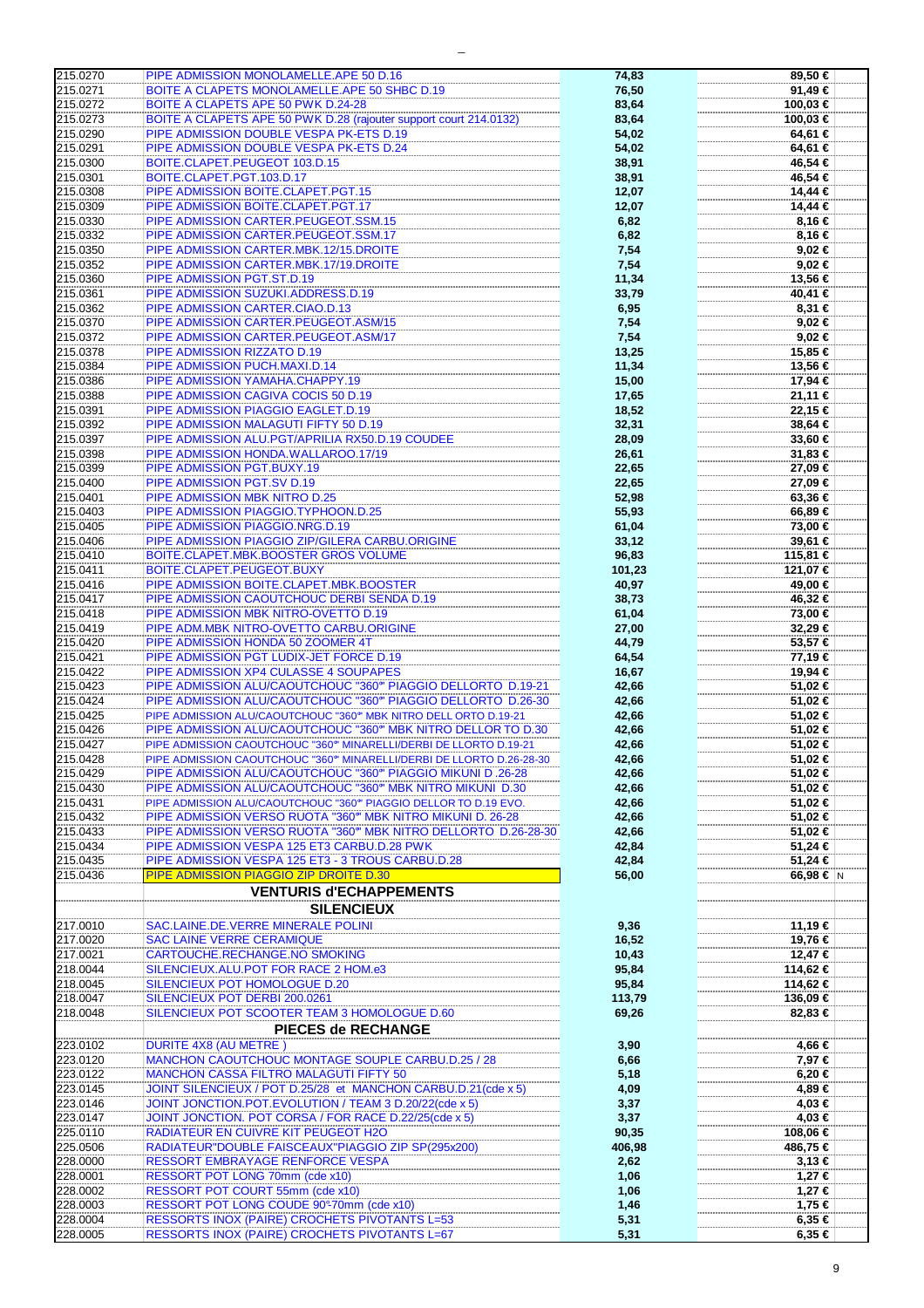| 215.0270 |                                                                      |        |            |
|----------|----------------------------------------------------------------------|--------|------------|
|          | PIPE ADMISSION MONOLAMELLE.APE 50 D.16                               | 74,83  | 89,50 €    |
| 215.0271 | BOITE A CLAPETS MONOLAMELLE.APE 50 SHBC D.19                         | 76,50  | 91,49 €    |
| 215.0272 | BOITE A CLAPETS APE 50 PWK D.24-28                                   | 83,64  | 100,03 €   |
|          |                                                                      |        |            |
| 215.0273 | BOITE A CLAPETS APE 50 PWK D.28 (rajouter support court 214.0132)    | 83,64  | 100.03 €   |
| 215.0290 | PIPE ADMISSION DOUBLE VESPA PK-ETS D.19                              | 54,02  | 64,61 €    |
| 215.0291 | PIPE ADMISSION DOUBLE VESPA PK-ETS D.24                              | 54,02  | 64,61 €    |
| 215.0300 | BOITE.CLAPET.PEUGEOT 103.D.15                                        |        |            |
|          |                                                                      | 38,91  | 46,54 €    |
| 215.0301 | BOITE.CLAPET.PGT.103.D.17                                            | 38,91  | 46,54 €    |
| 215.0308 | PIPE ADMISSION BOITE.CLAPET.PGT.15                                   | 12,07  | 14,44 €    |
| 215.0309 | PIPE ADMISSION BOITE.CLAPET.PGT.17                                   |        | 14,44 €    |
|          |                                                                      | 12,07  |            |
| 215.0330 | PIPE ADMISSION CARTER.PEUGEOT.SSM.15                                 | 6,82   | 8,16 €     |
| 215.0332 | PIPE ADMISSION CARTER.PEUGEOT.SSM.17                                 | 6,82   | 8,16 €     |
| 215.0350 | PIPE ADMISSION CARTER.MBK.12/15.DROITE                               | 7,54   | 9,02 €     |
|          |                                                                      |        |            |
| 215.0352 | PIPE ADMISSION CARTER.MBK.17/19.DROITE                               | 7,54   | $9,02$ €   |
| 215.0360 | PIPE ADMISSION PGT.ST.D.19                                           | 11,34  | 13,56 €    |
| 215.0361 | PIPE ADMISSION SUZUKI.ADDRESS.D.19                                   | 33,79  | 40,41 €    |
|          |                                                                      |        |            |
| 215.0362 | PIPE ADMISSION CARTER.CIAO.D.13                                      | 6,95   | 8,31 €     |
| 215.0370 | PIPE ADMISSION CARTER.PEUGEOT.ASM/15                                 | 7,54   | 9,02 €     |
| 215.0372 | PIPE ADMISSION CARTER.PEUGEOT.ASM/17                                 | 7,54   | 9,02 €     |
|          |                                                                      |        |            |
| 215.0378 | PIPE ADMISSION RIZZATO D.19                                          | 13,25  | 15,85 €    |
| 215.0384 | PIPE ADMISSION PUCH.MAXI.D.14                                        | 11,34  | 13,56 €    |
| 215.0386 | PIPE ADMISSION YAMAHA.CHAPPY.19                                      | 15,00  | 17,94 €    |
|          |                                                                      |        |            |
| 215.0388 | PIPE ADMISSION CAGIVA COCIS 50 D.19                                  | 17,65  | 21,11 €    |
| 215.0391 | PIPE ADMISSION PIAGGIO EAGLET.D.19                                   | 18,52  | 22,15 €    |
| 215.0392 | PIPE ADMISSION MALAGUTI FIFTY 50 D.19                                | 32,31  | 38,64 €    |
|          |                                                                      |        |            |
| 215.0397 | PIPE ADMISSION ALU.PGT/APRILIA RX50.D.19 COUDEE                      | 28,09  | 33,60 €    |
| 215.0398 | PIPE ADMISSION HONDA. WALLAROO.17/19                                 | 26,61  | 31,83 €    |
| 215.0399 | PIPE ADMISSION PGT.BUXY.19                                           | 22,65  | 27,09 €    |
| 215.0400 | PIPE ADMISSION PGT.SV D.19                                           | 22,65  | 27,09 €    |
|          |                                                                      |        |            |
| 215.0401 | PIPE ADMISSION MBK NITRO D.25                                        | 52,98  | 63,36 €    |
| 215.0403 | PIPE ADMISSION PIAGGIO.TYPHOON.D.25                                  | 55,93  | 66,89 €    |
| 215.0405 | PIPE ADMISSION PIAGGIO.NRG.D.19                                      | 61,04  | 73,00 €    |
|          |                                                                      |        |            |
| 215.0406 | PIPE ADMISSION PIAGGIO ZIP/GILERA CARBU.ORIGINE                      | 33,12  | 39,61 €    |
| 215.0410 | BOITE.CLAPET.MBK.BOOSTER GROS VOLUME                                 | 96,83  | 115,81 €   |
| 215.0411 | BOITE.CLAPET.PEUGEOT.BUXY                                            | 101,23 | 121,07 €   |
|          |                                                                      |        |            |
| 215.0416 | PIPE ADMISSION BOITE.CLAPET.MBK.BOOSTER                              | 40,97  | 49,00 €    |
| 215.0417 | PIPE ADMISSION CAOUTCHOUC DERBI SENDA D.19                           | 38,73  | 46,32 €    |
| 215.0418 | PIPE ADMISSION MBK NITRO-OVETTO D.19                                 | 61,04  | 73,00 €    |
|          |                                                                      |        |            |
| 215.0419 | PIPE ADM.MBK NITRO-OVETTO CARBU.ORIGINE                              | 27,00  | 32,29€     |
| 215.0420 | PIPE ADMISSION HONDA 50 ZOOMER 4T                                    | 44,79  | 53,57 €    |
| 215.0421 | PIPE ADMISSION PGT LUDIX-JET FORCE D.19                              | 64,54  | 77,19 €    |
|          |                                                                      |        |            |
| 215.0422 | PIPE ADMISSION XP4 CULASSE 4 SOUPAPES                                | 16,67  | 19,94 €    |
| 215.0423 | PIPE ADMISSION ALU/CAOUTCHOUC "360" PIAGGIO DELLORTO D.19-21         | 42,66  | 51,02 €    |
| 215.0424 | PIPE ADMISSION ALU/CAOUTCHOUC "360" PIAGGIO DELLORTO D.26-30         | 42,66  | 51,02 €    |
|          |                                                                      |        |            |
| 215.0425 | PIPE ADMISSION ALU/CAOUTCHOUC "360" MBK NITRO DELL ORTO D.19-21      | 42,66  | 51,02 €    |
| 215.0426 | PIPE ADMISSION ALU/CAOUTCHOUC "360" MBK NITRO DELLOR TO D.30         | 42,66  | 51,02 €    |
| 215.0427 | PIPE ADMISSION CAOUTCHOUC "360" MINARELLI/DERBI DE LLORTO D.19-21    | 42,66  | 51,02 €    |
| 215.0428 | PIPE ADMISSION CAOUTCHOUC "360" MINARELLI/DERBI DE LLORTO D.26-28-30 | 42,66  | 51,02 €    |
|          |                                                                      |        |            |
| 215.0429 | PIPE ADMISSION ALU/CAOUTCHOUC "360" PIAGGIO MIKUNI D.26-28           | 42,66  | 51,02 €    |
| 215.0430 | PIPE ADMISSION ALU/CAOUTCHOUC "360" MBK NITRO MIKUNI D.30            | 42,66  | 51,02 €    |
| 215.0431 | PIPE ADMISSION ALU/CAOUTCHOUC "360" PIAGGIO DELLOR TO D.19 EVO.      | 42,66  | 51,02 €    |
|          |                                                                      |        |            |
| 215.0432 | PIPE ADMISSION VERSO RUOTA "360" MBK NITRO MIKUNI D. 26-28           | 42,66  | 51,02 €    |
| 215.0433 | PIPE ADMISSION VERSO RUOTA "360" MBK NITRO DELLORTO D.26-28-30       |        |            |
|          |                                                                      | 42,66  | 51,02 €    |
|          |                                                                      |        |            |
| 215.0434 | PIPE ADMISSION VESPA 125 ET3 CARBU.D.28 PWK                          | 42,84  | 51,24 €    |
| 215.0435 | PIPE ADMISSION VESPA 125 ET3 - 3 TROUS CARBU.D.28                    | 42,84  | 51,24 €    |
| 215.0436 | PIPE ADMISSION PIAGGIO ZIP DROITE D.30                               | 56,00  | 66,98 € N  |
|          |                                                                      |        |            |
|          | <b>VENTURIS d'ECHAPPEMENTS</b>                                       |        |            |
|          | <b>SILENCIEUX</b>                                                    |        |            |
|          |                                                                      |        |            |
| 217.0010 | SAC.LAINE.DE.VERRE MINERALE POLINI                                   | 9,36   | 11,19 €    |
| 217.0020 | <b>SAC LAINE VERRE CERAMIQUE</b>                                     | 16,52  | 19,76 €    |
| 217.0021 | CARTOUCHE.RECHANGE.NO SMOKING                                        | 10,43  | 12,47 €    |
|          |                                                                      |        |            |
| 218.0044 | SILENCIEUX.ALU.POT FOR RACE 2 HOM.e3                                 | 95,84  | 114,62 €   |
| 218.0045 | SILENCIEUX POT HOMOLOGUE D.20                                        | 95,84  | 114,62 €   |
| 218.0047 | SILENCIEUX POT DERBI 200.0261                                        | 113,79 | 136,09 €   |
|          |                                                                      |        |            |
| 218.0048 | SILENCIEUX POT SCOOTER TEAM 3 HOMOLOGUE D.60                         | 69,26  | 82,83 €    |
|          | <b>PIECES de RECHANGE</b>                                            |        |            |
| 223.0102 | <b>DURITE 4X8 (AU METRE)</b>                                         | 3,90   | 4,66 €     |
|          |                                                                      |        |            |
| 223.0120 | MANCHON CAOUTCHOUC MONTAGE SOUPLE CARBU.D.25 / 28                    | 6,66   | 7,97 €     |
| 223.0122 | MANCHON CASSA FILTRO MALAGUTI FIFTY 50                               | 5,18   | $6,20 \in$ |
| 223.0145 | JOINT SILENCIEUX / POT D.25/28 et MANCHON CARBU.D.21(cde x 5)        |        | 4,89 €     |
|          |                                                                      | 4,09   |            |
| 223.0146 | JOINT JONCTION.POT.EVOLUTION / TEAM 3 D.20/22(cde x 5)               | 3,37   | 4,03 €     |
| 223.0147 | JOINT JONCTION. POT CORSA / FOR RACE D.22/25(cde x 5)                | 3,37   | 4,03 €     |
| 225.0110 | RADIATEUR EN CUIVRE KIT PEUGEOT H2O                                  | 90,35  | 108,06 €   |
|          |                                                                      |        |            |
| 225.0506 | RADIATEUR"DOUBLE FAISCEAUX"PIAGGIO ZIP SP(295x200)                   | 406,98 | 486,75 €   |
| 228.0000 | RESSORT EMBRAYAGE RENFORCE VESPA                                     | 2,62   | $3,13 \in$ |
| 228.0001 | RESSORT POT LONG 70mm (cde x10)                                      | 1,06   | 1,27 €     |
|          |                                                                      |        |            |
| 228.0002 | RESSORT POT COURT 55mm (cde x10)                                     | 1,06   | 1,27 €     |
| 228.0003 | RESSORT POT LONG COUDE 90°-70mm (cde x10)                            | 1,46   | 1,75 €     |
| 228.0004 | RESSORTS INOX (PAIRE) CROCHETS PIVOTANTS L=53                        | 5,31   | $6,35 \in$ |
| 228.0005 | RESSORTS INOX (PAIRE) CROCHETS PIVOTANTS L=67                        | 5,31   | 6,35 €     |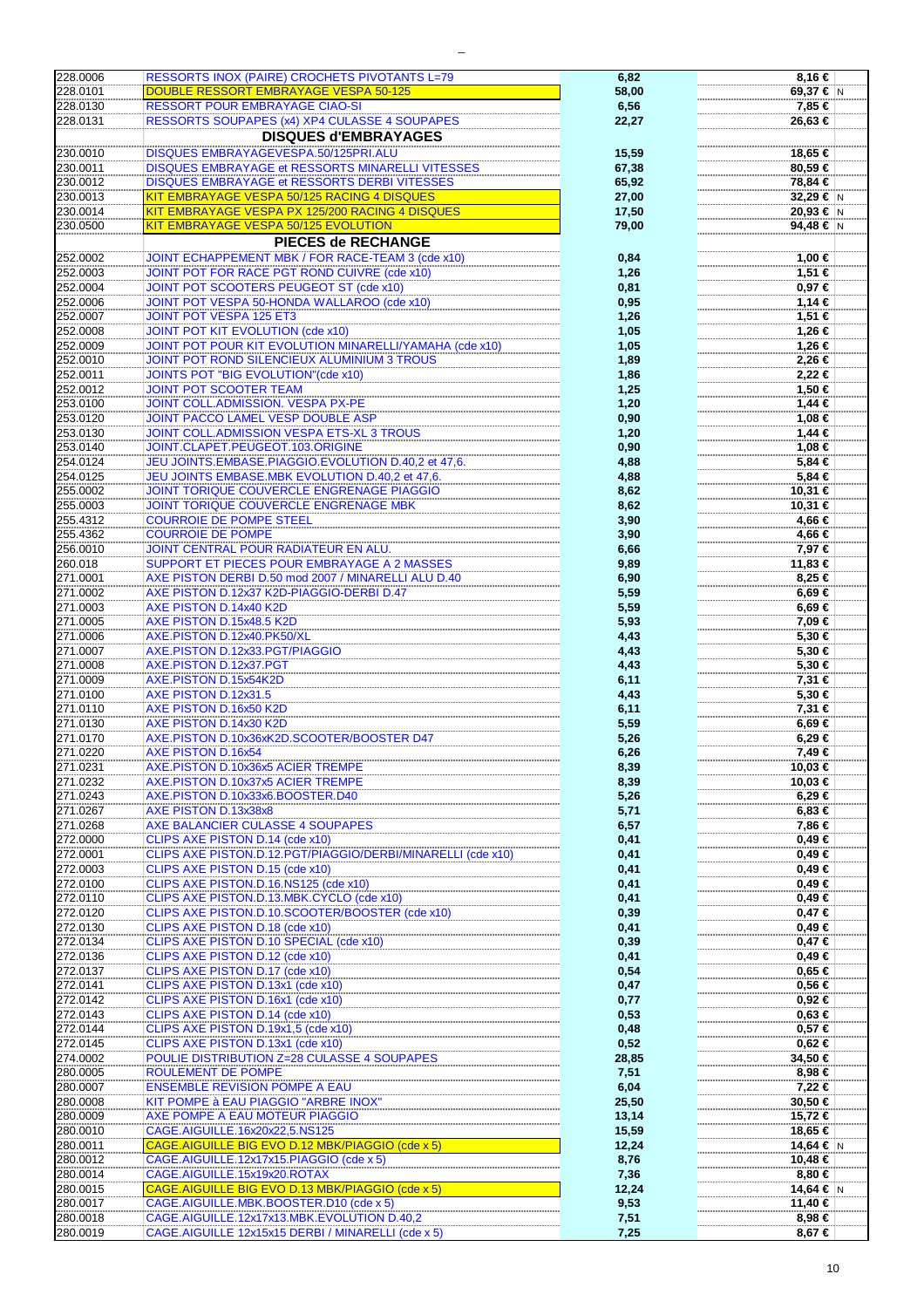| 228.0006 | RESSORTS INOX (PAIRE) CROCHETS PIVOTANTS L=79               | 6,82  | 8,16 €        |
|----------|-------------------------------------------------------------|-------|---------------|
| 228.0101 | <b>DOUBLE RESSORT EMBRAYAGE VESPA 50-125</b>                | 58,00 | 69,37 € N     |
| 228.0130 | <b>RESSORT POUR EMBRAYAGE CIAO-SI</b>                       | 6,56  | 7,85 €        |
| 228.0131 | RESSORTS SOUPAPES (x4) XP4 CULASSE 4 SOUPAPES               | 22,27 | 26,63 €       |
|          |                                                             |       |               |
|          | <b>DISQUES d'EMBRAYAGES</b>                                 |       |               |
| 230.0010 | <b>DISQUES EMBRAYAGEVESPA.50/125PRI.ALU</b>                 | 15,59 | 18,65 €       |
| 230.0011 | DISQUES EMBRAYAGE et RESSORTS MINARELLI VITESSES            | 67,38 | 80,59€        |
|          |                                                             |       |               |
| 230.0012 | DISQUES EMBRAYAGE et RESSORTS DERBI VITESSES                | 65,92 | 78,84 €       |
| 230.0013 | KIT EMBRAYAGE VESPA 50/125 RACING 4 DISQUES                 | 27,00 | 32,29 € N     |
| 230.0014 | KIT EMBRAYAGE VESPA PX 125/200 RACING 4 DISQUES             | 17,50 | 20,93 € N     |
| 230.0500 | KIT EMBRAYAGE VESPA 50/125 EVOLUTION                        |       | 94,48 $\in$ N |
|          |                                                             | 79,00 |               |
|          | PIECES de RECHANGE                                          |       |               |
| 252.0002 | JOINT ECHAPPEMENT MBK / FOR RACE-TEAM 3 (cde x10)           | 0,84  | 1,00 €        |
| 252.0003 | JOINT POT FOR RACE PGT ROND CUIVRE (cde x10)                | 1,26  | 1,51 €        |
|          |                                                             |       |               |
| 252.0004 | <b>JOINT POT SCOOTERS PEUGEOT ST (cde x10)</b>              | 0,81  | 0,97€         |
| 252.0006 | JOINT POT VESPA 50-HONDA WALLAROO (cde x10)                 | 0,95  | 1,14 €        |
| 252.0007 | JOINT POT VESPA 125 ET3                                     | 1,26  | 1,51 €        |
| 252.0008 | <b>JOINT POT KIT EVOLUTION (cde x10)</b>                    | 1,05  | 1,26 €        |
|          |                                                             |       |               |
| 252.0009 | JOINT POT POUR KIT EVOLUTION MINARELLI/YAMAHA (cde x10)     | 1,05  | 1,26 €        |
| 252.0010 | <b>JOINT POT ROND SILENCIEUX ALUMINIUM 3 TROUS</b>          | 1,89  | $2,26$ €      |
| 252.0011 | JOINTS POT "BIG EVOLUTION" (cde x10)                        | 1,86  | 2,22 €        |
| 252.0012 | <b>JOINT POT SCOOTER TEAM</b>                               | 1,25  | 1,50 €        |
| 253.0100 | JOINT COLL.ADMISSION. VESPA PX-PE                           | 1,20  | 1,44 €        |
|          |                                                             |       |               |
| 253.0120 | JOINT PACCO LAMEL VESP DOUBLE ASP                           | 0,90  | $1,08$ €      |
| 253.0130 | <b>JOINT COLL.ADMISSION VESPA ETS-XL 3 TROUS</b>            | 1,20  | 1,44 €        |
| 253.0140 | JOINT.CLAPET.PEUGEOT.103.ORIGINE                            | 0,90  | 1,08 €        |
| 254.0124 | JEU JOINTS.EMBASE.PIAGGIO.EVOLUTION D.40,2 et 47,6.         | 4,88  | 5,84 €        |
| 254.0125 | JEU JOINTS EMBASE.MBK EVOLUTION D.40,2 et 47,6.             | 4,88  | 5,84 €        |
|          |                                                             |       |               |
| 255.0002 | JOINT TORIQUE COUVERCLE ENGRENAGE PIAGGIO                   | 8,62  | 10,31€        |
| 255.0003 | JOINT TORIQUE COUVERCLE ENGRENAGE MBK                       | 8,62  | 10,31 €       |
| 255.4312 | <b>COURROIE DE POMPE STEEL</b>                              | 3,90  | 4,66 €        |
| 255.4362 | <b>COURROIE DE POMPE</b>                                    | 3,90  | 4,66 €        |
|          |                                                             |       |               |
| 256.0010 | JOINT CENTRAL POUR RADIATEUR EN ALU.                        | 6,66  | 7,97 €        |
| 260.018  | SUPPORT ET PIECES POUR EMBRAYAGE A 2 MASSES                 | 9,89  | 11,83 €       |
| 271.0001 | AXE PISTON DERBI D.50 mod 2007 / MINARELLI ALU D.40         | 6,90  | 8,25 €        |
| 271.0002 | AXE PISTON D.12x37 K2D-PIAGGIO-DERBI D.47                   | 5,59  | $6,69 \in$    |
| 271.0003 | AXE PISTON D.14x40 K2D                                      | 5,59  | $6,69 \in$    |
|          |                                                             |       |               |
| 271.0005 | AXE PISTON D.15x48.5 K2D                                    | 5,93  | $7,09$ €      |
| 271.0006 | AXE.PISTON D.12x40.PK50/XL                                  | 4,43  | 5,30 €        |
| 271.0007 | AXE.PISTON D.12x33.PGT/PIAGGIO                              | 4,43  | 5,30 €        |
| 271.0008 | AXE.PISTON D.12x37.PGT                                      | 4,43  | 5,30 €        |
| 271.0009 | AXE.PISTON D.15x54K2D                                       |       | 7,31 €        |
|          |                                                             | 6,11  |               |
| 271.0100 | AXE PISTON D.12x31.5                                        | 4,43  | 5,30 €        |
| 271.0110 | AXE PISTON D.16x50 K2D                                      | 6,11  | 7,31 €        |
| 271.0130 | AXE PISTON D.14x30 K2D                                      | 5,59  | 6,69€         |
| 271.0170 | AXE.PISTON D.10x36xK2D.SCOOTER/BOOSTER D47                  | 5,26  | 6,29€         |
| 271.0220 | AXE PISTON D.16x54                                          | 6,26  | 7,49 €        |
|          |                                                             |       |               |
| 271.0231 | AXE.PISTON D.10x36x5 ACIER TREMPE                           | 8,39  | 10,03 €       |
| 271.0232 | AXE.PISTON D.10x37x5 ACIER TREMPE                           | 8,39  | 10,03 €       |
| 271.0243 | AXE.PISTON D.10x33x6.BOOSTER.D40                            | 5,26  | 6,29€         |
| 271.0267 | AXE PISTON D.13x38x8                                        | 5,71  | $6,83 \in$    |
| 271.0268 | AXE BALANCIER CULASSE 4 SOUPAPES                            | 6,57  | 7,86 €        |
|          |                                                             |       |               |
| 272.0000 | CLIPS AXE PISTON D.14 (cde x10)                             | 0,41  | 0.49 ∈        |
| 272.0001 | CLIPS AXE PISTON.D.12.PGT/PIAGGIO/DERBI/MINARELLI (cde x10) | 0,41  | 0,49€         |
| 272.0003 | CLIPS AXE PISTON D.15 (cde x10)                             | 0,41  | 0,49€         |
| 272.0100 | CLIPS AXE PISTON.D.16.NS125 (cde x10)                       | 0,41  | 0,49€         |
| 272.0110 | CLIPS AXE PISTON.D.13.MBK.CYCLO (cde x10)                   | 0,41  | 0,49€         |
|          |                                                             |       |               |
| 272.0120 | CLIPS AXE PISTON.D.10.SCOOTER/BOOSTER (cde x10)             | 0,39  | 0,47€         |
| 272.0130 | CLIPS AXE PISTON D.18 (cde x10)                             | 0,41  | $0,49 \in$    |
| 272.0134 | CLIPS AXE PISTON D.10 SPECIAL (cde x10)                     | 0,39  | $0,47 \in$    |
| 272.0136 | CLIPS AXE PISTON D.12 (cde x10)                             | 0,41  | 0,49€         |
| 272.0137 | CLIPS AXE PISTON D.17 (cde x10)                             | 0,54  | $0,65 \in$    |
|          |                                                             |       |               |
| 272.0141 | CLIPS AXE PISTON D.13x1 (cde x10)                           | 0,47  | $0,56 \in$    |
| 272.0142 | CLIPS AXE PISTON D.16x1 (cde x10)                           | 0,77  | $0,92 \in$    |
| 272.0143 | CLIPS AXE PISTON D.14 (cde x10)                             | 0,53  | 0,63€         |
| 272.0144 | CLIPS AXE PISTON D.19x1,5 (cde x10)                         | 0,48  | $0,57$ €      |
| 272.0145 | CLIPS AXE PISTON D.13x1 (cde x10)                           | 0,52  | $0,62 \in$    |
|          |                                                             |       |               |
| 274.0002 | POULIE DISTRIBUTION Z=28 CULASSE 4 SOUPAPES                 | 28,85 | 34,50 €       |
| 280.0005 | <b>ROULEMENT DE POMPE</b>                                   | 7,51  | 8,98 €        |
| 280.0007 | <b>ENSEMBLE REVISION POMPE A EAU</b>                        | 6,04  | 7,22 €        |
| 280.0008 | KIT POMPE à EAU PIAGGIO "ARBRE INOX"                        | 25,50 | 30,50 €       |
| 280.0009 | AXE POMPE A EAU MOTEUR PIAGGIO                              | 13,14 | 15,72 €       |
|          |                                                             |       |               |
| 280.0010 | CAGE.AIGUILLE.16x20x22,5.NS125                              | 15,59 | 18,65 €       |
| 280.0011 | CAGE.AIGUILLE BIG EVO D.12 MBK/PIAGGIO (cde x 5)            | 12,24 | 14,64 € N     |
| 280.0012 | CAGE.AIGUILLE.12x17x15.PIAGGIO (cde x 5)                    | 8,76  | 10,48 €       |
| 280.0014 | CAGE.AIGUILLE.15x19x20.ROTAX                                | 7,36  | $8,80 \in$    |
| 280.0015 | CAGE.AIGUILLE BIG EVO D.13 MBK/PIAGGIO (cde x 5)            |       | 14,64 € N     |
|          |                                                             | 12,24 |               |
| 280.0017 | CAGE.AIGUILLE.MBK.BOOSTER.D10 (cde x 5)                     | 9,53  | 11,40 €       |
| 280.0018 | CAGE.AIGUILLE.12x17x13.MBK.EVOLUTION D.40,2                 | 7,51  | 8,98 €        |
| 280.0019 | CAGE.AIGUILLE 12x15x15 DERBI / MINARELLI (cde x 5)          | 7,25  | 8,67 €        |
|          |                                                             |       |               |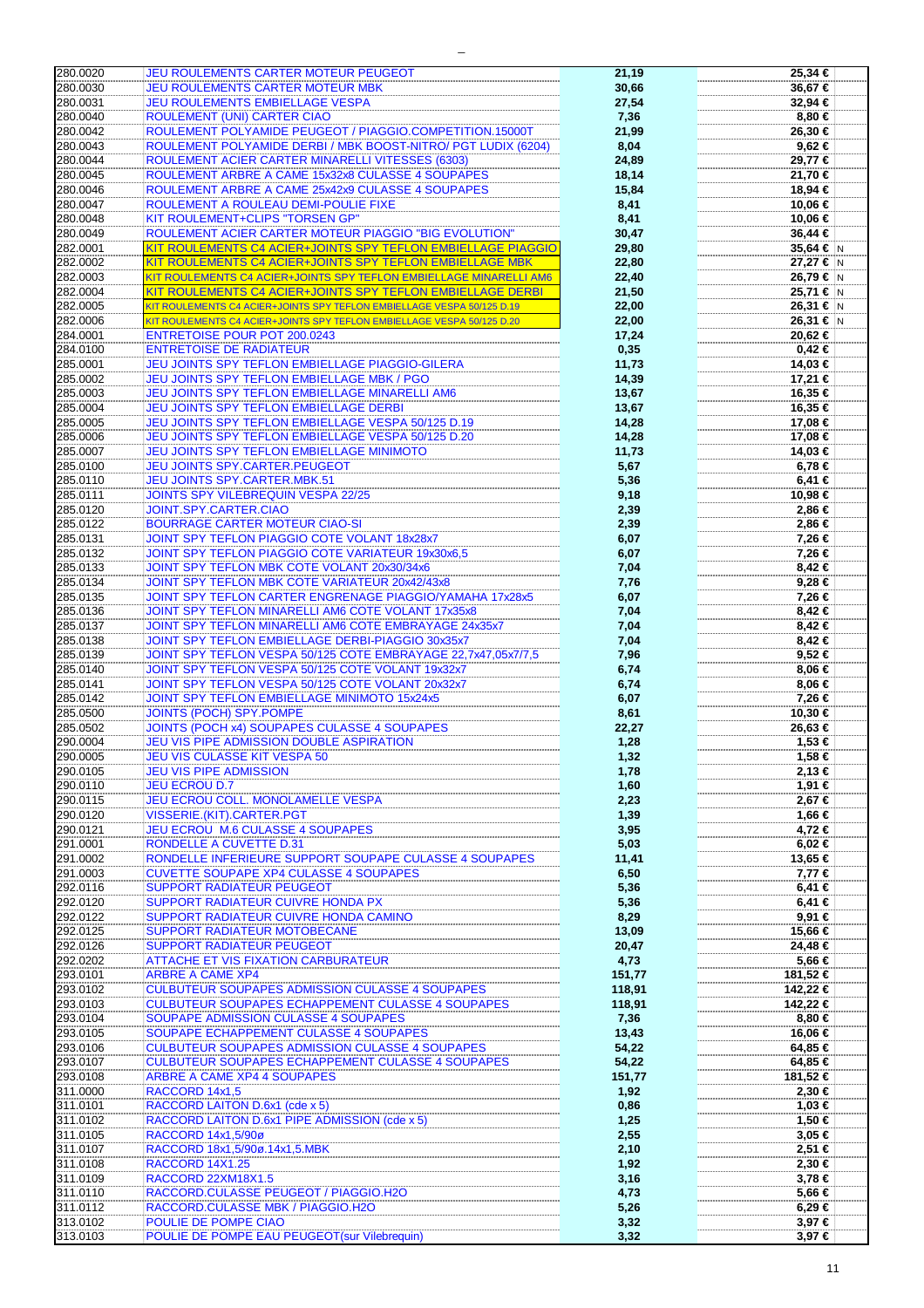| 280.0020 | <b>JEU ROULEMENTS CARTER MOTEUR PEUGEOT</b>                            | 21,19  | 25,34 €         |
|----------|------------------------------------------------------------------------|--------|-----------------|
| 280.0030 | JEU ROULEMENTS CARTER MOTEUR MBK                                       | 30,66  | 36,67 €         |
| 280.0031 | <b>JEU ROULEMENTS EMBIELLAGE VESPA</b>                                 | 27,54  | 32,94 €         |
| 280.0040 | ROULEMENT (UNI) CARTER CIAO                                            | 7,36   | 8.80 $\epsilon$ |
|          |                                                                        |        |                 |
| 280.0042 | ROULEMENT POLYAMIDE PEUGEOT / PIAGGIO.COMPETITION.15000T               | 21,99  | 26,30 €         |
| 280.0043 | ROULEMENT POLYAMIDE DERBI / MBK BOOST-NITRO/ PGT LUDIX (6204)          | 8,04   | 9,62 €          |
| 280.0044 | ROULEMENT ACIER CARTER MINARELLI VITESSES (6303)                       | 24,89  | 29,77 €         |
| 280.0045 | ROULEMENT ARBRE A CAME 15x32x8 CULASSE 4 SOUPAPES                      | 18,14  | 21,70 €         |
| 280.0046 | ROULEMENT ARBRE A CAME 25x42x9 CULASSE 4 SOUPAPES                      | 15,84  | 18,94 €         |
| 280.0047 | ROULEMENT A ROULEAU DEMI-POULIE FIXE                                   | 8,41   | 10,06 €         |
|          |                                                                        |        |                 |
| 280.0048 | KIT ROULEMENT+CLIPS "TORSEN GP"                                        | 8,41   | 10,06 €         |
| 280.0049 | <b>ROULEMENT ACIER CARTER MOTEUR PIAGGIO "BIG EVOLUTION"</b>           | 30,47  | 36,44 €         |
| 282.0001 | KIT ROULEMENTS C4 ACIER+JOINTS SPY TEFLON EMBIELLAGE PIAGGIO           | 29,80  | 35,64 € N       |
| 282.0002 | KIT ROULEMENTS C4 ACIER+JOINTS SPY TEFLON EMBIELLAGE MBK               | 22,80  | 27,27 € N       |
| 282.0003 | KIT ROULEMENTS C4 ACIER+JOINTS SPY TEFLON EMBIELLAGE MINARELLI AM6     | 22,40  | 26,79 € N       |
| 282.0004 | KIT ROULEMENTS C4 ACIER+JOINTS SPY TEFLON EMBIELLAGE DERBI             | 21,50  | 25,71 € N       |
| 282.0005 |                                                                        |        | $26,31 \in N$   |
|          | KIT ROULEMENTS C4 ACIER+JOINTS SPY TEFLON EMBIELLAGE VESPA 50/125 D.19 | 22,00  |                 |
| 282.0006 | KIT ROULEMENTS C4 ACIER+JOINTS SPY TEFLON EMBIELLAGE VESPA 50/125 D.20 | 22,00  | 26,31 € N       |
| 284.0001 | <b>ENTRETOISE POUR POT 200.0243</b>                                    | 17,24  | 20,62 €         |
| 284.0100 | <b>ENTRETOISE DE RADIATEUR</b>                                         | 0,35   | $0,42$ €        |
| 285.0001 | JEU JOINTS SPY TEFLON EMBIELLAGE PIAGGIO-GILERA                        | 11,73  | 14,03 €         |
| 285.0002 | JEU JOINTS SPY TEFLON EMBIELLAGE MBK / PGO                             | 14,39  | 17,21 €         |
| 285.0003 | JEU JOINTS SPY TEFLON EMBIELLAGE MINARELLI AM6                         | 13,67  | 16,35 €         |
|          |                                                                        |        |                 |
| 285.0004 | JEU JOINTS SPY TEFLON EMBIELLAGE DERBI                                 | 13,67  | 16,35 €         |
| 285.0005 | JEU JOINTS SPY TEFLON EMBIELLAGE VESPA 50/125 D.19                     | 14,28  | 17,08 €         |
| 285.0006 | JEU JOINTS SPY TEFLON EMBIELLAGE VESPA 50/125 D.20                     | 14,28  | 17,08 €         |
| 285.0007 | <b>JEU JOINTS SPY TEFLON EMBIELLAGE MINIMOTO</b>                       | 11,73  | 14,03 €         |
| 285.0100 | <b>JEU JOINTS SPY.CARTER.PEUGEOT</b>                                   | 5,67   | 6,78 €          |
| 285.0110 | <b>JEU JOINTS SPY.CARTER.MBK.51</b>                                    | 5,36   | 6,41 €          |
| 285.0111 | <b>JOINTS SPY VILEBREQUIN VESPA 22/25</b>                              |        | 10,98 €         |
|          |                                                                        | 9,18   |                 |
| 285.0120 | JOINT.SPY.CARTER.CIAO                                                  | 2,39   | 2,86 €          |
| 285.0122 | <b>BOURRAGE CARTER MOTEUR CIAO-SI</b>                                  | 2,39   | 2,86 €          |
| 285.0131 | JOINT SPY TEFLON PIAGGIO COTE VOLANT 18x28x7                           | 6,07   | 7,26 €          |
| 285.0132 | <b>JOINT SPY TEFLON PIAGGIO COTE VARIATEUR 19x30x6,5</b>               | 6,07   | 7,26 €          |
| 285.0133 | JOINT SPY TEFLON MBK COTE VOLANT 20x30/34x6                            | 7,04   | 8,42 €          |
| 285.0134 | JOINT SPY TEFLON MBK COTE VARIATEUR 20x42/43x8                         | 7,76   | 9,28 €          |
| 285.0135 | JOINT SPY TEFLON CARTER ENGRENAGE PIAGGIO/YAMAHA 17x28x5               | 6,07   | 7,26 €          |
|          |                                                                        |        |                 |
| 285.0136 | JOINT SPY TEFLON MINARELLI AM6 COTE VOLANT 17x35x8                     | 7,04   | 8,42 €          |
| 285.0137 | JOINT SPY TEFLON MINARELLI AM6 COTE EMBRAYAGE 24x35x7                  | 7,04   | 8,42 €          |
| 285.0138 | JOINT SPY TEFLON EMBIELLAGE DERBI-PIAGGIO 30x35x7                      | 7,04   | 8,42 €          |
| 285.0139 | JOINT SPY TEFLON VESPA 50/125 COTE EMBRAYAGE 22,7x47,05x7/7,5          | 7,96   | 9,52 €          |
| 285.0140 | JOINT SPY TEFLON VESPA 50/125 COTE VOLANT 19x32x7                      | 6,74   | 8,06 €          |
| 285.0141 | JOINT SPY TEFLON VESPA 50/125 COTE VOLANT 20x32x7                      | 6,74   | 8,06 €          |
| 285.0142 | JOINT SPY TEFLON EMBIELLAGE MINIMOTO 15x24x5                           | 6,07   | 7,26 €          |
| 285.0500 | <b>JOINTS (POCH) SPY.POMPE</b>                                         | 8,61   | 10,30 €         |
| 285.0502 | JOINTS (POCH x4) SOUPAPES CULASSE 4 SOUPAPES                           | 22,27  | 26,63 €         |
| 290.0004 | JEU VIS PIPE ADMISSION DOUBLE ASPIRATION                               | 1,28   | 1,53 €          |
| 290.0005 | <b>JEU VIS CULASSE KIT VESPA 50</b>                                    |        | 1,58 €          |
|          |                                                                        | 1,32   |                 |
| 290.0105 | <b>JEU VIS PIPE ADMISSION</b>                                          | 1,78   | 2,13€           |
| 290.0110 | <b>JEU ECROU D.7</b>                                                   | 1,60   | 1,91 €          |
| 290.0115 | <b>JEU ECROU COLL. MONOLAMELLE VESPA</b>                               | 2,23   | 2,67 €          |
| 290.0120 | VISSERIE.(KIT).CARTER.PGT                                              | 1,39   | 1,66 €          |
| 290.0121 | JEU ECROU M.6 CULASSE 4 SOUPAPES                                       | 3,95   | 4,72 €          |
| 291.0001 | RONDELLE A CUVETTE D.31                                                | 5,03   | $6,02 \in$      |
| 291.0002 | RONDELLE INFERIEURE SUPPORT SOUPAPE CULASSE 4 SOUPAPES                 | 11,41  | 13,65 €         |
| 291.0003 | <b>CUVETTE SOUPAPE XP4 CULASSE 4 SOUPAPES</b>                          | 6,50   | 7,77 €          |
| 292.0116 | <b>SUPPORT RADIATEUR PEUGEOT</b>                                       | 5,36   | 6,41€           |
|          |                                                                        |        |                 |
| 292.0120 | SUPPORT RADIATEUR CUIVRE HONDA PX                                      | 5,36   | 6,41€           |
| 292.0122 | SUPPORT RADIATEUR CUIVRE HONDA CAMINO                                  | 8,29   | 9,91 €          |
| 292.0125 | SUPPORT RADIATEUR MOTOBECANE                                           | 13,09  | 15,66 €         |
| 292.0126 | <b>SUPPORT RADIATEUR PEUGEOT</b>                                       | 20,47  | 24,48 €         |
| 292.0202 | <b>ATTACHE ET VIS FIXATION CARBURATEUR</b>                             | 4,73   | 5,66 €          |
| 293.0101 | <b>ARBRE A CAME XP4</b>                                                | 151,77 | 181,52 €        |
| 293.0102 | <b>CULBUTEUR SOUPAPES ADMISSION CULASSE 4 SOUPAPES</b>                 | 118,91 | 142,22 €        |
| 293.0103 | <b>CULBUTEUR SOUPAPES ECHAPPEMENT CULASSE 4 SOUPAPES</b>               | 118,91 | 142,22 €        |
| 293.0104 | SOUPAPE ADMISSION CULASSE 4 SOUPAPES                                   | 7,36   | $0.80 \in$      |
| 293.0105 | SOUPAPE ECHAPPEMENT CULASSE 4 SOUPAPES                                 |        | 16,06 €         |
|          |                                                                        | 13,43  |                 |
| 293.0106 | <b>CULBUTEUR SOUPAPES ADMISSION CULASSE 4 SOUPAPES</b>                 | 54,22  | 64,85 €         |
| 293.0107 | <b>CULBUTEUR SOUPAPES ECHAPPEMENT CULASSE 4 SOUPAPES</b>               | 54,22  | 64,85 €         |
| 293.0108 | <b>ARBRE A CAME XP4 4 SOUPAPES</b>                                     | 151,77 | 181,52 €        |
| 311.0000 | RACCORD 14x1,5                                                         | 1,92   | $2,30$ €        |
| 311.0101 | RACCORD LAITON D.6x1 (cde x 5)                                         | 0,86   | 1,03 €          |
| 311.0102 | RACCORD LAITON D.6x1 PIPE ADMISSION (cde x 5)                          | 1,25   | 1,50 €          |
| 311.0105 | RACCORD 14x1,5/90ø                                                     | 2,55   | 3,05 €          |
| 311.0107 | RACCORD 18x1,5/90ø.14x1,5.MBK                                          |        | 2,51 €          |
|          |                                                                        | 2,10   |                 |
| 311.0108 | RACCORD 14X1.25                                                        | 1,92   | 2,30 €          |
| 311.0109 | RACCORD 22XM18X1.5                                                     | 3,16   | 3,78 €          |
| 311.0110 | RACCORD.CULASSE PEUGEOT / PIAGGIO.H2O                                  | 4,73   | 5,66 €          |
| 311.0112 | RACCORD.CULASSE MBK / PIAGGIO.H2O                                      | 5,26   | $6,29 \in$      |
| 313.0102 | POULIE DE POMPE CIAO                                                   | 3,32   | 3,97 €          |
| 313.0103 | POULIE DE POMPE EAU PEUGEOT(sur Vilebrequin)                           | 3,32   | $3,97 \in$      |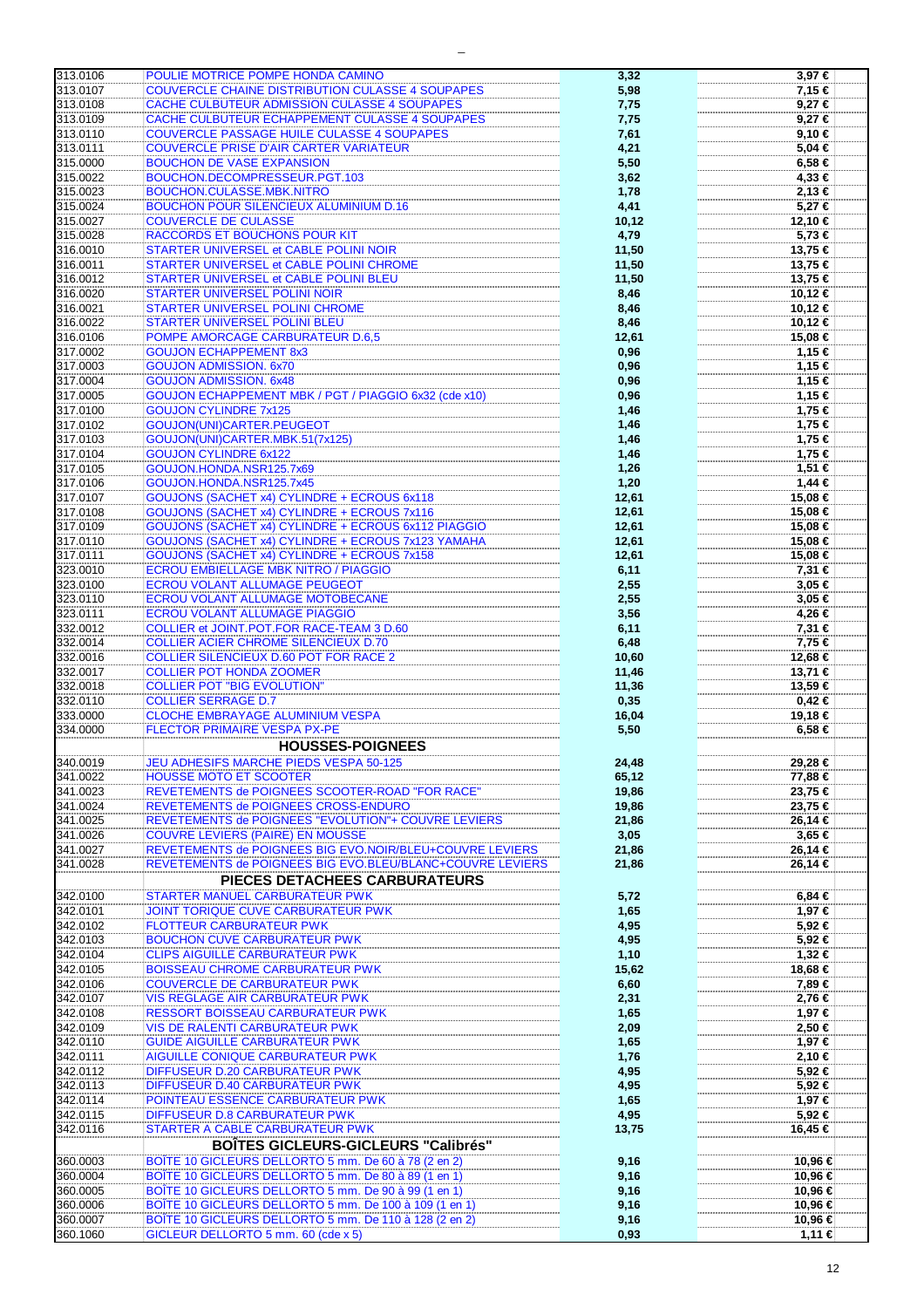| 313.0106 | POULIE MOTRICE POMPE HONDA CAMINO                         | 3,32   | 3,97€      |
|----------|-----------------------------------------------------------|--------|------------|
| 313.0107 | <b>COUVERCLE CHAINE DISTRIBUTION CULASSE 4 SOUPAPES</b>   | 5,98   | 7,15 €     |
| 313.0108 | CACHE CULBUTEUR ADMISSION CULASSE 4 SOUPAPES              | 7,75   | $9,27$ €   |
| 313.0109 | CACHE CULBUTEUR ECHAPPEMENT CULASSE 4 SOUPAPES            | 7,75   | $9,27$ €   |
| 313.0110 | <b>COUVERCLE PASSAGE HUILE CULASSE 4 SOUPAPES</b>         | 7,61   | 9,10€      |
| 313.0111 | <b>COUVERCLE PRISE D'AIR CARTER VARIATEUR</b>             | 4,21   | 5,04 €     |
| 315.0000 | <b>BOUCHON DE VASE EXPANSION</b>                          | 5,50   | 6,58 €     |
| 315.0022 | BOUCHON.DECOMPRESSEUR.PGT.103                             |        | 4,33 €     |
|          |                                                           | 3,62   |            |
| 315.0023 | BOUCHON.CULASSE.MBK.NITRO                                 | 1,78   | 2,13€      |
| 315.0024 | <b>BOUCHON POUR SILENCIEUX ALUMINIUM D.16</b>             | 4,41   | 5,27 €     |
| 315.0027 | <b>COUVERCLE DE CULASSE</b>                               | 10, 12 | 12,10 €    |
| 315.0028 | RACCORDS ET BOUCHONS POUR KIT                             | 4,79   | 5,73 €     |
| 316.0010 | STARTER UNIVERSEL et CABLE POLINI NOIR                    | 11,50  | 13,75 €    |
| 316.0011 | STARTER UNIVERSEL et CABLE POLINI CHROME                  | 11,50  | 13,75 €    |
| 316.0012 | STARTER UNIVERSEL et CABLE POLINI BLEU                    | 11,50  | 13,75 €    |
| 316.0020 | <b>STARTER UNIVERSEL POLINI NOIR</b>                      | 8,46   | 10,12 €    |
| 316.0021 | STARTER UNIVERSEL POLINI CHROME                           | 8,46   | 10,12 €    |
| 316.0022 | <b>STARTER UNIVERSEL POLINI BLEU</b>                      | 8,46   | 10,12 €    |
| 316.0106 | POMPE AMORCAGE CARBURATEUR D.6,5                          | 12,61  | 15,08 €    |
| 317.0002 | <b>GOUJON ECHAPPEMENT 8x3</b>                             | 0,96   | 1,15 €     |
| 317.0003 | <b>GOUJON ADMISSION. 6x70</b>                             | 0,96   | 1,15 €     |
| 317.0004 | <b>GOUJON ADMISSION. 6x48</b>                             | 0,96   | 1,15 €     |
| 317.0005 | GOUJON ECHAPPEMENT MBK / PGT / PIAGGIO 6x32 (cde x10)     | 0,96   | 1,15 €     |
|          |                                                           |        |            |
| 317.0100 | <b>GOUJON CYLINDRE 7x125</b>                              | 1,46   | 1,75 €     |
| 317.0102 | GOUJON(UNI)CARTER.PEUGEOT                                 | 1,46   | 1,75 €     |
| 317.0103 | GOUJON(UNI)CARTER.MBK.51(7x125)                           | 1,46   | 1,75 €     |
| 317.0104 | <b>GOUJON CYLINDRE 6x122</b>                              | 1,46   | 1,75 €     |
| 317.0105 | GOUJON.HONDA.NSR125.7x69                                  | 1,26   | 1,51 €     |
| 317.0106 | GOUJON.HONDA.NSR125.7x45                                  | 1,20   | $1,44$ €   |
| 317.0107 | GOUJONS (SACHET x4) CYLINDRE + ECROUS 6x118               | 12,61  | 15,08 €    |
| 317.0108 | GOUJONS (SACHET x4) CYLINDRE + ECROUS 7x116               | 12,61  | 15,08 €    |
| 317.0109 | GOUJONS (SACHET x4) CYLINDRE + ECROUS 6x112 PIAGGIO       | 12,61  | 15,08 €    |
| 317.0110 | GOUJONS (SACHET x4) CYLINDRE + ECROUS 7x123 YAMAHA        | 12,61  | 15,08 €    |
| 317.0111 | GOUJONS (SACHET x4) CYLINDRE + ECROUS 7x158               | 12,61  | 15,08 €    |
| 323.0010 | <b>ECROU EMBIELLAGE MBK NITRO / PIAGGIO</b>               | 6,11   | 7,31 €     |
| 323.0100 | ECROU VOLANT ALLUMAGE PEUGEOT                             | 2,55   | 3,05 €     |
| 323.0110 | ECROU VOLANT ALLUMAGE MOTOBECANE                          | 2,55   | $3,05 \in$ |
| 323.0111 | <b>ECROU VOLANT ALLUMAGE PIAGGIO</b>                      | 3,56   | 4,26 €     |
| 332.0012 | COLLIER et JOINT.POT.FOR RACE-TEAM 3 D.60                 | 6,11   | 7,31 €     |
| 332.0014 | <b>COLLIER ACIER CHROME SILENCIEUX D.70</b>               | 6,48   | 7,75 €     |
| 332.0016 | <b>COLLIER SILENCIEUX D.60 POT FOR RACE 2</b>             | 10,60  | 12,68 €    |
| 332.0017 | <b>COLLIER POT HONDA ZOOMER</b>                           | 11,46  | 13,71 €    |
| 332.0018 | <b>COLLIER POT "BIG EVOLUTION"</b>                        | 11,36  | 13,59 €    |
| 332.0110 | <b>COLLIER SERRAGE D.7</b>                                | 0,35   | $0,42$ €   |
| 333.0000 | <b>CLOCHE EMBRAYAGE ALUMINIUM VESPA</b>                   | 16,04  | 19,18 €    |
| 334.0000 | FLECTOR PRIMAIRE VESPA PX-PE                              | 5,50   | $6,58 \in$ |
|          | <b>HOUSSES-POIGNEES</b>                                   |        |            |
|          |                                                           |        |            |
| 340.0019 | JEU ADHESIFS MARCHE PIEDS VESPA 50-125                    | 24,48  | 29,28 €    |
| 341.0022 | <b>HOUSSE MOTO ET SCOOTER</b>                             | 65,12  | 77,88 €    |
| 341.0023 | REVETEMENTS de POIGNEES SCOOTER-ROAD "FOR RACE"           | 19,86  | 23,75 €    |
| 341.0024 | REVETEMENTS de POIGNEES CROSS-ENDURO                      | 19,86  | 23,75 €    |
| 341.0025 | REVETEMENTS de POIGNEES "EVOLUTION"+ COUVRE LEVIERS       | 21,86  | 26,14 €    |
| 341.0026 | <b>COUVRE LEVIERS (PAIRE) EN MOUSSE</b>                   | 3,05   | 3,65 €     |
| 341.0027 | REVETEMENTS de POIGNEES BIG EVO.NOIR/BLEU+COUVRE LEVIERS  | 21,86  | 26,14€     |
| 341.0028 | REVETEMENTS de POIGNEES BIG EVO.BLEU/BLANC+COUVRE LEVIERS | 21,86  | 26,14 €    |
|          | PIECES DETACHEES CARBURATEURS                             |        |            |
| 342.0100 | <b>STARTER MANUEL CARBURATEUR PWK</b>                     | 5,72   | $6,84 \in$ |
| 342.0101 | JOINT TORIQUE CUVE CARBURATEUR PWK                        | 1,65   | 1,97 €     |
| 342.0102 | <b>FLOTTEUR CARBURATEUR PWK</b>                           | 4,95   | 5,92 €     |
| 342.0103 | <b>BOUCHON CUVE CARBURATEUR PWK</b>                       | 4,95   | 5,92 €     |
| 342.0104 | <b>CLIPS AIGUILLE CARBURATEUR PWK</b>                     |        | 1,32 €     |
|          |                                                           | 1,10   |            |
| 342.0105 | <b>BOISSEAU CHROME CARBURATEUR PWK</b>                    | 15,62  | 18,68 €    |
| 342.0106 | <b>COUVERCLE DE CARBURATEUR PWK</b>                       | 6,60   | 7,89 €     |
| 342.0107 | VIS REGLAGE AIR CARBURATEUR PWK                           | 2,31   | 2,76 €     |
| 342.0108 | RESSORT BOISSEAU CARBURATEUR PWK                          | 1,65   | 1,97 €     |
| 342.0109 | VIS DE RALENTI CARBURATEUR PWK                            | 2,09   | 2,50 €     |
| 342.0110 | <b>GUIDE AIGUILLE CARBURATEUR PWK</b>                     | 1,65   | 1,97 €     |
| 342.0111 | AIGUILLE CONIQUE CARBURATEUR PWK                          | 1,76   | 2,10 €     |
| 342.0112 | DIFFUSEUR D.20 CARBURATEUR PWK                            | 4,95   | 5,92€      |
| 342.0113 | DIFFUSEUR D.40 CARBURATEUR PWK                            | 4,95   | 5,92€      |
| 342.0114 | POINTEAU ESSENCE CARBURATEUR PWK                          | 1,65   | 1,97 €     |
| 342.0115 | <b>DIFFUSEUR D.8 CARBURATEUR PWK</b>                      | 4,95   | 5,92€      |
| 342.0116 | STARTER A CABLE CARBURATEUR PWK                           | 13,75  | 16,45 €    |
|          | <b>BOÎTES GICLEURS-GICLEURS "Calibrés"</b>                |        |            |
| 360.0003 | BOÎTE 10 GICLEURS DELLORTO 5 mm. De 60 à 78 (2 en 2)      | 9,16   | 10,96 €    |
| 360.0004 | BOÎTE 10 GICLEURS DELLORTO 5 mm. De 80 à 89 (1 en 1)      | 9,16   | 10,96 €    |
| 360.0005 | BOÎTE 10 GICLEURS DELLORTO 5 mm. De 90 à 99 (1 en 1)      | 9,16   | 10,96 €    |
| 360.0006 | BOÎTE 10 GICLEURS DELLORTO 5 mm. De 100 à 109 (1 en 1)    | 9,16   | 10,96 €    |
| 360.0007 | BOÎTE 10 GICLEURS DELLORTO 5 mm. De 110 à 128 (2 en 2)    | 9,16   | 10,96 €    |
| 360.1060 | GICLEUR DELLORTO 5 mm. 60 (cde x 5)                       | 0,93   | 1,11 €     |
|          |                                                           |        |            |

 $\equiv$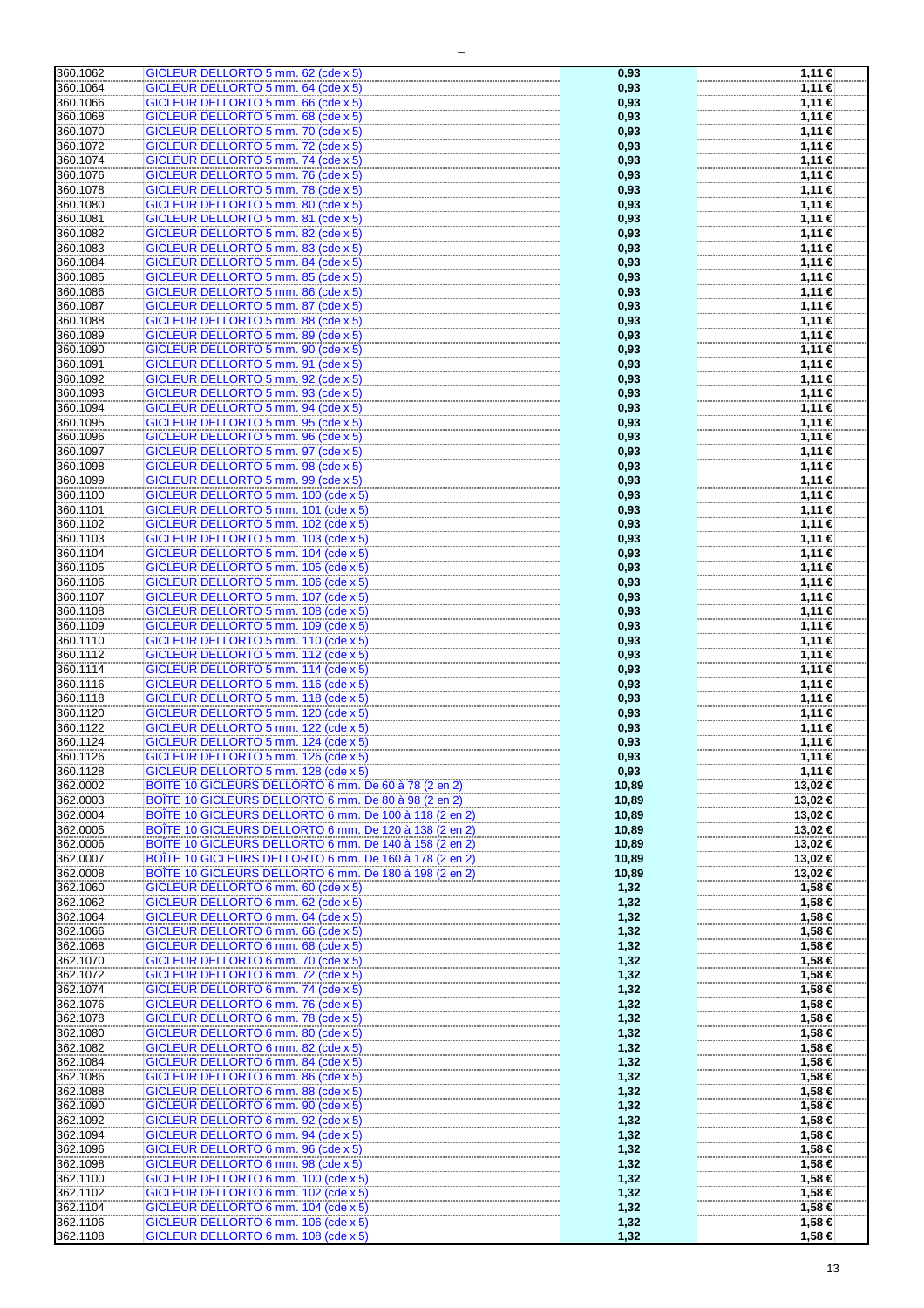| 360.1062             | GICLEUR DELLORTO 5 mm. 62 (cde x 5)                                          | 0,93         | 1,11 €           |
|----------------------|------------------------------------------------------------------------------|--------------|------------------|
| 360.1064             | GICLEUR DELLORTO 5 mm. 64 (cde x 5)                                          | 0,93         | 1,11 €           |
| 360.1066             | GICLEUR DELLORTO 5 mm. 66 (cde x 5)                                          | 0,93         | 1,11 €           |
|                      |                                                                              |              |                  |
| 360.1068             | GICLEUR DELLORTO 5 mm. 68 (cde x 5)                                          | 0,93         | 1,11 €           |
| 360.1070             | GICLEUR DELLORTO 5 mm. 70 (cde x 5)                                          | 0,93         | 1,11 €           |
| 360.1072             | GICLEUR DELLORTO 5 mm. 72 (cde x 5)                                          | 0,93         | $1,11$ €         |
|                      |                                                                              |              |                  |
| 360.1074             | GICLEUR DELLORTO 5 mm. 74 (cde x 5)                                          | 0,93         | 1,11 €           |
| 360.1076             | GICLEUR DELLORTO 5 mm. 76 (cde x 5)                                          | 0,93         | 1,11 €           |
| 360.1078             | GICLEUR DELLORTO 5 mm. 78 (cde x 5)                                          | 0,93         | 1,11 €           |
|                      |                                                                              |              |                  |
| 360.1080             | GICLEUR DELLORTO 5 mm. 80 (cde x 5)                                          | 0,93         | 1,11 €           |
| 360.1081             | GICLEUR DELLORTO 5 mm. 81 (cde x 5)                                          | 0,93         | 1,11 €           |
| 360.1082             | GICLEUR DELLORTO 5 mm. 82 (cde x 5)                                          | 0,93         | 1,11 €           |
|                      |                                                                              |              |                  |
| 360.1083             | GICLEUR DELLORTO 5 mm. 83 (cde x 5)                                          | 0,93         | 1,11 €           |
| 360.1084             | GICLEUR DELLORTO 5 mm. 84 (cde x 5)                                          | 0,93         | 1,11 €           |
| 360.1085             | GICLEUR DELLORTO 5 mm. 85 (cde x 5)                                          | 0,93         | 1,11 €           |
|                      |                                                                              |              |                  |
| 360.1086             | GICLEUR DELLORTO 5 mm. 86 (cde x 5)                                          | 0,93         | 1,11 €           |
| 360.1087             | GICLEUR DELLORTO 5 mm. 87 (cde x 5)                                          | 0,93         | 1,11 €           |
| 360.1088             | GICLEUR DELLORTO 5 mm. 88 (cde x 5)                                          | 0,93         | 1,11 €           |
|                      |                                                                              |              |                  |
| 360.1089             | GICLEUR DELLORTO 5 mm. 89 (cde x 5)                                          | 0,93         | 1,11 €           |
| 360.1090             | GICLEUR DELLORTO 5 mm. 90 (cde x 5)                                          | 0,93         | 1,11 €           |
| 360.1091             | GICLEUR DELLORTO 5 mm. 91 (cde x 5)                                          | 0,93         | 1,11 €           |
|                      |                                                                              |              |                  |
| 360.1092             | GICLEUR DELLORTO 5 mm. 92 (cde x 5)                                          | 0,93         | 1,11 €           |
| 360.1093             | GICLEUR DELLORTO 5 mm. 93 (cde x 5)                                          | 0,93         | 1,11 €           |
| 360.1094             | GICLEUR DELLORTO 5 mm. 94 (cde x 5)                                          | 0,93         | 1,11 €           |
|                      |                                                                              |              |                  |
| 360.1095             | GICLEUR DELLORTO 5 mm. 95 (cde x 5)                                          | 0,93         | 1,11 €           |
| 360.1096             | GICLEUR DELLORTO 5 mm. 96 (cde x 5)                                          | 0,93         | 1,11 €           |
| 360.1097             | GICLEUR DELLORTO 5 mm. 97 (cde x 5)                                          | 0,93         | 1,11 €           |
|                      |                                                                              |              |                  |
| 360.1098             | GICLEUR DELLORTO 5 mm. 98 (cde x 5)                                          | 0,93         | 1,11 €           |
| 360.1099             | GICLEUR DELLORTO 5 mm. 99 (cde x 5)                                          | 0,93         | 1,11 €           |
| 360.1100             | GICLEUR DELLORTO 5 mm. 100 (cde x 5)                                         | 0,93         | 1,11 €           |
|                      | GICLEUR DELLORTO 5 mm. 101 (cde x 5)                                         |              |                  |
| 360.1101             |                                                                              | 0,93         | 1,11 €           |
| 360.1102             | GICLEUR DELLORTO 5 mm. 102 (cde x 5)                                         | 0,93         | 1,11 €           |
| 360.1103             | GICLEUR DELLORTO 5 mm. 103 (cde x 5)                                         | 0,93         | 1,11 €           |
|                      |                                                                              |              |                  |
| 360.1104             | GICLEUR DELLORTO 5 mm. 104 (cde x 5)                                         | 0,93         | 1,11 €           |
| 360.1105             | GICLEUR DELLORTO 5 mm. 105 (cde x 5)                                         | 0,93         | 1,11 €           |
| 360.1106             | GICLEUR DELLORTO 5 mm. 106 (cde x 5)                                         | 0,93         | 1,11 €           |
|                      |                                                                              |              |                  |
| 360.1107             | GICLEUR DELLORTO 5 mm. 107 (cde x 5)                                         | 0,93         | 1,11 €           |
| 360.1108             | GICLEUR DELLORTO 5 mm. 108 (cde x 5)                                         | 0,93         | 1,11 €           |
| 360.1109             | GICLEUR DELLORTO 5 mm. 109 (cde x 5)                                         | 0,93         | 1,11 €           |
| 360.1110             | GICLEUR DELLORTO 5 mm. 110 (cde x 5)                                         |              | 1,11 €           |
|                      |                                                                              | 0,93         |                  |
| 360.1112             | GICLEUR DELLORTO 5 mm. 112 (cde x 5)                                         | 0,93         | 1,11 €           |
| 360.1114             | GICLEUR DELLORTO 5 mm. 114 (cde x 5)                                         | 0,93         | 1,11 €           |
| 360.1116             | GICLEUR DELLORTO 5 mm. 116 (cde x 5)                                         |              |                  |
|                      |                                                                              | 0,93         | 1,11 €           |
| 360.1118             | GICLEUR DELLORTO 5 mm. 118 (cde x 5)                                         | 0,93         | 1,11 €           |
| 360.1120             | GICLEUR DELLORTO 5 mm. 120 (cde x 5)                                         | 0,93         | 1,11 €           |
| 360.1122             | GICLEUR DELLORTO 5 mm. 122 (cde x 5)                                         | 0,93         | 1,11 €           |
|                      |                                                                              |              |                  |
| 360.1124             | GICLEUR DELLORTO 5 mm. 124 (cde x 5)                                         | 0,93         | 1,11 €           |
| 360.1126             | GICLEUR DELLORTO 5 mm. 126 (cde x 5)                                         | 0,93         | 1,11 €           |
| 360.1128             | GICLEUR DELLORTO 5 mm. 128 (cde x 5)                                         | 0,93         | 1,11 €           |
|                      |                                                                              |              |                  |
| 362.0002             | BOÎTE 10 GICLEURS DELLORTO 6 mm. De 60 à 78 (2 en 2)                         | 10,89        | 13,02 €          |
| 362.0003             | BOÎTE 10 GICLEURS DELLORTO 6 mm. De 80 à 98 (2 en 2)                         | 10,89        | 13,02 €          |
| 362.0004             | BOÎTE 10 GICLEURS DELLORTO 6 mm. De 100 à 118 (2 en 2)                       | 10,89        | 13,02 €          |
|                      | BOÎTE 10 GICLEURS DELLORTO 6 mm. De 120 à 138 (2 en 2)                       |              |                  |
| 362.0005             |                                                                              | 10,89        | 13,02 €          |
| 362.0006             | BOÎTE 10 GICLEURS DELLORTO 6 mm. De 140 à 158 (2 en 2)                       | 10,89        | 13,02 €          |
| 362.0007             | BOÎTE 10 GICLEURS DELLORTO 6 mm. De 160 à 178 (2 en 2)                       | 10,89        | 13,02 €          |
| 362.0008             |                                                                              |              |                  |
|                      | BOÎTE 10 GICLEURS DELLORTO 6 mm. De 180 à 198 (2 en 2)                       | 10,89        | 13,02 €          |
| 362.1060             | GICLEUR DELLORTO 6 mm. 60 (cde x 5)                                          | 1,32         | 1,58 €           |
| 362.1062             | GICLEUR DELLORTO 6 mm. 62 (cde x 5)                                          | 1,32         | 1,58 €           |
| 362.1064             | GICLEUR DELLORTO 6 mm. 64 (cde x 5)                                          | 1,32         | 1,58 €           |
|                      |                                                                              |              |                  |
| 362.1066             | GICLEUR DELLORTO 6 mm. 66 (cde x 5)                                          | 1,32         | 1,58 €           |
| 362.1068             | GICLEUR DELLORTO 6 mm. 68 (cde x 5)                                          | 1,32         | 1,58 €           |
| 362.1070             | GICLEUR DELLORTO 6 mm. 70 (cde x 5)                                          | 1,32         | 1,58 €           |
|                      |                                                                              |              |                  |
| 362.1072             | GICLEUR DELLORTO 6 mm. 72 (cde x 5)                                          | 1,32         | 1,58 €           |
| 362.1074             | GICLEUR DELLORTO 6 mm. 74 (cde x 5)                                          | 1,32         | 1,58 €           |
| 362.1076             |                                                                              |              | 1,58 €           |
| 362.1078             |                                                                              |              |                  |
|                      | GICLEUR DELLORTO 6 mm. 76 (cde x 5)                                          | 1,32         |                  |
|                      | GICLEUR DELLORTO 6 mm. 78 (cde x 5)                                          | 1,32         | 1,58 €           |
| 362.1080             | GICLEUR DELLORTO 6 mm. 80 (cde x 5)                                          | 1,32         | 1,58 €           |
| 362.1082             |                                                                              |              |                  |
|                      | GICLEUR DELLORTO 6 mm. 82 (cde x 5)                                          | 1,32         | 1,58 €           |
| 362.1084             | GICLEUR DELLORTO 6 mm. 84 (cde x 5)                                          | 1,32         | 1,58 €           |
| 362.1086             | GICLEUR DELLORTO 6 mm. 86 (cde x 5)                                          | 1,32         | 1,58 €           |
|                      |                                                                              |              |                  |
| 362.1088             | GICLEUR DELLORTO 6 mm. 88 (cde x 5)                                          | 1,32         | 1,58 €           |
| 362.1090             | GICLEUR DELLORTO 6 mm. 90 (cde x 5)                                          | 1,32         | 1,58 €           |
| 362.1092             | GICLEUR DELLORTO 6 mm. 92 (cde x 5)                                          | 1,32         | 1,58 €           |
| 362.1094             | GICLEUR DELLORTO 6 mm. 94 (cde x 5)                                          |              | 1,58 €           |
|                      |                                                                              | 1,32         |                  |
| 362.1096             | GICLEUR DELLORTO 6 mm. 96 (cde x 5)                                          | 1,32         | 1,58 €           |
| 362.1098             | GICLEUR DELLORTO 6 mm. 98 (cde x 5)                                          | 1,32         | 1,58 €           |
| 362.1100             | GICLEUR DELLORTO 6 mm. 100 (cde x 5)                                         |              | 1,58 €           |
|                      |                                                                              | 1,32         |                  |
| 362.1102             | GICLEUR DELLORTO 6 mm. 102 (cde x 5)                                         | 1,32         | 1,58 €           |
| 362.1104             | GICLEUR DELLORTO 6 mm. 104 (cde x 5)                                         | 1,32         | 1,58 €           |
|                      |                                                                              |              |                  |
| 362.1106<br>362.1108 | GICLEUR DELLORTO 6 mm. 106 (cde x 5)<br>GICLEUR DELLORTO 6 mm. 108 (cde x 5) | 1,32<br>1,32 | 1,58 €<br>1,58 € |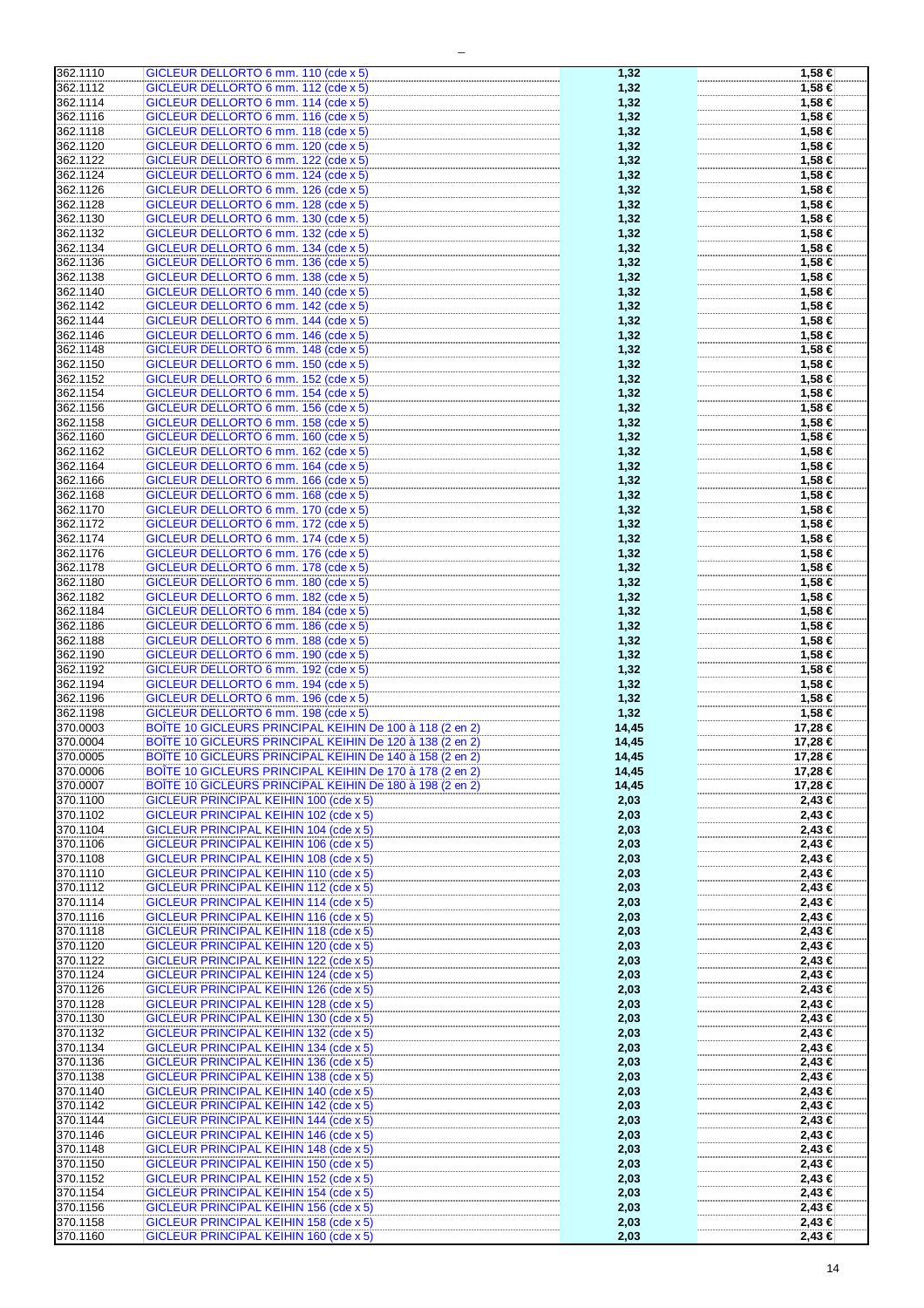| 362.1110 |                                                          |       |            |
|----------|----------------------------------------------------------|-------|------------|
|          | GICLEUR DELLORTO 6 mm. 110 (cde x 5)                     | 1,32  | 1,58 €     |
| 362.1112 |                                                          |       | 1,58 €     |
|          | GICLEUR DELLORTO 6 mm. 112 (cde x 5)                     | 1,32  |            |
| 362.1114 | GICLEUR DELLORTO 6 mm. 114 (cde x 5)                     | 1,32  | 1,58 €     |
|          |                                                          |       |            |
| 362.1116 | GICLEUR DELLORTO 6 mm. 116 (cde x 5)                     | 1,32  | 1,58 €     |
|          |                                                          |       |            |
| 362.1118 | GICLEUR DELLORTO 6 mm. 118 (cde x 5)                     | 1,32  | 1,58 €     |
| 362.1120 | GICLEUR DELLORTO 6 mm. 120 (cde x 5)                     | 1,32  | 1,58 €     |
|          |                                                          |       |            |
| 362.1122 | GICLEUR DELLORTO 6 mm. 122 (cde x 5)                     | 1,32  | 1,58 €     |
|          |                                                          |       |            |
| 362.1124 | GICLEUR DELLORTO 6 mm. 124 (cde x 5)                     | 1,32  | 1,58 €     |
| 362.1126 | GICLEUR DELLORTO 6 mm. 126 (cde x 5)                     | 1,32  | 1,58 €     |
|          |                                                          |       |            |
| 362.1128 | GICLEUR DELLORTO 6 mm. 128 (cde x 5)                     | 1,32  | 1,58 €     |
|          |                                                          |       |            |
| 362.1130 | GICLEUR DELLORTO 6 mm. 130 (cde x 5)                     | 1,32  | 1,58 €     |
| 362.1132 | GICLEUR DELLORTO 6 mm. 132 (cde x 5)                     | 1,32  | 1,58 €     |
|          |                                                          |       |            |
| 362.1134 | GICLEUR DELLORTO 6 mm. 134 (cde x 5)                     | 1,32  | 1,58 €     |
|          |                                                          |       |            |
| 362.1136 | GICLEUR DELLORTO 6 mm. 136 (cde x 5)                     | 1,32  | 1,58 €     |
| 362.1138 | GICLEUR DELLORTO 6 mm. 138 (cde x 5)                     | 1,32  | 1,58 €     |
|          |                                                          |       |            |
| 362.1140 | GICLEUR DELLORTO 6 mm. 140 (cde x 5)                     | 1,32  | 1,58 €     |
|          |                                                          |       |            |
| 362.1142 | GICLEUR DELLORTO 6 mm. 142 (cde x 5)                     | 1,32  | 1,58 €     |
| 362.1144 | GICLEUR DELLORTO 6 mm. 144 (cde x 5)                     | 1,32  | 1,58 €     |
|          |                                                          |       |            |
| 362.1146 | GICLEUR DELLORTO 6 mm. 146 (cde x 5)                     | 1,32  | 1,58 €     |
|          |                                                          |       |            |
| 362.1148 | GICLEUR DELLORTO 6 mm. 148 (cde x 5)                     | 1,32  | 1,58 €     |
| 362.1150 | GICLEUR DELLORTO 6 mm. 150 (cde x 5)                     | 1,32  | 1,58 €     |
|          |                                                          |       |            |
| 362.1152 | GICLEUR DELLORTO 6 mm. 152 (cde x 5)                     | 1,32  | 1,58 €     |
|          |                                                          |       |            |
| 362.1154 | GICLEUR DELLORTO 6 mm. 154 (cde x 5)                     | 1,32  | 1,58 €     |
| 362.1156 | GICLEUR DELLORTO 6 mm. 156 (cde x 5)                     | 1,32  | 1,58 €     |
|          |                                                          |       |            |
| 362.1158 | GICLEUR DELLORTO 6 mm. 158 (cde x 5)                     | 1,32  | 1,58 €     |
|          | GICLEUR DELLORTO 6 mm. 160 (cde x 5)                     |       |            |
| 362.1160 |                                                          | 1,32  | 1,58 €     |
| 362.1162 | GICLEUR DELLORTO 6 mm. 162 (cde x 5)                     | 1,32  | 1,58 €     |
|          |                                                          |       |            |
| 362.1164 | GICLEUR DELLORTO 6 mm. 164 (cde x 5)                     | 1,32  | 1,58 €     |
|          | GICLEUR DELLORTO 6 mm. 166 (cde x 5)                     |       |            |
| 362.1166 |                                                          | 1,32  | 1,58 €     |
| 362.1168 | GICLEUR DELLORTO 6 mm. 168 (cde x 5)                     | 1,32  | 1.58 €     |
|          |                                                          |       |            |
| 362.1170 | GICLEUR DELLORTO 6 mm. 170 (cde x 5)                     | 1,32  | 1,58 €     |
|          |                                                          |       |            |
| 362.1172 | GICLEUR DELLORTO 6 mm. 172 (cde x 5)                     | 1,32  | 1,58 €     |
| 362.1174 | GICLEUR DELLORTO 6 mm. 174 (cde x 5)                     | 1,32  | 1,58 €     |
|          |                                                          |       |            |
| 362.1176 | GICLEUR DELLORTO 6 mm. 176 (cde x 5)                     | 1,32  | 1,58 €     |
|          |                                                          |       |            |
| 362.1178 | GICLEUR DELLORTO 6 mm. 178 (cde x 5)                     | 1,32  | 1,58 €     |
| 362.1180 | GICLEUR DELLORTO 6 mm. 180 (cde x 5)                     | 1,32  | 1,58 €     |
|          |                                                          |       |            |
| 362.1182 | GICLEUR DELLORTO 6 mm. 182 (cde x 5)                     | 1,32  | 1,58 €     |
|          |                                                          |       |            |
| 362.1184 | GICLEUR DELLORTO 6 mm. 184 (cde x 5)                     | 1,32  | 1,58 €     |
| 362.1186 | GICLEUR DELLORTO 6 mm. 186 (cde x 5)                     | 1,32  | 1,58 €     |
|          |                                                          |       |            |
| 362.1188 | GICLEUR DELLORTO 6 mm. 188 (cde x 5)                     | 1,32  | 1,58 €     |
|          |                                                          |       |            |
| 362.1190 | GICLEUR DELLORTO 6 mm. 190 (cde x 5)                     | 1,32  | 1,58 €     |
| 362.1192 | GICLEUR DELLORTO 6 mm. 192 (cde x 5)                     | 1,32  | 1,58 €     |
|          |                                                          |       |            |
|          |                                                          |       |            |
|          |                                                          |       |            |
| 362.1194 | GICLEUR DELLORTO 6 mm. 194 (cde x 5)                     | 1,32  | 1,58 €     |
| 362.1196 | GICLEUR DELLORTO 6 mm. 196 (cde x 5)                     | 1,32  | 1,58 €     |
|          |                                                          |       |            |
| 362.1198 | GICLEUR DELLORTO 6 mm. 198 (cde x 5)                     | 1,32  | 1,58 €     |
| 370.0003 |                                                          |       |            |
|          | BOÎTE 10 GICLEURS PRINCIPAL KEIHIN De 100 à 118 (2 en 2) | 14,45 | 17,28 €    |
| 370.0004 | BOÎTE 10 GICLEURS PRINCIPAL KEIHIN De 120 à 138 (2 en 2) | 14,45 | 17,28 €    |
|          |                                                          |       |            |
| 370.0005 | BOÎTE 10 GICLEURS PRINCIPAL KEIHIN De 140 à 158 (2 en 2) | 14.45 | 17.28 €    |
| 370.0006 | BOÎTE 10 GICLEURS PRINCIPAL KEIHIN De 170 à 178 (2 en 2) | 14,45 | 17,28 €    |
|          |                                                          |       |            |
| 370.0007 | BOÎTE 10 GICLEURS PRINCIPAL KEIHIN De 180 à 198 (2 en 2) | 14,45 | 17,28 €    |
|          |                                                          |       |            |
| 370.1100 | GICLEUR PRINCIPAL KEIHIN 100 (cde x 5)                   | 2,03  | 2,43€      |
| 370.1102 | GICLEUR PRINCIPAL KEIHIN 102 (cde x 5)                   | 2,03  | $2,43 \in$ |
|          |                                                          |       |            |
| 370.1104 | GICLEUR PRINCIPAL KEIHIN 104 (cde x 5)                   | 2,03  | $2,43 \in$ |
| 370.1106 | GICLEUR PRINCIPAL KEIHIN 106 (cde x 5)                   |       | $2,43 \in$ |
|          |                                                          | 2,03  |            |
| 370.1108 | GICLEUR PRINCIPAL KEIHIN 108 (cde x 5)                   | 2,03  | $2,43 \in$ |
|          |                                                          |       |            |
| 370.1110 | <b>GICLEUR PRINCIPAL KEIHIN 110 (cde x 5)</b>            | 2,03  | 2,43 €     |
| 370.1112 | <b>GICLEUR PRINCIPAL KEIHIN 112 (cde x 5)</b>            | 2,03  | 2,43 €     |
|          |                                                          |       |            |
| 370.1114 | <b>GICLEUR PRINCIPAL KEIHIN 114 (cde x 5)</b>            | 2,03  | 2,43 €     |
| 370.1116 |                                                          |       |            |
|          | GICLEUR PRINCIPAL KEIHIN 116 (cde x 5)                   | 2,03  | 2,43 €     |
| 370.1118 | GICLEUR PRINCIPAL KEIHIN 118 (cde x 5)                   | 2,03  | 2,43€      |
|          |                                                          |       |            |
| 370.1120 | GICLEUR PRINCIPAL KEIHIN 120 (cde x 5)                   | 2,03  | 2,43 €     |
|          | GICLEUR PRINCIPAL KEIHIN 122 (cde x 5)                   |       |            |
| 370.1122 |                                                          | 2,03  | $2,43 \in$ |
| 370.1124 | <b>GICLEUR PRINCIPAL KEIHIN 124 (cde x 5)</b>            | 2,03  | 2,43 €     |
|          |                                                          |       |            |
| 370.1126 | GICLEUR PRINCIPAL KEIHIN 126 (cde x 5)                   | 2,03  | 2,43 €     |
| 370.1128 | GICLEUR PRINCIPAL KEIHIN 128 (cde x 5)                   | 2,03  | 2,43 €     |
|          |                                                          |       |            |
| 370.1130 | GICLEUR PRINCIPAL KEIHIN 130 (cde x 5)                   | 2,03  | 2,43 €     |
|          |                                                          |       |            |
| 370.1132 | GICLEUR PRINCIPAL KEIHIN 132 (cde x 5)                   | 2,03  | 2,43 €     |
| 370.1134 | GICLEUR PRINCIPAL KEIHIN 134 (cde x 5)                   | 2,03  | 2,43 €     |
|          |                                                          |       |            |
| 370.1136 | GICLEUR PRINCIPAL KEIHIN 136 (cde x 5)                   | 2,03  | $2,43 \in$ |
|          |                                                          |       |            |
| 370.1138 | GICLEUR PRINCIPAL KEIHIN 138 (cde x 5)                   | 2,03  | 2,43€      |
| 370.1140 | GICLEUR PRINCIPAL KEIHIN 140 (cde x 5)                   | 2,03  | $2,43 \in$ |
|          |                                                          |       |            |
| 370.1142 | GICLEUR PRINCIPAL KEIHIN 142 (cde x 5)                   | 2,03  | 2,43 €     |
|          |                                                          |       |            |
| 370.1144 | GICLEUR PRINCIPAL KEIHIN 144 (cde x 5)                   | 2,03  | 2,43 €     |
| 370.1146 | GICLEUR PRINCIPAL KEIHIN 146 (cde x 5)                   | 2,03  | $2,43 \in$ |
|          |                                                          |       |            |
| 370.1148 | <b>GICLEUR PRINCIPAL KEIHIN 148 (cde x 5)</b>            | 2,03  | 2,43 ∈     |
|          |                                                          |       |            |
| 370.1150 | <b>GICLEUR PRINCIPAL KEIHIN 150 (cde x 5)</b>            | 2,03  | $2,43 \in$ |
| 370.1152 | GICLEUR PRINCIPAL KEIHIN 152 (cde x 5)                   | 2,03  | $2,43$ €   |
|          |                                                          |       |            |
| 370.1154 | GICLEUR PRINCIPAL KEIHIN 154 (cde x 5)                   | 2,03  | $2,43 \in$ |
|          |                                                          |       |            |
| 370.1156 | GICLEUR PRINCIPAL KEIHIN 156 (cde x 5)                   | 2,03  | $2,43 \in$ |
| 370.1158 | GICLEUR PRINCIPAL KEIHIN 158 (cde x 5)                   | 2,03  | $2,43 \in$ |
| 370.1160 | GICLEUR PRINCIPAL KEIHIN 160 (cde x 5)                   | 2,03  | $2,43 \in$ |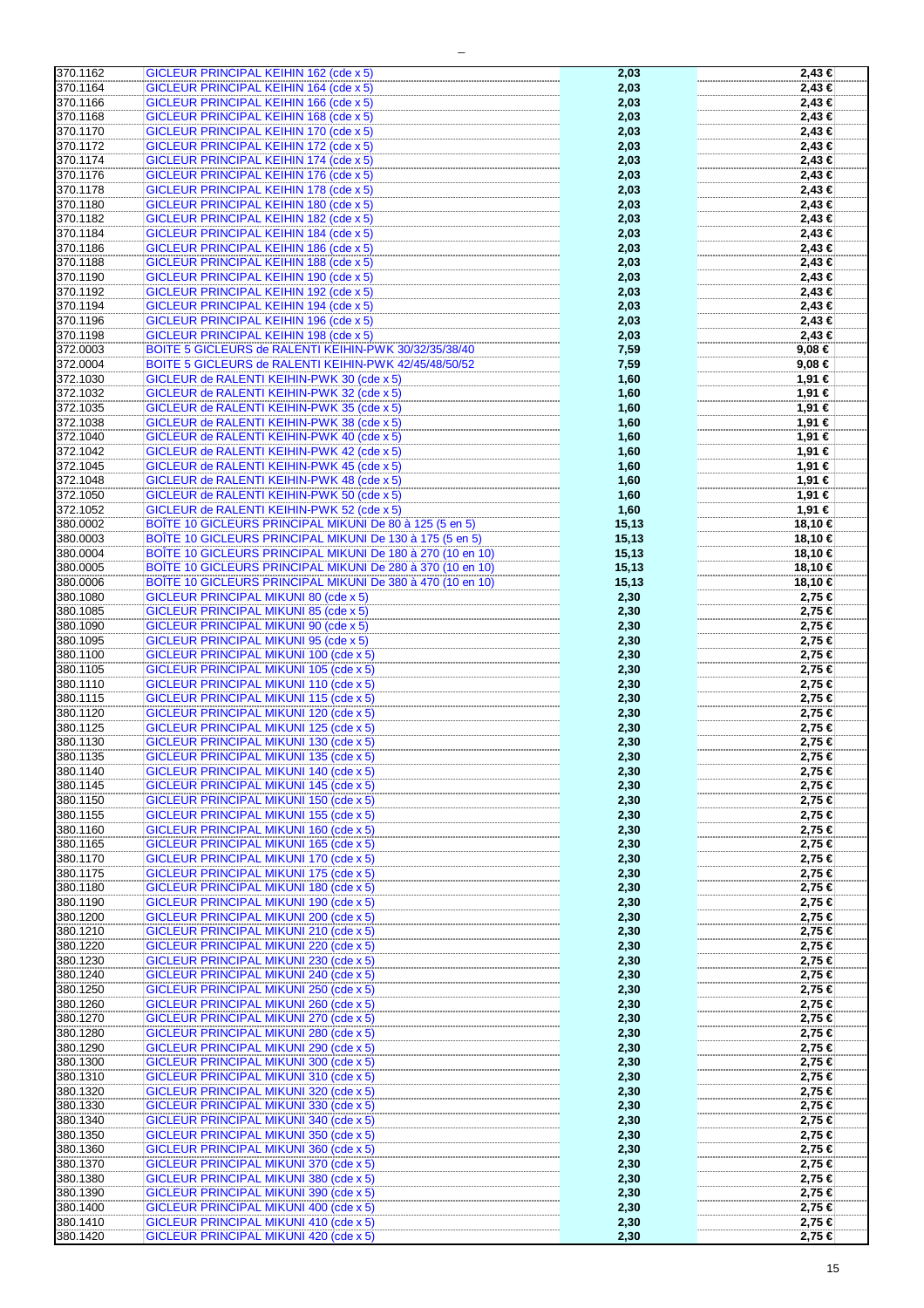| 370.1162             | GICLEUR PRINCIPAL KEIHIN 162 (cde x 5)                                           | 2,03         | 2,43 €           |
|----------------------|----------------------------------------------------------------------------------|--------------|------------------|
| 370.1164             | <b>GICLEUR PRINCIPAL KEIHIN 164 (cde x 5)</b>                                    | 2,03         | 2,43 €           |
|                      |                                                                                  |              |                  |
| 370.1166             | GICLEUR PRINCIPAL KEIHIN 166 (cde x 5)                                           | 2,03         | 2,43 €           |
| 370.1168             | <b>GICLEUR PRINCIPAL KEIHIN 168 (cde x 5)</b>                                    | 2,03         | 2,43 €           |
|                      |                                                                                  |              |                  |
| 370.1170             | GICLEUR PRINCIPAL KEIHIN 170 (cde x 5)                                           | 2,03         | 2,43 €           |
| 370.1172             | GICLEUR PRINCIPAL KEIHIN 172 (cde x 5)                                           | 2,03         | 2.43 €           |
| 370.1174             | <b>GICLEUR PRINCIPAL KEIHIN 174 (cde x 5)</b>                                    |              |                  |
|                      |                                                                                  | 2,03         | 2,43 €           |
| 370.1176             | GICLEUR PRINCIPAL KEIHIN 176 (cde x 5)                                           | 2,03         | 2,43 €           |
| 370.1178             | GICLEUR PRINCIPAL KEIHIN 178 (cde x 5)                                           | 2,03         |                  |
|                      |                                                                                  |              | 2,43 €           |
| 370.1180             | GICLEUR PRINCIPAL KEIHIN 180 (cde x 5)                                           | 2,03         | 2,43 €           |
| 370.1182             | GICLEUR PRINCIPAL KEIHIN 182 (cde x 5)                                           | 2,03         | 2,43 €           |
|                      |                                                                                  |              |                  |
| 370.1184             | <b>GICLEUR PRINCIPAL KEIHIN 184 (cde x 5)</b>                                    | 2,03         | 2,43 €           |
| 370.1186             | <b>GICLEUR PRINCIPAL KEIHIN 186 (cde x 5)</b>                                    | 2,03         | 2,43 €           |
| 370.1188             | GICLEUR PRINCIPAL KEIHIN 188 (cde x 5)                                           | 2,03         | 2,43 €           |
|                      |                                                                                  |              |                  |
| 370.1190             | <b>GICLEUR PRINCIPAL KEIHIN 190 (cde x 5)</b>                                    | 2,03         | 2,43 €           |
| 370.1192             | GICLEUR PRINCIPAL KEIHIN 192 (cde x 5)                                           | 2,03         | 2,43 €           |
|                      |                                                                                  |              |                  |
| 370.1194             | GICLEUR PRINCIPAL KEIHIN 194 (cde x 5)                                           | 2,03         | 2,43 €           |
| 370.1196             | GICLEUR PRINCIPAL KEIHIN 196 (cde x 5)                                           | 2,03         | 2,43 €           |
| 370.1198             | GICLEUR PRINCIPAL KEIHIN 198 (cde x 5)                                           |              | 2,43 €           |
|                      |                                                                                  | 2,03         |                  |
| 372.0003             | BOITE 5 GICLEURS de RALENTI KEIHIN-PWK 30/32/35/38/40                            | 7,59         | 9,08 €           |
| 372.0004             | BOITE 5 GICLEURS de RALENTI KEIHIN-PWK 42/45/48/50/52                            | 7,59         | 9,08€            |
|                      |                                                                                  |              |                  |
| 372.1030             | GICLEUR de RALENTI KEIHIN-PWK 30 (cde x 5)                                       | 1,60         | 1,91 €           |
| 372.1032             | GICLEUR de RALENTI KEIHIN-PWK 32 (cde x 5)                                       | 1,60         | 1,91 €           |
| 372.1035             | GICLEUR de RALENTI KEIHIN-PWK 35 (cde x 5)                                       |              | 1,91 €           |
|                      |                                                                                  | 1,60         |                  |
| 372.1038             | GICLEUR de RALENTI KEIHIN-PWK 38 (cde x 5)                                       | 1,60         | 1,91 €           |
| 372.1040             | GICLEUR de RALENTI KEIHIN-PWK 40 (cde x 5)                                       | 1,60         | 1,91 €           |
|                      |                                                                                  |              |                  |
| 372.1042             | GICLEUR de RALENTI KEIHIN-PWK 42 (cde x 5)                                       | 1,60         | 1,91 €           |
| 372.1045             | GICLEUR de RALENTI KEIHIN-PWK 45 (cde x 5)                                       | 1,60         | 1,91 €           |
|                      |                                                                                  |              |                  |
| 372.1048             | GICLEUR de RALENTI KEIHIN-PWK 48 (cde x 5)                                       | 1,60         | 1,91 €           |
| 372.1050             | GICLEUR de RALENTI KEIHIN-PWK 50 (cde x 5)                                       | 1,60         | 1,91 €           |
| 372.1052             | GICLEUR de RALENTI KEIHIN-PWK 52 (cde x 5)                                       | 1,60         | 1,91 €           |
| 380.0002             | BOÎTE 10 GICLEURS PRINCIPAL MIKUNI De 80 à 125 (5 en 5)                          |              | 18,10 €          |
|                      |                                                                                  | 15,13        |                  |
| 380.0003             | BOÎTE 10 GICLEURS PRINCIPAL MIKUNI De 130 à 175 (5 en 5)                         | 15,13        | 18,10 €          |
| 380.0004             | BOÎTE 10 GICLEURS PRINCIPAL MIKUNI De 180 à 270 (10 en 10)                       | 15, 13       | 18,10 €          |
| 380.0005             | BOÎTE 10 GICLEURS PRINCIPAL MIKUNI De 280 à 370 (10 en 10)                       | 15, 13       | 18,10 €          |
|                      |                                                                                  |              |                  |
| 380.0006             | BOÎTE 10 GICLEURS PRINCIPAL MIKUNI De 380 à 470 (10 en 10)                       | 15,13        | 18,10 €          |
| 380.1080             | <b>GICLEUR PRINCIPAL MIKUNI 80 (cde x 5)</b>                                     | 2,30         | 2,75 €           |
| 380.1085             | <b>GICLEUR PRINCIPAL MIKUNI 85 (cde x 5)</b>                                     | 2,30         | 2,75 €           |
|                      |                                                                                  |              |                  |
| 380.1090             | <b>GICLEUR PRINCIPAL MIKUNI 90 (cde x 5)</b>                                     | 2,30         | 2,75 €           |
| 380.1095             | <b>GICLEUR PRINCIPAL MIKUNI 95 (cde x 5)</b>                                     | 2,30         | 2,75 €           |
| 380.1100             | GICLEUR PRINCIPAL MIKUNI 100 (cde x 5)                                           | 2,30         | 2,75 €           |
|                      |                                                                                  |              |                  |
| 380.1105             | <b>GICLEUR PRINCIPAL MIKUNI 105 (cde x 5)</b>                                    | 2,30         | 2,75 €           |
| 380.1110             | GICLEUR PRINCIPAL MIKUNI 110 (cde x 5)                                           | 2,30         | 2,75 €           |
| 380.1115             | GICLEUR PRINCIPAL MIKUNI 115 (cde x 5)                                           | 2,30         | 2,75 €           |
|                      |                                                                                  |              |                  |
| 380.1120             | GICLEUR PRINCIPAL MIKUNI 120 (cde x 5)                                           | 2,30         | 2,75 €           |
| 380.1125             | <b>GICLEUR PRINCIPAL MIKUNI 125 (cde x 5)</b>                                    | 2,30         | 2,75 €           |
| 380.1130             | GICLEUR PRINCIPAL MIKUNI 130 (cde x 5)                                           | 2,30         | 2,75 €           |
|                      |                                                                                  |              |                  |
| 380.1135             | GICLEUR PRINCIPAL MIKUNI 135 (cde x 5)                                           | 2,30         | 2,75 €           |
| 380.1140             | GICLEUR PRINCIPAL MIKUNI 140 (cde x 5)                                           | 2,30         | 2,75 €           |
| 380.1145             | GICLEUR PRINCIPAL MIKUNI 145 (cde x 5)                                           | 2,30         | 2,75 €           |
|                      |                                                                                  |              |                  |
| 380.1150             | GICLEUR PRINCIPAL MIKUNI 150 (cde x 5)                                           | 2,30         | 2,75 €           |
| 380.1155             | GICLEUR PRINCIPAL MIKUNI 155 (cde x 5)                                           | 2,30         | 2,75 €           |
| 380.1160             | GICLEUR PRINCIPAL MIKUNI 160 (cde x 5)                                           | 2,30         | 2,75 €           |
|                      |                                                                                  |              |                  |
| 380.1165             | GICLEUR PRINCIPAL MIKUNI 165 (cde x 5)                                           | 2,30         | 2,75 €           |
| 380.1170             | GICLEUR PRINCIPAL MIKUNI 170 (cde x 5)                                           | 2,30         | 2,75 €           |
| 380.1175             | <b>GICLEUR PRINCIPAL MIKUNI 175 (cde x 5)</b>                                    | 2,30         | 2,75 €           |
| 380.1180             | GICLEUR PRINCIPAL MIKUNI 180 (cde x 5)                                           | 2,30         | 2,75 €           |
|                      |                                                                                  |              |                  |
| 380.1190             | GICLEUR PRINCIPAL MIKUNI 190 (cde x 5)                                           | 2,30         | 2,75 €           |
| 380.1200             | GICLEUR PRINCIPAL MIKUNI 200 (cde x 5)                                           | 2,30         | 2,75 €           |
| 380.1210             | GICLEUR PRINCIPAL MIKUNI 210 (cde x 5)                                           | 2,30         | 2,75 €           |
|                      |                                                                                  |              |                  |
| 380.1220             | GICLEUR PRINCIPAL MIKUNI 220 (cde x 5)                                           | 2,30         | 2,75 €           |
| 380.1230             | <b>GICLEUR PRINCIPAL MIKUNI 230 (cde x 5)</b>                                    | 2,30         | 2,75 €           |
| 380.1240             | GICLEUR PRINCIPAL MIKUNI 240 (cde x 5)                                           | 2,30         | 2,75 €           |
|                      |                                                                                  |              |                  |
| 380.1250             | GICLEUR PRINCIPAL MIKUNI 250 (cde x 5)                                           | 2,30         | 2,75 €           |
| 380.1260             | GICLEUR PRINCIPAL MIKUNI 260 (cde x 5)                                           | 2,30         | 2,75 €           |
| 380.1270             | GICLEUR PRINCIPAL MIKUNI 270 (cde x 5)                                           | 2,30         | 2,75 €           |
|                      |                                                                                  |              |                  |
| 380.1280             | GICLEUR PRINCIPAL MIKUNI 280 (cde x 5)                                           | 2,30         | 2,75 €           |
| 380.1290             | GICLEUR PRINCIPAL MIKUNI 290 (cde x 5)                                           | 2,30         | 2,75 €           |
| 380.1300             | GICLEUR PRINCIPAL MIKUNI 300 (cde x 5)                                           | 2,30         | 2,75 €           |
|                      |                                                                                  |              |                  |
| 380.1310             | GICLEUR PRINCIPAL MIKUNI 310 (cde x 5)                                           | 2,30         | 2,75 €           |
| 380.1320             | GICLEUR PRINCIPAL MIKUNI 320 (cde x 5)                                           | 2,30         | 2,75 €           |
| 380.1330             | GICLEUR PRINCIPAL MIKUNI 330 (cde x 5)                                           | 2,30         | 2,75 €           |
|                      |                                                                                  |              |                  |
| 380.1340             | GICLEUR PRINCIPAL MIKUNI 340 (cde x 5)                                           | 2,30         | 2,75 €           |
| 380.1350             | GICLEUR PRINCIPAL MIKUNI 350 (cde x 5)                                           | 2,30         | 2,75 €           |
| 380.1360             | GICLEUR PRINCIPAL MIKUNI 360 (cde x 5)                                           | 2,30         | 2,75 €           |
|                      |                                                                                  |              |                  |
|                      |                                                                                  |              |                  |
| 380.1370             | GICLEUR PRINCIPAL MIKUNI 370 (cde x 5)                                           | 2,30         | 2,75 €           |
| 380.1380             | GICLEUR PRINCIPAL MIKUNI 380 (cde x 5)                                           | 2,30         | 2,75 €           |
| 380.1390             | GICLEUR PRINCIPAL MIKUNI 390 (cde x 5)                                           |              | 2,75 €           |
|                      |                                                                                  | 2,30         |                  |
| 380.1400             | GICLEUR PRINCIPAL MIKUNI 400 (cde x 5)                                           | 2,30         | 2,75 €           |
| 380.1410<br>380.1420 | GICLEUR PRINCIPAL MIKUNI 410 (cde x 5)<br>GICLEUR PRINCIPAL MIKUNI 420 (cde x 5) | 2,30<br>2,30 | 2,75 €<br>2,75 € |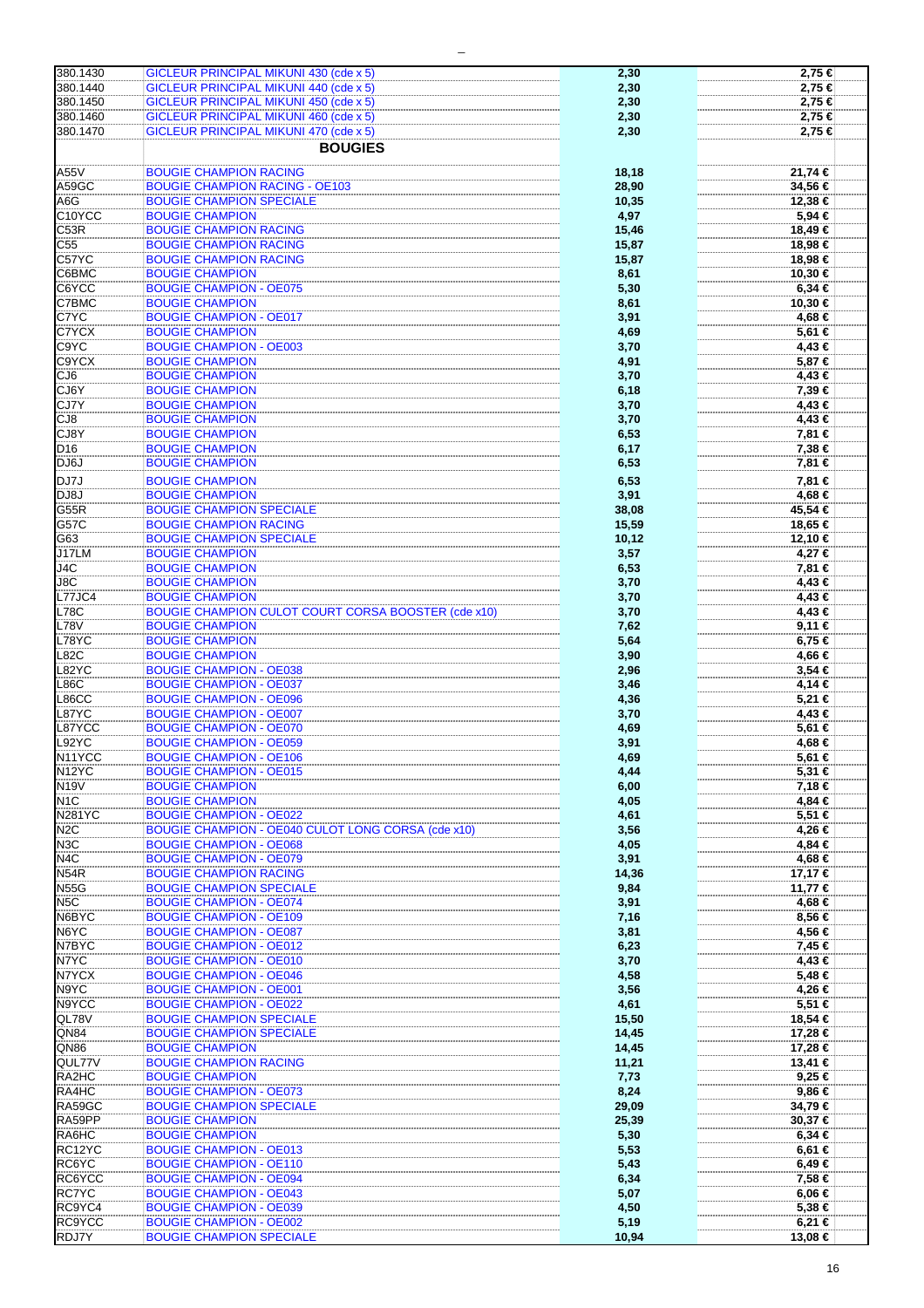| 380.1430           | GICLEUR PRINCIPAL MIKUNI 430 (cde x 5)                            | 2,30           | 2,75 €              |
|--------------------|-------------------------------------------------------------------|----------------|---------------------|
| 380.1440           | GICLEUR PRINCIPAL MIKUNI 440 (cde x 5)                            | 2,30           | 2,75 €              |
| 380.1450           | GICLEUR PRINCIPAL MIKUNI 450 (cde x 5)                            | 2,30           | 2,75 €              |
| 380.1460           | GICLEUR PRINCIPAL MIKUNI 460 (cde x 5)                            | 2,30           | 2,75 €              |
| 380.1470           | <b>GICLEUR PRINCIPAL MIKUNI 470 (cde x 5)</b>                     | 2,30           | 2,75 €              |
|                    | <b>BOUGIES</b>                                                    |                |                     |
| A55V               | <b>BOUGIE CHAMPION RACING</b>                                     | 18,18          | 21,74 €             |
| A59GC              | <b>BOUGIE CHAMPION RACING - OE103</b>                             | 28,90          | 34,56 €             |
| A6G                | <b>BOUGIE CHAMPION SPECIALE</b>                                   | 10,35          | 12,38 €             |
| C10YCC             | <b>BOUGIE CHAMPION</b>                                            | 4,97           | 5,94 €              |
| C53R               | <b>BOUGIE CHAMPION RACING</b>                                     | 15,46          | 18,49 €             |
| C <sub>55</sub>    | <b>BOUGIE CHAMPION RACING</b>                                     | 15,87          | 18,98 €             |
| C57YC              | <b>BOUGIE CHAMPION RACING</b>                                     | 15,87          | 18,98 €             |
| C6BMC              | <b>BOUGIE CHAMPION</b>                                            | 8,61           | 10,30 €             |
| C6YCC              | <b>BOUGIE CHAMPION - OE075</b>                                    | 5,30           | 6,34 €              |
| C7BMC              | <b>BOUGIE CHAMPION</b>                                            | 8,61           | 10,30 €             |
| C7YC               | <b>BOUGIE CHAMPION - OE017</b>                                    | 3,91           | 4,68 €              |
| C7YCX              | <b>BOUGIE CHAMPION</b>                                            | 4,69           | 5,61 €              |
| C9YC               | <b>BOUGIE CHAMPION - OE003</b>                                    | 3,70           | 4,43 €              |
| <b>C9YCX</b>       | <b>BOUGIE CHAMPION</b>                                            | 4,91           | 5,87 €              |
| CJ <sub>6</sub>    | <b>BOUGIE CHAMPION</b>                                            | 3,70           | 4,43 €              |
| CJ6Y               | <b>BOUGIE CHAMPION</b>                                            | 6,18           | 7,39 €              |
| CJ7Y               | <b>BOUGIE CHAMPION</b>                                            | 3,70           | 4,43 €              |
| CJ8                | <b>BOUGIE CHAMPION</b>                                            | 3,70           | 4,43 €              |
| CJ8Y               | <b>BOUGIE CHAMPION</b>                                            | 6,53           | 7,81 €              |
| D <sub>16</sub>    | <b>BOUGIE CHAMPION</b>                                            | 6,17           | 7,38 €              |
| DJ6J               | <b>BOUGIE CHAMPION</b>                                            | 6,53           | 7,81 €              |
| DJ7J               | <b>BOUGIE CHAMPION</b>                                            | 6,53           | 7,81 €              |
| DJ8J               | <b>BOUGIE CHAMPION</b>                                            | 3,91           | 4,68 €              |
| <b>G55R</b>        | <b>BOUGIE CHAMPION SPECIALE</b>                                   | 38,08          | 45,54 €             |
| <b>G57C</b>        | <b>BOUGIE CHAMPION RACING</b>                                     | 15,59          | 18,65 €             |
| G63                | <b>BOUGIE CHAMPION SPECIALE</b>                                   | 10,12          | 12,10 €             |
| J17LM              | <b>BOUGIE CHAMPION</b>                                            | 3,57           | 4,27 €              |
| J4C                | <b>BOUGIE CHAMPION</b>                                            | 6,53           | 7,81 €              |
| J8C<br>L77JC4      | <b>BOUGIE CHAMPION</b><br><b>BOUGIE CHAMPION</b>                  | 3,70           | 4,43 €<br>4,43 €    |
| <b>L78C</b>        | <b>BOUGIE CHAMPION CULOT COURT CORSA BOOSTER (cde x10)</b>        | 3,70           |                     |
| <b>L78V</b>        | <b>BOUGIE CHAMPION</b>                                            | 3,70<br>7,62   | 4,43 €<br>$9,11$ €  |
| L78YC              | <b>BOUGIE CHAMPION</b>                                            | 5,64           | 6,75 €              |
| <b>L82C</b>        | <b>BOUGIE CHAMPION</b>                                            | 3,90           | 4,66 €              |
| L82YC              | <b>BOUGIE CHAMPION - OE038</b>                                    | 2,96           | $3,54 \in$          |
| L86C               | <b>BOUGIE CHAMPION - OE037</b>                                    | 3,46           | 4,14 €              |
| <b>L86CC</b>       | <b>BOUGIE CHAMPION - OE096</b>                                    | 4,36           | 5,21 €              |
| L87YC              | <b>BOUGIE CHAMPION - OE007</b>                                    | 3,70           | 4,43 €              |
| L87YCC             | <b>BOUGIE CHAMPION - OE070</b>                                    | 4,69           | 5,61 €              |
| L92YC              | <b>BOUGIE CHAMPION - OE059</b>                                    | 3,91           | 4,68 €              |
| N11YCC             | <b>BOUGIE CHAMPION - OE106</b>                                    | 4,69           | $5,61$ €            |
| N <sub>12</sub> YC | <b>BOUGIE CHAMPION - OE015</b>                                    | 4,44           | $5,31 \in$          |
| <b>N19V</b>        | <b>BOUGIE CHAMPION</b>                                            | 6,00           | 7,18 €              |
| N <sub>1</sub> C   | <b>BOUGIE CHAMPION</b>                                            | 4,05           | 4,84 €              |
| <b>N281YC</b>      | <b>BOUGIE CHAMPION - OE022</b>                                    | 4,61           | 5,51 €              |
| N <sub>2</sub> C   | BOUGIE CHAMPION - OE040 CULOT LONG CORSA (cde x10)                | 3,56           | 4,26 €              |
| N <sub>3</sub> C   | <b>BOUGIE CHAMPION - OE068</b>                                    | 4,05           | 4,84 €              |
| N <sub>4</sub> C   | <b>BOUGIE CHAMPION - OE079</b>                                    | 3,91           | 4,68 €              |
| <b>N54R</b>        | <b>BOUGIE CHAMPION RACING</b>                                     | 14,36          | 17,17 €             |
| <b>N55G</b>        | <b>BOUGIE CHAMPION SPECIALE</b>                                   | 9,84           | 11,77 €             |
| N <sub>5</sub> C   | <b>BOUGIE CHAMPION - OE074</b>                                    | 3,91           | 4,68 €              |
| N6BYC              | <b>BOUGIE CHAMPION - OE109</b>                                    | 7,16           | 8,56 €              |
| N6YC               | <b>BOUGIE CHAMPION - OE087</b>                                    | 3,81           | 4,56 €              |
| N7BYC              | <b>BOUGIE CHAMPION - OE012</b>                                    | 6,23           | 7,45 €              |
| N7YC               | <b>BOUGIE CHAMPION - OE010</b>                                    | 3,70           | 4,43 €              |
| N7YCX              | <b>BOUGIE CHAMPION - OE046</b>                                    | 4,58           | 5,48 €              |
| N9YC               | <b>BOUGIE CHAMPION - OE001</b>                                    | 3,56           | 4,26 €              |
| N9YCC<br>QL78V     | <b>BOUGIE CHAMPION - OE022</b><br><b>BOUGIE CHAMPION SPECIALE</b> | 4,61           | $5,51$ €<br>18,54 € |
| QN84               | <b>BOUGIE CHAMPION SPECIALE</b>                                   | 15,50<br>14,45 | 17,28 €             |
| QN86               | <b>BOUGIE CHAMPION</b>                                            | 14,45          | 17,28 €             |
| QUL77V             | <b>BOUGIE CHAMPION RACING</b>                                     | 11,21          | 13,41 €             |
| RA2HC              | <b>BOUGIE CHAMPION</b>                                            | 7,73           | 9,25 €              |
| RA4HC              | <b>BOUGIE CHAMPION - OE073</b>                                    | 8,24           | 9,86 €              |
| RA59GC             | <b>BOUGIE CHAMPION SPECIALE</b>                                   | 29,09          | 34,79 €             |
| RA59PP             | <b>BOUGIE CHAMPION</b>                                            | 25,39          | 30,37 €             |
| RA6HC              | <b>BOUGIE CHAMPION</b>                                            | 5,30           | $6,34 \in$          |
| RC12YC             | <b>BOUGIE CHAMPION - OE013</b>                                    | 5,53           | 6,61 €              |
| RC6YC              | <b>BOUGIE CHAMPION - OE110</b>                                    | 5,43           | $6,49 \in$          |
| RC6YCC             | <b>BOUGIE CHAMPION - OE094</b>                                    | 6,34           | 7,58 €              |
| <b>RC7YC</b>       | <b>BOUGIE CHAMPION - OE043</b>                                    | 5,07           | $6,06 \in$          |
| RC9YC4             | <b>BOUGIE CHAMPION - OE039</b>                                    | 4,50           | $5,38 \in$          |
| RC9YCC             | <b>BOUGIE CHAMPION - OE002</b>                                    | 5,19           | $6,21 \in$          |
| RDJ7Y              | <b>BOUGIE CHAMPION SPECIALE</b>                                   | 10,94          | 13,08 €             |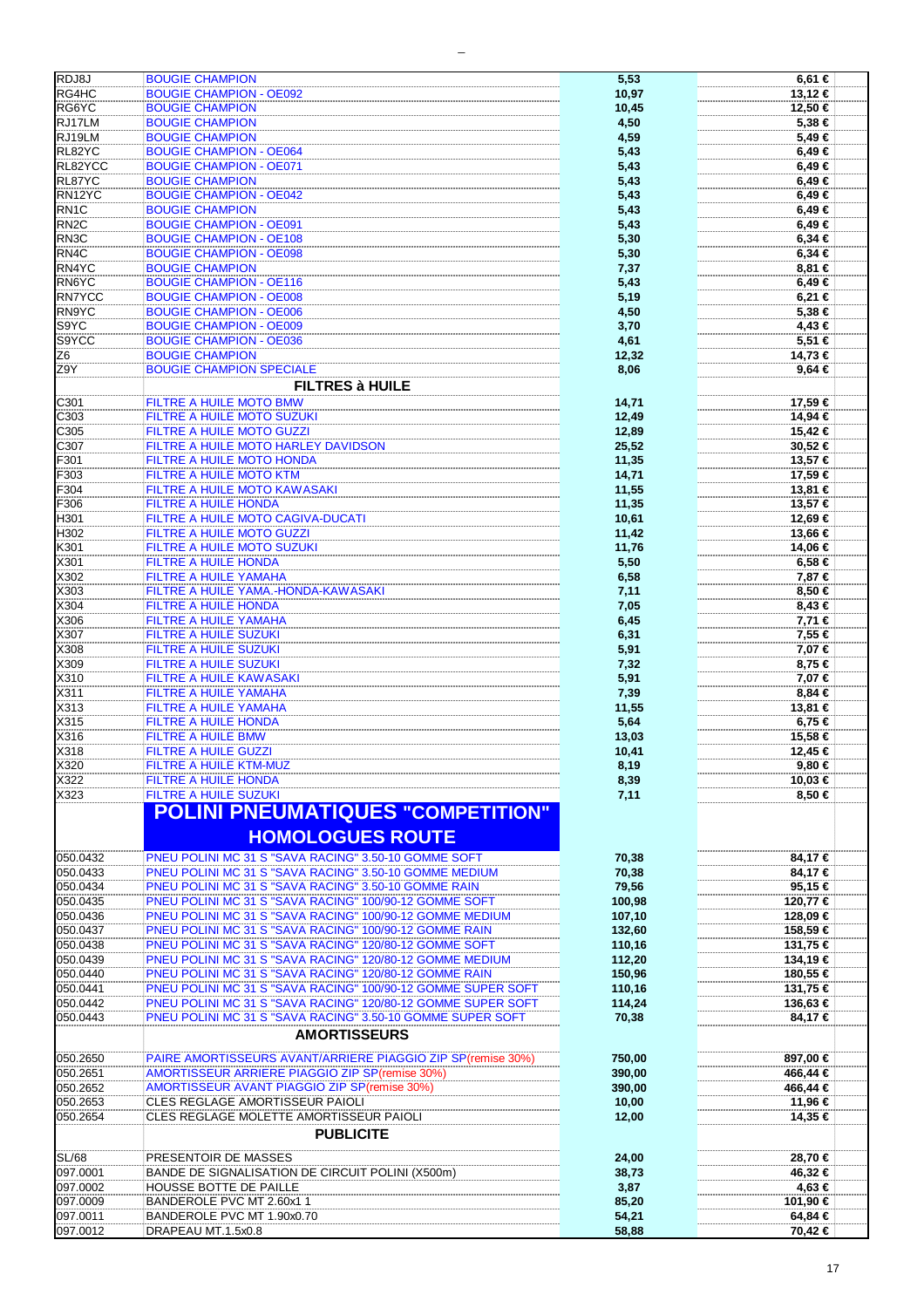| RDJ8J             | <b>BOUGIE CHAMPION</b>                                                                                                      | 5,53   | 6,61 €     |
|-------------------|-----------------------------------------------------------------------------------------------------------------------------|--------|------------|
| RG4HC             | <b>BOUGIE CHAMPION - OE092</b>                                                                                              | 10,97  | 13,12 €    |
| RG6YC             | <b>BOUGIE CHAMPION</b>                                                                                                      | 10,45  | 12,50 €    |
|                   |                                                                                                                             |        |            |
| RJ17LM            | <b>BOUGIE CHAMPION</b>                                                                                                      | 4,50   | 5,38 €     |
| RJ19LM            | <b>BOUGIE CHAMPION</b>                                                                                                      | 4,59   | 5,49€      |
| RL82YC            | <b>BOUGIE CHAMPION - OE064</b>                                                                                              | 5,43   | 6,49€      |
| RL82YCC           | <b>BOUGIE CHAMPION - OE071</b>                                                                                              | 5,43   | 6,49€      |
| RL87YC            | <b>BOUGIE CHAMPION</b>                                                                                                      | 5,43   | 6,49 €     |
|                   |                                                                                                                             |        |            |
| RN12YC            | <b>BOUGIE CHAMPION - OE042</b>                                                                                              | 5,43   | 6,49€      |
| RN <sub>1</sub> C | <b>BOUGIE CHAMPION</b>                                                                                                      | 5,43   | 6,49 €     |
| RN <sub>2</sub> C | <b>BOUGIE CHAMPION - OE091</b>                                                                                              | 5,43   | 6,49€      |
| RN <sub>3</sub> C | <b>BOUGIE CHAMPION - OE108</b>                                                                                              | 5,30   | $6,34 \in$ |
| RN4C              | <b>BOUGIE CHAMPION - OE098</b>                                                                                              |        |            |
|                   |                                                                                                                             | 5,30   | $6,34 \in$ |
| RN4YC             | <b>BOUGIE CHAMPION</b>                                                                                                      | 7,37   | 8,81 €     |
| RN6YC             | <b>BOUGIE CHAMPION - OE116</b>                                                                                              | 5,43   | 6,49€      |
| <b>RN7YCC</b>     | <b>BOUGIE CHAMPION - OE008</b>                                                                                              | 5,19   | 6,21 €     |
| RN9YC             | <b>BOUGIE CHAMPION - OE006</b>                                                                                              | 4,50   | 5,38 €     |
| S9YC              | <b>BOUGIE CHAMPION - OE009</b>                                                                                              |        | 4,43 €     |
|                   |                                                                                                                             | 3,70   |            |
| S9YCC             | <b>BOUGIE CHAMPION - OE036</b>                                                                                              | 4,61   | $5,51$ €   |
| Z6                | <b>BOUGIE CHAMPION</b>                                                                                                      | 12,32  | $14,73$ €  |
| Z9Y               | <b>BOUGIE CHAMPION SPECIALE</b>                                                                                             | 8,06   | $9,64 \in$ |
|                   | <b>FILTRES à HUILE</b>                                                                                                      |        |            |
|                   |                                                                                                                             |        |            |
| C301              | FILTRE A HUILE MOTO BMW                                                                                                     | 14,71  | 17,59 €    |
| C303              | <b>FILTRE A HUILE MOTO SUZUKI</b>                                                                                           | 12,49  | 14,94 €    |
| C305              | FILTRE A HUILE MOTO GUZZI                                                                                                   | 12,89  | 15,42 €    |
| C307              | FILTRE A HUILE MOTO HARLEY DAVIDSON                                                                                         | 25,52  | 30,52 €    |
|                   |                                                                                                                             |        |            |
| F301              | <b>FILTRE A HUILE MOTO HONDA</b>                                                                                            | 11,35  | 13,57 €    |
| F303              | <b>FILTRE A HUILE MOTO KTM</b>                                                                                              | 14,71  | 17,59 €    |
| F304              | <b>FILTRE A HUILE MOTO KAWASAKI</b>                                                                                         | 11,55  | 13,81 €    |
| F306              | <b>FILTRE A HUILE HONDA</b>                                                                                                 | 11,35  | 13,57 €    |
|                   |                                                                                                                             |        |            |
| H301              | FILTRE A HUILE MOTO CAGIVA-DUCATI                                                                                           | 10,61  | 12,69 €    |
| H302              | FILTRE A HUILE MOTO GUZZI                                                                                                   | 11,42  | 13,66 €    |
| K301              | FILTRE A HUILE MOTO SUZUKI                                                                                                  | 11,76  | 14,06 €    |
| X301              | FILTRE A HUILE HONDA                                                                                                        | 5,50   | 6,58 €     |
| X302              | <b>FILTRE A HUILE YAMAHA</b>                                                                                                | 6,58   | 7,87 €     |
|                   |                                                                                                                             |        |            |
| X303              | FILTRE A HUILE YAMA.-HONDA-KAWASAKI                                                                                         | 7,11   | 8,50 €     |
| X304              | <b>FILTRE A HUILE HONDA</b>                                                                                                 | 7,05   | 8,43 €     |
| X306              | <b>FILTRE A HUILE YAMAHA</b>                                                                                                | 6,45   | 7,71 €     |
| X307              | <b>FILTRE A HUILE SUZUKI</b>                                                                                                | 6,31   | 7,55 €     |
| X308              | <b>FILTRE A HUILE SUZUKI</b>                                                                                                | 5,91   | 7,07 €     |
|                   |                                                                                                                             |        |            |
| X309              | <b>FILTRE A HUILE SUZUKI</b>                                                                                                | 7,32   | 8,75 €     |
| X310              | <b>FILTRE A HUILE KAWASAKI</b>                                                                                              | 5,91   | 7,07 €     |
| X311              | <b>FILTRE A HUILE YAMAHA</b>                                                                                                | 7,39   | 8,84 €     |
| X313              | <b>FILTRE A HUILE YAMAHA</b>                                                                                                | 11,55  | 13,81 €    |
| X315              | FILTRE A HUILE HONDA                                                                                                        | 5,64   | 6,75 €     |
|                   |                                                                                                                             |        |            |
| X316              | <b>FILTRE A HUILE BMW</b>                                                                                                   | 13,03  | 15.58 €    |
| X318              | <b>FILTRE A HUILE GUZZI</b>                                                                                                 | 10,41  | 12,45 €    |
| X320              | <b>FILTRE A HUILE KTM-MUZ</b>                                                                                               | 8,19   | $9,80 \in$ |
| X322              | <b>FILTRE A HUILE HONDA</b>                                                                                                 | 8,39   | 10,03 €    |
| X323              | FILTRE A HUILE SUZUKI                                                                                                       | 7,11   | 8,50 €     |
|                   |                                                                                                                             |        |            |
| 050.0432          | <b>POLINI PNEUMATIQUES "COMPETITION"</b><br><b>HOMOLOGUES ROUTE</b><br>PNEU POLINI MC 31 S "SAVA RACING" 3.50-10 GOMME SOFT | 70,38  | 84,17€     |
|                   |                                                                                                                             |        |            |
| 050.0433          | PNEU POLINI MC 31 S "SAVA RACING" 3.50-10 GOMME MEDIUM                                                                      | 70,38  | 84,17 €    |
| 050.0434          | PNEU POLINI MC 31 S "SAVA RACING" 3.50-10 GOMME RAIN                                                                        | 79,56  | 95,15 €    |
| 050.0435          | PNEU POLINI MC 31 S "SAVA RACING" 100/90-12 GOMME SOFT                                                                      | 100,98 | 120,77 €   |
| 050.0436          | PNEU POLINI MC 31 S "SAVA RACING" 100/90-12 GOMME MEDIUM                                                                    | 107,10 | 128,09 €   |
| 050.0437          | PNEU POLINI MC 31 S "SAVA RACING" 100/90-12 GOMME RAIN                                                                      | 132,60 | 158,59 €   |
|                   |                                                                                                                             |        |            |
| 050.0438          | PNEU POLINI MC 31 S "SAVA RACING" 120/80-12 GOMME SOFT                                                                      | 110,16 | 131,75 €   |
| 050.0439          | PNEU POLINI MC 31 S "SAVA RACING" 120/80-12 GOMME MEDIUM                                                                    | 112,20 | 134,19 €   |
| 050.0440          | PNEU POLINI MC 31 S "SAVA RACING" 120/80-12 GOMME RAIN                                                                      | 150,96 | 180,55 €   |
| 050.0441          | PNEU POLINI MC 31 S "SAVA RACING" 100/90-12 GOMME SUPER SOFT                                                                | 110,16 | 131,75 €   |
| 050.0442          | PNEU POLINI MC 31 S "SAVA RACING" 120/80-12 GOMME SUPER SOFT                                                                | 114,24 | 136,63 €   |
| 050.0443          | PNEU POLINI MC 31 S "SAVA RACING" 3.50-10 GOMME SUPER SOFT                                                                  |        | 84,17€     |
|                   |                                                                                                                             | 70,38  |            |
|                   | <b>AMORTISSEURS</b>                                                                                                         |        |            |
| 050.2650          | PAIRE AMORTISSEURS AVANT/ARRIERE PIAGGIO ZIP SP(remise 30%)                                                                 | 750,00 | 897,00 €   |
| 050.2651          | <b>AMORTISSEUR ARRIERE PIAGGIO ZIP SP(remise 30%)</b>                                                                       | 390,00 | 466,44 €   |
| 050.2652          | <b>AMORTISSEUR AVANT PIAGGIO ZIP SP(remise 30%)</b>                                                                         | 390,00 | 466,44 €   |
| 050.2653          | CLES REGLAGE AMORTISSEUR PAIOLI                                                                                             | 10,00  | 11,96 €    |
| 050.2654          | CLES REGLAGE MOLETTE AMORTISSEUR PAIOLI                                                                                     | 12,00  | 14,35 €    |
|                   |                                                                                                                             |        |            |
|                   | <b>PUBLICITE</b>                                                                                                            |        |            |
| <b>SL/68</b>      | PRESENTOIR DE MASSES                                                                                                        | 24,00  | 28,70 €    |
| 097.0001          | BANDE DE SIGNALISATION DE CIRCUIT POLINI (X500m)                                                                            | 38,73  | 46,32 €    |
| 097.0002          | HOUSSE BOTTE DE PAILLE                                                                                                      | 3,87   | 4,63 €     |
| 097.0009          | BANDEROLE PVC MT 2.60x1 1                                                                                                   | 85,20  | 101,90 €   |
| 097.0011          | BANDEROLE PVC MT 1.90x0.70                                                                                                  | 54,21  | 64,84 €    |
| 097.0012          | DRAPEAU MT.1.5x0.8                                                                                                          | 58,88  | 70,42 €    |
|                   |                                                                                                                             |        |            |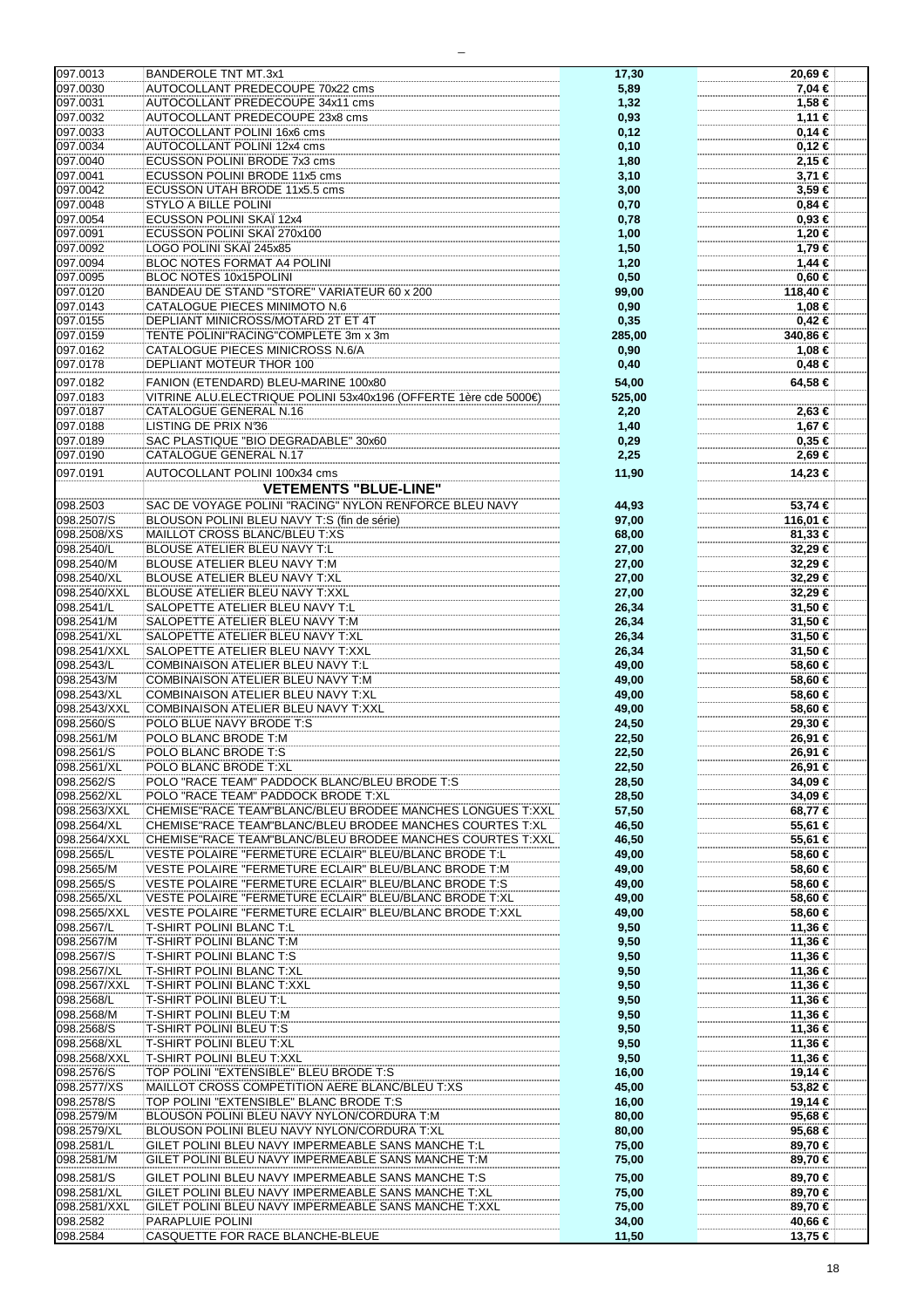| 097.0013             | <b>BANDEROLE TNT MT.3x1</b>                                      | 17,30          | 20,69 €            |
|----------------------|------------------------------------------------------------------|----------------|--------------------|
| 097.0030             | AUTOCOLLANT PREDECOUPE 70x22 cms                                 | 5,89           | 7,04 €             |
| 097.0031             | AUTOCOLLANT PREDECOUPE 34x11 cms                                 | 1,32           | 1,58 €             |
|                      |                                                                  |                |                    |
| 097.0032             | AUTOCOLLANT PREDECOUPE 23x8 cms                                  | 0,93           | 1,11 €             |
| 097.0033             | AUTOCOLLANT POLINI 16x6 cms                                      | 0,12           | 0,14€              |
| 097.0034             | AUTOCOLLANT POLINI 12x4 cms                                      | 0,10           | 0,12€              |
| 097.0040             | ECUSSON POLINI BRODE 7x3 cms                                     |                |                    |
|                      |                                                                  | 1,80           | 2,15 €             |
| 097.0041             | ECUSSON POLINI BRODE 11x5 cms                                    | 3,10           | 3,71 €             |
| 097.0042             | ECUSSON UTAH BRODE 11x5.5 cms                                    | 3,00           | 3,59€              |
|                      |                                                                  |                |                    |
| 097.0048             | STYLO A BILLE POLINI                                             | 0,70           | $0,84 \in$         |
| 097.0054             | ECUSSON POLINI SKAÏ 12x4                                         | 0,78           | $0,93 \in$         |
| 097.0091             | ECUSSON POLINI SKAÏ 270x100                                      | 1,00           | 1,20 €             |
| 097.0092             | LOGO POLINI SKAÏ 245x85                                          | 1,50           | 1,79 €             |
|                      |                                                                  |                |                    |
| 097.0094             | <b>BLOC NOTES FORMAT A4 POLINI</b>                               | 1,20           | 1,44 €             |
| 097.0095             | BLOC NOTES 10x15POLINI                                           | 0,50           | $0,60 \in$         |
| 097.0120             | BANDEAU DE STAND "STORE" VARIATEUR 60 x 200                      | 99,00          | 118,40 €           |
|                      |                                                                  |                |                    |
| 097.0143             | CATALOGUE PIECES MINIMOTO N.6                                    | 0,90           | 1,08 €             |
| 097.0155             | DEPLIANT MINICROSS/MOTARD 2T ET 4T                               | 0,35           | $0,42$ €           |
| 097.0159             | TENTE POLINI"RACING"COMPLETE 3m x 3m                             | 285,00         | 340,86 €           |
|                      |                                                                  |                |                    |
| 097.0162             | <b>CATALOGUE PIECES MINICROSS N.6/A</b>                          | 0,90           | 1,08 €             |
| 097.0178             | DEPLIANT MOTEUR THOR 100                                         | 0,40           | $0,48 \in$         |
|                      |                                                                  |                |                    |
| 097.0182             | FANION (ETENDARD) BLEU-MARINE 100x80                             | 54,00          | 64,58 €            |
| 097.0183             | VITRINE ALU.ELECTRIQUE POLINI 53x40x196 (OFFERTE 1ère cde 5000€) | 525,00         |                    |
| 097.0187             | CATALOGUE GENERAL N.16                                           | 2,20           | 2,63 €             |
|                      |                                                                  |                |                    |
| 097.0188             | <b>LISTING DE PRIX N36</b>                                       | 1,40           | 1,67 €             |
| 097.0189             | SAC PLASTIQUE "BIO DEGRADABLE" 30x60                             | 0,29           | 0,35€              |
| 097.0190             | CATALOGUE GENERAL N.17                                           | 2,25           | 2,69 €             |
|                      |                                                                  |                |                    |
| 097.0191             | AUTOCOLLANT POLINI 100x34 cms                                    | 11,90          | 14.23 €            |
|                      | <b>VETEMENTS "BLUE-LINE"</b>                                     |                |                    |
|                      |                                                                  |                |                    |
| 098.2503             | SAC DE VOYAGE POLINI "RACING" NYLON RENFORCE BLEU NAVY           | 44,93          | 53,74 €            |
| 098.2507/S           | BLOUSON POLINI BLEU NAVY T:S (fin de série)                      | 97,00          | 116,01 €           |
| 098.2508/XS          | MAILLOT CROSS BLANC/BLEU T:XS                                    | 68,00          | 81,33 €            |
|                      |                                                                  |                |                    |
| 098.2540/L           | BLOUSE ATELIER BLEU NAVY T:L                                     | 27,00          | 32,29€             |
| 098.2540/M           | BLOUSE ATELIER BLEU NAVY T:M                                     | 27,00          | 32,29 €            |
| 098.2540/XL          | BLOUSE ATELIER BLEU NAVY T:XL                                    | 27,00          | 32,29 €            |
|                      |                                                                  |                |                    |
| 098.2540/XXL         | <b>BLOUSE ATELIER BLEU NAVY T:XXL</b>                            | 27,00          | 32,29€             |
| 098.2541/L           | SALOPETTE ATELIER BLEU NAVY T:L                                  | 26,34          | 31,50 €            |
| 098.2541/M           | SALOPETTE ATELIER BLEU NAVY T:M                                  | 26,34          | 31,50 €            |
|                      |                                                                  |                |                    |
| 098.2541/XL          | SALOPETTE ATELIER BLEU NAVY T:XL                                 | 26,34          | 31,50 €            |
| 098.2541/XXL         | SALOPETTE ATELIER BLEU NAVY T:XXL                                | 26,34          | 31,50 €            |
| 098.2543/L           | <b>COMBINAISON ATELIER BLEU NAVY T:L</b>                         | 49,00          | 58,60 €            |
|                      |                                                                  |                |                    |
| 098.2543/M           | COMBINAISON ATELIER BLEU NAVY T:M                                | 49,00          | 58,60 €            |
| 098.2543/XL          | COMBINAISON ATELIER BLEU NAVY T:XL                               | 49,00          | 58,60 €            |
| 098.2543/XXL         | COMBINAISON ATELIER BLEU NAVY T:XXL                              | 49,00          | 58,60 €            |
|                      |                                                                  |                |                    |
| 098.2560/S           | POLO BLUE NAVY BRODE T:S                                         | 24,50          | 29,30 €            |
| 098.2561/M           | POLO BLANC BRODE T:M                                             | 22,50          | 26,91 €            |
| 098.2561/S           | POLO BLANC BRODE T:S                                             | 22,50          | 26,91 €            |
|                      |                                                                  |                |                    |
| 098.2561/XL          | POLO BLANC BRODE T:XL                                            | 22,50          | 26,91 €            |
| 098.2562/S           | POLO "RACE TEAM" PADDOCK BLANC/BLEU BRODE T:S                    | 28,50          | 34.09 €            |
| 098.2562/XL          | POLO "RACE TEAM" PADDOCK BRODE T:XL                              | 28,50          | 34,09€             |
| 098.2563/XXL         | CHEMISE"RACE TEAM"BLANC/BLEU BRODEE MANCHES LONGUES T:XXL        | 57,50          | 68,77 €            |
|                      |                                                                  |                |                    |
| 098.2564/XL          | CHEMISE"RACE TEAM"BLANC/BLEU BRODEE MANCHES COURTES T:XL         | 46,50          | 55,61 €            |
| 098.2564/XXL         | CHEMISE"RACE TEAM"BLANC/BLEU BRODEE MANCHES COURTES T:XXL        | 46,50          | 55,61 €            |
| 098.2565/L           | VESTE POLAIRE "FERMETURE ECLAIR" BLEU/BLANC BRODE T:L            | 49,00          | 58,60 €            |
|                      |                                                                  |                |                    |
| 098.2565/M           | VESTE POLAIRE "FERMETURE ECLAIR" BLEU/BLANC BRODE T:M            | 49,00          | 58,60 €            |
| 098.2565/S           | VESTE POLAIRE "FERMETURE ECLAIR" BLEU/BLANC BRODE T:S            | 49,00          | 58,60 €            |
| 098.2565/XL          | VESTE POLAIRE "FERMETURE ECLAIR" BLEU/BLANC BRODE T:XL           | 49,00          | 58,60 €            |
|                      | VESTE POLAIRE "FERMETURE ECLAIR" BLEU/BLANC BRODE T:XXL          |                |                    |
| 098.2565/XXL         |                                                                  | 49,00          | 58,60 €            |
| 098.2567/L           | <b>T-SHIRT POLINI BLANC T:L</b>                                  | 9,50           | 11.36 €            |
| 098.2567/M           | T-SHIRT POLINI BLANC T:M                                         | 9,50           | 11,36 €            |
| 098.2567/S           | T-SHIRT POLINI BLANC T:S                                         | 9,50           | 11,36 €            |
|                      |                                                                  |                |                    |
| 098.2567/XL          | <b>T-SHIRT POLINI BLANC T:XL</b>                                 | 9,50           | 11,36 €            |
| 098.2567/XXL         | <b>T-SHIRT POLINI BLANC T:XXL</b>                                | 9,50           | 11,36 €            |
| 098.2568/L           | T-SHIRT POLINI BLEU T:L                                          | 9,50           | 11,36 €            |
|                      |                                                                  |                |                    |
| 098.2568/M           | T-SHIRT POLINI BLEU T:M                                          | 9,50           | 11,36 €            |
| 098.2568/S           | <b>T-SHIRT POLINI BLEU T:S</b>                                   | 9,50           | 11,36 €            |
| 098.2568/XL          | T-SHIRT POLINI BLEU T:XL                                         | 9,50           | 11,36 €            |
|                      |                                                                  |                |                    |
| 098.2568/XXL         | T-SHIRT POLINI BLEU T:XXL                                        | 9,50           | 11,36 €            |
| 098.2576/S           | TOP POLINI "EXTENSIBLE" BLEU BRODE T:S                           | 16,00          | 19,14 €            |
| 098.2577/XS          | MAILLOT CROSS COMPETITION AERE BLANC/BLEU T:XS                   | 45,00          | 53,82 €            |
|                      |                                                                  |                |                    |
| 098.2578/S           | TOP POLINI "EXTENSIBLE" BLANC BRODE T:S                          | 16,00          | 19,14 €            |
| 098.2579/M           | BLOUSON POLINI BLEU NAVY NYLON/CORDURA T:M                       | 80,00          | 95,68 €            |
| 098.2579/XL          | BLOUSON POLINI BLEU NAVY NYLON/CORDURA T:XL                      | 80,00          | 95,68 €            |
| 098.2581/L           | GILET POLINI BLEU NAVY IMPERMEABLE SANS MANCHE T:L               |                | 89,70 €            |
|                      |                                                                  | 75,00          |                    |
| 098.2581/M           | GILET POLINI BLEU NAVY IMPERMEABLE SANS MANCHE T:M               | 75,00          | 89,70 €            |
| 098.2581/S           | GILET POLINI BLEU NAVY IMPERMEABLE SANS MANCHE T:S               | 75,00          | 89,70 €            |
|                      |                                                                  |                |                    |
| 098.2581/XL          | GILET POLINI BLEU NAVY IMPERMEABLE SANS MANCHE T:XL              | 75,00          | 89,70 €            |
| 098.2581/XXL         |                                                                  |                |                    |
|                      |                                                                  |                |                    |
|                      | GILET POLINI BLEU NAVY IMPERMEABLE SANS MANCHE T:XXL             | 75,00          | 89,70 €            |
| 098.2582<br>098.2584 | PARAPLUIE POLINI<br>CASQUETTE FOR RACE BLANCHE-BLEUE             | 34,00<br>11,50 | 40,66 €<br>13,75 € |

 $\overline{\phantom{0}}$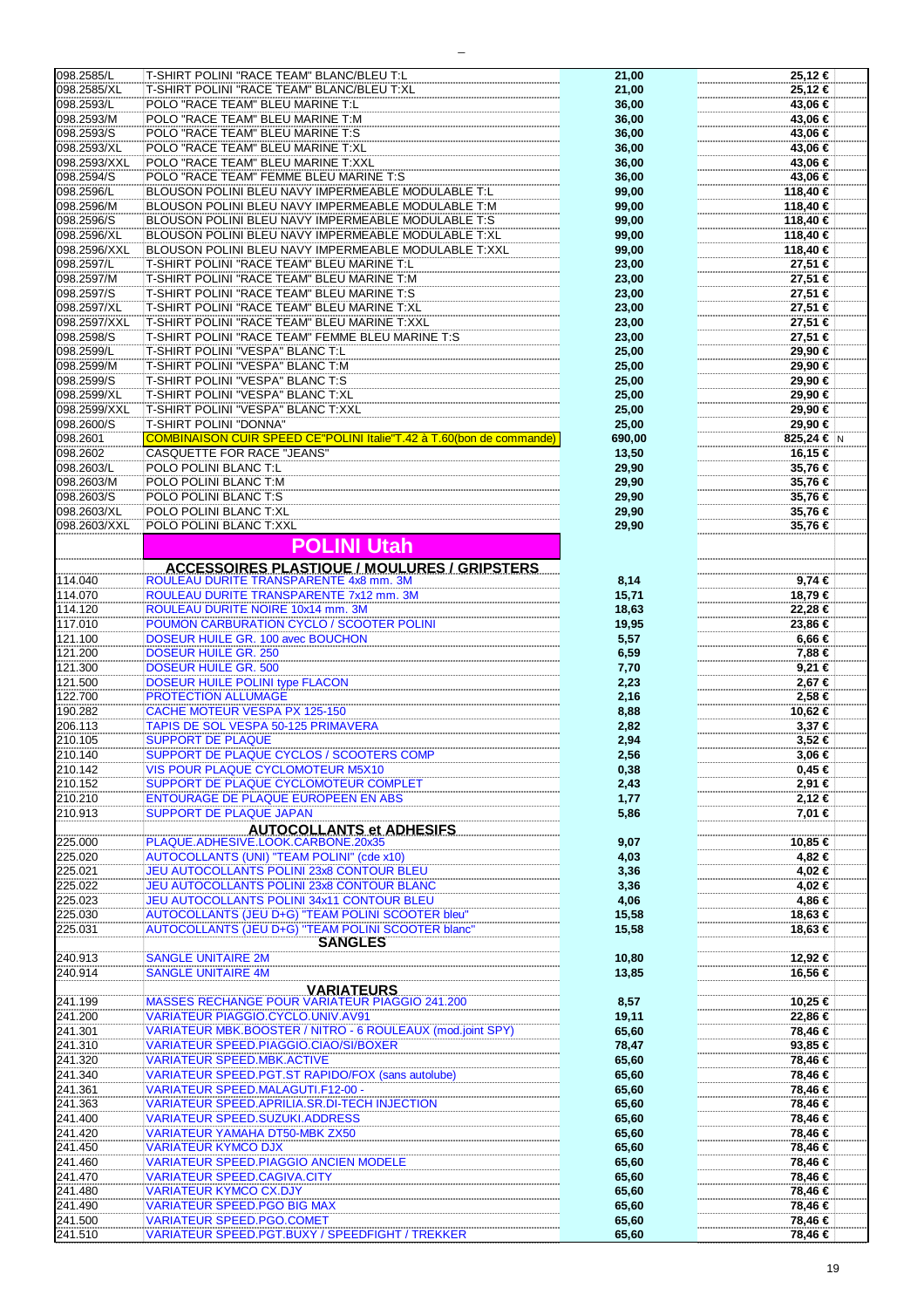| 098.2585/L         |                                                                                     |                |                    |
|--------------------|-------------------------------------------------------------------------------------|----------------|--------------------|
|                    | T-SHIRT POLINI "RACE TEAM" BLANC/BLEU T:L                                           | 21,00          | 25,12 €            |
| 098.2585/XL        | T-SHIRT POLINI "RACE TEAM" BLANC/BLEU T:XL                                          |                | 25,12 €            |
|                    |                                                                                     | 21,00          |                    |
| 098.2593/L         | POLO "RACE TEAM" BLEU MARINE T:L                                                    | 36,00          | 43,06 €            |
|                    |                                                                                     |                |                    |
| 098.2593/M         | POLO "RACE TEAM" BLEU MARINE T:M                                                    | 36,00          | 43,06 €            |
| 098.2593/S         | POLO "RACE TEAM" BLEU MARINE T:S                                                    | 36,00          | 43,06 €            |
|                    |                                                                                     |                |                    |
| 098.2593/XL        | POLO "RACE TEAM" BLEU MARINE T:XL                                                   | 36,00          | 43,06 €            |
| 098.2593/XXL       | POLO "RACE TEAM" BLEU MARINE T:XXL                                                  | 36,00          | 43,06 €            |
|                    |                                                                                     |                |                    |
| 098.2594/S         | POLO "RACE TEAM" FEMME BLEU MARINE T:S                                              | 36,00          | 43,06 €            |
| 098.2596/L         | BLOUSON POLINI BLEU NAVY IMPERMEABLE MODULABLE T:L                                  | 99,00          | 118,40 €           |
|                    |                                                                                     |                |                    |
| 098.2596/M         | BLOUSON POLINI BLEU NAVY IMPERMEABLE MODULABLE T:M                                  | 99,00          | 118,40 €           |
| 098.2596/S         | BLOUSON POLINI BLEU NAVY IMPERMEABLE MODULABLE T:S                                  | 99,00          | 118,40 €           |
|                    |                                                                                     |                |                    |
| 098.2596/XL        | BLOUSON POLINI BLEU NAVY IMPERMEABLE MODULABLE T:XL                                 | 99,00          | 118,40 €           |
|                    |                                                                                     |                |                    |
| 098.2596/XXL       | BLOUSON POLINI BLEU NAVY IMPERMEABLE MODULABLE T:XXL                                | 99,00          | 118,40 €           |
| 098.2597/L         | T-SHIRT POLINI "RACE TEAM" BLEU MARINE T:L                                          | 23,00          | 27,51 €            |
|                    |                                                                                     |                |                    |
| 098.2597/M         | T-SHIRT POLINI "RACE TEAM" BLEU MARINE T:M                                          | 23,00          | 27,51 €            |
| 098.2597/S         | T-SHIRT POLINI "RACE TEAM" BLEU MARINE T:S                                          | 23,00          | 27,51 €            |
|                    |                                                                                     |                |                    |
| 098.2597/XL        | T-SHIRT POLINI "RACE TEAM" BLEU MARINE T:XL                                         | 23,00          | 27,51 €            |
| 098.2597/XXL       | T-SHIRT POLINI "RACE TEAM" BLEU MARINE T:XXL                                        | 23,00          | 27,51 €            |
|                    |                                                                                     |                |                    |
| 098.2598/S         | T-SHIRT POLINI "RACE TEAM" FEMME BLEU MARINE T:S                                    | 23,00          | 27,51 €            |
| 098.2599/L         | T-SHIRT POLINI "VESPA" BLANC T:L                                                    | 25,00          | 29,90 €            |
|                    |                                                                                     |                |                    |
| 098.2599/M         | T-SHIRT POLINI "VESPA" BLANC T:M                                                    | 25,00          | 29,90 €            |
|                    |                                                                                     |                |                    |
| 098.2599/S         | T-SHIRT POLINI "VESPA" BLANC T:S                                                    | 25,00          | 29,90 €            |
| 098.2599/XL        | <b>T-SHIRT POLINI "VESPA" BLANC T:XL</b>                                            | 25,00          | 29,90 €            |
|                    |                                                                                     |                |                    |
| 098.2599/XXL       | T-SHIRT POLINI "VESPA" BLANC T:XXL                                                  | 25,00          | 29,90 €            |
| 098.2600/S         | <b>T-SHIRT POLINI "DONNA"</b>                                                       | 25,00          | 29,90 €            |
|                    |                                                                                     |                |                    |
| 098.2601           | COMBINAISON CUIR SPEED CE"POLINI Italie"T.42 à T.60(bon de commande)                | 690,00         | 825.24 € IN        |
| 098.2602           | <b>CASQUETTE FOR RACE "JEANS"</b>                                                   |                | 16,15 €            |
|                    |                                                                                     | 13,50          |                    |
| 098.2603/L         | POLO POLINI BLANC T:L                                                               | 29,90          | 35,76 €            |
|                    |                                                                                     |                |                    |
| 098.2603/M         | POLO POLINI BLANC T:M                                                               | 29,90          | 35,76 €            |
| 098.2603/S         | POLO POLINI BLANC T:S                                                               | 29,90          | 35,76 €            |
|                    |                                                                                     |                |                    |
| 098.2603/XL        | POLO POLINI BLANC T:XL                                                              | 29,90          | 35,76 €            |
| 098.2603/XXL       | POLO POLINI BLANC T:XXL                                                             | 29,90          | 35,76 €            |
|                    |                                                                                     |                |                    |
|                    | <b>POLINI Utah</b>                                                                  |                |                    |
|                    |                                                                                     |                |                    |
|                    |                                                                                     |                |                    |
|                    | <b>ACCESSOIRES PLASTIQUE / MOULURES / GRIPSTERS</b>                                 |                |                    |
| 114.040            | ROULEAU DURITE TRANSPARENTE 4x8 mm. 3M                                              | 8,14           | 9,74 €             |
|                    |                                                                                     |                |                    |
| 114.070            | ROULEAU DURITE TRANSPARENTE 7x12 mm. 3M                                             | 15,71          | 18,79 €            |
| 114.120            | ROULEAU DURITE NOIRE 10x14 mm. 3M                                                   | 18,63          | 22,28 €            |
|                    |                                                                                     |                |                    |
| 117.010            | POUMON CARBURATION CYCLO / SCOOTER POLINI                                           | 19,95          | 23,86 €            |
| 121.100            | DOSEUR HUILE GR. 100 avec BOUCHON                                                   | 5,57           | 6,66 €             |
|                    |                                                                                     |                |                    |
| 121.200            | <b>DOSEUR HUILE GR. 250</b>                                                         | 6,59           | 7,88 €             |
|                    |                                                                                     |                |                    |
| 121.300            | <b>DOSEUR HUILE GR. 500</b>                                                         | 7,70           | 9,21 €             |
| 121.500            | DOSEUR HUILE POLINI type FLACON                                                     | 2,23           | 2,67 €             |
|                    |                                                                                     |                |                    |
| 122.700            | <b>PROTECTION ALLUMAGE</b>                                                          | 2,16           | 2,58 €             |
| 190.282            | CACHE MOTEUR VESPA PX 125-150                                                       | 8,88           | 10,62 €            |
|                    |                                                                                     |                |                    |
| 206.113            | <b>TAPIS DE SOL VESPA 50-125 PRIMAVERA</b>                                          | 2,82           | 3,37 €             |
| 210.105            | <b>SUPPORT DE PLAQUE</b>                                                            | 2,94           | 3,52 €             |
|                    |                                                                                     |                |                    |
| 210.140            | SUPPORT DE PLAQUE CYCLOS / SCOOTERS COMP                                            | 2,56           | 3,06€              |
| 210.142            | <b>VIS POUR PLAQUE CYCLOMOTEUR M5X10</b>                                            |                |                    |
|                    |                                                                                     |                |                    |
|                    |                                                                                     | 0,38           | 0,45€              |
| 210.152            | SUPPORT DE PLAQUE CYCLOMOTEUR COMPLET                                               |                |                    |
|                    |                                                                                     | 2,43           | 2,91 €             |
| 210.210            | <b>ENTOURAGE DE PLAQUE EUROPEEN EN ABS</b>                                          | 1,77           | 2,12 €             |
|                    |                                                                                     |                |                    |
| 210.913            | <b>SUPPORT DE PLAQUE JAPAN</b>                                                      | 5,86           | 7,01 €             |
|                    | <b>AUTOCOLLANTS et ADHESIFS</b>                                                     |                |                    |
|                    |                                                                                     |                |                    |
| 225.000            | PLAQUE.ADHESIVE.LOOK.CARBONE.20x35                                                  | 9,07           | 10,85 €            |
| 225.020            | AUTOCOLLANTS (UNI) "TEAM POLINI" (cde x10)                                          | 4,03           | 4,82 €             |
|                    |                                                                                     |                |                    |
| 225.021            | JEU AUTOCOLLANTS POLINI 23x8 CONTOUR BLEU                                           | 3,36           | 4,02 €             |
| 225.022            | JEU AUTOCOLLANTS POLINI 23x8 CONTOUR BLANC                                          | 3,36           | 4,02 €             |
|                    |                                                                                     |                |                    |
| 225.023            | JEU AUTOCOLLANTS POLINI 34x11 CONTOUR BLEU                                          | 4,06           | 4,86 €             |
|                    |                                                                                     |                |                    |
| 225.030            | AUTOCOLLANTS (JEU D+G) "TEAM POLINI SCOOTER bleu"                                   | 15,58          | 18,63 €            |
| 225.031            | AUTOCOLLANTS (JEU D+G) "TEAM POLINI SCOOTER blanc"                                  | 15,58          | 18,63 €            |
|                    |                                                                                     |                |                    |
|                    | <b>SANGLES</b>                                                                      |                |                    |
| 240.913            | <b>SANGLE UNITAIRE 2M</b>                                                           | 10,80          | 12,92 €            |
|                    |                                                                                     |                |                    |
| 240.914            | <b>SANGLE UNITAIRE 4M</b>                                                           | 13,85          | 16,56 €            |
|                    |                                                                                     |                |                    |
|                    | <b>VARIATEURS</b>                                                                   |                |                    |
| 241.199            | MASSES RECHANGE POUR VARIATEUR PIAGGIO 241.200                                      | 8,57           | 10,25 €            |
|                    |                                                                                     |                |                    |
| 241.200            | <b>VARIATEUR PIAGGIO.CYCLO.UNIV.AV91</b>                                            | 19,11          | 22,86 €            |
| 241.301            | VARIATEUR MBK.BOOSTER / NITRO - 6 ROULEAUX (mod.joint SPY)                          | 65,60          | 78,46 €            |
|                    |                                                                                     |                |                    |
| 241.310            | VARIATEUR SPEED.PIAGGIO.CIAO/SI/BOXER                                               | 78,47          | 93,85 €            |
| 241.320            | <b>VARIATEUR SPEED.MBK.ACTIVE</b>                                                   | 65,60          | 78,46 €            |
|                    |                                                                                     |                |                    |
| 241.340            | VARIATEUR SPEED.PGT.ST RAPIDO/FOX (sans autolube)                                   | 65,60          | 78,46 €            |
|                    | VARIATEUR SPEED.MALAGUTI.F12-00 -                                                   |                | 78,46 €            |
| 241.361            |                                                                                     | 65,60          |                    |
| 241.363            | VARIATEUR SPEED.APRILIA.SR.DI-TECH INJECTION                                        | 65,60          | 78,46 €            |
|                    |                                                                                     |                |                    |
|                    | <b>VARIATEUR SPEED.SUZUKI.ADDRESS</b>                                               | 65,60          | 78,46 €            |
| 241.400<br>241.420 | <b>VARIATEUR YAMAHA DT50-MBK ZX50</b>                                               | 65,60          | 78,46 €            |
|                    |                                                                                     |                |                    |
|                    | <b>VARIATEUR KYMCO DJX</b>                                                          | 65,60          | 78,46 €            |
| 241.450<br>241.460 |                                                                                     |                |                    |
|                    | <b>VARIATEUR SPEED.PIAGGIO ANCIEN MODELE</b>                                        | 65,60          | 78,46 €            |
| 241.470            | VARIATEUR SPEED.CAGIVA.CITY                                                         | 65,60          | 78,46 €            |
|                    |                                                                                     |                |                    |
| 241.480            | <b>VARIATEUR KYMCO CX.DJY</b>                                                       | 65,60          | 78,46 €            |
| 241.490            | <b>VARIATEUR SPEED.PGO BIG MAX</b>                                                  | 65,60          | 78,46 €            |
|                    |                                                                                     |                |                    |
| 241.500<br>241.510 | <b>VARIATEUR SPEED.PGO.COMET</b><br>VARIATEUR SPEED.PGT.BUXY / SPEEDFIGHT / TREKKER | 65,60<br>65,60 | 78,46 €<br>78,46 € |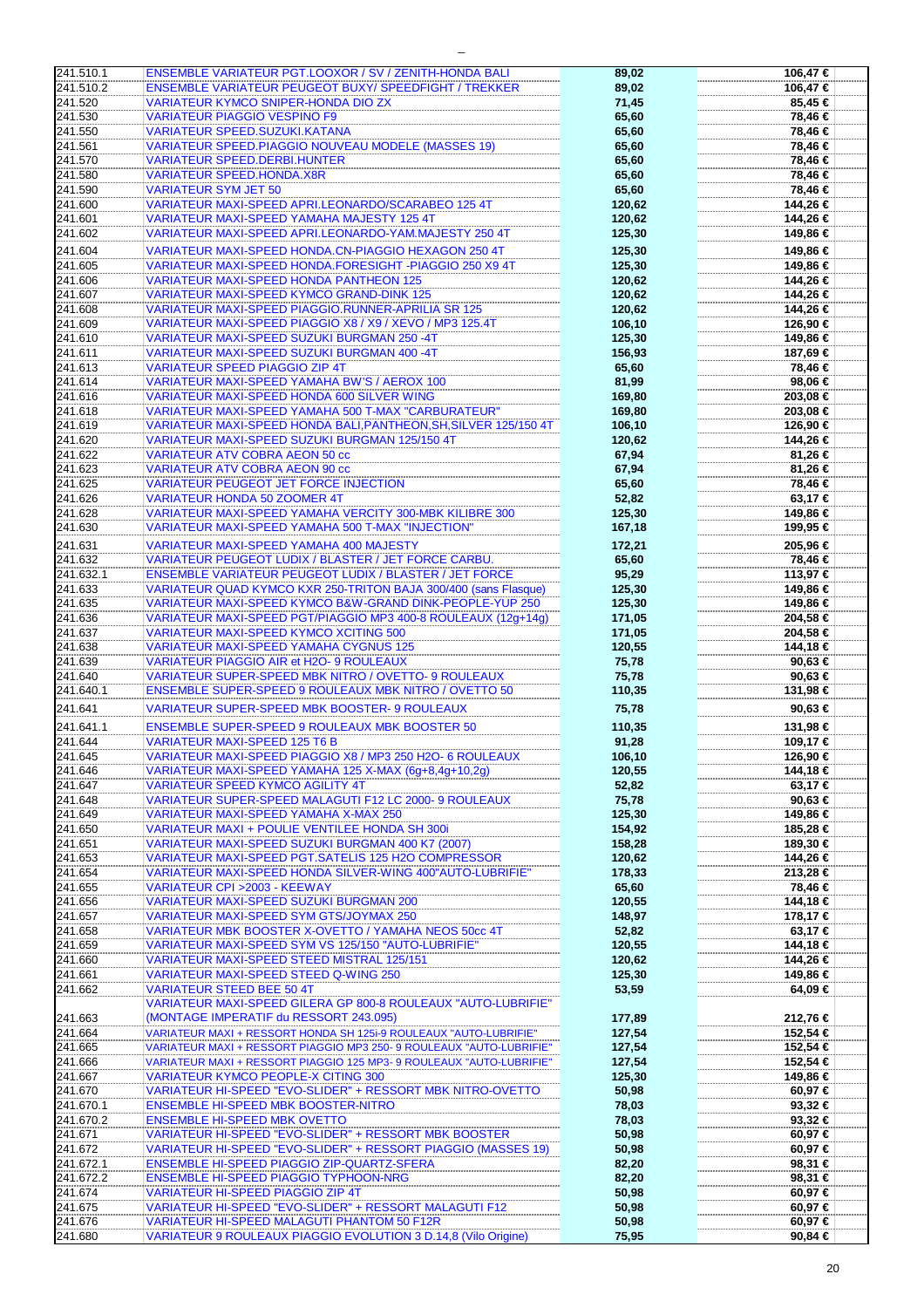| 241.510.1 | ENSEMBLE VARIATEUR PGT.LOOXOR / SV / ZENITH-HONDA BALI               | 89,02  | 106,47 € |
|-----------|----------------------------------------------------------------------|--------|----------|
| 241.510.2 | <b>ENSEMBLE VARIATEUR PEUGEOT BUXY/ SPEEDFIGHT / TREKKER</b>         | 89,02  | 106,47 € |
| 241.520   | VARIATEUR KYMCO SNIPER-HONDA DIO ZX                                  | 71,45  | 85,45 €  |
| 241.530   | <b>VARIATEUR PIAGGIO VESPINO F9</b>                                  | 65,60  |          |
|           |                                                                      |        | 78,46 €  |
| 241.550   | VARIATEUR SPEED.SUZUKI.KATANA                                        | 65,60  | 78,46 €  |
| 241.561   | <b>VARIATEUR SPEED.PIAGGIO NOUVEAU MODELE (MASSES 19)</b>            | 65,60  | 78,46 €  |
| 241.570   | <b>VARIATEUR SPEED.DERBI.HUNTER</b>                                  | 65,60  | 78,46 €  |
| 241.580   | <b>VARIATEUR SPEED.HONDA.X8R</b>                                     | 65,60  | 78,46 €  |
| 241.590   | <b>VARIATEUR SYM JET 50</b>                                          | 65,60  | 78,46 €  |
| 241.600   | VARIATEUR MAXI-SPEED APRI.LEONARDO/SCARABEO 125 4T                   |        |          |
|           |                                                                      | 120,62 | 144,26 € |
| 241.601   | VARIATEUR MAXI-SPEED YAMAHA MAJESTY 125 4T                           | 120,62 | 144,26 € |
| 241.602   | VARIATEUR MAXI-SPEED APRI.LEONARDO-YAM.MAJESTY 250 4T                | 125,30 | 149,86 € |
| 241.604   | VARIATEUR MAXI-SPEED HONDA.CN-PIAGGIO HEXAGON 250 4T                 | 125,30 | 149,86 € |
| 241.605   | VARIATEUR MAXI-SPEED HONDA.FORESIGHT -PIAGGIO 250 X9 4T              | 125,30 | 149,86 € |
| 241.606   | <b>VARIATEUR MAXI-SPEED HONDA PANTHEON 125</b>                       | 120,62 | 144,26 € |
| 241.607   | <b>VARIATEUR MAXI-SPEED KYMCO GRAND-DINK 125</b>                     | 120,62 | 144,26 € |
|           |                                                                      |        |          |
| 241.608   | VARIATEUR MAXI-SPEED PIAGGIO.RUNNER-APRILIA SR 125                   | 120,62 | 144,26 € |
| 241.609   | VARIATEUR MAXI-SPEED PIAGGIO X8 / X9 / XEVO / MP3 125.4T             | 106,10 | 126,90 € |
| 241.610   | VARIATEUR MAXI-SPEED SUZUKI BURGMAN 250 -4T                          | 125,30 | 149,86 € |
| 241.611   | VARIATEUR MAXI-SPEED SUZUKI BURGMAN 400 -4T                          | 156,93 | 187,69 € |
| 241.613   | <b>VARIATEUR SPEED PIAGGIO ZIP 4T</b>                                | 65,60  | 78,46 €  |
| 241.614   | VARIATEUR MAXI-SPEED YAMAHA BW'S / AEROX 100                         | 81,99  | 98,06 €  |
| 241.616   | <b>VARIATEUR MAXI-SPEED HONDA 600 SILVER WING</b>                    | 169,80 | 203,08 € |
|           |                                                                      |        |          |
| 241.618   | VARIATEUR MAXI-SPEED YAMAHA 500 T-MAX "CARBURATEUR"                  | 169,80 | 203,08 € |
| 241.619   | VARIATEUR MAXI-SPEED HONDA BALI,PANTHEON,SH,SILVER 125/150 4T        | 106,10 | 126,90 € |
| 241.620   | VARIATEUR MAXI-SPEED SUZUKI BURGMAN 125/150 4T                       | 120,62 | 144,26 € |
| 241.622   | <b>VARIATEUR ATV COBRA AEON 50 cc</b>                                | 67,94  | 81,26 €  |
| 241.623   | <b>VARIATEUR ATV COBRA AEON 90 cc</b>                                | 67,94  | 81,26 €  |
| 241.625   | VARIATEUR PEUGEOT JET FORCE INJECTION                                | 65,60  | 78,46 €  |
| 241.626   | <b>VARIATEUR HONDA 50 ZOOMER 4T</b>                                  | 52,82  | 63,17 €  |
| 241.628   | VARIATEUR MAXI-SPEED YAMAHA VERCITY 300-MBK KILIBRE 300              | 125,30 | 149,86 € |
| 241.630   | VARIATEUR MAXI-SPEED YAMAHA 500 T-MAX "INJECTION"                    | 167,18 | 199,95 € |
|           |                                                                      |        |          |
| 241.631   | VARIATEUR MAXI-SPEED YAMAHA 400 MAJESTY                              | 172,21 | 205,96€  |
| 241.632   | VARIATEUR PEUGEOT LUDIX / BLASTER / JET FORCE CARBU.                 | 65,60  | 78,46 €  |
| 241.632.1 | <b>ENSEMBLE VARIATEUR PEUGEOT LUDIX / BLASTER / JET FORCE</b>        | 95,29  | 113,97 € |
| 241.633   | VARIATEUR QUAD KYMCO KXR 250-TRITON BAJA 300/400 (sans Flasque)      | 125,30 | 149,86 € |
| 241.635   | VARIATEUR MAXI-SPEED KYMCO B&W-GRAND DINK-PEOPLE-YUP 250             | 125,30 | 149,86 € |
| 241.636   | VARIATEUR MAXI-SPEED PGT/PIAGGIO MP3 400-8 ROULEAUX (12g+14g)        | 171,05 | 204,58 € |
|           |                                                                      |        |          |
| 241.637   | <b>VARIATEUR MAXI-SPEED KYMCO XCITING 500</b>                        | 171,05 | 204,58 € |
| 241.638   | <b>VARIATEUR MAXI-SPEED YAMAHA CYGNUS 125</b>                        | 120,55 | 144,18 € |
| 241.639   | VARIATEUR PIAGGIO AIR et H2O- 9 ROULEAUX                             | 75,78  | 90,63 €  |
| 241.640   | VARIATEUR SUPER-SPEED MBK NITRO / OVETTO- 9 ROULEAUX                 | 75,78  | 90,63 €  |
| 241.640.1 | <b>ENSEMBLE SUPER-SPEED 9 ROULEAUX MBK NITRO / OVETTO 50</b>         | 110,35 | 131,98 € |
| 241.641   | VARIATEUR SUPER-SPEED MBK BOOSTER- 9 ROULEAUX                        | 75,78  | 90,63 €  |
|           |                                                                      |        |          |
| 241.641.1 | <b>ENSEMBLE SUPER-SPEED 9 ROULEAUX MBK BOOSTER 50</b>                | 110,35 | 131,98 € |
| 241.644   | <b>VARIATEUR MAXI-SPEED 125 T6 B</b>                                 | 91,28  | 109,17 € |
| 241.645   | VARIATEUR MAXI-SPEED PIAGGIO X8 / MP3 250 H2O- 6 ROULEAUX            | 106,10 | 126,90 € |
| 241.646   | VARIATEUR MAXI-SPEED YAMAHA 125 X-MAX (6g+8,4g+10,2g)                | 120,55 | 144,18 € |
| 241.647   | VARIATEUR SPEED KYMCO AGILITY 4T                                     | 52,82  | 63,17 €  |
| 241.648   | VARIATEUR SUPER-SPEED MALAGUTI F12 LC 2000- 9 ROULEAUX               | 75,78  | 90.63 €  |
| 241.649   | VARIATEUR MAXI-SPEED YAMAHA X-MAX 250                                | 125,30 | 149.86 € |
| 241.650   | <b>VARIATEUR MAXI + POULIE VENTILEE HONDA SH 300i</b>                | 154,92 | 185,28 € |
| 241.651   | VARIATEUR MAXI-SPEED SUZUKI BURGMAN 400 K7 (2007)                    |        |          |
|           |                                                                      | 158,28 | 189,30 € |
| 241.653   | VARIATEUR MAXI-SPEED PGT.SATELIS 125 H2O COMPRESSOR                  | 120,62 | 144,26 € |
| 241.654   | VARIATEUR MAXI-SPEED HONDA SILVER-WING 400"AUTO-LUBRIFIE"            | 178,33 | 213,28 € |
| 241.655   | VARIATEUR CPI > 2003 - KEEWAY                                        | 65,60  | 78,46 €  |
| 241.656   | VARIATEUR MAXI-SPEED SUZUKI BURGMAN 200                              | 120,55 | 144,18 € |
| 241.657   | VARIATEUR MAXI-SPEED SYM GTS/JOYMAX 250                              | 148,97 | 178,17 € |
| 241.658   | VARIATEUR MBK BOOSTER X-OVETTO / YAMAHA NEOS 50cc 4T                 | 52,82  | 63,17 €  |
| 241.659   | VARIATEUR MAXI-SPEED SYM VS 125/150 "AUTO-LUBRIFIE"                  | 120,55 | 144,18 € |
| 241.660   | VARIATEUR MAXI-SPEED STEED MISTRAL 125/151                           | 120,62 | 144,26 € |
| 241.661   | VARIATEUR MAXI-SPEED STEED Q-WING 250                                | 125,30 | 149,86 € |
| 241.662   | <b>VARIATEUR STEED BEE 50 4T</b>                                     | 53,59  | 64,09 €  |
|           |                                                                      |        |          |
|           | VARIATEUR MAXI-SPEED GILERA GP 800-8 ROULEAUX "AUTO-LUBRIFIE"        |        |          |
| 241.663   | (MONTAGE IMPERATIF du RESSORT 243.095)                               | 177,89 | 212,76 € |
| 241.664   | VARIATEUR MAXI + RESSORT HONDA SH 125i-9 ROULEAUX "AUTO-LUBRIFIE"    | 127,54 | 152,54 € |
| 241.665   | VARIATEUR MAXI + RESSORT PIAGGIO MP3 250- 9 ROULEAUX "AUTO-LUBRIFIE" | 127,54 | 152,54 € |
| 241.666   | VARIATEUR MAXI + RESSORT PIAGGIO 125 MP3- 9 ROULEAUX "AUTO-LUBRIFIE" | 127,54 | 152,54 € |
| 241.667   | <b>VARIATEUR KYMCO PEOPLE-X CITING 300</b>                           | 125,30 | 149,86 € |
| 241.670   | VARIATEUR HI-SPEED "EVO-SLIDER" + RESSORT MBK NITRO-OVETTO           | 50,98  | 60,97 €  |
| 241.670.1 | <b>ENSEMBLE HI-SPEED MBK BOOSTER-NITRO</b>                           | 78,03  | 93,32 €  |
| 241.670.2 | <b>ENSEMBLE HI-SPEED MBK OVETTO</b>                                  | 78,03  | 93,32 €  |
| 241.671   | VARIATEUR HI-SPEED "EVO-SLIDER" + RESSORT MBK BOOSTER                | 50,98  |          |
|           |                                                                      |        | 60,97 €  |
| 241.672   | VARIATEUR HI-SPEED "EVO-SLIDER" + RESSORT PIAGGIO (MASSES 19)        | 50,98  | 60,97 €  |
| 241.672.1 | ENSEMBLE HI-SPEED PIAGGIO ZIP-QUARTZ-SFERA                           | 82,20  | 98,31 €  |
| 241.672.2 | <b>ENSEMBLE HI-SPEED PIAGGIO TYPHOON-NRG</b>                         | 82,20  | 98,31 €  |
| 241.674   | VARIATEUR HI-SPEED PIAGGIO ZIP 4T                                    | 50,98  | 60,97 €  |
| 241.675   | VARIATEUR HI-SPEED "EVO-SLIDER" + RESSORT MALAGUTI F12               | 50,98  | 60,97 €  |
| 241.676   | VARIATEUR HI-SPEED MALAGUTI PHANTOM 50 F12R                          | 50,98  | 60,97 €  |
| 241.680   | VARIATEUR 9 ROULEAUX PIAGGIO EVOLUTION 3 D.14,8 (Vilo Origine)       | 75,95  | 90,84 €  |

| 106,47 €           |  |
|--------------------|--|
| 106,47 €           |  |
|                    |  |
| 85,45 €            |  |
| 78,46 €            |  |
| 78,46 €            |  |
|                    |  |
| 78,46 €            |  |
| 78,46 €            |  |
| 78,46 €            |  |
|                    |  |
| 78,46 €            |  |
| 144,26 €           |  |
| 144,26 €           |  |
|                    |  |
| 149,86 €           |  |
| 149,86 €           |  |
|                    |  |
| 149,86 €           |  |
| 144,26 €           |  |
| 144,26 €           |  |
|                    |  |
| 144,26 €           |  |
| 126,90 €           |  |
| 149,86 €           |  |
|                    |  |
| 187,69 €           |  |
| 78,46 €            |  |
|                    |  |
| 98,06 €            |  |
| 203,08 €           |  |
| 203,08 €           |  |
|                    |  |
| 126,90 €           |  |
| 144,26 €           |  |
| 81,26 €            |  |
|                    |  |
| 81,26 €            |  |
| 78,46 €            |  |
|                    |  |
| 63,17 €            |  |
| 149,86 €           |  |
| 199,95 €           |  |
|                    |  |
| 205,96 €           |  |
|                    |  |
| 78,46 €            |  |
| 113,97 €           |  |
| 149,86 €           |  |
|                    |  |
| 149,86 €           |  |
| 204,58 €           |  |
| 204,58 €           |  |
|                    |  |
| 144,18 €           |  |
| 90,63 €            |  |
|                    |  |
| 90,63 €            |  |
| 131,98 €           |  |
|                    |  |
| 90,63 €            |  |
| 131,98 €           |  |
|                    |  |
| 109,17 €           |  |
| 126,90 €           |  |
| 144,18 €           |  |
|                    |  |
| 63,17 €            |  |
| 90,63 €            |  |
| 149,86 €           |  |
|                    |  |
| 185,28 €           |  |
| 189,30 €           |  |
|                    |  |
| 144,26 €           |  |
| 213,28 €           |  |
| 78,46 €            |  |
| 144,18 €           |  |
|                    |  |
| 178,17 €           |  |
| 63,17 €            |  |
| 144,18 €           |  |
|                    |  |
| 144,26 €           |  |
| 149,86 €           |  |
| 64,09 €            |  |
|                    |  |
|                    |  |
| 212,76 €           |  |
| 152,54 €           |  |
|                    |  |
| 152,54 €           |  |
| 152,54 €           |  |
|                    |  |
|                    |  |
| 149,86 €           |  |
| 60,97 €            |  |
|                    |  |
| 93,32 €            |  |
| 93,32 €            |  |
| 60,97 €            |  |
|                    |  |
| 60,97 €            |  |
| 98,31 €            |  |
|                    |  |
| 98,31 €            |  |
| 60,97 €            |  |
| 60,97 €            |  |
|                    |  |
| 60,97 €<br>90,84 € |  |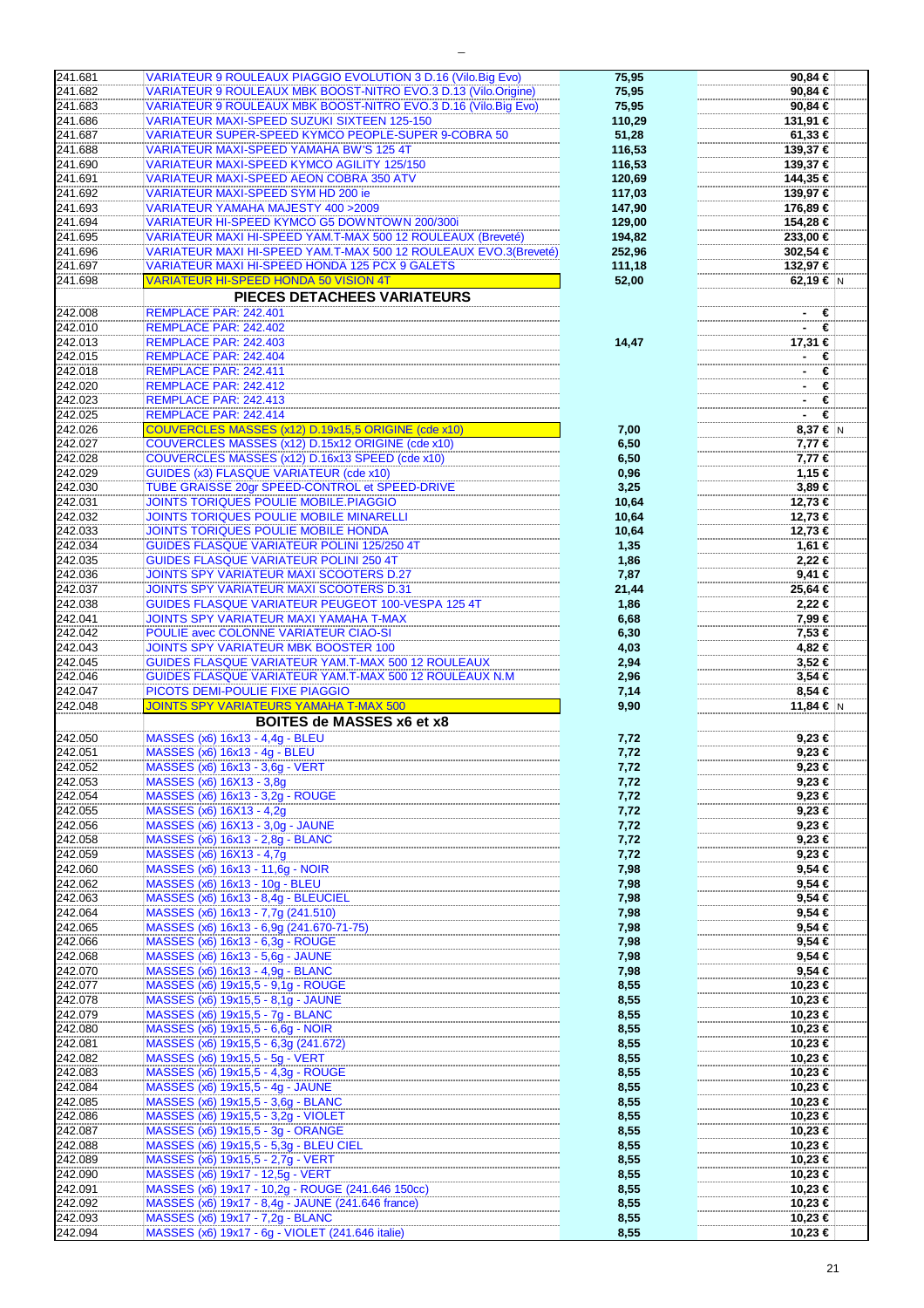| 241.681<br>241.682                                                                                                                                                                                            |                                                                                      | 75,95  | 90,84                                                                                                                                                                                                                                                                                                        |
|---------------------------------------------------------------------------------------------------------------------------------------------------------------------------------------------------------------|--------------------------------------------------------------------------------------|--------|--------------------------------------------------------------------------------------------------------------------------------------------------------------------------------------------------------------------------------------------------------------------------------------------------------------|
|                                                                                                                                                                                                               | VARIATEUR 9 ROULEAUX PIAGGIO EVOLUTION 3 D.16 (Vilo.Big Evo)                         |        |                                                                                                                                                                                                                                                                                                              |
|                                                                                                                                                                                                               | VARIATEUR 9 ROULEAUX MBK BOOST-NITRO EVO.3 D.13 (Vilo.Origine)                       | 75,95  | 90,84                                                                                                                                                                                                                                                                                                        |
| 241.683                                                                                                                                                                                                       | VARIATEUR 9 ROULEAUX MBK BOOST-NITRO EVO.3 D.16 (Vilo.Big Evo)                       | 75,95  | 90,84                                                                                                                                                                                                                                                                                                        |
| 241.686                                                                                                                                                                                                       | VARIATEUR MAXI-SPEED SUZUKI SIXTEEN 125-150                                          | 110,29 | 131,91                                                                                                                                                                                                                                                                                                       |
| 241.687                                                                                                                                                                                                       | <b>VARIATEUR SUPER-SPEED KYMCO PEOPLE-SUPER 9-COBRA 50</b>                           | 51,28  | 61,33                                                                                                                                                                                                                                                                                                        |
|                                                                                                                                                                                                               |                                                                                      |        |                                                                                                                                                                                                                                                                                                              |
| 241.688                                                                                                                                                                                                       | VARIATEUR MAXI-SPEED YAMAHA BW'S 125 4T                                              | 116,53 | 139,37                                                                                                                                                                                                                                                                                                       |
| 241.690                                                                                                                                                                                                       | <b>VARIATEUR MAXI-SPEED KYMCO AGILITY 125/150</b>                                    | 116,53 | 139,37                                                                                                                                                                                                                                                                                                       |
|                                                                                                                                                                                                               |                                                                                      |        |                                                                                                                                                                                                                                                                                                              |
| 241.691                                                                                                                                                                                                       | <b>VARIATEUR MAXI-SPEED AEON COBRA 350 ATV</b>                                       | 120,69 | 144,35                                                                                                                                                                                                                                                                                                       |
| 241.692                                                                                                                                                                                                       | VARIATEUR MAXI-SPEED SYM HD 200 ie                                                   | 117,03 | 139,97                                                                                                                                                                                                                                                                                                       |
| 241.693                                                                                                                                                                                                       | VARIATEUR YAMAHA MAJESTY 400 > 2009                                                  | 147,90 | 176,89                                                                                                                                                                                                                                                                                                       |
|                                                                                                                                                                                                               |                                                                                      |        |                                                                                                                                                                                                                                                                                                              |
| 241.694                                                                                                                                                                                                       | VARIATEUR HI-SPEED KYMCO G5 DOWNTOWN 200/300i                                        | 129,00 | 154,28                                                                                                                                                                                                                                                                                                       |
| 241.695                                                                                                                                                                                                       | VARIATEUR MAXI HI-SPEED YAM.T-MAX 500 12 ROULEAUX (Breveté)                          | 194,82 | 233,00                                                                                                                                                                                                                                                                                                       |
|                                                                                                                                                                                                               |                                                                                      |        |                                                                                                                                                                                                                                                                                                              |
| 241.696                                                                                                                                                                                                       | VARIATEUR MAXI HI-SPEED YAM.T-MAX 500 12 ROULEAUX EVO.3(Breveté)                     | 252,96 | 302,54                                                                                                                                                                                                                                                                                                       |
| 241.697                                                                                                                                                                                                       | VARIATEUR MAXI HI-SPEED HONDA 125 PCX 9 GALETS                                       | 111,18 | 132,97                                                                                                                                                                                                                                                                                                       |
|                                                                                                                                                                                                               | <b>VARIATEUR HI-SPEED HONDA 50 VISION 4T</b>                                         |        |                                                                                                                                                                                                                                                                                                              |
| 241.698                                                                                                                                                                                                       |                                                                                      | 52,00  | 62,19                                                                                                                                                                                                                                                                                                        |
|                                                                                                                                                                                                               | PIECES DETACHEES VARIATEURS                                                          |        |                                                                                                                                                                                                                                                                                                              |
|                                                                                                                                                                                                               |                                                                                      |        |                                                                                                                                                                                                                                                                                                              |
| 242.008                                                                                                                                                                                                       | REMPLACE PAR: 242.401                                                                |        |                                                                                                                                                                                                                                                                                                              |
| 242.010                                                                                                                                                                                                       | REMPLACE PAR: 242.402                                                                |        |                                                                                                                                                                                                                                                                                                              |
| 242.013                                                                                                                                                                                                       | REMPLACE PAR: 242.403                                                                | 14,47  | 17,31                                                                                                                                                                                                                                                                                                        |
|                                                                                                                                                                                                               |                                                                                      |        |                                                                                                                                                                                                                                                                                                              |
| 242.015                                                                                                                                                                                                       | REMPLACE PAR: 242.404                                                                |        | $\sim$                                                                                                                                                                                                                                                                                                       |
| 242.018                                                                                                                                                                                                       | REMPLACE PAR: 242.411                                                                |        | ٠                                                                                                                                                                                                                                                                                                            |
|                                                                                                                                                                                                               |                                                                                      |        |                                                                                                                                                                                                                                                                                                              |
| 242.020                                                                                                                                                                                                       | REMPLACE PAR: 242.412                                                                |        | ٠                                                                                                                                                                                                                                                                                                            |
| 242.023                                                                                                                                                                                                       | REMPLACE PAR: 242.413                                                                |        |                                                                                                                                                                                                                                                                                                              |
| 242.025                                                                                                                                                                                                       | REMPLACE PAR: 242.414                                                                |        | $\sim$                                                                                                                                                                                                                                                                                                       |
|                                                                                                                                                                                                               |                                                                                      |        |                                                                                                                                                                                                                                                                                                              |
| 242.026                                                                                                                                                                                                       | COUVERCLES MASSES (x12) D.19x15,5 ORIGINE (cde x10)                                  | 7,00   | 8,37                                                                                                                                                                                                                                                                                                         |
| 242.027                                                                                                                                                                                                       | COUVERCLES MASSES (x12) D.15x12 ORIGINE (cde x10)                                    | 6,50   | 7,77                                                                                                                                                                                                                                                                                                         |
| 242.028                                                                                                                                                                                                       | COUVERCLES MASSES (x12) D.16x13 SPEED (cde x10)                                      | 6,50   | 7,77                                                                                                                                                                                                                                                                                                         |
|                                                                                                                                                                                                               |                                                                                      |        |                                                                                                                                                                                                                                                                                                              |
| 242.029                                                                                                                                                                                                       | <b>GUIDES (x3) FLASQUE VARIATEUR (cde x10)</b>                                       | 0,96   | 1,15                                                                                                                                                                                                                                                                                                         |
| 242.030                                                                                                                                                                                                       | TUBE GRAISSE 20gr SPEED-CONTROL et SPEED-DRIVE                                       | 3,25   | 3,89                                                                                                                                                                                                                                                                                                         |
|                                                                                                                                                                                                               |                                                                                      |        |                                                                                                                                                                                                                                                                                                              |
| 242.031                                                                                                                                                                                                       | <b>JOINTS TORIQUES POULIE MOBILE.PIAGGIO</b>                                         | 10,64  | 12,73                                                                                                                                                                                                                                                                                                        |
| 242.032                                                                                                                                                                                                       | <b>JOINTS TORIQUES POULIE MOBILE MINARELLI</b>                                       | 10,64  | 12,73                                                                                                                                                                                                                                                                                                        |
| 242.033                                                                                                                                                                                                       | JOINTS TORIQUES POULIE MOBILE HONDA                                                  | 10,64  | 12,73                                                                                                                                                                                                                                                                                                        |
|                                                                                                                                                                                                               |                                                                                      |        |                                                                                                                                                                                                                                                                                                              |
| 242.034                                                                                                                                                                                                       | <b>GUIDES FLASQUE VARIATEUR POLINI 125/250 4T</b>                                    | 1,35   | 1,61                                                                                                                                                                                                                                                                                                         |
| 242.035                                                                                                                                                                                                       | <b>GUIDES FLASQUE VARIATEUR POLINI 250 4T</b>                                        | 1,86   | 2,22                                                                                                                                                                                                                                                                                                         |
|                                                                                                                                                                                                               |                                                                                      |        |                                                                                                                                                                                                                                                                                                              |
| 242.036                                                                                                                                                                                                       | <b>JOINTS SPY VARIATEUR MAXI SCOOTERS D.27</b>                                       | 7,87   | 9,41                                                                                                                                                                                                                                                                                                         |
| 242.037                                                                                                                                                                                                       | JOINTS SPY VARIATEUR MAXI SCOOTERS D.31                                              | 21,44  | 25,64                                                                                                                                                                                                                                                                                                        |
|                                                                                                                                                                                                               |                                                                                      |        |                                                                                                                                                                                                                                                                                                              |
| 242.038                                                                                                                                                                                                       | GUIDES FLASQUE VARIATEUR PEUGEOT 100-VESPA 125 4T                                    | 1,86   | 2,22                                                                                                                                                                                                                                                                                                         |
| 242.041                                                                                                                                                                                                       | JOINTS SPY VARIATEUR MAXI YAMAHA T-MAX                                               | 6,68   | 7,99                                                                                                                                                                                                                                                                                                         |
|                                                                                                                                                                                                               | POULIE avec COLONNE VARIATEUR CIAO-SI                                                |        |                                                                                                                                                                                                                                                                                                              |
|                                                                                                                                                                                                               |                                                                                      |        |                                                                                                                                                                                                                                                                                                              |
| 242.042                                                                                                                                                                                                       |                                                                                      | 6,30   | 7,53                                                                                                                                                                                                                                                                                                         |
| 242.043                                                                                                                                                                                                       | <b>JOINTS SPY VARIATEUR MBK BOOSTER 100</b>                                          | 4,03   | 4,82                                                                                                                                                                                                                                                                                                         |
|                                                                                                                                                                                                               |                                                                                      |        |                                                                                                                                                                                                                                                                                                              |
| 242.045                                                                                                                                                                                                       | GUIDES FLASQUE VARIATEUR YAM.T-MAX 500 12 ROULEAUX                                   | 2,94   |                                                                                                                                                                                                                                                                                                              |
| 242.046                                                                                                                                                                                                       | GUIDES FLASQUE VARIATEUR YAM.T-MAX 500 12 ROULEAUX N.M.                              | 2,96   |                                                                                                                                                                                                                                                                                                              |
| 242.047                                                                                                                                                                                                       | PICOTS DEMI-POULIE FIXE PIAGGIO                                                      | 7,14   |                                                                                                                                                                                                                                                                                                              |
|                                                                                                                                                                                                               |                                                                                      |        |                                                                                                                                                                                                                                                                                                              |
| 242.048                                                                                                                                                                                                       | <b>JOINTS SPY VARIATEURS YAMAHA T-MAX 500</b>                                        | 9,90   | 11,84                                                                                                                                                                                                                                                                                                        |
|                                                                                                                                                                                                               | BOITES de MASSES x6 et x8                                                            |        |                                                                                                                                                                                                                                                                                                              |
|                                                                                                                                                                                                               |                                                                                      |        |                                                                                                                                                                                                                                                                                                              |
|                                                                                                                                                                                                               | MASSES (x6) 16x13 - 4,4g - BLEU                                                      | 7,72   |                                                                                                                                                                                                                                                                                                              |
| 242.051                                                                                                                                                                                                       | MASSES (x6) 16x13 - 4g - BLEU                                                        | 7,72   |                                                                                                                                                                                                                                                                                                              |
|                                                                                                                                                                                                               |                                                                                      |        |                                                                                                                                                                                                                                                                                                              |
|                                                                                                                                                                                                               | MASSES (x6) 16x13 - 3,6g - VERT                                                      | 7,72   |                                                                                                                                                                                                                                                                                                              |
|                                                                                                                                                                                                               | MASSES (x6) 16X13 - 3,8q                                                             | 7,72   |                                                                                                                                                                                                                                                                                                              |
|                                                                                                                                                                                                               | MASSES (x6) 16x13 - 3,2g - ROUGE                                                     | 7,72   |                                                                                                                                                                                                                                                                                                              |
|                                                                                                                                                                                                               | MASSES (x6) 16X13 - 4,2g                                                             | 7,72   |                                                                                                                                                                                                                                                                                                              |
|                                                                                                                                                                                                               |                                                                                      |        |                                                                                                                                                                                                                                                                                                              |
|                                                                                                                                                                                                               | MASSES (x6) 16X13 - 3,0q - JAUNE                                                     | 7,72   |                                                                                                                                                                                                                                                                                                              |
| 242.058                                                                                                                                                                                                       | MASSES (x6) 16x13 - 2,8g - BLANC                                                     | 7,72   |                                                                                                                                                                                                                                                                                                              |
| 242.059                                                                                                                                                                                                       |                                                                                      |        |                                                                                                                                                                                                                                                                                                              |
|                                                                                                                                                                                                               | MASSES (x6) 16X13 - 4,7g                                                             | 7,72   |                                                                                                                                                                                                                                                                                                              |
| 242.060                                                                                                                                                                                                       | MASSES (x6) 16x13 - 11,6g - NOIR                                                     | 7,98   |                                                                                                                                                                                                                                                                                                              |
| 242.062                                                                                                                                                                                                       | MASSES (x6) 16x13 - 10g - BLEU                                                       | 7,98   |                                                                                                                                                                                                                                                                                                              |
|                                                                                                                                                                                                               |                                                                                      |        |                                                                                                                                                                                                                                                                                                              |
|                                                                                                                                                                                                               | MASSES (x6) 16x13 - 8,4g - BLEUCIEL                                                  | 7,98   |                                                                                                                                                                                                                                                                                                              |
|                                                                                                                                                                                                               | MASSES (x6) 16x13 - 7,7g (241.510)                                                   | 7,98   |                                                                                                                                                                                                                                                                                                              |
|                                                                                                                                                                                                               | MASSES (x6) 16x13 - 6,9g (241.670-71-75)                                             | 7,98   |                                                                                                                                                                                                                                                                                                              |
|                                                                                                                                                                                                               |                                                                                      |        |                                                                                                                                                                                                                                                                                                              |
| 242.066                                                                                                                                                                                                       | MASSES (x6) 16x13 - 6,3q - ROUGE                                                     | 7,98   |                                                                                                                                                                                                                                                                                                              |
| 242.068                                                                                                                                                                                                       | MASSES (x6) 16x13 - 5,6g - JAUNE                                                     | 7,98   |                                                                                                                                                                                                                                                                                                              |
| 242.070                                                                                                                                                                                                       |                                                                                      |        |                                                                                                                                                                                                                                                                                                              |
|                                                                                                                                                                                                               | MASSES (x6) 16x13 - 4,9g - BLANC                                                     | 7,98   |                                                                                                                                                                                                                                                                                                              |
| 242.077                                                                                                                                                                                                       | MASSES (x6) 19x15,5 - 9,1g - ROUGE                                                   | 8,55   |                                                                                                                                                                                                                                                                                                              |
|                                                                                                                                                                                                               | MASSES (x6) 19x15,5 - 8,1g - JAUNE                                                   | 8,55   |                                                                                                                                                                                                                                                                                                              |
|                                                                                                                                                                                                               |                                                                                      |        |                                                                                                                                                                                                                                                                                                              |
| 242.079                                                                                                                                                                                                       | MASSES (x6) 19x15,5 - 7g - BLANC                                                     | 8,55   |                                                                                                                                                                                                                                                                                                              |
|                                                                                                                                                                                                               | MASSES (x6) 19x15,5 - 6,6g - NOIR                                                    | 8,55   |                                                                                                                                                                                                                                                                                                              |
| 242.081                                                                                                                                                                                                       | MASSES (x6) 19x15,5 - 6,3g (241.672)                                                 | 8,55   |                                                                                                                                                                                                                                                                                                              |
|                                                                                                                                                                                                               |                                                                                      |        |                                                                                                                                                                                                                                                                                                              |
| 242.082                                                                                                                                                                                                       | MASSES (x6) 19x15,5 - 5g - VERT                                                      | 8,55   |                                                                                                                                                                                                                                                                                                              |
| 242.083                                                                                                                                                                                                       | MASSES (x6) 19x15,5 - 4,3g - ROUGE                                                   | 8,55   |                                                                                                                                                                                                                                                                                                              |
|                                                                                                                                                                                                               |                                                                                      |        |                                                                                                                                                                                                                                                                                                              |
| 242.084                                                                                                                                                                                                       | MASSES (x6) 19x15,5 - 4g - JAUNE                                                     | 8,55   |                                                                                                                                                                                                                                                                                                              |
|                                                                                                                                                                                                               | MASSES (x6) 19x15,5 - 3,6g - BLANC                                                   | 8,55   |                                                                                                                                                                                                                                                                                                              |
|                                                                                                                                                                                                               | MASSES (x6) 19x15,5 - 3,2g - VIOLET                                                  |        |                                                                                                                                                                                                                                                                                                              |
|                                                                                                                                                                                                               |                                                                                      | 8,55   |                                                                                                                                                                                                                                                                                                              |
|                                                                                                                                                                                                               | MASSES (x6) 19x15,5 - 3g - ORANGE                                                    | 8,55   |                                                                                                                                                                                                                                                                                                              |
|                                                                                                                                                                                                               | MASSES (x6) 19x15,5 - 5,3g - BLEU CIEL                                               | 8,55   |                                                                                                                                                                                                                                                                                                              |
|                                                                                                                                                                                                               |                                                                                      |        |                                                                                                                                                                                                                                                                                                              |
|                                                                                                                                                                                                               | MASSES (x6) 19x15,5 - 2,7g - VERT                                                    | 8,55   |                                                                                                                                                                                                                                                                                                              |
|                                                                                                                                                                                                               | MASSES (x6) 19x17 - 12,5g - VERT                                                     | 8,55   |                                                                                                                                                                                                                                                                                                              |
|                                                                                                                                                                                                               |                                                                                      |        |                                                                                                                                                                                                                                                                                                              |
|                                                                                                                                                                                                               | MASSES (x6) 19x17 - 10,2g - ROUGE (241.646 150cc)                                    | 8,55   |                                                                                                                                                                                                                                                                                                              |
| 242.050<br>242.052<br>242.053<br>242.054<br>242.055<br>242.056<br>242.063<br>242.064<br>242.065<br>242.078<br>242.080<br>242.085<br>242.086<br>242.087<br>242.088<br>242.089<br>242.090<br>242.091<br>242.092 | MASSES (x6) 19x17 - 8,4g - JAUNE (241.646 france)                                    | 8,55   | 3,52<br>3,54<br>8,54<br>9,23<br>9,23<br>9,23<br>9,23<br>9,23<br>9,23<br>9,23<br>9,23<br>9,23<br>9,54<br>9,54<br>9,54<br>9,54<br>9,54<br>9,54<br>9,54<br>9,54<br>10,23<br>10,23<br>10,23<br>10,23<br>10,23<br>10,23<br>10,23<br>10,23<br>10,23<br>10,23<br>10,23<br>10,23<br>10,23<br>10,23<br>10,23<br>10,23 |
| 242.093<br>242.094                                                                                                                                                                                            | MASSES (x6) 19x17 - 7,2g - BLANC<br>MASSES (x6) 19x17 - 6g - VIOLET (241.646 italie) | 8,55   | 10,23                                                                                                                                                                                                                                                                                                        |

**€**

**€**

**€**

**€**

**€**

**€**

**€**

**€**

**€**

**€**

**€**

**233,00 €** 

**€**

**€**

**- €**

**- €**

**- €**

**- €**

**- €**

**€**

**- €**

**- €**

**€**

**€**

**€**

**€**

 $\frac{1}{12,73}$  €

**€**

**€**

**€**

**€**

**€**

 $\frac{1}{25,64}$  €

**€**

**€**

**€**

**€**

**€**

 $\frac{1}{3.54}$  €

**€**

 $9,23 \in$ 

**€**

**€**

 $9,23€$ 

**€**

**€**

 $\overline{9,23}$  €

**€**

**€**

 $9,54 \in$ 

**€**

**€**

 $9,54 \in$ 

**€**

**€**

**9,54 €** 

**€**

**€**

 $10,23 \in$ 

 $10,23 \in$ 

**€**

 $\overline{10,23}$  €

**€**

 $10,23 \in$ 

 $\overline{10,23}$  €

 $10,23 \in$ 

 $10,23 \in$ 

 $\frac{1}{10,23}$  €

**€**

**€**

 $\frac{1}{10,23}$  €

 $\overline{10,23}$  €

 $10,23 \in$ 

 $\frac{10,23}{10,23}$  €

 $10,23 \in$ 

**€** N

**€** N

**€** N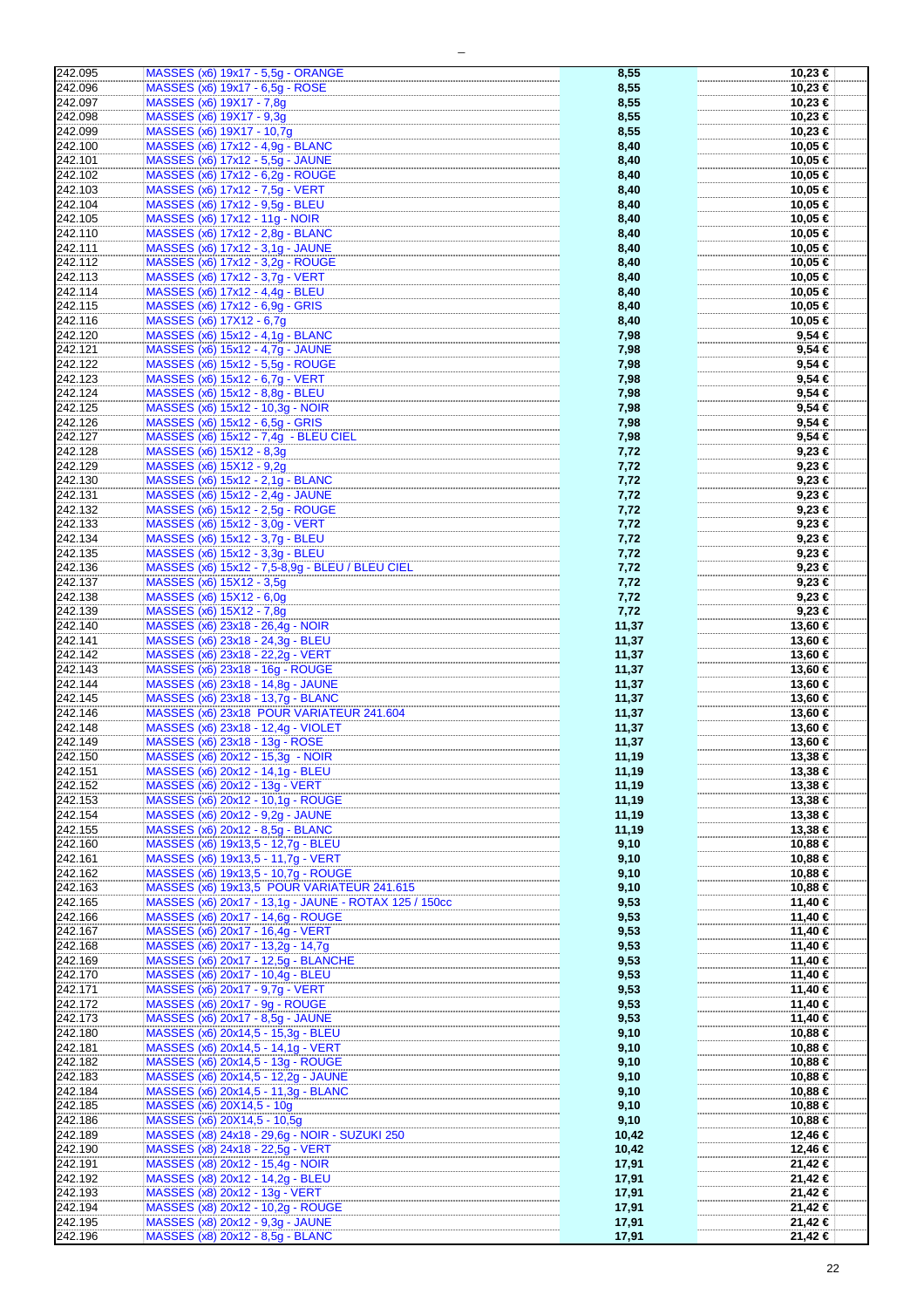| 242.095 | MASSES (x6) 19x17 - 5,5g - ORANGE                     | 8,55  | 10,23 €     |
|---------|-------------------------------------------------------|-------|-------------|
| 242.096 | MASSES (x6) 19x17 - 6,5q - ROSE                       | 8,55  | 10,23 €     |
|         |                                                       |       |             |
| 242.097 | MASSES (x6) 19X17 - 7,8g                              | 8,55  | 10,23 €     |
|         |                                                       |       |             |
| 242.098 | MASSES (x6) 19X17 - 9,3g                              | 8,55  | 10,23 €     |
|         |                                                       |       |             |
| 242.099 | MASSES (x6) 19X17 - 10,7g                             | 8,55  | 10,23 €     |
| 242.100 | MASSES (x6) 17x12 - 4,9g - BLANC                      | 8,40  | 10,05 €     |
|         |                                                       |       |             |
| 242.101 | MASSES (x6) 17x12 - 5,5g - JAUNE                      | 8,40  | 10,05 €     |
|         |                                                       |       |             |
| 242.102 | MASSES (x6) 17x12 - 6,2g - ROUGE                      | 8,40  | 10,05 €     |
| 242.103 | MASSES (x6) 17x12 - 7,5g - VERT                       | 8,40  | 10,05 €     |
|         |                                                       |       |             |
| 242.104 | MASSES (x6) 17x12 - 9,5g - BLEU                       | 8,40  | 10,05 €     |
|         |                                                       |       |             |
| 242.105 | MASSES (x6) 17x12 - 11g - NOIR                        | 8,40  | 10,05 €     |
|         |                                                       |       |             |
| 242.110 | MASSES (x6) 17x12 - 2,8q - BLANC                      | 8,40  | 10,05 €     |
| 242.111 | MASSES (x6) 17x12 - 3,1g - JAUNE                      | 8,40  | 10,05 €     |
|         |                                                       |       |             |
| 242.112 | MASSES (x6) 17x12 - 3,2g - ROUGE                      | 8,40  | 10,05 €     |
|         |                                                       |       |             |
| 242.113 | MASSES (x6) 17x12 - 3,7q - VERT                       | 8,40  | 10,05 €     |
|         | MASSES (x6) 17x12 - 4,4q - BLEU                       |       |             |
| 242.114 |                                                       | 8,40  | 10,05 €     |
| 242.115 | MASSES (x6) 17x12 - 6,9g - GRIS                       | 8,40  | 10,05 €     |
|         |                                                       |       |             |
| 242.116 | MASSES (x6) 17X12 - 6,7g                              | 8,40  | 10,05 €     |
|         |                                                       |       |             |
| 242.120 | MASSES (x6) 15x12 - 4,1g - BLANC                      | 7,98  | $9.54 \in$  |
| 242.121 | MASSES (x6) 15x12 - 4,7g - JAUNE                      | 7,98  | 9,54€       |
|         |                                                       |       |             |
| 242.122 | MASSES (x6) 15x12 - 5,5g - ROUGE                      | 7,98  | 9,54 €      |
|         |                                                       |       |             |
| 242.123 | MASSES (x6) 15x12 - 6,7g - VERT                       | 7,98  | $9,54 \in$  |
| 242.124 | MASSES (x6) 15x12 - 8,8g - BLEU                       | 7,98  | $9,54 \in$  |
|         |                                                       |       |             |
| 242.125 | MASSES (x6) 15x12 - 10,3g - NOIR                      | 7,98  | $9,54 \in$  |
|         |                                                       |       |             |
| 242.126 | MASSES (x6) 15x12 - 6,5g - GRIS                       | 7,98  | $9,54 \in$  |
| 242.127 | MASSES (x6) 15x12 - 7,4g - BLEU CIEL                  | 7,98  | 9,54 €      |
|         |                                                       |       |             |
| 242.128 | MASSES (x6) 15X12 - 8,3g                              | 7,72  | 9,23€       |
|         |                                                       |       |             |
| 242.129 | MASSES (x6) 15X12 - 9,2g                              | 7,72  | $9,23 \in$  |
|         |                                                       |       |             |
| 242.130 | MASSES (x6) 15x12 - 2,1g - BLANC                      | 7,72  | $9,23 \in$  |
| 242.131 | MASSES (x6) 15x12 - 2,4g - JAUNE                      | 7,72  | 9,23€       |
|         |                                                       |       |             |
| 242.132 | MASSES (x6) 15x12 - 2,5q - ROUGE                      | 7,72  | 9,23€       |
|         |                                                       |       |             |
| 242.133 | MASSES (x6) 15x12 - 3,0g - VERT                       | 7,72  | $9,23 \in$  |
| 242.134 | MASSES (x6) 15x12 - 3,7g - BLEU                       |       | $9,23 \in$  |
|         |                                                       | 7,72  |             |
| 242.135 | MASSES (x6) 15x12 - 3,3g - BLEU                       | 7,72  | $9,23 \in$  |
|         |                                                       |       |             |
| 242.136 | MASSES (x6) 15x12 - 7,5-8,9g - BLEU / BLEU CIEL       | 7,72  | $9,23 \in$  |
|         |                                                       |       |             |
| 242.137 | MASSES (x6) 15X12 - 3,5g                              | 7,72  | $9,23 \in$  |
| 242.138 | MASSES (x6) 15X12 - 6,0g                              | 7,72  | $9,23 \in$  |
|         |                                                       |       |             |
| 242.139 | MASSES (x6) 15X12 - 7,8g                              | 7,72  | 9,23€       |
|         |                                                       |       |             |
| 242.140 | MASSES (x6) 23x18 - 26,4g - NOIR                      | 11,37 | 13,60 €     |
| 242.141 | MASSES (x6) 23x18 - 24,3g - BLEU                      | 11,37 | 13,60 €     |
|         |                                                       |       |             |
| 242.142 | MASSES (x6) 23x18 - 22,2g - VERT                      | 11,37 | 13,60 €     |
|         |                                                       |       |             |
| 242.143 | MASSES (x6) 23x18 - 16g - ROUGE                       | 11,37 | 13,60 €     |
| 242.144 | MASSES (x6) 23x18 - 14,8g - JAUNE                     | 11,37 | 13,60 €     |
|         |                                                       |       |             |
| 242.145 | MASSES (x6) 23x18 - 13,7q - BLANC                     | 11,37 | 13,60 €     |
|         |                                                       |       |             |
| 242.146 | MASSES (x6) 23x18 POUR VARIATEUR 241.604              | 11,37 | 13,60 €     |
| 242.148 |                                                       |       |             |
|         | MASSES (x6) 23x18 - 12,4g - VIOLET                    | 11,37 | 13,60 €     |
| 242.149 | MASSES (x6) 23x18 - 13g - ROSE                        | 11,37 | 13,60 €     |
|         |                                                       |       |             |
| 242.150 | MASSES (x6) 20x12 - 15,3q - NOIR                      | 11.19 | 13,38 €     |
| 242.151 | MASSES (x6) 20x12 - 14,1g - BLEU                      |       |             |
|         |                                                       | 11,19 | 13,38 €     |
| 242.152 | MASSES (x6) 20x12 - 13g - VERT                        | 11,19 | 13,38 €     |
|         |                                                       |       |             |
| 242.153 | MASSES (x6) 20x12 - 10,1g - ROUGE                     | 11,19 | 13,38 €     |
| 242.154 | MASSES (x6) 20x12 - 9,2q - JAUNE                      | 11,19 | 13,38 €     |
|         |                                                       |       |             |
| 242.155 | MASSES (x6) 20x12 - 8,5g - BLANC                      | 11,19 | 13,38 €     |
|         |                                                       |       |             |
| 242.160 | MASSES (x6) 19x13,5 - 12,7g - BLEU                    | 9,10  | 10,88 €     |
| 242.161 | MASSES (x6) 19x13,5 - 11,7g - VERT                    | 9,10  | 10,88 €     |
|         |                                                       |       |             |
| 242.162 | MASSES (x6) 19x13,5 - 10,7g - ROUGE                   | 9,10  | 10,88 €     |
|         |                                                       |       |             |
| 242.163 | MASSES (x6) 19x13,5 POUR VARIATEUR 241.615            | 9,10  | 10,88 €     |
| 242.165 | MASSES (x6) 20x17 - 13,1g - JAUNE - ROTAX 125 / 150cc | 9,53  | 11,40 €     |
|         |                                                       |       |             |
| 242.166 | MASSES (x6) 20x17 - 14,6g - ROUGE                     | 9,53  | 11,40 €     |
|         |                                                       |       |             |
| 242.167 | MASSES (x6) 20x17 - 16,4g - VERT                      | 9,53  | 11,40 €     |
| 242.168 | MASSES (x6) 20x17 - 13,2g - 14,7g                     | 9,53  | 11,40 €     |
|         |                                                       |       |             |
| 242.169 | MASSES (x6) 20x17 - 12,5g - BLANCHE                   | 9,53  | 11,40 €     |
|         |                                                       |       |             |
| 242.170 | MASSES (x6) 20x17 - 10,4g - BLEU                      | 9,53  | 11,40 €     |
| 242.171 | MASSES (x6) 20x17 - 9,7g - VERT                       | 9,53  | 11,40 €     |
|         |                                                       |       |             |
| 242.172 | MASSES (x6) 20x17 - 9g - ROUGE                        | 9,53  | 11,40 €     |
|         |                                                       |       |             |
| 242.173 | MASSES (x6) 20x17 - 8,5g - JAUNE                      | 9,53  | 11,40 €     |
| 242.180 | MASSES (x6) 20x14,5 - 15,3g - BLEU                    | 9,10  | 10,88 €     |
|         |                                                       |       |             |
| 242.181 | MASSES (x6) 20x14,5 - 14,1g - VERT                    | 9,10  | 10,88 €     |
|         |                                                       |       |             |
| 242.182 | MASSES (x6) 20x14,5 - 13g - ROUGE                     | 9,10  | 10,88 €     |
|         |                                                       |       |             |
| 242.183 | MASSES (x6) 20x14,5 - 12,2g - JAUNE                   | 9,10  | 10,88 €     |
| 242.184 | MASSES (x6) 20x14,5 - 11,3g - BLANC                   | 9,10  | 10,88 €     |
|         |                                                       |       |             |
| 242.185 | MASSES (x6) 20X14,5 - 10g                             | 9,10  | 10,88 €     |
|         |                                                       |       |             |
| 242.186 | MASSES (x6) 20X14,5 - 10,5g                           | 9,10  | 10,88 €     |
| 242.189 | MASSES (x8) 24x18 - 29,6g - NOIR - SUZUKI 250         | 10,42 | 12,46 €     |
|         |                                                       |       |             |
| 242.190 | MASSES (x8) 24x18 - 22,5g - VERT                      | 10,42 | 12,46 €     |
|         |                                                       |       |             |
| 242.191 | MASSES (x8) 20x12 - 15,4g - NOIR                      | 17,91 | 21,42 €     |
|         |                                                       |       |             |
| 242.192 | MASSES (x8) 20x12 - 14,2g - BLEU                      | 17,91 | 21,42 €     |
| 242.193 | MASSES (x8) 20x12 - 13g - VERT                        | 17,91 | 21,42 €     |
|         |                                                       |       |             |
| 242.194 | MASSES (x8) 20x12 - 10,2g - ROUGE                     | 17,91 | $21,42$ €   |
|         |                                                       |       |             |
| 242.195 | MASSES (x8) 20x12 - 9,3g - JAUNE                      | 17,91 | $21,42 \in$ |
| 242.196 | MASSES (x8) 20x12 - 8,5g - BLANC                      | 17,91 | 21,42 €     |
|         |                                                       |       |             |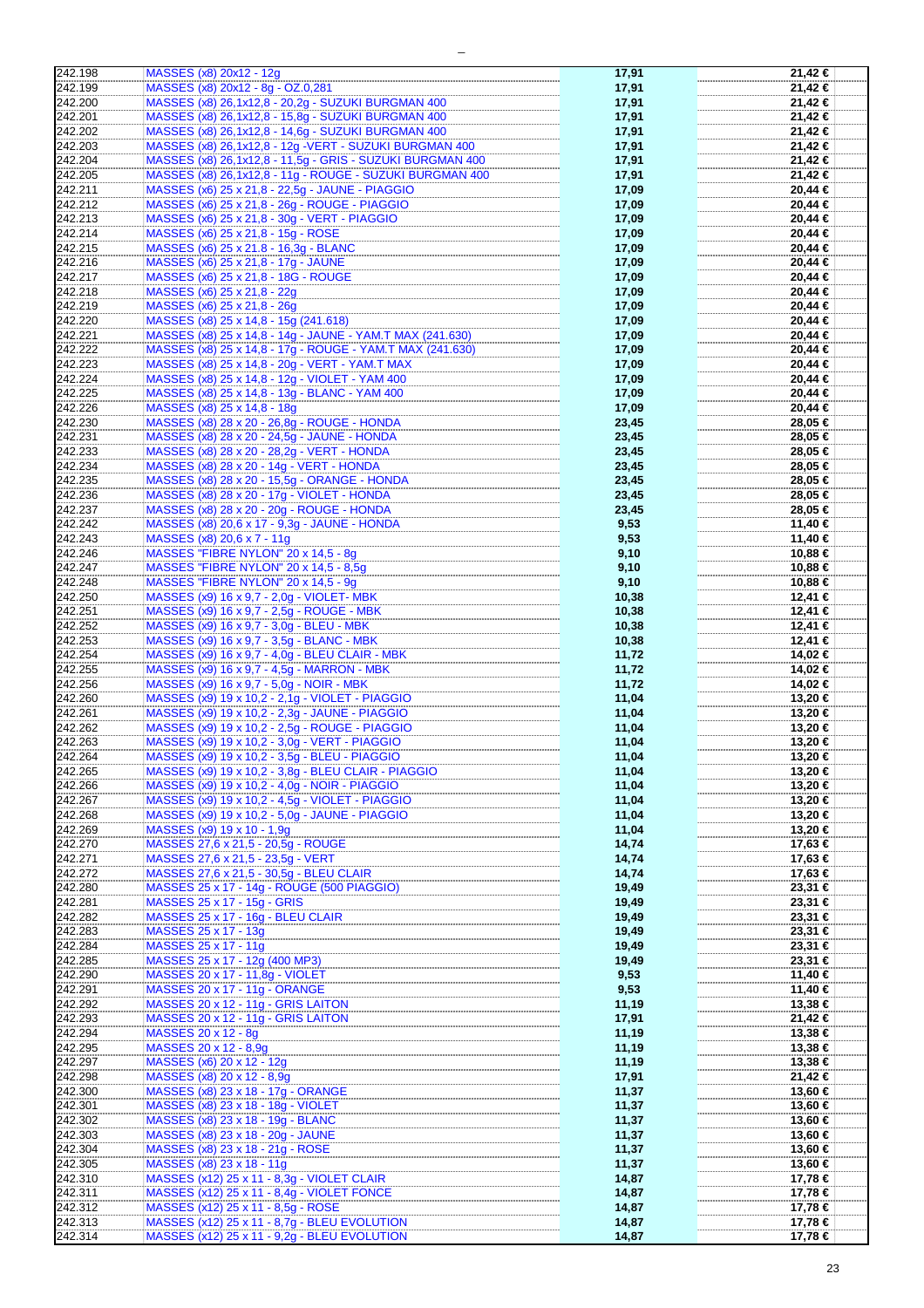| 242.198 | MASSES (x8) 20x12 - 12g                                   | 17,91 | 21,42 € |
|---------|-----------------------------------------------------------|-------|---------|
| 242.199 | MASSES (x8) 20x12 - 8g - OZ.0,281                         | 17,91 | 21,42 € |
|         |                                                           |       |         |
| 242.200 | MASSES (x8) 26,1x12,8 - 20,2g - SUZUKI BURGMAN 400        | 17,91 | 21,42 € |
| 242.201 | MASSES (x8) 26,1x12,8 - 15,8g - SUZUKI BURGMAN 400        | 17,91 | 21.42 € |
|         |                                                           |       |         |
| 242.202 | MASSES (x8) 26,1x12,8 - 14,6g - SUZUKI BURGMAN 400        | 17,91 | 21,42€  |
| 242.203 | MASSES (x8) 26,1x12,8 - 12g - VERT - SUZUKI BURGMAN 400   | 17,91 | 21,42 € |
|         |                                                           |       |         |
| 242.204 | MASSES (x8) 26,1x12,8 - 11,5g - GRIS - SUZUKI BURGMAN 400 | 17,91 | 21,42 € |
| 242.205 | MASSES (x8) 26,1x12,8 - 11g - ROUGE - SUZUKI BURGMAN 400  | 17,91 | 21,42 € |
|         |                                                           |       |         |
| 242.211 | MASSES (x6) 25 x 21,8 - 22,5g - JAUNE - PIAGGIO           | 17,09 | 20,44 € |
| 242.212 | MASSES (x6) 25 x 21,8 - 26g - ROUGE - PIAGGIO             | 17,09 | 20,44 € |
|         |                                                           |       |         |
| 242.213 | MASSES (x6) 25 x 21,8 - 30g - VERT - PIAGGIO              | 17,09 | 20,44 € |
| 242.214 | MASSES (x6) 25 x 21,8 - 15g - ROSE                        | 17,09 | 20,44 € |
| 242.215 | MASSES (x6) 25 x 21.8 - 16,3g - BLANC                     | 17,09 |         |
|         |                                                           |       | 20,44 € |
| 242.216 | MASSES (x6) 25 x 21,8 - 17g - JAUNE                       | 17,09 | 20,44 € |
| 242.217 | MASSES (x6) 25 x 21,8 - 18G - ROUGE                       | 17,09 | 20,44 € |
|         |                                                           |       |         |
| 242.218 | MASSES (x6) 25 x 21,8 - 22g                               | 17,09 | 20,44 € |
| 242.219 | MASSES (x6) 25 x 21,8 - 26g                               | 17,09 | 20,44 € |
|         |                                                           |       |         |
| 242.220 | MASSES (x8) 25 x 14,8 - 15g (241.618)                     | 17,09 | 20,44 € |
| 242.221 | MASSES (x8) 25 x 14,8 - 14g - JAUNE - YAM.T MAX (241.630) | 17,09 | 20,44 € |
|         |                                                           |       |         |
| 242.222 | MASSES (x8) 25 x 14,8 - 17g - ROUGE - YAM.T MAX (241.630) | 17,09 | 20,44 € |
| 242.223 | MASSES (x8) 25 x 14,8 - 20g - VERT - YAM.T MAX            | 17,09 | 20,44 € |
|         |                                                           |       |         |
| 242.224 | MASSES (x8) 25 x 14,8 - 12g - VIOLET - YAM 400            | 17,09 | 20,44 € |
| 242.225 | MASSES (x8) 25 x 14,8 - 13g - BLANC - YAM 400             | 17,09 | 20,44 € |
|         |                                                           |       |         |
| 242.226 | MASSES (x8) 25 x 14,8 - 18g                               | 17,09 | 20,44 € |
| 242.230 | MASSES (x8) 28 x 20 - 26,8g - ROUGE - HONDA               | 23,45 | 28,05 € |
| 242.231 |                                                           |       | 28,05 € |
|         | MASSES (x8) 28 x 20 - 24,5g - JAUNE - HONDA               | 23,45 |         |
| 242.233 | MASSES (x8) 28 x 20 - 28,2g - VERT - HONDA                | 23,45 | 28,05 € |
| 242.234 | MASSES (x8) 28 x 20 - 14g - VERT - HONDA                  | 23,45 | 28,05 € |
|         |                                                           |       |         |
| 242.235 | MASSES (x8) 28 x 20 - 15,5g - ORANGE - HONDA              | 23,45 | 28,05 € |
| 242.236 | MASSES (x8) 28 x 20 - 17g - VIOLET - HONDA                | 23,45 | 28,05 € |
|         |                                                           |       |         |
| 242.237 | MASSES (x8) 28 x 20 - 20g - ROUGE - HONDA                 | 23,45 | 28,05 € |
| 242.242 | MASSES (x8) 20,6 x 17 - 9,3g - JAUNE - HONDA              | 9,53  | 11,40 € |
|         |                                                           |       |         |
| 242.243 | MASSES (x8) 20,6 x 7 - 11g                                | 9,53  | 11,40 € |
| 242.246 | MASSES "FIBRE NYLON" 20 x 14,5 - 8g                       | 9,10  | 10,88 € |
|         |                                                           |       |         |
| 242.247 | MASSES "FIBRE NYLON" 20 x 14,5 - 8,5g                     | 9,10  | 10,88 € |
| 242.248 | MASSES "FIBRE NYLON" 20 x 14,5 - 9g                       | 9,10  | 10,88 € |
|         |                                                           |       |         |
| 242.250 | MASSES (x9) 16 x 9,7 - 2,0g - VIOLET- MBK                 | 10,38 | 12,41 € |
| 242.251 | MASSES (x9) 16 x 9,7 - 2,5g - ROUGE - MBK                 | 10,38 | 12,41 € |
|         |                                                           |       |         |
| 242.252 | MASSES (x9) 16 x 9,7 - 3,0g - BLEU - MBK                  | 10,38 | 12,41 € |
| 242.253 | MASSES (x9) 16 x 9,7 - 3,5g - BLANC - MBK                 | 10,38 | 12,41 € |
|         |                                                           |       |         |
| 242.254 | MASSES (x9) 16 x 9,7 - 4,0g - BLEU CLAIR - MBK            | 11,72 | 14,02 € |
| 242.255 | MASSES (x9) 16 x 9,7 - 4,5g - MARRON - MBK                | 11,72 | 14,02 € |
|         | MASSES (x9) 16 x 9,7 - 5,0q - NOIR - MBK                  |       |         |
| 242.256 |                                                           | 11,72 | 14,02 € |
| 242.260 | MASSES (x9) 19 x 10,2 - 2,1g - VIOLET - PIAGGIO           | 11,04 | 13,20 € |
| 242.261 | MASSES (x9) 19 x 10,2 - 2,3g - JAUNE - PIAGGIO            | 11,04 |         |
|         |                                                           |       | 13,20 € |
| 242.262 | MASSES (x9) 19 x 10,2 - 2,5g - ROUGE - PIAGGIO            | 11,04 | 13,20 € |
| 242.263 | MASSES (x9) 19 x 10,2 - 3,0g - VERT - PIAGGIO             | 11,04 | 13,20 € |
|         |                                                           |       |         |
| 242.264 | MASSES (x9) 19 x 10,2 - 3,5g - BLEU - PIAGGIO             | 11,04 | 13,20 € |
| 242.265 | MASSES (x9) 19 x 10,2 - 3,8g - BLEU CLAIR - PIAGGIO       | 11,04 | 13,20 € |
|         |                                                           |       |         |
| 242.266 | MASSES (x9) 19 x 10,2 - 4,0g - NOIR - PIAGGIO             | 11,04 | 13,20 € |
| 242.267 | MASSES (x9) 19 x 10,2 - 4,5g - VIOLET - PIAGGIO           | 11,04 | 13,20 € |
|         |                                                           |       |         |
| 242.268 | MASSES (x9) 19 x 10,2 - 5,0g - JAUNE - PIAGGIO            | 11,04 | 13,20 € |
| 242.269 | MASSES (x9) 19 x 10 - 1,9g                                | 11,04 | 13,20 € |
|         |                                                           |       |         |
| 242.270 | MASSES 27,6 x 21,5 - 20,5g - ROUGE                        | 14,74 | 17,63 € |
| 242.271 | MASSES 27,6 x 21,5 - 23,5g - VERT                         | 14,74 | 17,63 € |
| 242.272 | MASSES 27,6 x 21,5 - 30,5q - BLEU CLAIR                   | 14,74 | 17,63 € |
|         |                                                           |       |         |
| 242.280 | MASSES 25 x 17 - 14g - ROUGE (500 PIAGGIO)                | 19,49 | 23,31 € |
| 242.281 | MASSES 25 x 17 - 15g - GRIS                               | 19,49 | 23,31 € |
|         |                                                           |       |         |
| 242.282 | MASSES 25 x 17 - 16g - BLEU CLAIR                         | 19,49 | 23,31 € |
| 242.283 | MASSES 25 x 17 - 13g                                      | 19,49 | 23,31 € |
|         |                                                           |       |         |
| 242.284 | MASSES 25 x 17 - 11g                                      | 19,49 | 23,31 € |
| 242.285 | MASSES 25 x 17 - 12g (400 MP3)                            | 19,49 | 23,31 € |
|         |                                                           |       |         |
| 242.290 | MASSES 20 x 17 - 11,8g - VIOLET                           | 9,53  | 11,40 € |
| 242.291 | MASSES 20 x 17 - 11g - ORANGE                             | 9,53  | 11,40 € |
|         |                                                           |       |         |
| 242.292 | MASSES 20 x 12 - 11g - GRIS LAITON                        | 11,19 | 13,38 € |
| 242.293 | MASSES 20 x 12 - 11g - GRIS LAITON                        | 17,91 | 21,42 € |
| 242.294 | MASSES 20 x 12 - 8g                                       | 11,19 | 13,38 € |
|         |                                                           |       |         |
| 242.295 | MASSES 20 x 12 - 8,9g                                     | 11,19 | 13,38 € |
| 242.297 | MASSES (x6) 20 x 12 - 12g                                 | 11,19 | 13,38 € |
|         |                                                           |       |         |
| 242.298 | MASSES (x8) 20 x 12 - 8,9g                                | 17,91 | 21,42 € |
| 242.300 | MASSES (x8) 23 x 18 - 17g - ORANGE                        | 11,37 | 13,60 € |
|         |                                                           |       |         |
| 242.301 | MASSES (x8) 23 x 18 - 18g - VIOLET                        | 11,37 | 13,60 € |
| 242.302 | MASSES (x8) 23 x 18 - 19g - BLANC                         | 11,37 | 13,60 € |
|         |                                                           |       |         |
| 242.303 | MASSES (x8) 23 x 18 - 20g - JAUNE                         | 11,37 | 13,60 € |
| 242.304 | MASSES (x8) 23 x 18 - 21g - ROSE                          | 11,37 | 13,60 € |
|         |                                                           |       |         |
| 242.305 | MASSES (x8) 23 x 18 - 11g                                 | 11,37 | 13,60 € |
| 242.310 | MASSES (x12) 25 x 11 - 8,3g - VIOLET CLAIR                | 14,87 | 17,78 € |
|         |                                                           |       |         |
| 242.311 | MASSES (x12) 25 x 11 - 8,4g - VIOLET FONCE                | 14,87 | 17,78 € |
| 242.312 | MASSES (x12) 25 x 11 - 8,5g - ROSE                        | 14,87 | 17,78 € |
|         |                                                           |       |         |
| 242.313 | MASSES (x12) 25 x 11 - 8,7g - BLEU EVOLUTION              | 14,87 | 17,78 € |
| 242.314 | MASSES (x12) 25 x 11 - 9,2g - BLEU EVOLUTION              | 14,87 | 17,78 € |
|         |                                                           |       |         |

 $\overline{\phantom{0}}$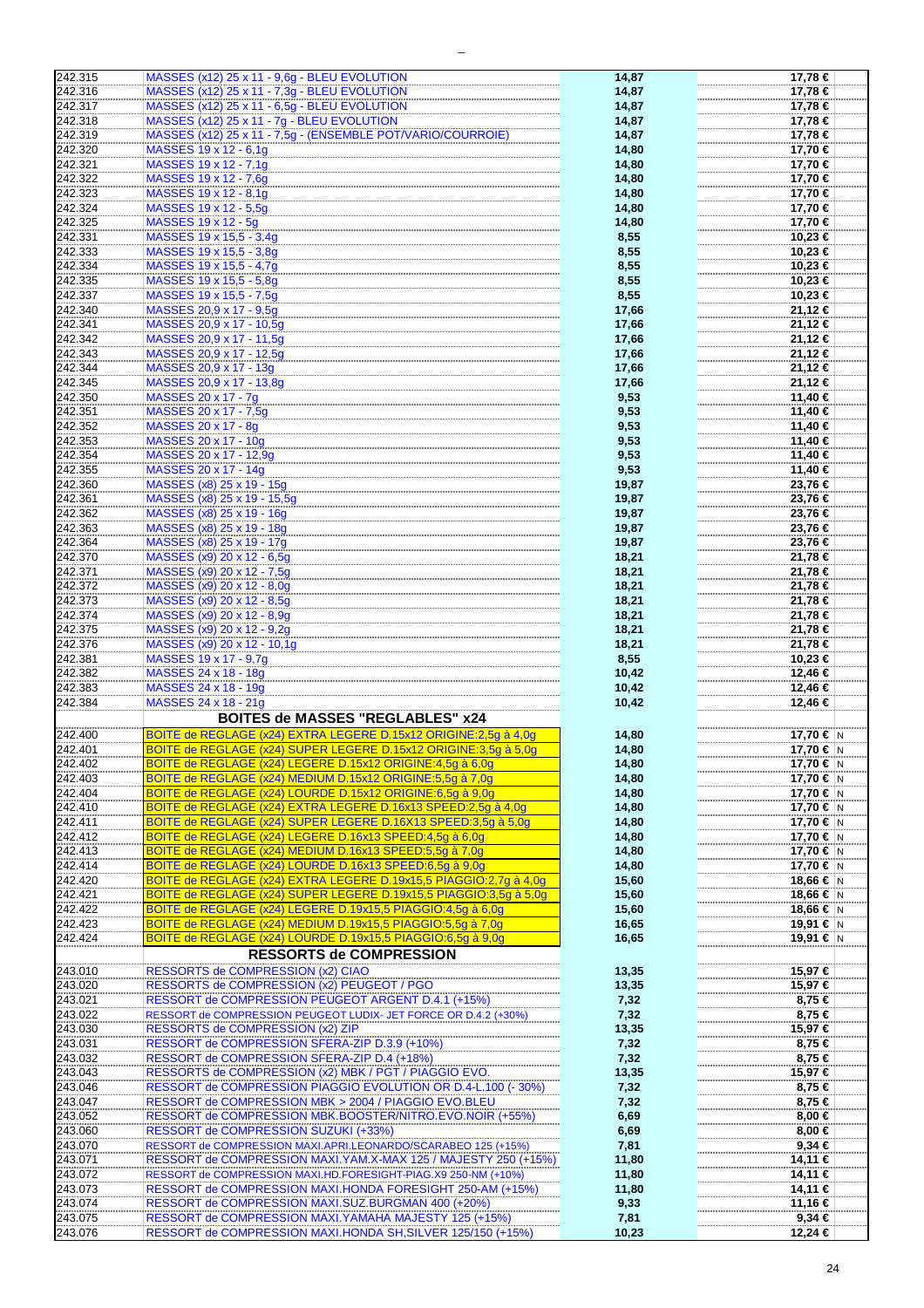| 242.315            | MASSES (x12) 25 x 11 - 9,6g - BLEU EVOLUTION                                                                                           | 14,87         | 17,78 €               |
|--------------------|----------------------------------------------------------------------------------------------------------------------------------------|---------------|-----------------------|
| 242.316            | MASSES (x12) 25 x 11 - 7,3g - BLEU EVOLUTION                                                                                           | 14,87         | 17,78 €               |
| 242.317            | MASSES (x12) 25 x 11 - 6,5g - BLEU EVOLUTION                                                                                           | 14,87         | 17,78 €               |
| 242.318            | MASSES (x12) 25 x 11 - 7g - BLEU EVOLUTION                                                                                             | 14,87         | 17,78 €               |
| 242.319            | MASSES (x12) 25 x 11 - 7,5g - (ENSEMBLE POT/VARIO/COURROIE)                                                                            | 14,87         | 17,78 €               |
|                    |                                                                                                                                        |               |                       |
| 242.320            | MASSES 19 x 12 - 6,1g                                                                                                                  | 14,80         | 17,70 €               |
| 242.321            | MASSES 19 x 12 - 7,1g                                                                                                                  | 14,80         | 17,70 €               |
| 242.322            | MASSES 19 x 12 - 7,6g                                                                                                                  | 14,80         | 17,70 €               |
| 242.323            | MASSES 19 x 12 - 8,1g                                                                                                                  | 14,80         | 17,70 €               |
| 242.324            | MASSES 19 x 12 - 5,5g                                                                                                                  | 14,80         | 17,70 €               |
| 242.325            | MASSES 19 x 12 - 5g                                                                                                                    | 14,80         | 17,70 €               |
| 242.331            | MASSES 19 x 15,5 - 3,4q                                                                                                                | 8,55          | 10,23 €               |
|                    | MASSES 19 x 15,5 - 3,8q                                                                                                                |               |                       |
| 242.333            |                                                                                                                                        | 8,55          | 10,23 €               |
| 242.334            | MASSES 19 x 15,5 - 4,7g                                                                                                                | 8,55          | 10,23 €               |
| 242.335            | MASSES 19 x 15,5 - 5,8q                                                                                                                | 8,55          | 10,23 €               |
| 242.337            | MASSES 19 x 15,5 - 7,5g                                                                                                                | 8,55          | 10,23 €               |
| 242.340            | MASSES 20,9 x 17 - 9,5g                                                                                                                | 17,66         | 21,12 €               |
| 242.341            | MASSES 20,9 x 17 - 10,5g                                                                                                               | 17,66         | 21,12 €               |
| 242.342            | MASSES 20,9 x 17 - 11,5g                                                                                                               | 17,66         | 21,12 €               |
| 242.343            | MASSES 20,9 x 17 - 12,5q                                                                                                               |               | 21,12 €               |
|                    |                                                                                                                                        | 17,66         |                       |
| 242.344            | MASSES 20,9 x 17 - 13g                                                                                                                 | 17,66         | 21,12 €               |
| 242.345            | MASSES 20,9 x 17 - 13,8g                                                                                                               | 17,66         | 21,12 €               |
| 242.350            | MASSES 20 x 17 - 7g                                                                                                                    | 9,53          | 11,40 €               |
| 242.351            | MASSES 20 x 17 - 7,5g                                                                                                                  | 9,53          | 11,40 €               |
| 242.352            | MASSES 20 x 17 - 8g                                                                                                                    | 9,53          | 11,40 €               |
| 242.353            | MASSES 20 x 17 - 10g                                                                                                                   | 9,53          | 11,40 €               |
| 242.354            | MASSES 20 x 17 - 12,9g                                                                                                                 | 9,53          | 11,40 €               |
| 242.355            | MASSES 20 x 17 - 14g                                                                                                                   |               | 11,40 €               |
|                    |                                                                                                                                        | 9,53          |                       |
| 242.360            | MASSES (x8) 25 x 19 - 15g                                                                                                              | 19,87         | 23,76 €               |
| 242.361            | MASSES (x8) 25 x 19 - 15,5g                                                                                                            | 19,87         | $23,76$ €             |
| 242.362            | MASSES (x8) 25 x 19 - 16g                                                                                                              | 19,87         | 23,76 €               |
| 242.363            | MASSES (x8) 25 x 19 - 18g                                                                                                              | 19,87         | 23,76 €               |
| 242.364            | MASSES (x8) 25 x 19 - 17g                                                                                                              | 19,87         | 23,76 €               |
| 242.370            | MASSES (x9) 20 x 12 - 6,5g                                                                                                             | 18,21         | 21,78 €               |
| 242.371            | MASSES (x9) 20 x 12 - 7,5g                                                                                                             | 18,21         | 21,78 €               |
|                    |                                                                                                                                        |               |                       |
| 242.372            | MASSES (x9) 20 x 12 - 8,0g                                                                                                             | 18,21         | 21,78 €               |
| 242.373            | MASSES (x9) 20 x 12 - 8,5g                                                                                                             | 18,21         | 21,78 €               |
| 242.374            | MASSES (x9) 20 x 12 - 8,9g                                                                                                             | 18,21         | 21,78 €               |
| 242.375            | MASSES (x9) 20 x 12 - 9,2g                                                                                                             | 18,21         | 21,78 €               |
| 242.376            | MASSES (x9) 20 x 12 - 10,1g                                                                                                            | 18,21         | 21,78 €               |
| 242.381            | MASSES 19 x 17 - 9,7g                                                                                                                  | 8,55          | 10,23 €               |
| 242.382            | MASSES 24 x 18 - 18g                                                                                                                   | 10,42         | 12,46 €               |
| 242.383            | MASSES 24 x 18 - 19g                                                                                                                   | 10,42         | 12,46 €               |
|                    | MASSES 24 x 18 - 21g                                                                                                                   |               |                       |
| 242.384            |                                                                                                                                        | 10,42         | 12,46 €               |
|                    | <b>BOITES de MASSES "REGLABLES" x24</b>                                                                                                |               |                       |
| 242.400            | BOITE de REGLAGE (x24) EXTRA LEGERE D.15x12 ORIGINE:2,5q à 4,0q                                                                        | 14,80         | 17,70 € <u>IN</u>     |
| 242.401            | BOITE de REGLAGE (x24) SUPER LEGERE D.15x12 ORIGINE:3,5g à 5,0g                                                                        | 14,80         | 17,70 € <u>N</u>      |
| 242.402            | BOITE de REGLAGE (x24) LEGERE D.15x12 ORIGINE:4,5g à 6,0g                                                                              | 14,80         |                       |
| 242.403            |                                                                                                                                        |               |                       |
|                    |                                                                                                                                        |               | 17,70 € N             |
|                    | BOITE de REGLAGE (x24) MEDIUM D.15x12 ORIGINE:5,5g à 7,0g                                                                              | 14,80         | 17,70 € <u>N</u>      |
| 242.404            | BOITE de REGLAGE (x24) LOURDE D.15x12 ORIGINE:6,5q à 9,0q                                                                              | 14,80         | 17,70 € N             |
| 242.410            | BOITE de REGLAGE (x24) EXTRA LEGERE D.16x13 SPEED:2,5g à 4,0g                                                                          | 14,80         | 17,70 € <u>N</u>      |
| 242.411            | BOITE de REGLAGE (x24) SUPER LEGERE D.16X13 SPEED:3,5g à 5,0g                                                                          | 14,80         | 17,70 € N             |
| 242.412            | BOITE de REGLAGE (x24) LEGERE D.16x13 SPEED:4,5g à 6,0g                                                                                | 14,80         | 17,70 € N             |
| 242.413            | BOITE de REGLAGE (x24) MEDIUM D.16x13 SPEED:5,5g à 7,0g                                                                                | 14,80         | 17,70 € <u>N</u>      |
| 242.414            | BOITE de REGLAGE (x24) LOURDE D.16x13 SPEED:6,5q à 9,0q                                                                                | 14,80         | 17,70 € N             |
| 242.420            |                                                                                                                                        | 15,60         | 18,66 € <u>N</u>      |
| 242.421            | BOITE de REGLAGE (x24) EXTRA LEGERE D.19x15,5 PIAGGIO:2,7g à 4,0g<br>BOITE de REGLAGE (x24) SUPER LEGERE D.19x15,5 PIAGGIO:3,5q à 5,0q |               | 18,66 € N             |
|                    |                                                                                                                                        | 15,60         |                       |
| 242.422            | BOITE de REGLAGE (x24) LEGERE D.19x15,5 PIAGGIO:4,5g à 6,0g                                                                            | 15,60         | 18,66 €  N            |
| 242.423            | BOITE de REGLAGE (x24) MEDIUM D.19x15,5 PIAGGIO:5,5g à 7,0g                                                                            | 16,65         | 19,91 € <u>N</u>      |
| 242.424            | BOITE de REGLAGE (x24) LOURDE D.19x15,5 PIAGGIO:6,5g à 9,0g                                                                            | 16,65         | 19,91 € N             |
|                    | <b>RESSORTS de COMPRESSION</b>                                                                                                         |               |                       |
| 243.010            | RESSORTS de COMPRESSION (x2) CIAO                                                                                                      | 13,35         | 15,97 €               |
| 243.020            | RESSORTS de COMPRESSION (x2) PEUGEOT / PGO                                                                                             | 13,35         | 15,97 €               |
|                    |                                                                                                                                        |               |                       |
| 243.021            | RESSORT de COMPRESSION PEUGEOT ARGENT D.4.1 (+15%)                                                                                     | 7,32          | 8,75 €                |
| 243.022            | RESSORT de COMPRESSION PEUGEOT LUDIX- JET FORCE OR D.4.2 (+30%)                                                                        | 7,32          | 8,75 €                |
| 243.030            | RESSORTS de COMPRESSION (x2) ZIP                                                                                                       | 13,35         | 15,97 €               |
| 243.031            | RESSORT de COMPRESSION SFERA-ZIP D.3.9 (+10%)                                                                                          | 7,32          | 8,75 €                |
| 243.032            | RESSORT de COMPRESSION SFERA-ZIP D.4 (+18%)                                                                                            | 7,32          | 8,75 €                |
| 243.043            | RESSORTS de COMPRESSION (x2) MBK / PGT / PIAGGIO EVO.                                                                                  | 13,35         | 15,97 €               |
| 243.046            | RESSORT de COMPRESSION PIAGGIO EVOLUTION OR D.4-L.100 (-30%)                                                                           | 7,32          | 8,75 €                |
| 243.047            | RESSORT de COMPRESSION MBK > 2004 / PIAGGIO EVO.BLEU                                                                                   |               | 8,75 €                |
|                    |                                                                                                                                        | 7,32          |                       |
| 243.052            | RESSORT de COMPRESSION MBK.BOOSTER/NITRO.EVO.NOIR (+55%)                                                                               | 6,69          | $8,00 \in$            |
| 243.060            | RESSORT de COMPRESSION SUZUKI (+33%)                                                                                                   | 6,69          | 8,00 $\in$            |
| 243.070            | RESSORT de COMPRESSION MAXI.APRI.LEONARDO/SCARABEO 125 (+15%)                                                                          | 7,81          | $9,34 \in$            |
| 243.071            | RESSORT de COMPRESSION MAXI.YAM.X-MAX 125 / MAJESTY 250 (+15%)                                                                         | 11,80         | 14,11 €               |
| 243.072            | RESSORT de COMPRESSION MAXI.HD.FORESIGHT-PIAG.X9 250-NM (+10%)                                                                         | 11,80         | 14,11 €               |
| 243.073            | RESSORT de COMPRESSION MAXI.HONDA FORESIGHT 250-AM (+15%)                                                                              | 11,80         | 14,11 €               |
| 243.074            | RESSORT de COMPRESSION MAXI.SUZ.BURGMAN 400 (+20%)                                                                                     | 9,33          | 11,16 €               |
|                    |                                                                                                                                        |               |                       |
| 243.075<br>243.076 | RESSORT de COMPRESSION MAXI.YAMAHA MAJESTY 125 (+15%)<br>RESSORT de COMPRESSION MAXI.HONDA SH, SILVER 125/150 (+15%)                   | 7,81<br>10,23 | $9,34 \in$<br>12,24 € |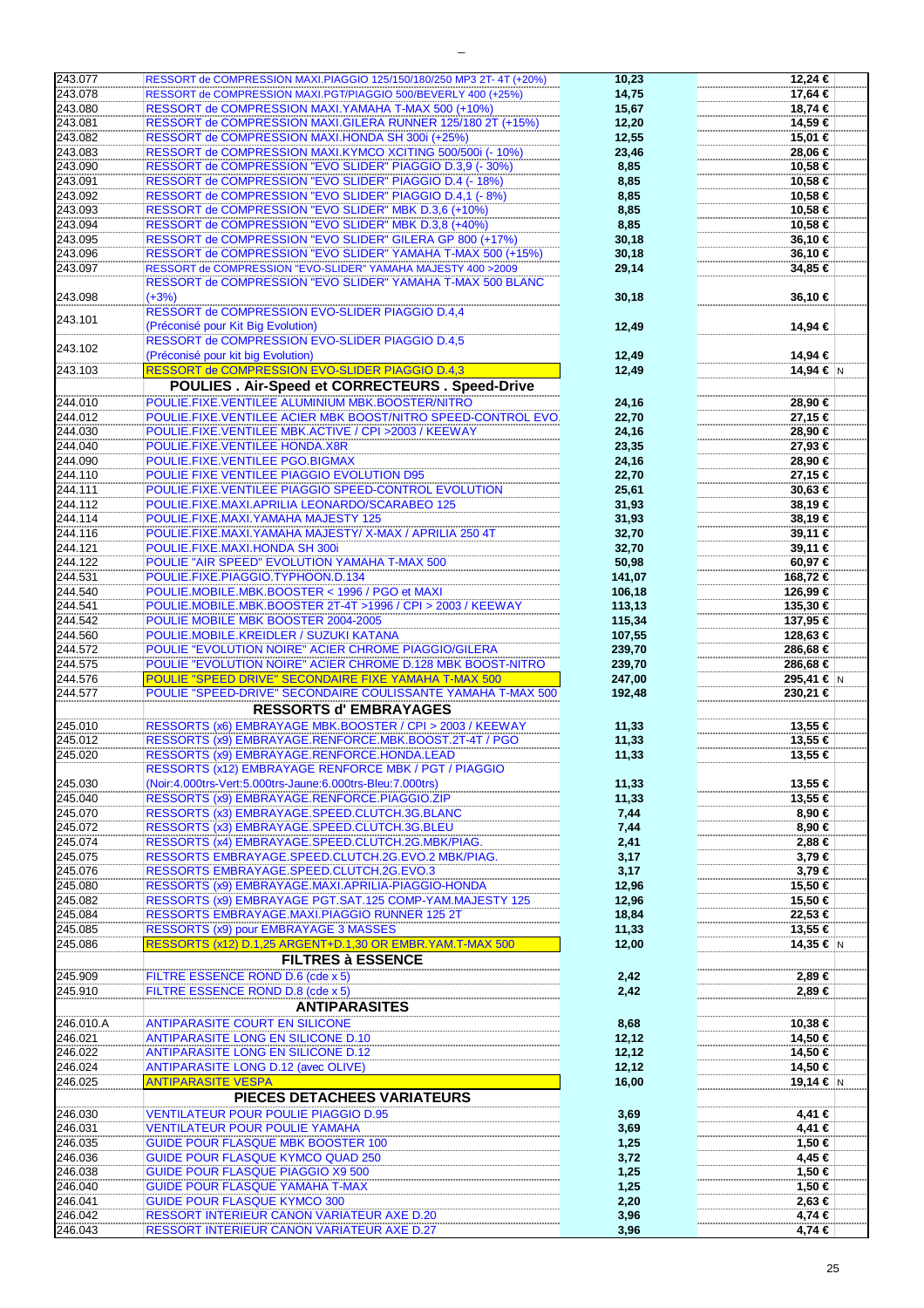| 243.077   | RESSORT de COMPRESSION MAXI.PIAGGIO 125/150/180/250 MP3 2T- 4T (+20%) | 10,23  | 12.24 €    |
|-----------|-----------------------------------------------------------------------|--------|------------|
| 243.078   | RESSORT de COMPRESSION MAXI.PGT/PIAGGIO 500/BEVERLY 400 (+25%)        | 14,75  | 17,64 €    |
| 243.080   | RESSORT de COMPRESSION MAXI.YAMAHA T-MAX 500 (+10%)                   | 15,67  | 18,74 €    |
| 243.081   | RESSORT de COMPRESSION MAXI.GILERA RUNNER 125/180 2T (+15%)           | 12,20  | 14,59 €    |
|           |                                                                       |        |            |
| 243.082   | RESSORT de COMPRESSION MAXI.HONDA SH 300i (+25%)                      | 12,55  | 15,01 €    |
| 243.083   | RESSORT de COMPRESSION MAXI.KYMCO XCITING 500/500i (- 10%)            | 23,46  | 28,06 €    |
| 243.090   | RESSORT de COMPRESSION "EVO SLIDER" PIAGGIO D.3,9 (- 30%)             | 8,85   | 10,58 €    |
| 243.091   | RESSORT de COMPRESSION "EVO SLIDER" PIAGGIO D.4 (- 18%)               | 8,85   | 10,58 €    |
| 243.092   | RESSORT de COMPRESSION "EVO SLIDER" PIAGGIO D.4,1 (-8%)               |        | 10,58 €    |
|           |                                                                       | 8,85   |            |
| 243.093   | RESSORT de COMPRESSION "EVO SLIDER" MBK D.3,6 (+10%)                  | 8,85   | 10,58 €    |
| 243.094   | RESSORT de COMPRESSION "EVO SLIDER" MBK D.3,8 (+40%)                  | 8,85   | 10,58 €    |
| 243.095   | RESSORT de COMPRESSION "EVO SLIDER" GILERA GP 800 (+17%)              | 30,18  | $36,10$ €  |
| 243.096   | RESSORT de COMPRESSION "EVO SLIDER" YAMAHA T-MAX 500 (+15%)           | 30,18  | 36,10 €    |
| 243.097   | RESSORT de COMPRESSION "EVO-SLIDER" YAMAHA MAJESTY 400 >2009          | 29,14  | 34,85 €    |
|           |                                                                       |        |            |
|           | RESSORT de COMPRESSION "EVO SLIDER" YAMAHA T-MAX 500 BLANC            |        |            |
| 243.098   | $(+3%)$                                                               | 30,18  | 36,10 €    |
|           | RESSORT de COMPRESSION EVO-SLIDER PIAGGIO D.4,4                       |        |            |
| 243.101   | (Préconisé pour Kit Big Evolution)                                    | 12,49  | 14,94 €    |
|           | <b>RESSORT de COMPRESSION EVO-SLIDER PIAGGIO D.4,5</b>                |        |            |
| 243.102   |                                                                       |        |            |
|           | (Préconisé pour kit big Evolution)                                    | 12,49  | 14,94 €    |
| 243.103   | RESSORT de COMPRESSION EVO-SLIDER PIAGGIO D.4,3                       | 12,49  | 14,94 € N  |
|           | POULIES. Air-Speed et CORRECTEURS. Speed-Drive                        |        |            |
| 244.010   | POULIE.FIXE.VENTILEE ALUMINIUM MBK.BOOSTER/NITRO                      | 24,16  | 28,90 €    |
|           |                                                                       |        |            |
| 244.012   | POULIE.FIXE.VENTILEE ACIER MBK BOOST/NITRO SPEED-CONTROL EVO.         | 22,70  | $27,15$ €  |
| 244.030   | POULIE.FIXE.VENTILEE MBK.ACTIVE / CPI >2003 / KEEWAY                  | 24,16  | 28,90 €    |
| 244.040   | POULIE.FIXE.VENTILEE HONDA.X8R                                        | 23,35  | 27,93 €    |
| 244.090   | POULIE.FIXE.VENTILEE PGO.BIGMAX                                       | 24,16  | 28,90 €    |
| 244.110   | POULIE FIXE VENTILEE PIAGGIO EVOLUTION D95                            | 22,70  | 27,15 €    |
|           |                                                                       |        |            |
| 244.111   | POULIE.FIXE.VENTILEE PIAGGIO SPEED-CONTROL EVOLUTION                  | 25,61  | $30,63$ €  |
| 244.112   | POULIE.FIXE.MAXI.APRILIA LEONARDO/SCARABEO 125                        | 31,93  | 38,19€     |
| 244.114   | POULIE.FIXE.MAXI.YAMAHA MAJESTY 125                                   | 31,93  | 38,19€     |
| 244.116   | POULIE.FIXE.MAXI.YAMAHA MAJESTY/X-MAX / APRILIA 250 4T                | 32,70  | 39,11 €    |
| 244.121   | POULIE.FIXE.MAXI.HONDA SH 300i                                        | 32,70  | 39,11 €    |
|           |                                                                       |        |            |
| 244.122   | POULIE "AIR SPEED" EVOLUTION YAMAHA T-MAX 500                         | 50,98  | 60,97€     |
| 244.531   | POULIE.FIXE.PIAGGIO.TYPHOON.D.134                                     | 141,07 | 168,72 €   |
| 244.540   | POULIE.MOBILE.MBK.BOOSTER < 1996 / PGO et MAXI                        | 106,18 | 126,99 €   |
| 244.541   | POULIE.MOBILE.MBK.BOOSTER 2T-4T >1996 / CPI > 2003 / KEEWAY           | 113,13 | 135,30 €   |
| 244.542   | POULIE MOBILE MBK BOOSTER 2004-2005                                   | 115,34 | 137,95 €   |
|           |                                                                       |        |            |
| 244.560   | POULIE.MOBILE.KREIDLER / SUZUKI KATANA                                | 107,55 | 128,63 €   |
| 244.572   | POULIE "EVOLUTION NOIRE" ACIER CHROME PIAGGIO/GILERA                  | 239,70 | 286,68 €   |
|           |                                                                       |        |            |
| 244.575   | POULIE "EVOLUTION NOIRE" ACIER CHROME D.128 MBK BOOST-NITRO           | 239,70 | 286,68 €   |
|           |                                                                       |        |            |
| 244.576   | POULIE "SPEED DRIVE" SECONDAIRE FIXE YAMAHA T-MAX 500                 | 247,00 | 295,41 € N |
| 244.577   | POULIE "SPEED-DRIVE" SECONDAIRE COULISSANTE YAMAHA T-MAX 500          | 192,48 | 230,21 €   |
|           | <b>RESSORTS d'EMBRAYAGES</b>                                          |        |            |
| 245.010   | RESSORTS (x6) EMBRAYAGE MBK.BOOSTER / CPI > 2003 / KEEWAY             | 11,33  | 13,55 €    |
| 245.012   | RESSORTS (x9) EMBRAYAGE.RENFORCE.MBK.BOOST.2T-4T / PGO                |        | 13,55 €    |
|           |                                                                       | 11,33  |            |
| 245.020   | RESSORTS (x9) EMBRAYAGE.RENFORCE.HONDA.LEAD                           | 11,33  | 13,55 €    |
|           | RESSORTS (x12) EMBRAYAGE RENFORCE MBK / PGT / PIAGGIO                 |        |            |
| 245.030   | (Noir:4.000trs-Vert:5.000trs-Jaune:6.000trs-Bleu:7.000trs)            | 11,33  | 13,55 €    |
| 245.040   | RESSORTS (x9) EMBRAYAGE.RENFORCE.PIAGGIO.ZIP                          | 11,33  | 13,55 €    |
| 245.070   | RESSORTS (x3) EMBRAYAGE.SPEED.CLUTCH.3G.BLANC                         | 7,44   | 8,90 €     |
|           |                                                                       |        |            |
| 245.072   | RESSORTS (x3) EMBRAYAGE.SPEED.CLUTCH.3G.BLEU                          | 7,44   | 8,90 €     |
| 245.074   | RESSORTS (x4) EMBRAYAGE.SPEED.CLUTCH.2G.MBK/PIAG.                     | 2,41   | 2,88 €     |
| 245.075   | RESSORTS EMBRAYAGE.SPEED.CLUTCH.2G.EVO.2 MBK/PIAG.                    | 3,17   | $3,79 \in$ |
| 245.076   | RESSORTS EMBRAYAGE.SPEED.CLUTCH.2G.EVO.3                              | 3,17   | 3,79€      |
| 245.080   | RESSORTS (x9) EMBRAYAGE.MAXI.APRILIA-PIAGGIO-HONDA                    | 12,96  | 15,50 €    |
| 245.082   | RESSORTS (x9) EMBRAYAGE PGT.SAT.125 COMP-YAM.MAJESTY 125              |        | 15,50 €    |
|           |                                                                       | 12,96  |            |
| 245.084   | RESSORTS EMBRAYAGE.MAXI.PIAGGIO RUNNER 125 2T                         | 18,84  | $22,53$ €  |
| 245.085   | RESSORTS (x9) pour EMBRAYAGE 3 MASSES                                 | 11,33  | 13,55 €    |
| 245.086   | RESSORTS (x12) D.1,25 ARGENT+D.1,30 OR EMBR.YAM.T-MAX 500             | 12,00  | 14,35 € N  |
|           | <b>FILTRES à ESSENCE</b>                                              |        |            |
|           |                                                                       |        |            |
| 245.909   | FILTRE ESSENCE ROND D.6 (cde x 5)                                     | 2,42   | 2,89 €     |
| 245.910   | FILTRE ESSENCE ROND D.8 (cde x 5)                                     | 2,42   | 2,89 €     |
|           | <b>ANTIPARASITES</b>                                                  |        |            |
| 246.010.A | <b>ANTIPARASITE COURT EN SILICONE</b>                                 | 8,68   | 10,38 €    |
|           |                                                                       |        |            |
| 246.021   | <b>ANTIPARASITE LONG EN SILICONE D.10</b>                             | 12, 12 | 14,50 €    |
| 246.022   | <b>ANTIPARASITE LONG EN SILICONE D.12</b>                             | 12, 12 | 14,50 €    |
| 246.024   | <b>ANTIPARASITE LONG D.12 (avec OLIVE)</b>                            | 12, 12 | 14,50 €    |
| 246.025   | <b>ANTIPARASITE VESPA</b>                                             | 16,00  | 19,14 € N  |
|           |                                                                       |        |            |
|           | PIECES DETACHEES VARIATEURS                                           |        |            |
| 246.030   | <b>VENTILATEUR POUR POULIE PIAGGIO D.95</b>                           | 3,69   | 4,41 €     |
| 246.031   | <b>VENTILATEUR POUR POULIE YAMAHA</b>                                 | 3,69   | 4,41 €     |
| 246.035   | <b>GUIDE POUR FLASQUE MBK BOOSTER 100</b>                             | 1,25   | 1,50 €     |
|           |                                                                       |        |            |
| 246.036   | <b>GUIDE POUR FLASQUE KYMCO QUAD 250</b>                              | 3,72   | 4,45 €     |
| 246.038   | <b>GUIDE POUR FLASQUE PIAGGIO X9 500</b>                              | 1,25   | 1,50 €     |
| 246.040   | <b>GUIDE POUR FLASQUE YAMAHA T-MAX</b>                                | 1,25   | 1,50 €     |
| 246.041   | <b>GUIDE POUR FLASQUE KYMCO 300</b>                                   | 2,20   | 2,63 €     |
| 246.042   | RESSORT INTERIEUR CANON VARIATEUR AXE D.20                            | 3,96   | 4,74 €     |
| 246.043   | RESSORT INTERIEUR CANON VARIATEUR AXE D.27                            | 3,96   | 4,74 €     |

|  | 12,24 €          |    |
|--|------------------|----|
|  | 17,64 €          |    |
|  |                  |    |
|  | 18,74 €          |    |
|  | 14,59 €          |    |
|  | 15,01 €          |    |
|  | 28,06 €          |    |
|  |                  |    |
|  | 10,58 €          |    |
|  | 10,58 €          |    |
|  | 10,58 €          |    |
|  | 10,58 €          |    |
|  |                  |    |
|  | 10,58 €          |    |
|  | 36,10 €          |    |
|  | 36,10 €          |    |
|  | 34,85 €          |    |
|  |                  |    |
|  |                  |    |
|  | 36,10 €          |    |
|  |                  |    |
|  | 14,94 €          |    |
|  |                  |    |
|  |                  |    |
|  | 14,94 €          |    |
|  | 14,94 €          | ļΝ |
|  |                  |    |
|  | 28,90 €          |    |
|  |                  |    |
|  | 27,15 €          |    |
|  | 28,90 €          |    |
|  | 27,93 €          |    |
|  | 28,90 €          |    |
|  |                  |    |
|  | 27,15 €          |    |
|  | 30,63 €          |    |
|  | 38,19 €          |    |
|  | 38,19 €          |    |
|  |                  |    |
|  | 39,11 €          |    |
|  | 39,11 €          |    |
|  | 60,97€           |    |
|  | 168,72 €         |    |
|  | 126,99 €         |    |
|  |                  |    |
|  | 135,30 €         |    |
|  | 137,95 €         |    |
|  | 128,63 €         |    |
|  |                  |    |
|  |                  |    |
|  | 286,68 €         |    |
|  | 286,68 €         |    |
|  | 295,41 €         | N  |
|  | 230,21 €         |    |
|  |                  |    |
|  |                  |    |
|  | 13,55 €          |    |
|  | 13,55 €          |    |
|  | 13,55 €          |    |
|  |                  |    |
|  |                  |    |
|  | 13,55 €          |    |
|  | 13,55 €          |    |
|  | 8,90 €           |    |
|  | 8,90 €           |    |
|  |                  |    |
|  | 2,88 €           |    |
|  | 3,79 €           |    |
|  | 3,79 €           |    |
|  | 15,50 €          |    |
|  |                  |    |
|  | 15,50 €          |    |
|  | 22,53 €          |    |
|  | 13,55 €          |    |
|  | 14,35 €          | ١N |
|  |                  |    |
|  |                  |    |
|  | 2,89 €           |    |
|  | 2,89 €           |    |
|  |                  |    |
|  |                  |    |
|  | 10,38 €          |    |
|  | 14,50 €          |    |
|  | 14,50 €          |    |
|  | 14,50 €          |    |
|  | 19,14 €          | Ν  |
|  |                  |    |
|  |                  |    |
|  | 4,41 €           |    |
|  | 4,41 €           |    |
|  |                  |    |
|  | 1,50 €           |    |
|  | 4,45 €           |    |
|  | 1,50 €           |    |
|  | 1,50 €           |    |
|  | 2,63 €           |    |
|  |                  |    |
|  | 4,74 €<br>4,74 € |    |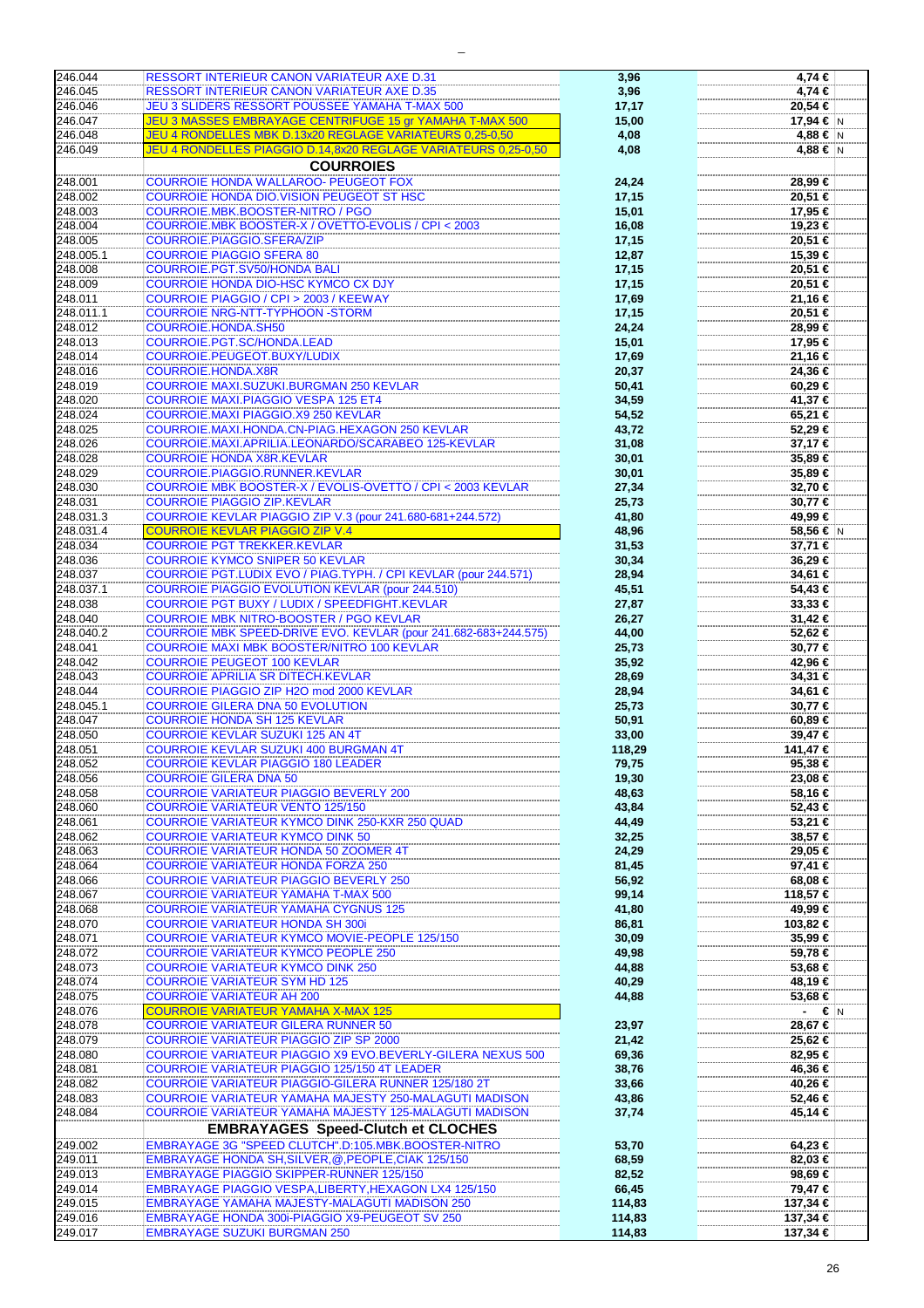| 246.044   |                                                                 |        |                    |
|-----------|-----------------------------------------------------------------|--------|--------------------|
|           | <b>RESSORT INTERIEUR CANON VARIATEUR AXE D.31</b>               | 3,96   | 4,74 €             |
| 246.045   | <b>RESSORT INTERIEUR CANON VARIATEUR AXE D.35</b>               | 3,96   | 4,74 €             |
| 246.046   | <b>JEU 3 SLIDERS RESSORT POUSSEE YAMAHA T-MAX 500</b>           |        | 20,54 €            |
|           |                                                                 | 17,17  |                    |
| 246.047   | JEU 3 MASSES EMBRAYAGE CENTRIFUGE 15 gr YAMAHA T-MAX 500        | 15,00  | 17,94 € N          |
|           |                                                                 |        |                    |
| 246.048   | JEU 4 RONDELLES MBK D.13x20 REGLAGE VARIATEURS 0,25-0,50        | 4,08   | $4,88$ € $\vert$ N |
| 246.049   | JEU 4 RONDELLES PIAGGIO D.14,8x20 REGLAGE VARIATEURS 0,25-0,50  | 4,08   | 4,88 € $\vert$ N   |
|           |                                                                 |        |                    |
|           | <b>COURROIES</b>                                                |        |                    |
|           |                                                                 |        |                    |
| 248.001   | <b>COURROIE HONDA WALLAROO- PEUGEOT FOX</b>                     | 24,24  | 28,99 €            |
| 248.002   | <b>COURROIE HONDA DIO.VISION PEUGEOT ST HSC</b>                 | 17,15  | 20,51 €            |
|           |                                                                 |        |                    |
| 248.003   | COURROIE.MBK.BOOSTER-NITRO / PGO                                | 15,01  | 17,95 €            |
| 248.004   | COURROIE.MBK BOOSTER-X / OVETTO-EVOLIS / CPI < 2003             | 16,08  | 19,23 €            |
|           |                                                                 |        |                    |
| 248.005   | COURROIE.PIAGGIO.SFERA/ZIP                                      | 17,15  | 20,51 €            |
| 248.005.1 | <b>COURROIE PIAGGIO SFERA 80</b>                                | 12,87  | 15,39 €            |
|           |                                                                 |        |                    |
| 248.008   | <b>COURROIE.PGT.SV50/HONDA BALI</b>                             | 17,15  | 20,51 €            |
| 248.009   | <b>COURROIE HONDA DIO-HSC KYMCO CX DJY</b>                      | 17,15  | 20,51 €            |
|           |                                                                 |        |                    |
| 248.011   | COURROIE PIAGGIO / CPI > 2003 / KEEWAY                          | 17,69  | 21,16 €            |
| 248.011.1 | <b>COURROIE NRG-NTT-TYPHOON -STORM</b>                          | 17,15  | $20,51$ €          |
|           |                                                                 |        |                    |
| 248.012   | COURROIE.HONDA.SH50                                             | 24,24  | 28,99 €            |
| 248.013   | COURROIE.PGT.SC/HONDA.LEAD                                      | 15,01  | 17,95 €            |
|           |                                                                 |        |                    |
| 248.014   | COURROIE.PEUGEOT.BUXY/LUDIX                                     | 17,69  | 21,16 €            |
| 248.016   | <b>COURROIE.HONDA.X8R</b>                                       |        | 24,36 €            |
|           |                                                                 | 20,37  |                    |
| 248.019   | COURROIE MAXI.SUZUKI.BURGMAN 250 KEVLAR                         | 50,41  | 60,29€             |
|           |                                                                 |        |                    |
| 248.020   | <b>COURROIE MAXI.PIAGGIO VESPA 125 ET4</b>                      | 34,59  | 41,37 €            |
| 248.024   | COURROIE.MAXI PIAGGIO.X9 250 KEVLAR                             | 54,52  | 65,21 €            |
|           |                                                                 |        |                    |
| 248.025   | COURROIE.MAXI.HONDA.CN-PIAG.HEXAGON 250 KEVLAR                  | 43,72  | 52,29€             |
| 248.026   | COURROIE.MAXI.APRILIA.LEONARDO/SCARABEO 125-KEVLAR              | 31,08  | 37,17 €            |
|           |                                                                 |        |                    |
| 248.028   | <b>COURROIE HONDA X8R.KEVLAR</b>                                | 30,01  | 35,89 €            |
| 248.029   | COURROIE.PIAGGIO.RUNNER.KEVLAR                                  | 30,01  | 35,89 €            |
|           |                                                                 |        |                    |
| 248.030   | COURROIE MBK BOOSTER-X / EVOLIS-OVETTO / CPI < 2003 KEVLAR      | 27,34  | 32,70 €            |
| 248.031   | <b>COURROIE PIAGGIO ZIP.KEVLAR</b>                              | 25,73  | 30,77 €            |
|           |                                                                 |        |                    |
| 248.031.3 | COURROIE KEVLAR PIAGGIO ZIP V.3 (pour 241.680-681+244.572)      | 41,80  | 49,99 €            |
| 248.031.4 | <b>COURROIE KEVLAR PIAGGIO ZIP V.4</b>                          | 48,96  | 58,56 € N          |
|           |                                                                 |        |                    |
| 248.034   | <b>COURROIE PGT TREKKER.KEVLAR</b>                              | 31,53  | 37,71 €            |
| 248.036   | <b>COURROIE KYMCO SNIPER 50 KEVLAR</b>                          |        | 36,29€             |
|           |                                                                 | 30,34  |                    |
| 248.037   | COURROIE PGT.LUDIX EVO / PIAG.TYPH. / CPI KEVLAR (pour 244.571) | 28,94  | 34,61 €            |
|           |                                                                 |        |                    |
| 248.037.1 | <b>COURROIE PIAGGIO EVOLUTION KEVLAR (pour 244.510)</b>         | 45,51  | 54,43 €            |
| 248.038   | <b>COURROIE PGT BUXY / LUDIX / SPEEDFIGHT.KEVLAR</b>            | 27,87  | 33,33 €            |
|           |                                                                 |        |                    |
| 248.040   | COURROIE MBK NITRO-BOOSTER / PGO KEVLAR                         | 26,27  | 31,42 €            |
| 248.040.2 | COURROIE MBK SPEED-DRIVE EVO. KEVLAR (pour 241.682-683+244.575) | 44,00  | 52,62 €            |
|           |                                                                 |        |                    |
| 248.041   | COURROIE MAXI MBK BOOSTER/NITRO 100 KEVLAR                      | 25,73  | 30,77 €            |
| 248.042   | <b>COURROIE PEUGEOT 100 KEVLAR</b>                              | 35,92  | 42,96 €            |
|           |                                                                 |        |                    |
| 248.043   | <b>COURROIE APRILIA SR DITECH.KEVLAR</b>                        | 28,69  | $34,31 \in$        |
| 248.044   | COURROIE PIAGGIO ZIP H2O mod 2000 KEVLAR                        | 28,94  | 34,61 €            |
|           |                                                                 |        |                    |
| 248.045.1 | <b>COURROIE GILERA DNA 50 EVOLUTION</b>                         | 25,73  | 30,77 €            |
| 248.047   | <b>COURROIE HONDA SH 125 KEVLAR</b>                             | 50,91  | $60,89 \in$        |
|           |                                                                 |        |                    |
| 248.050   | <b>COURROIE KEVLAR SUZUKI 125 AN 4T</b>                         | 33,00  | 39,47 €            |
| 248.051   | <b>COURROIE KEVLAR SUZUKI 400 BURGMAN 4T</b>                    | 118,29 | 141,47 €           |
|           |                                                                 |        |                    |
| 248.052   | <b>COURROIE KEVLAR PIAGGIO 180 LEADER</b>                       | 79,75  | $95,38$ €          |
| 248.056   | <b>COURROIE GILERA DNA 50</b>                                   |        |                    |
|           |                                                                 | 19,30  | 23,08 €            |
| 248.058   | <b>COURROIE VARIATEUR PIAGGIO BEVERLY 200</b>                   | 48,63  | 58,16 €            |
|           | <b>COURROIE VARIATEUR VENTO 125/150</b>                         |        |                    |
| 248.060   |                                                                 | 43,84  | 52,43 €            |
| 248.061   | <b>COURROIE VARIATEUR KYMCO DINK 250-KXR 250 QUAD</b>           | 44,49  | 53,21 €            |
|           |                                                                 |        |                    |
| 248.062   | <b>COURROIE VARIATEUR KYMCO DINK 50</b>                         | 32,25  | 38,57 €            |
| 248.063   | <b>COURROIE VARIATEUR HONDA 50 ZOOMER 4T</b>                    | 24,29  | 29,05 €            |
| 248.064   | <b>COURROIE VARIATEUR HONDA FORZA 250</b>                       |        |                    |
|           |                                                                 | 81,45  | 97,41 €            |
| 248.066   | <b>COURROIE VARIATEUR PIAGGIO BEVERLY 250</b>                   | 56,92  | 68,08 €            |
| 248.067   | <b>COURROIE VARIATEUR YAMAHA T-MAX 500</b>                      | 99,14  | 118,57 €           |
|           |                                                                 |        |                    |
| 248.068   | <b>COURROIE VARIATEUR YAMAHA CYGNUS 125</b>                     | 41,80  | 49,99 €            |
| 248.070   | <b>COURROIE VARIATEUR HONDA SH 300i</b>                         | 86,81  | 103,82 €           |
|           |                                                                 |        |                    |
| 248.071   | <b>COURROIE VARIATEUR KYMCO MOVIE-PEOPLE 125/150</b>            | 30,09  | 35,99 €            |
| 248.072   | <b>COURROIE VARIATEUR KYMCO PEOPLE 250</b>                      |        |                    |
|           |                                                                 | 49,98  | 59,78 €            |
| 248.073   | <b>COURROIE VARIATEUR KYMCO DINK 250</b>                        | 44,88  | 53,68 €            |
| 248.074   | <b>COURROIE VARIATEUR SYM HD 125</b>                            |        |                    |
|           |                                                                 | 40,29  | 48,19 €            |
| 248.075   | <b>COURROIE VARIATEUR AH 200</b>                                | 44,88  | 53,68 €            |
| 248.076   | <b>COURROIE VARIATEUR YAMAHA X-MAX 125</b>                      |        |                    |
|           |                                                                 |        | $- \in  N $        |
| 248.078   | <b>COURROIE VARIATEUR GILERA RUNNER 50</b>                      | 23,97  | 28,67 €            |
| 248.079   | <b>COURROIE VARIATEUR PIAGGIO ZIP SP 2000</b>                   |        |                    |
|           |                                                                 | 21,42  | 25,62 €            |
| 248.080   | COURROIE VARIATEUR PIAGGIO X9 EVO.BEVERLY-GILERA NEXUS 500      | 69,36  | 82,95 €            |
|           |                                                                 |        |                    |
| 248.081   | <b>COURROIE VARIATEUR PIAGGIO 125/150 4T LEADER</b>             | 38,76  | 46,36 €            |
| 248.082   | <b>COURROIE VARIATEUR PIAGGIO-GILERA RUNNER 125/180 2T</b>      | 33,66  | 40,26 €            |
|           |                                                                 |        |                    |
| 248.083   | COURROIE VARIATEUR YAMAHA MAJESTY 250-MALAGUTI MADISON          | 43,86  | 52,46 €            |
| 248.084   | COURROIE VARIATEUR YAMAHA MAJESTY 125-MALAGUTI MADISON          | 37,74  | 45,14 €            |
|           |                                                                 |        |                    |
|           | <b>EMBRAYAGES Speed-Clutch et CLOCHES</b>                       |        |                    |
|           |                                                                 |        |                    |
| 249.002   | EMBRAYAGE 3G "SPEED CLUTCH".D:105.MBK.BOOSTER-NITRO             | 53,70  | 64,23 €            |
| 249.011   | EMBRAYAGE HONDA SH, SILVER, @, PEOPLE, CIAK 125/150             | 68,59  | 82,03 €            |
|           |                                                                 |        |                    |
| 249.013   | <b>EMBRAYAGE PIAGGIO SKIPPER-RUNNER 125/150</b>                 | 82,52  | 98,69 €            |
| 249.014   | EMBRAYAGE PIAGGIO VESPA, LIBERTY, HEXAGON LX4 125/150           | 66,45  | 79,47 €            |
|           |                                                                 |        |                    |
| 249.015   | <b>EMBRAYAGE YAMAHA MAJESTY-MALAGUTI MADISON 250</b>            | 114,83 | 137,34 €           |
|           |                                                                 |        |                    |
| 249.016   | EMBRAYAGE HONDA 300i-PIAGGIO X9-PEUGEOT SV 250                  | 114,83 | 137,34 €           |
| 249.017   | <b>EMBRAYAGE SUZUKI BURGMAN 250</b>                             | 114,83 | 137,34 €           |
|           |                                                                 |        |                    |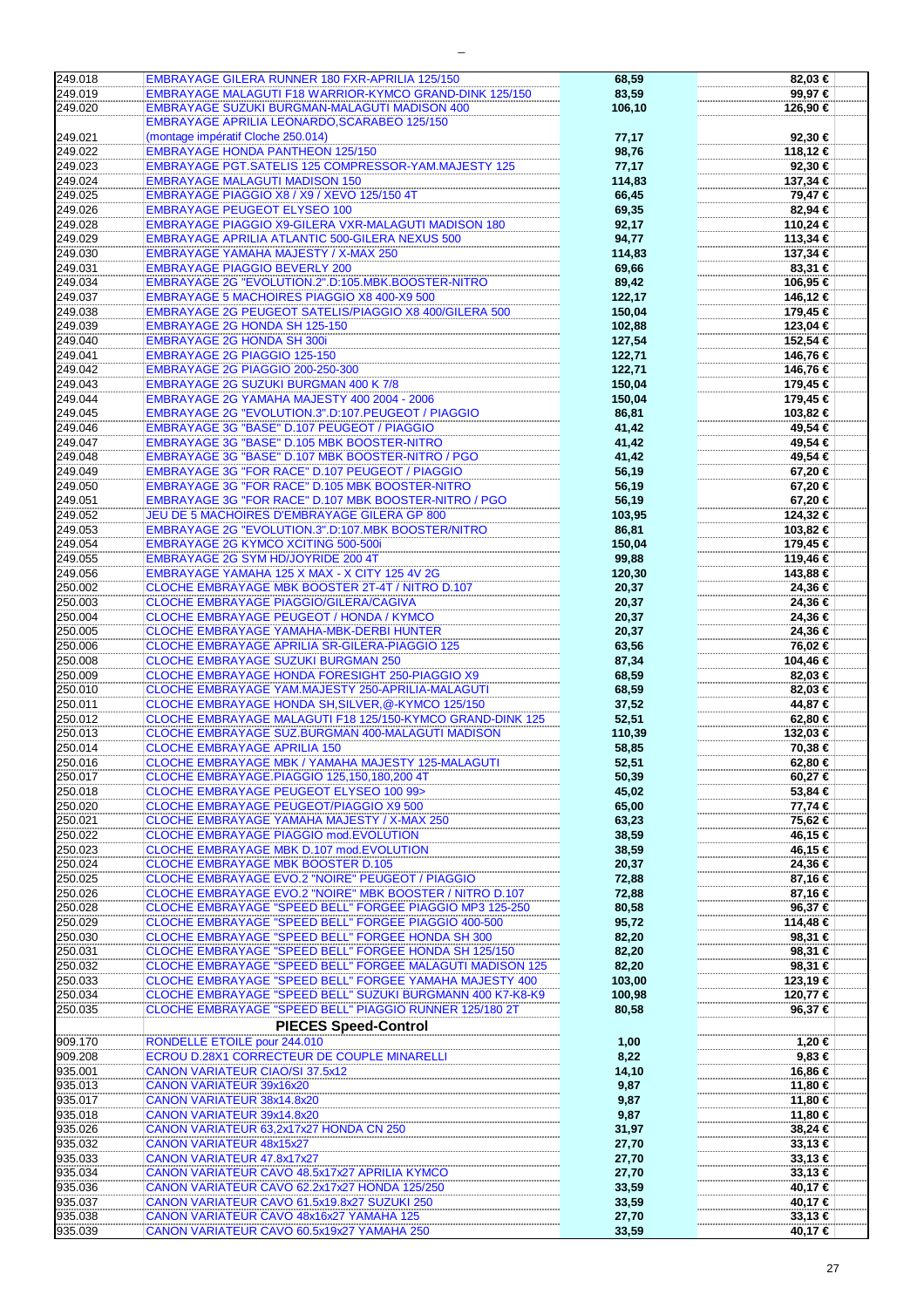| 249.018            | <b>EMBRAYAGE GILERA RUNNER 180 FXR-APRILIA 125/150</b>                                                               | 68,59            | 82,03 €              |
|--------------------|----------------------------------------------------------------------------------------------------------------------|------------------|----------------------|
| 249.019            | <b>EMBRAYAGE MALAGUTI F18 WARRIOR-KYMCO GRAND-DINK 125/150</b>                                                       | 83,59            | 99,97€               |
| 249.020            | EMBRAYAGE SUZUKI BURGMAN-MALAGUTI MADISON 400                                                                        | 106,10           | 126,90 €             |
|                    | EMBRAYAGE APRILIA LEONARDO, SCARABEO 125/150                                                                         |                  |                      |
| 249.021            | (montage impératif Cloche 250.014)                                                                                   | 77,17            | 92,30 €              |
| 249.022            | <b>EMBRAYAGE HONDA PANTHEON 125/150</b>                                                                              | 98,76            | 118,12 €             |
| 249.023            | EMBRAYAGE PGT.SATELIS 125 COMPRESSOR-YAM.MAJESTY 125                                                                 | 77,17            | 92,30 €              |
| 249.024            | <b>EMBRAYAGE MALAGUTI MADISON 150</b>                                                                                | 114,83           | 137,34 €             |
| 249.025            | EMBRAYAGE PIAGGIO X8 / X9 / XEVO 125/150 4T                                                                          | 66,45            | 79,47 €              |
| 249.026            | <b>EMBRAYAGE PEUGEOT ELYSEO 100</b>                                                                                  | 69,35            | 82,94 €              |
| 249.028            | EMBRAYAGE PIAGGIO X9-GILERA VXR-MALAGUTI MADISON 180                                                                 | 92,17            | 110,24 €             |
| 249.029            | <b>EMBRAYAGE APRILIA ATLANTIC 500-GILERA NEXUS 500</b>                                                               | 94,77            | 113,34 €             |
| 249.030            | <b>EMBRAYAGE YAMAHA MAJESTY / X-MAX 250</b>                                                                          | 114,83           | 137,34 €             |
| 249.031<br>249.034 | <b>EMBRAYAGE PIAGGIO BEVERLY 200</b><br>EMBRAYAGE 2G "EVOLUTION.2".D:105.MBK.BOOSTER-NITRO                           | 69,66            | 83,31 €              |
| 249.037            | <b>EMBRAYAGE 5 MACHOIRES PIAGGIO X8 400-X9 500</b>                                                                   | 89,42            | 106,95 €             |
| 249.038            | EMBRAYAGE 2G PEUGEOT SATELIS/PIAGGIO X8 400/GILERA 500                                                               | 122,17<br>150,04 | 146,12 €<br>179,45 € |
| 249.039            | EMBRAYAGE 2G HONDA SH 125-150                                                                                        | 102,88           | 123,04 €             |
| 249.040            | <b>EMBRAYAGE 2G HONDA SH 300i</b>                                                                                    | 127,54           | 152,54 €             |
| 249.041            | <b>EMBRAYAGE 2G PIAGGIO 125-150</b>                                                                                  | 122,71           | 146,76 €             |
| 249.042            | EMBRAYAGE 2G PIAGGIO 200-250-300                                                                                     | 122,71           | 146,76 €             |
| 249.043            | EMBRAYAGE 2G SUZUKI BURGMAN 400 K 7/8                                                                                | 150,04           | 179,45 €             |
| 249.044            | EMBRAYAGE 2G YAMAHA MAJESTY 400 2004 - 2006                                                                          | 150,04           | 179,45 €             |
| 249.045            | EMBRAYAGE 2G "EVOLUTION.3".D:107.PEUGEOT / PIAGGIO                                                                   | 86,81            | 103,82 €             |
| 249.046            | <b>EMBRAYAGE 3G "BASE" D.107 PEUGEOT / PIAGGIO</b>                                                                   | 41,42            | 49,54 €              |
| 249.047            | <b>EMBRAYAGE 3G "BASE" D.105 MBK BOOSTER-NITRO</b>                                                                   | 41,42            | 49,54 €              |
| 249.048            | EMBRAYAGE 3G "BASE" D.107 MBK BOOSTER-NITRO / PGO                                                                    | 41,42            | 49,54 €              |
| 249.049            | EMBRAYAGE 3G "FOR RACE" D.107 PEUGEOT / PIAGGIO                                                                      | 56,19            | 67,20 €              |
| 249.050            | EMBRAYAGE 3G "FOR RACE" D.105 MBK BOOSTER-NITRO                                                                      | 56,19            | 67,20 €              |
| 249.051            | EMBRAYAGE 3G "FOR RACE" D.107 MBK BOOSTER-NITRO / PGO                                                                | 56,19            | 67,20 €              |
| 249.052            | JEU DE 5 MACHOIRES D'EMBRAYAGE GILERA GP 800                                                                         | 103,95           | 124,32 €             |
| 249.053            | EMBRAYAGE 2G "EVOLUTION.3".D:107.MBK BOOSTER/NITRO                                                                   | 86,81            | 103,82 €             |
| 249.054            | <b>EMBRAYAGE 2G KYMCO XCITING 500-500i</b>                                                                           | 150,04           | 179,45 €             |
| 249.055            | EMBRAYAGE 2G SYM HD/JOYRIDE 200 4T                                                                                   | 99,88            | 119,46 €             |
| 249.056            | EMBRAYAGE YAMAHA 125 X MAX - X CITY 125 4V 2G                                                                        | 120,30           | 143,88 €             |
| 250.002            | CLOCHE EMBRAYAGE MBK BOOSTER 2T-4T / NITRO D.107                                                                     | 20,37            | 24,36 €              |
| 250.003            | CLOCHE EMBRAYAGE PIAGGIO/GILERA/CAGIVA                                                                               | 20,37            | 24,36 €              |
| 250.004            | CLOCHE EMBRAYAGE PEUGEOT / HONDA / KYMCO                                                                             | 20,37            | 24,36 €              |
| 250.005            | CLOCHE EMBRAYAGE YAMAHA-MBK-DERBI HUNTER                                                                             | 20,37            | 24,36 €              |
| 250.006            | CLOCHE EMBRAYAGE APRILIA SR-GILERA-PIAGGIO 125                                                                       | 63,56            | 76,02 €              |
| 250.008            | <b>CLOCHE EMBRAYAGE SUZUKI BURGMAN 250</b>                                                                           | 87,34            | 104,46 €             |
| 250.009<br>250.010 | CLOCHE EMBRAYAGE HONDA FORESIGHT 250-PIAGGIO X9<br>CLOCHE EMBRAYAGE YAM.MAJESTY 250-APRILIA-MALAGUTI                 | 68,59            | 82,03 €<br>82,03 €   |
| 250.011            | CLOCHE EMBRAYAGE HONDA SH, SILVER, @-KYMCO 125/150                                                                   | 68,59<br>37,52   | 44,87 €              |
| 250.012            | CLOCHE EMBRAYAGE MALAGUTI F18 125/150-KYMCO GRAND-DINK 125                                                           | 52,51            | 62,80 €              |
| 250.013            | CLOCHE EMBRAYAGE SUZ.BURGMAN 400-MALAGUTI MADISON                                                                    | 110,39           | 132,03 €             |
| 250.014            | <b>CLOCHE EMBRAYAGE APRILIA 150</b>                                                                                  | 58,85            | 70,38 €              |
| 250.016            | CLOCHE EMBRAYAGE MBK / YAMAHA MAJESTY 125-MALAGUTI                                                                   | 52,51            | 62,80 €              |
| 250.017            | CLOCHE EMBRAYAGE.PIAGGIO 125,150,180,200 4T                                                                          | 50,39            | 60,27 €              |
| 250.018            | <b>CLOCHE EMBRAYAGE PEUGEOT ELYSEO 100 99&gt;</b>                                                                    | 45,02            | 53,84 €              |
| 250.020            | CLOCHE EMBRAYAGE PEUGEOT/PIAGGIO X9 500                                                                              | 65,00            | 77,74 €              |
| 250.021            | CLOCHE EMBRAYAGE YAMAHA MAJESTY / X-MAX 250                                                                          | 63,23            | 75,62 €              |
| 250.022            | CLOCHE EMBRAYAGE PIAGGIO mod.EVOLUTION                                                                               | 38,59            | 46,15 €              |
| 250.023            | CLOCHE EMBRAYAGE MBK D.107 mod.EVOLUTION                                                                             | 38,59            | 46,15 €              |
| 250.024            | CLOCHE EMBRAYAGE MBK BOOSTER D.105                                                                                   | 20,37            | 24,36 €              |
| 250.025            | CLOCHE EMBRAYAGE EVO.2 "NOIRE" PEUGEOT / PIAGGIO                                                                     | 72,88            | 87,16 €              |
| 250.026            | CLOCHE EMBRAYAGE EVO.2 "NOIRE" MBK BOOSTER / NITRO D.107                                                             | 72,88            | 87,16 €              |
| 250.028            | CLOCHE EMBRAYAGE "SPEED BELL" FORGEE PIAGGIO MP3 125-250                                                             | 80,58            | 96,37 €              |
| 250.029            | CLOCHE EMBRAYAGE "SPEED BELL" FORGEE PIAGGIO 400-500                                                                 | 95,72            | 114,48 €             |
| 250.030            | CLOCHE EMBRAYAGE "SPEED BELL" FORGEE HONDA SH 300                                                                    | 82,20            | 98,31 €              |
| 250.031            | CLOCHE EMBRAYAGE "SPEED BELL" FORGEE HONDA SH 125/150                                                                | 82,20            | 98,31 €              |
| 250.032<br>250.033 | CLOCHE EMBRAYAGE "SPEED BELL" FORGEE MALAGUTI MADISON 125<br>CLOCHE EMBRAYAGE "SPEED BELL" FORGEE YAMAHA MAJESTY 400 | 82,20<br>103,00  | 98,31 €              |
| 250.034            | CLOCHE EMBRAYAGE "SPEED BELL" SUZUKI BURGMANN 400 K7-K8-K9                                                           | 100,98           | 123,19 €<br>120,77 € |
| 250.035            | CLOCHE EMBRAYAGE "SPEED BELL" PIAGGIO RUNNER 125/180 2T                                                              | 80,58            | 96,37 €              |
|                    |                                                                                                                      |                  |                      |
|                    | <b>PIECES Speed-Control</b>                                                                                          |                  |                      |
| 909.170<br>909.208 | RONDELLE ETOILE pour 244.010<br>ECROU D.28X1 CORRECTEUR DE COUPLE MINARELLI                                          | 1,00             | 1,20 €<br>9,83€      |
| 935.001            |                                                                                                                      | 8,22             | 16,86 €              |
| 935.013            | <b>CANON VARIATEUR CIAO/SI 37.5x12</b><br><b>CANON VARIATEUR 39x16x20</b>                                            | 14,10<br>9,87    | 11,80 €              |
| 935.017            | CANON VARIATEUR 38x14.8x20                                                                                           | 9,87             | 11,80 €              |
| 935.018            | CANON VARIATEUR 39x14.8x20                                                                                           | 9,87             | 11,80 €              |
| 935.026            | CANON VARIATEUR 63,2x17x27 HONDA CN 250                                                                              | 31,97            | 38,24 €              |
| 935.032            | <b>CANON VARIATEUR 48x15x27</b>                                                                                      | 27,70            | 33,13 €              |
| 935.033            | CANON VARIATEUR 47.8x17x27                                                                                           | 27,70            | $33,13 \in$          |
| 935.034            | CANON VARIATEUR CAVO 48.5x17x27 APRILIA KYMCO                                                                        | 27,70            | 33,13 €              |
| 935.036            | CANON VARIATEUR CAVO 62.2x17x27 HONDA 125/250                                                                        | 33,59            | 40,17 €              |
| 935.037            | CANON VARIATEUR CAVO 61.5x19.8x27 SUZUKI 250                                                                         | 33,59            | 40,17 €              |
| 935.038            | CANON VARIATEUR CAVO 48x16x27 YAMAHA 125                                                                             | 27,70            | $33,13 \in$          |
| 935.039            | CANON VARIATEUR CAVO 60.5x19x27 YAMAHA 250                                                                           | 33,59            | 40,17 €              |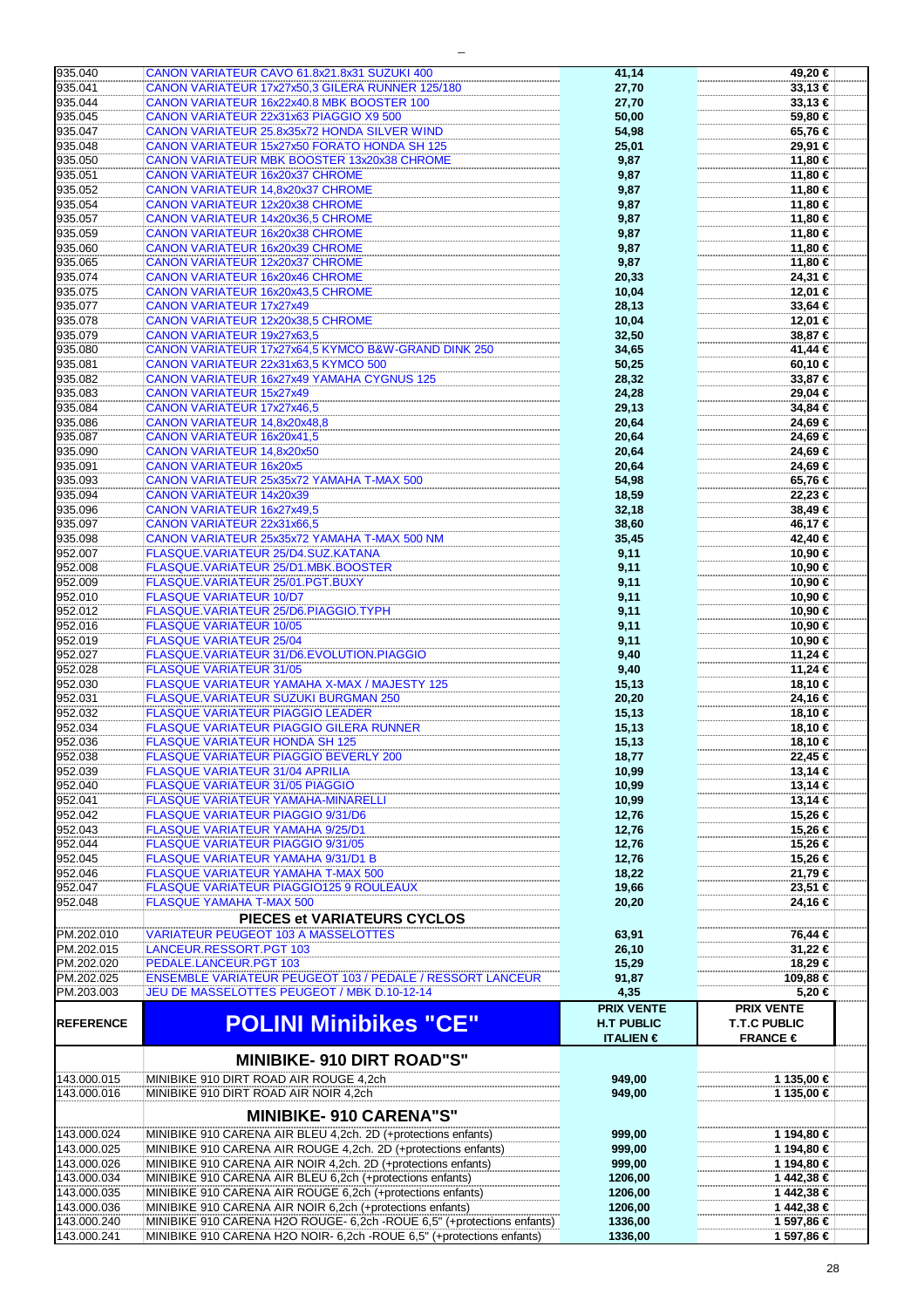| 935.040                    |                                                                                                                                                   |                           |                          |
|----------------------------|---------------------------------------------------------------------------------------------------------------------------------------------------|---------------------------|--------------------------|
|                            | CANON VARIATEUR CAVO 61.8x21.8x31 SUZUKI 400                                                                                                      | 41,14                     | 49,20 €                  |
| 935.041                    | CANON VARIATEUR 17x27x50,3 GILERA RUNNER 125/180                                                                                                  | 27,70                     | $33,13 \in$              |
| 935.044                    |                                                                                                                                                   |                           |                          |
|                            | CANON VARIATEUR 16x22x40.8 MBK BOOSTER 100                                                                                                        | 27,70                     | $33,13 \in$              |
| 935.045                    | CANON VARIATEUR 22x31x63 PIAGGIO X9 500                                                                                                           | 50,00                     | 59,80 €                  |
| 935.047                    | CANON VARIATEUR 25.8x35x72 HONDA SILVER WIND                                                                                                      | 54,98                     | 65,76 €                  |
| 935.048                    | CANON VARIATEUR 15x27x50 FORATO HONDA SH 125                                                                                                      | 25,01                     | 29,91 €                  |
|                            |                                                                                                                                                   |                           |                          |
| 935.050                    | <b>CANON VARIATEUR MBK BOOSTER 13x20x38 CHROME</b>                                                                                                | 9,87                      | 11,80 €                  |
| 935.051                    | CANON VARIATEUR 16x20x37 CHROME                                                                                                                   | 9,87                      | 11,80 €                  |
| 935.052                    | CANON VARIATEUR 14,8x20x37 CHROME                                                                                                                 | 9,87                      | 11,80 €                  |
|                            |                                                                                                                                                   |                           |                          |
| 935.054                    | <b>CANON VARIATEUR 12x20x38 CHROME</b>                                                                                                            | 9,87                      | 11,80 €                  |
| 935.057                    | CANON VARIATEUR 14x20x36,5 CHROME                                                                                                                 | 9,87                      | 11,80 €                  |
| 935.059                    | <b>CANON VARIATEUR 16x20x38 CHROME</b>                                                                                                            | 9,87                      | 11,80 €                  |
|                            |                                                                                                                                                   |                           |                          |
| 935.060                    | <b>CANON VARIATEUR 16x20x39 CHROME</b>                                                                                                            | 9,87                      | 11,80 €                  |
| 935.065                    | CANON VARIATEUR 12x20x37 CHROME                                                                                                                   | 9,87                      | 11,80 €                  |
| 935.074                    | <b>CANON VARIATEUR 16x20x46 CHROME</b>                                                                                                            | 20,33                     | 24,31 €                  |
|                            |                                                                                                                                                   |                           |                          |
| 935.075                    | CANON VARIATEUR 16x20x43,5 CHROME                                                                                                                 | 10,04                     | 12,01 €                  |
| 935.077                    | CANON VARIATEUR 17x27x49                                                                                                                          | 28,13                     | 33,64 €                  |
| 935.078                    | CANON VARIATEUR 12x20x38,5 CHROME                                                                                                                 | 10,04                     | 12,01 €                  |
|                            |                                                                                                                                                   |                           |                          |
| 935.079                    | CANON VARIATEUR 19x27x63,5                                                                                                                        | 32,50                     | 38,87 €                  |
| 935.080                    | CANON VARIATEUR 17x27x64,5 KYMCO B&W-GRAND DINK 250                                                                                               | 34,65                     | 41,44 €                  |
| 935.081                    | CANON VARIATEUR 22x31x63,5 KYMCO 500                                                                                                              | 50,25                     | 60,10 €                  |
| 935.082                    | CANON VARIATEUR 16x27x49 YAMAHA CYGNUS 125                                                                                                        | 28,32                     | 33,87 €                  |
|                            |                                                                                                                                                   |                           |                          |
| 935.083                    | <b>CANON VARIATEUR 15x27x49</b>                                                                                                                   | 24,28                     | 29,04 €                  |
| 935.084                    | <b>CANON VARIATEUR 17x27x46,5</b>                                                                                                                 | 29,13                     | 34,84 €                  |
| 935.086                    | CANON VARIATEUR 14,8x20x48,8                                                                                                                      | 20,64                     | 24,69 €                  |
|                            |                                                                                                                                                   |                           |                          |
| 935.087                    | CANON VARIATEUR 16x20x41,5                                                                                                                        | 20,64                     | 24,69 €                  |
| 935.090                    | CANON VARIATEUR 14,8x20x50                                                                                                                        | 20,64                     | 24,69 €                  |
| 935.091                    | <b>CANON VARIATEUR 16x20x5</b>                                                                                                                    | 20,64                     | 24,69 €                  |
|                            |                                                                                                                                                   |                           |                          |
| 935.093                    | CANON VARIATEUR 25x35x72 YAMAHA T-MAX 500                                                                                                         | 54,98                     | 65,76 €                  |
| 935.094                    | <b>CANON VARIATEUR 14x20x39</b>                                                                                                                   | 18,59                     | 22,23 €                  |
| 935.096                    | <b>CANON VARIATEUR 16x27x49,5</b>                                                                                                                 | 32,18                     | 38,49€                   |
|                            |                                                                                                                                                   |                           |                          |
| 935.097                    | CANON VARIATEUR 22x31x66,5                                                                                                                        | 38,60                     | 46,17 €                  |
| 935.098                    | CANON VARIATEUR 25x35x72 YAMAHA T-MAX 500 NM                                                                                                      | 35,45                     | 42,40 €                  |
| 952.007                    | FLASQUE.VARIATEUR 25/D4.SUZ.KATANA                                                                                                                | 9,11                      | 10,90 €                  |
| 952.008                    | FLASQUE.VARIATEUR 25/D1.MBK.BOOSTER                                                                                                               |                           |                          |
|                            |                                                                                                                                                   | 9,11                      | 10,90 €                  |
| 952.009                    | FLASQUE.VARIATEUR 25/01.PGT.BUXY                                                                                                                  | 9,11                      | 10,90 €                  |
| 952.010                    | <b>FLASQUE VARIATEUR 10/D7</b>                                                                                                                    | 9,11                      | 10,90 €                  |
|                            |                                                                                                                                                   |                           |                          |
| 952.012                    | FLASQUE.VARIATEUR 25/D6.PIAGGIO.TYPH                                                                                                              | 9,11                      | 10,90 €                  |
| 952.016                    | <b>FLASQUE VARIATEUR 10/05</b>                                                                                                                    | 9,11                      | 10,90 €                  |
| 952.019                    | <b>FLASQUE VARIATEUR 25/04</b>                                                                                                                    | 9,11                      | 10,90 €                  |
| 952.027                    | FLASQUE.VARIATEUR 31/D6.EVOLUTION.PIAGGIO                                                                                                         | 9,40                      | 11,24 €                  |
|                            |                                                                                                                                                   |                           |                          |
| 952.028                    | <b>FLASQUE VARIATEUR 31/05</b>                                                                                                                    | 9,40                      | 11,24 €                  |
| 952.030                    | FLASQUE VARIATEUR YAMAHA X-MAX / MAJESTY 125                                                                                                      | 15,13                     | 18,10 €                  |
| 952.031                    | <b>FLASQUE.VARIATEUR SUZUKI BURGMAN 250</b>                                                                                                       |                           |                          |
|                            |                                                                                                                                                   | 20,20                     | 24,16 €                  |
| 952.032                    | <b>FLASQUE VARIATEUR PIAGGIO LEADER</b>                                                                                                           | 15,13                     | 18,10 €                  |
| 952.034                    | FLASQUE VARIATEUR PIAGGIO GILERA RUNNER                                                                                                           | 15,13                     | 18,10 €                  |
|                            |                                                                                                                                                   |                           |                          |
|                            |                                                                                                                                                   |                           |                          |
| 952.036                    | <b>FLASQUE VARIATEUR HONDA SH 125</b>                                                                                                             | 15,13                     | 18,10 €                  |
| 952.038                    | <b>FLASQUE VARIATEUR PIAGGIO BEVERLY 200</b>                                                                                                      | 18,77                     | 22.45 €                  |
|                            |                                                                                                                                                   |                           |                          |
| 952.039                    | <b>FLASQUE VARIATEUR 31/04 APRILIA</b>                                                                                                            | 10,99                     | 13,14 €                  |
| 952.040                    | <b>FLASQUE VARIATEUR 31/05 PIAGGIO</b>                                                                                                            | 10,99                     | 13,14 €                  |
| 952.041                    | <b>FLASQUE VARIATEUR YAMAHA-MINARELLI</b>                                                                                                         | 10,99                     | 13,14 €                  |
| 952.042                    | FLASQUE VARIATEUR PIAGGIO 9/31/D6                                                                                                                 | 12,76                     | 15,26 €                  |
|                            |                                                                                                                                                   |                           |                          |
| 952.043                    | <b>FLASQUE VARIATEUR YAMAHA 9/25/D1</b>                                                                                                           | 12,76                     | 15,26 €                  |
| 952.044                    | <b>FLASQUE VARIATEUR PIAGGIO 9/31/05</b>                                                                                                          | 12,76                     | 15,26 €                  |
| 952.045                    | <b>FLASQUE VARIATEUR YAMAHA 9/31/D1 B</b>                                                                                                         | 12,76                     | 15,26 €                  |
|                            |                                                                                                                                                   |                           |                          |
| 952.046                    | FLASQUE VARIATEUR YAMAHA T-MAX 500                                                                                                                | 18,22                     | 21,79 €                  |
| 952.047                    | FLASQUE VARIATEUR PIAGGIO125 9 ROULEAUX                                                                                                           | 19,66                     | 23,51 €                  |
| 952.048                    | <b>FLASQUE YAMAHA T-MAX 500</b>                                                                                                                   | 20,20                     | 24,16 €                  |
|                            |                                                                                                                                                   |                           |                          |
|                            | PIECES et VARIATEURS CYCLOS                                                                                                                       |                           |                          |
| PM.202.010                 | <b>VARIATEUR PEUGEOT 103 A MASSELOTTES</b>                                                                                                        | 63,91                     | 76,44 €                  |
| PM.202.015                 | LANCEUR.RESSORT.PGT 103                                                                                                                           | 26,10                     | 31,22 €                  |
|                            |                                                                                                                                                   |                           |                          |
| PM.202.020                 | PEDALE.LANCEUR.PGT 103                                                                                                                            | 15,29                     | 18,29 €                  |
| PM.202.025                 | <b>ENSEMBLE VARIATEUR PEUGEOT 103 / PEDALE / RESSORT LANCEUR</b>                                                                                  | 91,87                     | 109,88 €                 |
| PM.203.003                 | JEU DE MASSELOTTES PEUGEOT / MBK D.10-12-14                                                                                                       | 4,35                      | $5,20$ €                 |
|                            |                                                                                                                                                   |                           |                          |
|                            |                                                                                                                                                   | <b>PRIX VENTE</b>         | <b>PRIX VENTE</b>        |
| <b>REFERENCE</b>           | <b>POLINI Minibikes "CE"</b>                                                                                                                      | <b>H.T PUBLIC</b>         | <b>T.T.C PUBLIC</b>      |
|                            |                                                                                                                                                   | <b>ITALIEN</b> $\epsilon$ | FRANCE $\in$             |
|                            |                                                                                                                                                   |                           |                          |
|                            | <b>MINIBIKE-910 DIRT ROAD"S"</b>                                                                                                                  |                           |                          |
|                            |                                                                                                                                                   |                           |                          |
| 143.000.015                | MINIBIKE 910 DIRT ROAD AIR ROUGE 4,2ch                                                                                                            | 949,00                    | 1 135,00 €               |
| 143.000.016                | MINIBIKE 910 DIRT ROAD AIR NOIR 4,2ch                                                                                                             | 949,00                    | 1 135,00 €               |
|                            |                                                                                                                                                   |                           |                          |
|                            | <b>MINIBIKE-910 CARENA"S"</b>                                                                                                                     |                           |                          |
|                            |                                                                                                                                                   |                           |                          |
| 143.000.024                | MINIBIKE 910 CARENA AIR BLEU 4,2ch. 2D (+protections enfants)                                                                                     | 999,00                    | 1 194,80 €               |
| 143.000.025                | MINIBIKE 910 CARENA AIR ROUGE 4,2ch. 2D (+protections enfants)                                                                                    | 999,00                    | 1 194,80 €               |
|                            |                                                                                                                                                   |                           |                          |
| 143.000.026                | MINIBIKE 910 CARENA AIR NOIR 4,2ch. 2D (+protections enfants)                                                                                     | 999,00                    | 1 194,80 €               |
| 143.000.034                | MINIBIKE 910 CARENA AIR BLEU 6,2ch (+protections enfants)                                                                                         | 1206,00                   | 1 442,38 €               |
| 143.000.035                | MINIBIKE 910 CARENA AIR ROUGE 6,2ch (+protections enfants)                                                                                        | 1206,00                   | 1 442,38 €               |
|                            |                                                                                                                                                   |                           |                          |
| 143.000.036                | MINIBIKE 910 CARENA AIR NOIR 6,2ch (+protections enfants)                                                                                         | 1206,00                   | 1 442,38 €               |
| 143.000.240<br>143.000.241 | MINIBIKE 910 CARENA H2O ROUGE- 6,2ch - ROUE 6,5" (+protections enfants)<br>MINIBIKE 910 CARENA H2O NOIR- 6,2ch - ROUE 6,5" (+protections enfants) | 1336,00<br>1336,00        | 1 597,86 €<br>1 597,86 € |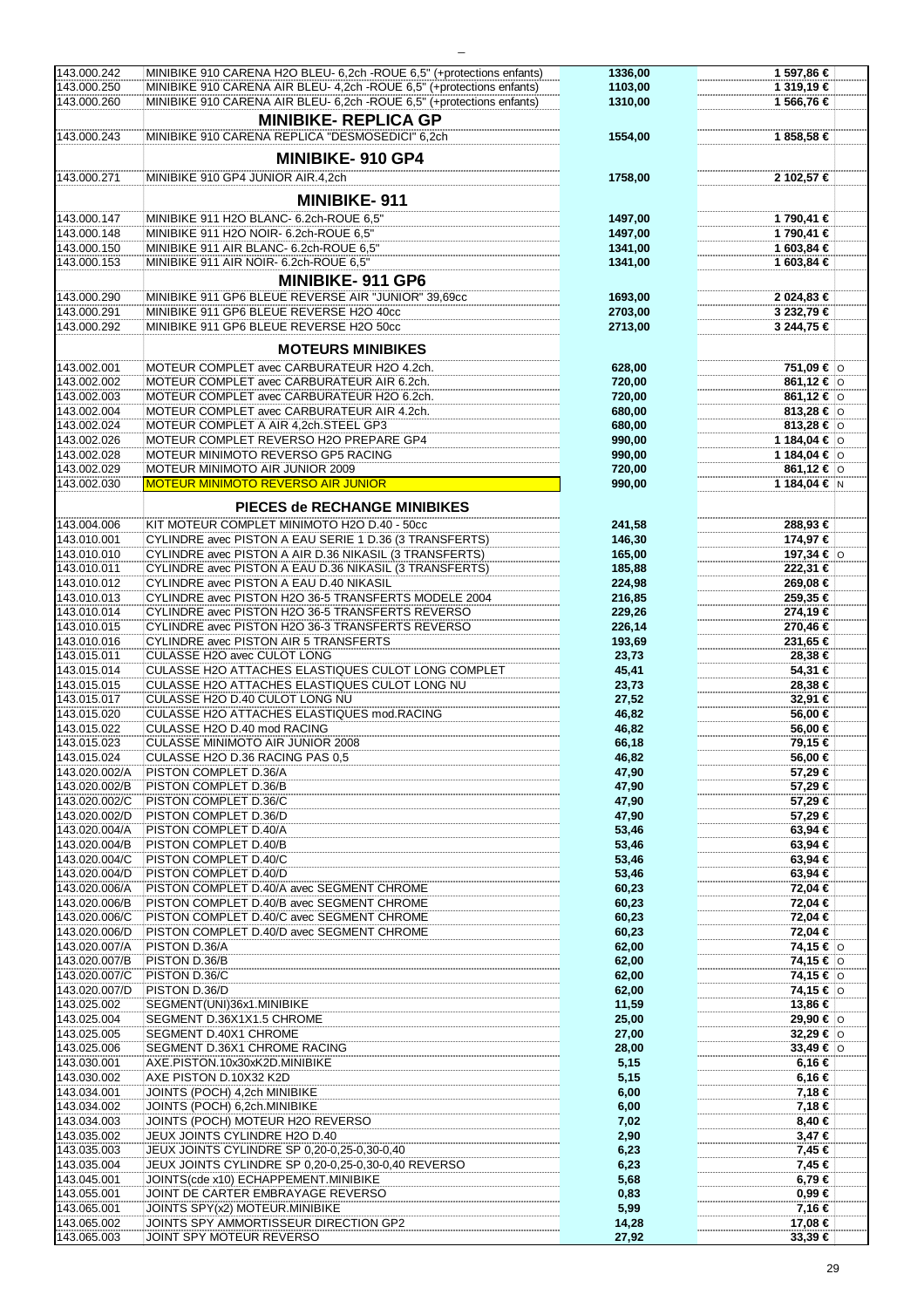| 143.000.242   | MINIBIKE 910 CARENA H2O BLEU- 6,2ch - ROUE 6,5" (+protections enfants) | 1336,00 | 1 597,86 €       |
|---------------|------------------------------------------------------------------------|---------|------------------|
| 143.000.250   | MINIBIKE 910 CARENA AIR BLEU- 4,2ch - ROUE 6,5" (+protections enfants) | 1103,00 | 1 319,19 €       |
|               |                                                                        |         |                  |
| 143.000.260   | MINIBIKE 910 CARENA AIR BLEU- 6,2ch - ROUE 6,5" (+protections enfants) | 1310,00 | 1 566,76 €       |
|               | <b>MINIBIKE- REPLICA GP</b>                                            |         |                  |
|               |                                                                        |         |                  |
| 143.000.243   | MINIBIKE 910 CARENA REPLICA "DESMOSEDICI" 6,2ch                        | 1554,00 | 1 858,58 €       |
|               |                                                                        |         |                  |
|               | MINIBIKE-910 GP4                                                       |         |                  |
|               |                                                                        |         |                  |
| 143.000.271   | MINIBIKE 910 GP4 JUNIOR AIR.4,2ch                                      | 1758,00 | 2 102,57 €       |
|               |                                                                        |         |                  |
|               | <b>MINIBIKE-911</b>                                                    |         |                  |
|               |                                                                        |         |                  |
| 143.000.147   | MINIBIKE 911 H2O BLANC- 6.2ch-ROUE 6.5"                                | 1497,00 | 1 790,41 €       |
| 143.000.148   | MINIBIKE 911 H2O NOIR- 6.2ch-ROUE 6,5"                                 | 1497,00 | 1 790,41 €       |
| 143.000.150   | MINIBIKE 911 AIR BLANC- 6.2ch-ROUE 6.5"                                | 1341,00 | 1 603,84 €       |
|               |                                                                        |         |                  |
| 143.000.153   | MINIBIKE 911 AIR NOIR- 6.2ch-ROUE 6,5"                                 | 1341,00 | 1 603,84 €       |
|               | <b>MINIBIKE-911 GP6</b>                                                |         |                  |
|               |                                                                        |         |                  |
| 143.000.290   | MINIBIKE 911 GP6 BLEUE REVERSE AIR "JUNIOR" 39,69cc                    | 1693,00 | 2 024,83 €       |
| 143.000.291   | MINIBIKE 911 GP6 BLEUE REVERSE H2O 40cc                                | 2703,00 | 3 232,79 €       |
|               |                                                                        |         |                  |
| 143.000.292   | MINIBIKE 911 GP6 BLEUE REVERSE H2O 50cc                                | 2713,00 | 3 244,75 €       |
|               |                                                                        |         |                  |
|               | <b>MOTEURS MINIBIKES</b>                                               |         |                  |
|               |                                                                        |         |                  |
| 143.002.001   | MOTEUR COMPLET avec CARBURATEUR H2O 4.2ch.                             | 628,00  | 751,09 € 0       |
| 143.002.002   | MOTEUR COMPLET avec CARBURATEUR AIR 6.2ch.                             | 720,00  | 861,12 € 0       |
| 143.002.003   | MOTEUR COMPLET avec CARBURATEUR H2O 6.2ch.                             | 720,00  | $861,12€$ 0      |
|               |                                                                        |         |                  |
| 143.002.004   | MOTEUR COMPLET avec CARBURATEUR AIR 4.2ch.                             | 680,00  | 813,28 € 0       |
| 143.002.024   | MOTEUR COMPLET A AIR 4,2ch.STEEL GP3                                   | 680,00  | 813,28 € 0       |
|               |                                                                        |         |                  |
| 143.002.026   | MOTEUR COMPLET REVERSO H2O PREPARE GP4                                 | 990,00  | 1 184,04 € 0     |
| 143.002.028   | MOTEUR MINIMOTO REVERSO GP5 RACING                                     | 990,00  | 1 184,04 € 0     |
| 143.002.029   | MOTEUR MINIMOTO AIR JUNIOR 2009                                        | 720,00  | 861,12 € $\circ$ |
|               |                                                                        |         |                  |
| 143.002.030   | <b>MOTEUR MINIMOTO REVERSO AIR JUNIOR</b>                              | 990,00  | 1 184,04 € N     |
|               |                                                                        |         |                  |
|               | PIECES de RECHANGE MINIBIKES                                           |         |                  |
|               |                                                                        |         |                  |
| 143.004.006   | KIT MOTEUR COMPLET MINIMOTO H2O D.40 - 50cc                            | 241,58  | 288,93 €         |
| 143.010.001   | CYLINDRE avec PISTON A EAU SERIE 1 D.36 (3 TRANSFERTS)                 | 146,30  | 174,97 €         |
| 143.010.010   | CYLINDRE avec PISTON A AIR D.36 NIKASIL (3 TRANSFERTS)                 | 165,00  | 197,34 € 0       |
|               |                                                                        |         |                  |
| 143.010.011   | CYLINDRE avec PISTON A EAU D.36 NIKASIL (3 TRANSFERTS)                 | 185,88  | 222,31 €         |
| 143.010.012   | CYLINDRE avec PISTON A EAU D.40 NIKASIL                                | 224,98  | 269,08 €         |
| 143.010.013   | CYLINDRE avec PISTON H2O 36-5 TRANSFERTS MODELE 2004                   |         | 259,35 €         |
|               |                                                                        | 216,85  |                  |
| 143.010.014   | CYLINDRE avec PISTON H2O 36-5 TRANSFERTS REVERSO                       | 229,26  | 274,19 €         |
| 143.010.015   | CYLINDRE avec PISTON H2O 36-3 TRANSFERTS REVERSO                       | 226,14  | 270,46 €         |
|               |                                                                        |         |                  |
| 143.010.016   | CYLINDRE avec PISTON AIR 5 TRANSFERTS                                  | 193,69  | 231,65 €         |
| 143.015.011   | CULASSE H2O avec CULOT LONG                                            | 23,73   | 28,38 €          |
| 143.015.014   | CULASSE H2O ATTACHES ELASTIQUES CULOT LONG COMPLET                     | 45,41   | 54,31 €          |
|               |                                                                        |         |                  |
| 143.015.015   | CULASSE H2O ATTACHES ELASTIQUES CULOT LONG NU                          | 23,73   | 28,38 €          |
| 143.015.017   | CULASSE H2O D.40 CULOT LONG NU                                         | 27,52   | 32,91 €          |
|               |                                                                        |         |                  |
| 143.015.020   | CULASSE H2O ATTACHES ELASTIQUES mod.RACING                             | 46,82   | 56,00 €          |
| 143.015.022   | CULASSE H2O D.40 mod RACING                                            | 46,82   | 56,00 €          |
| 143.015.023   | <b>CULASSE MINIMOTO AIR JUNIOR 2008</b>                                | 66,18   | 79.15 €          |
|               |                                                                        |         |                  |
| 143.015.024   | CULASSE H2O D.36 RACING PAS 0,5                                        | 46,82   | 56,00 €          |
| 143.020.002/A | <b>PISTON COMPLET D.36/A</b>                                           | 47,90   | 57,29 €          |
| 143.020.002/B | PISTON COMPLET D.36/B                                                  |         | 57,29 €          |
|               |                                                                        | 47,90   |                  |
| 143.020.002/C | PISTON COMPLET D.36/C                                                  | 47,90   | 57,29 €          |
| 143.020.002/D | PISTON COMPLET D.36/D                                                  | 47,90   | 57,29 €          |
|               |                                                                        |         |                  |
| 143.020.004/A | PISTON COMPLET D.40/A                                                  | 53,46   | 63,94 €          |
| 143.020.004/B | PISTON COMPLET D.40/B                                                  | 53,46   | 63,94 €          |
| 143.020.004/C | PISTON COMPLET D.40/C                                                  | 53,46   | 63,94 €          |
|               |                                                                        |         |                  |
| 143.020.004/D | PISTON COMPLET D.40/D                                                  | 53,46   | 63,94 €          |
| 143.020.006/A | PISTON COMPLET D.40/A avec SEGMENT CHROME                              | 60,23   | 72,04 €          |
| 143.020.006/B | PISTON COMPLET D.40/B avec SEGMENT CHROME                              | 60,23   | 72,04 €          |
|               |                                                                        |         |                  |
| 143.020.006/C | PISTON COMPLET D.40/C avec SEGMENT CHROME                              | 60,23   | 72,04 €          |
| 143.020.006/D | PISTON COMPLET D.40/D avec SEGMENT CHROME                              | 60,23   | 72,04 €          |
| 143.020.007/A |                                                                        |         |                  |
|               | PISTON D.36/A                                                          | 62,00   | 74,15 € 0        |
| 143.020.007/B | PISTON D.36/B                                                          | 62,00   | 74,15 € 0        |
| 143.020.007/C | PISTON D.36/C                                                          | 62,00   | 74,15 € 0        |
|               |                                                                        |         |                  |
| 143.020.007/D | PISTON D.36/D                                                          | 62,00   | 74,15 € 0        |
| 143.025.002   | SEGMENT(UNI)36x1.MINIBIKE                                              | 11,59   | 13,86 €          |
|               |                                                                        |         |                  |
| 143.025.004   | SEGMENT D.36X1X1.5 CHROME                                              | 25,00   | 29,90 € 0        |
| 143.025.005   | SEGMENT D.40X1 CHROME                                                  | 27,00   | 32,29 € $\circ$  |
| 143.025.006   | SEGMENT D.36X1 CHROME RACING                                           | 28,00   | 33,49 € $ $ 0    |
|               |                                                                        |         |                  |
| 143.030.001   | AXE.PISTON.10x30xK2D.MINIBIKE                                          | 5,15    | 6,16€            |
| 143.030.002   | AXE PISTON D.10X32 K2D                                                 | 5,15    | 6,16 €           |
| 143.034.001   | JOINTS (POCH) 4,2ch MINIBIKE                                           |         |                  |
|               |                                                                        | 6,00    | 7,18 €           |
| 143.034.002   | JOINTS (POCH) 6,2ch.MINIBIKE                                           | 6,00    | 7,18 €           |
| 143.034.003   | JOINTS (POCH) MOTEUR H2O REVERSO                                       | 7,02    | 8,40 €           |
|               |                                                                        |         |                  |
| 143.035.002   | JEUX JOINTS CYLINDRE H2O D.40                                          | 2,90    | $3,47 \in$       |
| 143.035.003   | JEUX JOINTS CYLINDRE SP 0,20-0,25-0,30-0,40                            | 6,23    | 7,45 €           |
|               |                                                                        |         |                  |
| 143.035.004   | JEUX JOINTS CYLINDRE SP 0,20-0,25-0,30-0,40 REVERSO                    | 6,23    | 7,45 €           |
| 143.045.001   | JOINTS(cde x10) ECHAPPEMENT.MINIBIKE                                   | 5,68    | 6,79€            |
| 143.055.001   | JOINT DE CARTER EMBRAYAGE REVERSO                                      | 0,83    | $0,99 \in$       |
|               |                                                                        |         |                  |
| 143.065.001   | JOINTS SPY(x2) MOTEUR.MINIBIKE                                         | 5,99    | 7,16 €           |
| 143.065.002   | JOINTS SPY AMMORTISSEUR DIRECTION GP2                                  | 14,28   | 17,08 €          |
| 143.065.003   | JOINT SPY MOTEUR REVERSO                                               | 27,92   | 33,39 €          |
|               |                                                                        |         |                  |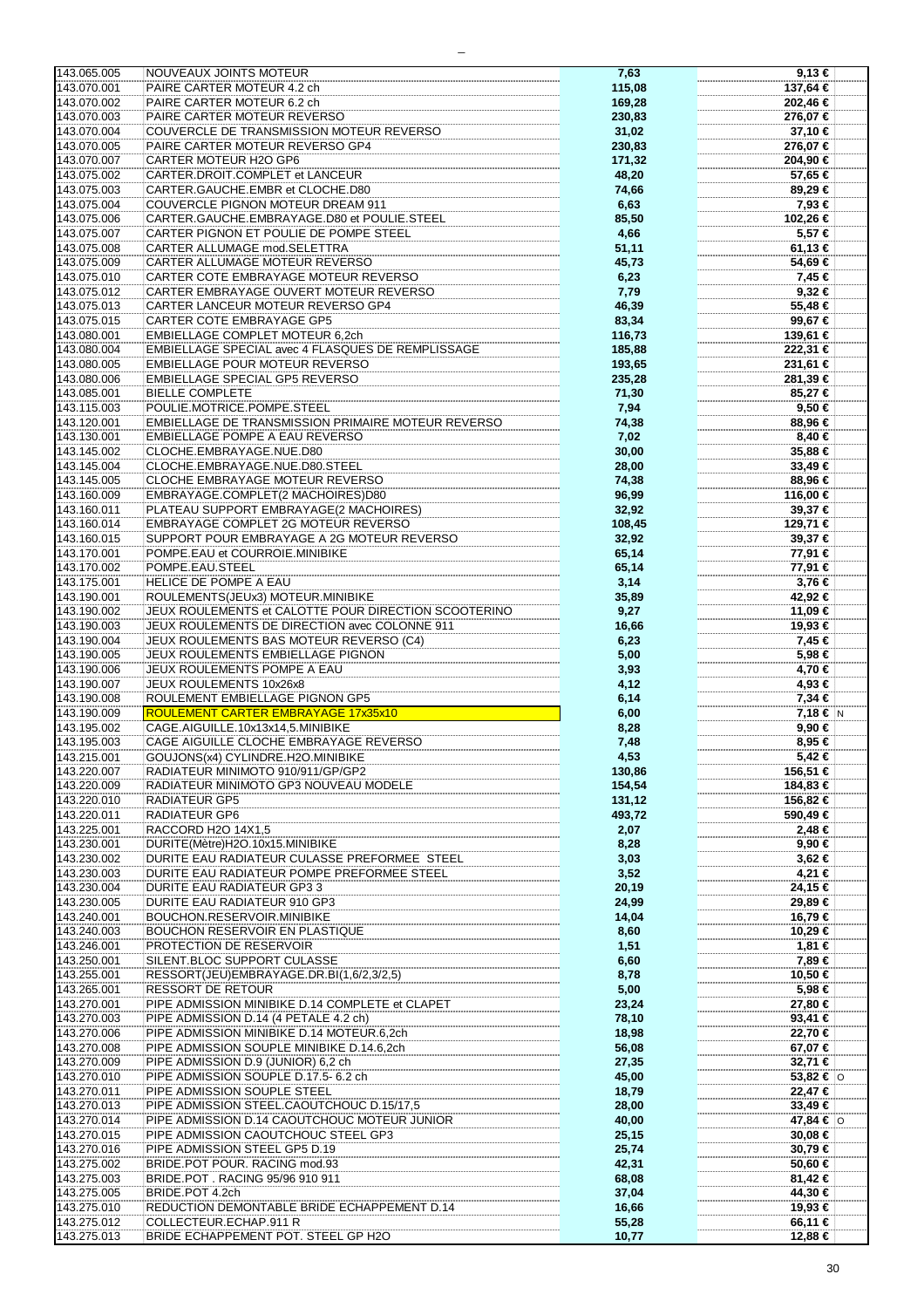| 143.065.005                | NOUVEAUX JOINTS MOTEUR                                        | 7,63           | 9,13€              |
|----------------------------|---------------------------------------------------------------|----------------|--------------------|
|                            |                                                               |                |                    |
| 143.070.001                | PAIRE CARTER MOTEUR 4.2 ch                                    | 115,08         | 137,64 €           |
| 143.070.002                | PAIRE CARTER MOTEUR 6.2 ch                                    | 169,28         | 202,46 €           |
| 143.070.003                | PAIRE CARTER MOTEUR REVERSO                                   | 230,83         | 276,07 €           |
|                            |                                                               |                |                    |
| 143.070.004                | COUVERCLE DE TRANSMISSION MOTEUR REVERSO                      | 31,02          | 37,10 €            |
| 143.070.005                | PAIRE CARTER MOTEUR REVERSO GP4                               | 230,83         | 276,07 €           |
| 143.070.007                | CARTER MOTEUR H2O GP6                                         | 171,32         | 204,90 €           |
|                            |                                                               |                |                    |
| 143.075.002                | CARTER.DROIT.COMPLET et LANCEUR                               | 48,20          | 57,65 €            |
| 143.075.003                | CARTER.GAUCHE.EMBR et CLOCHE.D80                              | 74,66          | 89,29€             |
| 143.075.004                | COUVERCLE PIGNON MOTEUR DREAM 911                             |                | 7,93 €             |
|                            |                                                               | 6,63           |                    |
| 143.075.006                | CARTER.GAUCHE.EMBRAYAGE.D80 et POULIE.STEEL                   | 85,50          | 102,26 €           |
| 143.075.007                | CARTER PIGNON ET POULIE DE POMPE STEEL                        | 4,66           | 5,57 €             |
|                            |                                                               |                |                    |
| 143.075.008                | CARTER ALLUMAGE mod.SELETTRA                                  | 51,11          | 61,13 €            |
| 143.075.009                | CARTER ALLUMAGE MOTEUR REVERSO                                | 45,73          | 54,69€             |
| 143.075.010                | CARTER COTE EMBRAYAGE MOTEUR REVERSO                          |                | 7,45 €             |
|                            |                                                               | 6,23           |                    |
| 143.075.012                | CARTER EMBRAYAGE OUVERT MOTEUR REVERSO                        | 7,79           | $9,32$ €           |
| 143.075.013                | CARTER LANCEUR MOTEUR REVERSO GP4                             | 46,39          | 55,48 €            |
|                            |                                                               |                |                    |
| 143.075.015                | <b>CARTER COTE EMBRAYAGE GP5</b>                              | 83,34          | 99,67€             |
| 143.080.001                | <b>EMBIELLAGE COMPLET MOTEUR 6,2ch</b>                        | 116,73         | 139,61 €           |
| 143.080.004                | EMBIELLAGE SPECIAL avec 4 FLASQUES DE REMPLISSAGE             | 185,88         | 222,31 €           |
|                            |                                                               |                |                    |
| 143.080.005                | EMBIELLAGE POUR MOTEUR REVERSO                                | 193,65         | 231,61 €           |
| 143.080.006                | <b>EMBIELLAGE SPECIAL GP5 REVERSO</b>                         | 235,28         | 281,39 €           |
|                            |                                                               |                |                    |
| 143.085.001                | <b>BIELLE COMPLETE</b>                                        | 71,30          | 85,27€             |
| 143.115.003                | POULIE.MOTRICE.POMPE.STEEL                                    | 7,94           | 9,50 €             |
| 143.120.001                | EMBIELLAGE DE TRANSMISSION PRIMAIRE MOTEUR REVERSO            | 74,38          | 88,96 €            |
|                            |                                                               |                |                    |
| 143.130.001                | EMBIELLAGE POMPE A EAU REVERSO                                | 7,02           | 8,40 €             |
| 143.145.002                | CLOCHE.EMBRAYAGE.NUE.D80                                      | 30,00          | 35,88 €            |
|                            | CLOCHE.EMBRAYAGE.NUE.D80.STEEL                                |                |                    |
| 143.145.004                |                                                               | 28,00          | 33,49€             |
| 143.145.005                | CLOCHE EMBRAYAGE MOTEUR REVERSO                               | 74,38          | 88,96 €            |
| 143.160.009                | EMBRAYAGE.COMPLET(2 MACHOIRES)D80                             | 96,99          | 116,00 €           |
|                            |                                                               |                |                    |
| 143.160.011                | PLATEAU SUPPORT EMBRAYAGE(2 MACHOIRES)                        | 32,92          | 39,37 €            |
| 143.160.014                | EMBRAYAGE COMPLET 2G MOTEUR REVERSO                           | 108,45         | 129,71 €           |
|                            | SUPPORT POUR EMBRAYAGE A 2G MOTEUR REVERSO                    |                |                    |
| 143.160.015                |                                                               | 32,92          | 39,37 €            |
| 143.170.001                | POMPE.EAU et COURROIE.MINIBIKE                                | 65,14          | 77,91 €            |
| 143.170.002                | POMPE.EAU.STEEL                                               | 65,14          | 77,91 €            |
|                            |                                                               |                |                    |
| 143.175.001                | HELICE DE POMPE A EAU                                         | 3,14           | 3,76 €             |
| 143.190.001                | ROULEMENTS(JEUx3) MOTEUR.MINIBIKE                             | 35,89          | 42,92 €            |
|                            | JEUX ROULEMENTS et CALOTTE POUR DIRECTION SCOOTERINO          |                |                    |
| 143.190.002                |                                                               | 9,27           | 11,09 €            |
| 143.190.003                | JEUX ROULEMENTS DE DIRECTION avec COLONNE 911                 | 16,66          | 19,93 €            |
| 143.190.004                | JEUX ROULEMENTS BAS MOTEUR REVERSO (C4)                       | 6,23           | 7,45 €             |
|                            |                                                               |                |                    |
|                            |                                                               |                |                    |
| 143.190.005                | JEUX ROULEMENTS EMBIELLAGE PIGNON                             | 5,00           | 5,98 €             |
| 143.190.006                | JEUX ROULEMENTS POMPE A EAU                                   |                | 4,70 €             |
|                            |                                                               | 3,93           |                    |
| 143.190.007                | JEUX ROULEMENTS 10x26x8                                       | 4,12           | 4,93 €             |
| 143.190.008                | ROULEMENT EMBIELLAGE PIGNON GP5                               | 6,14           | 7,34€              |
|                            |                                                               |                |                    |
| 143.190.009                | ROULEMENT CARTER EMBRAYAGE 17x35x10                           | 6,00           | 7,18 € N           |
| 143.195.002                | CAGE.AIGUILLE.10x13x14,5.MINIBIKE                             | 8,28           | 9,90 €             |
| 143.195.003                | CAGE AIGUILLE CLOCHE EMBRAYAGE REVERSO                        | 7,48           | 8,95 €             |
|                            |                                                               |                |                    |
| 143.215.001                | GOUJONS(x4) CYLINDRE.H2O.MINIBIKE                             | 4,53           | 5,42 €             |
| 143.220.007                | RADIATEUR MINIMOTO 910/911/GP/GP2                             | 130,86         | 156,51 €           |
| 143.220.009                | RADIATEUR MINIMOTO GP3 NOUVEAU MODELE                         | 154,54         | 184,83 €           |
|                            |                                                               |                |                    |
| 143.220.010                | <b>RADIATEUR GP5</b>                                          | 131,12         | 156,82 €           |
| 143.220.011                | <b>RADIATEUR GP6</b>                                          | 493,72         | 590,49 €           |
| 143.225.001                | RACCORD H2O 14X1,5                                            | 2,07           | 2,48 €             |
|                            |                                                               |                |                    |
| 143.230.001                | DURITE(Mètre)H2O.10x15.MINIBIKE                               | 8,28           | 9,90€              |
| 143.230.002                | DURITE EAU RADIATEUR CULASSE PREFORMEE STEEL                  | 3,03           | $3,62 \in$         |
| 143.230.003                | DURITE EAU RADIATEUR POMPE PREFORMEE STEEL                    | 3,52           | 4,21 €             |
|                            |                                                               |                |                    |
| 143.230.004                | DURITE EAU RADIATEUR GP3 3                                    | 20,19          | 24,15 €            |
| 143.230.005                | DURITE EAU RADIATEUR 910 GP3                                  | 24,99          | 29,89 €            |
| 143.240.001                | <b>BOUCHON.RESERVOIR.MINIBIKE</b>                             |                |                    |
|                            |                                                               | 14,04          | 16,79 €            |
| 143.240.003                | <b>BOUCHON RESERVOIR EN PLASTIQUE</b>                         | 8,60           | 10,29 €            |
| 143.246.001                | PROTECTION DE RESERVOIR                                       | 1,51           | 1,81 €             |
|                            |                                                               |                |                    |
| 143.250.001                | SILENT.BLOC SUPPORT CULASSE                                   | 6,60           | 7,89 €             |
| 143.255.001                | RESSORT(JEU)EMBRAYAGE.DR.BI(1,6/2,3/2,5)                      | 8,78           | 10,50 €            |
| 143.265.001                | <b>RESSORT DE RETOUR</b>                                      | 5,00           | 5,98 €             |
|                            |                                                               |                |                    |
| 143.270.001                | PIPE ADMISSION MINIBIKE D.14 COMPLETE et CLAPET               | 23,24          | 27,80 €            |
| 143.270.003                | PIPE ADMISSION D.14 (4 PETALE 4.2 ch)                         | 78,10          | 93,41 €            |
|                            |                                                               |                |                    |
| 143.270.006                | PIPE ADMISSION MINIBIKE D.14 MOTEUR.6,2ch                     | 18,98          | 22,70 €            |
| 143.270.008                | PIPE ADMISSION SOUPLE MINIBIKE D.14.6,2ch                     | 56,08          | 67,07 €            |
| 143.270.009                | PIPE ADMISSION D.9 (JUNIOR) 6,2 ch                            | 27,35          | 32,71 €            |
|                            |                                                               |                |                    |
| 143.270.010                | PIPE ADMISSION SOUPLE D.17.5- 6.2 ch                          | 45,00          | 53,82 € $\circ$    |
| 143.270.011                | PIPE ADMISSION SOUPLE STEEL                                   | 18,79          | 22,47 €            |
|                            |                                                               |                |                    |
| 143.270.013                | PIPE ADMISSION STEEL.CAOUTCHOUC D.15/17,5                     | 28,00          | 33,49€             |
| 143.270.014                | PIPE ADMISSION D.14 CAOUTCHOUC MOTEUR JUNIOR                  | 40,00          | 47,84 €   0        |
| 143.270.015                | PIPE ADMISSION CAOUTCHOUC STEEL GP3                           | 25,15          | 30,08 €            |
|                            |                                                               |                |                    |
| 143.270.016                | PIPE ADMISSION STEEL GP5 D.19                                 | 25,74          | 30,79 €            |
| 143.275.002                | BRIDE.POT POUR. RACING mod.93                                 | 42,31          | 50,60 €            |
|                            |                                                               |                |                    |
| 143.275.003                | BRIDE.POT. RACING 95/96 910 911                               | 68,08          | 81,42 €            |
| 143.275.005                | BRIDE.POT 4.2ch                                               | 37,04          | 44,30 €            |
| 143.275.010                | REDUCTION DEMONTABLE BRIDE ECHAPPEMENT D.14                   | 16,66          | 19,93 €            |
|                            |                                                               |                |                    |
| 143.275.012<br>143.275.013 | COLLECTEUR.ECHAP.911 R<br>BRIDE ECHAPPEMENT POT. STEEL GP H2O | 55,28<br>10,77 | 66,11 €<br>12,88 € |

 $\overline{a}$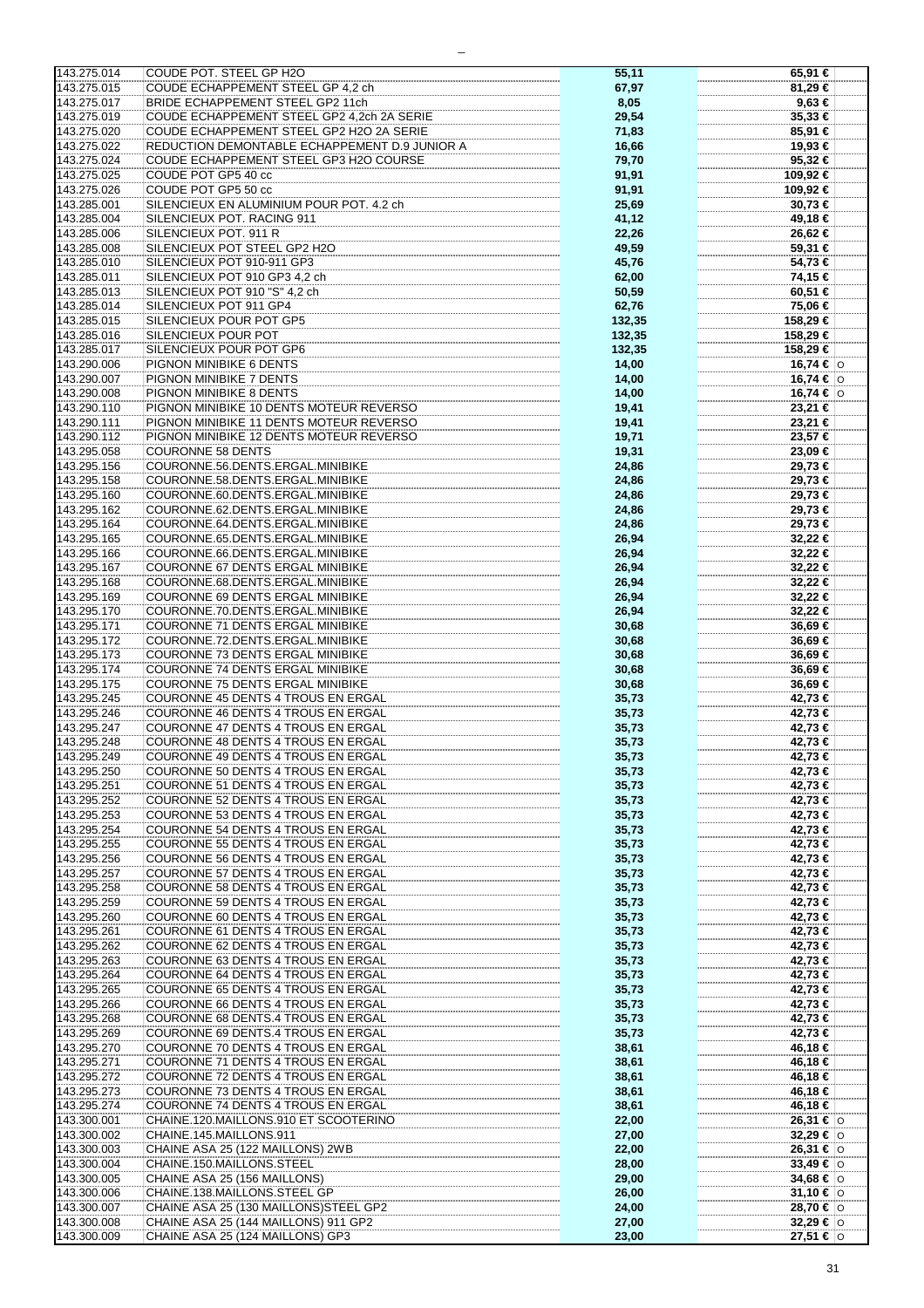| 143.275.014 | COUDE POT. STEEL GP H2O                       | 55,11  | 65,91 €           |
|-------------|-----------------------------------------------|--------|-------------------|
| 143.275.015 | COUDE ECHAPPEMENT STEEL GP 4,2 ch             |        | 81,29 €           |
|             |                                               | 67,97  |                   |
| 143.275.017 | <b>BRIDE ECHAPPEMENT STEEL GP2 11ch</b>       | 8,05   | $9,63 \in$        |
| 143.275.019 | COUDE ECHAPPEMENT STEEL GP2 4,2ch 2A SERIE    | 29,54  | 35,33 €           |
|             |                                               |        |                   |
| 143.275.020 | COUDE ECHAPPEMENT STEEL GP2 H2O 2A SERIE      | 71,83  | 85,91 €           |
| 143.275.022 | REDUCTION DEMONTABLE ECHAPPEMENT D.9 JUNIOR A | 16,66  | 19,93 €           |
|             |                                               |        |                   |
| 143.275.024 | COUDE ECHAPPEMENT STEEL GP3 H2O COURSE        | 79,70  | 95,32 €           |
| 143.275.025 | COUDE POT GP5 40 cc                           | 91,91  | 109,92 €          |
|             |                                               |        |                   |
| 143.275.026 | COUDE POT GP5 50 cc                           | 91,91  | 109,92 €          |
| 143.285.001 | SILENCIEUX EN ALUMINIUM POUR POT. 4.2 ch      | 25,69  | 30,73 €           |
|             |                                               |        |                   |
| 143.285.004 | SILENCIEUX POT. RACING 911                    | 41,12  | 49,18 €           |
| 143.285.006 | SILENCIEUX POT. 911 R                         | 22,26  | 26,62 €           |
|             |                                               |        |                   |
| 143.285.008 | SILENCIEUX POT STEEL GP2 H2O                  | 49,59  | 59,31 €           |
| 143.285.010 | SILENCIEUX POT 910-911 GP3                    | 45,76  | 54,73 €           |
|             |                                               |        |                   |
| 143.285.011 | SILENCIEUX POT 910 GP3 4,2 ch                 | 62,00  | 74,15 €           |
| 143.285.013 | SILENCIEUX POT 910 "S" 4,2 ch                 | 50,59  | 60,51 €           |
|             |                                               |        |                   |
| 143.285.014 | SILENCIEUX POT 911 GP4                        | 62,76  | 75,06 €           |
| 143.285.015 | SILENCIEUX POUR POT GP5                       | 132,35 | 158,29 €          |
|             |                                               |        |                   |
| 143.285.016 | SILENCIEUX POUR POT                           | 132,35 | 158,29 €          |
| 143.285.017 | SILENCIEUX POUR POT GP6                       | 132,35 | 158,29 €          |
|             |                                               |        |                   |
| 143.290.006 | PIGNON MINIBIKE 6 DENTS                       | 14,00  | 16,74 €  0        |
| 143.290.007 | PIGNON MINIBIKE 7 DENTS                       | 14,00  | 16,74 €  0        |
|             |                                               |        |                   |
| 143.290.008 | PIGNON MINIBIKE 8 DENTS                       | 14,00  | 16,74 € $ $ ⊙     |
| 143.290.110 | PIGNON MINIBIKE 10 DENTS MOTEUR REVERSO       | 19,41  | 23,21 €           |
|             |                                               |        |                   |
| 143.290.111 | PIGNON MINIBIKE 11 DENTS MOTEUR REVERSO       | 19,41  | 23,21 €           |
| 143.290.112 | PIGNON MINIBIKE 12 DENTS MOTEUR REVERSO       | 19,71  | 23,57 €           |
|             |                                               |        |                   |
| 143.295.058 | <b>COURONNE 58 DENTS</b>                      | 19,31  | 23,09 €           |
| 143.295.156 | COURONNE.56.DENTS.ERGAL.MINIBIKE              | 24,86  | 29,73 €           |
|             |                                               |        |                   |
| 143.295.158 | COURONNE.58.DENTS.ERGAL.MINIBIKE              | 24,86  | 29,73 €           |
| 143.295.160 | COURONNE.60.DENTS.ERGAL.MINIBIKE              | 24,86  | 29,73 €           |
|             |                                               |        |                   |
| 143.295.162 | COURONNE.62.DENTS.ERGAL.MINIBIKE              | 24,86  | 29,73 €           |
| 143.295.164 | COURONNE.64.DENTS.ERGAL.MINIBIKE              | 24,86  | 29,73 €           |
|             |                                               |        |                   |
| 143.295.165 | COURONNE.65.DENTS.ERGAL.MINIBIKE              | 26,94  | 32,22 €           |
| 143.295.166 | COURONNE.66.DENTS.ERGAL.MINIBIKE              |        | 32,22 €           |
|             |                                               | 26,94  |                   |
| 143.295.167 | COURONNE 67 DENTS ERGAL MINIBIKE              | 26,94  | 32,22 €           |
| 143.295.168 | COURONNE.68.DENTS.ERGAL.MINIBIKE              | 26,94  | 32,22 €           |
|             |                                               |        |                   |
| 143.295.169 | COURONNE 69 DENTS ERGAL MINIBIKE              | 26,94  | 32,22 €           |
| 143.295.170 | COURONNE.70.DENTS.ERGAL.MINIBIKE              |        | 32,22 €           |
|             |                                               | 26,94  |                   |
| 143.295.171 | COURONNE 71 DENTS ERGAL MINIBIKE              | 30,68  | 36,69€            |
| 143.295.172 | COURONNE.72.DENTS.ERGAL.MINIBIKE              | 30,68  | 36,69 €           |
|             |                                               |        |                   |
| 143.295.173 | COURONNE 73 DENTS ERGAL MINIBIKE              | 30,68  | 36,69€            |
| 143.295.174 | COURONNE 74 DENTS ERGAL MINIBIKE              | 30,68  | 36,69 €           |
|             |                                               |        |                   |
| 143.295.175 | COURONNE 75 DENTS ERGAL MINIBIKE              | 30,68  | 36,69€            |
| 143.295.245 | COURONNE 45 DENTS 4 TROUS EN ERGAL            | 35,73  | 42,73 €           |
|             |                                               |        |                   |
| 143.295.246 | COURONNE 46 DENTS 4 TROUS EN ERGAL            | 35,73  | 42,73 €           |
| 143.295.247 | COURONNE 47 DENTS 4 TROUS EN ERGAL            | 35,73  | 42,73 €           |
|             |                                               |        |                   |
| 143.295.248 | COURONNE 48 DENTS 4 TROUS EN ERGAL            | 35,73  | 42,73 €           |
| 143.295.249 | COURONNE 49 DENTS 4 TROUS EN ERGAL            | 35,73  | 42,73 €           |
|             |                                               |        |                   |
| 143.295.250 | COURONNE 50 DENTS 4 TROUS EN ERGAL            | 35,73  | 42,73 €           |
| 143.295.251 | COURONNE 51 DENTS 4 TROUS EN ERGAL            | 35,73  | 42,73 €           |
|             |                                               |        |                   |
| 143.295.252 | COURONNE 52 DENTS 4 TROUS EN ERGAL            | 35,73  | 42,73 €           |
| 143.295.253 | COURONNE 53 DENTS 4 TROUS EN ERGAL            | 35,73  | 42,73 €           |
|             |                                               |        |                   |
| 143.295.254 | COURONNE 54 DENTS 4 TROUS EN ERGAL            | 35,73  | 42,73 €           |
| 143.295.255 | COURONNE 55 DENTS 4 TROUS EN ERGAL            | 35,73  | 42,73 €           |
|             |                                               |        |                   |
| 143.295.256 | COURONNE 56 DENTS 4 TROUS EN ERGAL            | 35,73  | 42,73 €           |
| 143.295.257 | COURONNE 57 DENTS 4 TROUS EN ERGAL            | 35,73  | 42,73 €           |
| 143.295.258 | COURONNE 58 DENTS 4 TROUS EN ERGAL            | 35,73  | 42,73 €           |
|             |                                               |        |                   |
| 143.295.259 | COURONNE 59 DENTS 4 TROUS EN ERGAL            | 35,73  | 42,73 €           |
| 143.295.260 | COURONNE 60 DENTS 4 TROUS EN ERGAL            | 35,73  | 42,73 €           |
|             |                                               |        |                   |
| 143.295.261 | COURONNE 61 DENTS 4 TROUS EN ERGAL            | 35,73  | 42,73 €           |
| 143.295.262 | COURONNE 62 DENTS 4 TROUS EN ERGAL            | 35,73  | 42,73 €           |
|             |                                               |        |                   |
| 143.295.263 | COURONNE 63 DENTS 4 TROUS EN ERGAL            | 35,73  | 42,73 €           |
| 143.295.264 | COURONNE 64 DENTS 4 TROUS EN ERGAL            | 35,73  | 42,73 €           |
|             |                                               |        |                   |
| 143.295.265 | COURONNE 65 DENTS 4 TROUS EN ERGAL            | 35,73  | 42,73 €           |
| 143.295.266 | COURONNE 66 DENTS 4 TROUS EN ERGAL            | 35,73  | 42,73 €           |
|             |                                               |        |                   |
| 143.295.268 | <b>COURONNE 68 DENTS.4 TROUS EN ERGAL</b>     | 35,73  | 42,73 €           |
| 143.295.269 | COURONNE 69 DENTS.4 TROUS EN ERGAL            | 35,73  | 42,73 €           |
|             |                                               |        |                   |
| 143.295.270 | COURONNE 70 DENTS 4 TROUS EN ERGAL            | 38,61  | 46,18 €           |
| 143.295.271 | COURONNE 71 DENTS 4 TROUS EN ERGAL            | 38,61  | 46,18 €           |
|             |                                               |        |                   |
| 143.295.272 | COURONNE 72 DENTS 4 TROUS EN ERGAL            | 38,61  | 46,18 €           |
| 143.295.273 | COURONNE 73 DENTS 4 TROUS EN ERGAL            | 38,61  | 46,18 €           |
|             |                                               |        |                   |
| 143.295.274 | COURONNE 74 DENTS 4 TROUS EN ERGAL            | 38,61  | 46,18 €           |
| 143.300.001 | CHAINE.120.MAILLONS.910 ET SCOOTERINO         | 22,00  | 26,31 € 0         |
|             |                                               |        |                   |
| 143.300.002 | CHAINE.145.MAILLONS.911                       | 27,00  | 32,29 €   0       |
| 143.300.003 | CHAINE ASA 25 (122 MAILLONS) 2WB              | 22,00  | 26,31 € $\circ$   |
|             |                                               |        |                   |
| 143.300.004 | CHAINE.150.MAILLONS.STEEL                     | 28,00  | 33,49 €   $\circ$ |
| 143.300.005 | CHAINE ASA 25 (156 MAILLONS)                  | 29,00  | 34,68 € $\circ$   |
|             |                                               |        |                   |
| 143.300.006 | CHAINE.138.MAILLONS.STEEL GP                  | 26,00  | 31,10 € $ 0 $     |
| 143.300.007 | CHAINE ASA 25 (130 MAILLONS) STEEL GP2        | 24,00  | 28,70 € 0         |
|             |                                               |        |                   |
| 143.300.008 | CHAINE ASA 25 (144 MAILLONS) 911 GP2          | 27,00  | 32,29 € 0         |
| 143.300.009 | CHAINE ASA 25 (124 MAILLONS) GP3              | 23,00  | 27,51 €   ⊙       |

 $\overline{a}$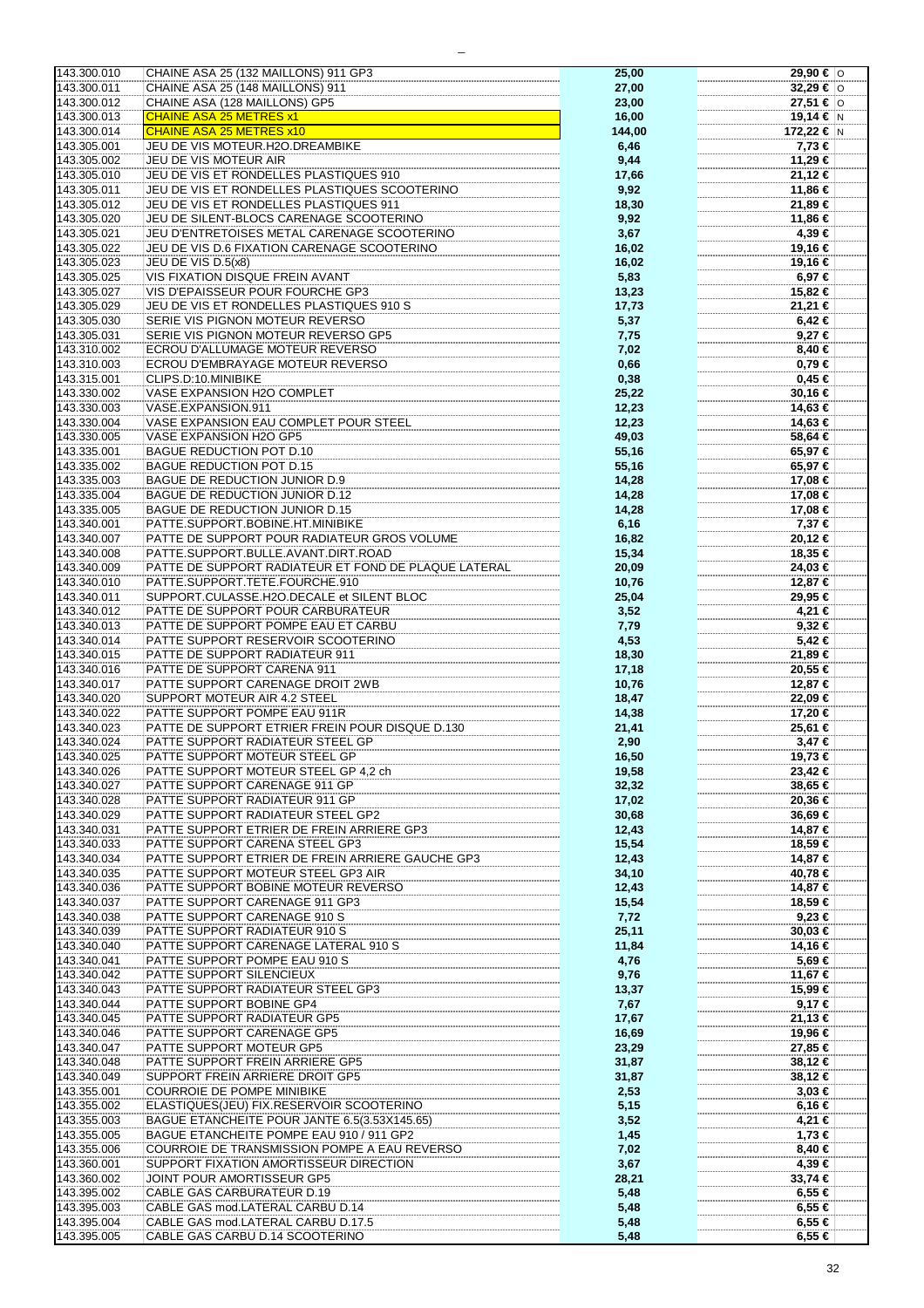| 143.300.010 | CHAINE ASA 25 (132 MAILLONS) 911 GP3                 | 25,00  | 29,90 €  O      |
|-------------|------------------------------------------------------|--------|-----------------|
|             |                                                      |        |                 |
| 143.300.011 | CHAINE ASA 25 (148 MAILLONS) 911                     | 27,00  | 32,29 € $\circ$ |
|             |                                                      |        |                 |
| 143.300.012 | CHAINE ASA (128 MAILLONS) GP5                        | 23,00  | 27,51 € $ $ ⊙   |
| 143.300.013 | <b>CHAINE ASA 25 METRES x1</b>                       | 16,00  | 19,14 € N       |
|             |                                                      |        |                 |
| 143.300.014 | CHAINE ASA 25 METRES x10                             | 144,00 | 172,22 € N      |
| 143.305.001 | JEU DE VIS MOTEUR.H2O.DREAMBIKE                      | 6,46   | 7,73 €          |
|             |                                                      |        |                 |
| 143.305.002 | JEU DE VIS MOTEUR AIR                                | 9,44   | 11,29 €         |
| 143.305.010 | JEU DE VIS ET RONDELLES PLASTIQUES 910               | 17,66  | 21,12 €         |
|             |                                                      |        |                 |
| 143.305.011 | JEU DE VIS ET RONDELLES PLASTIQUES SCOOTERINO        | 9,92   | 11,86 €         |
|             |                                                      |        |                 |
| 143.305.012 | JEU DE VIS ET RONDELLES PLASTIQUES 911               | 18,30  | 21,89 €         |
| 143.305.020 | JEU DE SILENT-BLOCS CARENAGE SCOOTERINO              | 9,92   | 11,86 €         |
|             |                                                      |        |                 |
| 143.305.021 | JEU D'ENTRETOISES METAL CARENAGE SCOOTERINO          | 3,67   | 4,39 €          |
| 143.305.022 | JEU DE VIS D.6 FIXATION CARENAGE SCOOTERINO          | 16,02  |                 |
|             |                                                      |        | 19,16 €         |
| 143.305.023 | JEU DE VIS D.5(x8)                                   | 16,02  | 19,16 €         |
|             |                                                      |        |                 |
| 143.305.025 | <b>VIS FIXATION DISQUE FREIN AVANT</b>               | 5,83   | 6,97 €          |
| 143.305.027 | VIS D'EPAISSEUR POUR FOURCHE GP3                     | 13,23  | 15,82 €         |
|             |                                                      |        |                 |
| 143.305.029 | JEU DE VIS ET RONDELLES PLASTIQUES 910 S             | 17,73  | 21,21 €         |
| 143.305.030 | SERIE VIS PIGNON MOTEUR REVERSO                      |        | $6,42 \in$      |
|             |                                                      | 5,37   |                 |
| 143.305.031 | SERIE VIS PIGNON MOTEUR REVERSO GP5                  | 7,75   | $9,27$ €        |
|             |                                                      |        |                 |
| 143.310.002 | ECROU D'ALLUMAGE MOTEUR REVERSO                      | 7,02   | 8,40 €          |
| 143.310.003 | ECROU D'EMBRAYAGE MOTEUR REVERSO                     | 0,66   | $0,79 \in$      |
|             |                                                      |        |                 |
| 143.315.001 | CLIPS.D:10.MINIBIKE                                  | 0,38   | 0,45€           |
| 143.330.002 | VASE EXPANSION H2O COMPLET                           | 25,22  | 30,16 €         |
|             |                                                      |        |                 |
| 143.330.003 | VASE.EXPANSION.911                                   | 12,23  | 14,63 €         |
| 143.330.004 | VASE EXPANSION EAU COMPLET POUR STEEL                |        | 14,63 €         |
|             |                                                      | 12,23  |                 |
| 143.330.005 | VASE EXPANSION H2O GP5                               | 49,03  | 58,64 €         |
|             |                                                      |        |                 |
| 143.335.001 | BAGUE REDUCTION POT D.10                             | 55,16  | 65,97€          |
| 143.335.002 | <b>BAGUE REDUCTION POT D.15</b>                      | 55,16  | 65,97€          |
|             |                                                      |        |                 |
| 143.335.003 | <b>BAGUE DE REDUCTION JUNIOR D.9</b>                 | 14,28  | 17,08 €         |
|             |                                                      |        |                 |
| 143.335.004 | BAGUE DE REDUCTION JUNIOR D.12                       | 14,28  | 17,08 €         |
| 143.335.005 | <b>BAGUE DE REDUCTION JUNIOR D.15</b>                | 14,28  | 17,08 €         |
|             |                                                      |        |                 |
| 143.340.001 | PATTE.SUPPORT.BOBINE.HT.MINIBIKE                     | 6,16   | 7,37 €          |
| 143.340.007 | PATTE DE SUPPORT POUR RADIATEUR GROS VOLUME          | 16,82  | 20,12 €         |
|             |                                                      |        |                 |
| 143.340.008 | PATTE.SUPPORT.BULLE.AVANT.DIRT.ROAD                  | 15,34  | 18,35 €         |
|             | PATTE DE SUPPORT RADIATEUR ET FOND DE PLAQUE LATERAL |        |                 |
| 143.340.009 |                                                      | 20,09  | 24,03 €         |
| 143.340.010 | PATTE.SUPPORT.TETE.FOURCHE.910                       | 10,76  | 12,87 €         |
|             |                                                      |        |                 |
| 143.340.011 | SUPPORT.CULASSE.H2O.DECALE et SILENT BLOC            | 25,04  | 29,95 €         |
| 143.340.012 | PATTE DE SUPPORT POUR CARBURATEUR                    | 3,52   | 4,21 €          |
|             |                                                      |        |                 |
| 143.340.013 | PATTE DE SUPPORT POMPE EAU ET CARBU                  | 7,79   | $9,32$ €        |
| 143.340.014 | PATTE SUPPORT RESERVOIR SCOOTERINO                   | 4,53   | 5,42 €          |
|             |                                                      |        |                 |
| 143.340.015 | PATTE DE SUPPORT RADIATEUR 911                       | 18,30  | 21,89 €         |
| 143.340.016 | PATTE DE SUPPORT CARENA 911                          | 17,18  | 20,55 €         |
|             |                                                      |        |                 |
| 143.340.017 | PATTE SUPPORT CARENAGE DROIT 2WB                     | 10,76  | 12,87 €         |
| 143.340.020 | SUPPORT MOTEUR AIR 4.2 STEEL                         |        |                 |
|             |                                                      | 18,47  | 22,09 €         |
| 143.340.022 | PATTE SUPPORT POMPE EAU 911R                         | 14,38  | 17,20 €         |
|             |                                                      |        |                 |
| 143.340.023 | PATTE DE SUPPORT ETRIER FREIN POUR DISQUE D.130      | 21,41  | 25,61 €         |
| 143.340.024 | PATTE SUPPORT RADIATEUR STEEL GP                     | 2,90   | 3,47€           |
|             |                                                      |        |                 |
| 143.340.025 | PATTE SUPPORT MOTEUR STEEL GP                        | 16,50  | 19,73 €         |
| 143.340.026 | PATTE SUPPORT MOTEUR STEEL GP 4,2 ch                 | 19,58  | 23,42 €         |
|             |                                                      |        |                 |
| 143.340.027 | PATTE SUPPORT CARENAGE 911 GP                        | 32,32  | 38,65 €         |
| 143.340.028 |                                                      |        |                 |
|             | PATTE SUPPORT RADIATEUR 911 GP                       | 17,02  | 20,36 €         |
| 143.340.029 | PATTE SUPPORT RADIATEUR STEEL GP2                    | 30,68  | 36,69€          |
|             |                                                      |        |                 |
| 143.340.031 | PATTE SUPPORT ETRIER DE FREIN ARRIERE GP3            | 12,43  | 14,87 €         |
| 143.340.033 | PATTE SUPPORT CARENA STEEL GP3                       | 15,54  | 18,59 €         |
|             |                                                      |        |                 |
| 143.340.034 | PATTE SUPPORT ETRIER DE FREIN ARRIERE GAUCHE GP3     | 12,43  | 14,87 €         |
| 143.340.035 | PATTE SUPPORT MOTEUR STEEL GP3 AIR                   | 34,10  | 40,78 €         |
|             |                                                      |        |                 |
| 143.340.036 | PATTE SUPPORT BOBINE MOTEUR REVERSO                  | 12,43  | 14,87 €         |
|             |                                                      |        |                 |
| 143.340.037 | PATTE SUPPORT CARENAGE 911 GP3                       | 15,54  | 18,59 €         |
| 143.340.038 | PATTE SUPPORT CARENAGE 910 S                         | 7,72   | $9,23 \in$      |
|             |                                                      |        |                 |
| 143.340.039 | PATTE SUPPORT RADIATEUR 910 S                        | 25,11  | $30,03 \in$     |
| 143.340.040 | PATTE SUPPORT CARENAGE LATERAL 910 S                 | 11,84  | 14,16 €         |
|             |                                                      |        |                 |
| 143.340.041 | PATTE SUPPORT POMPE EAU 910 S                        | 4,76   | 5,69 €          |
| 143.340.042 | PATTE SUPPORT SILENCIEUX                             |        | 11,67 €         |
|             |                                                      | 9,76   |                 |
| 143.340.043 | PATTE SUPPORT RADIATEUR STEEL GP3                    | 13,37  | 15,99 €         |
|             |                                                      |        |                 |
| 143.340.044 | PATTE SUPPORT BOBINE GP4                             | 7,67   | 9,17 €          |
| 143.340.045 | PATTE SUPPORT RADIATEUR GP5                          | 17,67  | 21,13 €         |
|             |                                                      |        |                 |
| 143.340.046 | PATTE SUPPORT CARENAGE GP5                           | 16,69  | 19,96 €         |
| 143.340.047 | PATTE SUPPORT MOTEUR GP5                             | 23,29  | 27,85 €         |
|             |                                                      |        |                 |
| 143.340.048 | PATTE SUPPORT FREIN ARRIERE GP5                      | 31,87  | 38,12 €         |
| 143.340.049 | SUPPORT FREIN ARRIERE DROIT GP5                      | 31,87  | 38,12 €         |
|             |                                                      |        |                 |
| 143.355.001 | COURROIE DE POMPE MINIBIKE                           | 2,53   | $3,03 \in$      |
|             |                                                      |        |                 |
| 143.355.002 | ELASTIQUES(JEU) FIX.RESERVOIR SCOOTERINO             | 5,15   | 6,16€           |
| 143.355.003 | BAGUE ETANCHEITE POUR JANTE 6.5(3.53X145.65)         | 3,52   | 4,21 €          |
|             |                                                      |        |                 |
| 143.355.005 | BAGUE ETANCHEITE POMPE EAU 910 / 911 GP2             | 1,45   | 1,73 €          |
| 143.355.006 | COURROIE DE TRANSMISSION POMPE A EAU REVERSO         | 7,02   | 8,40 €          |
|             |                                                      |        |                 |
| 143.360.001 | SUPPORT FIXATION AMORTISSEUR DIRECTION               | 3,67   | 4,39 €          |
| 143.360.002 | JOINT POUR AMORTISSEUR GP5                           | 28,21  | 33,74 €         |
|             |                                                      |        |                 |
| 143.395.002 | CABLE GAS CARBURATEUR D.19                           | 5,48   | $6,55 \in$      |
|             |                                                      |        |                 |
| 143.395.003 | CABLE GAS mod.LATERAL CARBU D.14                     | 5,48   | $6,55 \in$      |
| 143.395.004 | CABLE GAS mod.LATERAL CARBU D.17.5                   | 5,48   | $6,55 \in$      |
|             |                                                      |        |                 |
| 143.395.005 | CABLE GAS CARBU D.14 SCOOTERINO                      | 5,48   | $6,55 \in$      |

 $\overline{a}$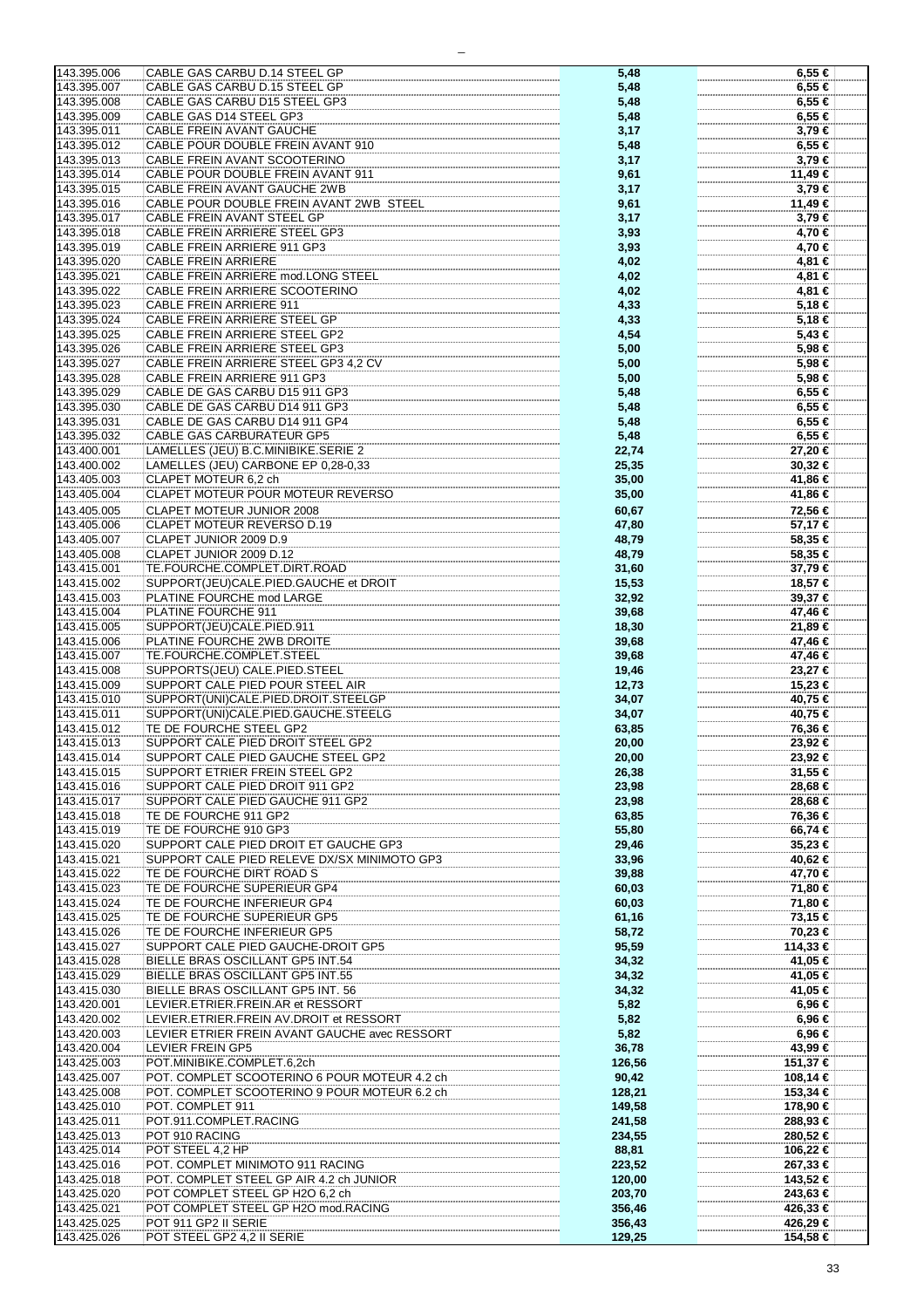| 143.395.006<br>CABLE GAS CARBU D.14 STEEL GP<br>$6.55 \in$<br>5,48<br>143.395.007<br>CABLE GAS CARBU D.15 STEEL GP<br>5,48<br>6,55 €<br>143.395.008<br>CABLE GAS CARBU D15 STEEL GP3<br>6,55 €<br>5,48<br>143.395.009<br>CABLE GAS D14 STEEL GP3<br>6,55 €<br>5,48<br>143.395.011<br>CABLE FREIN AVANT GAUCHE<br>3,79€<br>3,17<br>143.395.012<br>CABLE POUR DOUBLE FREIN AVANT 910<br>6,55 €<br>5,48<br>143.395.013<br>CABLE FREIN AVANT SCOOTERINO<br>3,79€<br>3,17<br>143.395.014<br>CABLE POUR DOUBLE FREIN AVANT 911<br>9,61<br>11,49 €<br>143.395.015<br>CABLE FREIN AVANT GAUCHE 2WB<br>$3,79 \in$<br>3,17<br>143.395.016<br>CABLE POUR DOUBLE FREIN AVANT 2WB STEEL<br>11,49 €<br>9,61<br>CABLE FREIN AVANT STEEL GP<br>143.395.017<br>3,17<br>3,79€<br>143.395.018<br>CABLE FREIN ARRIERE STEEL GP3<br>4,70 €<br>3,93<br>4,70 €<br>143.395.019<br>CABLE FREIN ARRIERE 911 GP3<br>3,93<br>143.395.020<br><b>CABLE FREIN ARRIERE</b><br>4,02<br>4,81 €<br>143.395.021<br>CABLE FREIN ARRIERE mod.LONG STEEL<br>4,81 €<br>4,02<br>143.395.022<br>CABLE FREIN ARRIERE SCOOTERINO<br>4,02<br>4,81 €<br>143.395.023<br>CABLE FREIN ARRIERE 911<br>5,18 €<br>4,33<br>143.395.024<br>CABLE FREIN ARRIERE STEEL GP<br>5,18 €<br>4,33<br>143.395.025<br>CABLE FREIN ARRIERE STEEL GP2<br>5,43 €<br>4,54<br>CABLE FREIN ARRIERE STEEL GP3<br>5,98 €<br>143.395.026<br>5,00<br>143.395.027<br>CABLE FREIN ARRIERE STEEL GP3 4,2 CV<br>5,00<br>5,98 €<br>143.395.028<br>CABLE FREIN ARRIERE 911 GP3<br>5,98 €<br>5,00<br>143.395.029<br>CABLE DE GAS CARBU D15 911 GP3<br>6,55 €<br>5,48<br>143.395.030<br>CABLE DE GAS CARBU D14 911 GP3<br>6,55 €<br>5,48<br>143.395.031<br>CABLE DE GAS CARBU D14 911 GP4<br>5,48<br>$6,55 \in$<br>143.395.032<br><b>CABLE GAS CARBURATEUR GP5</b><br>6,55 €<br>5,48<br>143.400.001<br>LAMELLES (JEU) B.C.MINIBIKE.SERIE 2<br>22,74<br>27,20 €<br>143.400.002<br>LAMELLES (JEU) CARBONE EP 0,28-0,33<br>25,35<br>30,32 €<br>143.405.003<br>CLAPET MOTEUR 6.2 ch<br>41,86 €<br>35,00<br>143.405.004<br>CLAPET MOTEUR POUR MOTEUR REVERSO<br>35,00<br>41,86 €<br>143.405.005<br>CLAPET MOTEUR JUNIOR 2008<br>72,56 €<br>60,67<br>143.405.006<br>CLAPET MOTEUR REVERSO D.19<br>47,80<br>57,17 €<br>143.405.007<br>CLAPET JUNIOR 2009 D.9<br>58,35 €<br>48,79<br>143.405.008<br>CLAPET JUNIOR 2009 D.12<br>48,79<br>58,35 €<br>TE.FOURCHE.COMPLET.DIRT.ROAD<br>37,79 €<br>143.415.001<br>31,60<br>143.415.002<br>SUPPORT(JEU)CALE.PIED.GAUCHE et DROIT<br>18,57 €<br>15,53<br>143.415.003<br>PLATINE FOURCHE mod LARGE<br>32,92<br>39,37 €<br>143.415.004<br>PLATINE FOURCHE 911<br>39,68<br>47,46 €<br>143.415.005<br>SUPPORT(JEU)CALE.PIED.911<br>18,30<br>21,89 €<br>PLATINE FOURCHE 2WB DROITE<br>39,68<br>143.415.006<br>47,46 €<br>TE.FOURCHE.COMPLET.STEEL<br>39,68<br>143.415.007<br>47,46 €<br>SUPPORTS(JEU) CALE.PIED.STEEL<br>143.415.008<br>19,46<br>23,27 €<br>SUPPORT CALE PIED POUR STEEL AIR<br>15,23 €<br>143.415.009<br>12,73<br>SUPPORT(UNI)CALE.PIED.DROIT.STEELGP<br>143.415.010<br>34,07<br>40,75 €<br>143.415.011<br>SUPPORT(UNI)CALE.PIED.GAUCHE.STEELG<br>40,75 €<br>34,07<br>143.415.012<br>TE DE FOURCHE STEEL GP2<br>76,36 €<br>63,85<br>SUPPORT CALE PIED DROIT STEEL GP2<br>143.415.013<br>20,00<br>23.92 €<br>143.415.014<br>SUPPORT CALE PIED GAUCHE STEEL GP2<br>23,92 €<br>20,00<br><b>SUPPORT ETRIER FREIN STEEL GP2</b><br>31,55 €<br>143.415.015<br>26,38<br>SUPPORT CALE PIED DROIT 911 GP2<br>23,98<br>28,68 €<br>143.415.016<br>143.415.017<br>SUPPORT CALE PIED GAUCHE 911 GP2<br>23,98<br>28,68 €<br>143.415.018<br>TE DE FOURCHE 911 GP2<br>76,36 €<br>63,85<br>143.415.019<br>TE DE FOURCHE 910 GP3<br>55,80<br>66,74 €<br>143.415.020<br>SUPPORT CALE PIED DROIT ET GAUCHE GP3<br>35,23 €<br>29,46<br>143.415.021<br>SUPPORT CALE PIED RELEVE DX/SX MINIMOTO GP3<br>40,62 €<br>33,96<br>TE DE FOURCHE DIRT ROAD S<br>47,70 €<br>143.415.022<br>39,88<br>TE DE FOURCHE SUPERIEUR GP4<br>60,03<br>143.415.023<br>71,80 €<br>143.415.024<br>TE DE FOURCHE INFERIEUR GP4<br>60,03<br>71,80 €<br>TE DE FOURCHE SUPERIEUR GP5<br>143.415.025<br>61,16<br>73,15 €<br>143.415.026<br>TE DE FOURCHE INFERIEUR GP5<br>58,72<br>70,23 €<br>143.415.027<br>SUPPORT CALE PIED GAUCHE-DROIT GP5<br>95,59<br>114,33 €<br>BIELLE BRAS OSCILLANT GP5 INT.54<br>143.415.028<br>34,32<br>41,05 €<br>143.415.029<br>BIELLE BRAS OSCILLANT GP5 INT.55<br>41,05 €<br>34,32<br>BIELLE BRAS OSCILLANT GP5 INT. 56<br>143.415.030<br>34,32<br>41,05 €<br>143.420.001<br>LEVIER.ETRIER.FREIN.AR et RESSORT<br>5,82<br>6,96 €<br>143.420.002<br>LEVIER.ETRIER.FREIN AV.DROIT et RESSORT<br>5,82<br>6,96 €<br>143.420.003<br>LEVIER ETRIER FREIN AVANT GAUCHE avec RESSORT<br>5,82<br>6,96 €<br>143.420.004<br><b>LEVIER FREIN GP5</b><br>36,78<br>43,99 €<br>143.425.003<br>POT.MINIBIKE.COMPLET.6,2ch<br>126,56<br>151,37 €<br>143.425.007<br>POT. COMPLET SCOOTERINO 6 POUR MOTEUR 4.2 ch<br>90,42<br>108,14 €<br>143.425.008<br>POT. COMPLET SCOOTERINO 9 POUR MOTEUR 6.2 ch<br>128,21<br>153,34 €<br>143.425.010<br>POT. COMPLET 911<br>149,58<br>178,90 €<br>143.425.011<br>POT.911.COMPLET.RACING<br>241,58<br>288,93 €<br>POT 910 RACING<br>143.425.013<br>234,55<br>280,52 €<br>POT STEEL 4,2 HP<br>88,81<br>143.425.014<br>106,22 €<br>POT. COMPLET MINIMOTO 911 RACING<br>143.425.016<br>223,52<br>267,33 €<br>143.425.018<br>POT. COMPLET STEEL GP AIR 4.2 ch JUNIOR<br>143,52 €<br>120,00<br>143.425.020<br>POT COMPLET STEEL GP H2O 6,2 ch<br>203,70<br>243,63 €<br>143.425.021<br>POT COMPLET STEEL GP H2O mod.RACING<br>356,46<br>426,33 €<br>143.425.025<br>POT 911 GP2 II SERIE<br>356,43<br>426,29 €<br>143.425.026<br>POT STEEL GP2 4,2 II SERIE<br>129,25<br>154,58 € |  |  |
|---------------------------------------------------------------------------------------------------------------------------------------------------------------------------------------------------------------------------------------------------------------------------------------------------------------------------------------------------------------------------------------------------------------------------------------------------------------------------------------------------------------------------------------------------------------------------------------------------------------------------------------------------------------------------------------------------------------------------------------------------------------------------------------------------------------------------------------------------------------------------------------------------------------------------------------------------------------------------------------------------------------------------------------------------------------------------------------------------------------------------------------------------------------------------------------------------------------------------------------------------------------------------------------------------------------------------------------------------------------------------------------------------------------------------------------------------------------------------------------------------------------------------------------------------------------------------------------------------------------------------------------------------------------------------------------------------------------------------------------------------------------------------------------------------------------------------------------------------------------------------------------------------------------------------------------------------------------------------------------------------------------------------------------------------------------------------------------------------------------------------------------------------------------------------------------------------------------------------------------------------------------------------------------------------------------------------------------------------------------------------------------------------------------------------------------------------------------------------------------------------------------------------------------------------------------------------------------------------------------------------------------------------------------------------------------------------------------------------------------------------------------------------------------------------------------------------------------------------------------------------------------------------------------------------------------------------------------------------------------------------------------------------------------------------------------------------------------------------------------------------------------------------------------------------------------------------------------------------------------------------------------------------------------------------------------------------------------------------------------------------------------------------------------------------------------------------------------------------------------------------------------------------------------------------------------------------------------------------------------------------------------------------------------------------------------------------------------------------------------------------------------------------------------------------------------------------------------------------------------------------------------------------------------------------------------------------------------------------------------------------------------------------------------------------------------------------------------------------------------------------------------------------------------------------------------------------------------------------------------------------------------------------------------------------------------------------------------------------------------------------------------------------------------------------------------------------------------------------------------------------------------------------------------------------------------------------------------------------------------------------------------------------------------------------------------------------------------------------------------------------------------------------------------------------------------------------------------------------------------------------------------------------------------------------------------------------------------------------------------------------------------------------------------------------------------------------------------------------------------------------------------------------------------------------------------------------------------------------------------------------------------------------------------------------------------------------------------------------------------------------------------------------------------------------------------------------------------------------------------------------------------------------------------------------------------------------------------------------------------------------------------------------------------------------------------------------------------------------------------|--|--|
|                                                                                                                                                                                                                                                                                                                                                                                                                                                                                                                                                                                                                                                                                                                                                                                                                                                                                                                                                                                                                                                                                                                                                                                                                                                                                                                                                                                                                                                                                                                                                                                                                                                                                                                                                                                                                                                                                                                                                                                                                                                                                                                                                                                                                                                                                                                                                                                                                                                                                                                                                                                                                                                                                                                                                                                                                                                                                                                                                                                                                                                                                                                                                                                                                                                                                                                                                                                                                                                                                                                                                                                                                                                                                                                                                                                                                                                                                                                                                                                                                                                                                                                                                                                                                                                                                                                                                                                                                                                                                                                                                                                                                                                                                                                                                                                                                                                                                                                                                                                                                                                                                                                                                                                                                                                                                                                                                                                                                                                                                                                                                                                                                                                                                                                                       |  |  |
|                                                                                                                                                                                                                                                                                                                                                                                                                                                                                                                                                                                                                                                                                                                                                                                                                                                                                                                                                                                                                                                                                                                                                                                                                                                                                                                                                                                                                                                                                                                                                                                                                                                                                                                                                                                                                                                                                                                                                                                                                                                                                                                                                                                                                                                                                                                                                                                                                                                                                                                                                                                                                                                                                                                                                                                                                                                                                                                                                                                                                                                                                                                                                                                                                                                                                                                                                                                                                                                                                                                                                                                                                                                                                                                                                                                                                                                                                                                                                                                                                                                                                                                                                                                                                                                                                                                                                                                                                                                                                                                                                                                                                                                                                                                                                                                                                                                                                                                                                                                                                                                                                                                                                                                                                                                                                                                                                                                                                                                                                                                                                                                                                                                                                                                                       |  |  |
|                                                                                                                                                                                                                                                                                                                                                                                                                                                                                                                                                                                                                                                                                                                                                                                                                                                                                                                                                                                                                                                                                                                                                                                                                                                                                                                                                                                                                                                                                                                                                                                                                                                                                                                                                                                                                                                                                                                                                                                                                                                                                                                                                                                                                                                                                                                                                                                                                                                                                                                                                                                                                                                                                                                                                                                                                                                                                                                                                                                                                                                                                                                                                                                                                                                                                                                                                                                                                                                                                                                                                                                                                                                                                                                                                                                                                                                                                                                                                                                                                                                                                                                                                                                                                                                                                                                                                                                                                                                                                                                                                                                                                                                                                                                                                                                                                                                                                                                                                                                                                                                                                                                                                                                                                                                                                                                                                                                                                                                                                                                                                                                                                                                                                                                                       |  |  |
|                                                                                                                                                                                                                                                                                                                                                                                                                                                                                                                                                                                                                                                                                                                                                                                                                                                                                                                                                                                                                                                                                                                                                                                                                                                                                                                                                                                                                                                                                                                                                                                                                                                                                                                                                                                                                                                                                                                                                                                                                                                                                                                                                                                                                                                                                                                                                                                                                                                                                                                                                                                                                                                                                                                                                                                                                                                                                                                                                                                                                                                                                                                                                                                                                                                                                                                                                                                                                                                                                                                                                                                                                                                                                                                                                                                                                                                                                                                                                                                                                                                                                                                                                                                                                                                                                                                                                                                                                                                                                                                                                                                                                                                                                                                                                                                                                                                                                                                                                                                                                                                                                                                                                                                                                                                                                                                                                                                                                                                                                                                                                                                                                                                                                                                                       |  |  |
|                                                                                                                                                                                                                                                                                                                                                                                                                                                                                                                                                                                                                                                                                                                                                                                                                                                                                                                                                                                                                                                                                                                                                                                                                                                                                                                                                                                                                                                                                                                                                                                                                                                                                                                                                                                                                                                                                                                                                                                                                                                                                                                                                                                                                                                                                                                                                                                                                                                                                                                                                                                                                                                                                                                                                                                                                                                                                                                                                                                                                                                                                                                                                                                                                                                                                                                                                                                                                                                                                                                                                                                                                                                                                                                                                                                                                                                                                                                                                                                                                                                                                                                                                                                                                                                                                                                                                                                                                                                                                                                                                                                                                                                                                                                                                                                                                                                                                                                                                                                                                                                                                                                                                                                                                                                                                                                                                                                                                                                                                                                                                                                                                                                                                                                                       |  |  |
|                                                                                                                                                                                                                                                                                                                                                                                                                                                                                                                                                                                                                                                                                                                                                                                                                                                                                                                                                                                                                                                                                                                                                                                                                                                                                                                                                                                                                                                                                                                                                                                                                                                                                                                                                                                                                                                                                                                                                                                                                                                                                                                                                                                                                                                                                                                                                                                                                                                                                                                                                                                                                                                                                                                                                                                                                                                                                                                                                                                                                                                                                                                                                                                                                                                                                                                                                                                                                                                                                                                                                                                                                                                                                                                                                                                                                                                                                                                                                                                                                                                                                                                                                                                                                                                                                                                                                                                                                                                                                                                                                                                                                                                                                                                                                                                                                                                                                                                                                                                                                                                                                                                                                                                                                                                                                                                                                                                                                                                                                                                                                                                                                                                                                                                                       |  |  |
|                                                                                                                                                                                                                                                                                                                                                                                                                                                                                                                                                                                                                                                                                                                                                                                                                                                                                                                                                                                                                                                                                                                                                                                                                                                                                                                                                                                                                                                                                                                                                                                                                                                                                                                                                                                                                                                                                                                                                                                                                                                                                                                                                                                                                                                                                                                                                                                                                                                                                                                                                                                                                                                                                                                                                                                                                                                                                                                                                                                                                                                                                                                                                                                                                                                                                                                                                                                                                                                                                                                                                                                                                                                                                                                                                                                                                                                                                                                                                                                                                                                                                                                                                                                                                                                                                                                                                                                                                                                                                                                                                                                                                                                                                                                                                                                                                                                                                                                                                                                                                                                                                                                                                                                                                                                                                                                                                                                                                                                                                                                                                                                                                                                                                                                                       |  |  |
|                                                                                                                                                                                                                                                                                                                                                                                                                                                                                                                                                                                                                                                                                                                                                                                                                                                                                                                                                                                                                                                                                                                                                                                                                                                                                                                                                                                                                                                                                                                                                                                                                                                                                                                                                                                                                                                                                                                                                                                                                                                                                                                                                                                                                                                                                                                                                                                                                                                                                                                                                                                                                                                                                                                                                                                                                                                                                                                                                                                                                                                                                                                                                                                                                                                                                                                                                                                                                                                                                                                                                                                                                                                                                                                                                                                                                                                                                                                                                                                                                                                                                                                                                                                                                                                                                                                                                                                                                                                                                                                                                                                                                                                                                                                                                                                                                                                                                                                                                                                                                                                                                                                                                                                                                                                                                                                                                                                                                                                                                                                                                                                                                                                                                                                                       |  |  |
|                                                                                                                                                                                                                                                                                                                                                                                                                                                                                                                                                                                                                                                                                                                                                                                                                                                                                                                                                                                                                                                                                                                                                                                                                                                                                                                                                                                                                                                                                                                                                                                                                                                                                                                                                                                                                                                                                                                                                                                                                                                                                                                                                                                                                                                                                                                                                                                                                                                                                                                                                                                                                                                                                                                                                                                                                                                                                                                                                                                                                                                                                                                                                                                                                                                                                                                                                                                                                                                                                                                                                                                                                                                                                                                                                                                                                                                                                                                                                                                                                                                                                                                                                                                                                                                                                                                                                                                                                                                                                                                                                                                                                                                                                                                                                                                                                                                                                                                                                                                                                                                                                                                                                                                                                                                                                                                                                                                                                                                                                                                                                                                                                                                                                                                                       |  |  |
|                                                                                                                                                                                                                                                                                                                                                                                                                                                                                                                                                                                                                                                                                                                                                                                                                                                                                                                                                                                                                                                                                                                                                                                                                                                                                                                                                                                                                                                                                                                                                                                                                                                                                                                                                                                                                                                                                                                                                                                                                                                                                                                                                                                                                                                                                                                                                                                                                                                                                                                                                                                                                                                                                                                                                                                                                                                                                                                                                                                                                                                                                                                                                                                                                                                                                                                                                                                                                                                                                                                                                                                                                                                                                                                                                                                                                                                                                                                                                                                                                                                                                                                                                                                                                                                                                                                                                                                                                                                                                                                                                                                                                                                                                                                                                                                                                                                                                                                                                                                                                                                                                                                                                                                                                                                                                                                                                                                                                                                                                                                                                                                                                                                                                                                                       |  |  |
|                                                                                                                                                                                                                                                                                                                                                                                                                                                                                                                                                                                                                                                                                                                                                                                                                                                                                                                                                                                                                                                                                                                                                                                                                                                                                                                                                                                                                                                                                                                                                                                                                                                                                                                                                                                                                                                                                                                                                                                                                                                                                                                                                                                                                                                                                                                                                                                                                                                                                                                                                                                                                                                                                                                                                                                                                                                                                                                                                                                                                                                                                                                                                                                                                                                                                                                                                                                                                                                                                                                                                                                                                                                                                                                                                                                                                                                                                                                                                                                                                                                                                                                                                                                                                                                                                                                                                                                                                                                                                                                                                                                                                                                                                                                                                                                                                                                                                                                                                                                                                                                                                                                                                                                                                                                                                                                                                                                                                                                                                                                                                                                                                                                                                                                                       |  |  |
|                                                                                                                                                                                                                                                                                                                                                                                                                                                                                                                                                                                                                                                                                                                                                                                                                                                                                                                                                                                                                                                                                                                                                                                                                                                                                                                                                                                                                                                                                                                                                                                                                                                                                                                                                                                                                                                                                                                                                                                                                                                                                                                                                                                                                                                                                                                                                                                                                                                                                                                                                                                                                                                                                                                                                                                                                                                                                                                                                                                                                                                                                                                                                                                                                                                                                                                                                                                                                                                                                                                                                                                                                                                                                                                                                                                                                                                                                                                                                                                                                                                                                                                                                                                                                                                                                                                                                                                                                                                                                                                                                                                                                                                                                                                                                                                                                                                                                                                                                                                                                                                                                                                                                                                                                                                                                                                                                                                                                                                                                                                                                                                                                                                                                                                                       |  |  |
|                                                                                                                                                                                                                                                                                                                                                                                                                                                                                                                                                                                                                                                                                                                                                                                                                                                                                                                                                                                                                                                                                                                                                                                                                                                                                                                                                                                                                                                                                                                                                                                                                                                                                                                                                                                                                                                                                                                                                                                                                                                                                                                                                                                                                                                                                                                                                                                                                                                                                                                                                                                                                                                                                                                                                                                                                                                                                                                                                                                                                                                                                                                                                                                                                                                                                                                                                                                                                                                                                                                                                                                                                                                                                                                                                                                                                                                                                                                                                                                                                                                                                                                                                                                                                                                                                                                                                                                                                                                                                                                                                                                                                                                                                                                                                                                                                                                                                                                                                                                                                                                                                                                                                                                                                                                                                                                                                                                                                                                                                                                                                                                                                                                                                                                                       |  |  |
|                                                                                                                                                                                                                                                                                                                                                                                                                                                                                                                                                                                                                                                                                                                                                                                                                                                                                                                                                                                                                                                                                                                                                                                                                                                                                                                                                                                                                                                                                                                                                                                                                                                                                                                                                                                                                                                                                                                                                                                                                                                                                                                                                                                                                                                                                                                                                                                                                                                                                                                                                                                                                                                                                                                                                                                                                                                                                                                                                                                                                                                                                                                                                                                                                                                                                                                                                                                                                                                                                                                                                                                                                                                                                                                                                                                                                                                                                                                                                                                                                                                                                                                                                                                                                                                                                                                                                                                                                                                                                                                                                                                                                                                                                                                                                                                                                                                                                                                                                                                                                                                                                                                                                                                                                                                                                                                                                                                                                                                                                                                                                                                                                                                                                                                                       |  |  |
|                                                                                                                                                                                                                                                                                                                                                                                                                                                                                                                                                                                                                                                                                                                                                                                                                                                                                                                                                                                                                                                                                                                                                                                                                                                                                                                                                                                                                                                                                                                                                                                                                                                                                                                                                                                                                                                                                                                                                                                                                                                                                                                                                                                                                                                                                                                                                                                                                                                                                                                                                                                                                                                                                                                                                                                                                                                                                                                                                                                                                                                                                                                                                                                                                                                                                                                                                                                                                                                                                                                                                                                                                                                                                                                                                                                                                                                                                                                                                                                                                                                                                                                                                                                                                                                                                                                                                                                                                                                                                                                                                                                                                                                                                                                                                                                                                                                                                                                                                                                                                                                                                                                                                                                                                                                                                                                                                                                                                                                                                                                                                                                                                                                                                                                                       |  |  |
|                                                                                                                                                                                                                                                                                                                                                                                                                                                                                                                                                                                                                                                                                                                                                                                                                                                                                                                                                                                                                                                                                                                                                                                                                                                                                                                                                                                                                                                                                                                                                                                                                                                                                                                                                                                                                                                                                                                                                                                                                                                                                                                                                                                                                                                                                                                                                                                                                                                                                                                                                                                                                                                                                                                                                                                                                                                                                                                                                                                                                                                                                                                                                                                                                                                                                                                                                                                                                                                                                                                                                                                                                                                                                                                                                                                                                                                                                                                                                                                                                                                                                                                                                                                                                                                                                                                                                                                                                                                                                                                                                                                                                                                                                                                                                                                                                                                                                                                                                                                                                                                                                                                                                                                                                                                                                                                                                                                                                                                                                                                                                                                                                                                                                                                                       |  |  |
|                                                                                                                                                                                                                                                                                                                                                                                                                                                                                                                                                                                                                                                                                                                                                                                                                                                                                                                                                                                                                                                                                                                                                                                                                                                                                                                                                                                                                                                                                                                                                                                                                                                                                                                                                                                                                                                                                                                                                                                                                                                                                                                                                                                                                                                                                                                                                                                                                                                                                                                                                                                                                                                                                                                                                                                                                                                                                                                                                                                                                                                                                                                                                                                                                                                                                                                                                                                                                                                                                                                                                                                                                                                                                                                                                                                                                                                                                                                                                                                                                                                                                                                                                                                                                                                                                                                                                                                                                                                                                                                                                                                                                                                                                                                                                                                                                                                                                                                                                                                                                                                                                                                                                                                                                                                                                                                                                                                                                                                                                                                                                                                                                                                                                                                                       |  |  |
|                                                                                                                                                                                                                                                                                                                                                                                                                                                                                                                                                                                                                                                                                                                                                                                                                                                                                                                                                                                                                                                                                                                                                                                                                                                                                                                                                                                                                                                                                                                                                                                                                                                                                                                                                                                                                                                                                                                                                                                                                                                                                                                                                                                                                                                                                                                                                                                                                                                                                                                                                                                                                                                                                                                                                                                                                                                                                                                                                                                                                                                                                                                                                                                                                                                                                                                                                                                                                                                                                                                                                                                                                                                                                                                                                                                                                                                                                                                                                                                                                                                                                                                                                                                                                                                                                                                                                                                                                                                                                                                                                                                                                                                                                                                                                                                                                                                                                                                                                                                                                                                                                                                                                                                                                                                                                                                                                                                                                                                                                                                                                                                                                                                                                                                                       |  |  |
|                                                                                                                                                                                                                                                                                                                                                                                                                                                                                                                                                                                                                                                                                                                                                                                                                                                                                                                                                                                                                                                                                                                                                                                                                                                                                                                                                                                                                                                                                                                                                                                                                                                                                                                                                                                                                                                                                                                                                                                                                                                                                                                                                                                                                                                                                                                                                                                                                                                                                                                                                                                                                                                                                                                                                                                                                                                                                                                                                                                                                                                                                                                                                                                                                                                                                                                                                                                                                                                                                                                                                                                                                                                                                                                                                                                                                                                                                                                                                                                                                                                                                                                                                                                                                                                                                                                                                                                                                                                                                                                                                                                                                                                                                                                                                                                                                                                                                                                                                                                                                                                                                                                                                                                                                                                                                                                                                                                                                                                                                                                                                                                                                                                                                                                                       |  |  |
|                                                                                                                                                                                                                                                                                                                                                                                                                                                                                                                                                                                                                                                                                                                                                                                                                                                                                                                                                                                                                                                                                                                                                                                                                                                                                                                                                                                                                                                                                                                                                                                                                                                                                                                                                                                                                                                                                                                                                                                                                                                                                                                                                                                                                                                                                                                                                                                                                                                                                                                                                                                                                                                                                                                                                                                                                                                                                                                                                                                                                                                                                                                                                                                                                                                                                                                                                                                                                                                                                                                                                                                                                                                                                                                                                                                                                                                                                                                                                                                                                                                                                                                                                                                                                                                                                                                                                                                                                                                                                                                                                                                                                                                                                                                                                                                                                                                                                                                                                                                                                                                                                                                                                                                                                                                                                                                                                                                                                                                                                                                                                                                                                                                                                                                                       |  |  |
|                                                                                                                                                                                                                                                                                                                                                                                                                                                                                                                                                                                                                                                                                                                                                                                                                                                                                                                                                                                                                                                                                                                                                                                                                                                                                                                                                                                                                                                                                                                                                                                                                                                                                                                                                                                                                                                                                                                                                                                                                                                                                                                                                                                                                                                                                                                                                                                                                                                                                                                                                                                                                                                                                                                                                                                                                                                                                                                                                                                                                                                                                                                                                                                                                                                                                                                                                                                                                                                                                                                                                                                                                                                                                                                                                                                                                                                                                                                                                                                                                                                                                                                                                                                                                                                                                                                                                                                                                                                                                                                                                                                                                                                                                                                                                                                                                                                                                                                                                                                                                                                                                                                                                                                                                                                                                                                                                                                                                                                                                                                                                                                                                                                                                                                                       |  |  |
|                                                                                                                                                                                                                                                                                                                                                                                                                                                                                                                                                                                                                                                                                                                                                                                                                                                                                                                                                                                                                                                                                                                                                                                                                                                                                                                                                                                                                                                                                                                                                                                                                                                                                                                                                                                                                                                                                                                                                                                                                                                                                                                                                                                                                                                                                                                                                                                                                                                                                                                                                                                                                                                                                                                                                                                                                                                                                                                                                                                                                                                                                                                                                                                                                                                                                                                                                                                                                                                                                                                                                                                                                                                                                                                                                                                                                                                                                                                                                                                                                                                                                                                                                                                                                                                                                                                                                                                                                                                                                                                                                                                                                                                                                                                                                                                                                                                                                                                                                                                                                                                                                                                                                                                                                                                                                                                                                                                                                                                                                                                                                                                                                                                                                                                                       |  |  |
|                                                                                                                                                                                                                                                                                                                                                                                                                                                                                                                                                                                                                                                                                                                                                                                                                                                                                                                                                                                                                                                                                                                                                                                                                                                                                                                                                                                                                                                                                                                                                                                                                                                                                                                                                                                                                                                                                                                                                                                                                                                                                                                                                                                                                                                                                                                                                                                                                                                                                                                                                                                                                                                                                                                                                                                                                                                                                                                                                                                                                                                                                                                                                                                                                                                                                                                                                                                                                                                                                                                                                                                                                                                                                                                                                                                                                                                                                                                                                                                                                                                                                                                                                                                                                                                                                                                                                                                                                                                                                                                                                                                                                                                                                                                                                                                                                                                                                                                                                                                                                                                                                                                                                                                                                                                                                                                                                                                                                                                                                                                                                                                                                                                                                                                                       |  |  |
|                                                                                                                                                                                                                                                                                                                                                                                                                                                                                                                                                                                                                                                                                                                                                                                                                                                                                                                                                                                                                                                                                                                                                                                                                                                                                                                                                                                                                                                                                                                                                                                                                                                                                                                                                                                                                                                                                                                                                                                                                                                                                                                                                                                                                                                                                                                                                                                                                                                                                                                                                                                                                                                                                                                                                                                                                                                                                                                                                                                                                                                                                                                                                                                                                                                                                                                                                                                                                                                                                                                                                                                                                                                                                                                                                                                                                                                                                                                                                                                                                                                                                                                                                                                                                                                                                                                                                                                                                                                                                                                                                                                                                                                                                                                                                                                                                                                                                                                                                                                                                                                                                                                                                                                                                                                                                                                                                                                                                                                                                                                                                                                                                                                                                                                                       |  |  |
|                                                                                                                                                                                                                                                                                                                                                                                                                                                                                                                                                                                                                                                                                                                                                                                                                                                                                                                                                                                                                                                                                                                                                                                                                                                                                                                                                                                                                                                                                                                                                                                                                                                                                                                                                                                                                                                                                                                                                                                                                                                                                                                                                                                                                                                                                                                                                                                                                                                                                                                                                                                                                                                                                                                                                                                                                                                                                                                                                                                                                                                                                                                                                                                                                                                                                                                                                                                                                                                                                                                                                                                                                                                                                                                                                                                                                                                                                                                                                                                                                                                                                                                                                                                                                                                                                                                                                                                                                                                                                                                                                                                                                                                                                                                                                                                                                                                                                                                                                                                                                                                                                                                                                                                                                                                                                                                                                                                                                                                                                                                                                                                                                                                                                                                                       |  |  |
|                                                                                                                                                                                                                                                                                                                                                                                                                                                                                                                                                                                                                                                                                                                                                                                                                                                                                                                                                                                                                                                                                                                                                                                                                                                                                                                                                                                                                                                                                                                                                                                                                                                                                                                                                                                                                                                                                                                                                                                                                                                                                                                                                                                                                                                                                                                                                                                                                                                                                                                                                                                                                                                                                                                                                                                                                                                                                                                                                                                                                                                                                                                                                                                                                                                                                                                                                                                                                                                                                                                                                                                                                                                                                                                                                                                                                                                                                                                                                                                                                                                                                                                                                                                                                                                                                                                                                                                                                                                                                                                                                                                                                                                                                                                                                                                                                                                                                                                                                                                                                                                                                                                                                                                                                                                                                                                                                                                                                                                                                                                                                                                                                                                                                                                                       |  |  |
|                                                                                                                                                                                                                                                                                                                                                                                                                                                                                                                                                                                                                                                                                                                                                                                                                                                                                                                                                                                                                                                                                                                                                                                                                                                                                                                                                                                                                                                                                                                                                                                                                                                                                                                                                                                                                                                                                                                                                                                                                                                                                                                                                                                                                                                                                                                                                                                                                                                                                                                                                                                                                                                                                                                                                                                                                                                                                                                                                                                                                                                                                                                                                                                                                                                                                                                                                                                                                                                                                                                                                                                                                                                                                                                                                                                                                                                                                                                                                                                                                                                                                                                                                                                                                                                                                                                                                                                                                                                                                                                                                                                                                                                                                                                                                                                                                                                                                                                                                                                                                                                                                                                                                                                                                                                                                                                                                                                                                                                                                                                                                                                                                                                                                                                                       |  |  |
|                                                                                                                                                                                                                                                                                                                                                                                                                                                                                                                                                                                                                                                                                                                                                                                                                                                                                                                                                                                                                                                                                                                                                                                                                                                                                                                                                                                                                                                                                                                                                                                                                                                                                                                                                                                                                                                                                                                                                                                                                                                                                                                                                                                                                                                                                                                                                                                                                                                                                                                                                                                                                                                                                                                                                                                                                                                                                                                                                                                                                                                                                                                                                                                                                                                                                                                                                                                                                                                                                                                                                                                                                                                                                                                                                                                                                                                                                                                                                                                                                                                                                                                                                                                                                                                                                                                                                                                                                                                                                                                                                                                                                                                                                                                                                                                                                                                                                                                                                                                                                                                                                                                                                                                                                                                                                                                                                                                                                                                                                                                                                                                                                                                                                                                                       |  |  |
|                                                                                                                                                                                                                                                                                                                                                                                                                                                                                                                                                                                                                                                                                                                                                                                                                                                                                                                                                                                                                                                                                                                                                                                                                                                                                                                                                                                                                                                                                                                                                                                                                                                                                                                                                                                                                                                                                                                                                                                                                                                                                                                                                                                                                                                                                                                                                                                                                                                                                                                                                                                                                                                                                                                                                                                                                                                                                                                                                                                                                                                                                                                                                                                                                                                                                                                                                                                                                                                                                                                                                                                                                                                                                                                                                                                                                                                                                                                                                                                                                                                                                                                                                                                                                                                                                                                                                                                                                                                                                                                                                                                                                                                                                                                                                                                                                                                                                                                                                                                                                                                                                                                                                                                                                                                                                                                                                                                                                                                                                                                                                                                                                                                                                                                                       |  |  |
|                                                                                                                                                                                                                                                                                                                                                                                                                                                                                                                                                                                                                                                                                                                                                                                                                                                                                                                                                                                                                                                                                                                                                                                                                                                                                                                                                                                                                                                                                                                                                                                                                                                                                                                                                                                                                                                                                                                                                                                                                                                                                                                                                                                                                                                                                                                                                                                                                                                                                                                                                                                                                                                                                                                                                                                                                                                                                                                                                                                                                                                                                                                                                                                                                                                                                                                                                                                                                                                                                                                                                                                                                                                                                                                                                                                                                                                                                                                                                                                                                                                                                                                                                                                                                                                                                                                                                                                                                                                                                                                                                                                                                                                                                                                                                                                                                                                                                                                                                                                                                                                                                                                                                                                                                                                                                                                                                                                                                                                                                                                                                                                                                                                                                                                                       |  |  |
|                                                                                                                                                                                                                                                                                                                                                                                                                                                                                                                                                                                                                                                                                                                                                                                                                                                                                                                                                                                                                                                                                                                                                                                                                                                                                                                                                                                                                                                                                                                                                                                                                                                                                                                                                                                                                                                                                                                                                                                                                                                                                                                                                                                                                                                                                                                                                                                                                                                                                                                                                                                                                                                                                                                                                                                                                                                                                                                                                                                                                                                                                                                                                                                                                                                                                                                                                                                                                                                                                                                                                                                                                                                                                                                                                                                                                                                                                                                                                                                                                                                                                                                                                                                                                                                                                                                                                                                                                                                                                                                                                                                                                                                                                                                                                                                                                                                                                                                                                                                                                                                                                                                                                                                                                                                                                                                                                                                                                                                                                                                                                                                                                                                                                                                                       |  |  |
|                                                                                                                                                                                                                                                                                                                                                                                                                                                                                                                                                                                                                                                                                                                                                                                                                                                                                                                                                                                                                                                                                                                                                                                                                                                                                                                                                                                                                                                                                                                                                                                                                                                                                                                                                                                                                                                                                                                                                                                                                                                                                                                                                                                                                                                                                                                                                                                                                                                                                                                                                                                                                                                                                                                                                                                                                                                                                                                                                                                                                                                                                                                                                                                                                                                                                                                                                                                                                                                                                                                                                                                                                                                                                                                                                                                                                                                                                                                                                                                                                                                                                                                                                                                                                                                                                                                                                                                                                                                                                                                                                                                                                                                                                                                                                                                                                                                                                                                                                                                                                                                                                                                                                                                                                                                                                                                                                                                                                                                                                                                                                                                                                                                                                                                                       |  |  |
|                                                                                                                                                                                                                                                                                                                                                                                                                                                                                                                                                                                                                                                                                                                                                                                                                                                                                                                                                                                                                                                                                                                                                                                                                                                                                                                                                                                                                                                                                                                                                                                                                                                                                                                                                                                                                                                                                                                                                                                                                                                                                                                                                                                                                                                                                                                                                                                                                                                                                                                                                                                                                                                                                                                                                                                                                                                                                                                                                                                                                                                                                                                                                                                                                                                                                                                                                                                                                                                                                                                                                                                                                                                                                                                                                                                                                                                                                                                                                                                                                                                                                                                                                                                                                                                                                                                                                                                                                                                                                                                                                                                                                                                                                                                                                                                                                                                                                                                                                                                                                                                                                                                                                                                                                                                                                                                                                                                                                                                                                                                                                                                                                                                                                                                                       |  |  |
|                                                                                                                                                                                                                                                                                                                                                                                                                                                                                                                                                                                                                                                                                                                                                                                                                                                                                                                                                                                                                                                                                                                                                                                                                                                                                                                                                                                                                                                                                                                                                                                                                                                                                                                                                                                                                                                                                                                                                                                                                                                                                                                                                                                                                                                                                                                                                                                                                                                                                                                                                                                                                                                                                                                                                                                                                                                                                                                                                                                                                                                                                                                                                                                                                                                                                                                                                                                                                                                                                                                                                                                                                                                                                                                                                                                                                                                                                                                                                                                                                                                                                                                                                                                                                                                                                                                                                                                                                                                                                                                                                                                                                                                                                                                                                                                                                                                                                                                                                                                                                                                                                                                                                                                                                                                                                                                                                                                                                                                                                                                                                                                                                                                                                                                                       |  |  |
|                                                                                                                                                                                                                                                                                                                                                                                                                                                                                                                                                                                                                                                                                                                                                                                                                                                                                                                                                                                                                                                                                                                                                                                                                                                                                                                                                                                                                                                                                                                                                                                                                                                                                                                                                                                                                                                                                                                                                                                                                                                                                                                                                                                                                                                                                                                                                                                                                                                                                                                                                                                                                                                                                                                                                                                                                                                                                                                                                                                                                                                                                                                                                                                                                                                                                                                                                                                                                                                                                                                                                                                                                                                                                                                                                                                                                                                                                                                                                                                                                                                                                                                                                                                                                                                                                                                                                                                                                                                                                                                                                                                                                                                                                                                                                                                                                                                                                                                                                                                                                                                                                                                                                                                                                                                                                                                                                                                                                                                                                                                                                                                                                                                                                                                                       |  |  |
|                                                                                                                                                                                                                                                                                                                                                                                                                                                                                                                                                                                                                                                                                                                                                                                                                                                                                                                                                                                                                                                                                                                                                                                                                                                                                                                                                                                                                                                                                                                                                                                                                                                                                                                                                                                                                                                                                                                                                                                                                                                                                                                                                                                                                                                                                                                                                                                                                                                                                                                                                                                                                                                                                                                                                                                                                                                                                                                                                                                                                                                                                                                                                                                                                                                                                                                                                                                                                                                                                                                                                                                                                                                                                                                                                                                                                                                                                                                                                                                                                                                                                                                                                                                                                                                                                                                                                                                                                                                                                                                                                                                                                                                                                                                                                                                                                                                                                                                                                                                                                                                                                                                                                                                                                                                                                                                                                                                                                                                                                                                                                                                                                                                                                                                                       |  |  |
|                                                                                                                                                                                                                                                                                                                                                                                                                                                                                                                                                                                                                                                                                                                                                                                                                                                                                                                                                                                                                                                                                                                                                                                                                                                                                                                                                                                                                                                                                                                                                                                                                                                                                                                                                                                                                                                                                                                                                                                                                                                                                                                                                                                                                                                                                                                                                                                                                                                                                                                                                                                                                                                                                                                                                                                                                                                                                                                                                                                                                                                                                                                                                                                                                                                                                                                                                                                                                                                                                                                                                                                                                                                                                                                                                                                                                                                                                                                                                                                                                                                                                                                                                                                                                                                                                                                                                                                                                                                                                                                                                                                                                                                                                                                                                                                                                                                                                                                                                                                                                                                                                                                                                                                                                                                                                                                                                                                                                                                                                                                                                                                                                                                                                                                                       |  |  |
|                                                                                                                                                                                                                                                                                                                                                                                                                                                                                                                                                                                                                                                                                                                                                                                                                                                                                                                                                                                                                                                                                                                                                                                                                                                                                                                                                                                                                                                                                                                                                                                                                                                                                                                                                                                                                                                                                                                                                                                                                                                                                                                                                                                                                                                                                                                                                                                                                                                                                                                                                                                                                                                                                                                                                                                                                                                                                                                                                                                                                                                                                                                                                                                                                                                                                                                                                                                                                                                                                                                                                                                                                                                                                                                                                                                                                                                                                                                                                                                                                                                                                                                                                                                                                                                                                                                                                                                                                                                                                                                                                                                                                                                                                                                                                                                                                                                                                                                                                                                                                                                                                                                                                                                                                                                                                                                                                                                                                                                                                                                                                                                                                                                                                                                                       |  |  |
|                                                                                                                                                                                                                                                                                                                                                                                                                                                                                                                                                                                                                                                                                                                                                                                                                                                                                                                                                                                                                                                                                                                                                                                                                                                                                                                                                                                                                                                                                                                                                                                                                                                                                                                                                                                                                                                                                                                                                                                                                                                                                                                                                                                                                                                                                                                                                                                                                                                                                                                                                                                                                                                                                                                                                                                                                                                                                                                                                                                                                                                                                                                                                                                                                                                                                                                                                                                                                                                                                                                                                                                                                                                                                                                                                                                                                                                                                                                                                                                                                                                                                                                                                                                                                                                                                                                                                                                                                                                                                                                                                                                                                                                                                                                                                                                                                                                                                                                                                                                                                                                                                                                                                                                                                                                                                                                                                                                                                                                                                                                                                                                                                                                                                                                                       |  |  |
|                                                                                                                                                                                                                                                                                                                                                                                                                                                                                                                                                                                                                                                                                                                                                                                                                                                                                                                                                                                                                                                                                                                                                                                                                                                                                                                                                                                                                                                                                                                                                                                                                                                                                                                                                                                                                                                                                                                                                                                                                                                                                                                                                                                                                                                                                                                                                                                                                                                                                                                                                                                                                                                                                                                                                                                                                                                                                                                                                                                                                                                                                                                                                                                                                                                                                                                                                                                                                                                                                                                                                                                                                                                                                                                                                                                                                                                                                                                                                                                                                                                                                                                                                                                                                                                                                                                                                                                                                                                                                                                                                                                                                                                                                                                                                                                                                                                                                                                                                                                                                                                                                                                                                                                                                                                                                                                                                                                                                                                                                                                                                                                                                                                                                                                                       |  |  |
|                                                                                                                                                                                                                                                                                                                                                                                                                                                                                                                                                                                                                                                                                                                                                                                                                                                                                                                                                                                                                                                                                                                                                                                                                                                                                                                                                                                                                                                                                                                                                                                                                                                                                                                                                                                                                                                                                                                                                                                                                                                                                                                                                                                                                                                                                                                                                                                                                                                                                                                                                                                                                                                                                                                                                                                                                                                                                                                                                                                                                                                                                                                                                                                                                                                                                                                                                                                                                                                                                                                                                                                                                                                                                                                                                                                                                                                                                                                                                                                                                                                                                                                                                                                                                                                                                                                                                                                                                                                                                                                                                                                                                                                                                                                                                                                                                                                                                                                                                                                                                                                                                                                                                                                                                                                                                                                                                                                                                                                                                                                                                                                                                                                                                                                                       |  |  |
|                                                                                                                                                                                                                                                                                                                                                                                                                                                                                                                                                                                                                                                                                                                                                                                                                                                                                                                                                                                                                                                                                                                                                                                                                                                                                                                                                                                                                                                                                                                                                                                                                                                                                                                                                                                                                                                                                                                                                                                                                                                                                                                                                                                                                                                                                                                                                                                                                                                                                                                                                                                                                                                                                                                                                                                                                                                                                                                                                                                                                                                                                                                                                                                                                                                                                                                                                                                                                                                                                                                                                                                                                                                                                                                                                                                                                                                                                                                                                                                                                                                                                                                                                                                                                                                                                                                                                                                                                                                                                                                                                                                                                                                                                                                                                                                                                                                                                                                                                                                                                                                                                                                                                                                                                                                                                                                                                                                                                                                                                                                                                                                                                                                                                                                                       |  |  |
|                                                                                                                                                                                                                                                                                                                                                                                                                                                                                                                                                                                                                                                                                                                                                                                                                                                                                                                                                                                                                                                                                                                                                                                                                                                                                                                                                                                                                                                                                                                                                                                                                                                                                                                                                                                                                                                                                                                                                                                                                                                                                                                                                                                                                                                                                                                                                                                                                                                                                                                                                                                                                                                                                                                                                                                                                                                                                                                                                                                                                                                                                                                                                                                                                                                                                                                                                                                                                                                                                                                                                                                                                                                                                                                                                                                                                                                                                                                                                                                                                                                                                                                                                                                                                                                                                                                                                                                                                                                                                                                                                                                                                                                                                                                                                                                                                                                                                                                                                                                                                                                                                                                                                                                                                                                                                                                                                                                                                                                                                                                                                                                                                                                                                                                                       |  |  |
|                                                                                                                                                                                                                                                                                                                                                                                                                                                                                                                                                                                                                                                                                                                                                                                                                                                                                                                                                                                                                                                                                                                                                                                                                                                                                                                                                                                                                                                                                                                                                                                                                                                                                                                                                                                                                                                                                                                                                                                                                                                                                                                                                                                                                                                                                                                                                                                                                                                                                                                                                                                                                                                                                                                                                                                                                                                                                                                                                                                                                                                                                                                                                                                                                                                                                                                                                                                                                                                                                                                                                                                                                                                                                                                                                                                                                                                                                                                                                                                                                                                                                                                                                                                                                                                                                                                                                                                                                                                                                                                                                                                                                                                                                                                                                                                                                                                                                                                                                                                                                                                                                                                                                                                                                                                                                                                                                                                                                                                                                                                                                                                                                                                                                                                                       |  |  |
|                                                                                                                                                                                                                                                                                                                                                                                                                                                                                                                                                                                                                                                                                                                                                                                                                                                                                                                                                                                                                                                                                                                                                                                                                                                                                                                                                                                                                                                                                                                                                                                                                                                                                                                                                                                                                                                                                                                                                                                                                                                                                                                                                                                                                                                                                                                                                                                                                                                                                                                                                                                                                                                                                                                                                                                                                                                                                                                                                                                                                                                                                                                                                                                                                                                                                                                                                                                                                                                                                                                                                                                                                                                                                                                                                                                                                                                                                                                                                                                                                                                                                                                                                                                                                                                                                                                                                                                                                                                                                                                                                                                                                                                                                                                                                                                                                                                                                                                                                                                                                                                                                                                                                                                                                                                                                                                                                                                                                                                                                                                                                                                                                                                                                                                                       |  |  |
|                                                                                                                                                                                                                                                                                                                                                                                                                                                                                                                                                                                                                                                                                                                                                                                                                                                                                                                                                                                                                                                                                                                                                                                                                                                                                                                                                                                                                                                                                                                                                                                                                                                                                                                                                                                                                                                                                                                                                                                                                                                                                                                                                                                                                                                                                                                                                                                                                                                                                                                                                                                                                                                                                                                                                                                                                                                                                                                                                                                                                                                                                                                                                                                                                                                                                                                                                                                                                                                                                                                                                                                                                                                                                                                                                                                                                                                                                                                                                                                                                                                                                                                                                                                                                                                                                                                                                                                                                                                                                                                                                                                                                                                                                                                                                                                                                                                                                                                                                                                                                                                                                                                                                                                                                                                                                                                                                                                                                                                                                                                                                                                                                                                                                                                                       |  |  |
|                                                                                                                                                                                                                                                                                                                                                                                                                                                                                                                                                                                                                                                                                                                                                                                                                                                                                                                                                                                                                                                                                                                                                                                                                                                                                                                                                                                                                                                                                                                                                                                                                                                                                                                                                                                                                                                                                                                                                                                                                                                                                                                                                                                                                                                                                                                                                                                                                                                                                                                                                                                                                                                                                                                                                                                                                                                                                                                                                                                                                                                                                                                                                                                                                                                                                                                                                                                                                                                                                                                                                                                                                                                                                                                                                                                                                                                                                                                                                                                                                                                                                                                                                                                                                                                                                                                                                                                                                                                                                                                                                                                                                                                                                                                                                                                                                                                                                                                                                                                                                                                                                                                                                                                                                                                                                                                                                                                                                                                                                                                                                                                                                                                                                                                                       |  |  |
|                                                                                                                                                                                                                                                                                                                                                                                                                                                                                                                                                                                                                                                                                                                                                                                                                                                                                                                                                                                                                                                                                                                                                                                                                                                                                                                                                                                                                                                                                                                                                                                                                                                                                                                                                                                                                                                                                                                                                                                                                                                                                                                                                                                                                                                                                                                                                                                                                                                                                                                                                                                                                                                                                                                                                                                                                                                                                                                                                                                                                                                                                                                                                                                                                                                                                                                                                                                                                                                                                                                                                                                                                                                                                                                                                                                                                                                                                                                                                                                                                                                                                                                                                                                                                                                                                                                                                                                                                                                                                                                                                                                                                                                                                                                                                                                                                                                                                                                                                                                                                                                                                                                                                                                                                                                                                                                                                                                                                                                                                                                                                                                                                                                                                                                                       |  |  |
|                                                                                                                                                                                                                                                                                                                                                                                                                                                                                                                                                                                                                                                                                                                                                                                                                                                                                                                                                                                                                                                                                                                                                                                                                                                                                                                                                                                                                                                                                                                                                                                                                                                                                                                                                                                                                                                                                                                                                                                                                                                                                                                                                                                                                                                                                                                                                                                                                                                                                                                                                                                                                                                                                                                                                                                                                                                                                                                                                                                                                                                                                                                                                                                                                                                                                                                                                                                                                                                                                                                                                                                                                                                                                                                                                                                                                                                                                                                                                                                                                                                                                                                                                                                                                                                                                                                                                                                                                                                                                                                                                                                                                                                                                                                                                                                                                                                                                                                                                                                                                                                                                                                                                                                                                                                                                                                                                                                                                                                                                                                                                                                                                                                                                                                                       |  |  |
|                                                                                                                                                                                                                                                                                                                                                                                                                                                                                                                                                                                                                                                                                                                                                                                                                                                                                                                                                                                                                                                                                                                                                                                                                                                                                                                                                                                                                                                                                                                                                                                                                                                                                                                                                                                                                                                                                                                                                                                                                                                                                                                                                                                                                                                                                                                                                                                                                                                                                                                                                                                                                                                                                                                                                                                                                                                                                                                                                                                                                                                                                                                                                                                                                                                                                                                                                                                                                                                                                                                                                                                                                                                                                                                                                                                                                                                                                                                                                                                                                                                                                                                                                                                                                                                                                                                                                                                                                                                                                                                                                                                                                                                                                                                                                                                                                                                                                                                                                                                                                                                                                                                                                                                                                                                                                                                                                                                                                                                                                                                                                                                                                                                                                                                                       |  |  |
|                                                                                                                                                                                                                                                                                                                                                                                                                                                                                                                                                                                                                                                                                                                                                                                                                                                                                                                                                                                                                                                                                                                                                                                                                                                                                                                                                                                                                                                                                                                                                                                                                                                                                                                                                                                                                                                                                                                                                                                                                                                                                                                                                                                                                                                                                                                                                                                                                                                                                                                                                                                                                                                                                                                                                                                                                                                                                                                                                                                                                                                                                                                                                                                                                                                                                                                                                                                                                                                                                                                                                                                                                                                                                                                                                                                                                                                                                                                                                                                                                                                                                                                                                                                                                                                                                                                                                                                                                                                                                                                                                                                                                                                                                                                                                                                                                                                                                                                                                                                                                                                                                                                                                                                                                                                                                                                                                                                                                                                                                                                                                                                                                                                                                                                                       |  |  |
|                                                                                                                                                                                                                                                                                                                                                                                                                                                                                                                                                                                                                                                                                                                                                                                                                                                                                                                                                                                                                                                                                                                                                                                                                                                                                                                                                                                                                                                                                                                                                                                                                                                                                                                                                                                                                                                                                                                                                                                                                                                                                                                                                                                                                                                                                                                                                                                                                                                                                                                                                                                                                                                                                                                                                                                                                                                                                                                                                                                                                                                                                                                                                                                                                                                                                                                                                                                                                                                                                                                                                                                                                                                                                                                                                                                                                                                                                                                                                                                                                                                                                                                                                                                                                                                                                                                                                                                                                                                                                                                                                                                                                                                                                                                                                                                                                                                                                                                                                                                                                                                                                                                                                                                                                                                                                                                                                                                                                                                                                                                                                                                                                                                                                                                                       |  |  |
|                                                                                                                                                                                                                                                                                                                                                                                                                                                                                                                                                                                                                                                                                                                                                                                                                                                                                                                                                                                                                                                                                                                                                                                                                                                                                                                                                                                                                                                                                                                                                                                                                                                                                                                                                                                                                                                                                                                                                                                                                                                                                                                                                                                                                                                                                                                                                                                                                                                                                                                                                                                                                                                                                                                                                                                                                                                                                                                                                                                                                                                                                                                                                                                                                                                                                                                                                                                                                                                                                                                                                                                                                                                                                                                                                                                                                                                                                                                                                                                                                                                                                                                                                                                                                                                                                                                                                                                                                                                                                                                                                                                                                                                                                                                                                                                                                                                                                                                                                                                                                                                                                                                                                                                                                                                                                                                                                                                                                                                                                                                                                                                                                                                                                                                                       |  |  |
|                                                                                                                                                                                                                                                                                                                                                                                                                                                                                                                                                                                                                                                                                                                                                                                                                                                                                                                                                                                                                                                                                                                                                                                                                                                                                                                                                                                                                                                                                                                                                                                                                                                                                                                                                                                                                                                                                                                                                                                                                                                                                                                                                                                                                                                                                                                                                                                                                                                                                                                                                                                                                                                                                                                                                                                                                                                                                                                                                                                                                                                                                                                                                                                                                                                                                                                                                                                                                                                                                                                                                                                                                                                                                                                                                                                                                                                                                                                                                                                                                                                                                                                                                                                                                                                                                                                                                                                                                                                                                                                                                                                                                                                                                                                                                                                                                                                                                                                                                                                                                                                                                                                                                                                                                                                                                                                                                                                                                                                                                                                                                                                                                                                                                                                                       |  |  |
|                                                                                                                                                                                                                                                                                                                                                                                                                                                                                                                                                                                                                                                                                                                                                                                                                                                                                                                                                                                                                                                                                                                                                                                                                                                                                                                                                                                                                                                                                                                                                                                                                                                                                                                                                                                                                                                                                                                                                                                                                                                                                                                                                                                                                                                                                                                                                                                                                                                                                                                                                                                                                                                                                                                                                                                                                                                                                                                                                                                                                                                                                                                                                                                                                                                                                                                                                                                                                                                                                                                                                                                                                                                                                                                                                                                                                                                                                                                                                                                                                                                                                                                                                                                                                                                                                                                                                                                                                                                                                                                                                                                                                                                                                                                                                                                                                                                                                                                                                                                                                                                                                                                                                                                                                                                                                                                                                                                                                                                                                                                                                                                                                                                                                                                                       |  |  |
|                                                                                                                                                                                                                                                                                                                                                                                                                                                                                                                                                                                                                                                                                                                                                                                                                                                                                                                                                                                                                                                                                                                                                                                                                                                                                                                                                                                                                                                                                                                                                                                                                                                                                                                                                                                                                                                                                                                                                                                                                                                                                                                                                                                                                                                                                                                                                                                                                                                                                                                                                                                                                                                                                                                                                                                                                                                                                                                                                                                                                                                                                                                                                                                                                                                                                                                                                                                                                                                                                                                                                                                                                                                                                                                                                                                                                                                                                                                                                                                                                                                                                                                                                                                                                                                                                                                                                                                                                                                                                                                                                                                                                                                                                                                                                                                                                                                                                                                                                                                                                                                                                                                                                                                                                                                                                                                                                                                                                                                                                                                                                                                                                                                                                                                                       |  |  |
|                                                                                                                                                                                                                                                                                                                                                                                                                                                                                                                                                                                                                                                                                                                                                                                                                                                                                                                                                                                                                                                                                                                                                                                                                                                                                                                                                                                                                                                                                                                                                                                                                                                                                                                                                                                                                                                                                                                                                                                                                                                                                                                                                                                                                                                                                                                                                                                                                                                                                                                                                                                                                                                                                                                                                                                                                                                                                                                                                                                                                                                                                                                                                                                                                                                                                                                                                                                                                                                                                                                                                                                                                                                                                                                                                                                                                                                                                                                                                                                                                                                                                                                                                                                                                                                                                                                                                                                                                                                                                                                                                                                                                                                                                                                                                                                                                                                                                                                                                                                                                                                                                                                                                                                                                                                                                                                                                                                                                                                                                                                                                                                                                                                                                                                                       |  |  |
|                                                                                                                                                                                                                                                                                                                                                                                                                                                                                                                                                                                                                                                                                                                                                                                                                                                                                                                                                                                                                                                                                                                                                                                                                                                                                                                                                                                                                                                                                                                                                                                                                                                                                                                                                                                                                                                                                                                                                                                                                                                                                                                                                                                                                                                                                                                                                                                                                                                                                                                                                                                                                                                                                                                                                                                                                                                                                                                                                                                                                                                                                                                                                                                                                                                                                                                                                                                                                                                                                                                                                                                                                                                                                                                                                                                                                                                                                                                                                                                                                                                                                                                                                                                                                                                                                                                                                                                                                                                                                                                                                                                                                                                                                                                                                                                                                                                                                                                                                                                                                                                                                                                                                                                                                                                                                                                                                                                                                                                                                                                                                                                                                                                                                                                                       |  |  |
|                                                                                                                                                                                                                                                                                                                                                                                                                                                                                                                                                                                                                                                                                                                                                                                                                                                                                                                                                                                                                                                                                                                                                                                                                                                                                                                                                                                                                                                                                                                                                                                                                                                                                                                                                                                                                                                                                                                                                                                                                                                                                                                                                                                                                                                                                                                                                                                                                                                                                                                                                                                                                                                                                                                                                                                                                                                                                                                                                                                                                                                                                                                                                                                                                                                                                                                                                                                                                                                                                                                                                                                                                                                                                                                                                                                                                                                                                                                                                                                                                                                                                                                                                                                                                                                                                                                                                                                                                                                                                                                                                                                                                                                                                                                                                                                                                                                                                                                                                                                                                                                                                                                                                                                                                                                                                                                                                                                                                                                                                                                                                                                                                                                                                                                                       |  |  |
|                                                                                                                                                                                                                                                                                                                                                                                                                                                                                                                                                                                                                                                                                                                                                                                                                                                                                                                                                                                                                                                                                                                                                                                                                                                                                                                                                                                                                                                                                                                                                                                                                                                                                                                                                                                                                                                                                                                                                                                                                                                                                                                                                                                                                                                                                                                                                                                                                                                                                                                                                                                                                                                                                                                                                                                                                                                                                                                                                                                                                                                                                                                                                                                                                                                                                                                                                                                                                                                                                                                                                                                                                                                                                                                                                                                                                                                                                                                                                                                                                                                                                                                                                                                                                                                                                                                                                                                                                                                                                                                                                                                                                                                                                                                                                                                                                                                                                                                                                                                                                                                                                                                                                                                                                                                                                                                                                                                                                                                                                                                                                                                                                                                                                                                                       |  |  |
|                                                                                                                                                                                                                                                                                                                                                                                                                                                                                                                                                                                                                                                                                                                                                                                                                                                                                                                                                                                                                                                                                                                                                                                                                                                                                                                                                                                                                                                                                                                                                                                                                                                                                                                                                                                                                                                                                                                                                                                                                                                                                                                                                                                                                                                                                                                                                                                                                                                                                                                                                                                                                                                                                                                                                                                                                                                                                                                                                                                                                                                                                                                                                                                                                                                                                                                                                                                                                                                                                                                                                                                                                                                                                                                                                                                                                                                                                                                                                                                                                                                                                                                                                                                                                                                                                                                                                                                                                                                                                                                                                                                                                                                                                                                                                                                                                                                                                                                                                                                                                                                                                                                                                                                                                                                                                                                                                                                                                                                                                                                                                                                                                                                                                                                                       |  |  |
|                                                                                                                                                                                                                                                                                                                                                                                                                                                                                                                                                                                                                                                                                                                                                                                                                                                                                                                                                                                                                                                                                                                                                                                                                                                                                                                                                                                                                                                                                                                                                                                                                                                                                                                                                                                                                                                                                                                                                                                                                                                                                                                                                                                                                                                                                                                                                                                                                                                                                                                                                                                                                                                                                                                                                                                                                                                                                                                                                                                                                                                                                                                                                                                                                                                                                                                                                                                                                                                                                                                                                                                                                                                                                                                                                                                                                                                                                                                                                                                                                                                                                                                                                                                                                                                                                                                                                                                                                                                                                                                                                                                                                                                                                                                                                                                                                                                                                                                                                                                                                                                                                                                                                                                                                                                                                                                                                                                                                                                                                                                                                                                                                                                                                                                                       |  |  |
|                                                                                                                                                                                                                                                                                                                                                                                                                                                                                                                                                                                                                                                                                                                                                                                                                                                                                                                                                                                                                                                                                                                                                                                                                                                                                                                                                                                                                                                                                                                                                                                                                                                                                                                                                                                                                                                                                                                                                                                                                                                                                                                                                                                                                                                                                                                                                                                                                                                                                                                                                                                                                                                                                                                                                                                                                                                                                                                                                                                                                                                                                                                                                                                                                                                                                                                                                                                                                                                                                                                                                                                                                                                                                                                                                                                                                                                                                                                                                                                                                                                                                                                                                                                                                                                                                                                                                                                                                                                                                                                                                                                                                                                                                                                                                                                                                                                                                                                                                                                                                                                                                                                                                                                                                                                                                                                                                                                                                                                                                                                                                                                                                                                                                                                                       |  |  |
|                                                                                                                                                                                                                                                                                                                                                                                                                                                                                                                                                                                                                                                                                                                                                                                                                                                                                                                                                                                                                                                                                                                                                                                                                                                                                                                                                                                                                                                                                                                                                                                                                                                                                                                                                                                                                                                                                                                                                                                                                                                                                                                                                                                                                                                                                                                                                                                                                                                                                                                                                                                                                                                                                                                                                                                                                                                                                                                                                                                                                                                                                                                                                                                                                                                                                                                                                                                                                                                                                                                                                                                                                                                                                                                                                                                                                                                                                                                                                                                                                                                                                                                                                                                                                                                                                                                                                                                                                                                                                                                                                                                                                                                                                                                                                                                                                                                                                                                                                                                                                                                                                                                                                                                                                                                                                                                                                                                                                                                                                                                                                                                                                                                                                                                                       |  |  |
|                                                                                                                                                                                                                                                                                                                                                                                                                                                                                                                                                                                                                                                                                                                                                                                                                                                                                                                                                                                                                                                                                                                                                                                                                                                                                                                                                                                                                                                                                                                                                                                                                                                                                                                                                                                                                                                                                                                                                                                                                                                                                                                                                                                                                                                                                                                                                                                                                                                                                                                                                                                                                                                                                                                                                                                                                                                                                                                                                                                                                                                                                                                                                                                                                                                                                                                                                                                                                                                                                                                                                                                                                                                                                                                                                                                                                                                                                                                                                                                                                                                                                                                                                                                                                                                                                                                                                                                                                                                                                                                                                                                                                                                                                                                                                                                                                                                                                                                                                                                                                                                                                                                                                                                                                                                                                                                                                                                                                                                                                                                                                                                                                                                                                                                                       |  |  |
|                                                                                                                                                                                                                                                                                                                                                                                                                                                                                                                                                                                                                                                                                                                                                                                                                                                                                                                                                                                                                                                                                                                                                                                                                                                                                                                                                                                                                                                                                                                                                                                                                                                                                                                                                                                                                                                                                                                                                                                                                                                                                                                                                                                                                                                                                                                                                                                                                                                                                                                                                                                                                                                                                                                                                                                                                                                                                                                                                                                                                                                                                                                                                                                                                                                                                                                                                                                                                                                                                                                                                                                                                                                                                                                                                                                                                                                                                                                                                                                                                                                                                                                                                                                                                                                                                                                                                                                                                                                                                                                                                                                                                                                                                                                                                                                                                                                                                                                                                                                                                                                                                                                                                                                                                                                                                                                                                                                                                                                                                                                                                                                                                                                                                                                                       |  |  |
|                                                                                                                                                                                                                                                                                                                                                                                                                                                                                                                                                                                                                                                                                                                                                                                                                                                                                                                                                                                                                                                                                                                                                                                                                                                                                                                                                                                                                                                                                                                                                                                                                                                                                                                                                                                                                                                                                                                                                                                                                                                                                                                                                                                                                                                                                                                                                                                                                                                                                                                                                                                                                                                                                                                                                                                                                                                                                                                                                                                                                                                                                                                                                                                                                                                                                                                                                                                                                                                                                                                                                                                                                                                                                                                                                                                                                                                                                                                                                                                                                                                                                                                                                                                                                                                                                                                                                                                                                                                                                                                                                                                                                                                                                                                                                                                                                                                                                                                                                                                                                                                                                                                                                                                                                                                                                                                                                                                                                                                                                                                                                                                                                                                                                                                                       |  |  |
|                                                                                                                                                                                                                                                                                                                                                                                                                                                                                                                                                                                                                                                                                                                                                                                                                                                                                                                                                                                                                                                                                                                                                                                                                                                                                                                                                                                                                                                                                                                                                                                                                                                                                                                                                                                                                                                                                                                                                                                                                                                                                                                                                                                                                                                                                                                                                                                                                                                                                                                                                                                                                                                                                                                                                                                                                                                                                                                                                                                                                                                                                                                                                                                                                                                                                                                                                                                                                                                                                                                                                                                                                                                                                                                                                                                                                                                                                                                                                                                                                                                                                                                                                                                                                                                                                                                                                                                                                                                                                                                                                                                                                                                                                                                                                                                                                                                                                                                                                                                                                                                                                                                                                                                                                                                                                                                                                                                                                                                                                                                                                                                                                                                                                                                                       |  |  |
|                                                                                                                                                                                                                                                                                                                                                                                                                                                                                                                                                                                                                                                                                                                                                                                                                                                                                                                                                                                                                                                                                                                                                                                                                                                                                                                                                                                                                                                                                                                                                                                                                                                                                                                                                                                                                                                                                                                                                                                                                                                                                                                                                                                                                                                                                                                                                                                                                                                                                                                                                                                                                                                                                                                                                                                                                                                                                                                                                                                                                                                                                                                                                                                                                                                                                                                                                                                                                                                                                                                                                                                                                                                                                                                                                                                                                                                                                                                                                                                                                                                                                                                                                                                                                                                                                                                                                                                                                                                                                                                                                                                                                                                                                                                                                                                                                                                                                                                                                                                                                                                                                                                                                                                                                                                                                                                                                                                                                                                                                                                                                                                                                                                                                                                                       |  |  |
|                                                                                                                                                                                                                                                                                                                                                                                                                                                                                                                                                                                                                                                                                                                                                                                                                                                                                                                                                                                                                                                                                                                                                                                                                                                                                                                                                                                                                                                                                                                                                                                                                                                                                                                                                                                                                                                                                                                                                                                                                                                                                                                                                                                                                                                                                                                                                                                                                                                                                                                                                                                                                                                                                                                                                                                                                                                                                                                                                                                                                                                                                                                                                                                                                                                                                                                                                                                                                                                                                                                                                                                                                                                                                                                                                                                                                                                                                                                                                                                                                                                                                                                                                                                                                                                                                                                                                                                                                                                                                                                                                                                                                                                                                                                                                                                                                                                                                                                                                                                                                                                                                                                                                                                                                                                                                                                                                                                                                                                                                                                                                                                                                                                                                                                                       |  |  |
|                                                                                                                                                                                                                                                                                                                                                                                                                                                                                                                                                                                                                                                                                                                                                                                                                                                                                                                                                                                                                                                                                                                                                                                                                                                                                                                                                                                                                                                                                                                                                                                                                                                                                                                                                                                                                                                                                                                                                                                                                                                                                                                                                                                                                                                                                                                                                                                                                                                                                                                                                                                                                                                                                                                                                                                                                                                                                                                                                                                                                                                                                                                                                                                                                                                                                                                                                                                                                                                                                                                                                                                                                                                                                                                                                                                                                                                                                                                                                                                                                                                                                                                                                                                                                                                                                                                                                                                                                                                                                                                                                                                                                                                                                                                                                                                                                                                                                                                                                                                                                                                                                                                                                                                                                                                                                                                                                                                                                                                                                                                                                                                                                                                                                                                                       |  |  |
|                                                                                                                                                                                                                                                                                                                                                                                                                                                                                                                                                                                                                                                                                                                                                                                                                                                                                                                                                                                                                                                                                                                                                                                                                                                                                                                                                                                                                                                                                                                                                                                                                                                                                                                                                                                                                                                                                                                                                                                                                                                                                                                                                                                                                                                                                                                                                                                                                                                                                                                                                                                                                                                                                                                                                                                                                                                                                                                                                                                                                                                                                                                                                                                                                                                                                                                                                                                                                                                                                                                                                                                                                                                                                                                                                                                                                                                                                                                                                                                                                                                                                                                                                                                                                                                                                                                                                                                                                                                                                                                                                                                                                                                                                                                                                                                                                                                                                                                                                                                                                                                                                                                                                                                                                                                                                                                                                                                                                                                                                                                                                                                                                                                                                                                                       |  |  |
|                                                                                                                                                                                                                                                                                                                                                                                                                                                                                                                                                                                                                                                                                                                                                                                                                                                                                                                                                                                                                                                                                                                                                                                                                                                                                                                                                                                                                                                                                                                                                                                                                                                                                                                                                                                                                                                                                                                                                                                                                                                                                                                                                                                                                                                                                                                                                                                                                                                                                                                                                                                                                                                                                                                                                                                                                                                                                                                                                                                                                                                                                                                                                                                                                                                                                                                                                                                                                                                                                                                                                                                                                                                                                                                                                                                                                                                                                                                                                                                                                                                                                                                                                                                                                                                                                                                                                                                                                                                                                                                                                                                                                                                                                                                                                                                                                                                                                                                                                                                                                                                                                                                                                                                                                                                                                                                                                                                                                                                                                                                                                                                                                                                                                                                                       |  |  |
|                                                                                                                                                                                                                                                                                                                                                                                                                                                                                                                                                                                                                                                                                                                                                                                                                                                                                                                                                                                                                                                                                                                                                                                                                                                                                                                                                                                                                                                                                                                                                                                                                                                                                                                                                                                                                                                                                                                                                                                                                                                                                                                                                                                                                                                                                                                                                                                                                                                                                                                                                                                                                                                                                                                                                                                                                                                                                                                                                                                                                                                                                                                                                                                                                                                                                                                                                                                                                                                                                                                                                                                                                                                                                                                                                                                                                                                                                                                                                                                                                                                                                                                                                                                                                                                                                                                                                                                                                                                                                                                                                                                                                                                                                                                                                                                                                                                                                                                                                                                                                                                                                                                                                                                                                                                                                                                                                                                                                                                                                                                                                                                                                                                                                                                                       |  |  |
|                                                                                                                                                                                                                                                                                                                                                                                                                                                                                                                                                                                                                                                                                                                                                                                                                                                                                                                                                                                                                                                                                                                                                                                                                                                                                                                                                                                                                                                                                                                                                                                                                                                                                                                                                                                                                                                                                                                                                                                                                                                                                                                                                                                                                                                                                                                                                                                                                                                                                                                                                                                                                                                                                                                                                                                                                                                                                                                                                                                                                                                                                                                                                                                                                                                                                                                                                                                                                                                                                                                                                                                                                                                                                                                                                                                                                                                                                                                                                                                                                                                                                                                                                                                                                                                                                                                                                                                                                                                                                                                                                                                                                                                                                                                                                                                                                                                                                                                                                                                                                                                                                                                                                                                                                                                                                                                                                                                                                                                                                                                                                                                                                                                                                                                                       |  |  |
|                                                                                                                                                                                                                                                                                                                                                                                                                                                                                                                                                                                                                                                                                                                                                                                                                                                                                                                                                                                                                                                                                                                                                                                                                                                                                                                                                                                                                                                                                                                                                                                                                                                                                                                                                                                                                                                                                                                                                                                                                                                                                                                                                                                                                                                                                                                                                                                                                                                                                                                                                                                                                                                                                                                                                                                                                                                                                                                                                                                                                                                                                                                                                                                                                                                                                                                                                                                                                                                                                                                                                                                                                                                                                                                                                                                                                                                                                                                                                                                                                                                                                                                                                                                                                                                                                                                                                                                                                                                                                                                                                                                                                                                                                                                                                                                                                                                                                                                                                                                                                                                                                                                                                                                                                                                                                                                                                                                                                                                                                                                                                                                                                                                                                                                                       |  |  |
|                                                                                                                                                                                                                                                                                                                                                                                                                                                                                                                                                                                                                                                                                                                                                                                                                                                                                                                                                                                                                                                                                                                                                                                                                                                                                                                                                                                                                                                                                                                                                                                                                                                                                                                                                                                                                                                                                                                                                                                                                                                                                                                                                                                                                                                                                                                                                                                                                                                                                                                                                                                                                                                                                                                                                                                                                                                                                                                                                                                                                                                                                                                                                                                                                                                                                                                                                                                                                                                                                                                                                                                                                                                                                                                                                                                                                                                                                                                                                                                                                                                                                                                                                                                                                                                                                                                                                                                                                                                                                                                                                                                                                                                                                                                                                                                                                                                                                                                                                                                                                                                                                                                                                                                                                                                                                                                                                                                                                                                                                                                                                                                                                                                                                                                                       |  |  |
|                                                                                                                                                                                                                                                                                                                                                                                                                                                                                                                                                                                                                                                                                                                                                                                                                                                                                                                                                                                                                                                                                                                                                                                                                                                                                                                                                                                                                                                                                                                                                                                                                                                                                                                                                                                                                                                                                                                                                                                                                                                                                                                                                                                                                                                                                                                                                                                                                                                                                                                                                                                                                                                                                                                                                                                                                                                                                                                                                                                                                                                                                                                                                                                                                                                                                                                                                                                                                                                                                                                                                                                                                                                                                                                                                                                                                                                                                                                                                                                                                                                                                                                                                                                                                                                                                                                                                                                                                                                                                                                                                                                                                                                                                                                                                                                                                                                                                                                                                                                                                                                                                                                                                                                                                                                                                                                                                                                                                                                                                                                                                                                                                                                                                                                                       |  |  |
|                                                                                                                                                                                                                                                                                                                                                                                                                                                                                                                                                                                                                                                                                                                                                                                                                                                                                                                                                                                                                                                                                                                                                                                                                                                                                                                                                                                                                                                                                                                                                                                                                                                                                                                                                                                                                                                                                                                                                                                                                                                                                                                                                                                                                                                                                                                                                                                                                                                                                                                                                                                                                                                                                                                                                                                                                                                                                                                                                                                                                                                                                                                                                                                                                                                                                                                                                                                                                                                                                                                                                                                                                                                                                                                                                                                                                                                                                                                                                                                                                                                                                                                                                                                                                                                                                                                                                                                                                                                                                                                                                                                                                                                                                                                                                                                                                                                                                                                                                                                                                                                                                                                                                                                                                                                                                                                                                                                                                                                                                                                                                                                                                                                                                                                                       |  |  |
|                                                                                                                                                                                                                                                                                                                                                                                                                                                                                                                                                                                                                                                                                                                                                                                                                                                                                                                                                                                                                                                                                                                                                                                                                                                                                                                                                                                                                                                                                                                                                                                                                                                                                                                                                                                                                                                                                                                                                                                                                                                                                                                                                                                                                                                                                                                                                                                                                                                                                                                                                                                                                                                                                                                                                                                                                                                                                                                                                                                                                                                                                                                                                                                                                                                                                                                                                                                                                                                                                                                                                                                                                                                                                                                                                                                                                                                                                                                                                                                                                                                                                                                                                                                                                                                                                                                                                                                                                                                                                                                                                                                                                                                                                                                                                                                                                                                                                                                                                                                                                                                                                                                                                                                                                                                                                                                                                                                                                                                                                                                                                                                                                                                                                                                                       |  |  |
|                                                                                                                                                                                                                                                                                                                                                                                                                                                                                                                                                                                                                                                                                                                                                                                                                                                                                                                                                                                                                                                                                                                                                                                                                                                                                                                                                                                                                                                                                                                                                                                                                                                                                                                                                                                                                                                                                                                                                                                                                                                                                                                                                                                                                                                                                                                                                                                                                                                                                                                                                                                                                                                                                                                                                                                                                                                                                                                                                                                                                                                                                                                                                                                                                                                                                                                                                                                                                                                                                                                                                                                                                                                                                                                                                                                                                                                                                                                                                                                                                                                                                                                                                                                                                                                                                                                                                                                                                                                                                                                                                                                                                                                                                                                                                                                                                                                                                                                                                                                                                                                                                                                                                                                                                                                                                                                                                                                                                                                                                                                                                                                                                                                                                                                                       |  |  |
|                                                                                                                                                                                                                                                                                                                                                                                                                                                                                                                                                                                                                                                                                                                                                                                                                                                                                                                                                                                                                                                                                                                                                                                                                                                                                                                                                                                                                                                                                                                                                                                                                                                                                                                                                                                                                                                                                                                                                                                                                                                                                                                                                                                                                                                                                                                                                                                                                                                                                                                                                                                                                                                                                                                                                                                                                                                                                                                                                                                                                                                                                                                                                                                                                                                                                                                                                                                                                                                                                                                                                                                                                                                                                                                                                                                                                                                                                                                                                                                                                                                                                                                                                                                                                                                                                                                                                                                                                                                                                                                                                                                                                                                                                                                                                                                                                                                                                                                                                                                                                                                                                                                                                                                                                                                                                                                                                                                                                                                                                                                                                                                                                                                                                                                                       |  |  |
|                                                                                                                                                                                                                                                                                                                                                                                                                                                                                                                                                                                                                                                                                                                                                                                                                                                                                                                                                                                                                                                                                                                                                                                                                                                                                                                                                                                                                                                                                                                                                                                                                                                                                                                                                                                                                                                                                                                                                                                                                                                                                                                                                                                                                                                                                                                                                                                                                                                                                                                                                                                                                                                                                                                                                                                                                                                                                                                                                                                                                                                                                                                                                                                                                                                                                                                                                                                                                                                                                                                                                                                                                                                                                                                                                                                                                                                                                                                                                                                                                                                                                                                                                                                                                                                                                                                                                                                                                                                                                                                                                                                                                                                                                                                                                                                                                                                                                                                                                                                                                                                                                                                                                                                                                                                                                                                                                                                                                                                                                                                                                                                                                                                                                                                                       |  |  |
|                                                                                                                                                                                                                                                                                                                                                                                                                                                                                                                                                                                                                                                                                                                                                                                                                                                                                                                                                                                                                                                                                                                                                                                                                                                                                                                                                                                                                                                                                                                                                                                                                                                                                                                                                                                                                                                                                                                                                                                                                                                                                                                                                                                                                                                                                                                                                                                                                                                                                                                                                                                                                                                                                                                                                                                                                                                                                                                                                                                                                                                                                                                                                                                                                                                                                                                                                                                                                                                                                                                                                                                                                                                                                                                                                                                                                                                                                                                                                                                                                                                                                                                                                                                                                                                                                                                                                                                                                                                                                                                                                                                                                                                                                                                                                                                                                                                                                                                                                                                                                                                                                                                                                                                                                                                                                                                                                                                                                                                                                                                                                                                                                                                                                                                                       |  |  |
|                                                                                                                                                                                                                                                                                                                                                                                                                                                                                                                                                                                                                                                                                                                                                                                                                                                                                                                                                                                                                                                                                                                                                                                                                                                                                                                                                                                                                                                                                                                                                                                                                                                                                                                                                                                                                                                                                                                                                                                                                                                                                                                                                                                                                                                                                                                                                                                                                                                                                                                                                                                                                                                                                                                                                                                                                                                                                                                                                                                                                                                                                                                                                                                                                                                                                                                                                                                                                                                                                                                                                                                                                                                                                                                                                                                                                                                                                                                                                                                                                                                                                                                                                                                                                                                                                                                                                                                                                                                                                                                                                                                                                                                                                                                                                                                                                                                                                                                                                                                                                                                                                                                                                                                                                                                                                                                                                                                                                                                                                                                                                                                                                                                                                                                                       |  |  |
|                                                                                                                                                                                                                                                                                                                                                                                                                                                                                                                                                                                                                                                                                                                                                                                                                                                                                                                                                                                                                                                                                                                                                                                                                                                                                                                                                                                                                                                                                                                                                                                                                                                                                                                                                                                                                                                                                                                                                                                                                                                                                                                                                                                                                                                                                                                                                                                                                                                                                                                                                                                                                                                                                                                                                                                                                                                                                                                                                                                                                                                                                                                                                                                                                                                                                                                                                                                                                                                                                                                                                                                                                                                                                                                                                                                                                                                                                                                                                                                                                                                                                                                                                                                                                                                                                                                                                                                                                                                                                                                                                                                                                                                                                                                                                                                                                                                                                                                                                                                                                                                                                                                                                                                                                                                                                                                                                                                                                                                                                                                                                                                                                                                                                                                                       |  |  |
|                                                                                                                                                                                                                                                                                                                                                                                                                                                                                                                                                                                                                                                                                                                                                                                                                                                                                                                                                                                                                                                                                                                                                                                                                                                                                                                                                                                                                                                                                                                                                                                                                                                                                                                                                                                                                                                                                                                                                                                                                                                                                                                                                                                                                                                                                                                                                                                                                                                                                                                                                                                                                                                                                                                                                                                                                                                                                                                                                                                                                                                                                                                                                                                                                                                                                                                                                                                                                                                                                                                                                                                                                                                                                                                                                                                                                                                                                                                                                                                                                                                                                                                                                                                                                                                                                                                                                                                                                                                                                                                                                                                                                                                                                                                                                                                                                                                                                                                                                                                                                                                                                                                                                                                                                                                                                                                                                                                                                                                                                                                                                                                                                                                                                                                                       |  |  |
|                                                                                                                                                                                                                                                                                                                                                                                                                                                                                                                                                                                                                                                                                                                                                                                                                                                                                                                                                                                                                                                                                                                                                                                                                                                                                                                                                                                                                                                                                                                                                                                                                                                                                                                                                                                                                                                                                                                                                                                                                                                                                                                                                                                                                                                                                                                                                                                                                                                                                                                                                                                                                                                                                                                                                                                                                                                                                                                                                                                                                                                                                                                                                                                                                                                                                                                                                                                                                                                                                                                                                                                                                                                                                                                                                                                                                                                                                                                                                                                                                                                                                                                                                                                                                                                                                                                                                                                                                                                                                                                                                                                                                                                                                                                                                                                                                                                                                                                                                                                                                                                                                                                                                                                                                                                                                                                                                                                                                                                                                                                                                                                                                                                                                                                                       |  |  |
|                                                                                                                                                                                                                                                                                                                                                                                                                                                                                                                                                                                                                                                                                                                                                                                                                                                                                                                                                                                                                                                                                                                                                                                                                                                                                                                                                                                                                                                                                                                                                                                                                                                                                                                                                                                                                                                                                                                                                                                                                                                                                                                                                                                                                                                                                                                                                                                                                                                                                                                                                                                                                                                                                                                                                                                                                                                                                                                                                                                                                                                                                                                                                                                                                                                                                                                                                                                                                                                                                                                                                                                                                                                                                                                                                                                                                                                                                                                                                                                                                                                                                                                                                                                                                                                                                                                                                                                                                                                                                                                                                                                                                                                                                                                                                                                                                                                                                                                                                                                                                                                                                                                                                                                                                                                                                                                                                                                                                                                                                                                                                                                                                                                                                                                                       |  |  |
|                                                                                                                                                                                                                                                                                                                                                                                                                                                                                                                                                                                                                                                                                                                                                                                                                                                                                                                                                                                                                                                                                                                                                                                                                                                                                                                                                                                                                                                                                                                                                                                                                                                                                                                                                                                                                                                                                                                                                                                                                                                                                                                                                                                                                                                                                                                                                                                                                                                                                                                                                                                                                                                                                                                                                                                                                                                                                                                                                                                                                                                                                                                                                                                                                                                                                                                                                                                                                                                                                                                                                                                                                                                                                                                                                                                                                                                                                                                                                                                                                                                                                                                                                                                                                                                                                                                                                                                                                                                                                                                                                                                                                                                                                                                                                                                                                                                                                                                                                                                                                                                                                                                                                                                                                                                                                                                                                                                                                                                                                                                                                                                                                                                                                                                                       |  |  |
|                                                                                                                                                                                                                                                                                                                                                                                                                                                                                                                                                                                                                                                                                                                                                                                                                                                                                                                                                                                                                                                                                                                                                                                                                                                                                                                                                                                                                                                                                                                                                                                                                                                                                                                                                                                                                                                                                                                                                                                                                                                                                                                                                                                                                                                                                                                                                                                                                                                                                                                                                                                                                                                                                                                                                                                                                                                                                                                                                                                                                                                                                                                                                                                                                                                                                                                                                                                                                                                                                                                                                                                                                                                                                                                                                                                                                                                                                                                                                                                                                                                                                                                                                                                                                                                                                                                                                                                                                                                                                                                                                                                                                                                                                                                                                                                                                                                                                                                                                                                                                                                                                                                                                                                                                                                                                                                                                                                                                                                                                                                                                                                                                                                                                                                                       |  |  |
|                                                                                                                                                                                                                                                                                                                                                                                                                                                                                                                                                                                                                                                                                                                                                                                                                                                                                                                                                                                                                                                                                                                                                                                                                                                                                                                                                                                                                                                                                                                                                                                                                                                                                                                                                                                                                                                                                                                                                                                                                                                                                                                                                                                                                                                                                                                                                                                                                                                                                                                                                                                                                                                                                                                                                                                                                                                                                                                                                                                                                                                                                                                                                                                                                                                                                                                                                                                                                                                                                                                                                                                                                                                                                                                                                                                                                                                                                                                                                                                                                                                                                                                                                                                                                                                                                                                                                                                                                                                                                                                                                                                                                                                                                                                                                                                                                                                                                                                                                                                                                                                                                                                                                                                                                                                                                                                                                                                                                                                                                                                                                                                                                                                                                                                                       |  |  |
|                                                                                                                                                                                                                                                                                                                                                                                                                                                                                                                                                                                                                                                                                                                                                                                                                                                                                                                                                                                                                                                                                                                                                                                                                                                                                                                                                                                                                                                                                                                                                                                                                                                                                                                                                                                                                                                                                                                                                                                                                                                                                                                                                                                                                                                                                                                                                                                                                                                                                                                                                                                                                                                                                                                                                                                                                                                                                                                                                                                                                                                                                                                                                                                                                                                                                                                                                                                                                                                                                                                                                                                                                                                                                                                                                                                                                                                                                                                                                                                                                                                                                                                                                                                                                                                                                                                                                                                                                                                                                                                                                                                                                                                                                                                                                                                                                                                                                                                                                                                                                                                                                                                                                                                                                                                                                                                                                                                                                                                                                                                                                                                                                                                                                                                                       |  |  |
|                                                                                                                                                                                                                                                                                                                                                                                                                                                                                                                                                                                                                                                                                                                                                                                                                                                                                                                                                                                                                                                                                                                                                                                                                                                                                                                                                                                                                                                                                                                                                                                                                                                                                                                                                                                                                                                                                                                                                                                                                                                                                                                                                                                                                                                                                                                                                                                                                                                                                                                                                                                                                                                                                                                                                                                                                                                                                                                                                                                                                                                                                                                                                                                                                                                                                                                                                                                                                                                                                                                                                                                                                                                                                                                                                                                                                                                                                                                                                                                                                                                                                                                                                                                                                                                                                                                                                                                                                                                                                                                                                                                                                                                                                                                                                                                                                                                                                                                                                                                                                                                                                                                                                                                                                                                                                                                                                                                                                                                                                                                                                                                                                                                                                                                                       |  |  |
|                                                                                                                                                                                                                                                                                                                                                                                                                                                                                                                                                                                                                                                                                                                                                                                                                                                                                                                                                                                                                                                                                                                                                                                                                                                                                                                                                                                                                                                                                                                                                                                                                                                                                                                                                                                                                                                                                                                                                                                                                                                                                                                                                                                                                                                                                                                                                                                                                                                                                                                                                                                                                                                                                                                                                                                                                                                                                                                                                                                                                                                                                                                                                                                                                                                                                                                                                                                                                                                                                                                                                                                                                                                                                                                                                                                                                                                                                                                                                                                                                                                                                                                                                                                                                                                                                                                                                                                                                                                                                                                                                                                                                                                                                                                                                                                                                                                                                                                                                                                                                                                                                                                                                                                                                                                                                                                                                                                                                                                                                                                                                                                                                                                                                                                                       |  |  |
|                                                                                                                                                                                                                                                                                                                                                                                                                                                                                                                                                                                                                                                                                                                                                                                                                                                                                                                                                                                                                                                                                                                                                                                                                                                                                                                                                                                                                                                                                                                                                                                                                                                                                                                                                                                                                                                                                                                                                                                                                                                                                                                                                                                                                                                                                                                                                                                                                                                                                                                                                                                                                                                                                                                                                                                                                                                                                                                                                                                                                                                                                                                                                                                                                                                                                                                                                                                                                                                                                                                                                                                                                                                                                                                                                                                                                                                                                                                                                                                                                                                                                                                                                                                                                                                                                                                                                                                                                                                                                                                                                                                                                                                                                                                                                                                                                                                                                                                                                                                                                                                                                                                                                                                                                                                                                                                                                                                                                                                                                                                                                                                                                                                                                                                                       |  |  |
|                                                                                                                                                                                                                                                                                                                                                                                                                                                                                                                                                                                                                                                                                                                                                                                                                                                                                                                                                                                                                                                                                                                                                                                                                                                                                                                                                                                                                                                                                                                                                                                                                                                                                                                                                                                                                                                                                                                                                                                                                                                                                                                                                                                                                                                                                                                                                                                                                                                                                                                                                                                                                                                                                                                                                                                                                                                                                                                                                                                                                                                                                                                                                                                                                                                                                                                                                                                                                                                                                                                                                                                                                                                                                                                                                                                                                                                                                                                                                                                                                                                                                                                                                                                                                                                                                                                                                                                                                                                                                                                                                                                                                                                                                                                                                                                                                                                                                                                                                                                                                                                                                                                                                                                                                                                                                                                                                                                                                                                                                                                                                                                                                                                                                                                                       |  |  |
|                                                                                                                                                                                                                                                                                                                                                                                                                                                                                                                                                                                                                                                                                                                                                                                                                                                                                                                                                                                                                                                                                                                                                                                                                                                                                                                                                                                                                                                                                                                                                                                                                                                                                                                                                                                                                                                                                                                                                                                                                                                                                                                                                                                                                                                                                                                                                                                                                                                                                                                                                                                                                                                                                                                                                                                                                                                                                                                                                                                                                                                                                                                                                                                                                                                                                                                                                                                                                                                                                                                                                                                                                                                                                                                                                                                                                                                                                                                                                                                                                                                                                                                                                                                                                                                                                                                                                                                                                                                                                                                                                                                                                                                                                                                                                                                                                                                                                                                                                                                                                                                                                                                                                                                                                                                                                                                                                                                                                                                                                                                                                                                                                                                                                                                                       |  |  |
|                                                                                                                                                                                                                                                                                                                                                                                                                                                                                                                                                                                                                                                                                                                                                                                                                                                                                                                                                                                                                                                                                                                                                                                                                                                                                                                                                                                                                                                                                                                                                                                                                                                                                                                                                                                                                                                                                                                                                                                                                                                                                                                                                                                                                                                                                                                                                                                                                                                                                                                                                                                                                                                                                                                                                                                                                                                                                                                                                                                                                                                                                                                                                                                                                                                                                                                                                                                                                                                                                                                                                                                                                                                                                                                                                                                                                                                                                                                                                                                                                                                                                                                                                                                                                                                                                                                                                                                                                                                                                                                                                                                                                                                                                                                                                                                                                                                                                                                                                                                                                                                                                                                                                                                                                                                                                                                                                                                                                                                                                                                                                                                                                                                                                                                                       |  |  |
|                                                                                                                                                                                                                                                                                                                                                                                                                                                                                                                                                                                                                                                                                                                                                                                                                                                                                                                                                                                                                                                                                                                                                                                                                                                                                                                                                                                                                                                                                                                                                                                                                                                                                                                                                                                                                                                                                                                                                                                                                                                                                                                                                                                                                                                                                                                                                                                                                                                                                                                                                                                                                                                                                                                                                                                                                                                                                                                                                                                                                                                                                                                                                                                                                                                                                                                                                                                                                                                                                                                                                                                                                                                                                                                                                                                                                                                                                                                                                                                                                                                                                                                                                                                                                                                                                                                                                                                                                                                                                                                                                                                                                                                                                                                                                                                                                                                                                                                                                                                                                                                                                                                                                                                                                                                                                                                                                                                                                                                                                                                                                                                                                                                                                                                                       |  |  |
|                                                                                                                                                                                                                                                                                                                                                                                                                                                                                                                                                                                                                                                                                                                                                                                                                                                                                                                                                                                                                                                                                                                                                                                                                                                                                                                                                                                                                                                                                                                                                                                                                                                                                                                                                                                                                                                                                                                                                                                                                                                                                                                                                                                                                                                                                                                                                                                                                                                                                                                                                                                                                                                                                                                                                                                                                                                                                                                                                                                                                                                                                                                                                                                                                                                                                                                                                                                                                                                                                                                                                                                                                                                                                                                                                                                                                                                                                                                                                                                                                                                                                                                                                                                                                                                                                                                                                                                                                                                                                                                                                                                                                                                                                                                                                                                                                                                                                                                                                                                                                                                                                                                                                                                                                                                                                                                                                                                                                                                                                                                                                                                                                                                                                                                                       |  |  |
|                                                                                                                                                                                                                                                                                                                                                                                                                                                                                                                                                                                                                                                                                                                                                                                                                                                                                                                                                                                                                                                                                                                                                                                                                                                                                                                                                                                                                                                                                                                                                                                                                                                                                                                                                                                                                                                                                                                                                                                                                                                                                                                                                                                                                                                                                                                                                                                                                                                                                                                                                                                                                                                                                                                                                                                                                                                                                                                                                                                                                                                                                                                                                                                                                                                                                                                                                                                                                                                                                                                                                                                                                                                                                                                                                                                                                                                                                                                                                                                                                                                                                                                                                                                                                                                                                                                                                                                                                                                                                                                                                                                                                                                                                                                                                                                                                                                                                                                                                                                                                                                                                                                                                                                                                                                                                                                                                                                                                                                                                                                                                                                                                                                                                                                                       |  |  |
|                                                                                                                                                                                                                                                                                                                                                                                                                                                                                                                                                                                                                                                                                                                                                                                                                                                                                                                                                                                                                                                                                                                                                                                                                                                                                                                                                                                                                                                                                                                                                                                                                                                                                                                                                                                                                                                                                                                                                                                                                                                                                                                                                                                                                                                                                                                                                                                                                                                                                                                                                                                                                                                                                                                                                                                                                                                                                                                                                                                                                                                                                                                                                                                                                                                                                                                                                                                                                                                                                                                                                                                                                                                                                                                                                                                                                                                                                                                                                                                                                                                                                                                                                                                                                                                                                                                                                                                                                                                                                                                                                                                                                                                                                                                                                                                                                                                                                                                                                                                                                                                                                                                                                                                                                                                                                                                                                                                                                                                                                                                                                                                                                                                                                                                                       |  |  |
|                                                                                                                                                                                                                                                                                                                                                                                                                                                                                                                                                                                                                                                                                                                                                                                                                                                                                                                                                                                                                                                                                                                                                                                                                                                                                                                                                                                                                                                                                                                                                                                                                                                                                                                                                                                                                                                                                                                                                                                                                                                                                                                                                                                                                                                                                                                                                                                                                                                                                                                                                                                                                                                                                                                                                                                                                                                                                                                                                                                                                                                                                                                                                                                                                                                                                                                                                                                                                                                                                                                                                                                                                                                                                                                                                                                                                                                                                                                                                                                                                                                                                                                                                                                                                                                                                                                                                                                                                                                                                                                                                                                                                                                                                                                                                                                                                                                                                                                                                                                                                                                                                                                                                                                                                                                                                                                                                                                                                                                                                                                                                                                                                                                                                                                                       |  |  |
|                                                                                                                                                                                                                                                                                                                                                                                                                                                                                                                                                                                                                                                                                                                                                                                                                                                                                                                                                                                                                                                                                                                                                                                                                                                                                                                                                                                                                                                                                                                                                                                                                                                                                                                                                                                                                                                                                                                                                                                                                                                                                                                                                                                                                                                                                                                                                                                                                                                                                                                                                                                                                                                                                                                                                                                                                                                                                                                                                                                                                                                                                                                                                                                                                                                                                                                                                                                                                                                                                                                                                                                                                                                                                                                                                                                                                                                                                                                                                                                                                                                                                                                                                                                                                                                                                                                                                                                                                                                                                                                                                                                                                                                                                                                                                                                                                                                                                                                                                                                                                                                                                                                                                                                                                                                                                                                                                                                                                                                                                                                                                                                                                                                                                                                                       |  |  |
|                                                                                                                                                                                                                                                                                                                                                                                                                                                                                                                                                                                                                                                                                                                                                                                                                                                                                                                                                                                                                                                                                                                                                                                                                                                                                                                                                                                                                                                                                                                                                                                                                                                                                                                                                                                                                                                                                                                                                                                                                                                                                                                                                                                                                                                                                                                                                                                                                                                                                                                                                                                                                                                                                                                                                                                                                                                                                                                                                                                                                                                                                                                                                                                                                                                                                                                                                                                                                                                                                                                                                                                                                                                                                                                                                                                                                                                                                                                                                                                                                                                                                                                                                                                                                                                                                                                                                                                                                                                                                                                                                                                                                                                                                                                                                                                                                                                                                                                                                                                                                                                                                                                                                                                                                                                                                                                                                                                                                                                                                                                                                                                                                                                                                                                                       |  |  |
|                                                                                                                                                                                                                                                                                                                                                                                                                                                                                                                                                                                                                                                                                                                                                                                                                                                                                                                                                                                                                                                                                                                                                                                                                                                                                                                                                                                                                                                                                                                                                                                                                                                                                                                                                                                                                                                                                                                                                                                                                                                                                                                                                                                                                                                                                                                                                                                                                                                                                                                                                                                                                                                                                                                                                                                                                                                                                                                                                                                                                                                                                                                                                                                                                                                                                                                                                                                                                                                                                                                                                                                                                                                                                                                                                                                                                                                                                                                                                                                                                                                                                                                                                                                                                                                                                                                                                                                                                                                                                                                                                                                                                                                                                                                                                                                                                                                                                                                                                                                                                                                                                                                                                                                                                                                                                                                                                                                                                                                                                                                                                                                                                                                                                                                                       |  |  |
|                                                                                                                                                                                                                                                                                                                                                                                                                                                                                                                                                                                                                                                                                                                                                                                                                                                                                                                                                                                                                                                                                                                                                                                                                                                                                                                                                                                                                                                                                                                                                                                                                                                                                                                                                                                                                                                                                                                                                                                                                                                                                                                                                                                                                                                                                                                                                                                                                                                                                                                                                                                                                                                                                                                                                                                                                                                                                                                                                                                                                                                                                                                                                                                                                                                                                                                                                                                                                                                                                                                                                                                                                                                                                                                                                                                                                                                                                                                                                                                                                                                                                                                                                                                                                                                                                                                                                                                                                                                                                                                                                                                                                                                                                                                                                                                                                                                                                                                                                                                                                                                                                                                                                                                                                                                                                                                                                                                                                                                                                                                                                                                                                                                                                                                                       |  |  |
|                                                                                                                                                                                                                                                                                                                                                                                                                                                                                                                                                                                                                                                                                                                                                                                                                                                                                                                                                                                                                                                                                                                                                                                                                                                                                                                                                                                                                                                                                                                                                                                                                                                                                                                                                                                                                                                                                                                                                                                                                                                                                                                                                                                                                                                                                                                                                                                                                                                                                                                                                                                                                                                                                                                                                                                                                                                                                                                                                                                                                                                                                                                                                                                                                                                                                                                                                                                                                                                                                                                                                                                                                                                                                                                                                                                                                                                                                                                                                                                                                                                                                                                                                                                                                                                                                                                                                                                                                                                                                                                                                                                                                                                                                                                                                                                                                                                                                                                                                                                                                                                                                                                                                                                                                                                                                                                                                                                                                                                                                                                                                                                                                                                                                                                                       |  |  |
|                                                                                                                                                                                                                                                                                                                                                                                                                                                                                                                                                                                                                                                                                                                                                                                                                                                                                                                                                                                                                                                                                                                                                                                                                                                                                                                                                                                                                                                                                                                                                                                                                                                                                                                                                                                                                                                                                                                                                                                                                                                                                                                                                                                                                                                                                                                                                                                                                                                                                                                                                                                                                                                                                                                                                                                                                                                                                                                                                                                                                                                                                                                                                                                                                                                                                                                                                                                                                                                                                                                                                                                                                                                                                                                                                                                                                                                                                                                                                                                                                                                                                                                                                                                                                                                                                                                                                                                                                                                                                                                                                                                                                                                                                                                                                                                                                                                                                                                                                                                                                                                                                                                                                                                                                                                                                                                                                                                                                                                                                                                                                                                                                                                                                                                                       |  |  |
|                                                                                                                                                                                                                                                                                                                                                                                                                                                                                                                                                                                                                                                                                                                                                                                                                                                                                                                                                                                                                                                                                                                                                                                                                                                                                                                                                                                                                                                                                                                                                                                                                                                                                                                                                                                                                                                                                                                                                                                                                                                                                                                                                                                                                                                                                                                                                                                                                                                                                                                                                                                                                                                                                                                                                                                                                                                                                                                                                                                                                                                                                                                                                                                                                                                                                                                                                                                                                                                                                                                                                                                                                                                                                                                                                                                                                                                                                                                                                                                                                                                                                                                                                                                                                                                                                                                                                                                                                                                                                                                                                                                                                                                                                                                                                                                                                                                                                                                                                                                                                                                                                                                                                                                                                                                                                                                                                                                                                                                                                                                                                                                                                                                                                                                                       |  |  |
|                                                                                                                                                                                                                                                                                                                                                                                                                                                                                                                                                                                                                                                                                                                                                                                                                                                                                                                                                                                                                                                                                                                                                                                                                                                                                                                                                                                                                                                                                                                                                                                                                                                                                                                                                                                                                                                                                                                                                                                                                                                                                                                                                                                                                                                                                                                                                                                                                                                                                                                                                                                                                                                                                                                                                                                                                                                                                                                                                                                                                                                                                                                                                                                                                                                                                                                                                                                                                                                                                                                                                                                                                                                                                                                                                                                                                                                                                                                                                                                                                                                                                                                                                                                                                                                                                                                                                                                                                                                                                                                                                                                                                                                                                                                                                                                                                                                                                                                                                                                                                                                                                                                                                                                                                                                                                                                                                                                                                                                                                                                                                                                                                                                                                                                                       |  |  |
|                                                                                                                                                                                                                                                                                                                                                                                                                                                                                                                                                                                                                                                                                                                                                                                                                                                                                                                                                                                                                                                                                                                                                                                                                                                                                                                                                                                                                                                                                                                                                                                                                                                                                                                                                                                                                                                                                                                                                                                                                                                                                                                                                                                                                                                                                                                                                                                                                                                                                                                                                                                                                                                                                                                                                                                                                                                                                                                                                                                                                                                                                                                                                                                                                                                                                                                                                                                                                                                                                                                                                                                                                                                                                                                                                                                                                                                                                                                                                                                                                                                                                                                                                                                                                                                                                                                                                                                                                                                                                                                                                                                                                                                                                                                                                                                                                                                                                                                                                                                                                                                                                                                                                                                                                                                                                                                                                                                                                                                                                                                                                                                                                                                                                                                                       |  |  |
|                                                                                                                                                                                                                                                                                                                                                                                                                                                                                                                                                                                                                                                                                                                                                                                                                                                                                                                                                                                                                                                                                                                                                                                                                                                                                                                                                                                                                                                                                                                                                                                                                                                                                                                                                                                                                                                                                                                                                                                                                                                                                                                                                                                                                                                                                                                                                                                                                                                                                                                                                                                                                                                                                                                                                                                                                                                                                                                                                                                                                                                                                                                                                                                                                                                                                                                                                                                                                                                                                                                                                                                                                                                                                                                                                                                                                                                                                                                                                                                                                                                                                                                                                                                                                                                                                                                                                                                                                                                                                                                                                                                                                                                                                                                                                                                                                                                                                                                                                                                                                                                                                                                                                                                                                                                                                                                                                                                                                                                                                                                                                                                                                                                                                                                                       |  |  |
|                                                                                                                                                                                                                                                                                                                                                                                                                                                                                                                                                                                                                                                                                                                                                                                                                                                                                                                                                                                                                                                                                                                                                                                                                                                                                                                                                                                                                                                                                                                                                                                                                                                                                                                                                                                                                                                                                                                                                                                                                                                                                                                                                                                                                                                                                                                                                                                                                                                                                                                                                                                                                                                                                                                                                                                                                                                                                                                                                                                                                                                                                                                                                                                                                                                                                                                                                                                                                                                                                                                                                                                                                                                                                                                                                                                                                                                                                                                                                                                                                                                                                                                                                                                                                                                                                                                                                                                                                                                                                                                                                                                                                                                                                                                                                                                                                                                                                                                                                                                                                                                                                                                                                                                                                                                                                                                                                                                                                                                                                                                                                                                                                                                                                                                                       |  |  |
|                                                                                                                                                                                                                                                                                                                                                                                                                                                                                                                                                                                                                                                                                                                                                                                                                                                                                                                                                                                                                                                                                                                                                                                                                                                                                                                                                                                                                                                                                                                                                                                                                                                                                                                                                                                                                                                                                                                                                                                                                                                                                                                                                                                                                                                                                                                                                                                                                                                                                                                                                                                                                                                                                                                                                                                                                                                                                                                                                                                                                                                                                                                                                                                                                                                                                                                                                                                                                                                                                                                                                                                                                                                                                                                                                                                                                                                                                                                                                                                                                                                                                                                                                                                                                                                                                                                                                                                                                                                                                                                                                                                                                                                                                                                                                                                                                                                                                                                                                                                                                                                                                                                                                                                                                                                                                                                                                                                                                                                                                                                                                                                                                                                                                                                                       |  |  |
|                                                                                                                                                                                                                                                                                                                                                                                                                                                                                                                                                                                                                                                                                                                                                                                                                                                                                                                                                                                                                                                                                                                                                                                                                                                                                                                                                                                                                                                                                                                                                                                                                                                                                                                                                                                                                                                                                                                                                                                                                                                                                                                                                                                                                                                                                                                                                                                                                                                                                                                                                                                                                                                                                                                                                                                                                                                                                                                                                                                                                                                                                                                                                                                                                                                                                                                                                                                                                                                                                                                                                                                                                                                                                                                                                                                                                                                                                                                                                                                                                                                                                                                                                                                                                                                                                                                                                                                                                                                                                                                                                                                                                                                                                                                                                                                                                                                                                                                                                                                                                                                                                                                                                                                                                                                                                                                                                                                                                                                                                                                                                                                                                                                                                                                                       |  |  |
|                                                                                                                                                                                                                                                                                                                                                                                                                                                                                                                                                                                                                                                                                                                                                                                                                                                                                                                                                                                                                                                                                                                                                                                                                                                                                                                                                                                                                                                                                                                                                                                                                                                                                                                                                                                                                                                                                                                                                                                                                                                                                                                                                                                                                                                                                                                                                                                                                                                                                                                                                                                                                                                                                                                                                                                                                                                                                                                                                                                                                                                                                                                                                                                                                                                                                                                                                                                                                                                                                                                                                                                                                                                                                                                                                                                                                                                                                                                                                                                                                                                                                                                                                                                                                                                                                                                                                                                                                                                                                                                                                                                                                                                                                                                                                                                                                                                                                                                                                                                                                                                                                                                                                                                                                                                                                                                                                                                                                                                                                                                                                                                                                                                                                                                                       |  |  |
|                                                                                                                                                                                                                                                                                                                                                                                                                                                                                                                                                                                                                                                                                                                                                                                                                                                                                                                                                                                                                                                                                                                                                                                                                                                                                                                                                                                                                                                                                                                                                                                                                                                                                                                                                                                                                                                                                                                                                                                                                                                                                                                                                                                                                                                                                                                                                                                                                                                                                                                                                                                                                                                                                                                                                                                                                                                                                                                                                                                                                                                                                                                                                                                                                                                                                                                                                                                                                                                                                                                                                                                                                                                                                                                                                                                                                                                                                                                                                                                                                                                                                                                                                                                                                                                                                                                                                                                                                                                                                                                                                                                                                                                                                                                                                                                                                                                                                                                                                                                                                                                                                                                                                                                                                                                                                                                                                                                                                                                                                                                                                                                                                                                                                                                                       |  |  |
|                                                                                                                                                                                                                                                                                                                                                                                                                                                                                                                                                                                                                                                                                                                                                                                                                                                                                                                                                                                                                                                                                                                                                                                                                                                                                                                                                                                                                                                                                                                                                                                                                                                                                                                                                                                                                                                                                                                                                                                                                                                                                                                                                                                                                                                                                                                                                                                                                                                                                                                                                                                                                                                                                                                                                                                                                                                                                                                                                                                                                                                                                                                                                                                                                                                                                                                                                                                                                                                                                                                                                                                                                                                                                                                                                                                                                                                                                                                                                                                                                                                                                                                                                                                                                                                                                                                                                                                                                                                                                                                                                                                                                                                                                                                                                                                                                                                                                                                                                                                                                                                                                                                                                                                                                                                                                                                                                                                                                                                                                                                                                                                                                                                                                                                                       |  |  |
|                                                                                                                                                                                                                                                                                                                                                                                                                                                                                                                                                                                                                                                                                                                                                                                                                                                                                                                                                                                                                                                                                                                                                                                                                                                                                                                                                                                                                                                                                                                                                                                                                                                                                                                                                                                                                                                                                                                                                                                                                                                                                                                                                                                                                                                                                                                                                                                                                                                                                                                                                                                                                                                                                                                                                                                                                                                                                                                                                                                                                                                                                                                                                                                                                                                                                                                                                                                                                                                                                                                                                                                                                                                                                                                                                                                                                                                                                                                                                                                                                                                                                                                                                                                                                                                                                                                                                                                                                                                                                                                                                                                                                                                                                                                                                                                                                                                                                                                                                                                                                                                                                                                                                                                                                                                                                                                                                                                                                                                                                                                                                                                                                                                                                                                                       |  |  |
|                                                                                                                                                                                                                                                                                                                                                                                                                                                                                                                                                                                                                                                                                                                                                                                                                                                                                                                                                                                                                                                                                                                                                                                                                                                                                                                                                                                                                                                                                                                                                                                                                                                                                                                                                                                                                                                                                                                                                                                                                                                                                                                                                                                                                                                                                                                                                                                                                                                                                                                                                                                                                                                                                                                                                                                                                                                                                                                                                                                                                                                                                                                                                                                                                                                                                                                                                                                                                                                                                                                                                                                                                                                                                                                                                                                                                                                                                                                                                                                                                                                                                                                                                                                                                                                                                                                                                                                                                                                                                                                                                                                                                                                                                                                                                                                                                                                                                                                                                                                                                                                                                                                                                                                                                                                                                                                                                                                                                                                                                                                                                                                                                                                                                                                                       |  |  |
|                                                                                                                                                                                                                                                                                                                                                                                                                                                                                                                                                                                                                                                                                                                                                                                                                                                                                                                                                                                                                                                                                                                                                                                                                                                                                                                                                                                                                                                                                                                                                                                                                                                                                                                                                                                                                                                                                                                                                                                                                                                                                                                                                                                                                                                                                                                                                                                                                                                                                                                                                                                                                                                                                                                                                                                                                                                                                                                                                                                                                                                                                                                                                                                                                                                                                                                                                                                                                                                                                                                                                                                                                                                                                                                                                                                                                                                                                                                                                                                                                                                                                                                                                                                                                                                                                                                                                                                                                                                                                                                                                                                                                                                                                                                                                                                                                                                                                                                                                                                                                                                                                                                                                                                                                                                                                                                                                                                                                                                                                                                                                                                                                                                                                                                                       |  |  |
|                                                                                                                                                                                                                                                                                                                                                                                                                                                                                                                                                                                                                                                                                                                                                                                                                                                                                                                                                                                                                                                                                                                                                                                                                                                                                                                                                                                                                                                                                                                                                                                                                                                                                                                                                                                                                                                                                                                                                                                                                                                                                                                                                                                                                                                                                                                                                                                                                                                                                                                                                                                                                                                                                                                                                                                                                                                                                                                                                                                                                                                                                                                                                                                                                                                                                                                                                                                                                                                                                                                                                                                                                                                                                                                                                                                                                                                                                                                                                                                                                                                                                                                                                                                                                                                                                                                                                                                                                                                                                                                                                                                                                                                                                                                                                                                                                                                                                                                                                                                                                                                                                                                                                                                                                                                                                                                                                                                                                                                                                                                                                                                                                                                                                                                                       |  |  |
|                                                                                                                                                                                                                                                                                                                                                                                                                                                                                                                                                                                                                                                                                                                                                                                                                                                                                                                                                                                                                                                                                                                                                                                                                                                                                                                                                                                                                                                                                                                                                                                                                                                                                                                                                                                                                                                                                                                                                                                                                                                                                                                                                                                                                                                                                                                                                                                                                                                                                                                                                                                                                                                                                                                                                                                                                                                                                                                                                                                                                                                                                                                                                                                                                                                                                                                                                                                                                                                                                                                                                                                                                                                                                                                                                                                                                                                                                                                                                                                                                                                                                                                                                                                                                                                                                                                                                                                                                                                                                                                                                                                                                                                                                                                                                                                                                                                                                                                                                                                                                                                                                                                                                                                                                                                                                                                                                                                                                                                                                                                                                                                                                                                                                                                                       |  |  |
|                                                                                                                                                                                                                                                                                                                                                                                                                                                                                                                                                                                                                                                                                                                                                                                                                                                                                                                                                                                                                                                                                                                                                                                                                                                                                                                                                                                                                                                                                                                                                                                                                                                                                                                                                                                                                                                                                                                                                                                                                                                                                                                                                                                                                                                                                                                                                                                                                                                                                                                                                                                                                                                                                                                                                                                                                                                                                                                                                                                                                                                                                                                                                                                                                                                                                                                                                                                                                                                                                                                                                                                                                                                                                                                                                                                                                                                                                                                                                                                                                                                                                                                                                                                                                                                                                                                                                                                                                                                                                                                                                                                                                                                                                                                                                                                                                                                                                                                                                                                                                                                                                                                                                                                                                                                                                                                                                                                                                                                                                                                                                                                                                                                                                                                                       |  |  |
|                                                                                                                                                                                                                                                                                                                                                                                                                                                                                                                                                                                                                                                                                                                                                                                                                                                                                                                                                                                                                                                                                                                                                                                                                                                                                                                                                                                                                                                                                                                                                                                                                                                                                                                                                                                                                                                                                                                                                                                                                                                                                                                                                                                                                                                                                                                                                                                                                                                                                                                                                                                                                                                                                                                                                                                                                                                                                                                                                                                                                                                                                                                                                                                                                                                                                                                                                                                                                                                                                                                                                                                                                                                                                                                                                                                                                                                                                                                                                                                                                                                                                                                                                                                                                                                                                                                                                                                                                                                                                                                                                                                                                                                                                                                                                                                                                                                                                                                                                                                                                                                                                                                                                                                                                                                                                                                                                                                                                                                                                                                                                                                                                                                                                                                                       |  |  |
|                                                                                                                                                                                                                                                                                                                                                                                                                                                                                                                                                                                                                                                                                                                                                                                                                                                                                                                                                                                                                                                                                                                                                                                                                                                                                                                                                                                                                                                                                                                                                                                                                                                                                                                                                                                                                                                                                                                                                                                                                                                                                                                                                                                                                                                                                                                                                                                                                                                                                                                                                                                                                                                                                                                                                                                                                                                                                                                                                                                                                                                                                                                                                                                                                                                                                                                                                                                                                                                                                                                                                                                                                                                                                                                                                                                                                                                                                                                                                                                                                                                                                                                                                                                                                                                                                                                                                                                                                                                                                                                                                                                                                                                                                                                                                                                                                                                                                                                                                                                                                                                                                                                                                                                                                                                                                                                                                                                                                                                                                                                                                                                                                                                                                                                                       |  |  |
|                                                                                                                                                                                                                                                                                                                                                                                                                                                                                                                                                                                                                                                                                                                                                                                                                                                                                                                                                                                                                                                                                                                                                                                                                                                                                                                                                                                                                                                                                                                                                                                                                                                                                                                                                                                                                                                                                                                                                                                                                                                                                                                                                                                                                                                                                                                                                                                                                                                                                                                                                                                                                                                                                                                                                                                                                                                                                                                                                                                                                                                                                                                                                                                                                                                                                                                                                                                                                                                                                                                                                                                                                                                                                                                                                                                                                                                                                                                                                                                                                                                                                                                                                                                                                                                                                                                                                                                                                                                                                                                                                                                                                                                                                                                                                                                                                                                                                                                                                                                                                                                                                                                                                                                                                                                                                                                                                                                                                                                                                                                                                                                                                                                                                                                                       |  |  |
|                                                                                                                                                                                                                                                                                                                                                                                                                                                                                                                                                                                                                                                                                                                                                                                                                                                                                                                                                                                                                                                                                                                                                                                                                                                                                                                                                                                                                                                                                                                                                                                                                                                                                                                                                                                                                                                                                                                                                                                                                                                                                                                                                                                                                                                                                                                                                                                                                                                                                                                                                                                                                                                                                                                                                                                                                                                                                                                                                                                                                                                                                                                                                                                                                                                                                                                                                                                                                                                                                                                                                                                                                                                                                                                                                                                                                                                                                                                                                                                                                                                                                                                                                                                                                                                                                                                                                                                                                                                                                                                                                                                                                                                                                                                                                                                                                                                                                                                                                                                                                                                                                                                                                                                                                                                                                                                                                                                                                                                                                                                                                                                                                                                                                                                                       |  |  |
|                                                                                                                                                                                                                                                                                                                                                                                                                                                                                                                                                                                                                                                                                                                                                                                                                                                                                                                                                                                                                                                                                                                                                                                                                                                                                                                                                                                                                                                                                                                                                                                                                                                                                                                                                                                                                                                                                                                                                                                                                                                                                                                                                                                                                                                                                                                                                                                                                                                                                                                                                                                                                                                                                                                                                                                                                                                                                                                                                                                                                                                                                                                                                                                                                                                                                                                                                                                                                                                                                                                                                                                                                                                                                                                                                                                                                                                                                                                                                                                                                                                                                                                                                                                                                                                                                                                                                                                                                                                                                                                                                                                                                                                                                                                                                                                                                                                                                                                                                                                                                                                                                                                                                                                                                                                                                                                                                                                                                                                                                                                                                                                                                                                                                                                                       |  |  |
|                                                                                                                                                                                                                                                                                                                                                                                                                                                                                                                                                                                                                                                                                                                                                                                                                                                                                                                                                                                                                                                                                                                                                                                                                                                                                                                                                                                                                                                                                                                                                                                                                                                                                                                                                                                                                                                                                                                                                                                                                                                                                                                                                                                                                                                                                                                                                                                                                                                                                                                                                                                                                                                                                                                                                                                                                                                                                                                                                                                                                                                                                                                                                                                                                                                                                                                                                                                                                                                                                                                                                                                                                                                                                                                                                                                                                                                                                                                                                                                                                                                                                                                                                                                                                                                                                                                                                                                                                                                                                                                                                                                                                                                                                                                                                                                                                                                                                                                                                                                                                                                                                                                                                                                                                                                                                                                                                                                                                                                                                                                                                                                                                                                                                                                                       |  |  |
|                                                                                                                                                                                                                                                                                                                                                                                                                                                                                                                                                                                                                                                                                                                                                                                                                                                                                                                                                                                                                                                                                                                                                                                                                                                                                                                                                                                                                                                                                                                                                                                                                                                                                                                                                                                                                                                                                                                                                                                                                                                                                                                                                                                                                                                                                                                                                                                                                                                                                                                                                                                                                                                                                                                                                                                                                                                                                                                                                                                                                                                                                                                                                                                                                                                                                                                                                                                                                                                                                                                                                                                                                                                                                                                                                                                                                                                                                                                                                                                                                                                                                                                                                                                                                                                                                                                                                                                                                                                                                                                                                                                                                                                                                                                                                                                                                                                                                                                                                                                                                                                                                                                                                                                                                                                                                                                                                                                                                                                                                                                                                                                                                                                                                                                                       |  |  |
|                                                                                                                                                                                                                                                                                                                                                                                                                                                                                                                                                                                                                                                                                                                                                                                                                                                                                                                                                                                                                                                                                                                                                                                                                                                                                                                                                                                                                                                                                                                                                                                                                                                                                                                                                                                                                                                                                                                                                                                                                                                                                                                                                                                                                                                                                                                                                                                                                                                                                                                                                                                                                                                                                                                                                                                                                                                                                                                                                                                                                                                                                                                                                                                                                                                                                                                                                                                                                                                                                                                                                                                                                                                                                                                                                                                                                                                                                                                                                                                                                                                                                                                                                                                                                                                                                                                                                                                                                                                                                                                                                                                                                                                                                                                                                                                                                                                                                                                                                                                                                                                                                                                                                                                                                                                                                                                                                                                                                                                                                                                                                                                                                                                                                                                                       |  |  |
|                                                                                                                                                                                                                                                                                                                                                                                                                                                                                                                                                                                                                                                                                                                                                                                                                                                                                                                                                                                                                                                                                                                                                                                                                                                                                                                                                                                                                                                                                                                                                                                                                                                                                                                                                                                                                                                                                                                                                                                                                                                                                                                                                                                                                                                                                                                                                                                                                                                                                                                                                                                                                                                                                                                                                                                                                                                                                                                                                                                                                                                                                                                                                                                                                                                                                                                                                                                                                                                                                                                                                                                                                                                                                                                                                                                                                                                                                                                                                                                                                                                                                                                                                                                                                                                                                                                                                                                                                                                                                                                                                                                                                                                                                                                                                                                                                                                                                                                                                                                                                                                                                                                                                                                                                                                                                                                                                                                                                                                                                                                                                                                                                                                                                                                                       |  |  |
|                                                                                                                                                                                                                                                                                                                                                                                                                                                                                                                                                                                                                                                                                                                                                                                                                                                                                                                                                                                                                                                                                                                                                                                                                                                                                                                                                                                                                                                                                                                                                                                                                                                                                                                                                                                                                                                                                                                                                                                                                                                                                                                                                                                                                                                                                                                                                                                                                                                                                                                                                                                                                                                                                                                                                                                                                                                                                                                                                                                                                                                                                                                                                                                                                                                                                                                                                                                                                                                                                                                                                                                                                                                                                                                                                                                                                                                                                                                                                                                                                                                                                                                                                                                                                                                                                                                                                                                                                                                                                                                                                                                                                                                                                                                                                                                                                                                                                                                                                                                                                                                                                                                                                                                                                                                                                                                                                                                                                                                                                                                                                                                                                                                                                                                                       |  |  |
|                                                                                                                                                                                                                                                                                                                                                                                                                                                                                                                                                                                                                                                                                                                                                                                                                                                                                                                                                                                                                                                                                                                                                                                                                                                                                                                                                                                                                                                                                                                                                                                                                                                                                                                                                                                                                                                                                                                                                                                                                                                                                                                                                                                                                                                                                                                                                                                                                                                                                                                                                                                                                                                                                                                                                                                                                                                                                                                                                                                                                                                                                                                                                                                                                                                                                                                                                                                                                                                                                                                                                                                                                                                                                                                                                                                                                                                                                                                                                                                                                                                                                                                                                                                                                                                                                                                                                                                                                                                                                                                                                                                                                                                                                                                                                                                                                                                                                                                                                                                                                                                                                                                                                                                                                                                                                                                                                                                                                                                                                                                                                                                                                                                                                                                                       |  |  |
|                                                                                                                                                                                                                                                                                                                                                                                                                                                                                                                                                                                                                                                                                                                                                                                                                                                                                                                                                                                                                                                                                                                                                                                                                                                                                                                                                                                                                                                                                                                                                                                                                                                                                                                                                                                                                                                                                                                                                                                                                                                                                                                                                                                                                                                                                                                                                                                                                                                                                                                                                                                                                                                                                                                                                                                                                                                                                                                                                                                                                                                                                                                                                                                                                                                                                                                                                                                                                                                                                                                                                                                                                                                                                                                                                                                                                                                                                                                                                                                                                                                                                                                                                                                                                                                                                                                                                                                                                                                                                                                                                                                                                                                                                                                                                                                                                                                                                                                                                                                                                                                                                                                                                                                                                                                                                                                                                                                                                                                                                                                                                                                                                                                                                                                                       |  |  |
|                                                                                                                                                                                                                                                                                                                                                                                                                                                                                                                                                                                                                                                                                                                                                                                                                                                                                                                                                                                                                                                                                                                                                                                                                                                                                                                                                                                                                                                                                                                                                                                                                                                                                                                                                                                                                                                                                                                                                                                                                                                                                                                                                                                                                                                                                                                                                                                                                                                                                                                                                                                                                                                                                                                                                                                                                                                                                                                                                                                                                                                                                                                                                                                                                                                                                                                                                                                                                                                                                                                                                                                                                                                                                                                                                                                                                                                                                                                                                                                                                                                                                                                                                                                                                                                                                                                                                                                                                                                                                                                                                                                                                                                                                                                                                                                                                                                                                                                                                                                                                                                                                                                                                                                                                                                                                                                                                                                                                                                                                                                                                                                                                                                                                                                                       |  |  |
|                                                                                                                                                                                                                                                                                                                                                                                                                                                                                                                                                                                                                                                                                                                                                                                                                                                                                                                                                                                                                                                                                                                                                                                                                                                                                                                                                                                                                                                                                                                                                                                                                                                                                                                                                                                                                                                                                                                                                                                                                                                                                                                                                                                                                                                                                                                                                                                                                                                                                                                                                                                                                                                                                                                                                                                                                                                                                                                                                                                                                                                                                                                                                                                                                                                                                                                                                                                                                                                                                                                                                                                                                                                                                                                                                                                                                                                                                                                                                                                                                                                                                                                                                                                                                                                                                                                                                                                                                                                                                                                                                                                                                                                                                                                                                                                                                                                                                                                                                                                                                                                                                                                                                                                                                                                                                                                                                                                                                                                                                                                                                                                                                                                                                                                                       |  |  |
|                                                                                                                                                                                                                                                                                                                                                                                                                                                                                                                                                                                                                                                                                                                                                                                                                                                                                                                                                                                                                                                                                                                                                                                                                                                                                                                                                                                                                                                                                                                                                                                                                                                                                                                                                                                                                                                                                                                                                                                                                                                                                                                                                                                                                                                                                                                                                                                                                                                                                                                                                                                                                                                                                                                                                                                                                                                                                                                                                                                                                                                                                                                                                                                                                                                                                                                                                                                                                                                                                                                                                                                                                                                                                                                                                                                                                                                                                                                                                                                                                                                                                                                                                                                                                                                                                                                                                                                                                                                                                                                                                                                                                                                                                                                                                                                                                                                                                                                                                                                                                                                                                                                                                                                                                                                                                                                                                                                                                                                                                                                                                                                                                                                                                                                                       |  |  |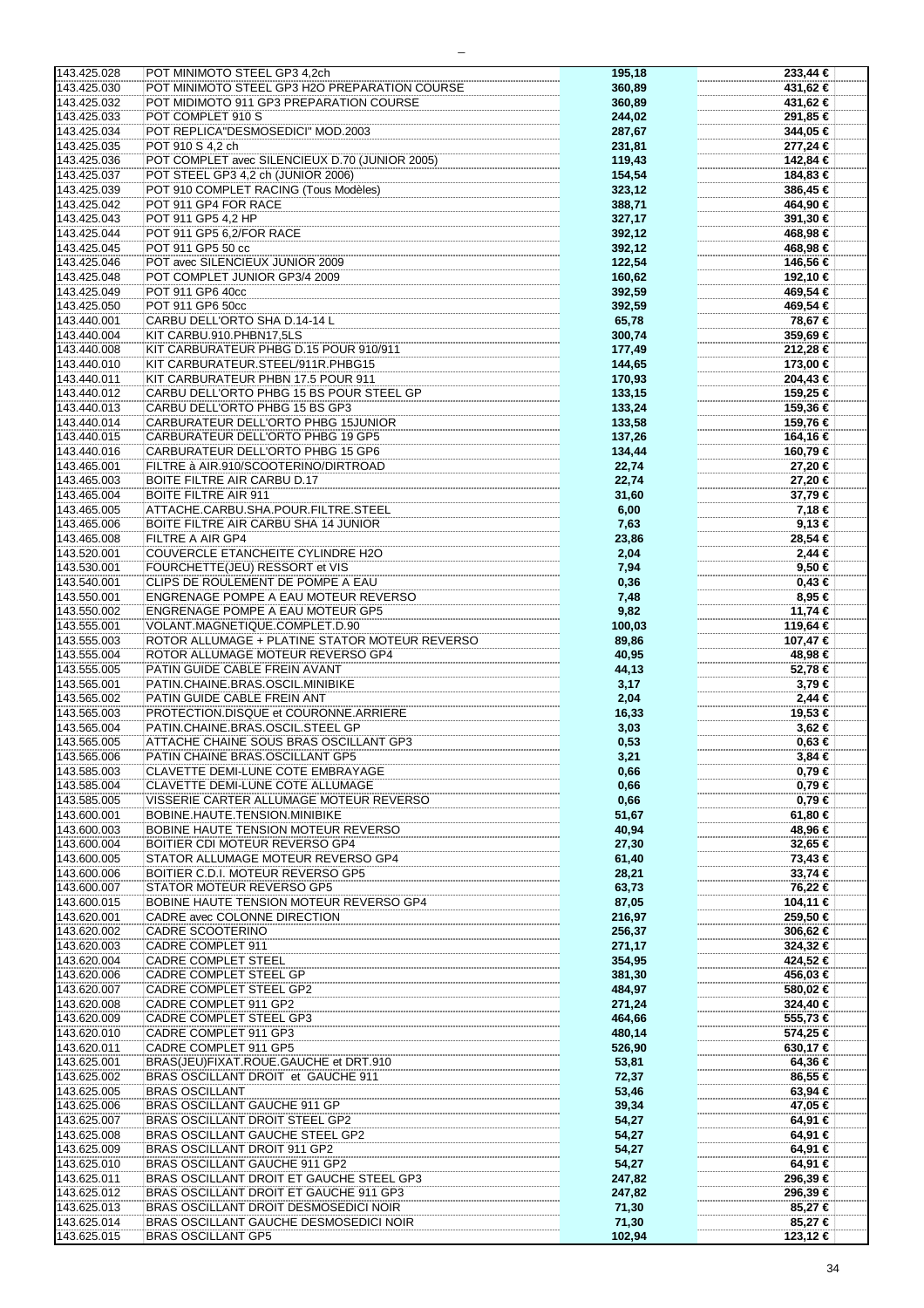| 143.425.028                | POT MINIMOTO STEEL GP3 4,2ch                                        | 195,18          | 233,44 €   |
|----------------------------|---------------------------------------------------------------------|-----------------|------------|
| 143.425.030                | POT MINIMOTO STEEL GP3 H2O PREPARATION COURSE                       |                 | 431,62 €   |
|                            |                                                                     | 360,89          |            |
| 143.425.032                | POT MIDIMOTO 911 GP3 PREPARATION COURSE                             | 360,89          | 431,62 €   |
|                            |                                                                     |                 |            |
| 143.425.033                | POT COMPLET 910 S                                                   | 244,02          | 291,85 €   |
| 143.425.034                | POT REPLICA"DESMOSEDICI" MOD.2003                                   | 287,67          | 344,05 €   |
|                            |                                                                     |                 |            |
| 143.425.035                | POT 910 S 4,2 ch                                                    | 231,81          | 277,24 €   |
| 143.425.036                | POT COMPLET avec SILENCIEUX D.70 (JUNIOR 2005)                      | 119,43          | 142,84 €   |
|                            |                                                                     |                 |            |
| 143.425.037                | POT STEEL GP3 4,2 ch (JUNIOR 2006)                                  | 154,54          | 184,83 €   |
|                            |                                                                     |                 |            |
| 143.425.039                | POT 910 COMPLET RACING (Tous Modèles)                               | 323,12          | 386,45 €   |
| 143.425.042                | POT 911 GP4 FOR RACE                                                | 388,71          | 464,90 €   |
|                            |                                                                     |                 |            |
| 143.425.043                | POT 911 GP5 4,2 HP                                                  | 327,17          | 391,30 €   |
| 143.425.044                | POT 911 GP5 6.2/FOR RACE                                            | 392,12          | 468,98 €   |
|                            |                                                                     |                 |            |
| 143.425.045                | POT 911 GP5 50 cc                                                   | 392,12          | 468,98 €   |
|                            |                                                                     |                 |            |
| 143.425.046                | POT avec SILENCIEUX JUNIOR 2009                                     | 122,54          | 146,56 €   |
| 143.425.048                | POT COMPLET JUNIOR GP3/4 2009                                       | 160,62          | 192,10 €   |
|                            |                                                                     |                 |            |
| 143.425.049                | POT 911 GP6 40cc                                                    | 392,59          | 469,54 €   |
| 143.425.050                | POT 911 GP6 50cc                                                    | 392,59          | 469,54 €   |
|                            |                                                                     |                 |            |
| 143.440.001                | CARBU DELL'ORTO SHA D.14-14 L                                       | 65,78           | 78,67 €    |
|                            |                                                                     |                 |            |
| 143.440.004                | KIT CARBU.910.PHBN17,5LS                                            | 300,74          | 359,69 €   |
| 143.440.008                | KIT CARBURATEUR PHBG D.15 POUR 910/911                              | 177,49          | 212,28 €   |
|                            |                                                                     |                 |            |
| 143.440.010                | KIT CARBURATEUR.STEEL/911R.PHBG15                                   | 144,65          | 173,00 €   |
| 143.440.011                | KIT CARBURATEUR PHBN 17.5 POUR 911                                  | 170,93          | 204,43 €   |
|                            |                                                                     |                 |            |
| 143.440.012                | CARBU DELL'ORTO PHBG 15 BS POUR STEEL GP                            | 133,15          | 159,25 €   |
| 143.440.013                | CARBU DELL'ORTO PHBG 15 BS GP3                                      | 133,24          | 159,36 €   |
|                            |                                                                     |                 |            |
| 143.440.014                | CARBURATEUR DELL'ORTO PHBG 15JUNIOR                                 | 133,58          | 159,76 €   |
|                            | CARBURATEUR DELL'ORTO PHBG 19 GP5                                   |                 |            |
| 143.440.015                |                                                                     | 137,26          | 164,16 €   |
| 143.440.016                | CARBURATEUR DELL'ORTO PHBG 15 GP6                                   | 134,44          | 160,79 €   |
|                            |                                                                     |                 |            |
| 143.465.001                | FILTRE à AIR.910/SCOOTERINO/DIRTROAD                                | 22,74           | 27,20 €    |
| 143.465.003                | <b>BOITE FILTRE AIR CARBU D.17</b>                                  | 22,74           | 27,20 €    |
|                            |                                                                     |                 |            |
| 143.465.004                | <b>BOITE FILTRE AIR 911</b>                                         | 31,60           | 37,79 €    |
| 143.465.005                | ATTACHE.CARBU.SHA.POUR.FILTRE.STEEL                                 | 6,00            | 7,18 €     |
|                            |                                                                     |                 |            |
| 143.465.006                | BOITE FILTRE AIR CARBU SHA 14 JUNIOR                                | 7,63            | 9,13€      |
|                            |                                                                     |                 |            |
| 143.465.008                | FILTRE A AIR GP4                                                    | 23,86           | 28,54 €    |
| 143.520.001                | <b>COUVERCLE ETANCHEITE CYLINDRE H2O</b>                            | 2,04            | 2,44 €     |
|                            |                                                                     |                 |            |
| 143.530.001                | FOURCHETTE(JEU) RESSORT et VIS                                      | 7,94            | 9,50 €     |
| 143.540.001                | CLIPS DE ROULEMENT DE POMPE A EAU                                   | 0,36            | $0,43 \in$ |
|                            |                                                                     |                 |            |
| 143.550.001                | ENGRENAGE POMPE A EAU MOTEUR REVERSO                                | 7,48            | 8,95 €     |
| 143.550.002                | <b>ENGRENAGE POMPE A EAU MOTEUR GP5</b>                             | 9,82            | 11,74 €    |
|                            |                                                                     |                 |            |
| 143.555.001                | VOLANT.MAGNETIQUE.COMPLET.D.90                                      | 100,03          | 119,64 €   |
|                            |                                                                     |                 |            |
| 143.555.003                | ROTOR ALLUMAGE + PLATINE STATOR MOTEUR REVERSO                      | 89,86           | 107,47 €   |
| 143.555.004                | ROTOR ALLUMAGE MOTEUR REVERSO GP4                                   | 40,95           | 48,98 €    |
| 143.555.005                | PATIN GUIDE CABLE FREIN AVANT                                       |                 | 52,78 €    |
|                            |                                                                     | 44,13           |            |
| 143.565.001                | PATIN.CHAINE.BRAS.OSCIL.MINIBIKE                                    | 3,17            | 3,79€      |
|                            |                                                                     |                 |            |
| 143.565.002                | PATIN GUIDE CABLE FREIN ANT                                         | 2,04            | $2,44$ €   |
| 143.565.003                | PROTECTION.DISQUE et COURONNE.ARRIERE                               | 16,33           | 19,53 €    |
|                            |                                                                     |                 |            |
| 143.565.004                | PATIN.CHAINE.BRAS.OSCIL.STEEL GP                                    | 3,03            | 3,62 €     |
| 143.565.005                | ATTACHE CHAINE SOUS BRAS OSCILLANT GP3                              | 0,53            | 0,63€      |
|                            |                                                                     |                 |            |
| 143.565.006                | PATIN CHAINE BRAS.OSCILLANT GP5                                     | 3,21            | $3,84 \in$ |
| 143.585.003                | CLAVETTE DEMI-LUNE COTE EMBRAYAGE                                   | 0,66            | $0,79 \in$ |
|                            |                                                                     |                 |            |
| 143.585.004                | CLAVETTE DEMI-LUNE COTE ALLUMAGE                                    | 0,66            | 0,79€      |
| 143.585.005                | VISSERIE CARTER ALLUMAGE MOTEUR REVERSO                             | 0,66            | 0,79€      |
|                            |                                                                     |                 |            |
| 143.600.001                | <b>BOBINE.HAUTE.TENSION.MINIBIKE</b>                                | 51,67           | 61,80 €    |
|                            |                                                                     |                 |            |
| 143.600.003                | <b>BOBINE HAUTE TENSION MOTEUR REVERSO</b>                          | 40,94           | 48,96 €    |
| 143.600.004                | <b>BOITIER CDI MOTEUR REVERSO GP4</b>                               | 27,30           | 32,65 €    |
|                            |                                                                     |                 |            |
| 143.600.005                | STATOR ALLUMAGE MOTEUR REVERSO GP4                                  | 61,40           | 73,43 €    |
| 143.600.006                | BOITIER C.D.I. MOTEUR REVERSO GP5                                   | 28,21           | 33,74 €    |
|                            |                                                                     |                 |            |
| 143.600.007                | STATOR MOTEUR REVERSO GP5                                           | 63,73           | 76,22 €    |
| 143.600.015                | BOBINE HAUTE TENSION MOTEUR REVERSO GP4                             | 87,05           | 104,11 €   |
|                            |                                                                     |                 |            |
| 143.620.001                | CADRE avec COLONNE DIRECTION                                        | 216,97          | 259,50 €   |
| 143.620.002                | CADRE SCOOTERINO                                                    |                 |            |
|                            |                                                                     | 256,37          | 306,62 €   |
| 143.620.003                | CADRE COMPLET 911                                                   | 271,17          | 324,32 €   |
|                            |                                                                     |                 |            |
| 143.620.004                | <b>CADRE COMPLET STEEL</b>                                          | 354,95          | 424,52 €   |
| 143.620.006                | CADRE COMPLET STEEL GP                                              | 381,30          | 456,03 €   |
|                            |                                                                     |                 |            |
| 143.620.007                | CADRE COMPLET STEEL GP2                                             | 484,97          | 580,02 €   |
| 143.620.008                | CADRE COMPLET 911 GP2                                               | 271,24          | 324,40 €   |
|                            |                                                                     |                 |            |
| 143.620.009                | CADRE COMPLET STEEL GP3                                             | 464,66          | 555,73 €   |
| 143.620.010                | CADRE COMPLET 911 GP3                                               | 480,14          | 574,25 €   |
|                            |                                                                     |                 |            |
| 143.620.011                | CADRE COMPLET 911 GP5                                               | 526,90          | 630,17 €   |
| 143.625.001                | BRAS(JEU)FIXAT.ROUE.GAUCHE et DRT.910                               | 53,81           | 64,36 €    |
|                            |                                                                     |                 |            |
| 143.625.002                | BRAS OSCILLANT DROIT et GAUCHE 911                                  | 72,37           | 86,55 €    |
| 143.625.005                | <b>BRAS OSCILLANT</b>                                               |                 |            |
|                            |                                                                     | 53,46           | 63,94 €    |
| 143.625.006                | BRAS OSCILLANT GAUCHE 911 GP                                        | 39,34           | 47,05 €    |
|                            |                                                                     |                 |            |
| 143.625.007                | <b>BRAS OSCILLANT DROIT STEEL GP2</b>                               | 54,27           | 64,91 €    |
| 143.625.008                | BRAS OSCILLANT GAUCHE STEEL GP2                                     | 54,27           | 64,91 €    |
|                            |                                                                     |                 |            |
|                            |                                                                     |                 |            |
| 143.625.009                | BRAS OSCILLANT DROIT 911 GP2                                        | 54,27           | 64,91 €    |
|                            |                                                                     |                 |            |
| 143.625.010                | BRAS OSCILLANT GAUCHE 911 GP2                                       | 54,27           | 64,91 €    |
| 143.625.011                | BRAS OSCILLANT DROIT ET GAUCHE STEEL GP3                            |                 | 296,39 €   |
|                            |                                                                     | 247,82          |            |
| 143.625.012                | BRAS OSCILLANT DROIT ET GAUCHE 911 GP3                              | 247,82          | 296,39 €   |
|                            |                                                                     |                 |            |
| 143.625.013                | BRAS OSCILLANT DROIT DESMOSEDICI NOIR                               | 71,30           | 85,27 €    |
| 143.625.014<br>143.625.015 | BRAS OSCILLANT GAUCHE DESMOSEDICI NOIR<br><b>BRAS OSCILLANT GP5</b> | 71,30<br>102,94 | 85,27 €    |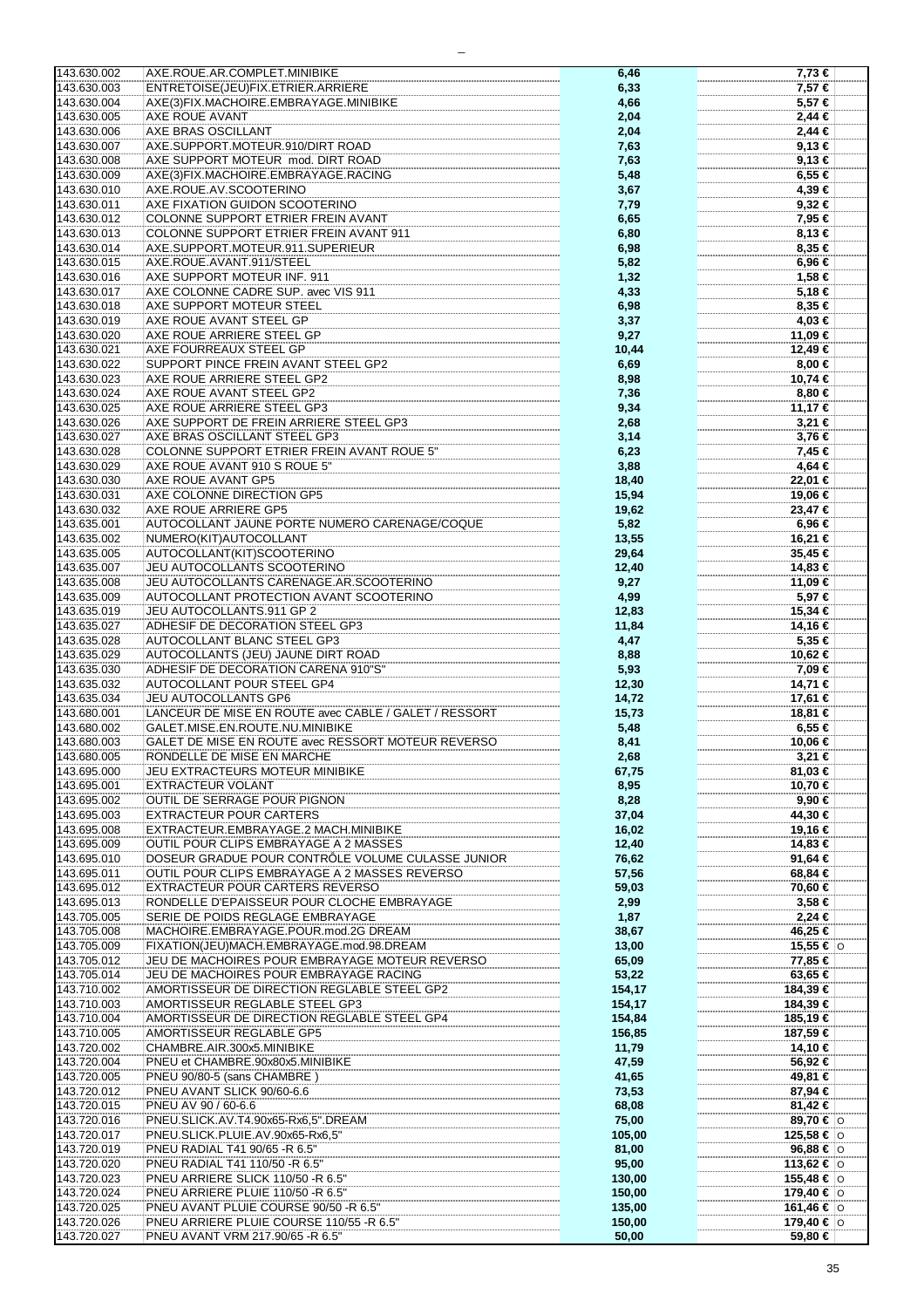| 143.630.002 | AXE.ROUE.AR.COMPLET.MINIBIKE                          | 6,46   | 7,73 €              |
|-------------|-------------------------------------------------------|--------|---------------------|
| 143.630.003 | ENTRETOISE(JEU)FIX.ETRIER.ARRIERE                     | 6,33   | 7.57 €              |
| 143.630.004 | AXE(3)FIX.MACHOIRE.EMBRAYAGE.MINIBIKE                 | 4,66   | $5,57$ €            |
|             |                                                       |        |                     |
| 143.630.005 | AXE ROUE AVANT                                        | 2,04   | 2,44 €              |
| 143.630.006 | AXE BRAS OSCILLANT                                    | 2,04   | $2,44$ €            |
| 143.630.007 | AXE.SUPPORT.MOTEUR.910/DIRT ROAD                      | 7,63   | 9,13€               |
|             |                                                       |        |                     |
| 143.630.008 | AXE SUPPORT MOTEUR mod. DIRT ROAD                     | 7,63   | 9,13€               |
| 143.630.009 | AXE(3)FIX.MACHOIRE.EMBRAYAGE.RACING                   | 5,48   | 6,55 €              |
| 143.630.010 | AXE.ROUE.AV.SCOOTERINO                                | 3,67   | 4,39 €              |
| 143.630.011 | AXE FIXATION GUIDON SCOOTERINO                        |        | 9,32 €              |
|             |                                                       | 7,79   |                     |
| 143.630.012 | COLONNE SUPPORT ETRIER FREIN AVANT                    | 6,65   | 7,95 €              |
| 143.630.013 | COLONNE SUPPORT ETRIER FREIN AVANT 911                | 6,80   | 8,13 €              |
| 143.630.014 | AXE.SUPPORT.MOTEUR.911.SUPERIEUR                      | 6,98   | 8,35 €              |
|             |                                                       |        |                     |
| 143.630.015 | AXE.ROUE.AVANT.911/STEEL                              | 5,82   | 6,96 €              |
| 143.630.016 | AXE SUPPORT MOTEUR INF. 911                           | 1,32   | 1,58 €              |
| 143.630.017 | AXE COLONNE CADRE SUP. avec VIS 911                   | 4,33   | 5,18 €              |
| 143.630.018 | AXE SUPPORT MOTEUR STEEL                              |        | 8,35 €              |
|             |                                                       | 6,98   |                     |
| 143.630.019 | AXE ROUE AVANT STEEL GP                               | 3,37   | 4,03 €              |
| 143.630.020 | AXE ROUE ARRIERE STEEL GP                             | 9,27   | 11,09 €             |
| 143.630.021 | AXE FOURREAUX STEEL GP                                | 10,44  | 12,49 €             |
|             |                                                       |        |                     |
| 143.630.022 | SUPPORT PINCE FREIN AVANT STEEL GP2                   | 6,69   | 8,00 €              |
| 143.630.023 | AXE ROUE ARRIERE STEEL GP2                            | 8,98   | 10,74 €             |
| 143.630.024 | AXE ROUE AVANT STEEL GP2                              | 7,36   | 8,80 €              |
| 143.630.025 | AXE ROUE ARRIERE STEEL GP3                            | 9,34   | 11,17 €             |
|             |                                                       |        |                     |
| 143.630.026 | AXE SUPPORT DE FREIN ARRIERE STEEL GP3                | 2,68   | 3,21 €              |
| 143.630.027 | AXE BRAS OSCILLANT STEEL GP3                          | 3,14   | 3,76 €              |
| 143.630.028 | <b>COLONNE SUPPORT ETRIER FREIN AVANT ROUE 5"</b>     | 6,23   | 7,45 €              |
|             |                                                       |        |                     |
| 143.630.029 | AXE ROUE AVANT 910 S ROUE 5"                          | 3,88   | 4,64 €              |
| 143.630.030 | AXE ROUE AVANT GP5                                    | 18,40  | 22,01 €             |
| 143.630.031 | AXE COLONNE DIRECTION GP5                             | 15,94  | 19,06 €             |
| 143.630.032 | AXE ROUE ARRIERE GP5                                  |        | 23,47 €             |
|             |                                                       | 19,62  |                     |
| 143.635.001 | AUTOCOLLANT JAUNE PORTE NUMERO CARENAGE/COQUE         | 5,82   | 6,96 €              |
| 143.635.002 | NUMERO(KIT) AUTOCOLLANT                               | 13,55  | 16,21 €             |
| 143.635.005 | AUTOCOLLANT(KIT)SCOOTERINO                            | 29,64  | 35,45 €             |
|             |                                                       |        |                     |
| 143.635.007 | JEU AUTOCOLLANTS SCOOTERINO                           | 12,40  | 14,83 €             |
| 143.635.008 | JEU AUTOCOLLANTS CARENAGE.AR.SCOOTERINO               | 9,27   | 11,09 €             |
| 143.635.009 | AUTOCOLLANT PROTECTION AVANT SCOOTERINO               | 4,99   | 5,97€               |
| 143.635.019 | JEU AUTOCOLLANTS.911 GP 2                             |        |                     |
|             |                                                       | 12,83  | 15,34 €             |
| 143.635.027 | ADHESIF DE DECORATION STEEL GP3                       | 11,84  | 14,16 €             |
| 143.635.028 | <b>AUTOCOLLANT BLANC STEEL GP3</b>                    | 4,47   | 5,35 €              |
| 143.635.029 | AUTOCOLLANTS (JEU) JAUNE DIRT ROAD                    | 8,88   | 10,62 €             |
|             |                                                       |        |                     |
| 143.635.030 | ADHESIF DE DECORATION CARENA 910"S"                   | 5,93   | 7,09 €              |
| 143.635.032 | <b>AUTOCOLLANT POUR STEEL GP4</b>                     | 12,30  | 14,71 €             |
| 143.635.034 | <b>JEU AUTOCOLLANTS GP6</b>                           | 14,72  | 17,61 €             |
| 143.680.001 | LANCEUR DE MISE EN ROUTE avec CABLE / GALET / RESSORT |        | 18,81 €             |
|             |                                                       | 15,73  |                     |
| 143.680.002 | GALET.MISE.EN.ROUTE.NU.MINIBIKE                       | 5,48   | 6,55 €              |
| 143.680.003 | GALET DE MISE EN ROUTE avec RESSORT MOTEUR REVERSO    | 8,41   | 10.06 €             |
| 143.680.005 | RONDELLE DE MISE EN MARCHE                            | 2,68   | 3,21 €              |
|             |                                                       |        |                     |
| 143.695.000 | JEU EXTRACTEURS MOTEUR MINIBIKE                       | 67,75  | 81,03 €             |
| 143.695.001 | EXTRACTEUR VOLANT                                     | 8,95   | 10,70 €             |
| 143.695.002 | OUTIL DE SERRAGE POUR PIGNON                          | 8,28   | 9,90 €              |
| 143.695.003 | <b>EXTRACTEUR POUR CARTERS</b>                        | 37,04  | 44,30 €             |
|             |                                                       |        |                     |
| 143.695.008 | EXTRACTEUR.EMBRAYAGE.2 MACH.MINIBIKE                  | 16,02  | 19,16 €             |
| 143.695.009 | <b>OUTIL POUR CLIPS EMBRAYAGE A 2 MASSES</b>          | 12,40  | 14,83 €             |
| 143.695.010 | DOSEUR GRADUE POUR CONTRÔLE VOLUME CULASSE JUNIOR     | 76,62  | 91,64 €             |
| 143.695.011 | OUTIL POUR CLIPS EMBRAYAGE A 2 MASSES REVERSO         | 57,56  | 68,84 €             |
|             |                                                       |        |                     |
| 143.695.012 | EXTRACTEUR POUR CARTERS REVERSO                       | 59,03  | 70,60 €             |
| 143.695.013 | RONDELLE D'EPAISSEUR POUR CLOCHE EMBRAYAGE            | 2,99   | 3,58 €              |
| 143.705.005 | SERIE DE POIDS REGLAGE EMBRAYAGE                      | 1,87   | 2,24 €              |
| 143.705.008 | MACHOIRE.EMBRAYAGE.POUR.mod.2G DREAM                  | 38,67  | 46,25 €             |
|             |                                                       |        |                     |
| 143.705.009 | FIXATION(JEU)MACH.EMBRAYAGE.mod.98.DREAM              | 13,00  | 15,55 € $\circ$     |
| 143.705.012 | JEU DE MACHOIRES POUR EMBRAYAGE MOTEUR REVERSO        | 65,09  | 77,85 €             |
| 143.705.014 | JEU DE MACHOIRES POUR EMBRAYAGE RACING                | 53,22  | 63,65 €             |
| 143.710.002 | AMORTISSEUR DE DIRECTION REGLABLE STEEL GP2           |        |                     |
|             |                                                       | 154,17 | 184,39 €            |
| 143.710.003 | AMORTISSEUR REGLABLE STEEL GP3                        | 154,17 | 184,39 €            |
| 143.710.004 | AMORTISSEUR DE DIRECTION REGLABLE STEEL GP4           | 154,84 | 185,19 €            |
| 143.710.005 | AMORTISSEUR REGLABLE GP5                              | 156,85 | 187,59 €            |
| 143.720.002 | CHAMBRE.AIR.300x5.MINIBIKE                            | 11,79  | 14,10 €             |
|             |                                                       |        |                     |
| 143.720.004 | PNEU et CHAMBRE.90x80x5.MINIBIKE                      | 47,59  | 56,92 €             |
| 143.720.005 | PNEU 90/80-5 (sans CHAMBRE)                           | 41,65  | 49,81 €             |
| 143.720.012 | PNEU AVANT SLICK 90/60-6.6                            | 73,53  | 87,94 €             |
|             |                                                       |        |                     |
| 143.720.015 | PNEU AV 90 / 60-6.6                                   | 68,08  | 81,42 €             |
| 143.720.016 | PNEU.SLICK.AV.T4.90x65-Rx6.5".DREAM                   | 75,00  | 89,70 € 0           |
| 143.720.017 | PNEU.SLICK.PLUIE.AV.90x65-Rx6,5"                      | 105,00 | 125,58 € $\circ$    |
| 143.720.019 | PNEU RADIAL T41 90/65 -R 6.5"                         | 81,00  | $96,88 \in   \circ$ |
|             |                                                       |        |                     |
| 143.720.020 | PNEU RADIAL T41 110/50 -R 6.5"                        | 95,00  | 113,62 €   $\circ$  |
| 143.720.023 | PNEU ARRIERE SLICK 110/50 -R 6.5"                     | 130,00 | 155,48 € $ 0 $      |
| 143.720.024 | PNEU ARRIERE PLUIE 110/50 -R 6.5"                     | 150,00 | 179,40 €  o         |
| 143.720.025 | PNEU AVANT PLUIE COURSE 90/50 -R 6.5"                 | 135,00 | 161,46 €   0        |
|             |                                                       |        |                     |
| 143.720.026 | PNEU ARRIERE PLUIE COURSE 110/55 -R 6.5"              | 150,00 | 179,40 €   ⊙        |
| 143.720.027 | PNEU AVANT VRM 217.90/65 -R 6.5"                      | 50,00  | 59,80 €             |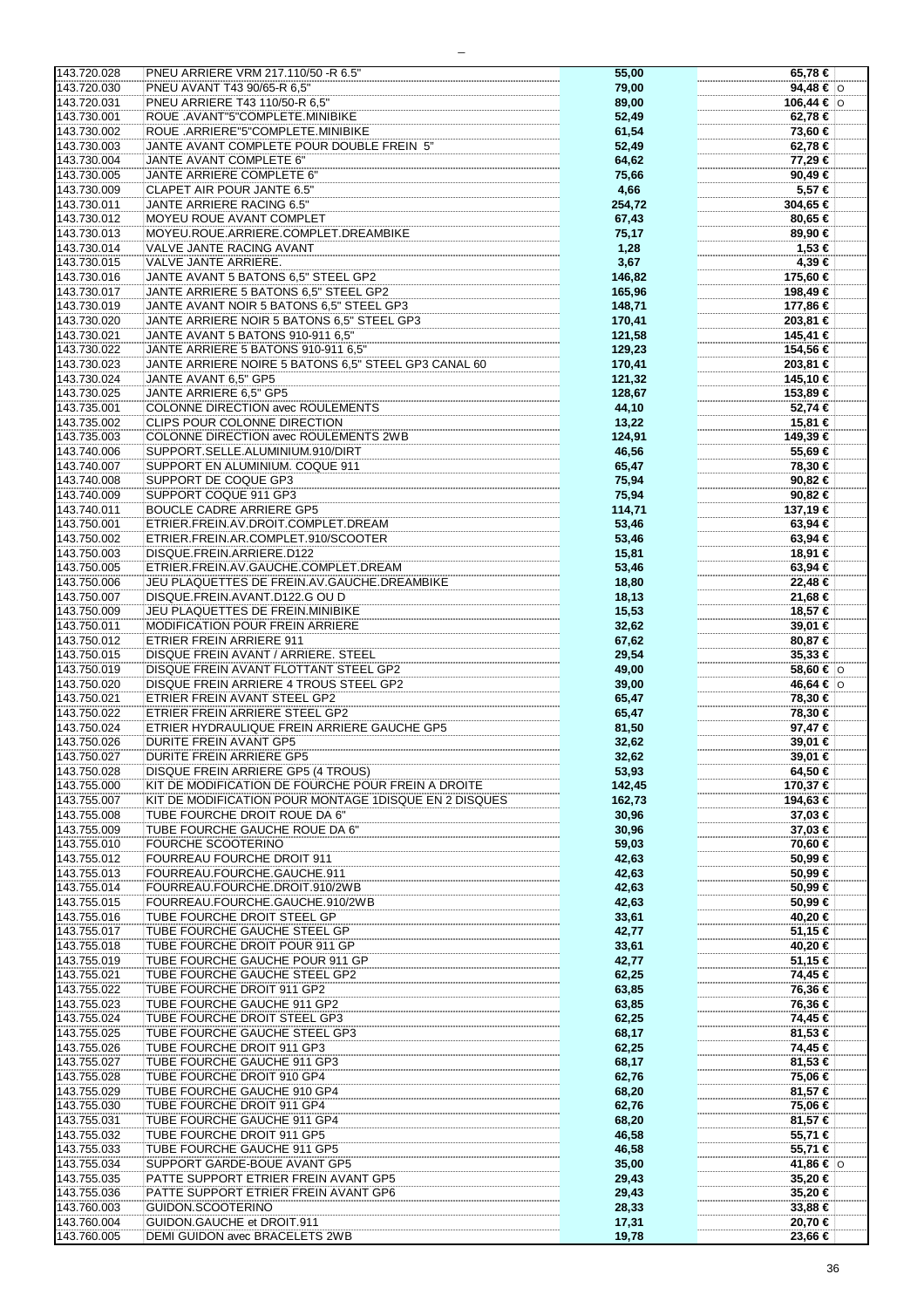| 143.720.028                | PNEU ARRIERE VRM 217.110/50 -R 6.5"                          | 55,00          | 65,78 €            |
|----------------------------|--------------------------------------------------------------|----------------|--------------------|
| 143.720.030                | PNEU AVANT T43 90/65-R 6.5"                                  | 79,00          | 94,48 € $ $ O      |
|                            |                                                              |                |                    |
| 143.720.031                | PNEU ARRIERE T43 110/50-R 6.5"                               | 89,00          | 106,44 €   0       |
|                            |                                                              |                |                    |
| 143.730.001                | ROUE .AVANT"5"COMPLETE.MINIBIKE                              | 52,49          | 62,78 €            |
| 143.730.002                | ROUE .ARRIERE"5"COMPLETE.MINIBIKE                            | 61,54          | 73,60 €            |
|                            |                                                              |                |                    |
| 143.730.003                | JANTE AVANT COMPLETE POUR DOUBLE FREIN 5"                    | 52,49          | 62,78 €            |
|                            |                                                              |                |                    |
| 143.730.004                | JANTE AVANT COMPLETE 6"                                      | 64,62          | 77,29 €            |
|                            | JANTE ARRIERE COMPLETE 6"                                    |                |                    |
| 143.730.005                |                                                              | 75,66          | 90,49€             |
| 143.730.009                | CLAPET AIR POUR JANTE 6.5"                                   | 4,66           | 5,57 €             |
|                            |                                                              |                |                    |
| 143.730.011                | JANTE ARRIERE RACING 6.5"                                    | 254,72         | 304,65 €           |
|                            |                                                              |                |                    |
| 143.730.012                | MOYEU ROUE AVANT COMPLET                                     | 67,43          | 80,65 €            |
|                            |                                                              |                |                    |
| 143.730.013                | MOYEU.ROUE.ARRIERE.COMPLET.DREAMBIKE                         | 75,17          | 89,90 €            |
| 143.730.014                | <b>VALVE JANTE RACING AVANT</b>                              | 1,28           | 1,53 €             |
|                            |                                                              |                |                    |
| 143.730.015                | VALVE JANTE ARRIERE.                                         | 3,67           | 4,39 €             |
|                            |                                                              |                |                    |
| 143.730.016                | JANTE AVANT 5 BATONS 6,5" STEEL GP2                          | 146,82         | 175,60 €           |
|                            |                                                              |                |                    |
| 143.730.017                | JANTE ARRIERE 5 BATONS 6.5" STEEL GP2                        | 165,96         | 198,49 €           |
| 143.730.019                | JANTE AVANT NOIR 5 BATONS 6.5" STEEL GP3                     | 148,71         | 177,86 €           |
|                            |                                                              |                |                    |
| 143.730.020                | JANTE ARRIERE NOIR 5 BATONS 6.5" STEEL GP3                   | 170,41         | 203,81 €           |
|                            |                                                              |                |                    |
| 143.730.021                | JANTE AVANT 5 BATONS 910-911 6,5"                            | 121,58         | 145,41 €           |
|                            |                                                              |                |                    |
| 143.730.022                | JANTE ARRIERE 5 BATONS 910-911 6.5"                          | 129,23         | 154,56 €           |
| 143.730.023                | JANTE ARRIERE NOIRE 5 BATONS 6.5" STEEL GP3 CANAL 60         | 170,41         | 203,81 €           |
|                            |                                                              |                |                    |
| 143.730.024                | JANTE AVANT 6,5" GP5                                         | 121,32         | 145,10 €           |
|                            |                                                              |                |                    |
| 143.730.025                | JANTE ARRIERE 6.5" GP5                                       | 128,67         | 153,89 €           |
| 143.735.001                | COLONNE DIRECTION avec ROULEMENTS                            |                | 52,74 €            |
|                            |                                                              | 44,10          |                    |
| 143.735.002                | CLIPS POUR COLONNE DIRECTION                                 | 13,22          | 15,81 €            |
|                            |                                                              |                |                    |
| 143.735.003                | COLONNE DIRECTION avec ROULEMENTS 2WB                        | 124,91         | 149,39 €           |
|                            |                                                              |                |                    |
| 143.740.006                | SUPPORT.SELLE.ALUMINIUM.910/DIRT                             | 46,56          | 55,69€             |
| 143.740.007                | SUPPORT EN ALUMINIUM. COQUE 911                              | 65,47          | 78,30 €            |
|                            |                                                              |                |                    |
| 143.740.008                | SUPPORT DE COQUE GP3                                         | 75,94          | 90.82 €            |
|                            |                                                              |                |                    |
| 143.740.009                | SUPPORT COQUE 911 GP3                                        | 75,94          | 90,82 €            |
|                            |                                                              |                |                    |
| 143.740.011                | <b>BOUCLE CADRE ARRIERE GP5</b>                              | 114,71         | 137,19 €           |
|                            |                                                              |                |                    |
| 143.750.001                | ETRIER.FREIN.AV.DROIT.COMPLET.DREAM                          | 53,46          | 63,94 €            |
| 143.750.002                | ETRIER.FREIN.AR.COMPLET.910/SCOOTER                          | 53,46          | 63,94 €            |
|                            |                                                              |                |                    |
| 143.750.003                | DISQUE.FREIN.ARRIERE.D122                                    | 15,81          | 18,91 €            |
|                            |                                                              |                |                    |
| 143.750.005                | ETRIER.FREIN.AV.GAUCHE.COMPLET.DREAM                         | 53,46          | 63,94 €            |
| 143.750.006                | JEU PLAQUETTES DE FREIN.AV.GAUCHE.DREAMBIKE                  |                | 22,48 €            |
|                            |                                                              | 18,80          |                    |
| 143.750.007                | DISQUE.FREIN.AVANT.D122.G OU D                               | 18,13          | 21,68 €            |
|                            |                                                              |                |                    |
| 143.750.009                | JEU PLAQUETTES DE FREIN.MINIBIKE                             | 15,53          | 18,57 €            |
|                            |                                                              |                |                    |
| 143.750.011                | <b>MODIFICATION POUR FREIN ARRIERE</b>                       | 32,62          | 39,01 €            |
| 143.750.012                | ETRIER FREIN ARRIERE 911                                     | 67,62          | 80,87 €            |
|                            |                                                              |                |                    |
|                            |                                                              |                |                    |
|                            |                                                              |                |                    |
| 143.750.015                | DISQUE FREIN AVANT / ARRIERE. STEEL                          | 29,54          | 35,33 €            |
| 143.750.019                | DISQUE FREIN AVANT FLOTTANT STEEL GP2                        |                | 58,60 € $\circ$    |
|                            |                                                              | 49,00          |                    |
| 143.750.020                | DISQUE FREIN ARRIERE 4 TROUS STEEL GP2                       | 39,00          | 46,64 € 0          |
|                            |                                                              |                |                    |
| 143.750.021                | ETRIER FREIN AVANT STEEL GP2                                 | 65,47          | 78,30 €            |
|                            |                                                              |                |                    |
| 143.750.022                | ETRIER FREIN ARRIERE STEEL GP2                               | 65,47          | 78,30 €            |
| 143.750.024                | ETRIER HYDRAULIQUE FREIN ARRIERE GAUCHE GP5                  | 81,50          | 97,47 €            |
|                            |                                                              |                |                    |
| 143.750.026                | <b>DURITE FREIN AVANT GP5</b>                                | 32,62          | 39,01 €            |
|                            |                                                              |                |                    |
| 143.750.027                | <b>DURITE FREIN ARRIERE GP5</b>                              | 32,62          | 39.01 €            |
|                            |                                                              |                |                    |
| 143.750.028                | DISQUE FREIN ARRIERE GP5 (4 TROUS)                           | 53,93          | 64,50 €            |
| 143.755.000                | KIT DE MODIFICATION DE FOURCHE POUR FREIN A DROITE           | 142,45         | 170,37 €           |
|                            |                                                              |                |                    |
| 143.755.007                | KIT DE MODIFICATION POUR MONTAGE 1DISQUE EN 2 DISQUES        | 162,73         | 194,63 €           |
|                            |                                                              |                |                    |
| 143.755.008                | TUBE FOURCHE DROIT ROUE DA 6"                                | 30,96          | 37,03 €            |
| 143.755.009                | TUBE FOURCHE GAUCHE ROUE DA 6"                               | 30,96          | 37,03 €            |
|                            |                                                              |                |                    |
| 143.755.010                | FOURCHE SCOOTERINO                                           | 59,03          | 70,60 €            |
|                            |                                                              |                |                    |
| 143.755.012                | FOURREAU FOURCHE DROIT 911                                   | 42,63          | 50,99€             |
| 143.755.013                | FOURREAU.FOURCHE.GAUCHE.911                                  | 42,63          | 50,99€             |
|                            |                                                              |                |                    |
| 143.755.014                | FOURREAU.FOURCHE.DROIT.910/2WB                               | 42,63          | 50,99€             |
|                            |                                                              |                |                    |
| 143.755.015                | FOURREAU.FOURCHE.GAUCHE.910/2WB                              | 42,63          | 50,99€             |
|                            | TUBE FOURCHE DROIT STEEL GP                                  |                |                    |
| 143.755.016                |                                                              | 33,61          | 40,20 €            |
| 143.755.017                | TUBE FOURCHE GAUCHE STEEL GP                                 | 42,77          | 51,15 €            |
|                            |                                                              |                |                    |
| 143.755.018                | TUBE FOURCHE DROIT POUR 911 GP                               | 33,61          | 40,20 €            |
|                            |                                                              |                |                    |
| 143.755.019                | TUBE FOURCHE GAUCHE POUR 911 GP                              | 42,77          | 51,15 €            |
|                            |                                                              |                |                    |
| 143.755.021                | TUBE FOURCHE GAUCHE STEEL GP2                                | 62,25          | 74,45 €            |
| 143.755.022                | TUBE FOURCHE DROIT 911 GP2                                   | 63,85          | 76,36 €            |
|                            |                                                              |                |                    |
| 143.755.023                | TUBE FOURCHE GAUCHE 911 GP2                                  | 63,85          | 76,36 €            |
|                            |                                                              |                |                    |
| 143.755.024                | TUBE FOURCHE DROIT STEEL GP3                                 | 62,25          | 74,45 €            |
| 143.755.025                | TUBE FOURCHE GAUCHE STEEL GP3                                |                | 81,53 €            |
|                            |                                                              | 68,17          |                    |
| 143.755.026                | TUBE FOURCHE DROIT 911 GP3                                   | 62,25          | 74,45 €            |
|                            |                                                              |                |                    |
| 143.755.027                | TUBE FOURCHE GAUCHE 911 GP3                                  | 68,17          | 81,53 €            |
|                            |                                                              |                |                    |
| 143.755.028                | TUBE FOURCHE DROIT 910 GP4                                   | 62,76          | 75,06 €            |
|                            |                                                              |                |                    |
| 143.755.029                | TUBE FOURCHE GAUCHE 910 GP4                                  | 68,20          | 81,57 €            |
|                            |                                                              |                |                    |
| 143.755.030                | TUBE FOURCHE DROIT 911 GP4                                   | 62,76          | 75,06 €            |
| 143.755.031                | TUBE FOURCHE GAUCHE 911 GP4                                  | 68,20          | 81,57 €            |
|                            |                                                              |                |                    |
| 143.755.032                | TUBE FOURCHE DROIT 911 GP5                                   | 46,58          | 55,71 €            |
|                            |                                                              |                |                    |
| 143.755.033                | TUBE FOURCHE GAUCHE 911 GP5                                  | 46,58          | 55,71 €            |
|                            |                                                              |                |                    |
| 143.755.034                | SUPPORT GARDE-BOUE AVANT GP5                                 | 35,00          | 41,86 €   0        |
| 143.755.035                | PATTE SUPPORT ETRIER FREIN AVANT GP5                         | 29,43          | 35,20 €            |
|                            |                                                              |                |                    |
| 143.755.036                | PATTE SUPPORT ETRIER FREIN AVANT GP6                         | 29,43          | 35,20 €            |
|                            |                                                              |                |                    |
| 143.760.003                | GUIDON.SCOOTERINO                                            | 28,33          | 33,88 €            |
|                            |                                                              |                |                    |
| 143.760.004<br>143.760.005 | GUIDON.GAUCHE et DROIT.911<br>DEMI GUIDON avec BRACELETS 2WB | 17,31<br>19,78 | 20,70 €<br>23,66 € |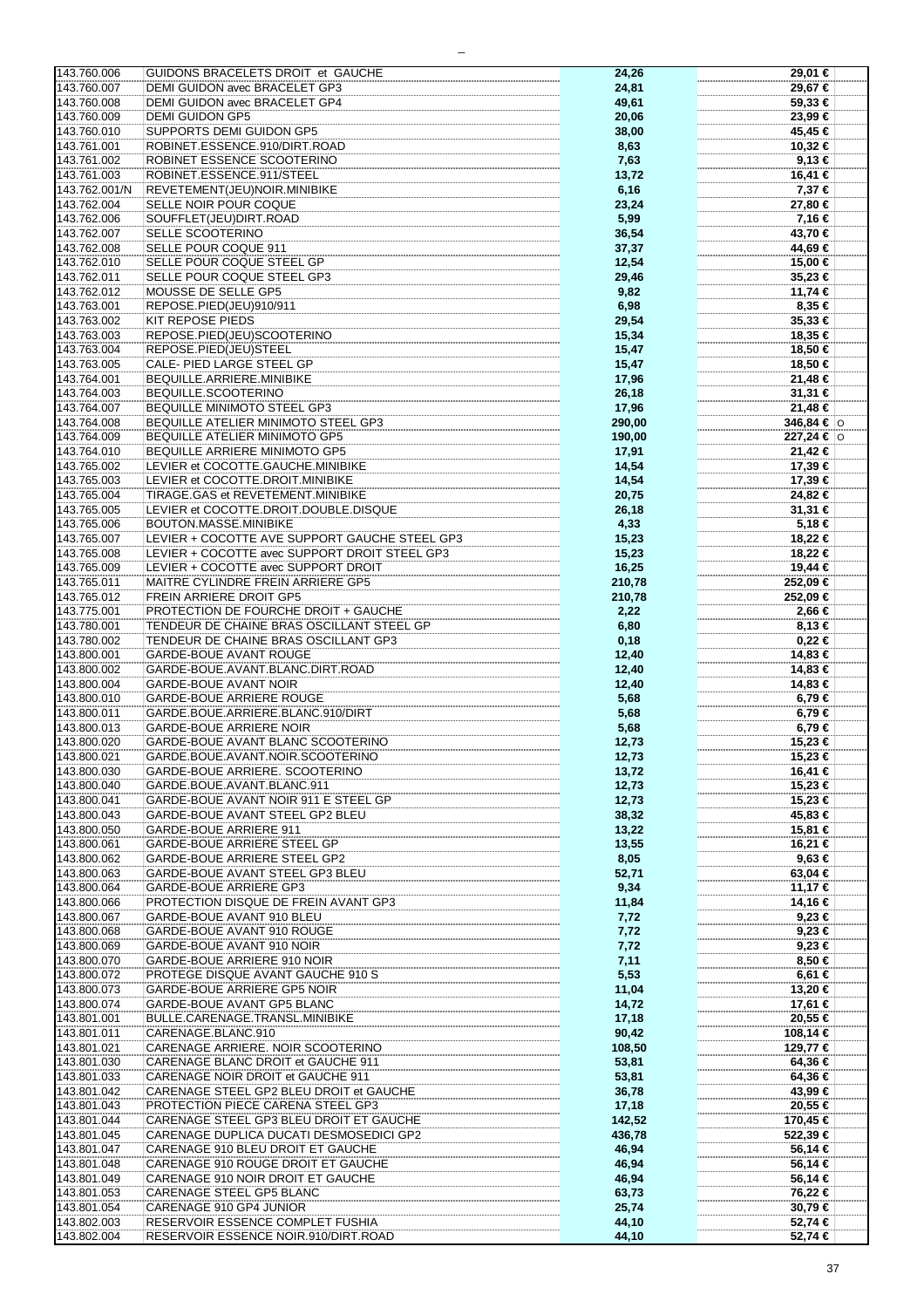| 143.760.006<br>143.760.007<br>143.760.008<br>143.760.009 |                                               |        |            |
|----------------------------------------------------------|-----------------------------------------------|--------|------------|
|                                                          | GUIDONS BRACELETS DROIT et GAUCHE             | 24,26  | 29,01 €    |
|                                                          | DEMI GUIDON avec BRACELET GP3                 | 24,81  | 29,67 €    |
|                                                          |                                               |        |            |
|                                                          | DEMI GUIDON avec BRACELET GP4                 | 49,61  | 59,33 €    |
|                                                          | <b>DEMI GUIDON GP5</b>                        | 20,06  | 23,99€     |
|                                                          |                                               |        |            |
| 143.760.010                                              | <b>SUPPORTS DEMI GUIDON GP5</b>               | 38,00  | 45,45 €    |
| 143.761.001                                              | ROBINET.ESSENCE.910/DIRT.ROAD                 | 8,63   | 10,32 €    |
|                                                          |                                               |        |            |
| 143.761.002                                              | ROBINET ESSENCE SCOOTERINO                    | 7,63   | 9,13€      |
| 143.761.003                                              | ROBINET.ESSENCE.911/STEEL                     |        | 16,41 €    |
|                                                          |                                               | 13,72  |            |
| 143.762.001/N                                            | REVETEMENT(JEU)NOIR.MINIBIKE                  | 6,16   | 7,37 €     |
|                                                          |                                               |        |            |
| 143.762.004                                              | SELLE NOIR POUR COQUE                         | 23,24  | 27,80 €    |
| 143.762.006                                              | SOUFFLET(JEU)DIRT.ROAD                        | 5,99   | 7,16 €     |
|                                                          |                                               |        |            |
| 143.762.007                                              | SELLE SCOOTERINO                              | 36,54  | 43,70 €    |
| 143.762.008                                              | SELLE POUR COQUE 911                          |        | 44,69 €    |
|                                                          |                                               | 37,37  |            |
| 143.762.010                                              | SELLE POUR COQUE STEEL GP                     | 12,54  | 15,00 €    |
|                                                          |                                               |        |            |
| 143.762.011                                              | SELLE POUR COQUE STEEL GP3                    | 29,46  | $35,23$ €  |
| 143.762.012                                              | MOUSSE DE SELLE GP5                           | 9,82   | 11,74 €    |
|                                                          |                                               |        |            |
| 143.763.001                                              | REPOSE.PIED(JEU)910/911                       | 6,98   | 8,35 €     |
| 143.763.002                                              | <b>KIT REPOSE PIEDS</b>                       | 29,54  | 35,33 €    |
|                                                          |                                               |        |            |
| 143.763.003                                              | REPOSE.PIED(JEU)SCOOTERINO                    | 15,34  | 18,35 €    |
|                                                          |                                               |        |            |
| 143.763.004                                              | REPOSE.PIED(JEU)STEEL                         | 15,47  | 18,50 €    |
| 143.763.005                                              | CALE- PIED LARGE STEEL GP                     | 15,47  | 18,50 €    |
|                                                          |                                               |        |            |
| 143.764.001                                              | BEQUILLE.ARRIERE.MINIBIKE                     | 17,96  | 21,48 €    |
| 143.764.003                                              | BEQUILLE.SCOOTERINO                           | 26,18  | 31,31 €    |
|                                                          |                                               |        |            |
| 143.764.007                                              | BEQUILLE MINIMOTO STEEL GP3                   | 17,96  | $21,48$ €  |
| 143.764.008                                              | BEQUILLE ATELIER MINIMOTO STEEL GP3           | 290,00 | 346,84 € 0 |
|                                                          |                                               |        |            |
| 143.764.009                                              | <b>BEQUILLE ATELIER MINIMOTO GP5</b>          | 190,00 | 227,24 € 0 |
|                                                          |                                               |        |            |
| 143.764.010                                              | BEQUILLE ARRIERE MINIMOTO GP5                 | 17,91  | 21,42€     |
| 143.765.002                                              | LEVIER et COCOTTE.GAUCHE.MINIBIKE             | 14,54  | 17,39 €    |
|                                                          |                                               |        |            |
| 143.765.003                                              | LEVIER et COCOTTE.DROIT.MINIBIKE              | 14,54  | 17,39 €    |
| 143.765.004                                              | TIRAGE.GAS et REVETEMENT.MINIBIKE             | 20,75  | 24,82 €    |
|                                                          |                                               |        |            |
| 143.765.005                                              | LEVIER et COCOTTE.DROIT.DOUBLE.DISQUE         | 26,18  | 31,31 €    |
|                                                          |                                               |        |            |
| 143.765.006                                              | BOUTON.MASSE.MINIBIKE                         | 4,33   | 5,18 €     |
| 143.765.007                                              | LEVIER + COCOTTE AVE SUPPORT GAUCHE STEEL GP3 | 15,23  | 18,22 €    |
|                                                          |                                               |        |            |
| 143.765.008                                              | LEVIER + COCOTTE avec SUPPORT DROIT STEEL GP3 | 15,23  | 18,22 €    |
| 143.765.009                                              | LEVIER + COCOTTE avec SUPPORT DROIT           | 16,25  | 19,44 €    |
|                                                          |                                               |        |            |
| 143.765.011                                              | MAITRE CYLINDRE FREIN ARRIERE GP5             | 210,78 | 252,09 €   |
|                                                          |                                               |        |            |
| 143.765.012                                              | <b>FREIN ARRIERE DROIT GP5</b>                | 210,78 | 252,09 €   |
| 143.775.001                                              | PROTECTION DE FOURCHE DROIT + GAUCHE          | 2,22   | 2,66 €     |
|                                                          |                                               |        |            |
| 143.780.001                                              | TENDEUR DE CHAINE BRAS OSCILLANT STEEL GP     | 6,80   | 8,13 €     |
| 143.780.002                                              | TENDEUR DE CHAINE BRAS OSCILLANT GP3          | 0,18   | $0,22 \in$ |
|                                                          |                                               |        |            |
| 143.800.001                                              | <b>GARDE-BOUE AVANT ROUGE</b>                 | 12,40  | 14,83 €    |
| 143.800.002                                              | GARDE-BOUE.AVANT.BLANC.DIRT.ROAD              | 12,40  | 14,83 €    |
|                                                          |                                               |        |            |
| 143.800.004                                              | <b>GARDE-BOUE AVANT NOIR</b>                  | 12,40  | 14,83 €    |
| 143.800.010                                              | <b>GARDE-BOUE ARRIERE ROUGE</b>               | 5,68   | 6,79€      |
|                                                          |                                               |        |            |
| 143.800.011                                              | GARDE.BOUE.ARRIERE.BLANC.910/DIRT             | 5,68   | 6,79€      |
| 143.800.013                                              |                                               | 5,68   |            |
|                                                          | <b>GARDE-BOUE ARRIERE NOIR</b>                |        |            |
|                                                          |                                               |        | 6,79€      |
|                                                          |                                               |        |            |
| 143.800.020                                              | GARDE-BOUE AVANT BLANC SCOOTERINO             | 12,73  | 15,23 €    |
| 143.800.021                                              | GARDE.BOUE.AVANT.NOIR.SCOOTERINO              | 12,73  | 15,23 €    |
|                                                          |                                               |        |            |
| 143.800.030                                              | GARDE-BOUE ARRIERE. SCOOTERINO                | 13,72  | 16,41 €    |
| 143.800.040                                              | GARDE.BOUE.AVANT.BLANC.911                    | 12,73  | 15,23 €    |
|                                                          |                                               |        |            |
| 143.800.041                                              | GARDE-BOUE AVANT NOIR 911 E STEEL GP          | 12,73  | 15,23 €    |
| 143.800.043                                              | GARDE-BOUE AVANT STEEL GP2 BLEU               | 38,32  | 45,83 €    |
|                                                          |                                               |        |            |
| 143.800.050                                              | GARDE-BOUE ARRIERE 911                        | 13,22  | 15,81 €    |
| 143.800.061                                              | GARDE-BOUE ARRIERE STEEL GP                   |        |            |
|                                                          |                                               | 13,55  | 16,21 €    |
| 143.800.062                                              | GARDE-BOUE ARRIERE STEEL GP2                  | 8,05   | $9,63 \in$ |
|                                                          |                                               |        |            |
| 143.800.063                                              | GARDE-BOUE AVANT STEEL GP3 BLEU               | 52,71  | 63,04 €    |
| 143.800.064                                              | <b>GARDE-BOUE ARRIERE GP3</b>                 | 9,34   | 11,17 €    |
|                                                          |                                               |        |            |
| 143.800.066                                              | PROTECTION DISQUE DE FREIN AVANT GP3          | 11,84  | 14,16 €    |
| 143.800.067                                              | GARDE-BOUE AVANT 910 BLEU                     | 7,72   | 9,23€      |
|                                                          |                                               |        |            |
| 143.800.068                                              | GARDE-BOUE AVANT 910 ROUGE                    | 7,72   | $9,23 \in$ |
| 143.800.069                                              | GARDE-BOUE AVANT 910 NOIR                     | 7,72   | $9,23 \in$ |
|                                                          |                                               |        |            |
| 143.800.070                                              | GARDE-BOUE ARRIERE 910 NOIR                   | 7,11   | $8,50 \in$ |
|                                                          |                                               |        |            |
| 143.800.072                                              | PROTEGE DISQUE AVANT GAUCHE 910 S             | 5,53   | $6,61 \in$ |
| 143.800.073                                              | GARDE-BOUE ARRIERE GP5 NOIR                   | 11,04  | 13,20 €    |
|                                                          |                                               |        |            |
| 143.800.074                                              | GARDE-BOUE AVANT GP5 BLANC                    | 14,72  | 17,61 €    |
| 143.801.001                                              | BULLE.CARENAGE.TRANSL.MINIBIKE                | 17,18  | 20,55 €    |
|                                                          |                                               |        |            |
| 143.801.011                                              | CARENAGE.BLANC.910                            | 90,42  | 108,14 €   |
| 143.801.021                                              | CARENAGE ARRIERE. NOIR SCOOTERINO             | 108,50 | 129,77 €   |
|                                                          |                                               |        |            |
| 143.801.030                                              | CARENAGE BLANC DROIT et GAUCHE 911            | 53,81  | 64,36 €    |
| 143.801.033                                              | CARENAGE NOIR DROIT et GAUCHE 911             | 53,81  | 64,36 €    |
|                                                          |                                               |        |            |
| 143.801.042                                              | CARENAGE STEEL GP2 BLEU DROIT et GAUCHE       | 36,78  | 43,99 €    |
|                                                          |                                               |        |            |
| 143.801.043                                              | PROTECTION PIECE CARENA STEEL GP3             | 17,18  | 20,55 €    |
| 143.801.044                                              | CARENAGE STEEL GP3 BLEU DROIT ET GAUCHE       | 142,52 | 170,45 €   |
|                                                          |                                               |        |            |
| 143.801.045                                              | CARENAGE DUPLICA DUCATI DESMOSEDICI GP2       | 436,78 | 522,39 €   |
| 143.801.047                                              | CARENAGE 910 BLEU DROIT ET GAUCHE             | 46,94  | 56,14 €    |
|                                                          |                                               |        |            |
| 143.801.048                                              | CARENAGE 910 ROUGE DROIT ET GAUCHE            | 46,94  | 56,14 €    |
| 143.801.049                                              | CARENAGE 910 NOIR DROIT ET GAUCHE             |        | 56,14 €    |
|                                                          |                                               | 46,94  |            |
| 143.801.053                                              | CARENAGE STEEL GP5 BLANC                      | 63,73  | 76,22 €    |
|                                                          |                                               |        |            |
| 143.801.054                                              | CARENAGE 910 GP4 JUNIOR                       | 25,74  | 30,79€     |
| 143.802.003                                              | RESERVOIR ESSENCE COMPLET FUSHIA              | 44,10  | 52,74 €    |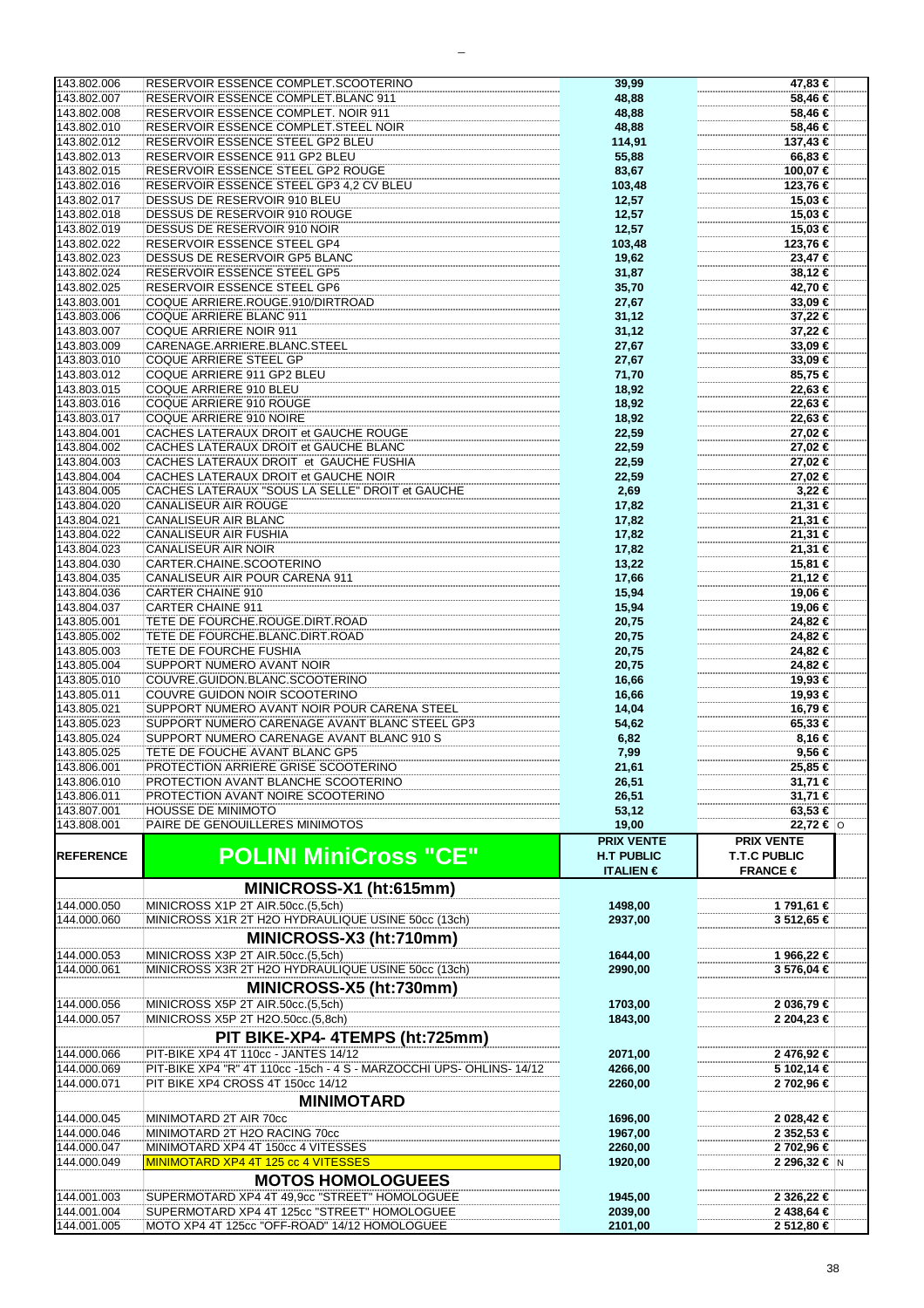| 143.802.006                | RESERVOIR ESSENCE COMPLET.SCOOTERINO                                                          | 39,99                     | 47,83 €                  |  |
|----------------------------|-----------------------------------------------------------------------------------------------|---------------------------|--------------------------|--|
| 143.802.007                | RESERVOIR ESSENCE COMPLET.BLANC 911                                                           | 48,88                     | 58,46 €                  |  |
| 143.802.008                | RESERVOIR ESSENCE COMPLET. NOIR 911                                                           | 48,88                     | 58,46 €                  |  |
| 143.802.010                | RESERVOIR ESSENCE COMPLET.STEEL NOIR                                                          | 48,88                     | 58,46 €                  |  |
| 143.802.012                | RESERVOIR ESSENCE STEEL GP2 BLEU                                                              | 114,91                    | 137,43 €                 |  |
| 143.802.013                | RESERVOIR ESSENCE 911 GP2 BLEU                                                                | 55,88                     | 66,83 €                  |  |
| 143.802.015                | RESERVOIR ESSENCE STEEL GP2 ROUGE                                                             | 83,67                     | 100,07 €                 |  |
| 143.802.016                | RESERVOIR ESSENCE STEEL GP3 4,2 CV BLEU                                                       | 103,48                    | 123,76 €                 |  |
| 143.802.017                | DESSUS DE RESERVOIR 910 BLEU                                                                  | 12,57                     | 15,03 €                  |  |
| 143.802.018                | DESSUS DE RESERVOIR 910 ROUGE                                                                 | 12,57                     | 15,03 €                  |  |
| 143.802.019                | DESSUS DE RESERVOIR 910 NOIR                                                                  | 12,57                     | 15,03 €                  |  |
| 143.802.022                | <b>RESERVOIR ESSENCE STEEL GP4</b>                                                            | 103,48                    | 123,76 €                 |  |
| 143.802.023                | DESSUS DE RESERVOIR GP5 BLANC                                                                 | 19,62                     | 23,47 €                  |  |
| 143.802.024                | <b>RESERVOIR ESSENCE STEEL GP5</b>                                                            |                           | 38,12 €                  |  |
| 143.802.025                | RESERVOIR ESSENCE STEEL GP6                                                                   | 31,87                     | 42,70 €                  |  |
|                            |                                                                                               | 35,70                     |                          |  |
| 143.803.001                | COQUE ARRIERE.ROUGE.910/DIRTROAD                                                              | 27,67                     | 33,09 €                  |  |
| 143.803.006                | COQUE ARRIERE BLANC 911                                                                       | 31,12                     | 37,22 €                  |  |
| 143.803.007                | COQUE ARRIERE NOIR 911                                                                        | 31,12                     | 37,22 €                  |  |
| 143.803.009                | CARENAGE.ARRIERE.BLANC.STEEL                                                                  | 27,67                     | 33,09€                   |  |
| 143.803.010                | COQUE ARRIERE STEEL GP                                                                        | 27,67                     | 33,09€                   |  |
| 143.803.012                | COQUE ARRIERE 911 GP2 BLEU                                                                    | 71,70                     | 85,75 €                  |  |
| 143.803.015                | <b>COQUE ARRIERE 910 BLEU</b>                                                                 | 18,92                     | 22,63 €                  |  |
| 143.803.016                | COQUE ARRIERE 910 ROUGE                                                                       | 18,92                     | 22,63 €                  |  |
| 143.803.017                | COQUE ARRIERE 910 NOIRE                                                                       | 18,92                     | 22,63 €                  |  |
| 143.804.001                | CACHES LATERAUX DROIT et GAUCHE ROUGE                                                         | 22,59                     | 27,02 €                  |  |
| 143.804.002                | CACHES LATERAUX DROIT et GAUCHE BLANC                                                         | 22,59                     | 27,02 €                  |  |
| 143.804.003                | CACHES LATERAUX DROIT et GAUCHE FUSHIA                                                        | 22,59                     | 27,02 €                  |  |
| 143.804.004                | CACHES LATERAUX DROIT et GAUCHE NOIR                                                          | 22,59                     | 27,02 €                  |  |
| 143.804.005                | CACHES LATERAUX "SOUS LA SELLE" DROIT et GAUCHE                                               | 2,69                      | 3,22 €                   |  |
| 143.804.020                | CANALISEUR AIR ROUGE                                                                          | 17,82                     | 21,31 €                  |  |
| 143.804.021                | <b>CANALISEUR AIR BLANC</b>                                                                   | 17,82                     | 21,31 €                  |  |
| 143.804.022                | <b>CANALISEUR AIR FUSHIA</b>                                                                  | 17,82                     | 21,31 €                  |  |
| 143.804.023                | CANALISEUR AIR NOIR                                                                           | 17,82                     | 21,31 €                  |  |
| 143.804.030                | CARTER.CHAINE.SCOOTERINO                                                                      | 13,22                     | 15,81 €                  |  |
| 143.804.035                | CANALISEUR AIR POUR CARENA 911                                                                | 17,66                     | 21,12 €                  |  |
| 143.804.036                | CARTER CHAINE 910                                                                             | 15,94                     | 19,06 €                  |  |
| 143.804.037                | <b>CARTER CHAINE 911</b>                                                                      |                           | 19,06 €                  |  |
|                            |                                                                                               | 15,94                     |                          |  |
| 143.805.001                | TETE DE FOURCHE.ROUGE.DIRT.ROAD                                                               | 20,75                     | 24,82 €                  |  |
| 143.805.002                | TETE DE FOURCHE.BLANC.DIRT.ROAD                                                               | 20,75                     | 24,82 €                  |  |
| 143.805.003                | TETE DE FOURCHE FUSHIA                                                                        | 20,75                     | 24,82 €                  |  |
| 143.805.004                | SUPPORT NUMERO AVANT NOIR                                                                     | 20,75                     | 24,82 €                  |  |
| 143.805.010                | COUVRE.GUIDON.BLANC.SCOOTERINO                                                                | 16,66                     | 19,93 €                  |  |
| 143.805.011                | COUVRE GUIDON NOIR SCOOTERINO                                                                 | 16,66                     | 19,93 €                  |  |
| 143.805.021                | SUPPORT NUMERO AVANT NOIR POUR CARENA STEEL                                                   | 14,04                     | 16,79 €                  |  |
| 143.805.023                | SUPPORT NUMERO CARENAGE AVANT BLANC STEEL GP3                                                 | 54,62                     | 65,33 €                  |  |
| 143.805.024                | SUPPORT NUMERO CARENAGE AVANT BLANC 910 S                                                     | 6,82                      | 8,16 €                   |  |
| 143.805.025                | TETE DE FOUCHE AVANT BLANC GP5                                                                | 7,99                      | 9,56 €                   |  |
| 143.806.001                | PROTECTION ARRIERE GRISE SCOOTERINO                                                           | 21,61                     | 25,85 €                  |  |
| 143.806.010                | PROTECTION AVANT BLANCHE SCOOTERINO                                                           | 26,51                     | 31,71 €                  |  |
| 143.806.011                | PROTECTION AVANT NOIRE SCOOTERINO                                                             | 26,51                     | 31,71 €                  |  |
| 143.807.001                | <b>HOUSSE DE MINIMOTO</b>                                                                     | 53,12                     | 63,53 €                  |  |
| 143.808.001                | PAIRE DE GENOUILLERES MINIMOTOS                                                               | 19,00                     | 22,72 € $\circ$          |  |
|                            |                                                                                               | <b>PRIX VENTE</b>         | <b>PRIX VENTE</b>        |  |
| <b>REFERENCE</b>           | <b>POLINI MiniCross "CE"</b>                                                                  | <b>H.T PUBLIC</b>         | <b>T.T.C PUBLIC</b>      |  |
|                            |                                                                                               | <b>ITALIEN</b> $\epsilon$ | FRANCE $\in$             |  |
|                            | MINICROSS-X1 (ht:615mm)                                                                       |                           |                          |  |
|                            |                                                                                               |                           |                          |  |
| 144.000.050                | MINICROSS X1P 2T AIR.50cc.(5,5ch)                                                             | 1498,00                   | 1 791,61 €               |  |
| 144.000.060                | MINICROSS X1R 2T H2O HYDRAULIQUE USINE 50cc (13ch)                                            | 2937,00                   | 3 512,65 €               |  |
|                            |                                                                                               |                           |                          |  |
|                            |                                                                                               |                           |                          |  |
|                            | MINICROSS-X3 (ht:710mm)                                                                       |                           |                          |  |
| 144.000.053                | MINICROSS X3P 2T AIR.50cc.(5,5ch)                                                             | 1644,00                   | 1 966,22 €               |  |
| 144.000.061                | MINICROSS X3R 2T H2O HYDRAULIQUE USINE 50cc (13ch)                                            | 2990.00                   | 3 576,04 €               |  |
|                            | MINICROSS-X5 (ht:730mm)                                                                       |                           |                          |  |
| 144.000.056                | MINICROSS X5P 2T AIR.50cc.(5,5ch)                                                             | 1703,00                   | 2 036,79 €               |  |
| 144.000.057                | MINICROSS X5P 2T H2O.50cc.(5,8ch)                                                             | 1843,00                   | 2 204,23 €               |  |
|                            |                                                                                               |                           |                          |  |
|                            | PIT BIKE-XP4- 4TEMPS (ht:725mm)                                                               |                           |                          |  |
| 144.000.066                | PIT-BIKE XP4 4T 110cc - JANTES 14/12                                                          | 2071,00                   | 2476,92€                 |  |
| 144.000.069                | PIT-BIKE XP4 "R" 4T 110cc -15ch - 4 S - MARZOCCHI UPS- OHLINS- 14/12                          | 4266,00                   | 5 102,14 €               |  |
| 144.000.071                | PIT BIKE XP4 CROSS 4T 150cc 14/12                                                             | 2260,00                   | 2 702,96 €               |  |
|                            | <b>MINIMOTARD</b>                                                                             |                           |                          |  |
| 144.000.045                | MINIMOTARD 2T AIR 70cc                                                                        | 1696,00                   | 2 028,42 €               |  |
| 144.000.046                | MINIMOTARD 2T H2O RACING 70cc                                                                 | 1967,00                   | 2 352,53 €               |  |
| 144.000.047                | MINIMOTARD XP4 4T 150cc 4 VITESSES                                                            | 2260,00                   | 2 702,96 €               |  |
| 144.000.049                | MINIMOTARD XP4 4T 125 cc 4 VITESSES                                                           | 1920,00                   | 2 296,32 € N             |  |
|                            |                                                                                               |                           |                          |  |
|                            | <b>MOTOS HOMOLOGUEES</b>                                                                      |                           |                          |  |
| 144.001.003                | SUPERMOTARD XP4 4T 49,9cc "STREET" HOMOLOGUEE                                                 | 1945,00                   | 2 326,22 €               |  |
| 144.001.004<br>144.001.005 | SUPERMOTARD XP4 4T 125cc "STREET" HOMOLOGUEE<br>MOTO XP4 4T 125cc "OFF-ROAD" 14/12 HOMOLOGUEE | 2039,00<br>2101,00        | 2 438,64 €<br>2 512,80 € |  |

 $\equiv$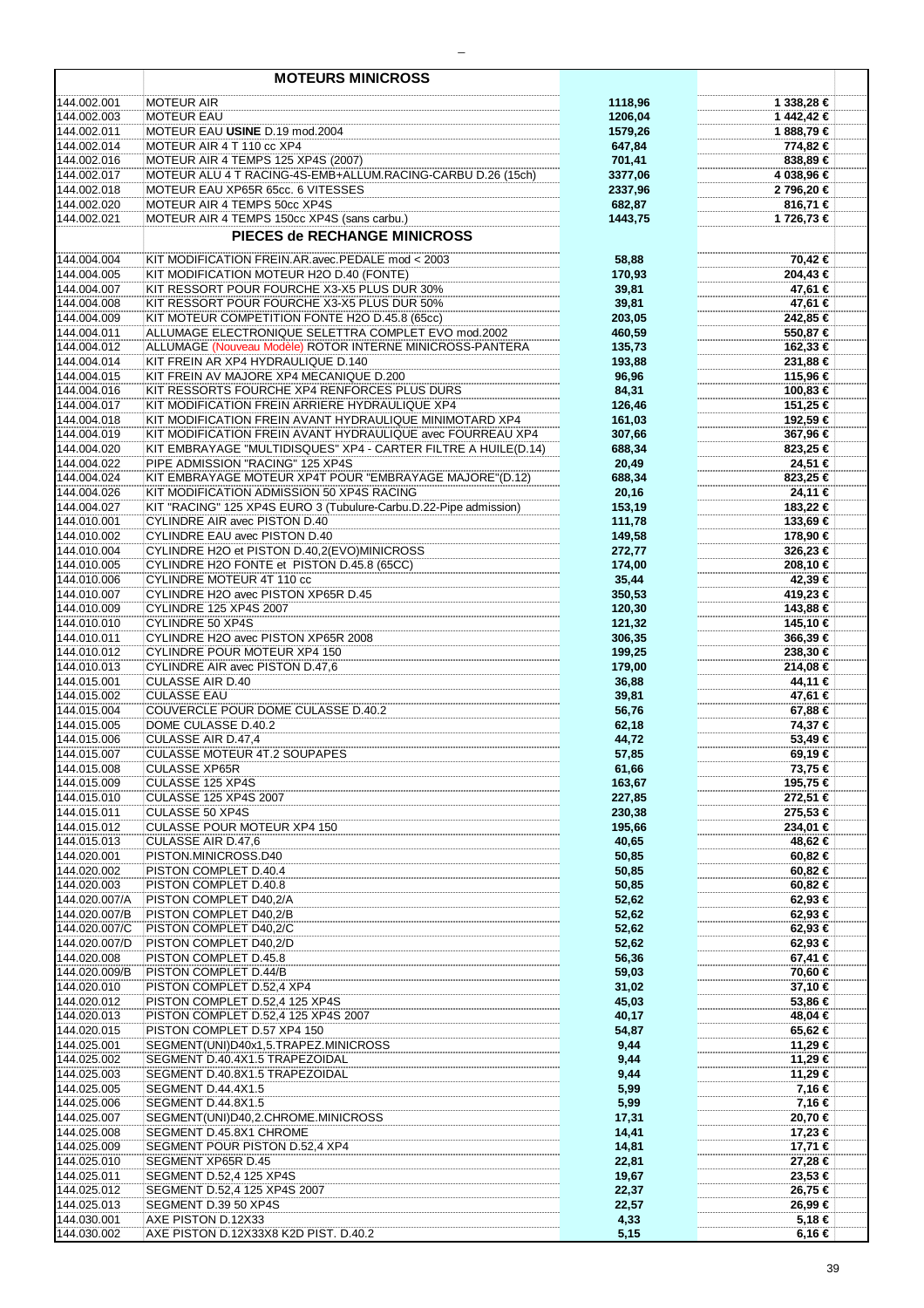|                            | <b>MOTEURS MINICROSS</b>                                                                                  |                  |                      |
|----------------------------|-----------------------------------------------------------------------------------------------------------|------------------|----------------------|
| 144.002.001                | <b>MOTEUR AIR</b>                                                                                         | 1118,96          | 1 338,28 €           |
| 144.002.003                | <b>MOTEUR EAU</b>                                                                                         | 1206,04          | 1442.42€             |
| 144.002.011                | MOTEUR EAU USINE D.19 mod.2004                                                                            | 1579,26          | 1888,79€             |
| 144.002.014<br>144.002.016 | MOTEUR AIR 4 T 110 cc XP4<br>MOTEUR AIR 4 TEMPS 125 XP4S (2007)                                           | 647,84<br>701,41 | 774,82 €<br>838,89€  |
| 144.002.017                | MOTEUR ALU 4 T RACING-4S-EMB+ALLUM.RACING-CARBU D.26 (15ch)                                               | 3377,06          | 4 038,96 €           |
| 144.002.018                | MOTEUR EAU XP65R 65cc. 6 VITESSES                                                                         | 2337,96          | 2 796,20 €           |
| 144.002.020                | MOTEUR AIR 4 TEMPS 50cc XP4S                                                                              | 682,87           | 816,71 €             |
| 144.002.021                | MOTEUR AIR 4 TEMPS 150cc XP4S (sans carbu.)                                                               | 1443,75          | 1 726,73 €           |
|                            | PIECES de RECHANGE MINICROSS                                                                              |                  |                      |
| 144.004.004                | KIT MODIFICATION FREIN.AR.avec.PEDALE mod < 2003                                                          | 58,88            | 70.42 €              |
| 144.004.005                | KIT MODIFICATION MOTEUR H2O D.40 (FONTE)<br>KIT RESSORT POUR FOURCHE X3-X5 PLUS DUR 30%                   | 170,93           | 204,43 €             |
| 144.004.007<br>144.004.008 | KIT RESSORT POUR FOURCHE X3-X5 PLUS DUR 50%                                                               | 39,81<br>39,81   | 47,61 €<br>47,61 €   |
| 144.004.009                | KIT MOTEUR COMPETITION FONTE H2O D.45.8 (65cc)                                                            | 203,05           | 242,85 €             |
| 144.004.011                | ALLUMAGE ELECTRONIQUE SELETTRA COMPLET EVO mod.2002                                                       | 460,59           | 550,87 €             |
| 144.004.012                | ALLUMAGE (Nouveau Modèle) ROTOR INTERNE MINICROSS-PANTERA                                                 | 135,73           | 162,33 €             |
| 144.004.014                | KIT FREIN AR XP4 HYDRAULIQUE D.140                                                                        | 193,88           | 231,88 €             |
| 144.004.015                | KIT FREIN AV MAJORE XP4 MECANIQUE D.200                                                                   | 96,96            | 115,96 €             |
| 144.004.016                | KIT RESSORTS FOURCHE XP4 RENFORCES PLUS DURS                                                              | 84,31            | 100,83 €             |
| 144.004.017<br>144.004.018 | KIT MODIFICATION FREIN ARRIERE HYDRAULIQUE XP4<br>KIT MODIFICATION FREIN AVANT HYDRAULIQUE MINIMOTARD XP4 | 126,46<br>161,03 | 151,25 €<br>192,59 € |
| 144.004.019                | KIT MODIFICATION FREIN AVANT HYDRAULIQUE avec FOURREAU XP4                                                | 307,66           | 367,96 €             |
| 144.004.020                | KIT EMBRAYAGE "MULTIDISQUES" XP4 - CARTER FILTRE A HUILE(D.14)                                            | 688,34           | 823,25 €             |
| 144.004.022                | PIPE ADMISSION "RACING" 125 XP4S                                                                          | 20,49            | 24,51 €              |
| 144.004.024                | KIT EMBRAYAGE MOTEUR XP4T POUR "EMBRAYAGE MAJORE"(D.12)                                                   | 688,34           | 823,25 €             |
| 144.004.026                | KIT MODIFICATION ADMISSION 50 XP4S RACING                                                                 | 20,16            | 24,11 €              |
| 144.004.027                | KIT "RACING" 125 XP4S EURO 3 (Tubulure-Carbu.D.22-Pipe admission)                                         | 153,19           | 183,22 €             |
| 144.010.001                | CYLINDRE AIR avec PISTON D.40                                                                             | 111,78           | 133,69 €             |
| 144.010.002<br>144.010.004 | CYLINDRE EAU avec PISTON D.40<br>CYLINDRE H2O et PISTON D.40,2(EVO)MINICROSS                              | 149,58<br>272,77 | 178,90 €<br>326,23 € |
| 144.010.005                | CYLINDRE H2O FONTE et PISTON D.45.8 (65CC)                                                                | 174,00           | 208,10 €             |
| 144.010.006                | CYLINDRE MOTEUR 4T 110 cc                                                                                 | 35,44            | 42,39€               |
| 144.010.007                | CYLINDRE H2O avec PISTON XP65R D.45                                                                       | 350,53           | 419,23 €             |
| 144.010.009                | <b>CYLINDRE 125 XP4S 2007</b>                                                                             | 120,30           | 143,88 €             |
| 144.010.010                | CYLINDRE 50 XP4S                                                                                          | 121,32           | 145,10 €             |
| 144.010.011                | CYLINDRE H2O avec PISTON XP65R 2008                                                                       | 306,35           | 366,39€              |
| 144.010.012<br>144.010.013 | CYLINDRE POUR MOTEUR XP4 150<br>CYLINDRE AIR avec PISTON D.47,6                                           | 199,25<br>179,00 | 238,30 €<br>214,08 € |
| 144.015.001                | <b>CULASSE AIR D.40</b>                                                                                   | 36,88            | 44.11 €              |
| 144.015.002                | <b>CULASSE EAU</b>                                                                                        | 39,81            | 47,61 €              |
| 144.015.004                | COUVERCLE POUR DOME CULASSE D.40.2                                                                        | 56,76            | 67,88 €              |
| 144.015.005                | DOME CULASSE D.40.2                                                                                       | 62,18            | 74,37 €              |
| 144.015.006                | CULASSE AIR D.47,4                                                                                        | 44,72            | 53,49 €              |
| 144.015.007<br>144.015.008 | <b>CULASSE MOTEUR 4T.2 SOUPAPES</b><br><b>CULASSE XP65R</b>                                               | 57,85<br>61,66   | 69,19 €<br>73,75 €   |
| 144.015.009                | CULASSE 125 XP4S                                                                                          | 163,67           | 195,75 €             |
| 144.015.010                | <b>CULASSE 125 XP4S 2007</b>                                                                              | 227,85           | 272,51 €             |
| 144.015.011                | CULASSE 50 XP4S                                                                                           | 230,38           | 275,53 €             |
| 144.015.012                | <b>CULASSE POUR MOTEUR XP4 150</b>                                                                        | 195,66           | 234,01 €             |
| 144.015.013                | CULASSE AIR D.47,6                                                                                        | 40,65            | 48,62 €              |
| 144.020.001                | PISTON.MINICROSS.D40<br>PISTON COMPLET D.40.4                                                             | 50,85            | 60,82 €              |
| 144.020.002<br>144.020.003 | PISTON COMPLET D.40.8                                                                                     | 50,85<br>50,85   | 60,82 €<br>60,82 €   |
| 144.020.007/A              | PISTON COMPLET D40,2/A                                                                                    | 52,62            | 62,93 €              |
| 144.020.007/B              | PISTON COMPLET D40.2/B                                                                                    | 52,62            | 62,93 €              |
| 144.020.007/C              | PISTON COMPLET D40,2/C                                                                                    | 52,62            | 62,93 €              |
| 144.020.007/D              | PISTON COMPLET D40,2/D                                                                                    | 52,62            | 62,93 €              |
| 144.020.008                | PISTON COMPLET D.45.8                                                                                     | 56,36            | 67,41 €              |
| 144.020.009/B              | PISTON COMPLET D.44/B                                                                                     | 59,03            | 70,60 €              |
| 144.020.010<br>144.020.012 | PISTON COMPLET D.52,4 XP4<br>PISTON COMPLET D.52,4 125 XP4S                                               | 31,02<br>45,03   | 37,10 €<br>53,86 €   |
| 144.020.013                | PISTON COMPLET D.52,4 125 XP4S 2007                                                                       | 40,17            | 48,04 €              |
| 144.020.015                | PISTON COMPLET D.57 XP4 150                                                                               | 54,87            | 65,62€               |
| 144.025.001                | SEGMENT(UNI)D40x1,5.TRAPEZ.MINICROSS                                                                      | 9,44             | 11,29 €              |
| 144.025.002                | SEGMENT D.40.4X1.5 TRAPEZOIDAL                                                                            | 9,44             | 11,29 €              |
| 144.025.003                | SEGMENT D.40.8X1.5 TRAPEZOIDAL                                                                            | 9,44             | 11,29 €              |
| 144.025.005                | SEGMENT D.44.4X1.5                                                                                        | 5,99             | 7,16 €               |
| 144.025.006                | SEGMENT D.44.8X1.5                                                                                        | 5,99             | 7,16 €               |
| 144.025.007<br>144.025.008 | SEGMENT(UNI)D40,2.CHROME.MINICROSS<br>SEGMENT D.45.8X1 CHROME                                             | 17,31<br>14,41   | 20,70 €<br>17,23 €   |
| 144.025.009                | SEGMENT POUR PISTON D.52,4 XP4                                                                            | 14,81            | 17,71 €              |
| 144.025.010                | SEGMENT XP65R D.45                                                                                        | 22,81            | 27,28 €              |
| 144.025.011                | SEGMENT D.52,4 125 XP4S                                                                                   | 19,67            | 23,53 €              |
| 144.025.012                | SEGMENT D.52,4 125 XP4S 2007                                                                              | 22,37            | 26,75 €              |
| 144.025.013                | SEGMENT D.39 50 XP4S                                                                                      | 22,57            | 26,99 €              |
| 144.030.001                | AXE PISTON D.12X33                                                                                        | 4,33             | 5,18 €               |
| 144.030.002                | AXE PISTON D.12X33X8 K2D PIST. D.40.2                                                                     | 5,15             | 6,16€                |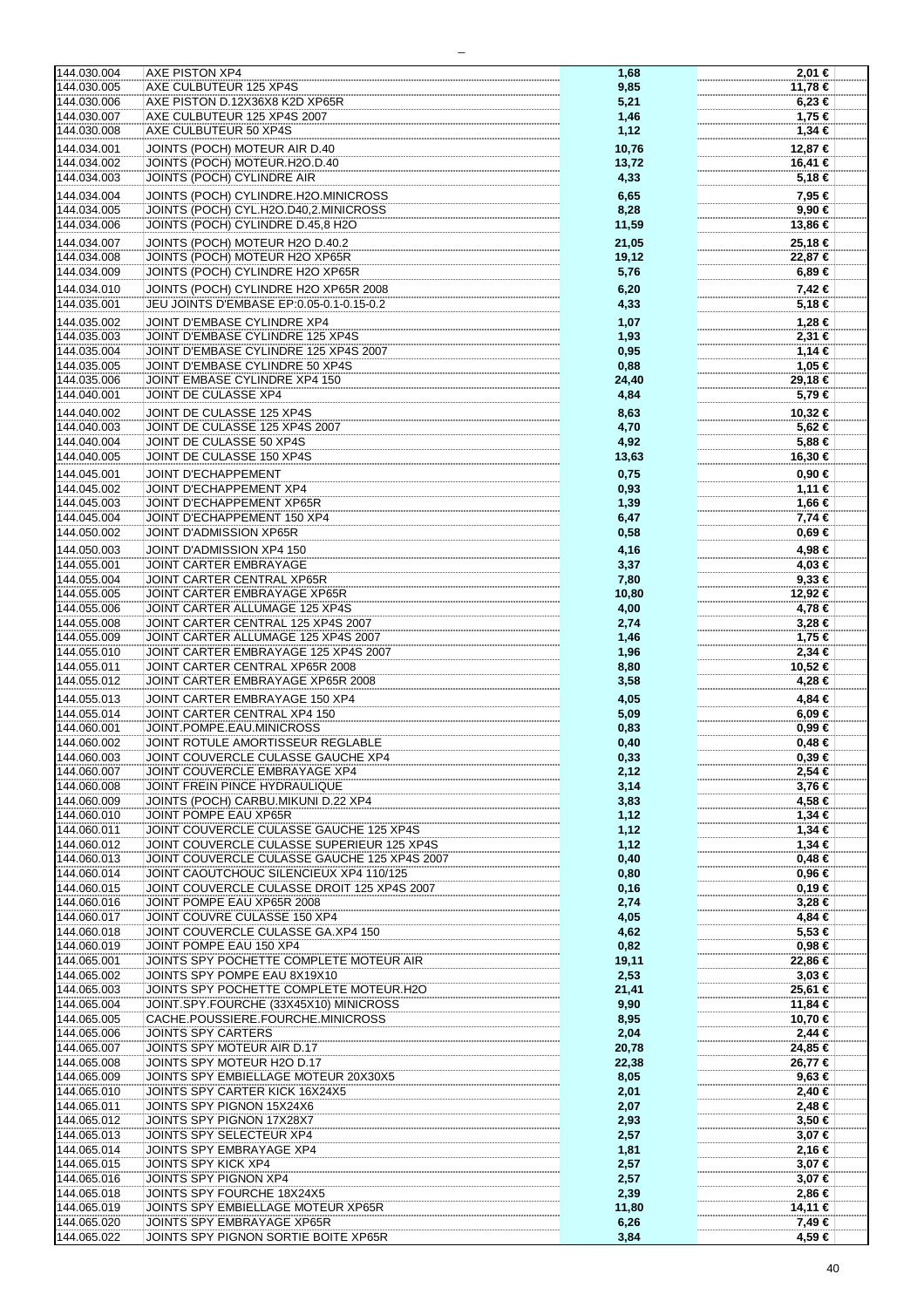| 144.030.004                | <b>AXE PISTON XP4</b>                                              | 1,68         | 2,01 €           |
|----------------------------|--------------------------------------------------------------------|--------------|------------------|
|                            |                                                                    |              |                  |
| 144.030.005                | AXE CULBUTEUR 125 XP4S                                             | 9,85         | 11,78 €          |
| 144.030.006                | AXE PISTON D.12X36X8 K2D XP65R                                     |              | $6,23 \in$       |
|                            |                                                                    | 5,21         |                  |
| 144.030.007                | AXE CULBUTEUR 125 XP4S 2007                                        | 1,46         | 1,75 €           |
|                            |                                                                    |              |                  |
| 144.030.008                | AXE CULBUTEUR 50 XP4S                                              | 1,12         | 1,34 €           |
| 144.034.001                | JOINTS (POCH) MOTEUR AIR D.40                                      | 10,76        | 12,87 €          |
|                            |                                                                    |              |                  |
| 144.034.002                | JOINTS (POCH) MOTEUR.H2O.D.40                                      | 13,72        | 16,41 €          |
| 144.034.003                | JOINTS (POCH) CYLINDRE AIR                                         |              |                  |
|                            |                                                                    | 4,33         | 5,18€            |
| 144.034.004                | JOINTS (POCH) CYLINDRE.H2O.MINICROSS                               | 6,65         | 7,95 €           |
|                            |                                                                    |              |                  |
| 144.034.005                | JOINTS (POCH) CYL.H2O.D40,2.MINICROSS                              | 8,28         | 9,90 €           |
|                            |                                                                    |              |                  |
| 144.034.006                | JOINTS (POCH) CYLINDRE D.45,8 H2O                                  | 11,59        | 13,86 €          |
| 144.034.007                | JOINTS (POCH) MOTEUR H2O D.40.2                                    | 21,05        | 25,18 €          |
|                            |                                                                    |              |                  |
| 144.034.008                | JOINTS (POCH) MOTEUR H2O XP65R                                     | 19,12        | 22,87 €          |
|                            | JOINTS (POCH) CYLINDRE H2O XP65R                                   |              |                  |
| 144.034.009                |                                                                    | 5,76         | $6,89 \in$       |
| 144.034.010                | JOINTS (POCH) CYLINDRE H2O XP65R 2008                              | 6,20         | 7,42 €           |
|                            |                                                                    |              |                  |
| 144.035.001                | JEU JOINTS D'EMBASE EP:0.05-0.1-0.15-0.2                           | 4,33         | 5,18 €           |
|                            |                                                                    |              |                  |
| 144.035.002                | JOINT D'EMBASE CYLINDRE XP4                                        | 1,07         | 1,28 €           |
| 144.035.003                | JOINT D'EMBASE CYLINDRE 125 XP4S                                   |              | 2,31€            |
|                            |                                                                    | 1,93         |                  |
| 144.035.004                | JOINT D'EMBASE CYLINDRE 125 XP4S 2007                              | 0,95         | $1,14$ €         |
| 144.035.005                | JOINT D'EMBASE CYLINDRE 50 XP4S                                    |              |                  |
|                            |                                                                    | 0,88         | 1,05 €           |
| 144.035.006                | JOINT EMBASE CYLINDRE XP4 150                                      | 24,40        | 29,18 €          |
|                            |                                                                    |              |                  |
| 144.040.001                | JOINT DE CULASSE XP4                                               | 4,84         | 5,79€            |
| 144.040.002                | JOINT DE CULASSE 125 XP4S                                          |              | 10,32 €          |
|                            |                                                                    | 8,63         |                  |
| 144.040.003                | JOINT DE CULASSE 125 XP4S 2007                                     | 4,70         | 5,62 €           |
|                            |                                                                    |              |                  |
| 144.040.004                | JOINT DE CULASSE 50 XP4S                                           | 4,92         | 5,88 €           |
| 144.040.005                | JOINT DE CULASSE 150 XP4S                                          | 13,63        | 16,30 €          |
|                            |                                                                    |              |                  |
| 144.045.001                | <b>JOINT D'ECHAPPEMENT</b>                                         | 0,75         | $0,90 \in$       |
|                            |                                                                    |              |                  |
| 144.045.002                | JOINT D'ECHAPPEMENT XP4                                            | 0,93         | 1,11 €           |
| 144.045.003                | JOINT D'ECHAPPEMENT XP65R                                          | 1,39         | 1,66 €           |
|                            |                                                                    |              |                  |
| 144.045.004                | JOINT D'ECHAPPEMENT 150 XP4                                        | 6,47         | 7,74 €           |
| 144.050.002                | JOINT D'ADMISSION XP65R                                            | 0,58         | 0,69 €           |
|                            |                                                                    |              |                  |
| 144.050.003                | JOINT D'ADMISSION XP4 150                                          | 4,16         | 4,98 €           |
|                            |                                                                    |              |                  |
| 144.055.001                | JOINT CARTER EMBRAYAGE                                             | 3,37         | 4,03 €           |
| 144.055.004                | JOINT CARTER CENTRAL XP65R                                         | 7,80         | $9,33$ €         |
|                            |                                                                    |              |                  |
| 144.055.005                | JOINT CARTER EMBRAYAGE XP65R                                       | 10,80        | 12,92 €          |
| 144.055.006                | JOINT CARTER ALLUMAGE 125 XP4S                                     | 4,00         | 4,78 €           |
|                            |                                                                    |              |                  |
| 144.055.008                | JOINT CARTER CENTRAL 125 XP4S 2007                                 | 2,74         | $3,28 \in$       |
| 144.055.009                | JOINT CARTER ALLUMAGE 125 XP4S 2007                                | 1,46         | 1,75 €           |
|                            |                                                                    |              |                  |
| 144.055.010                | JOINT CARTER EMBRAYAGE 125 XP4S 2007                               | 1,96         | 2,34 €           |
| 144.055.011                | JOINT CARTER CENTRAL XP65R 2008                                    | 8,80         | 10,52 €          |
|                            |                                                                    |              |                  |
| 144.055.012                | JOINT CARTER EMBRAYAGE XP65R 2008                                  | 3,58         | 4,28 €           |
|                            |                                                                    |              |                  |
| 144.055.013                | JOINT CARTER EMBRAYAGE 150 XP4                                     | 4,05         | 4,84 €           |
| 144.055.014                | JOINT CARTER CENTRAL XP4 150                                       | 5,09         | $6,09 \in$       |
|                            |                                                                    |              |                  |
| 144.060.001                | JOINT.POMPE.EAU.MINICROSS                                          | 0,83         | 0.99 ∈           |
| 144.060.002                | JOINT ROTULE AMORTISSEUR REGLABLE                                  | 0,40         | $0,48 \in$       |
|                            |                                                                    |              |                  |
| 144.060.003                | JOINT COUVERCLE CULASSE GAUCHE XP4                                 | 0,33         | $0,39 \in$       |
|                            |                                                                    |              |                  |
| 144.060.007                | JOINT COUVERCLE EMBRAYAGE XP4                                      | 2,12         | 2,54 €           |
| 144.060.008                | JOINT FREIN PINCE HYDRAULIQUE                                      | 3,14         | $3,76 \in$       |
|                            |                                                                    |              |                  |
| 144.060.009                | JOINTS (POCH) CARBU.MIKUNI D.22 XP4                                | 3,83         | 4,58 €           |
| 144.060.010                | JOINT POMPE EAU XP65R                                              | 1,12         | $1,34 \in$       |
|                            |                                                                    |              |                  |
| 144.060.011                | JOINT COUVERCLE CULASSE GAUCHE 125 XP4S                            | 1,12         | $1,34 \in$       |
| 144.060.012                | JOINT COUVERCLE CULASSE SUPERIEUR 125 XP4S                         | 1,12         | $1,34$ €         |
|                            |                                                                    |              |                  |
| 144.060.013                | JOINT COUVERCLE CULASSE GAUCHE 125 XP4S 2007                       | 0,40         | 0,48€            |
| 144.060.014                | JOINT CAOUTCHOUC SILENCIEUX XP4 110/125                            | 0,80         | 0,96€            |
|                            |                                                                    |              |                  |
| 144.060.015                | JOINT COUVERCLE CULASSE DROIT 125 XP4S 2007                        | 0, 16        | 0,19€            |
| 144.060.016                | JOINT POMPE EAU XP65R 2008                                         | 2,74         | $3,28 \in$       |
|                            |                                                                    |              |                  |
| 144.060.017                | JOINT COUVRE CULASSE 150 XP4                                       | 4,05         | 4,84 €           |
| 144.060.018                | JOINT COUVERCLE CULASSE GA.XP4 150                                 | 4,62         | 5,53€            |
|                            |                                                                    |              |                  |
| 144.060.019                | JOINT POMPE EAU 150 XP4                                            | 0,82         | 0,98€            |
|                            | JOINTS SPY POCHETTE COMPLETE MOTEUR AIR                            |              |                  |
| 144.065.001                |                                                                    | 19,11        | 22,86 €          |
| 144.065.002                | JOINTS SPY POMPE EAU 8X19X10                                       | 2,53         | $3,03 \in$       |
|                            |                                                                    |              |                  |
| 144.065.003                | JOINTS SPY POCHETTE COMPLETE MOTEUR.H2O                            | 21,41        | 25,61 €          |
| 144.065.004                | JOINT.SPY.FOURCHE (33X45X10) MINICROSS                             | 9,90         | 11,84 €          |
|                            |                                                                    |              |                  |
| 144.065.005                | CACHE.POUSSIERE.FOURCHE.MINICROSS                                  | 8,95         | 10,70 €          |
| 144.065.006                | JOINTS SPY CARTERS                                                 | 2,04         | $2,44$ €         |
|                            |                                                                    |              |                  |
| 144.065.007                | JOINTS SPY MOTEUR AIR D.17                                         | 20,78        | 24,85 €          |
| 144.065.008                | JOINTS SPY MOTEUR H2O D.17                                         | 22,38        | 26,77 €          |
|                            |                                                                    |              |                  |
| 144.065.009                | JOINTS SPY EMBIELLAGE MOTEUR 20X30X5                               | 8,05         | 9,63€            |
| 144.065.010                | JOINTS SPY CARTER KICK 16X24X5                                     |              |                  |
|                            |                                                                    | 2,01         | 2,40 €           |
| 144.065.011                | JOINTS SPY PIGNON 15X24X6                                          | 2,07         | 2,48€            |
|                            |                                                                    |              |                  |
| 144.065.012                | JOINTS SPY PIGNON 17X28X7                                          | 2,93         | $3,50 \in$       |
| 144.065.013                | JOINTS SPY SELECTEUR XP4                                           | 2,57         | 3,07 €           |
|                            |                                                                    |              |                  |
| 144.065.014                | JOINTS SPY EMBRAYAGE XP4                                           | 1,81         | 2,16 €           |
| 144.065.015                | JOINTS SPY KICK XP4                                                | 2,57         | 3,07 €           |
|                            |                                                                    |              |                  |
| 144.065.016                | JOINTS SPY PIGNON XP4                                              | 2,57         | 3,07 €           |
|                            |                                                                    |              |                  |
| 144.065.018                | JOINTS SPY FOURCHE 18X24X5                                         | 2,39         | 2,86 €           |
| 144.065.019                |                                                                    |              |                  |
|                            | JOINTS SPY EMBIELLAGE MOTEUR XP65R                                 |              |                  |
|                            |                                                                    | 11,80        | 14,11 €          |
| 144.065.020<br>144.065.022 | JOINTS SPY EMBRAYAGE XP65R<br>JOINTS SPY PIGNON SORTIE BOITE XP65R | 6,26<br>3,84 | 7,49 €<br>4,59 € |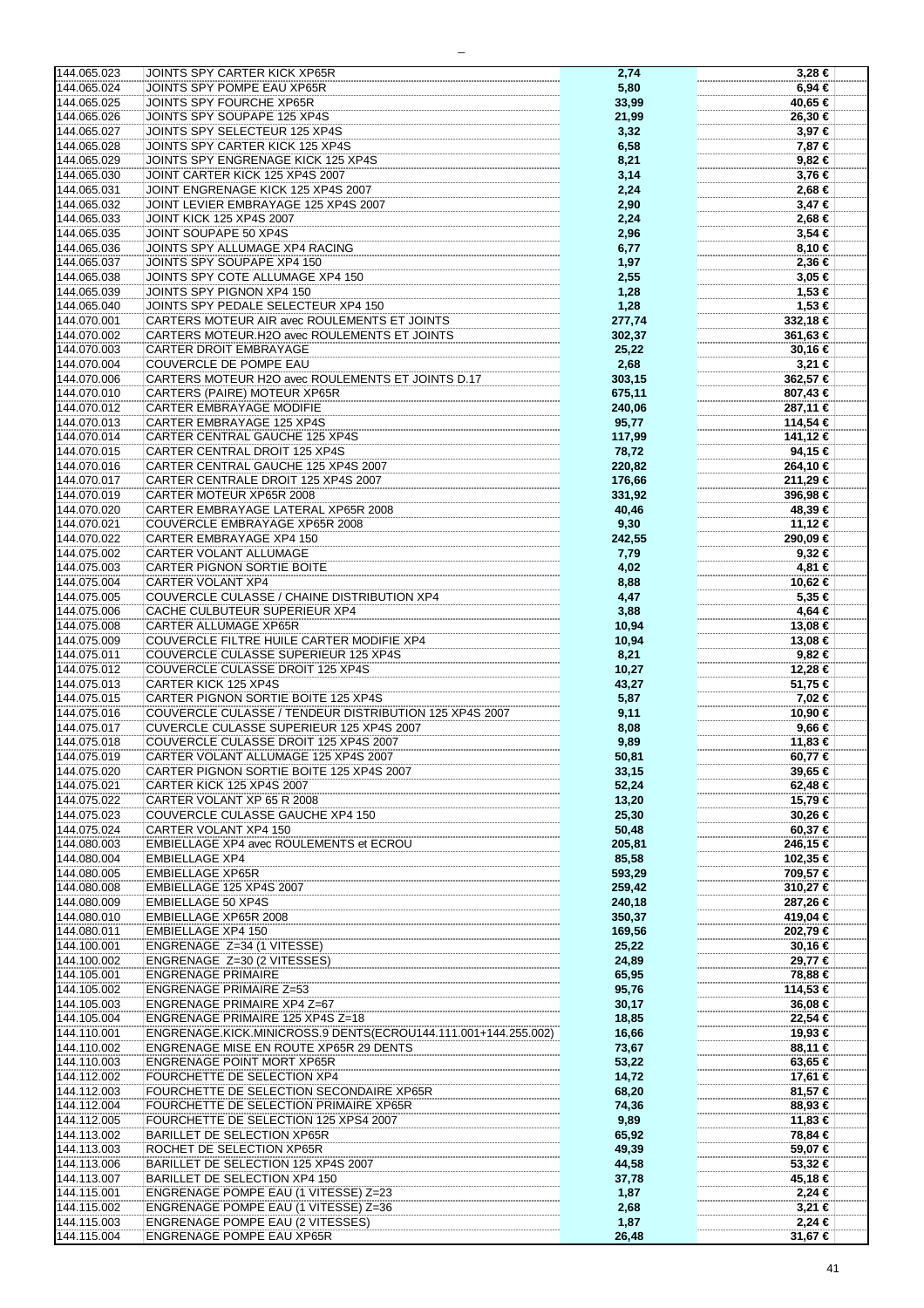| 144.065.023                | <b>JOINTS SPY CARTER KICK XP65R</b>                                               | 2,74             | $3,28 \in$                 |
|----------------------------|-----------------------------------------------------------------------------------|------------------|----------------------------|
| 144.065.024                | JOINTS SPY POMPE EAU XP65R                                                        | 5,80             | 6,94 €                     |
| 144.065.025                | JOINTS SPY FOURCHE XP65R                                                          | 33,99            | 40,65 €                    |
| 144.065.026                | JOINTS SPY SOUPAPE 125 XP4S                                                       | 21,99            | 26,30 €                    |
| 144.065.027                | JOINTS SPY SELECTEUR 125 XP4S                                                     | 3,32             | $3,97 \in$                 |
| 144.065.028                | JOINTS SPY CARTER KICK 125 XP4S                                                   | 6,58             | 7,87 €                     |
| 144.065.029                | JOINTS SPY ENGRENAGE KICK 125 XP4S                                                | 8,21             | 9,82 €                     |
| 144.065.030                | JOINT CARTER KICK 125 XP4S 2007                                                   | 3,14             | 3,76 €                     |
| 144.065.031                | JOINT ENGRENAGE KICK 125 XP4S 2007                                                | 2,24             | 2,68 €                     |
| 144.065.032                | JOINT LEVIER EMBRAYAGE 125 XP4S 2007                                              | 2,90             | $3,47 \in$                 |
| 144.065.033                | <b>JOINT KICK 125 XP4S 2007</b>                                                   | 2,24             | 2,68 €                     |
| 144.065.035                | JOINT SOUPAPE 50 XP4S                                                             | 2,96             | $3,54 \in$                 |
| 144.065.036                | JOINTS SPY ALLUMAGE XP4 RACING                                                    | 6,77             | 8,10 €                     |
| 144.065.037                | JOINTS SPY SOUPAPE XP4 150                                                        | 1,97             | 2,36 €                     |
| 144.065.038                | JOINTS SPY COTE ALLUMAGE XP4 150                                                  | 2,55             | $3,05 \in$                 |
| 144.065.039                | JOINTS SPY PIGNON XP4 150                                                         | 1,28             | 1,53 €                     |
| 144.065.040                | JOINTS SPY PEDALE SELECTEUR XP4 150                                               | 1,28             | 1,53 €                     |
| 144.070.001                | CARTERS MOTEUR AIR avec ROULEMENTS ET JOINTS                                      | 277,74           | 332,18 €                   |
| 144.070.002<br>144.070.003 | CARTERS MOTEUR.H2O avec ROULEMENTS ET JOINTS<br><b>CARTER DROIT EMBRAYAGE</b>     | 302,37           | 361,63 €                   |
| 144.070.004                | COUVERCLE DE POMPE EAU                                                            | 25,22<br>2,68    | 30,16 €<br>3,21 €          |
| 144.070.006                | CARTERS MOTEUR H2O avec ROULEMENTS ET JOINTS D.17                                 | 303,15           | 362,57 €                   |
| 144.070.010                | <b>CARTERS (PAIRE) MOTEUR XP65R</b>                                               | 675,11           | 807,43 €                   |
| 144.070.012                | CARTER EMBRAYAGE MODIFIE                                                          | 240,06           | 287,11 €                   |
| 144.070.013                | CARTER EMBRAYAGE 125 XP4S                                                         | 95,77            | 114,54 €                   |
| 144.070.014                | CARTER CENTRAL GAUCHE 125 XP4S                                                    | 117,99           | 141,12 €                   |
| 144.070.015                | CARTER CENTRAL DROIT 125 XP4S                                                     | 78,72            | 94,15 €                    |
| 144.070.016                | CARTER CENTRAL GAUCHE 125 XP4S 2007                                               | 220,82           | 264,10 €                   |
| 144.070.017                | CARTER CENTRALE DROIT 125 XP4S 2007                                               | 176,66           | 211,29 €                   |
| 144.070.019                | CARTER MOTEUR XP65R 2008                                                          | 331,92           | 396,98 €                   |
| 144.070.020                | CARTER EMBRAYAGE LATERAL XP65R 2008                                               | 40,46            | 48,39€                     |
| 144.070.021                | COUVERCLE EMBRAYAGE XP65R 2008                                                    | 9,30             | 11,12 €                    |
| 144.070.022                | CARTER EMBRAYAGE XP4 150                                                          | 242,55           | 290,09 €                   |
| 144.075.002                | CARTER VOLANT ALLUMAGE                                                            | 7,79             | $9,32 \in$                 |
| 144.075.003                | CARTER PIGNON SORTIE BOITE                                                        | 4,02             | 4,81 €                     |
| 144.075.004                | CARTER VOLANT XP4                                                                 | 8,88             | 10,62 €                    |
| 144.075.005                | COUVERCLE CULASSE / CHAINE DISTRIBUTION XP4                                       | 4,47             | 5,35 €                     |
| 144.075.006                | CACHE CULBUTEUR SUPERIEUR XP4                                                     | 3,88             | 4,64 €                     |
| 144.075.008                | <b>CARTER ALLUMAGE XP65R</b>                                                      | 10,94            | 13,08 €                    |
| 144.075.009<br>144.075.011 | COUVERCLE FILTRE HUILE CARTER MODIFIE XP4<br>COUVERCLE CULASSE SUPERIEUR 125 XP4S | 10,94            | 13,08 €<br>9,82 €          |
| 144.075.012                | COUVERCLE CULASSE DROIT 125 XP4S                                                  | 8,21<br>10,27    | 12,28 €                    |
| 144.075.013                | CARTER KICK 125 XP4S                                                              | 43,27            | 51,75 €                    |
| 144.075.015                | CARTER PIGNON SORTIE BOITE 125 XP4S                                               | 5,87             | 7,02 €                     |
| 144.075.016                | COUVERCLE CULASSE / TENDEUR DISTRIBUTION 125 XP4S 2007                            | 9,11             | 10,90 €                    |
| 144.075.017                | CUVERCLE CULASSE SUPERIEUR 125 XP4S 2007                                          | 8,08             | 9,66 €                     |
| 144.075.018                | COUVERCLE CULASSE DROIT 125 XP4S 2007                                             | 9,89             | 11,83 €                    |
| 144.075.019                | CARTER VOLANT ALLUMAGE 125 XP4S 2007                                              | 50,81            | 60,77 €                    |
| 144.075.020                | CARTER PIGNON SORTIE BOITE 125 XP4S 2007                                          | 33,15            | 39,65 €                    |
| 144.075.021                | CARTER KICK 125 XP4S 2007                                                         | 52,24            | 62,48 €                    |
| 144.075.022                | CARTER VOLANT XP 65 R 2008                                                        | 13,20            | 15,79 €                    |
| 144.075.023                | COUVERCLE CULASSE GAUCHE XP4 150                                                  | 25,30            | 30,26 €                    |
| 144.075.024                | CARTER VOLANT XP4 150                                                             | 50,48            | 60,37€                     |
| 144.080.003                | EMBIELLAGE XP4 avec ROULEMENTS et ECROU                                           | 205,81           | 246,15 €                   |
| 144.080.004                | <b>EMBIELLAGE XP4</b><br><b>EMBIELLAGE XP65R</b>                                  | 85,58            | 102,35 €                   |
| 144.080.005<br>144.080.008 | EMBIELLAGE 125 XP4S 2007                                                          | 593,29           | 709,57 €<br>$310,27$ $\in$ |
| 144.080.009                | <b>EMBIELLAGE 50 XP4S</b>                                                         | 259,42<br>240,18 | 287,26 €                   |
| 144.080.010                | EMBIELLAGE XP65R 2008                                                             | 350,37           | 419,04 €                   |
| 144.080.011                | <b>EMBIELLAGE XP4 150</b>                                                         | 169,56           | 202,79 €                   |
| 144.100.001                | ENGRENAGE Z=34 (1 VITESSE)                                                        | 25,22            | 30,16 €                    |
| 144.100.002                | ENGRENAGE Z=30 (2 VITESSES)                                                       | 24,89            | 29,77 €                    |
| 144.105.001                | <b>ENGRENAGE PRIMAIRE</b>                                                         | 65,95            | 78,88 €                    |
| 144.105.002                | <b>ENGRENAGE PRIMAIRE Z=53</b>                                                    | 95,76            | 114,53 €                   |
| 144.105.003                | <b>ENGRENAGE PRIMAIRE XP4 Z=67</b>                                                | 30,17            | 36,08 €                    |
| 144.105.004                | ENGRENAGE PRIMAIRE 125 XP4S Z=18                                                  | 18,85            | 22,54 €                    |
| 144.110.001                | ENGRENAGE.KICK.MINICROSS.9 DENTS(ECROU144.111.001+144.255.002)                    | 16,66            | 19,93 €                    |
| 144.110.002                | ENGRENAGE MISE EN ROUTE XP65R 29 DENTS                                            | 73,67            | 88,11 €                    |
| 144.110.003                | <b>ENGRENAGE POINT MORT XP65R</b>                                                 | 53,22            | 63,65 €                    |
| 144.112.002                | FOURCHETTE DE SELECTION XP4                                                       | 14,72            | 17,61 €                    |
| 144.112.003                | FOURCHETTE DE SELECTION SECONDAIRE XP65R                                          | 68,20            | 81,57 €                    |
| 144.112.004<br>144.112.005 | FOURCHETTE DE SELECTION PRIMAIRE XP65R                                            | 74,36            | 88,93 €                    |
| 144.113.002                | FOURCHETTE DE SELECTION 125 XPS4 2007<br><b>BARILLET DE SELECTION XP65R</b>       | 9,89<br>65,92    | 11,83 €<br>78,84 €         |
| 144.113.003                | ROCHET DE SELECTION XP65R                                                         | 49,39            | 59,07 €                    |
| 144.113.006                | BARILLET DE SELECTION 125 XP4S 2007                                               | 44,58            | 53,32 €                    |
| 144.113.007                | BARILLET DE SELECTION XP4 150                                                     | 37,78            | 45,18 €                    |
| 144.115.001                | ENGRENAGE POMPE EAU (1 VITESSE) Z=23                                              | 1,87             | 2,24€                      |
| 144.115.002                | <b>ENGRENAGE POMPE EAU (1 VITESSE) Z=36</b>                                       | 2,68             | $3,21 \in$                 |
| 144.115.003                | <b>ENGRENAGE POMPE EAU (2 VITESSES)</b>                                           | 1,87             | $2,24$ €                   |
| 144.115.004                | <b>ENGRENAGE POMPE EAU XP65R</b>                                                  | 26,48            | 31,67 €                    |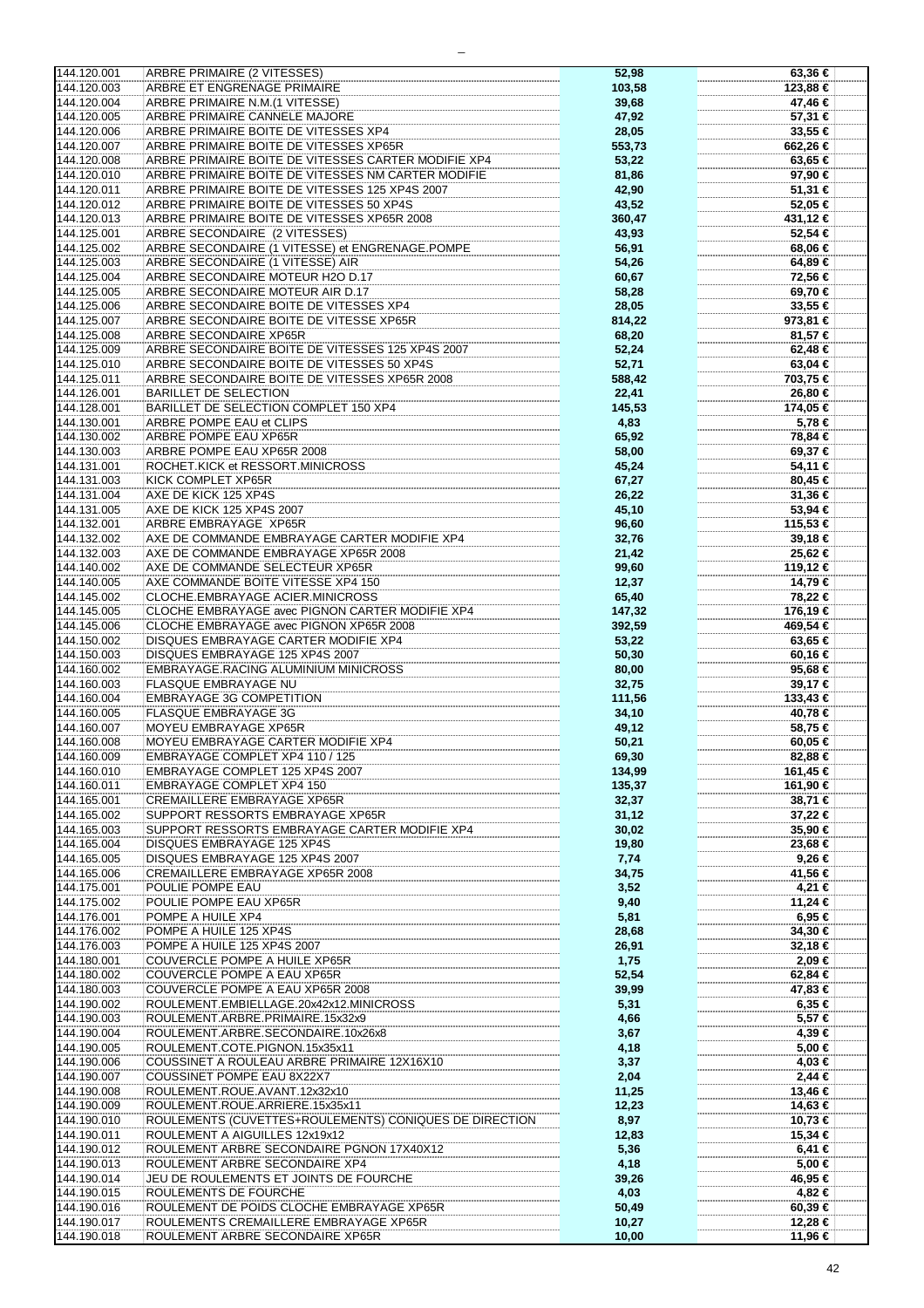| 144.120.001 | ARBRE PRIMAIRE (2 VITESSES)                            | 52,98  |              |
|-------------|--------------------------------------------------------|--------|--------------|
|             |                                                        |        | 63,36 €      |
| 144.120.003 | ARBRE ET ENGRENAGE PRIMAIRE                            | 103,58 | 123,88 €     |
|             |                                                        |        |              |
| 144.120.004 | ARBRE PRIMAIRE N.M.(1 VITESSE)                         | 39,68  | 47,46 €      |
| 144.120.005 | ARBRE PRIMAIRE CANNELE MAJORE                          | 47,92  | 57,31 €      |
|             |                                                        |        |              |
| 144.120.006 | ARBRE PRIMAIRE BOITE DE VITESSES XP4                   | 28,05  | 33,55 €      |
| 144.120.007 | ARBRE PRIMAIRE BOITE DE VITESSES XP65R                 | 553,73 | 662,26 €     |
|             |                                                        |        |              |
| 144.120.008 | ARBRE PRIMAIRE BOITE DE VITESSES CARTER MODIFIE XP4    | 53,22  | 63,65 €      |
| 144.120.010 | ARBRE PRIMAIRE BOITE DE VITESSES NM CARTER MODIFIE     | 81,86  | 97,90 €      |
|             |                                                        |        |              |
| 144.120.011 | ARBRE PRIMAIRE BOITE DE VITESSES 125 XP4S 2007         | 42,90  | 51,31 €      |
| 144.120.012 | ARBRE PRIMAIRE BOITE DE VITESSES 50 XP4S               | 43,52  | 52,05 €      |
|             |                                                        |        |              |
| 144.120.013 | ARBRE PRIMAIRE BOITE DE VITESSES XP65R 2008            | 360,47 | 431,12 €     |
|             |                                                        |        |              |
| 144.125.001 | ARBRE SECONDAIRE (2 VITESSES)                          | 43,93  | 52,54 €      |
| 144.125.002 | ARBRE SECONDAIRE (1 VITESSE) et ENGRENAGE.POMPE        | 56,91  | 68,06 €      |
|             |                                                        |        |              |
| 144.125.003 | ARBRE SECONDAIRE (1 VITESSE) AIR                       | 54,26  | 64,89 €      |
| 144.125.004 | ARBRE SECONDAIRE MOTEUR H2O D.17                       | 60,67  | 72,56 €      |
|             |                                                        |        |              |
| 144.125.005 | ARBRE SECONDAIRE MOTEUR AIR D.17                       | 58,28  | 69,70 €      |
| 144.125.006 | ARBRE SECONDAIRE BOITE DE VITESSES XP4                 |        | 33,55 €      |
|             |                                                        | 28,05  |              |
| 144.125.007 | ARBRE SECONDAIRE BOITE DE VITESSE XP65R                | 814,22 | $973,81 \in$ |
| 144.125.008 |                                                        |        |              |
|             | ARBRE SECONDAIRE XP65R                                 | 68,20  | 81,57 €      |
| 144.125.009 | ARBRE SECONDAIRE BOITE DE VITESSES 125 XP4S 2007       | 52,24  | 62,48€       |
|             |                                                        |        |              |
| 144.125.010 | ARBRE SECONDAIRE BOITE DE VITESSES 50 XP4S             | 52,71  | 63,04 €      |
| 144.125.011 | ARBRE SECONDAIRE BOITE DE VITESSES XP65R 2008          | 588,42 | 703,75 €     |
|             |                                                        |        |              |
| 144.126.001 | <b>BARILLET DE SELECTION</b>                           | 22,41  | 26,80 €      |
| 144.128.001 | BARILLET DE SELECTION COMPLET 150 XP4                  | 145,53 | 174,05 €     |
|             |                                                        |        |              |
| 144.130.001 | ARBRE POMPE EAU et CLIPS                               | 4,83   | 5,78 €       |
| 144.130.002 | ARBRE POMPE EAU XP65R                                  | 65,92  | 78,84 €      |
|             |                                                        |        |              |
| 144.130.003 | ARBRE POMPE EAU XP65R 2008                             | 58,00  | 69,37€       |
|             |                                                        |        |              |
| 144.131.001 | ROCHET.KICK et RESSORT.MINICROSS                       | 45,24  | 54,11 €      |
| 144.131.003 | KICK COMPLET XP65R                                     | 67,27  | 80,45 €      |
|             |                                                        |        |              |
| 144.131.004 | AXE DE KICK 125 XP4S                                   | 26,22  | 31,36 €      |
| 144.131.005 | AXE DE KICK 125 XP4S 2007                              | 45,10  | 53,94 €      |
|             |                                                        |        |              |
| 144.132.001 | ARBRE EMBRAYAGE XP65R                                  | 96,60  | 115,53 €     |
| 144.132.002 | AXE DE COMMANDE EMBRAYAGE CARTER MODIFIE XP4           | 32,76  | 39,18 €      |
|             |                                                        |        |              |
| 144.132.003 | AXE DE COMMANDE EMBRAYAGE XP65R 2008                   | 21,42  | 25,62 €      |
|             |                                                        |        |              |
| 144.140.002 | AXE DE COMMANDE SELECTEUR XP65R                        | 99,60  | 119,12 €     |
| 144.140.005 | AXE COMMANDE BOITE VITESSE XP4 150                     | 12,37  | 14,79 €      |
|             |                                                        |        |              |
| 144.145.002 | CLOCHE.EMBRAYAGE ACIER.MINICROSS                       | 65,40  | 78,22 €      |
| 144.145.005 | CLOCHE EMBRAYAGE avec PIGNON CARTER MODIFIE XP4        | 147,32 | 176,19 €     |
|             |                                                        |        |              |
| 144.145.006 | CLOCHE EMBRAYAGE avec PIGNON XP65R 2008                | 392,59 | 469,54 €     |
| 144.150.002 | DISQUES EMBRAYAGE CARTER MODIFIE XP4                   |        | 63,65 €      |
|             |                                                        | 53,22  |              |
| 144.150.003 | DISQUES EMBRAYAGE 125 XP4S 2007                        | 50,30  | 60,16 €      |
|             | EMBRAYAGE.RACING ALUMINIUM MINICROSS                   |        |              |
| 144.160.002 |                                                        | 80,00  | 95,68 €      |
| 144.160.003 | <b>FLASQUE EMBRAYAGE NU</b>                            | 32,75  | 39,17 €      |
|             |                                                        |        |              |
| 144.160.004 | <b>EMBRAYAGE 3G COMPETITION</b>                        | 111,56 | 133,43 €     |
| 144.160.005 | <b>FLASQUE EMBRAYAGE 3G</b>                            | 34,10  | 40,78 €      |
|             |                                                        |        |              |
| 144.160.007 | MOYEU EMBRAYAGE XP65R                                  | 49,12  | 58,75 €      |
| 144.160.008 | MOYEU EMBRAYAGE CARTER MODIFIE XP4                     | 50,21  | 60,05 €      |
|             |                                                        |        |              |
| 144.160.009 | EMBRAYAGE COMPLET XP4 110 / 125                        | 69,30  | 82,88 €      |
| 144.160.010 | EMBRAYAGE COMPLET 125 XP4S 2007                        |        |              |
|             |                                                        | 134,99 | 161,45 €     |
| 144.160.011 | EMBRAYAGE COMPLET XP4 150                              | 135,37 | 161,90 €     |
|             |                                                        |        |              |
| 144.165.001 | <b>CREMAILLERE EMBRAYAGE XP65R</b>                     | 32,37  | 38,71 €      |
| 144.165.002 | SUPPORT RESSORTS EMBRAYAGE XP65R                       | 31,12  | 37,22 €      |
|             |                                                        |        |              |
| 144.165.003 | SUPPORT RESSORTS EMBRAYAGE CARTER MODIFIE XP4          | 30,02  | 35,90 €      |
| 144.165.004 | <b>DISQUES EMBRAYAGE 125 XP4S</b>                      | 19,80  | 23,68 €      |
|             |                                                        |        |              |
| 144.165.005 | DISQUES EMBRAYAGE 125 XP4S 2007                        | 7,74   | 9,26 €       |
| 144.165.006 | <b>CREMAILLERE EMBRAYAGE XP65R 2008</b>                | 34,75  | 41,56 €      |
|             |                                                        |        |              |
| 144.175.001 | POULIE POMPE EAU                                       | 3,52   | 4,21 €       |
| 144.175.002 | POULIE POMPE EAU XP65R                                 | 9,40   | 11,24 €      |
|             |                                                        |        |              |
| 144.176.001 | POMPE A HUILE XP4                                      | 5,81   | $6,95 \in$   |
| 144.176.002 | POMPE A HUILE 125 XP4S                                 | 28,68  | 34,30 €      |
|             |                                                        |        |              |
| 144.176.003 | POMPE A HUILE 125 XP4S 2007                            | 26,91  | 32,18 €      |
|             |                                                        |        |              |
| 144.180.001 | COUVERCLE POMPE A HUILE XP65R                          | 1,75   | 2,09 €       |
| 144.180.002 | COUVERCLE POMPE A EAU XP65R                            | 52,54  | 62,84 €      |
|             |                                                        |        |              |
| 144.180.003 | COUVERCLE POMPE A EAU XP65R 2008                       | 39,99  | 47,83 €      |
| 144.190.002 | ROULEMENT.EMBIELLAGE.20x42x12.MINICROSS                | 5,31   | $6,35 \in$   |
|             |                                                        |        |              |
| 144.190.003 | ROULEMENT.ARBRE.PRIMAIRE.15x32x9                       | 4,66   | 5,57 €       |
| 144.190.004 | ROULEMENT.ARBRE.SECONDAIRE.10x26x8                     | 3,67   | 4,39 €       |
|             |                                                        |        |              |
| 144.190.005 | ROULEMENT.COTE.PIGNON.15x35x11                         | 4,18   | 5,00 €       |
| 144.190.006 | COUSSINET A ROULEAU ARBRE PRIMAIRE 12X16X10            |        | 4,03 €       |
|             |                                                        | 3,37   |              |
| 144.190.007 | <b>COUSSINET POMPE EAU 8X22X7</b>                      | 2,04   | $2,44$ €     |
|             |                                                        |        |              |
| 144.190.008 | ROULEMENT.ROUE.AVANT.12x32x10                          | 11,25  | 13,46 €      |
| 144.190.009 | ROULEMENT.ROUE.ARRIERE.15x35x11                        | 12,23  | 14,63 €      |
|             |                                                        |        |              |
| 144.190.010 | ROULEMENTS (CUVETTES+ROULEMENTS) CONIQUES DE DIRECTION | 8,97   | 10,73 €      |
| 144.190.011 | ROULEMENT A AIGUILLES 12x19x12                         | 12,83  | 15,34 €      |
|             |                                                        |        |              |
| 144.190.012 | ROULEMENT ARBRE SECONDAIRE PGNON 17X40X12              | 5,36   | $6,41 \in$   |
|             |                                                        |        |              |
| 144.190.013 | ROULEMENT ARBRE SECONDAIRE XP4                         | 4,18   | 5,00 €       |
| 144.190.014 | JEU DE ROULEMENTS ET JOINTS DE FOURCHE                 | 39,26  | 46,95 €      |
|             |                                                        |        |              |
| 144.190.015 | ROULEMENTS DE FOURCHE                                  | 4,03   | 4,82 €       |
| 144.190.016 | ROULEMENT DE POIDS CLOCHE EMBRAYAGE XP65R              |        |              |
|             |                                                        | 50,49  | 60,39 €      |
| 144.190.017 | ROULEMENTS CREMAILLERE EMBRAYAGE XP65R                 | 10,27  | 12,28 €      |
|             |                                                        |        |              |
| 144.190.018 | ROULEMENT ARBRE SECONDAIRE XP65R                       | 10,00  | 11,96 €      |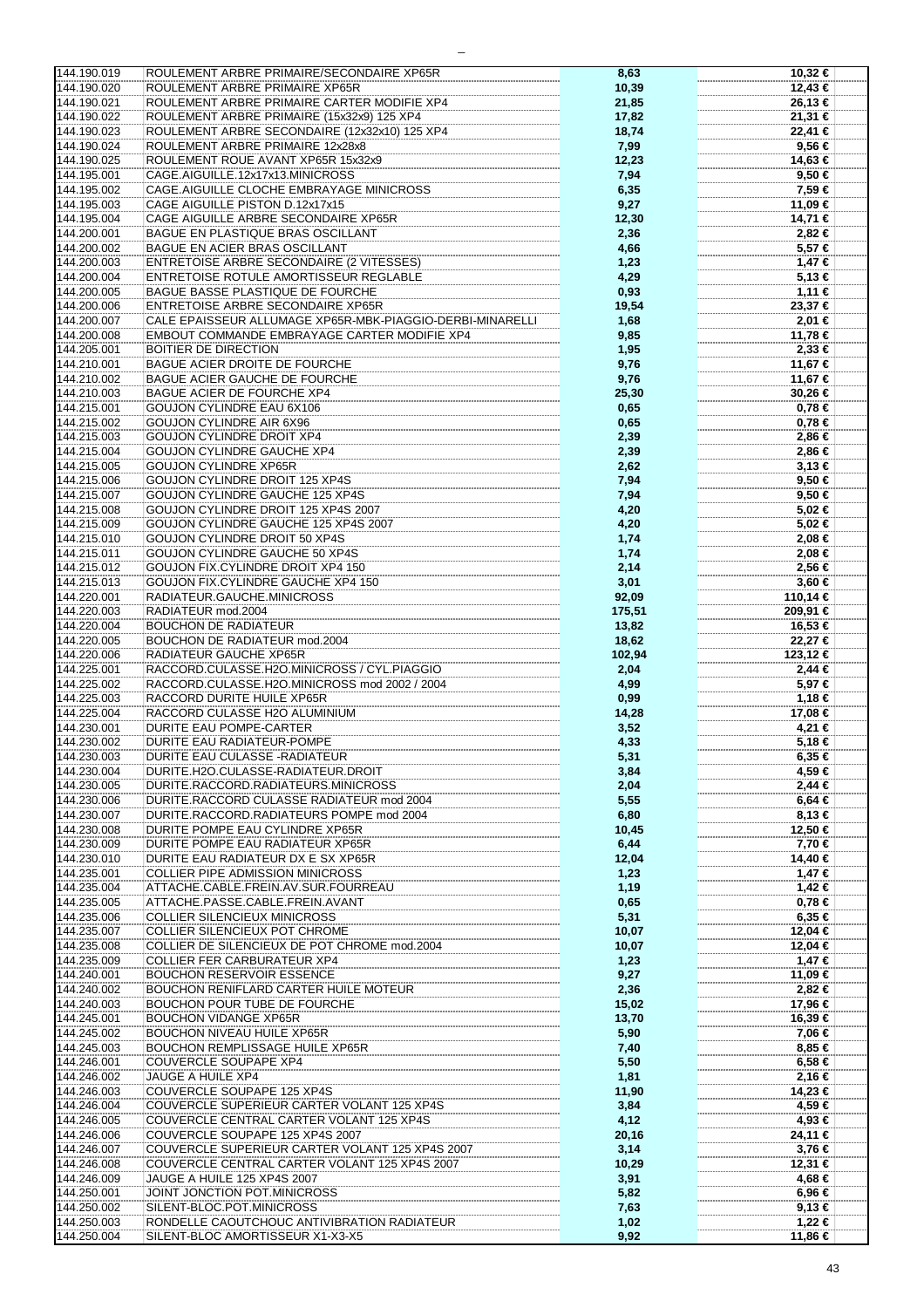| 144.190.019                | ROULEMENT ARBRE PRIMAIRE/SECONDAIRE XP65R                                       | 8,63         | 10,32 €           |
|----------------------------|---------------------------------------------------------------------------------|--------------|-------------------|
| 144.190.020                | ROULEMENT ARBRE PRIMAIRE XP65R                                                  | 10,39        | 12,43 €           |
|                            |                                                                                 |              |                   |
| 144.190.021                | ROULEMENT ARBRE PRIMAIRE CARTER MODIFIE XP4                                     | 21,85        | 26,13 €           |
| 144.190.022                | ROULEMENT ARBRE PRIMAIRE (15x32x9) 125 XP4                                      | 17,82        | 21,31 €           |
|                            |                                                                                 |              |                   |
| 144.190.023                | ROULEMENT ARBRE SECONDAIRE (12x32x10) 125 XP4                                   | 18,74        | 22,41 €           |
| 144.190.024                | ROULEMENT ARBRE PRIMAIRE 12x28x8                                                |              | 9,56 €            |
|                            |                                                                                 | 7,99         |                   |
| 144.190.025                | ROULEMENT ROUE AVANT XP65R 15x32x9                                              | 12,23        | 14,63 €           |
|                            |                                                                                 |              |                   |
| 144.195.001                | CAGE.AIGUILLE.12x17x13.MINICROSS                                                | 7,94         | 9,50 €            |
| 144.195.002                | CAGE.AIGUILLE CLOCHE EMBRAYAGE MINICROSS                                        | 6,35         | 7,59 €            |
|                            |                                                                                 |              |                   |
| 144.195.003                | CAGE AIGUILLE PISTON D.12x17x15                                                 | 9,27         | 11,09 €           |
| 144.195.004                | CAGE AIGUILLE ARBRE SECONDAIRE XP65R                                            |              |                   |
|                            |                                                                                 | 12,30        | 14,71 €           |
| 144.200.001                | BAGUE EN PLASTIQUE BRAS OSCILLANT                                               | 2,36         | 2,82 €            |
|                            |                                                                                 |              |                   |
| 144.200.002                | BAGUE EN ACIER BRAS OSCILLANT                                                   | 4,66         | 5,57 €            |
| 144.200.003                | <b>ENTRETOISE ARBRE SECONDAIRE (2 VITESSES)</b>                                 | 1,23         | $1,47$ €          |
|                            |                                                                                 |              |                   |
| 144.200.004                | ENTRETOISE ROTULE AMORTISSEUR REGLABLE                                          | 4,29         | 5,13€             |
|                            |                                                                                 |              |                   |
| 144.200.005                | <b>BAGUE BASSE PLASTIQUE DE FOURCHE</b>                                         | 0,93         | 1,11 €            |
| 144.200.006                | <b>ENTRETOISE ARBRE SECONDAIRE XP65R</b>                                        | 19,54        | 23,37 €           |
|                            |                                                                                 |              |                   |
| 144.200.007                | CALE EPAISSEUR ALLUMAGE XP65R-MBK-PIAGGIO-DERBI-MINARELLI                       | 1,68         | 2,01 €            |
| 144.200.008                | EMBOUT COMMANDE EMBRAYAGE CARTER MODIFIE XP4                                    | 9,85         | 11,78 €           |
|                            |                                                                                 |              |                   |
| 144.205.001                | <b>BOITIER DE DIRECTION</b>                                                     | 1,95         | $2,33$ €          |
|                            |                                                                                 |              |                   |
| 144.210.001                | <b>BAGUE ACIER DROITE DE FOURCHE</b>                                            | 9,76         | 11,67 €           |
| 144.210.002                | <b>BAGUE ACIER GAUCHE DE FOURCHE</b>                                            | 9,76         | 11,67 €           |
|                            |                                                                                 |              |                   |
| 144.210.003                | BAGUE ACIER DE FOURCHE XP4                                                      | 25,30        | 30,26 €           |
| 144.215.001                | GOUJON CYLINDRE EAU 6X106                                                       | 0,65         | $0,78 \in$        |
|                            |                                                                                 |              |                   |
| 144.215.002                | GOUJON CYLINDRE AIR 6X96                                                        | 0,65         | 0,78€             |
| 144.215.003                | <b>GOUJON CYLINDRE DROIT XP4</b>                                                | 2,39         | 2,86 €            |
|                            |                                                                                 |              |                   |
| 144.215.004                | GOUJON CYLINDRE GAUCHE XP4                                                      | 2,39         | 2,86 €            |
|                            |                                                                                 |              |                   |
| 144.215.005                | <b>GOUJON CYLINDRE XP65R</b>                                                    | 2,62         | $3,13 \in$        |
| 144.215.006                | <b>GOUJON CYLINDRE DROIT 125 XP4S</b>                                           | 7,94         | 9,50 €            |
|                            |                                                                                 |              |                   |
| 144.215.007                | GOUJON CYLINDRE GAUCHE 125 XP4S                                                 | 7,94         | 9,50 €            |
| 144.215.008                | GOUJON CYLINDRE DROIT 125 XP4S 2007                                             | 4,20         | 5,02 €            |
|                            |                                                                                 |              |                   |
| 144.215.009                | GOUJON CYLINDRE GAUCHE 125 XP4S 2007                                            | 4,20         | 5,02 €            |
| 144.215.010                | GOUJON CYLINDRE DROIT 50 XP4S                                                   | 1,74         | 2,08 €            |
|                            |                                                                                 |              |                   |
| 144.215.011                | GOUJON CYLINDRE GAUCHE 50 XP4S                                                  | 1,74         | 2,08 €            |
|                            |                                                                                 |              |                   |
| 144.215.012                | GOUJON FIX.CYLINDRE DROIT XP4 150                                               | 2,14         | 2,56 €            |
| 144.215.013                | GOUJON FIX.CYLINDRE GAUCHE XP4 150                                              | 3,01         | $3,60 \in$        |
|                            |                                                                                 |              |                   |
| 144.220.001                | RADIATEUR.GAUCHE.MINICROSS                                                      | 92,09        | 110,14 €          |
| 144.220.003                | RADIATEUR mod.2004                                                              | 175,51       | 209,91 €          |
|                            |                                                                                 |              |                   |
| 144.220.004                | <b>BOUCHON DE RADIATEUR</b>                                                     | 13,82        | 16,53 €           |
| 144.220.005                | BOUCHON DE RADIATEUR mod.2004                                                   | 18,62        | 22,27€            |
|                            |                                                                                 |              |                   |
| 144.220.006                | RADIATEUR GAUCHE XP65R                                                          | 102,94       | 123,12 €          |
| 144.225.001                | RACCORD.CULASSE.H2O.MINICROSS / CYL.PIAGGIO                                     | 2,04         | 2,44 €            |
|                            |                                                                                 |              |                   |
| 144.225.002                | RACCORD.CULASSE.H2O.MINICROSS mod 2002 / 2004                                   | 4,99         | 5,97 €            |
| 144.225.003                | RACCORD DURITE HUILE XP65R                                                      |              |                   |
|                            |                                                                                 | 0,99         | 1,18 €            |
| 144.225.004                | RACCORD CULASSE H2O ALUMINIUM                                                   | 14,28        | 17,08 €           |
|                            |                                                                                 |              |                   |
| 144.230.001                | DURITE EAU POMPE-CARTER                                                         | 3,52         | 4,21 €            |
| 144.230.002                | DURITE EAU RADIATEUR-POMPE                                                      | 4,33         | 5,18 €            |
|                            |                                                                                 |              |                   |
| 144.230.003                | DURITE EAU CULASSE - RADIATEUR                                                  | 5,31         | $6,35 \in$        |
| 144.230.004                | DURITE.H2O.CULASSE-RADIATEUR.DROIT                                              | 3,84         | 4,59 €            |
|                            |                                                                                 |              |                   |
| 144.230.005                | DURITE.RACCORD.RADIATEURS.MINICROSS                                             | 2,04         | 2,44 €            |
| 144.230.006                | DURITE.RACCORD CULASSE RADIATEUR mod 2004                                       | 5,55         | $6,64 \in$        |
|                            |                                                                                 |              |                   |
| 144.230.007                | DURITE.RACCORD.RADIATEURS POMPE mod 2004                                        | 6,80         | $8,13 \in$        |
| 144.230.008                | DURITE POMPE EAU CYLINDRE XP65R                                                 |              |                   |
|                            |                                                                                 | 10,45        | 12,50 €           |
| 144.230.009                | DURITE POMPE EAU RADIATEUR XP65R                                                | 6,44         | 7,70 €            |
|                            |                                                                                 |              |                   |
| 144.230.010                | DURITE EAU RADIATEUR DX E SX XP65R                                              | 12,04        | 14,40 €           |
| 144.235.001                | <b>COLLIER PIPE ADMISSION MINICROSS</b>                                         | 1,23         | $1,47$ €          |
|                            |                                                                                 |              |                   |
| 144.235.004                | ATTACHE.CABLE.FREIN.AV.SUR.FOURREAU                                             | 1,19         | 1,42 €            |
| 144.235.005                | ATTACHE.PASSE.CABLE.FREIN.AVANT                                                 | 0,65         | $0,78 \in$        |
|                            |                                                                                 |              |                   |
| 144.235.006                | <b>COLLIER SILENCIEUX MINICROSS</b>                                             | 5,31         | $6,35 \in$        |
| 144.235.007                | <b>COLLIER SILENCIEUX POT CHROME</b>                                            | 10,07        | 12,04 €           |
|                            |                                                                                 |              |                   |
| 144.235.008                | COLLIER DE SILENCIEUX DE POT CHROME mod.2004                                    | 10,07        | 12,04 €           |
| 144.235.009                | COLLIER FER CARBURATEUR XP4                                                     | 1,23         | 1,47 €            |
|                            |                                                                                 |              |                   |
| 144.240.001                | <b>BOUCHON RESERVOIR ESSENCE</b>                                                | 9,27         | 11,09 €           |
|                            |                                                                                 |              |                   |
| 144.240.002                | <b>BOUCHON RENIFLARD CARTER HUILE MOTEUR</b>                                    | 2,36         | 2,82 €            |
| 144.240.003                | BOUCHON POUR TUBE DE FOURCHE                                                    | 15,02        | 17,96 €           |
|                            |                                                                                 |              |                   |
| 144.245.001                | <b>BOUCHON VIDANGE XP65R</b>                                                    | 13,70        | 16,39 €           |
| 144.245.002                | <b>BOUCHON NIVEAU HUILE XP65R</b>                                               | 5,90         | 7,06 €            |
|                            |                                                                                 |              |                   |
| 144.245.003                | <b>BOUCHON REMPLISSAGE HUILE XP65R</b>                                          | 7,40         | 8,85 €            |
| 144.246.001                | COUVERCLE SOUPAPE XP4                                                           | 5,50         | $6,58 \in$        |
|                            |                                                                                 |              |                   |
| 144.246.002                | JAUGE A HUILE XP4                                                               | 1,81         | 2,16 €            |
| 144.246.003                | COUVERCLE SOUPAPE 125 XP4S                                                      | 11,90        | 14,23 €           |
|                            |                                                                                 |              |                   |
| 144.246.004                | COUVERCLE SUPERIEUR CARTER VOLANT 125 XP4S                                      | 3,84         | 4,59 €            |
|                            |                                                                                 |              |                   |
| 144.246.005                | COUVERCLE CENTRAL CARTER VOLANT 125 XP4S                                        | 4,12         | 4,93 €            |
|                            |                                                                                 |              |                   |
|                            |                                                                                 |              |                   |
| 144.246.006                | COUVERCLE SOUPAPE 125 XP4S 2007                                                 | 20,16        | 24,11 €           |
| 144.246.007                | COUVERCLE SUPERIEUR CARTER VOLANT 125 XP4S 2007                                 | 3,14         | 3,76 €            |
|                            |                                                                                 |              |                   |
| 144.246.008                | COUVERCLE CENTRAL CARTER VOLANT 125 XP4S 2007                                   | 10,29        | 12,31 €           |
| 144.246.009                | JAUGE A HUILE 125 XP4S 2007                                                     | 3,91         | 4,68 €            |
|                            |                                                                                 |              |                   |
| 144.250.001                | JOINT JONCTION POT.MINICROSS                                                    | 5,82         | 6,96 €            |
| 144.250.002                | SILENT-BLOC.POT.MINICROSS                                                       |              | 9,13€             |
|                            |                                                                                 | 7,63         |                   |
| 144.250.003<br>144.250.004 | RONDELLE CAOUTCHOUC ANTIVIBRATION RADIATEUR<br>SILENT-BLOC AMORTISSEUR X1-X3-X5 | 1,02<br>9,92 | 1,22 €<br>11,86 € |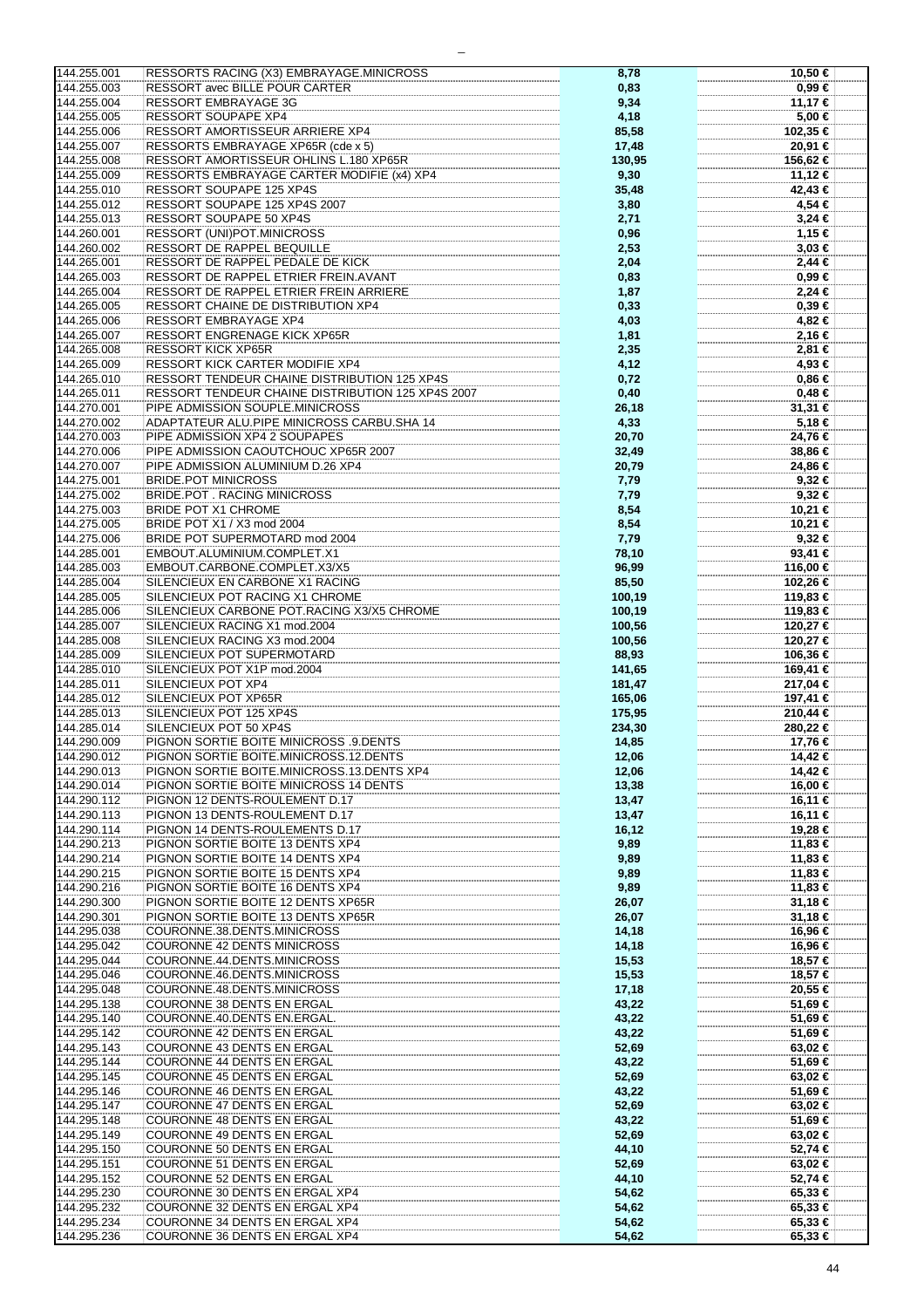| 144.255.001                | RESSORTS RACING (X3) EMBRAYAGE.MINICROSS                         | 8,78           | 10,50 €                |
|----------------------------|------------------------------------------------------------------|----------------|------------------------|
| 144.255.003                | RESSORT avec BILLE POUR CARTER                                   | 0,83           | $0,99 \in$             |
|                            |                                                                  |                |                        |
| 144.255.004                | <b>RESSORT EMBRAYAGE 3G</b>                                      | 9,34           | 11,17 €                |
| 144.255.005                | <b>RESSORT SOUPAPE XP4</b>                                       | 4,18           | 5,00 €                 |
| 144.255.006                | RESSORT AMORTISSEUR ARRIERE XP4                                  | 85,58          | 102,35 €               |
|                            |                                                                  |                |                        |
| 144.255.007                | RESSORTS EMBRAYAGE XP65R (cde x 5)                               | 17,48          | 20,91 €                |
| 144.255.008                | RESSORT AMORTISSEUR OHLINS L.180 XP65R                           | 130,95         | 156,62 €               |
| 144.255.009                | RESSORTS EMBRAYAGE CARTER MODIFIE (x4) XP4                       | 9,30           | 11,12 €                |
| 144.255.010                | RESSORT SOUPAPE 125 XP4S                                         | 35,48          | 42,43 €                |
|                            |                                                                  |                |                        |
| 144.255.012                | RESSORT SOUPAPE 125 XP4S 2007                                    | 3,80           | 4,54 €                 |
| 144.255.013                | RESSORT SOUPAPE 50 XP4S                                          | 2,71           | $3,24 \in$             |
| 144.260.001                | <b>RESSORT (UNI)POT.MINICROSS</b>                                | 0,96           | 1,15 €                 |
|                            |                                                                  |                |                        |
| 144.260.002                | RESSORT DE RAPPEL BEQUILLE                                       | 2,53           | $3,03 \in$             |
| 144.265.001                | RESSORT DE RAPPEL PEDALE DE KICK                                 | 2,04           | $2,44$ €               |
| 144.265.003                | RESSORT DE RAPPEL ETRIER FREIN.AVANT                             | 0,83           | $0.99 \in$             |
| 144.265.004                | RESSORT DE RAPPEL ETRIER FREIN ARRIERE                           | 1,87           | 2,24 €                 |
|                            |                                                                  |                |                        |
| 144.265.005                | RESSORT CHAINE DE DISTRIBUTION XP4                               | 0,33           | 0,39€                  |
| 144.265.006                | <b>RESSORT EMBRAYAGE XP4</b>                                     | 4,03           | 4,82 €                 |
| 144.265.007                | RESSORT ENGRENAGE KICK XP65R                                     | 1,81           | 2,16 €                 |
| 144.265.008                | <b>RESSORT KICK XP65R</b>                                        | 2,35           | 2,81 €                 |
|                            |                                                                  |                |                        |
| 144.265.009                | RESSORT KICK CARTER MODIFIE XP4                                  | 4,12           | 4,93 €                 |
| 144.265.010                | RESSORT TENDEUR CHAINE DISTRIBUTION 125 XP4S                     | 0,72           | 0,86€                  |
| 144.265.011                | RESSORT TENDEUR CHAINE DISTRIBUTION 125 XP4S 2007                | 0,40           | 0,48€                  |
| 144.270.001                | PIPE ADMISSION SOUPLE.MINICROSS                                  | 26,18          | 31,31 €                |
|                            |                                                                  |                |                        |
| 144.270.002                | ADAPTATEUR ALU.PIPE MINICROSS CARBU.SHA 14                       | 4,33           | 5,18 €                 |
| 144.270.003                | PIPE ADMISSION XP4 2 SOUPAPES                                    | 20,70          | 24,76 €                |
| 144.270.006                | PIPE ADMISSION CAOUTCHOUC XP65R 2007                             | 32,49          | 38,86 €                |
|                            | PIPE ADMISSION ALUMINIUM D.26 XP4                                |                |                        |
| 144.270.007                |                                                                  | 20,79          | 24,86 €                |
| 144.275.001                | <b>BRIDE.POT MINICROSS</b>                                       | 7,79           | $9,32$ €               |
| 144.275.002                | <b>BRIDE.POT. RACING MINICROSS</b>                               | 7,79           | $9,32$ €               |
| 144.275.003                | <b>BRIDE POT X1 CHROME</b>                                       | 8,54           | 10,21 €                |
| 144.275.005                | BRIDE POT X1 / X3 mod 2004                                       |                |                        |
|                            |                                                                  | 8,54           | 10,21 €                |
| 144.275.006                | BRIDE POT SUPERMOTARD mod 2004                                   | 7,79           | $9,32$ €               |
| 144.285.001                | EMBOUT.ALUMINIUM.COMPLET.X1                                      | 78,10          | 93,41 $\epsilon$       |
| 144.285.003                | EMBOUT.CARBONE.COMPLET.X3/X5                                     | 96,99          | 116,00 €               |
| 144.285.004                | SILENCIEUX EN CARBONE X1 RACING                                  | 85,50          | 102,26 €               |
|                            |                                                                  |                |                        |
| 144.285.005                | SILENCIEUX POT RACING X1 CHROME                                  | 100,19         | 119,83 €               |
| 144.285.006                | SILENCIEUX CARBONE POT.RACING X3/X5 CHROME                       | 100,19         | 119,83 €               |
| 144.285.007                | SILENCIEUX RACING X1 mod.2004                                    | 100,56         | 120,27 €               |
| 144.285.008                | SILENCIEUX RACING X3 mod.2004                                    | 100,56         | 120,27 €               |
|                            |                                                                  |                |                        |
| 144.285.009                | SILENCIEUX POT SUPERMOTARD                                       | 88,93          | 106,36 €               |
| 144.285.010                | SILENCIEUX POT X1P mod.2004                                      | 141,65         | 169,41 €               |
| 144.285.011                | SILENCIEUX POT XP4                                               | 181,47         | 217,04 €               |
| 144.285.012                | SILENCIEUX POT XP65R                                             | 165,06         | 197,41 €               |
| 144.285.013                | SILENCIEUX POT 125 XP4S                                          |                |                        |
|                            |                                                                  | 175,95         | 210,44 €               |
| 144.285.014                | SILENCIEUX POT 50 XP4S                                           | 234,30         | 280,22 €               |
| 144.290.009                | PIGNON SORTIE BOITE MINICROSS .9.DENTS                           | 14,85          | 17,76 €                |
| 144.290.012                | PIGNON SORTIE BOITE.MINICROSS.12.DENTS                           | 12,06          | 14,42 €                |
| 144.290.013                | PIGNON SORTIE BOITE.MINICROSS.13.DENTS XP4                       | 12,06          | 14,42 €                |
|                            |                                                                  |                |                        |
| 144.290.014                | PIGNON SORTIE BOITE MINICROSS 14 DENTS                           | 13,38          | 16,00 €                |
| 144.290.112                | PIGNON 12 DENTS-ROULEMENT D.17                                   | 13,47          | 16,11 €                |
| 144.290.113                | PIGNON 13 DENTS-ROULEMENT D.17                                   | 13,47          | 16,11 €                |
| 144.290.114                | PIGNON 14 DENTS-ROULEMENTS D.17                                  | 16,12          | 19,28 €                |
| 144.290.213                | PIGNON SORTIE BOITE 13 DENTS XP4                                 |                | 11,83 €                |
|                            |                                                                  | 9,89           |                        |
| 144.290.214                | PIGNON SORTIE BOITE 14 DENTS XP4                                 |                |                        |
| 144.290.215                |                                                                  | 9,89           | 11,83 €                |
|                            | PIGNON SORTIE BOITE 15 DENTS XP4                                 | 9,89           | 11,83 €                |
|                            |                                                                  |                |                        |
| 144.290.216                | PIGNON SORTIE BOITE 16 DENTS XP4                                 | 9,89           | 11,83 €                |
| 144.290.300                | PIGNON SORTIE BOITE 12 DENTS XP65R                               | 26,07          | 31,18 €                |
| 144.290.301                | PIGNON SORTIE BOITE 13 DENTS XP65R                               | 26,07          | 31,18 €                |
| 144.295.038                | COURONNE.38.DENTS.MINICROSS                                      | 14,18          | 16,96 €                |
| 144.295.042                | COURONNE 42 DENTS MINICROSS                                      |                | 16,96 €                |
|                            |                                                                  | 14,18          |                        |
| 144.295.044                | COURONNE.44.DENTS.MINICROSS                                      | 15,53          | 18,57 €                |
| 144.295.046                | COURONNE.46.DENTS.MINICROSS                                      | 15,53          | 18,57 €                |
| 144.295.048                | COURONNE.48.DENTS.MINICROSS                                      | 17,18          | 20,55 €                |
| 144.295.138                | COURONNE 38 DENTS EN ERGAL                                       | 43,22          | 51,69 €                |
|                            |                                                                  |                |                        |
| 144.295.140                | COURONNE.40.DENTS EN.ERGAL.                                      | 43,22          | 51,69 €                |
| 144.295.142                | COURONNE 42 DENTS EN ERGAL                                       | 43,22          | 51,69 €                |
| 144.295.143                | COURONNE 43 DENTS EN ERGAL                                       | 52,69          | $63,02 \in$            |
| 144.295.144                | COURONNE 44 DENTS EN ERGAL                                       | 43,22          | 51,69 €                |
| 144.295.145                | COURONNE 45 DENTS EN ERGAL                                       |                |                        |
|                            |                                                                  | 52,69          | 63,02 €                |
| 144.295.146                | COURONNE 46 DENTS EN ERGAL                                       | 43,22          | 51,69 €                |
| 144.295.147                | COURONNE 47 DENTS EN ERGAL                                       | 52,69          | 63,02 €                |
| 144.295.148                | COURONNE 48 DENTS EN ERGAL                                       | 43,22          | 51,69 €                |
| 144.295.149                | COURONNE 49 DENTS EN ERGAL                                       | 52,69          | $63,02 \in$            |
|                            |                                                                  |                |                        |
| 144.295.150                | COURONNE 50 DENTS EN ERGAL                                       | 44,10          | 52,74 €                |
| 144.295.151                | COURONNE 51 DENTS EN ERGAL                                       | 52,69          | 63,02 €                |
| 144.295.152                | COURONNE 52 DENTS EN ERGAL                                       | 44,10          | 52,74 €                |
| 144.295.230                | COURONNE 30 DENTS EN ERGAL XP4                                   | 54,62          | $65,33 \in$            |
|                            |                                                                  |                |                        |
| 144.295.232                | COURONNE 32 DENTS EN ERGAL XP4                                   | 54,62          | 65,33 €                |
| 144.295.234<br>144.295.236 | COURONNE 34 DENTS EN ERGAL XP4<br>COURONNE 36 DENTS EN ERGAL XP4 | 54,62<br>54,62 | 65,33 €<br>$65,33 \in$ |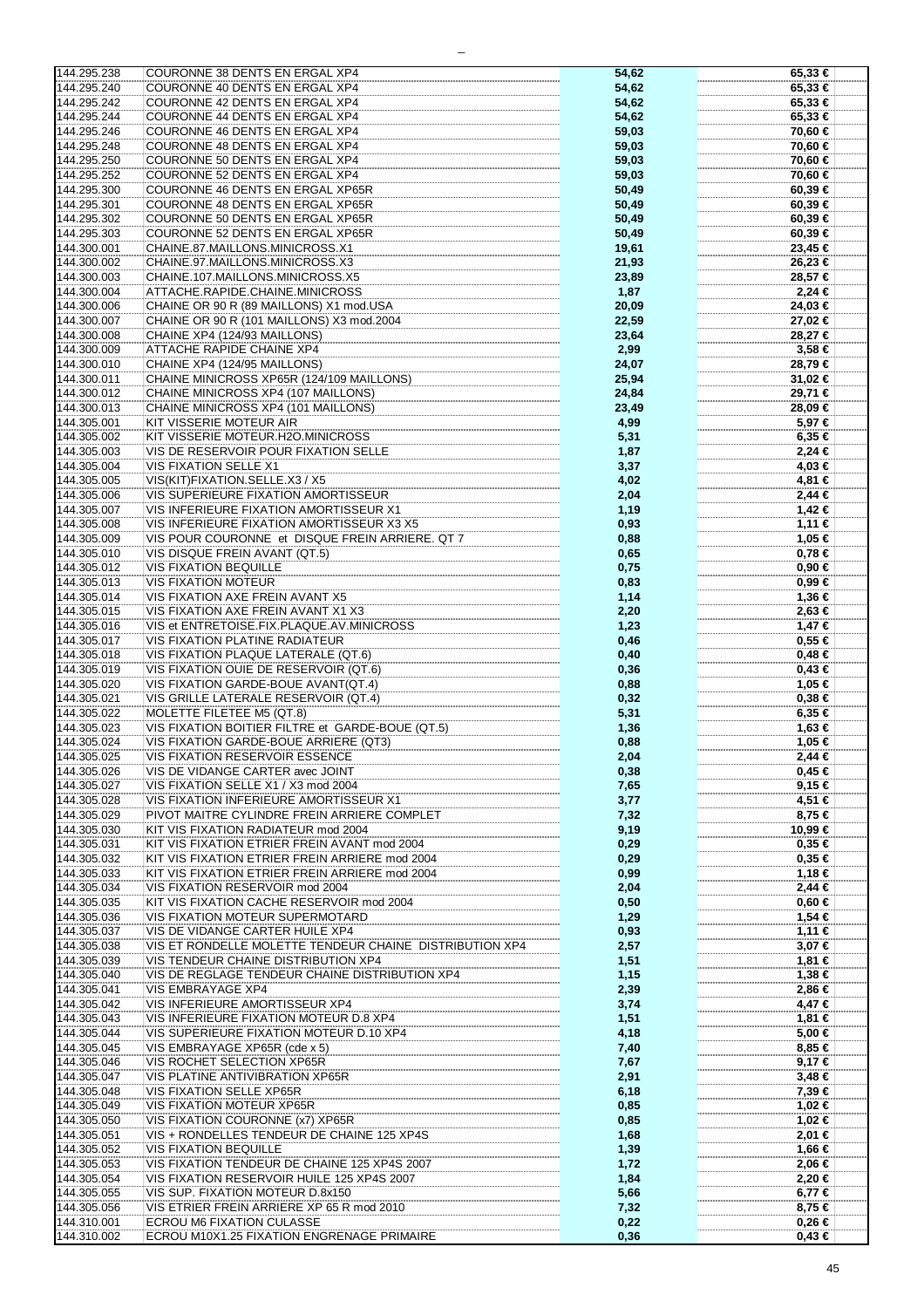| 144.295.238 | COURONNE 38 DENTS EN ERGAL XP4                          | 54,62 | 65,33 €     |
|-------------|---------------------------------------------------------|-------|-------------|
| 144.295.240 | COURONNE 40 DENTS EN ERGAL XP4                          | 54,62 | 65,33 €     |
|             |                                                         |       |             |
| 144.295.242 | COURONNE 42 DENTS EN ERGAL XP4                          | 54,62 | 65,33 €     |
|             |                                                         |       |             |
| 144.295.244 | COURONNE 44 DENTS EN ERGAL XP4                          | 54,62 | 65,33 €     |
| 144.295.246 | COURONNE 46 DENTS EN ERGAL XP4                          |       | 70,60 €     |
|             |                                                         | 59,03 |             |
| 144.295.248 | COURONNE 48 DENTS EN ERGAL XP4                          | 59,03 | 70,60 €     |
|             |                                                         |       |             |
| 144.295.250 | COURONNE 50 DENTS EN ERGAL XP4                          | 59,03 | 70,60 €     |
|             |                                                         |       |             |
| 144.295.252 | COURONNE 52 DENTS EN ERGAL XP4                          | 59,03 | 70,60 €     |
| 144.295.300 | COURONNE 46 DENTS EN ERGAL XP65R                        | 50,49 | 60,39€      |
|             |                                                         |       |             |
| 144.295.301 | COURONNE 48 DENTS EN ERGAL XP65R                        | 50,49 | 60,39€      |
|             |                                                         |       |             |
| 144.295.302 | COURONNE 50 DENTS EN ERGAL XP65R                        | 50,49 | $60,39 \in$ |
|             |                                                         |       |             |
| 144.295.303 | COURONNE 52 DENTS EN ERGAL XP65R                        | 50,49 | $60,39 \in$ |
|             |                                                         |       |             |
| 144.300.001 | CHAINE.87.MAILLONS.MINICROSS.X1                         | 19,61 | 23,45 €     |
| 144.300.002 | CHAINE.97.MAILLONS.MINICROSS.X3                         | 21,93 | 26,23 €     |
|             |                                                         |       |             |
| 144.300.003 | CHAINE.107.MAILLONS.MINICROSS.X5                        | 23,89 | 28,57 €     |
|             |                                                         |       |             |
| 144.300.004 | ATTACHE.RAPIDE.CHAINE.MINICROSS                         | 1,87  | $2,24$ €    |
|             |                                                         |       |             |
| 144.300.006 | CHAINE OR 90 R (89 MAILLONS) X1 mod.USA                 | 20,09 | 24,03 €     |
| 144.300.007 | CHAINE OR 90 R (101 MAILLONS) X3 mod.2004               | 22,59 | 27,02 €     |
|             |                                                         |       |             |
| 144.300.008 | CHAINE XP4 (124/93 MAILLONS)                            | 23,64 | 28,27 €     |
|             |                                                         |       |             |
| 144.300.009 | ATTACHE RAPIDE CHAINE XP4                               | 2,99  | 3,58 €      |
|             |                                                         |       |             |
| 144.300.010 | CHAINE XP4 (124/95 MAILLONS)                            | 24,07 | 28,79 €     |
| 144.300.011 | CHAINE MINICROSS XP65R (124/109 MAILLONS)               | 25,94 | 31,02 €     |
|             |                                                         |       |             |
| 144.300.012 | CHAINE MINICROSS XP4 (107 MAILLONS)                     | 24,84 | 29,71 €     |
|             |                                                         |       |             |
| 144.300.013 | CHAINE MINICROSS XP4 (101 MAILLONS)                     | 23,49 | 28,09 €     |
| 144.305.001 | <b>KIT VISSERIE MOTEUR AIR</b>                          | 4,99  | 5,97€       |
|             |                                                         |       |             |
| 144.305.002 | KIT VISSERIE MOTEUR.H2O.MINICROSS                       | 5,31  | 6,35€       |
|             |                                                         |       |             |
| 144.305.003 | VIS DE RESERVOIR POUR FIXATION SELLE                    | 1,87  | 2,24 €      |
|             |                                                         |       |             |
| 144.305.004 | <b>VIS FIXATION SELLE X1</b>                            | 3,37  | 4,03 €      |
| 144.305.005 | VIS(KIT)FIXATION.SELLE.X3 / X5                          | 4,02  | 4,81 €      |
|             |                                                         |       |             |
| 144.305.006 | VIS SUPERIEURE FIXATION AMORTISSEUR                     | 2,04  | $2,44$ €    |
|             |                                                         |       |             |
| 144.305.007 | VIS INFERIEURE FIXATION AMORTISSEUR X1                  | 1,19  | $1,42$ €    |
|             |                                                         |       |             |
| 144.305.008 | VIS INFERIEURE FIXATION AMORTISSEUR X3 X5               | 0,93  | 1,11 €      |
| 144.305.009 | VIS POUR COURONNE et DISQUE FREIN ARRIERE. QT 7         |       | 1,05 €      |
|             |                                                         | 0,88  |             |
| 144.305.010 | VIS DISQUE FREIN AVANT (QT.5)                           | 0,65  | 0,78€       |
|             |                                                         |       |             |
| 144.305.012 | <b>VIS FIXATION BEQUILLE</b>                            | 0,75  | $0,90 \in$  |
|             |                                                         |       |             |
| 144.305.013 | <b>VIS FIXATION MOTEUR</b>                              | 0,83  | $0,99$ €    |
| 144.305.014 | VIS FIXATION AXE FREIN AVANT X5                         | 1,14  | 1,36 €      |
|             |                                                         |       |             |
| 144.305.015 | VIS FIXATION AXE FREIN AVANT X1 X3                      | 2,20  | 2,63 €      |
|             |                                                         |       |             |
| 144.305.016 | VIS et ENTRETOISE.FIX.PLAQUE.AV.MINICROSS               | 1,23  | $1,47$ €    |
|             |                                                         |       |             |
| 144.305.017 | VIS FIXATION PLATINE RADIATEUR                          | 0,46  | $0,55 \in$  |
| 144.305.018 | VIS FIXATION PLAQUE LATERALE (QT.6)                     |       | 0,48€       |
|             |                                                         | 0,40  |             |
| 144.305.019 | VIS FIXATION OUIE DE RESERVOIR (QT.6)                   | 0,36  | 0,43€       |
|             |                                                         |       |             |
| 144.305.020 | VIS FIXATION GARDE-BOUE AVANT(QT.4)                     | 0,88  | 1,05 €      |
|             |                                                         |       |             |
| 144.305.021 | VIS GRILLE LATERALE RESERVOIR (QT.4)                    | 0,32  | $0,38 \in$  |
| 144.305.022 | MOLETTE FILETEE M5 (QT.8)                               | 5,31  | 6,35 €      |
|             |                                                         |       |             |
| 144.305.023 | VIS FIXATION BOITIER FILTRE et GARDE-BOUE (QT.5)        | 1,36  | 1,63 €      |
|             |                                                         |       |             |
| 144.305.024 | VIS FIXATION GARDE-BOUE ARRIERE (QT3)                   | 0,88  | 1,05 €      |
|             |                                                         |       |             |
| 144.305.025 | VIS FIXATION RESERVOIR ESSENCE                          | 2,04  | $2,44$ €    |
| 144.305.026 | VIS DE VIDANGE CARTER avec JOINT                        | 0,38  | $0,45 \in$  |
|             |                                                         |       |             |
| 144.305.027 | VIS FIXATION SELLE X1 / X3 mod 2004                     | 7,65  | 9,15€       |
|             |                                                         |       |             |
| 144.305.028 | VIS FIXATION INFERIEURE AMORTISSEUR X1                  | 3,77  | 4,51 €      |
| 144.305.029 | PIVOT MAITRE CYLINDRE FREIN ARRIERE COMPLET             | 7,32  | 8,75 €      |
|             |                                                         |       |             |
| 144.305.030 | KIT VIS FIXATION RADIATEUR mod 2004                     | 9,19  | 10,99 €     |
|             |                                                         |       |             |
| 144.305.031 | KIT VIS FIXATION ETRIER FREIN AVANT mod 2004            | 0,29  | $0,35 \in$  |
|             |                                                         |       |             |
| 144.305.032 | KIT VIS FIXATION ETRIER FREIN ARRIERE mod 2004          | 0,29  | $0,35 \in$  |
| 144.305.033 | KIT VIS FIXATION ETRIER FREIN ARRIERE mod 2004          | 0,99  | 1,18 €      |
|             |                                                         |       |             |
| 144.305.034 | VIS FIXATION RESERVOIR mod 2004                         | 2,04  | $2,44$ €    |
|             |                                                         |       |             |
| 144.305.035 | KIT VIS FIXATION CACHE RESERVOIR mod 2004               | 0,50  | $0,60 \in$  |
| 144.305.036 | VIS FIXATION MOTEUR SUPERMOTARD                         | 1,29  | 1,54 €      |
|             |                                                         |       |             |
| 144.305.037 | VIS DE VIDANGE CARTER HUILE XP4                         | 0,93  | 1,11 €      |
|             |                                                         |       |             |
| 144.305.038 | VIS ET RONDELLE MOLETTE TENDEUR CHAINE DISTRIBUTION XP4 | 2,57  | $3,07 \in$  |
|             |                                                         |       |             |
| 144.305.039 | VIS TENDEUR CHAINE DISTRIBUTION XP4                     | 1,51  | 1,81 €      |
|             |                                                         |       |             |
| 144.305.040 | VIS DE REGLAGE TENDEUR CHAINE DISTRIBUTION XP4          | 1,15  | 1,38 €      |
| 144.305.041 | VIS EMBRAYAGE XP4                                       |       | 2,86 €      |
|             |                                                         | 2,39  |             |
| 144.305.042 | VIS INFERIEURE AMORTISSEUR XP4                          | 3,74  | 4,47 €      |
|             |                                                         |       |             |
| 144.305.043 | VIS INFERIEURE FIXATION MOTEUR D.8 XP4                  | 1,51  | 1,81 €      |
|             |                                                         |       |             |
| 144.305.044 | VIS SUPERIEURE FIXATION MOTEUR D.10 XP4                 | 4,18  | 5,00 €      |
| 144.305.045 | VIS EMBRAYAGE XP65R (cde x 5)                           |       | 8,85 €      |
|             |                                                         | 7,40  |             |
| 144.305.046 | VIS ROCHET SELECTION XP65R                              | 7,67  | 9,17 €      |
|             |                                                         |       |             |
| 144.305.047 | VIS PLATINE ANTIVIBRATION XP65R                         | 2,91  | $3,48 \in$  |
|             |                                                         |       |             |
| 144.305.048 | VIS FIXATION SELLE XP65R                                | 6,18  | 7,39 €      |
| 144.305.049 | VIS FIXATION MOTEUR XP65R                               |       | 1,02 €      |
|             |                                                         | 0,85  |             |
| 144.305.050 | VIS FIXATION COURONNE (x7) XP65R                        | 0,85  | 1,02 €      |
|             |                                                         |       |             |
| 144.305.051 | VIS + RONDELLES TENDEUR DE CHAINE 125 XP4S              | 1,68  | 2,01 €      |
|             |                                                         |       |             |
| 144.305.052 | <b>VIS FIXATION BEQUILLE</b>                            | 1,39  | 1,66 €      |
| 144.305.053 | VIS FIXATION TENDEUR DE CHAINE 125 XP4S 2007            | 1,72  | 2,06 €      |
|             |                                                         |       |             |
| 144.305.054 | VIS FIXATION RESERVOIR HUILE 125 XP4S 2007              | 1,84  | 2,20 €      |
|             |                                                         |       |             |
| 144.305.055 |                                                         |       |             |
|             |                                                         |       |             |
|             | VIS SUP. FIXATION MOTEUR D.8x150                        | 5,66  | $6,77 \in$  |
| 144.305.056 | VIS ETRIER FREIN ARRIERE XP 65 R mod 2010               | 7,32  | 8,75 €      |
|             |                                                         |       |             |
| 144.310.001 | ECROU M6 FIXATION CULASSE                               | 0,22  | 0,26€       |
| 144.310.002 | ECROU M10X1.25 FIXATION ENGRENAGE PRIMAIRE              | 0,36  | $0,43 \in$  |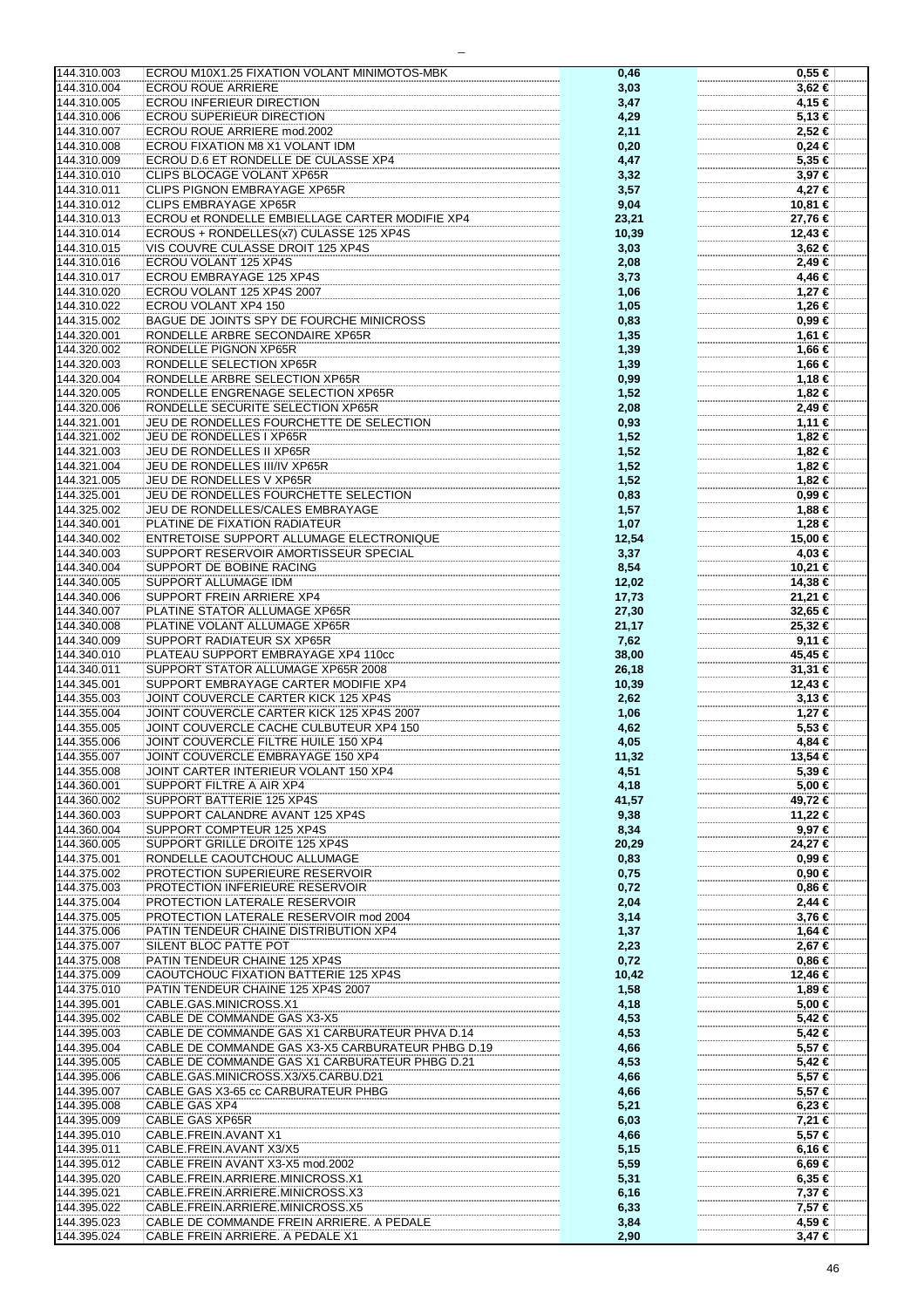| 144.310.003 | ECROU M10X1.25 FIXATION VOLANT MINIMOTOS-MBK      | 0,46  | $0,55 \in$  |
|-------------|---------------------------------------------------|-------|-------------|
| 144.310.004 | <b>ECROU ROUE ARRIERE</b>                         | 3,03  | $3,62 \in$  |
| 144.310.005 | ECROU INFERIEUR DIRECTION                         | 3,47  | 4,15 €      |
|             |                                                   |       |             |
| 144.310.006 | <b>ECROU SUPERIEUR DIRECTION</b>                  | 4,29  | 5,13€       |
| 144.310.007 | ECROU ROUE ARRIERE mod.2002                       | 2,11  | 2,52 €      |
| 144.310.008 | ECROU FIXATION M8 X1 VOLANT IDM                   | 0,20  | $0,24 \in$  |
| 144.310.009 | ECROU D.6 ET RONDELLE DE CULASSE XP4              |       | 5,35 €      |
|             |                                                   | 4,47  |             |
| 144.310.010 | <b>CLIPS BLOCAGE VOLANT XP65R</b>                 | 3,32  | 3,97 €      |
| 144.310.011 | CLIPS PIGNON EMBRAYAGE XP65R                      | 3,57  | 4,27 €      |
| 144.310.012 | CLIPS EMBRAYAGE XP65R                             | 9,04  | 10,81 €     |
|             | ECROU et RONDELLE EMBIELLAGE CARTER MODIFIE XP4   |       |             |
| 144.310.013 |                                                   | 23,21 | 27,76 €     |
| 144.310.014 | ECROUS + RONDELLES(x7) CULASSE 125 XP4S           | 10,39 | 12,43 €     |
| 144.310.015 | VIS COUVRE CULASSE DROIT 125 XP4S                 | 3,03  | 3,62 €      |
| 144.310.016 | ECROU VOLANT 125 XP4S                             | 2,08  | 2,49 €      |
|             |                                                   |       |             |
| 144.310.017 | ECROU EMBRAYAGE 125 XP4S                          | 3,73  | 4,46 €      |
| 144.310.020 | ECROU VOLANT 125 XP4S 2007                        | 1,06  | 1,27 €      |
| 144.310.022 | ECROU VOLANT XP4 150                              | 1,05  | 1,26 €      |
|             |                                                   |       |             |
| 144.315.002 | BAGUE DE JOINTS SPY DE FOURCHE MINICROSS          | 0,83  | $0,99 \in$  |
| 144.320.001 | RONDELLE ARBRE SECONDAIRE XP65R                   | 1,35  | 1,61 €      |
| 144.320.002 | RONDELLE PIGNON XP65R                             | 1,39  | 1,66 €      |
| 144.320.003 | RONDELLE SELECTION XP65R                          |       |             |
|             |                                                   | 1,39  | 1,66 €      |
| 144.320.004 | RONDELLE ARBRE SELECTION XP65R                    | 0,99  | 1,18 €      |
| 144.320.005 | RONDELLE ENGRENAGE SELECTION XP65R                | 1,52  | 1,82 €      |
| 144.320.006 | RONDELLE SECURITE SELECTION XP65R                 | 2,08  | 2,49 €      |
| 144.321.001 | JEU DE RONDELLES FOURCHETTE DE SELECTION          |       |             |
|             |                                                   | 0,93  | 1,11 €      |
| 144.321.002 | JEU DE RONDELLES I XP65R                          | 1,52  | 1,82 €      |
| 144.321.003 | JEU DE RONDELLES II XP65R                         | 1,52  | 1,82 €      |
| 144.321.004 | JEU DE RONDELLES III/IV XP65R                     | 1,52  | 1,82 €      |
|             |                                                   |       |             |
| 144.321.005 | JEU DE RONDELLES V XP65R                          | 1,52  | 1,82 €      |
| 144.325.001 | JEU DE RONDELLES FOURCHETTE SELECTION             | 0,83  | 0,99€       |
| 144.325.002 | JEU DE RONDELLES/CALES EMBRAYAGE                  | 1,57  | 1,88 €      |
|             |                                                   |       |             |
| 144.340.001 | PLATINE DE FIXATION RADIATEUR                     | 1,07  | 1,28 €      |
| 144.340.002 | ENTRETOISE SUPPORT ALLUMAGE ELECTRONIQUE          | 12,54 | 15,00 €     |
| 144.340.003 | SUPPORT RESERVOIR AMORTISSEUR SPECIAL             | 3,37  | 4,03 €      |
| 144.340.004 | SUPPORT DE BOBINE RACING                          | 8,54  | 10,21 €     |
|             |                                                   |       |             |
| 144.340.005 | SUPPORT ALLUMAGE IDM                              | 12,02 | 14,38 €     |
| 144.340.006 | SUPPORT FREIN ARRIERE XP4                         | 17,73 | 21,21 €     |
| 144.340.007 | PLATINE STATOR ALLUMAGE XP65R                     | 27,30 | 32,65 €     |
|             |                                                   |       |             |
| 144.340.008 | PLATINE VOLANT ALLUMAGE XP65R                     | 21,17 | 25,32 €     |
| 144.340.009 | SUPPORT RADIATEUR SX XP65R                        | 7,62  | $9,11$ €    |
| 144.340.010 | PLATEAU SUPPORT EMBRAYAGE XP4 110cc               | 38,00 | 45,45 €     |
| 144.340.011 | SUPPORT STATOR ALLUMAGE XP65R 2008                | 26,18 | $31,31 \in$ |
|             |                                                   |       |             |
| 144.345.001 | SUPPORT EMBRAYAGE CARTER MODIFIE XP4              | 10,39 | 12,43 €     |
| 144.355.003 | JOINT COUVERCLE CARTER KICK 125 XP4S              | 2,62  | $3,13 \in$  |
| 144.355.004 | JOINT COUVERCLE CARTER KICK 125 XP4S 2007         | 1,06  | 1,27 €      |
| 144.355.005 | JOINT COUVERCLE CACHE CULBUTEUR XP4 150           | 4,62  | 5,53€       |
|             |                                                   |       |             |
| 144.355.006 | JOINT COUVERCLE FILTRE HUILE 150 XP4              | 4,05  | 4,84€       |
| 144.355.007 | JOINT COUVERCLE EMBRAYAGE 150 XP4                 | 11,32 | 13.54 €     |
| 144.355.008 | JOINT CARTER INTERIEUR VOLANT 150 XP4             | 4,51  | 5,39 €      |
| 144.360.001 | <b>SUPPORT FILTRE A AIR XP4</b>                   | 4,18  | 5,00 €      |
|             |                                                   |       |             |
| 144.360.002 | SUPPORT BATTERIE 125 XP4S                         | 41,57 | 49,72 €     |
| 144.360.003 | SUPPORT CALANDRE AVANT 125 XP4S                   | 9,38  | 11,22 €     |
| 144.360.004 | SUPPORT COMPTEUR 125 XP4S                         | 8,34  | 9,97 €      |
| 144.360.005 | SUPPORT GRILLE DROITE 125 XP4S                    | 20,29 | 24,27€      |
|             |                                                   |       |             |
| 144.375.001 | RONDELLE CAOUTCHOUC ALLUMAGE                      | 0,83  | 0,99€       |
| 144.375.002 | PROTECTION SUPERIEURE RESERVOIR                   | 0,75  | $0,90 \in$  |
| 144.375.003 | PROTECTION INFERIEURE RESERVOIR                   | 0,72  | $0,86 \in$  |
| 144.375.004 | PROTECTION LATERALE RESERVOIR                     |       | $2,44$ €    |
|             |                                                   | 2,04  |             |
| 144.375.005 | PROTECTION LATERALE RESERVOIR mod 2004            | 3,14  | 3,76 €      |
| 144.375.006 | PATIN TENDEUR CHAINE DISTRIBUTION XP4             | 1,37  | 1,64 €      |
| 144.375.007 | SILENT BLOC PATTE POT                             | 2,23  | 2,67 €      |
|             |                                                   |       |             |
| 144.375.008 | PATIN TENDEUR CHAINE 125 XP4S                     | 0,72  | $0,86$ €    |
| 144.375.009 | CAOUTCHOUC FIXATION BATTERIE 125 XP4S             | 10,42 | 12,46 €     |
| 144.375.010 | PATIN TENDEUR CHAINE 125 XP4S 2007                | 1,58  | 1,89 €      |
| 144.395.001 | CABLE.GAS.MINICROSS.X1                            | 4,18  | 5,00 €      |
|             |                                                   |       |             |
| 144.395.002 | CABLE DE COMMANDE GAS X3-X5                       | 4,53  | 5,42 €      |
| 144.395.003 | CABLE DE COMMANDE GAS X1 CARBURATEUR PHVA D.14    | 4,53  | 5,42 €      |
| 144.395.004 | CABLE DE COMMANDE GAS X3-X5 CARBURATEUR PHBG D.19 | 4,66  | 5,57 €      |
| 144.395.005 | CABLE DE COMMANDE GAS X1 CARBURATEUR PHBG D.21    | 4,53  | 5,42 €      |
|             |                                                   |       |             |
| 144.395.006 | CABLE.GAS.MINICROSS.X3/X5.CARBU.D21               | 4,66  | 5,57 €      |
| 144.395.007 | CABLE GAS X3-65 cc CARBURATEUR PHBG               | 4,66  | 5,57 €      |
| 144.395.008 | CABLE GAS XP4                                     | 5,21  | $6,23 \in$  |
| 144.395.009 | CABLE GAS XP65R                                   | 6,03  | 7,21 €      |
|             |                                                   |       |             |
| 144.395.010 | CABLE.FREIN.AVANT X1                              | 4,66  | 5,57 €      |
| 144.395.011 | CABLE.FREIN.AVANT X3/X5                           | 5,15  | 6,16 €      |
| 144.395.012 | CABLE FREIN AVANT X3-X5 mod.2002                  | 5,59  | $6,69 \in$  |
|             | CABLE.FREIN.ARRIERE.MINICROSS.X1                  |       | $6,35 \in$  |
| 144.395.020 |                                                   | 5,31  |             |
| 144.395.021 | CABLE.FREIN.ARRIERE.MINICROSS.X3                  | 6, 16 | 7,37 €      |
| 144.395.022 | CABLE.FREIN.ARRIERE.MINICROSS.X5                  | 6,33  | 7,57 €      |
| 144.395.023 | CABLE DE COMMANDE FREIN ARRIERE. A PEDALE         | 3,84  | 4,59 €      |
| 144.395.024 | CABLE FREIN ARRIERE. A PEDALE X1                  | 2,90  | $3,47 \in$  |
|             |                                                   |       |             |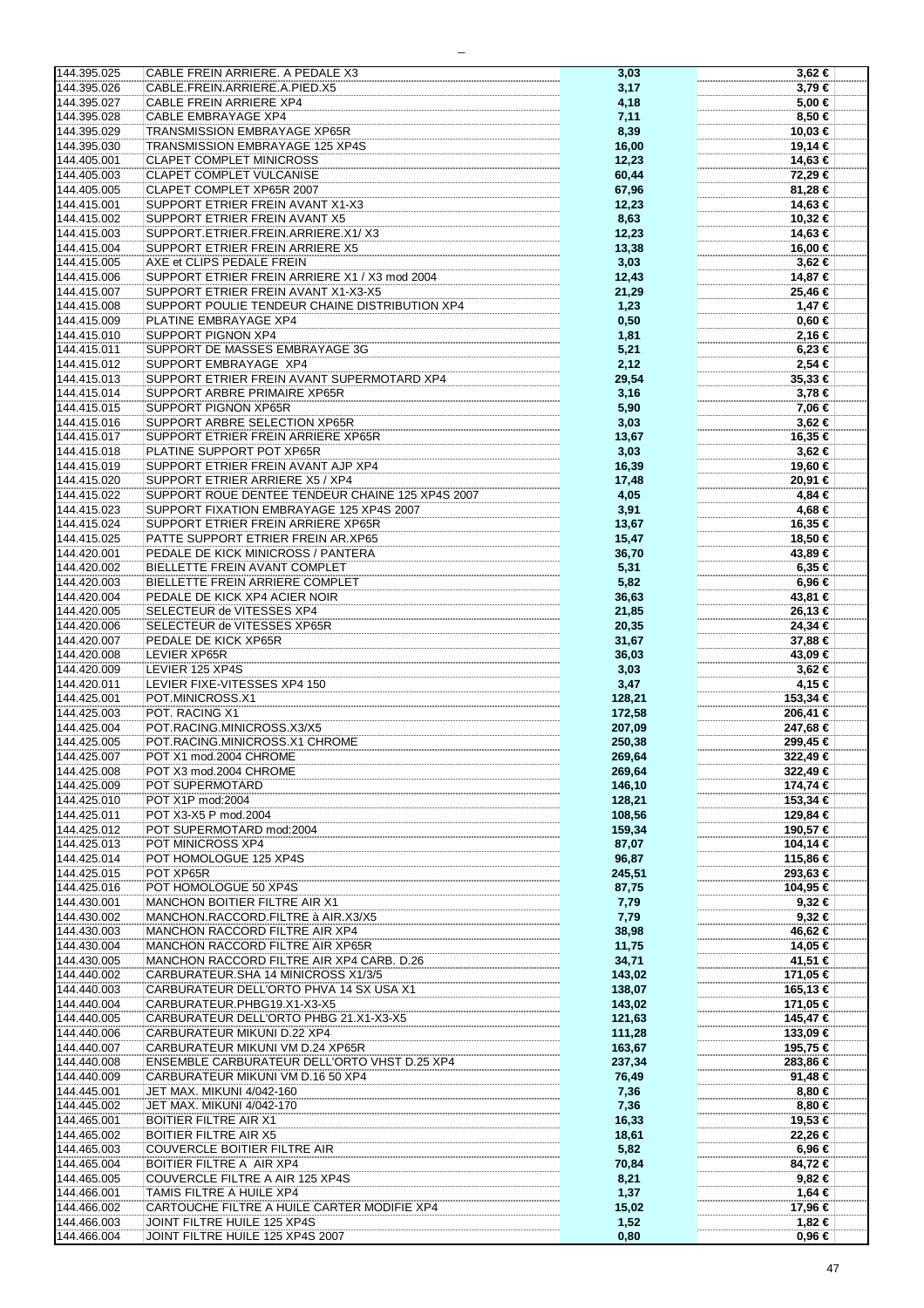| 144.395.025                | CABLE FREIN ARRIERE. A PEDALE X3                                | 3,03         | $3,62$ €        |
|----------------------------|-----------------------------------------------------------------|--------------|-----------------|
| 144.395.026                | CABLE.FREIN.ARRIERE.A.PIED.X5                                   | 3,17         | $3,79 \in$      |
| 144.395.027                | CABLE FREIN ARRIERE XP4                                         |              | 5,00 €          |
|                            |                                                                 | 4,18         |                 |
| 144.395.028                | CABLE EMBRAYAGE XP4                                             | 7,11         | 8,50 €          |
| 144.395.029                | TRANSMISSION EMBRAYAGE XP65R                                    | 8,39         | 10,03 €         |
| 144.395.030                | TRANSMISSION EMBRAYAGE 125 XP4S                                 | 16,00        | 19,14 €         |
| 144.405.001                | <b>CLAPET COMPLET MINICROSS</b>                                 | 12,23        | 14,63 €         |
|                            |                                                                 |              |                 |
| 144.405.003                | CLAPET COMPLET VULCANISE                                        | 60,44        | 72,29 €         |
| 144.405.005                | CLAPET COMPLET XP65R 2007                                       | 67,96        | 81,28 €         |
| 144.415.001                | SUPPORT ETRIER FREIN AVANT X1-X3                                | 12,23        | 14,63 €         |
| 144.415.002                | <b>SUPPORT ETRIER FREIN AVANT X5</b>                            | 8,63         | 10,32 €         |
| 144.415.003                | SUPPORT.ETRIER.FREIN.ARRIERE.X1/X3                              | 12,23        | 14,63 €         |
| 144.415.004                | SUPPORT ETRIER FREIN ARRIERE X5                                 | 13,38        | 16,00 €         |
|                            |                                                                 |              |                 |
| 144.415.005                | AXE et CLIPS PEDALE FREIN                                       | 3,03         | $3,62 \in$      |
| 144.415.006                | SUPPORT ETRIER FREIN ARRIERE X1 / X3 mod 2004                   | 12,43        | 14,87 €         |
| 144.415.007                | SUPPORT ETRIER FREIN AVANT X1-X3-X5                             | 21,29        | 25,46 €         |
| 144.415.008                | SUPPORT POULIE TENDEUR CHAINE DISTRIBUTION XP4                  | 1,23         | $1,47$ €        |
| 144.415.009                | PLATINE EMBRAYAGE XP4                                           | 0,50         | $0,60 \in$      |
|                            |                                                                 |              |                 |
| 144.415.010                | SUPPORT PIGNON XP4                                              | 1,81         | 2,16 €          |
| 144.415.011                | SUPPORT DE MASSES EMBRAYAGE 3G                                  | 5,21         | $6,23 \in$      |
| 144.415.012                | SUPPORT EMBRAYAGE XP4                                           | 2,12         | 2,54 €          |
| 144.415.013                | SUPPORT ETRIER FREIN AVANT SUPERMOTARD XP4                      | 29,54        | 35,33 €         |
| 144.415.014                | SUPPORT ARBRE PRIMAIRE XP65R                                    | 3,16         | 3,78 €          |
|                            | SUPPORT PIGNON XP65R                                            |              |                 |
| 144.415.015                |                                                                 | 5,90         | 7,06 €          |
| 144.415.016                | SUPPORT ARBRE SELECTION XP65R                                   | 3,03         | 3,62 €          |
| 144.415.017                | SUPPORT ETRIER FREIN ARRIERE XP65R                              | 13,67        | 16,35 €         |
| 144.415.018                | PLATINE SUPPORT POT XP65R                                       | 3,03         | 3,62 €          |
| 144.415.019                | SUPPORT ETRIER FREIN AVANT AJP XP4                              | 16,39        | 19,60 €         |
| 144.415.020                | SUPPORT ETRIER ARRIERE X5 / XP4                                 | 17,48        | 20,91 €         |
|                            |                                                                 |              |                 |
| 144.415.022                | SUPPORT ROUE DENTEE TENDEUR CHAINE 125 XP4S 2007                | 4,05         | 4,84 €          |
| 144.415.023                | SUPPORT FIXATION EMBRAYAGE 125 XP4S 2007                        | 3,91         | 4,68 €          |
| 144.415.024                | SUPPORT ETRIER FREIN ARRIERE XP65R                              | 13,67        | 16,35 €         |
| 144.415.025                | PATTE SUPPORT ETRIER FREIN AR.XP65                              | 15,47        | 18,50 €         |
| 144.420.001                | PEDALE DE KICK MINICROSS / PANTERA                              | 36,70        | 43,89 €         |
|                            |                                                                 |              |                 |
| 144.420.002                | BIELLETTE FREIN AVANT COMPLET                                   | 5,31         | $6,35 \in$      |
| 144.420.003                | BIELLETTE FREIN ARRIERE COMPLET                                 | 5,82         | 6,96 €          |
| 144.420.004                | PEDALE DE KICK XP4 ACIER NOIR                                   | 36,63        | 43,81 €         |
| 144.420.005                | SELECTEUR de VITESSES XP4                                       | 21,85        | 26,13 €         |
| 144.420.006                | SELECTEUR de VITESSES XP65R                                     | 20,35        | 24,34 €         |
|                            |                                                                 |              |                 |
| 144.420.007                | PEDALE DE KICK XP65R                                            | 31,67        | 37,88 €         |
|                            |                                                                 |              |                 |
| 144.420.008                | LEVIER XP65R                                                    | 36,03        | 43,09 €         |
| 144.420.009                | LEVIER 125 XP4S                                                 | 3,03         | $3,62 \in$      |
| 144.420.011                | LEVIER FIXE-VITESSES XP4 150                                    | 3,47         | 4,15 €          |
|                            |                                                                 |              |                 |
| 144.425.001                | POT.MINICROSS.X1                                                | 128,21       | 153,34 €        |
| 144.425.003                | POT. RACING X1                                                  | 172,58       | 206,41 €        |
| 144.425.004                | POT.RACING.MINICROSS.X3/X5                                      | 207,09       | 247,68 €        |
| 144.425.005                | POT.RACING.MINICROSS.X1 CHROME                                  | 250,38       | 299.45 €        |
| 144.425.007                | POT X1 mod.2004 CHROME                                          | 269,64       | 322,49 €        |
|                            |                                                                 |              |                 |
| 144.425.008                | POT X3 mod.2004 CHROME                                          | 269,64       | 322,49 €        |
| 144.425.009                | POT SUPERMOTARD                                                 | 146,10       | 174,74 €        |
| 144.425.010                | POT X1P mod:2004                                                | 128,21       | 153,34 €        |
| 144.425.011                | POT X3-X5 P mod.2004                                            | 108,56       | 129,84 €        |
| 144.425.012                | POT SUPERMOTARD mod:2004                                        | 159,34       | 190,57 €        |
| 144.425.013                | POT MINICROSS XP4                                               | 87,07        | 104,14 €        |
| 144.425.014                | POT HOMOLOGUE 125 XP4S                                          | 96,87        | 115,86 €        |
| 144.425.015                | POT XP65R                                                       | 245,51       | 293,63 €        |
|                            |                                                                 |              |                 |
| 144.425.016                | POT HOMOLOGUE 50 XP4S                                           | 87,75        | 104,95 €        |
| 144.430.001                | MANCHON BOITIER FILTRE AIR X1                                   | 7,79         | $9,32$ €        |
| 144.430.002                | MANCHON.RACCORD.FILTRE à AIR.X3/X5                              | 7,79         | $9,32$ €        |
| 144.430.003                | MANCHON RACCORD FILTRE AIR XP4                                  | 38,98        | 46,62 €         |
| 144.430.004                | MANCHON RACCORD FILTRE AIR XP65R                                | 11,75        | 14,05 €         |
|                            |                                                                 |              |                 |
| 144.430.005                | MANCHON RACCORD FILTRE AIR XP4 CARB. D.26                       | 34,71        | 41,51 €         |
| 144.440.002                | CARBURATEUR.SHA 14 MINICROSS X1/3/5                             | 143,02       | 171,05 €        |
| 144.440.003                | CARBURATEUR DELL'ORTO PHVA 14 SX USA X1                         | 138,07       | 165,13 €        |
| 144.440.004                | CARBURATEUR.PHBG19.X1-X3-X5                                     | 143,02       | 171,05 €        |
| 144.440.005                | CARBURATEUR DELL'ORTO PHBG 21.X1-X3-X5                          | 121,63       | 145,47 €        |
| 144.440.006                | CARBURATEUR MIKUNI D.22 XP4                                     | 111,28       | $133,09$ €      |
| 144.440.007                | CARBURATEUR MIKUNI VM D.24 XP65R                                | 163,67       | 195,75 €        |
|                            |                                                                 |              |                 |
| 144.440.008                | ENSEMBLE CARBURATEUR DELL'ORTO VHST D.25 XP4                    | 237,34       | 283,86 €        |
| 144.440.009                | CARBURATEUR MIKUNI VM D.16 50 XP4                               | 76,49        | 91,48 €         |
| 144.445.001                | JET MAX. MIKUNI 4/042-160                                       | 7,36         | $8,80 \in$      |
| 144.445.002                | JET MAX. MIKUNI 4/042-170                                       | 7,36         | $8,80 \in$      |
| 144.465.001                | <b>BOITIER FILTRE AIR X1</b>                                    | 16,33        | 19,53 €         |
| 144.465.002                | <b>BOITIER FILTRE AIR X5</b>                                    | 18,61        | 22,26 €         |
|                            |                                                                 |              |                 |
| 144.465.003                | COUVERCLE BOITIER FILTRE AIR                                    | 5,82         | 6,96 €          |
| 144.465.004                | BOITIER FILTRE A AIR XP4                                        | 70,84        | 84,72 €         |
| 144.465.005                | COUVERCLE FILTRE A AIR 125 XP4S                                 | 8,21         | $9,82 \in$      |
| 144.466.001                | TAMIS FILTRE A HUILE XP4                                        | 1,37         | 1,64 €          |
| 144.466.002                |                                                                 |              |                 |
|                            | CARTOUCHE FILTRE A HUILE CARTER MODIFIE XP4                     | 15,02        | 17,96 €         |
| 144.466.003<br>144.466.004 | JOINT FILTRE HUILE 125 XP4S<br>JOINT FILTRE HUILE 125 XP4S 2007 | 1,52<br>0,80 | 1,82 €<br>0,96€ |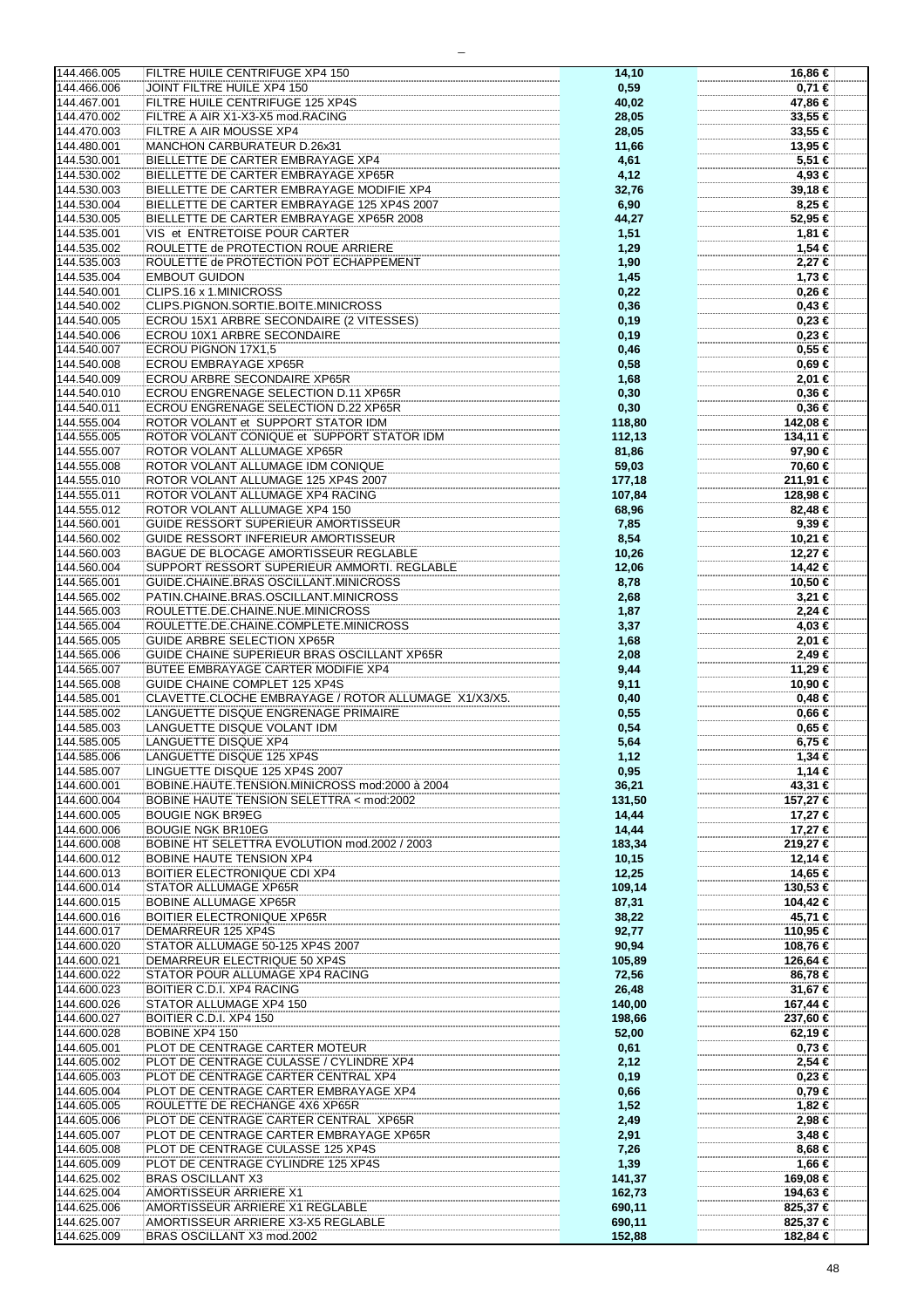| 144.466.005                | FILTRE HUILE CENTRIFUGE XP4 150                                  | 14,10            | 16,86 €              |
|----------------------------|------------------------------------------------------------------|------------------|----------------------|
| 144.466.006                | JOINT FILTRE HUILE XP4 150                                       | 0,59             | 0,71€                |
|                            |                                                                  |                  |                      |
| 144.467.001                | FILTRE HUILE CENTRIFUGE 125 XP4S                                 | 40,02            | 47,86 €              |
| 144.470.002                | FILTRE A AIR X1-X3-X5 mod.RACING                                 | 28,05            | 33,55 €              |
| 144.470.003                | FILTRE A AIR MOUSSE XP4                                          | 28,05            | 33,55 €              |
| 144.480.001                | MANCHON CARBURATEUR D.26x31                                      | 11,66            | 13,95 €              |
| 144.530.001                | BIELLETTE DE CARTER EMBRAYAGE XP4                                | 4,61             | 5,51 €               |
|                            |                                                                  |                  |                      |
| 144.530.002                | BIELLETTE DE CARTER EMBRAYAGE XP65R                              | 4,12             | 4,93 €               |
| 144.530.003                | BIELLETTE DE CARTER EMBRAYAGE MODIFIE XP4                        | 32,76            | 39,18 €              |
| 144.530.004                | BIELLETTE DE CARTER EMBRAYAGE 125 XP4S 2007                      | 6,90             | 8,25 €               |
| 144.530.005                | BIELLETTE DE CARTER EMBRAYAGE XP65R 2008                         | 44,27            | 52,95 €              |
| 144.535.001                | VIS et ENTRETOISE POUR CARTER                                    | 1,51             | 1,81 €               |
|                            |                                                                  |                  |                      |
| 144.535.002                | ROULETTE de PROTECTION ROUE ARRIERE                              | 1,29             | 1,54 €               |
| 144.535.003                | ROULETTE de PROTECTION POT ECHAPPEMENT                           | 1,90             | 2,27 €               |
| 144.535.004                | <b>EMBOUT GUIDON</b>                                             | 1,45             | 1,73 €               |
| 144.540.001                | CLIPS.16 x 1.MINICROSS                                           | 0,22             | $0,26 \in$           |
| 144.540.002                | CLIPS.PIGNON.SORTIE.BOITE.MINICROSS                              |                  | $0,43 \in$           |
|                            |                                                                  | 0,36             |                      |
| 144.540.005                | ECROU 15X1 ARBRE SECONDAIRE (2 VITESSES)                         | 0, 19            | $0,23 \in$           |
| 144.540.006                | ECROU 10X1 ARBRE SECONDAIRE                                      | 0, 19            | $0,23 \in$           |
| 144.540.007                | ECROU PIGNON 17X1,5                                              | 0,46             | $0,55 \in$           |
| 144.540.008                | <b>ECROU EMBRAYAGE XP65R</b>                                     | 0,58             | 0,69€                |
| 144.540.009                | ECROU ARBRE SECONDAIRE XP65R                                     | 1,68             | 2,01 €               |
|                            |                                                                  |                  |                      |
| 144.540.010                | ECROU ENGRENAGE SELECTION D.11 XP65R                             | 0,30             | $0,36 \in$           |
| 144.540.011                | ECROU ENGRENAGE SELECTION D.22 XP65R                             | 0,30             | 0,36€                |
| 144.555.004                | ROTOR VOLANT et SUPPORT STATOR IDM                               | 118,80           | 142,08 €             |
| 144.555.005                | ROTOR VOLANT CONIQUE et SUPPORT STATOR IDM                       | 112,13           | 134,11 €             |
| 144.555.007                | ROTOR VOLANT ALLUMAGE XP65R                                      | 81,86            | 97,90 €              |
|                            |                                                                  |                  |                      |
| 144.555.008                | ROTOR VOLANT ALLUMAGE IDM CONIQUE                                | 59,03            | 70,60 €              |
| 144.555.010                | ROTOR VOLANT ALLUMAGE 125 XP4S 2007                              | 177,18           | 211,91 €             |
| 144.555.011                | ROTOR VOLANT ALLUMAGE XP4 RACING                                 | 107,84           | 128,98 €             |
| 144.555.012                | ROTOR VOLANT ALLUMAGE XP4 150                                    | 68,96            | 82,48 €              |
| 144.560.001                | GUIDE RESSORT SUPERIEUR AMORTISSEUR                              | 7,85             | $9,39 \in$           |
|                            |                                                                  |                  |                      |
| 144.560.002                | GUIDE RESSORT INFERIEUR AMORTISSEUR                              | 8,54             | 10,21 €              |
| 144.560.003                | BAGUE DE BLOCAGE AMORTISSEUR REGLABLE                            | 10,26            | 12,27 €              |
| 144.560.004                | SUPPORT RESSORT SUPERIEUR AMMORTI. REGLABLE                      | 12,06            | 14,42 €              |
| 144.565.001                | GUIDE.CHAINE.BRAS OSCILLANT.MINICROSS                            | 8,78             | 10,50 €              |
| 144.565.002                | PATIN.CHAINE.BRAS.OSCILLANT.MINICROSS                            |                  | $3,21 \in$           |
|                            |                                                                  | 2,68             |                      |
| 144.565.003                | ROULETTE.DE.CHAINE.NUE.MINICROSS                                 | 1,87             | $2,24$ €             |
| 144.565.004                | ROULETTE.DE.CHAINE.COMPLETE.MINICROSS                            | 3,37             | 4,03 €               |
| 144.565.005                | GUIDE ARBRE SELECTION XP65R                                      | 1,68             | 2,01 €               |
| 144.565.006                | GUIDE CHAINE SUPERIEUR BRAS OSCILLANT XP65R                      | 2,08             | 2,49 €               |
| 144.565.007                | BUTEE EMBRAYAGE CARTER MODIFIE XP4                               |                  | 11,29 €              |
|                            |                                                                  | 9,44             |                      |
| 144.565.008                | GUIDE CHAINE COMPLET 125 XP4S                                    | 9,11             | 10,90 €              |
| 144.585.001                | CLAVETTE.CLOCHE EMBRAYAGE / ROTOR ALLUMAGE X1/X3/X5.             | 0,40             | 0,48€                |
| 144.585.002                | LANGUETTE DISQUE ENGRENAGE PRIMAIRE                              | 0,55             | $0,66$ €             |
| 144.585.003                | LANGUETTE DISQUE VOLANT IDM                                      | 0,54             | 0,65€                |
| 144.585.005                | LANGUETTE DISQUE XP4                                             |                  | 6,75 €               |
|                            |                                                                  | 5,64             |                      |
| 144.585.006                | LANGUETTE DISQUE 125 XP4S                                        | 1,12             | 1.34 ∈               |
| 144.585.007                | LINGUETTE DISQUE 125 XP4S 2007                                   | 0,95             | $1,14$ €             |
| 144.600.001                | BOBINE.HAUTE.TENSION.MINICROSS mod:2000 à 2004                   | 36,21            | 43,31 €              |
| 144.600.004                | BOBINE HAUTE TENSION SELETTRA < mod:2002                         | 131,50           | 157,27 €             |
| 144.600.005                | <b>BOUGIE NGK BR9EG</b>                                          | 14,44            | 17,27 €              |
| 144.600.006                | <b>BOUGIE NGK BR10EG</b>                                         |                  | 17,27 €              |
|                            |                                                                  | 14,44            |                      |
| 144.600.008                | BOBINE HT SELETTRA EVOLUTION mod.2002 / 2003                     |                  |                      |
| 144.600.012                | <b>BOBINE HAUTE TENSION XP4</b>                                  | 183,34           | 219,27 €             |
|                            |                                                                  | 10, 15           | 12,14 €              |
| 144.600.013                | <b>BOITIER ELECTRONIQUE CDI XP4</b>                              | 12,25            | 14,65 €              |
|                            |                                                                  |                  |                      |
| 144.600.014                | <b>STATOR ALLUMAGE XP65R</b>                                     | 109,14           | 130,53 €             |
| 144.600.015                | <b>BOBINE ALLUMAGE XP65R</b>                                     | 87,31            | 104,42 €             |
| 144.600.016                | <b>BOITIER ELECTRONIQUE XP65R</b>                                | 38,22            | 45,71 €              |
| 144.600.017                | DEMARREUR 125 XP4S                                               | 92,77            | 110,95 €             |
| 144.600.020                | STATOR ALLUMAGE 50-125 XP4S 2007                                 | 90,94            | 108,76 €             |
|                            |                                                                  |                  |                      |
| 144.600.021                | DEMARREUR ELECTRIQUE 50 XP4S                                     | 105,89           | 126,64 €             |
| 144.600.022                | STATOR POUR ALLUMAGE XP4 RACING                                  | 72,56            | 86,78 €              |
| 144.600.023                | BOITIER C.D.I. XP4 RACING                                        | 26,48            | 31,67 €              |
| 144.600.026                | STATOR ALLUMAGE XP4 150                                          | 140,00           | 167,44 €             |
| 144.600.027                | BOITIER C.D.I. XP4 150                                           | 198,66           | 237,60 €             |
| 144.600.028                | BOBINE XP4 150                                                   |                  |                      |
|                            |                                                                  | 52,00            | 62,19€               |
| 144.605.001                | PLOT DE CENTRAGE CARTER MOTEUR                                   | 0,61             | $0,73 \in$           |
| 144.605.002                | PLOT DE CENTRAGE CULASSE / CYLINDRE XP4                          | 2,12             | 2,54 €               |
| 144.605.003                | PLOT DE CENTRAGE CARTER CENTRAL XP4                              | 0,19             | $0,23 \in$           |
| 144.605.004                | PLOT DE CENTRAGE CARTER EMBRAYAGE XP4                            | 0,66             | 0,79€                |
|                            |                                                                  |                  |                      |
| 144.605.005                | ROULETTE DE RECHANGE 4X6 XP65R                                   | 1,52             | 1,82 €               |
| 144.605.006                | PLOT DE CENTRAGE CARTER CENTRAL XP65R                            | 2,49             | 2,98 €               |
| 144.605.007                | PLOT DE CENTRAGE CARTER EMBRAYAGE XP65R                          | 2,91             | $3,48 \in$           |
| 144.605.008                | PLOT DE CENTRAGE CULASSE 125 XP4S                                | 7,26             | $8,68 \in$           |
| 144.605.009                | PLOT DE CENTRAGE CYLINDRE 125 XP4S                               | 1,39             | 1,66 €               |
| 144.625.002                | <b>BRAS OSCILLANT X3</b>                                         |                  |                      |
|                            |                                                                  | 141,37           | 169,08 €             |
| 144.625.004                | AMORTISSEUR ARRIERE X1                                           | 162,73           | 194,63 €             |
| 144.625.006                | AMORTISSEUR ARRIERE X1 REGLABLE                                  | 690,11           | 825,37€              |
| 144.625.007<br>144.625.009 | AMORTISSEUR ARRIERE X3-X5 REGLABLE<br>BRAS OSCILLANT X3 mod.2002 | 690,11<br>152,88 | 825,37 €<br>182,84 € |

 $\overline{\phantom{0}}$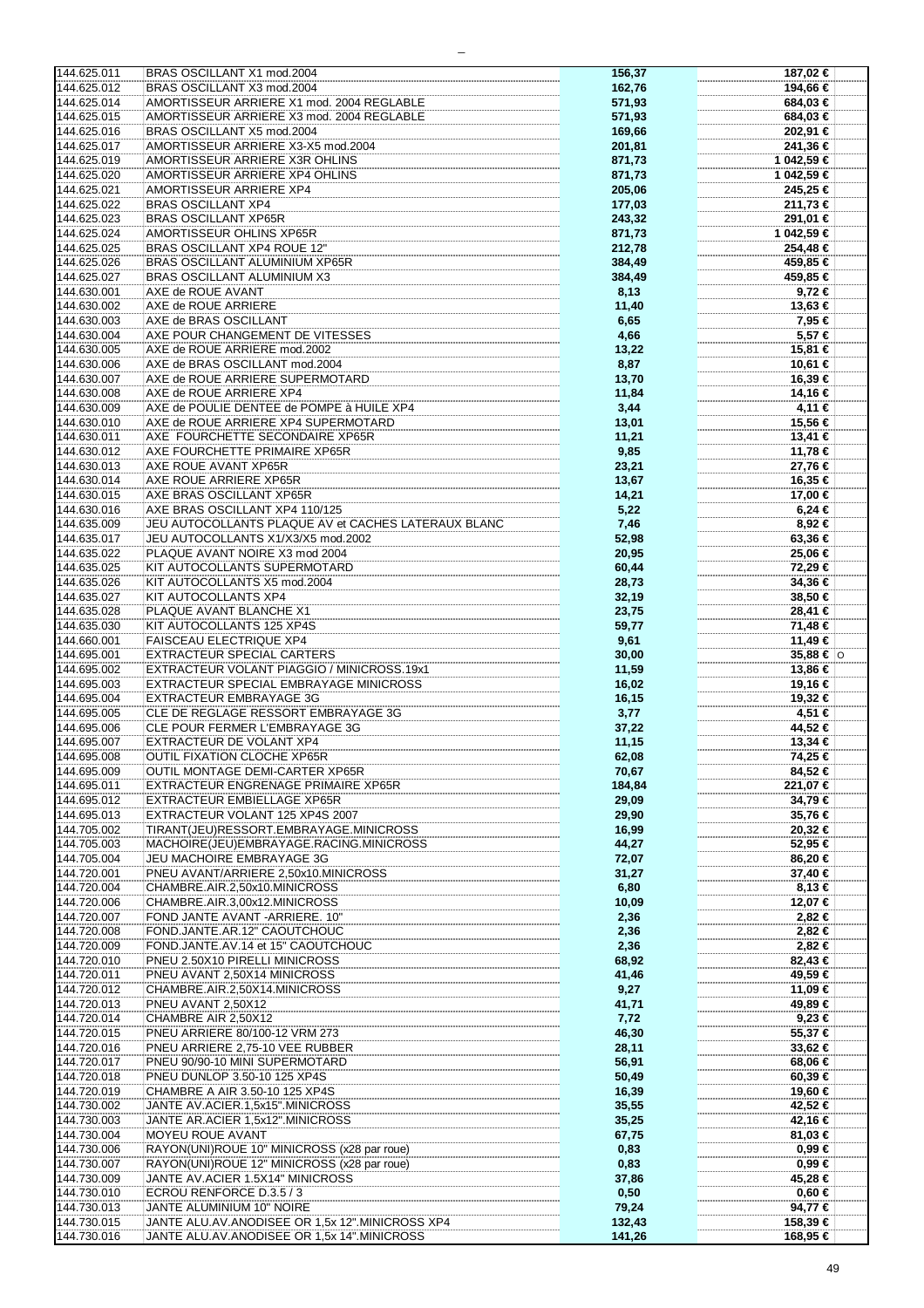| 144.625.011<br>144.625.012<br>144.625.014 |                                                                                                |                  |                      |
|-------------------------------------------|------------------------------------------------------------------------------------------------|------------------|----------------------|
|                                           | BRAS OSCILLANT X1 mod.2004                                                                     | 156,37           | 187,02 €             |
|                                           |                                                                                                |                  |                      |
|                                           | BRAS OSCILLANT X3 mod.2004                                                                     | 162,76           | 194,66 €             |
|                                           | AMORTISSEUR ARRIERE X1 mod. 2004 REGLABLE                                                      | 571,93           | 684,03 €             |
|                                           |                                                                                                |                  |                      |
| 144.625.015                               | AMORTISSEUR ARRIERE X3 mod. 2004 REGLABLE                                                      | 571,93           | 684,03 €             |
|                                           |                                                                                                |                  |                      |
| 144.625.016                               | BRAS OSCILLANT X5 mod.2004                                                                     | 169,66           | 202,91 €             |
| 144.625.017                               | AMORTISSEUR ARRIERE X3-X5 mod.2004                                                             | 201,81           | 241,36 €             |
|                                           |                                                                                                |                  |                      |
| 144.625.019                               | AMORTISSEUR ARRIERE X3R OHLINS                                                                 | 871,73           | 1 042,59 €           |
|                                           |                                                                                                |                  |                      |
| 144.625.020                               | AMORTISSEUR ARRIERE XP4 OHLINS                                                                 | 871,73           | 1 042,59 €           |
| 144.625.021                               | AMORTISSEUR ARRIERE XP4                                                                        | 205,06           | 245,25 €             |
|                                           |                                                                                                |                  |                      |
| 144.625.022                               | <b>BRAS OSCILLANT XP4</b>                                                                      | 177,03           | 211,73 €             |
|                                           |                                                                                                |                  |                      |
| 144.625.023                               | <b>BRAS OSCILLANT XP65R</b>                                                                    | 243,32           | 291,01 €             |
|                                           |                                                                                                |                  |                      |
| 144.625.024                               | AMORTISSEUR OHLINS XP65R                                                                       | 871,73           | 1 042,59 €           |
| 144.625.025                               | BRAS OSCILLANT XP4 ROUE 12"                                                                    | 212,78           | 254,48 €             |
|                                           |                                                                                                |                  |                      |
| 144.625.026                               | <b>BRAS OSCILLANT ALUMINIUM XP65R</b>                                                          | 384,49           | 459,85 €             |
|                                           |                                                                                                |                  |                      |
| 144.625.027                               | <b>BRAS OSCILLANT ALUMINIUM X3</b>                                                             | 384,49           | 459,85 €             |
|                                           |                                                                                                |                  |                      |
| 144.630.001                               | AXE de ROUE AVANT                                                                              | 8,13             | 9,72 €               |
| 144.630.002                               | AXE de ROUE ARRIERE                                                                            | 11,40            | 13,63 €              |
|                                           |                                                                                                |                  |                      |
| 144.630.003                               | AXE de BRAS OSCILLANT                                                                          | 6,65             | 7,95 €               |
|                                           |                                                                                                |                  |                      |
| 144.630.004                               | AXE POUR CHANGEMENT DE VITESSES                                                                | 4,66             | 5,57 €               |
| 144.630.005                               | AXE de ROUE ARRIERE mod.2002                                                                   | 13,22            | 15,81 €              |
|                                           |                                                                                                |                  |                      |
| 144.630.006                               | AXE de BRAS OSCILLANT mod.2004                                                                 | 8,87             | 10,61 €              |
|                                           |                                                                                                |                  |                      |
| 144.630.007                               | AXE de ROUE ARRIERE SUPERMOTARD                                                                | 13,70            | 16,39 €              |
| 144.630.008                               | AXE de ROUE ARRIERE XP4                                                                        |                  |                      |
|                                           |                                                                                                | 11,84            | 14,16 €              |
| 144.630.009                               | AXE de POULIE DENTEE de POMPE à HUILE XP4                                                      | 3,44             | 4,11 €               |
|                                           |                                                                                                |                  |                      |
| 144.630.010                               | AXE de ROUE ARRIERE XP4 SUPERMOTARD                                                            | 13,01            | 15,56 €              |
|                                           |                                                                                                |                  |                      |
| 144.630.011                               | AXE FOURCHETTE SECONDAIRE XP65R                                                                | 11,21            | 13,41 €              |
| 144.630.012                               | AXE FOURCHETTE PRIMAIRE XP65R                                                                  | 9,85             | 11,78 €              |
|                                           |                                                                                                |                  |                      |
| 144.630.013                               | AXE ROUE AVANT XP65R                                                                           | 23,21            | 27,76 €              |
|                                           |                                                                                                |                  |                      |
| 144.630.014                               | AXE ROUE ARRIERE XP65R                                                                         | 13,67            | 16,35 €              |
|                                           |                                                                                                |                  |                      |
| 144.630.015                               | AXE BRAS OSCILLANT XP65R                                                                       | 14,21            | 17,00 €              |
| 144.630.016                               | AXE BRAS OSCILLANT XP4 110/125                                                                 | 5,22             | $6,24 \in$           |
|                                           |                                                                                                |                  |                      |
| 144.635.009                               | JEU AUTOCOLLANTS PLAQUE AV et CACHES LATERAUX BLANC                                            | 7,46             | 8,92 €               |
|                                           |                                                                                                |                  |                      |
| 144.635.017                               | JEU AUTOCOLLANTS X1/X3/X5 mod.2002                                                             | 52,98            | 63,36 €              |
|                                           |                                                                                                |                  |                      |
| 144.635.022                               | PLAQUE AVANT NOIRE X3 mod 2004                                                                 | 20,95            | 25,06 €              |
| 144.635.025                               | KIT AUTOCOLLANTS SUPERMOTARD                                                                   | 60,44            | 72,29 €              |
|                                           |                                                                                                |                  |                      |
| 144.635.026                               | KIT AUTOCOLLANTS X5 mod.2004                                                                   | 28,73            | 34,36 €              |
|                                           |                                                                                                |                  |                      |
| 144.635.027                               | KIT AUTOCOLLANTS XP4                                                                           | 32,19            | 38,50 €              |
| 144.635.028                               | PLAQUE AVANT BLANCHE X1                                                                        |                  | 28,41 €              |
|                                           |                                                                                                | 23,75            |                      |
| 144.635.030                               | KIT AUTOCOLLANTS 125 XP4S                                                                      | 59,77            | 71,48 €              |
|                                           |                                                                                                |                  |                      |
| 144.660.001                               | <b>FAISCEAU ELECTRIQUE XP4</b>                                                                 | 9,61             | 11,49 €              |
|                                           |                                                                                                |                  |                      |
| 144.695.001                               | <b>EXTRACTEUR SPECIAL CARTERS</b>                                                              | 30,00            | $35,88$ € $\circ$    |
| 144.695.002                               | EXTRACTEUR VOLANT PIAGGIO / MINICROSS.19x1                                                     | 11,59            | 13,86 €              |
|                                           |                                                                                                |                  |                      |
| 144.695.003                               | EXTRACTEUR SPECIAL EMBRAYAGE MINICROSS                                                         | 16,02            | 19,16 €              |
|                                           |                                                                                                |                  |                      |
| 144.695.004                               | EXTRACTEUR EMBRAYAGE 3G                                                                        | 16,15            | 19.32 €              |
| 144.695.005                               | CLE DE REGLAGE RESSORT EMBRAYAGE 3G                                                            |                  | 4,51 €               |
|                                           |                                                                                                | 3,77             |                      |
| 144.695.006                               | CLE POUR FERMER L'EMBRAYAGE 3G                                                                 | 37,22            | 44,52 €              |
|                                           |                                                                                                |                  |                      |
| 144.695.007                               | EXTRACTEUR DE VOLANT XP4                                                                       | 11,15            | 13,34 €              |
| 144.695.008                               | <b>OUTIL FIXATION CLOCHE XP65R</b>                                                             |                  |                      |
|                                           |                                                                                                | 62,08            |                      |
| 144.695.009                               | OUTIL MONTAGE DEMI-CARTER XP65R                                                                |                  | 74.25 €              |
|                                           |                                                                                                |                  |                      |
|                                           |                                                                                                | 70,67            | 84,52€               |
|                                           | EXTRACTEUR ENGRENAGE PRIMAIRE XP65R                                                            |                  |                      |
| 144.695.011                               |                                                                                                | 184,84           | 221,07 €             |
| 144.695.012                               | <b>EXTRACTEUR EMBIELLAGE XP65R</b>                                                             | 29,09            | 34,79€               |
|                                           |                                                                                                |                  |                      |
| 144.695.013                               | EXTRACTEUR VOLANT 125 XP4S 2007                                                                | 29,90            | 35,76 €              |
| 144.705.002                               |                                                                                                |                  |                      |
|                                           | TIRANT(JEU)RESSORT.EMBRAYAGE.MINICROSS                                                         | 16,99            | 20,32 €              |
| 144.705.003                               | MACHOIRE(JEU)EMBRAYAGE.RACING.MINICROSS                                                        | 44,27            | 52,95 €              |
|                                           |                                                                                                |                  |                      |
| 144.705.004                               | JEU MACHOIRE EMBRAYAGE 3G                                                                      | 72,07            | 86,20 €              |
|                                           |                                                                                                |                  |                      |
| 144.720.001                               | PNEU AVANT/ARRIERE 2,50x10.MINICROSS                                                           | 31,27            | 37,40 €              |
| 144.720.004                               | CHAMBRE.AIR.2,50x10.MINICROSS                                                                  | 6,80             | 8,13€                |
|                                           |                                                                                                |                  |                      |
| 144.720.006                               | CHAMBRE.AIR.3,00x12.MINICROSS                                                                  | 10,09            | 12,07 €              |
|                                           |                                                                                                |                  |                      |
| 144.720.007                               | FOND JANTE AVANT - ARRIERE. 10"                                                                | 2,36             | 2,82 €               |
|                                           |                                                                                                |                  |                      |
| 144.720.008                               | FOND.JANTE.AR.12" CAOUTCHOUC                                                                   | 2,36             | 2,82 €               |
| 144.720.009                               | FOND.JANTE.AV.14 et 15" CAOUTCHOUC                                                             | 2,36             | 2,82 €               |
|                                           |                                                                                                |                  |                      |
| 144.720.010                               | PNEU 2.50X10 PIRELLI MINICROSS                                                                 | 68,92            | 82,43 €              |
|                                           |                                                                                                |                  |                      |
| 144.720.011                               | PNEU AVANT 2,50X14 MINICROSS                                                                   | 41,46            | 49,59€               |
| 144.720.012                               | CHAMBRE.AIR.2,50X14.MINICROSS                                                                  | 9,27             | 11,09 €              |
|                                           |                                                                                                |                  |                      |
| 144.720.013                               | PNEU AVANT 2,50X12                                                                             | 41,71            | 49,89 €              |
|                                           |                                                                                                |                  |                      |
| 144.720.014                               | CHAMBRE AIR 2,50X12                                                                            | 7,72             | $9,23 \in$           |
|                                           |                                                                                                |                  |                      |
| 144.720.015                               | PNEU ARRIERE 80/100-12 VRM 273                                                                 | 46,30            | 55,37 €              |
| 144.720.016                               | PNEU ARRIERE 2,75-10 VEE RUBBER                                                                | 28,11            | 33,62 €              |
|                                           |                                                                                                |                  |                      |
| 144.720.017                               | PNEU 90/90-10 MINI SUPERMOTARD                                                                 | 56,91            | 68,06 €              |
|                                           |                                                                                                |                  |                      |
| 144.720.018                               | PNEU DUNLOP 3.50-10 125 XP4S                                                                   | 50,49            | 60,39€               |
| 144.720.019                               | CHAMBRE A AIR 3.50-10 125 XP4S                                                                 | 16,39            | 19,60 €              |
|                                           |                                                                                                |                  |                      |
| 144.730.002                               | JANTE AV.ACIER.1,5x15".MINICROSS                                                               | 35,55            | 42,52 €              |
|                                           |                                                                                                |                  |                      |
| 144.730.003                               | JANTE AR.ACIER 1,5x12".MINICROSS                                                               | 35,25            | 42,16 €              |
| 144.730.004                               |                                                                                                |                  |                      |
|                                           | MOYEU ROUE AVANT                                                                               | 67,75            | 81,03 €              |
| 144.730.006                               | RAYON(UNI)ROUE 10" MINICROSS (x28 par roue)                                                    | 0,83             | 0,99€                |
|                                           |                                                                                                |                  |                      |
| 144.730.007                               | RAYON(UNI)ROUE 12" MINICROSS (x28 par roue)                                                    | 0,83             | $0,99 \in$           |
|                                           |                                                                                                |                  |                      |
| 144.730.009                               | JANTE AV.ACIER 1.5X14" MINICROSS                                                               | 37,86            | 45,28 €              |
|                                           |                                                                                                |                  |                      |
| 144.730.010                               | ECROU RENFORCE D.3.5 / 3                                                                       | 0,50             | $0,60 \in$           |
| 144.730.013                               | JANTE ALUMINIUM 10" NOIRE                                                                      | 79,24            | 94,77 €              |
|                                           |                                                                                                |                  |                      |
| 144.730.015<br>144.730.016                | JANTE ALU.AV.ANODISEE OR 1,5x 12".MINICROSS XP4<br>JANTE ALU.AV.ANODISEE OR 1,5x 14".MINICROSS | 132,43<br>141,26 | 158,39 €<br>168,95 € |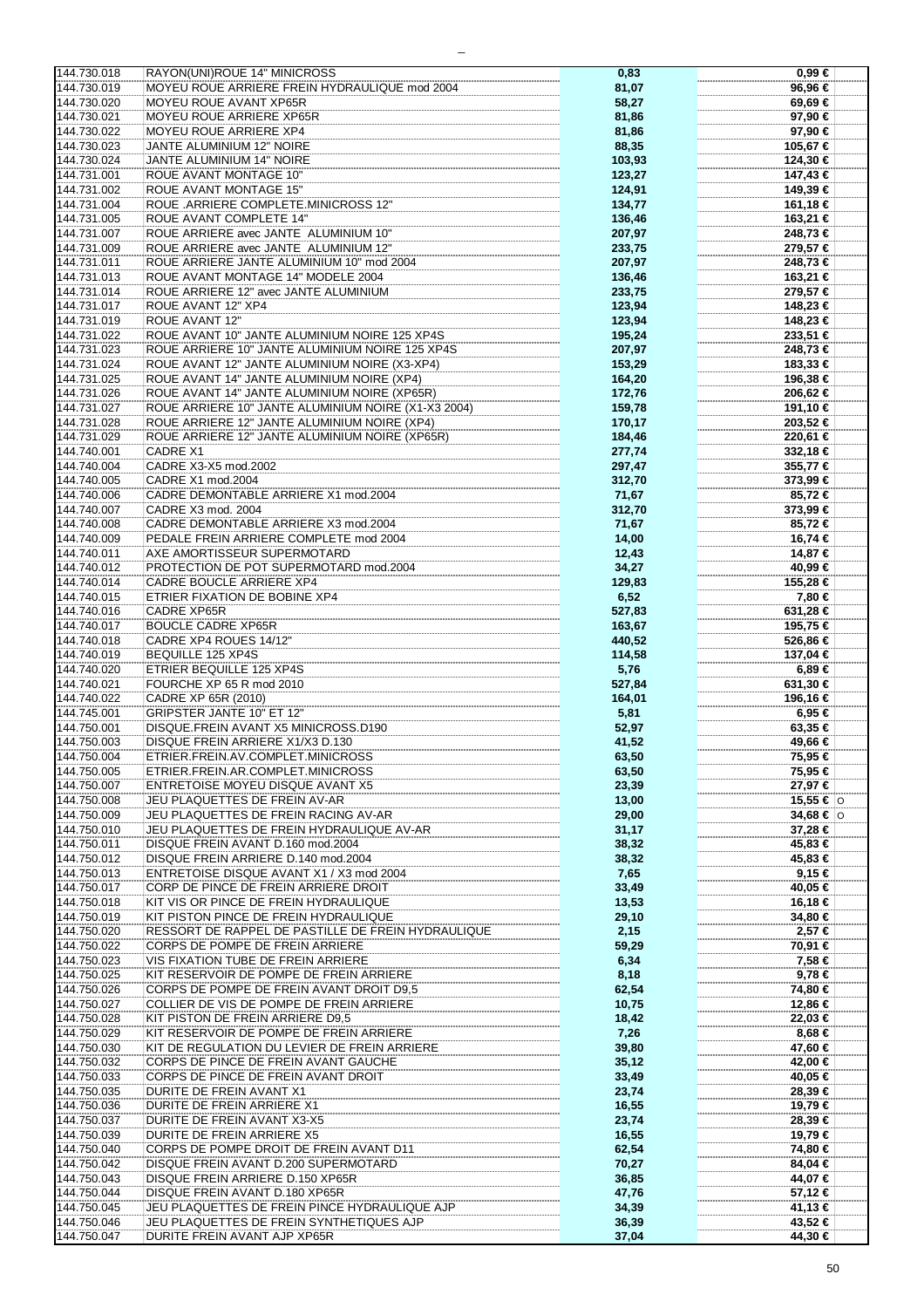|                            | RAYON(UNI)ROUE 14" MINICROSS                                             | 0,83           | $0,99 \in$         |
|----------------------------|--------------------------------------------------------------------------|----------------|--------------------|
| 144.730.018                |                                                                          |                |                    |
| 144.730.019                | MOYEU ROUE ARRIERE FREIN HYDRAULIQUE mod 2004                            | 81,07          | 96,96 €            |
| 144.730.020                | MOYEU ROUE AVANT XP65R                                                   | 58,27          | 69,69€             |
|                            |                                                                          |                |                    |
| 144.730.021                | MOYEU ROUE ARRIERE XP65R                                                 | 81,86          | 97,90 €            |
| 144.730.022                | MOYEU ROUE ARRIERE XP4                                                   | 81,86          | 97,90 €            |
|                            |                                                                          |                |                    |
| 144.730.023                | JANTE ALUMINIUM 12" NOIRE                                                | 88,35          | 105,67 €           |
| 144.730.024                | <b>JANTE ALUMINIUM 14" NOIRE</b>                                         | 103,93         | 124,30 €           |
|                            |                                                                          |                |                    |
| 144.731.001                | <b>ROUE AVANT MONTAGE 10"</b>                                            | 123,27         | 147,43 €           |
| 144.731.002                | ROUE AVANT MONTAGE 15"                                                   | 124,91         | 149,39 €           |
|                            |                                                                          |                |                    |
| 144.731.004                | ROUE .ARRIERE COMPLETE.MINICROSS 12"                                     | 134,77         | 161,18 €           |
| 144.731.005                | <b>ROUE AVANT COMPLETE 14"</b>                                           | 136,46         | 163,21 €           |
|                            |                                                                          |                |                    |
| 144.731.007                | ROUE ARRIERE avec JANTE ALUMINIUM 10"                                    | 207,97         | 248,73 €           |
| 144.731.009                | ROUE ARRIERE avec JANTE ALUMINIUM 12"                                    | 233,75         | 279,57 €           |
|                            |                                                                          |                |                    |
| 144.731.011                | ROUE ARRIERE JANTE ALUMINIUM 10" mod 2004                                | 207,97         | 248,73 €           |
| 144.731.013                | ROUE AVANT MONTAGE 14" MODELE 2004                                       | 136,46         | 163,21 €           |
|                            |                                                                          |                |                    |
| 144.731.014                | ROUE ARRIERE 12" avec JANTE ALUMINIUM                                    | 233,75         | 279,57 €           |
| 144.731.017                | ROUE AVANT 12" XP4                                                       | 123,94         | 148,23 €           |
|                            |                                                                          |                |                    |
| 144.731.019                | <b>ROUE AVANT 12"</b>                                                    | 123,94         | 148,23 €           |
| 144.731.022                | ROUE AVANT 10" JANTE ALUMINIUM NOIRE 125 XP4S                            | 195,24         | 233,51 €           |
|                            |                                                                          |                |                    |
| 144.731.023                | ROUE ARRIERE 10" JANTE ALUMINIUM NOIRE 125 XP4S                          | 207,97         | 248,73 €           |
| 144.731.024                | ROUE AVANT 12" JANTE ALUMINIUM NOIRE (X3-XP4)                            | 153,29         | 183,33 €           |
|                            |                                                                          |                |                    |
| 144.731.025                | ROUE AVANT 14" JANTE ALUMINIUM NOIRE (XP4)                               | 164,20         | 196,38 €           |
| 144.731.026                | ROUE AVANT 14" JANTE ALUMINIUM NOIRE (XP65R)                             | 172,76         | 206,62 €           |
|                            |                                                                          |                |                    |
| 144.731.027                | ROUE ARRIERE 10" JANTE ALUMINIUM NOIRE (X1-X3 2004)                      | 159,78         | 191,10 €           |
| 144.731.028                | ROUE ARRIERE 12" JANTE ALUMINIUM NOIRE (XP4)                             | 170,17         | 203,52 €           |
|                            |                                                                          |                |                    |
| 144.731.029                | ROUE ARRIERE 12" JANTE ALUMINIUM NOIRE (XP65R)                           | 184,46         | 220,61 €           |
| 144.740.001                | CADRE X1                                                                 | 277,74         | 332,18 €           |
|                            |                                                                          |                |                    |
| 144.740.004                | CADRE X3-X5 mod.2002                                                     | 297,47         | 355,77 €           |
| 144.740.005                | CADRE X1 mod.2004                                                        | 312,70         | 373,99 €           |
| 144.740.006                | CADRE DEMONTABLE ARRIERE X1 mod.2004                                     |                |                    |
|                            |                                                                          | 71,67          | 85,72€             |
| 144.740.007                | CADRE X3 mod. 2004                                                       | 312,70         | 373,99 €           |
|                            | CADRE DEMONTABLE ARRIERE X3 mod.2004                                     |                |                    |
| 144.740.008                |                                                                          | 71,67          | 85,72€             |
| 144.740.009                | PEDALE FREIN ARRIERE COMPLETE mod 2004                                   | 14,00          | 16,74 €            |
|                            |                                                                          |                |                    |
| 144.740.011                | AXE AMORTISSEUR SUPERMOTARD                                              | 12,43          | 14,87 €            |
| 144.740.012                | PROTECTION DE POT SUPERMOTARD mod.2004                                   | 34,27          | 40,99 €            |
| 144.740.014                | CADRE BOUCLE ARRIERE XP4                                                 |                | 155,28 €           |
|                            |                                                                          | 129,83         |                    |
| 144.740.015                | ETRIER FIXATION DE BOBINE XP4                                            | 6,52           | 7,80 €             |
|                            | <b>CADRE XP65R</b>                                                       |                |                    |
| 144.740.016                |                                                                          | 527,83         | 631,28 €           |
| 144.740.017                | <b>BOUCLE CADRE XP65R</b>                                                | 163,67         | 195,75 €           |
| 144.740.018                | CADRE XP4 ROUES 14/12"                                                   | 440,52         | 526,86 €           |
|                            |                                                                          |                |                    |
| 144.740.019                | BEQUILLE 125 XP4S                                                        | 114,58         | 137,04 €           |
| 144.740.020                | ETRIER BEQUILLE 125 XP4S                                                 | 5,76           | $6,89 \in$         |
|                            |                                                                          |                |                    |
|                            |                                                                          |                |                    |
| 144.740.021                | FOURCHE XP 65 R mod 2010                                                 | 527,84         | 631,30 €           |
|                            |                                                                          |                |                    |
| 144.740.022                | CADRE XP 65R (2010)                                                      | 164,01         | 196,16 €           |
| 144.745.001                | <b>GRIPSTER JANTE 10" ET 12"</b>                                         | 5,81           | 6,95 €             |
|                            |                                                                          |                |                    |
| 144.750.001                | DISQUE.FREIN AVANT X5 MINICROSS.D190                                     | 52,97          | 63,35 €            |
| 144.750.003                | DISQUE FREIN ARRIERE X1/X3 D.130                                         | 41,52          | 49,66 €            |
|                            |                                                                          |                |                    |
| 144.750.004                | ETRIER.FREIN.AV.COMPLET.MINICROSS                                        | 63,50          | 75,95 €            |
| 144.750.005                | ETRIER.FREIN.AR.COMPLET.MINICROSS                                        | 63,50          | 75,95 €            |
| 144.750.007                | ENTRETOISE MOYEU DISQUE AVANT X5                                         |                |                    |
|                            |                                                                          | 23,39          | 27,97 €            |
| 144.750.008                | JEU PLAQUETTES DE FREIN AV-AR                                            | 13,00          | 15,55 € $ $ ⊙      |
| 144.750.009                | JEU PLAQUETTES DE FREIN RACING AV-AR                                     | 29,00          | 34,68 € $\circ$    |
|                            |                                                                          |                |                    |
| 144.750.010                | JEU PLAQUETTES DE FREIN HYDRAULIQUE AV-AR                                | 31,17          | 37,28 €            |
| 144.750.011                | DISQUE FREIN AVANT D.160 mod.2004                                        | 38,32          | 45,83 €            |
|                            |                                                                          |                |                    |
| 144.750.012                | DISQUE FREIN ARRIERE D.140 mod.2004                                      | 38,32          | 45,83 €            |
| 144.750.013                | ENTRETOISE DISQUE AVANT X1 / X3 mod 2004                                 | 7,65           | 9,15€              |
| 144.750.017                | CORP DE PINCE DE FREIN ARRIERE DROIT                                     | 33,49          | 40,05 €            |
|                            |                                                                          |                |                    |
| 144.750.018                | KIT VIS OR PINCE DE FREIN HYDRAULIQUE                                    | 13,53          | 16,18 €            |
| 144.750.019                | KIT PISTON PINCE DE FREIN HYDRAULIQUE                                    | 29,10          | 34,80 €            |
|                            |                                                                          |                |                    |
| 144.750.020                | RESSORT DE RAPPEL DE PASTILLE DE FREIN HYDRAULIQUE                       | 2,15           | 2,57 €             |
| 144.750.022                | CORPS DE POMPE DE FREIN ARRIERE                                          |                |                    |
|                            |                                                                          | 59,29          | 70,91 €            |
| 144.750.023                | VIS FIXATION TUBE DE FREIN ARRIERE                                       | 6,34           | 7,58 €             |
| 144.750.025                | KIT RESERVOIR DE POMPE DE FREIN ARRIERE                                  |                | 9,78€              |
|                            |                                                                          | 8,18           |                    |
| 144.750.026                | CORPS DE POMPE DE FREIN AVANT DROIT D9,5                                 | 62,54          | 74,80 €            |
| 144.750.027                | COLLIER DE VIS DE POMPE DE FREIN ARRIERE                                 | 10,75          | 12,86 €            |
|                            |                                                                          |                |                    |
| 144.750.028                | KIT PISTON DE FREIN ARRIERE D9,5                                         | 18,42          | 22,03 €            |
| 144.750.029                | KIT RESERVOIR DE POMPE DE FREIN ARRIERE                                  | 7,26           | 8,68 €             |
|                            |                                                                          |                |                    |
| 144.750.030                | KIT DE REGULATION DU LEVIER DE FREIN ARRIERE                             | 39,80          | 47,60 €            |
| 144.750.032                | CORPS DE PINCE DE FREIN AVANT GAUCHE                                     | 35,12          | 42,00 €            |
|                            |                                                                          |                |                    |
| 144.750.033                | CORPS DE PINCE DE FREIN AVANT DROIT                                      | 33,49          | 40,05 €            |
| 144.750.035                | DURITE DE FREIN AVANT X1                                                 | 23,74          | 28,39 €            |
|                            |                                                                          |                |                    |
| 144.750.036                | DURITE DE FREIN ARRIERE X1                                               | 16,55          | 19,79 €            |
| 144.750.037                | DURITE DE FREIN AVANT X3-X5                                              | 23,74          | 28,39 €            |
|                            |                                                                          |                |                    |
| 144.750.039                | DURITE DE FREIN ARRIERE X5                                               | 16,55          | 19,79 €            |
| 144.750.040                | CORPS DE POMPE DROIT DE FREIN AVANT D11                                  | 62,54          | 74,80 €            |
|                            |                                                                          |                |                    |
| 144.750.042                | DISQUE FREIN AVANT D.200 SUPERMOTARD                                     | 70,27          | 84,04 €            |
| 144.750.043                | DISQUE FREIN ARRIERE D.150 XP65R                                         | 36,85          | 44,07 €            |
|                            |                                                                          |                |                    |
| 144.750.044                | DISQUE FREIN AVANT D.180 XP65R                                           | 47,76          | 57,12 €            |
| 144.750.045                | JEU PLAQUETTES DE FREIN PINCE HYDRAULIQUE AJP                            | 34,39          | 41,13 €            |
|                            |                                                                          |                |                    |
| 144.750.046<br>144.750.047 | JEU PLAQUETTES DE FREIN SYNTHETIQUES AJP<br>DURITE FREIN AVANT AJP XP65R | 36,39<br>37,04 | 43,52 €<br>44,30 € |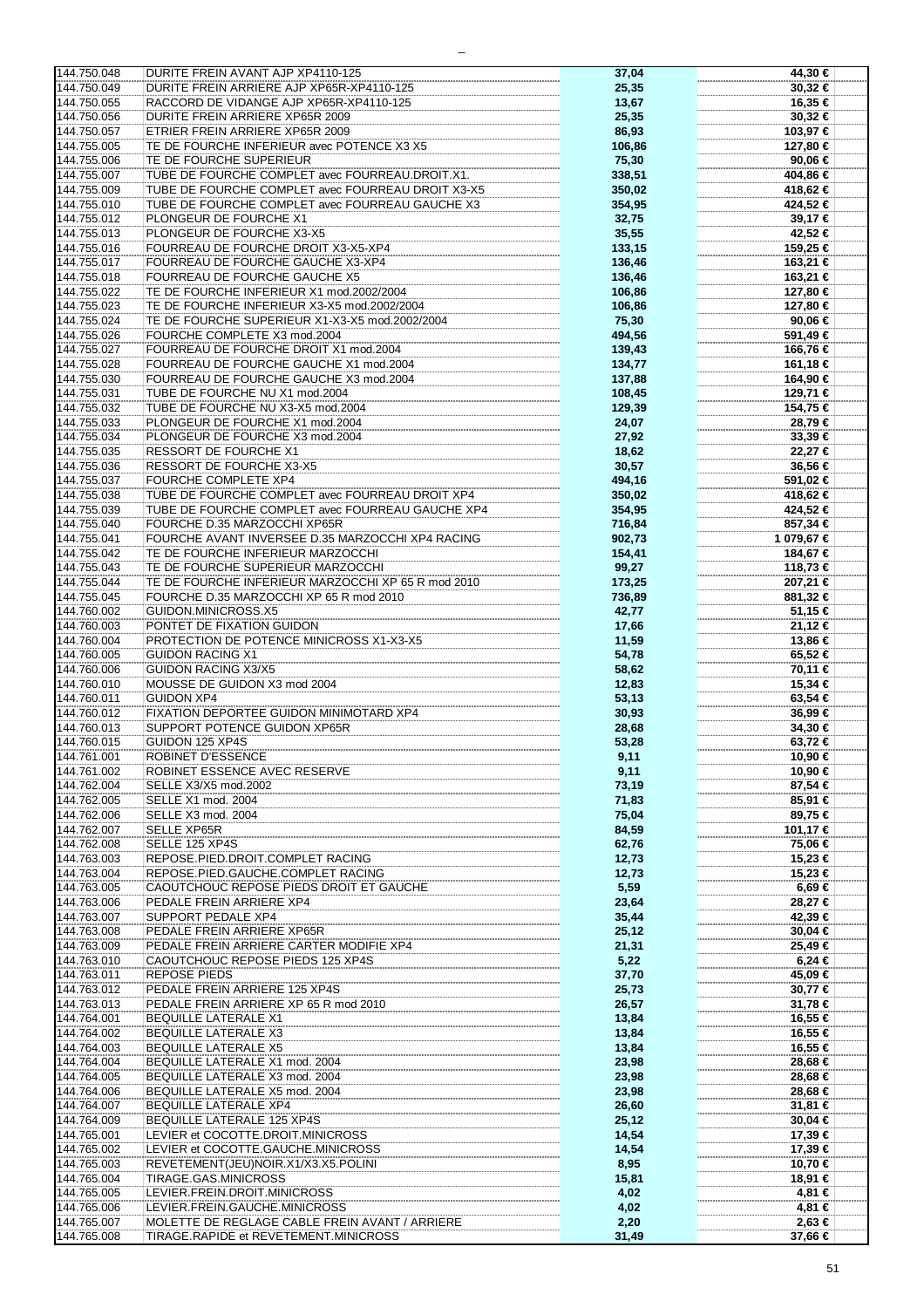| 144.750.048                | DURITE FREIN AVANT AJP XP4110-125                                                       | 37,04         | 44,30 €           |
|----------------------------|-----------------------------------------------------------------------------------------|---------------|-------------------|
| 144.750.049                | DURITE FREIN ARRIERE AJP XP65R-XP4110-125                                               | 25,35         | 30,32 €           |
| 144.750.055                | RACCORD DE VIDANGE AJP XP65R-XP4110-125                                                 | 13,67         | 16,35 €           |
| 144.750.056                | DURITE FREIN ARRIERE XP65R 2009                                                         | 25,35         | 30,32 €           |
| 144.750.057                | ETRIER FREIN ARRIERE XP65R 2009                                                         | 86,93         | 103,97 €          |
|                            |                                                                                         |               |                   |
| 144.755.005                | TE DE FOURCHE INFERIEUR avec POTENCE X3 X5                                              | 106,86        | 127,80 €          |
| 144.755.006                | TE DE FOURCHE SUPERIEUR                                                                 | 75,30         | 90,06 €           |
| 144.755.007                | TUBE DE FOURCHE COMPLET avec FOURREAU.DROIT.X1.                                         | 338,51        | 404,86 €          |
| 144.755.009                | TUBE DE FOURCHE COMPLET avec FOURREAU DROIT X3-X5                                       | 350,02        | 418,62 €          |
| 144.755.010                | TUBE DE FOURCHE COMPLET avec FOURREAU GAUCHE X3                                         | 354,95        | 424,52 €          |
| 144.755.012                | PLONGEUR DE FOURCHE X1                                                                  | 32,75         | 39,17 €           |
| 144.755.013                | PLONGEUR DE FOURCHE X3-X5                                                               |               | 42,52 €           |
|                            |                                                                                         | 35,55         |                   |
| 144.755.016                | FOURREAU DE FOURCHE DROIT X3-X5-XP4                                                     | 133,15        | 159,25 €          |
| 144.755.017                | FOURREAU DE FOURCHE GAUCHE X3-XP4                                                       | 136,46        | 163,21 €          |
| 144.755.018                | FOURREAU DE FOURCHE GAUCHE X5                                                           | 136,46        | 163,21 €          |
| 144.755.022                | TE DE FOURCHE INFERIEUR X1 mod.2002/2004                                                | 106,86        | 127,80 €          |
| 144.755.023                | TE DE FOURCHE INFERIEUR X3-X5 mod.2002/2004                                             | 106,86        | 127,80 €          |
| 144.755.024                | TE DE FOURCHE SUPERIEUR X1-X3-X5 mod.2002/2004                                          | 75,30         | 90,06 €           |
| 144.755.026                | FOURCHE COMPLETE X3 mod.2004                                                            | 494,56        | 591,49 €          |
|                            |                                                                                         |               |                   |
| 144.755.027                | FOURREAU DE FOURCHE DROIT X1 mod.2004                                                   | 139,43        | 166,76 €          |
| 144.755.028                | FOURREAU DE FOURCHE GAUCHE X1 mod.2004                                                  | 134,77        | 161,18 €          |
| 144.755.030                | FOURREAU DE FOURCHE GAUCHE X3 mod.2004                                                  | 137,88        | 164,90 €          |
| 144.755.031                | TUBE DE FOURCHE NU X1 mod.2004                                                          | 108,45        | 129,71 €          |
| 144.755.032                | TUBE DE FOURCHE NU X3-X5 mod.2004                                                       | 129,39        | 154,75 €          |
| 144.755.033                | PLONGEUR DE FOURCHE X1 mod.2004                                                         | 24,07         | 28,79 €           |
| 144.755.034                | PLONGEUR DE FOURCHE X3 mod.2004                                                         |               | 33,39 €           |
|                            |                                                                                         | 27,92         |                   |
| 144.755.035                | <b>RESSORT DE FOURCHE X1</b>                                                            | 18,62         | 22,27 €           |
| 144.755.036                | RESSORT DE FOURCHE X3-X5                                                                | 30,57         | 36,56 €           |
| 144.755.037                | <b>FOURCHE COMPLETE XP4</b>                                                             | 494,16        | 591,02 €          |
| 144.755.038                | TUBE DE FOURCHE COMPLET avec FOURREAU DROIT XP4                                         | 350,02        | 418,62 €          |
| 144.755.039                | TUBE DE FOURCHE COMPLET avec FOURREAU GAUCHE XP4                                        | 354,95        | 424,52 €          |
| 144.755.040                | FOURCHE D.35 MARZOCCHI XP65R                                                            | 716,84        | 857,34 €          |
| 144.755.041                | FOURCHE AVANT INVERSEE D.35 MARZOCCHI XP4 RACING                                        | 902,73        | 1 079,67 €        |
| 144.755.042                | TE DE FOURCHE INFERIEUR MARZOCCHI                                                       | 154,41        | 184,67 €          |
| 144.755.043                | TE DE FOURCHE SUPERIEUR MARZOCCHI                                                       | 99,27         | 118,73 €          |
| 144.755.044                | TE DE FOURCHE INFERIEUR MARZOCCHI XP 65 R mod 2010                                      | 173,25        | 207,21 €          |
| 144.755.045                | FOURCHE D.35 MARZOCCHI XP 65 R mod 2010                                                 | 736,89        | 881,32 €          |
| 144.760.002                | GUIDON.MINICROSS.X5                                                                     | 42,77         | 51,15 €           |
|                            |                                                                                         |               |                   |
| 144.760.003                | PONTET DE FIXATION GUIDON                                                               | 17,66         | 21,12 €           |
| 144.760.004                | PROTECTION DE POTENCE MINICROSS X1-X3-X5                                                | 11,59         | 13,86 €           |
| 144.760.005                | <b>GUIDON RACING X1</b>                                                                 | 54,78         | 65,52€            |
| 144.760.006                | <b>GUIDON RACING X3/X5</b>                                                              | 58,62         | 70,11 €           |
| 144.760.010                | MOUSSE DE GUIDON X3 mod 2004                                                            | 12,83         | 15,34 €           |
| 144.760.011                | <b>GUIDON XP4</b>                                                                       | 53,13         | 63,54 €           |
| 144.760.012                | FIXATION DEPORTEE GUIDON MINIMOTARD XP4                                                 | 30,93         | 36,99€            |
| 144.760.013                | SUPPORT POTENCE GUIDON XP65R                                                            | 28,68         | 34,30 €           |
| 144.760.015                | GUIDON 125 XP4S                                                                         | 53,28         | 63,72€            |
| 144.761.001                | ROBINET D'ESSENCE                                                                       | 9,11          | 10.90 €           |
| 144.761.002                | ROBINET ESSENCE AVEC RESERVE                                                            | 9,11          | 10,90 €           |
| 144.762.004                | SELLE X3/X5 mod.2002                                                                    | 73,19         | 87,54 €           |
| 144.762.005                | SELLE X1 mod. 2004                                                                      | 71,83         | 85,91 €           |
| 144.762.006                | SELLE X3 mod. 2004                                                                      | 75,04         | 89,75 €           |
|                            | SELLE XP65R                                                                             |               |                   |
| 144.762.007                |                                                                                         | 84,59         | 101,17 €          |
| 144.762.008                | SELLE 125 XP4S                                                                          | 62,76         | 75,06 €           |
| 144.763.003                | REPOSE.PIED.DROIT.COMPLET RACING                                                        | 12,73         | 15,23 €           |
| 144.763.004                | REPOSE.PIED.GAUCHE.COMPLET RACING                                                       | 12,73         | 15,23 €           |
| 144.763.005                | CAOUTCHOUC REPOSE PIEDS DROIT ET GAUCHE                                                 | 5,59          | 6,69€             |
| 144.763.006                | PEDALE FREIN ARRIERE XP4                                                                | 23,64         | 28,27 €           |
| 144.763.007                | <b>SUPPORT PEDALE XP4</b>                                                               | 35,44         | 42,39 €           |
| 144.763.008                | PEDALE FREIN ARRIERE XP65R                                                              | 25,12         | 30,04 €           |
| 144.763.009                | PEDALE FREIN ARRIERE CARTER MODIFIE XP4                                                 | 21,31         | 25,49 €           |
| 144.763.010                | CAOUTCHOUC REPOSE PIEDS 125 XP4S                                                        | 5,22          | 6,24 €            |
| 144.763.011                | <b>REPOSE PIEDS</b>                                                                     | 37,70         | 45,09 €           |
|                            |                                                                                         |               |                   |
|                            |                                                                                         |               |                   |
| 144.763.012                | PEDALE FREIN ARRIERE 125 XP4S                                                           | 25,73         | 30,77 €           |
| 144.763.013                | PEDALE FREIN ARRIERE XP 65 R mod 2010                                                   | 26,57         | 31,78 €           |
| 144.764.001                | <b>BEQUILLE LATERALE X1</b>                                                             | 13,84         | 16,55 €           |
| 144.764.002                | <b>BEQUILLE LATERALE X3</b>                                                             | 13,84         | 16,55 €           |
| 144.764.003                | <b>BEQUILLE LATERALE X5</b>                                                             | 13,84         | 16,55 €           |
| 144.764.004                | BEQUILLE LATERALE X1 mod. 2004                                                          | 23,98         | 28,68 €           |
| 144.764.005                | BEQUILLE LATERALE X3 mod. 2004                                                          | 23,98         | 28,68 €           |
| 144.764.006                | BEQUILLE LATERALE X5 mod. 2004                                                          | 23,98         | 28,68 €           |
| 144.764.007                | <b>BEQUILLE LATERALE XP4</b>                                                            | 26,60         | 31,81 €           |
| 144.764.009                | BEQUILLE LATERALE 125 XP4S                                                              | 25,12         | 30,04 €           |
| 144.765.001                | LEVIER et COCOTTE.DROIT.MINICROSS                                                       | 14,54         | 17,39 €           |
| 144.765.002                | LEVIER et COCOTTE.GAUCHE.MINICROSS                                                      |               | 17,39 €           |
|                            |                                                                                         | 14,54         |                   |
| 144.765.003                | REVETEMENT(JEU)NOIR.X1/X3.X5.POLINI                                                     | 8,95          | 10,70 €           |
| 144.765.004                | <b>TIRAGE.GAS.MINICROSS</b>                                                             | 15,81         | 18,91 €           |
| 144.765.005                | LEVIER.FREIN.DROIT.MINICROSS                                                            | 4,02          | 4,81 €            |
| 144.765.006                | LEVIER.FREIN.GAUCHE.MINICROSS                                                           | 4,02          | 4,81 €            |
| 144.765.007<br>144.765.008 | MOLETTE DE REGLAGE CABLE FREIN AVANT / ARRIERE<br>TIRAGE.RAPIDE et REVETEMENT.MINICROSS | 2,20<br>31,49 | 2,63 €<br>37,66 € |

 $\equiv$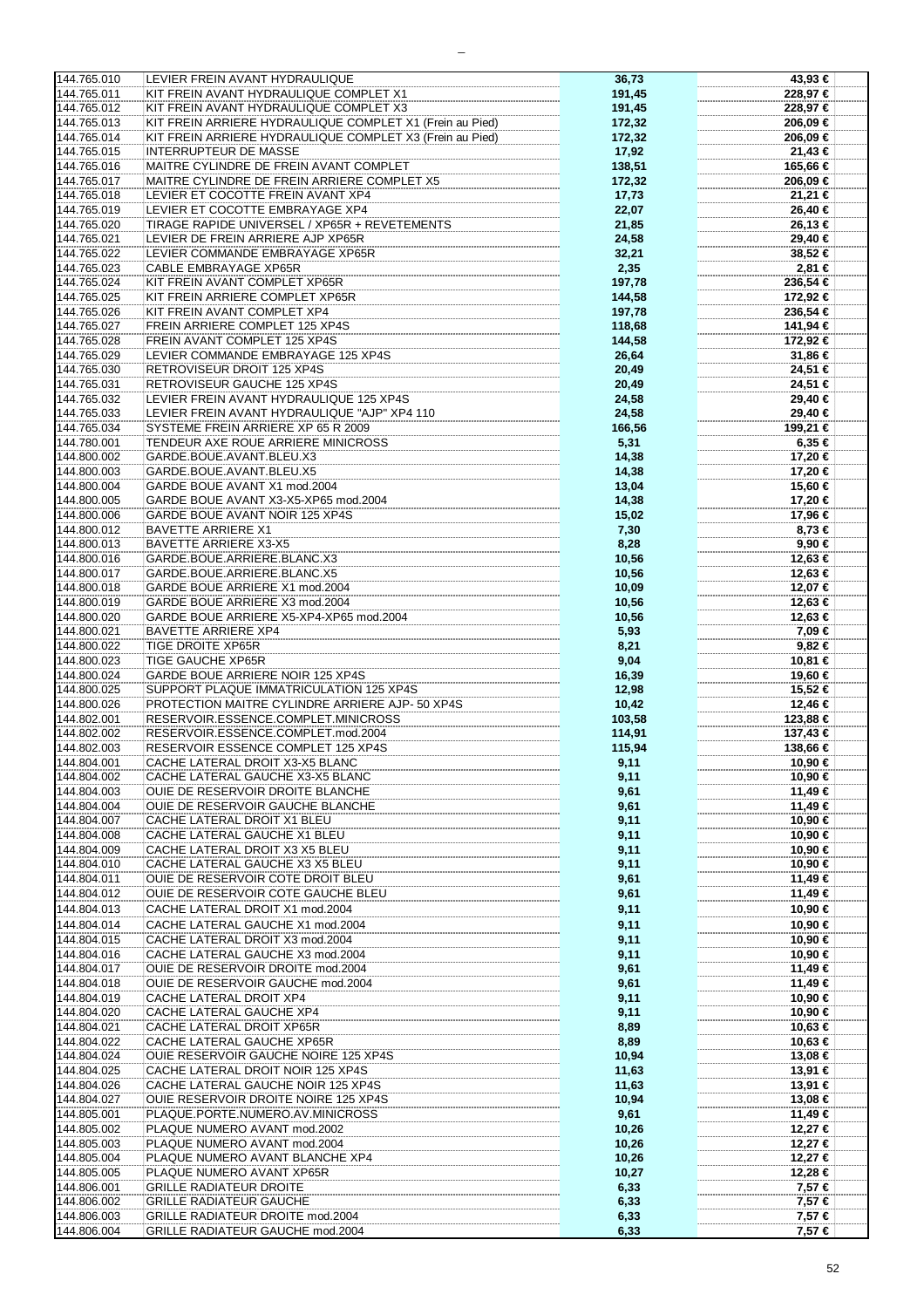| 144.765.010 | LEVIER FREIN AVANT HYDRAULIQUE                           | 36,73  | 43,93 €    |
|-------------|----------------------------------------------------------|--------|------------|
| 144.765.011 | KIT FREIN AVANT HYDRAULIQUE COMPLET X1                   | 191,45 | 228,97 €   |
|             |                                                          |        |            |
| 144.765.012 | KIT FREIN AVANT HYDRAULIQUE COMPLET X3                   | 191,45 | 228.97 €   |
| 144.765.013 | KIT FREIN ARRIERE HYDRAULIQUE COMPLET X1 (Frein au Pied) | 172,32 | 206,09€    |
|             |                                                          |        |            |
| 144.765.014 | KIT FREIN ARRIERE HYDRAULIQUE COMPLET X3 (Frein au Pied) | 172,32 | 206,09 €   |
| 144.765.015 | <b>INTERRUPTEUR DE MASSE</b>                             | 17,92  | 21,43 €    |
|             |                                                          |        |            |
| 144.765.016 | MAITRE CYLINDRE DE FREIN AVANT COMPLET                   | 138,51 | 165,66 €   |
| 144.765.017 | MAITRE CYLINDRE DE FREIN ARRIERE COMPLET X5              | 172,32 | 206,09 €   |
|             |                                                          |        |            |
| 144.765.018 | LEVIER ET COCOTTE FREIN AVANT XP4                        | 17,73  | 21,21 €    |
| 144.765.019 | LEVIER ET COCOTTE EMBRAYAGE XP4                          | 22,07  | 26,40 €    |
| 144.765.020 | TIRAGE RAPIDE UNIVERSEL / XP65R + REVETEMENTS            | 21,85  | 26,13 €    |
|             |                                                          |        |            |
| 144.765.021 | LEVIER DE FREIN ARRIERE AJP XP65R                        | 24,58  | 29,40 €    |
| 144.765.022 | LEVIER COMMANDE EMBRAYAGE XP65R                          | 32,21  | 38,52 €    |
|             | <b>CABLE EMBRAYAGE XP65R</b>                             |        |            |
| 144.765.023 |                                                          | 2,35   | 2,81 €     |
| 144.765.024 | KIT FREIN AVANT COMPLET XP65R                            | 197,78 | 236,54 €   |
| 144.765.025 | KIT FREIN ARRIERE COMPLET XP65R                          | 144,58 | 172,92 €   |
|             |                                                          |        |            |
| 144.765.026 | KIT FREIN AVANT COMPLET XP4                              | 197,78 | 236,54 €   |
| 144.765.027 | FREIN ARRIERE COMPLET 125 XP4S                           | 118,68 | 141,94 €   |
|             |                                                          |        |            |
| 144.765.028 | FREIN AVANT COMPLET 125 XP4S                             | 144,58 | 172,92 €   |
| 144.765.029 | LEVIER COMMANDE EMBRAYAGE 125 XP4S                       | 26,64  | 31,86 €    |
| 144.765.030 | RETROVISEUR DROIT 125 XP4S                               | 20,49  | 24.51 €    |
|             |                                                          |        |            |
| 144.765.031 | RETROVISEUR GAUCHE 125 XP4S                              | 20,49  | 24,51 €    |
| 144.765.032 | LEVIER FREIN AVANT HYDRAULIQUE 125 XP4S                  | 24,58  | 29,40 €    |
|             |                                                          |        |            |
| 144.765.033 | LEVIER FREIN AVANT HYDRAULIQUE "AJP" XP4 110             | 24,58  | 29,40 €    |
| 144.765.034 | SYSTEME FREIN ARRIERE XP 65 R 2009                       | 166,56 | 199,21 €   |
| 144.780.001 | TENDEUR AXE ROUE ARRIERE MINICROSS                       |        | $6,35 \in$ |
|             |                                                          | 5,31   |            |
| 144.800.002 | GARDE.BOUE.AVANT.BLEU.X3                                 | 14,38  | 17,20 €    |
| 144.800.003 | GARDE.BOUE.AVANT.BLEU.X5                                 | 14,38  | 17,20 €    |
|             |                                                          |        |            |
| 144.800.004 | GARDE BOUE AVANT X1 mod.2004                             | 13,04  | 15,60 €    |
| 144.800.005 | GARDE BOUE AVANT X3-X5-XP65 mod.2004                     | 14,38  | 17,20 €    |
| 144.800.006 | GARDE BOUE AVANT NOIR 125 XP4S                           | 15,02  | 17,96 €    |
|             |                                                          |        |            |
| 144.800.012 | <b>BAVETTE ARRIERE X1</b>                                | 7,30   | 8,73 €     |
| 144.800.013 | <b>BAVETTE ARRIERE X3-X5</b>                             | 8,28   | 9,90 €     |
| 144.800.016 | GARDE.BOUE.ARRIERE.BLANC.X3                              | 10,56  | 12,63 €    |
|             |                                                          |        |            |
| 144.800.017 | GARDE.BOUE.ARRIERE.BLANC.X5                              | 10,56  | 12,63 €    |
| 144.800.018 | GARDE BOUE ARRIERE X1 mod.2004                           | 10,09  | 12,07 €    |
| 144.800.019 | GARDE BOUE ARRIERE X3 mod.2004                           | 10,56  | 12,63 €    |
|             |                                                          |        |            |
| 144.800.020 | GARDE BOUE ARRIERE X5-XP4-XP65 mod.2004                  | 10,56  | 12,63 €    |
| 144.800.021 | <b>BAVETTE ARRIERE XP4</b>                               | 5,93   | 7,09 €     |
| 144.800.022 | <b>TIGE DROITE XP65R</b>                                 | 8,21   | 9,82 €     |
| 144.800.023 | TIGE GAUCHE XP65R                                        | 9,04   | 10,81 €    |
|             |                                                          |        |            |
| 144.800.024 | GARDE BOUE ARRIERE NOIR 125 XP4S                         | 16,39  | 19,60 €    |
| 144.800.025 | SUPPORT PLAQUE IMMATRICULATION 125 XP4S                  | 12,98  | 15,52 €    |
| 144.800.026 | PROTECTION MAITRE CYLINDRE ARRIERE AJP- 50 XP4S          | 10,42  | 12,46 €    |
|             |                                                          |        |            |
| 144.802.001 | RESERVOIR.ESSENCE.COMPLET.MINICROSS                      | 103,58 | 123,88 €   |
| 144.802.002 | RESERVOIR.ESSENCE.COMPLET.mod.2004                       | 114,91 | 137,43 €   |
| 144.802.003 | RESERVOIR ESSENCE COMPLET 125 XP4S                       | 115,94 | 138,66 €   |
|             | CACHE LATERAL DROIT X3-X5 BLANC                          |        |            |
| 144.804.001 |                                                          | 9,11   | 10,90 €    |
| 144.804.002 | CACHE LATERAL GAUCHE X3-X5 BLANC                         | 9,11   | 10.90 €    |
| 144.804.003 | OUIE DE RESERVOIR DROITE BLANCHE                         | 9,61   | 11.49 €    |
|             |                                                          |        |            |
| 144.804.004 | OUIE DE RESERVOIR GAUCHE BLANCHE                         | 9,61   | 11,49 €    |
| 144.804.007 | CACHE LATERAL DROIT X1 BLEU                              | 9,11   | 10,90 €    |
| 144.804.008 | CACHE LATERAL GAUCHE X1 BLEU                             | 9,11   | 10,90 €    |
|             |                                                          |        |            |
| 144.804.009 | CACHE LATERAL DROIT X3 X5 BLEU                           | 9,11   | 10,90 €    |
| 144.804.010 | CACHE LATERAL GAUCHE X3 X5 BLEU                          | 9,11   | 10,90 €    |
| 144.804.011 | OUIE DE RESERVOIR COTE DROIT BLEU                        | 9,61   | 11,49 €    |
| 144.804.012 |                                                          |        |            |
|             | OUIE DE RESERVOIR COTE GAUCHE BLEU                       | 9,61   | 11,49 €    |
| 144.804.013 | CACHE LATERAL DROIT X1 mod.2004                          | 9,11   | 10,90 €    |
| 144.804.014 | CACHE LATERAL GAUCHE X1 mod.2004                         | 9,11   | 10,90 €    |
|             |                                                          |        |            |
| 144.804.015 | CACHE LATERAL DROIT X3 mod.2004                          | 9,11   | 10,90 €    |
| 144.804.016 | CACHE LATERAL GAUCHE X3 mod.2004                         | 9,11   | 10,90 €    |
| 144.804.017 | OUIE DE RESERVOIR DROITE mod.2004                        | 9,61   | 11,49 €    |
|             |                                                          |        |            |
| 144.804.018 | OUIE DE RESERVOIR GAUCHE mod.2004                        | 9,61   | 11,49 €    |
| 144.804.019 | CACHE LATERAL DROIT XP4                                  | 9,11   | 10,90 €    |
| 144.804.020 | CACHE LATERAL GAUCHE XP4                                 | 9,11   | 10,90 €    |
|             |                                                          |        |            |
| 144.804.021 | CACHE LATERAL DROIT XP65R                                | 8,89   | 10,63 €    |
| 144.804.022 | CACHE LATERAL GAUCHE XP65R                               | 8,89   | 10,63 €    |
| 144.804.024 | <b>OUIE RESERVOIR GAUCHE NOIRE 125 XP4S</b>              | 10,94  | 13,08 €    |
| 144.804.025 | CACHE LATERAL DROIT NOIR 125 XP4S                        |        | 13,91 €    |
|             |                                                          | 11,63  |            |
| 144.804.026 | CACHE LATERAL GAUCHE NOIR 125 XP4S                       | 11,63  | 13,91 €    |
| 144.804.027 | OUIE RESERVOIR DROITE NOIRE 125 XP4S                     | 10,94  | 13,08 €    |
| 144.805.001 | PLAQUE.PORTE.NUMERO.AV.MINICROSS                         | 9,61   | 11,49 €    |
|             |                                                          |        |            |
| 144.805.002 | PLAQUE NUMERO AVANT mod.2002                             | 10,26  | 12,27 €    |
| 144.805.003 | PLAQUE NUMERO AVANT mod.2004                             | 10,26  | 12,27 €    |
| 144.805.004 | PLAQUE NUMERO AVANT BLANCHE XP4                          | 10,26  | 12,27 €    |
|             |                                                          |        |            |
| 144.805.005 | PLAQUE NUMERO AVANT XP65R                                | 10,27  | 12,28 €    |
| 144.806.001 | <b>GRILLE RADIATEUR DROITE</b>                           | 6,33   | $7,57$ €   |
| 144.806.002 | <b>GRILLE RADIATEUR GAUCHE</b>                           | 6,33   | 7,57 €     |
| 144.806.003 | GRILLE RADIATEUR DROITE mod.2004                         |        |            |
|             |                                                          | 6,33   | 7,57 €     |
| 144.806.004 | GRILLE RADIATEUR GAUCHE mod.2004                         | 6,33   | 7,57 €     |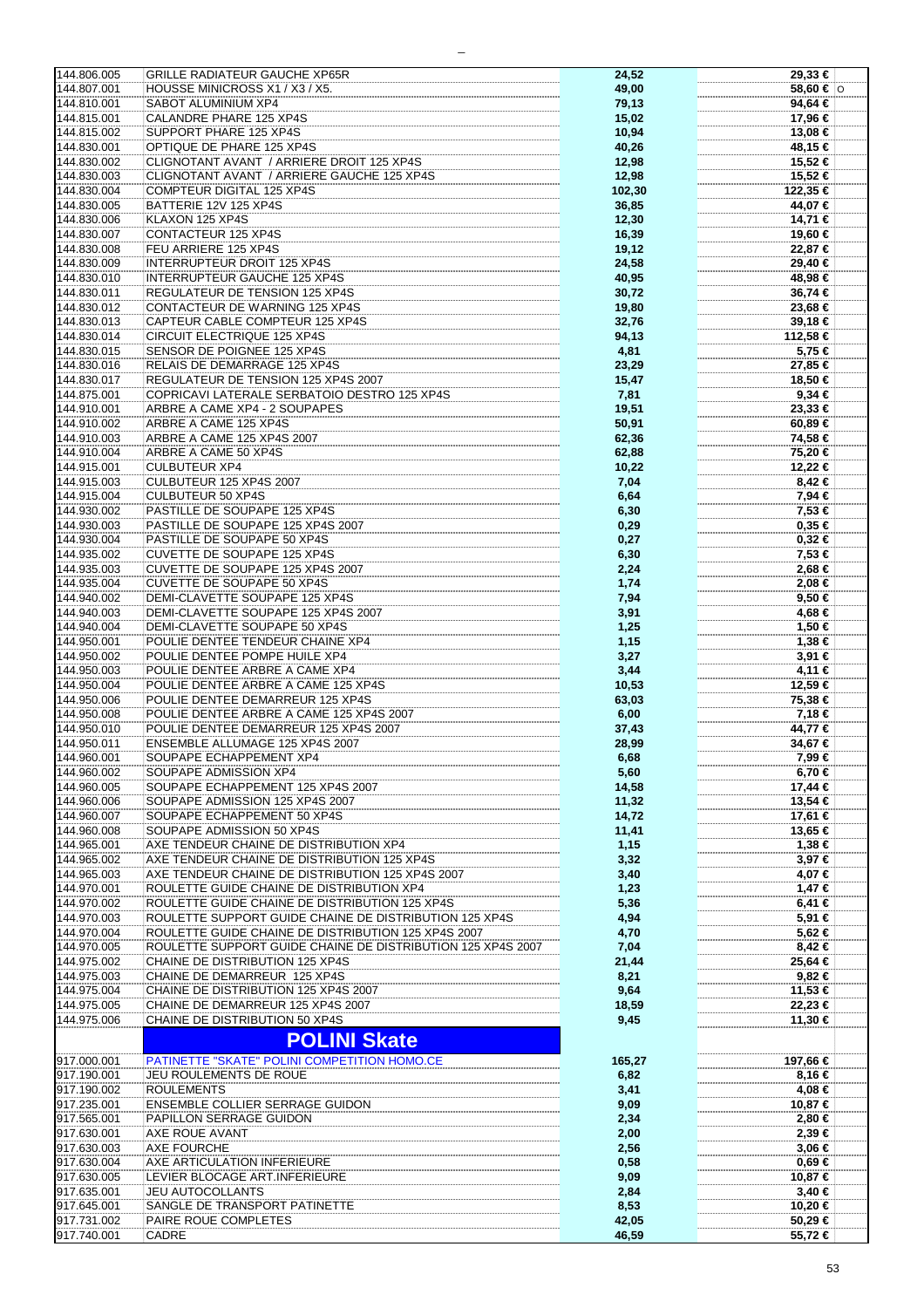| 144.806.005                | <b>GRILLE RADIATEUR GAUCHE XP65R</b>                        |        |                    |
|----------------------------|-------------------------------------------------------------|--------|--------------------|
|                            |                                                             | 24,52  | 29,33 €            |
| 144.807.001                | HOUSSE MINICROSS X1 / X3 / X5.                              | 49,00  | 58,60 €  O         |
| 144.810.001                | SABOT ALUMINIUM XP4                                         | 79,13  | 94,64 €            |
|                            |                                                             |        |                    |
| 144.815.001                | CALANDRE PHARE 125 XP4S                                     | 15,02  | 17,96 €            |
| 144.815.002                | SUPPORT PHARE 125 XP4S                                      | 10,94  | 13,08 €            |
| 144.830.001                | OPTIQUE DE PHARE 125 XP4S                                   | 40,26  | 48,15 €            |
|                            |                                                             |        |                    |
| 144.830.002                | CLIGNOTANT AVANT / ARRIERE DROIT 125 XP4S                   | 12,98  | 15,52 €            |
| 144.830.003                | CLIGNOTANT AVANT / ARRIERE GAUCHE 125 XP4S                  | 12,98  | 15,52 €            |
| 144.830.004                | <b>COMPTEUR DIGITAL 125 XP4S</b>                            | 102,30 | 122,35 €           |
|                            |                                                             |        |                    |
| 144.830.005                | BATTERIE 12V 125 XP4S                                       | 36,85  | 44,07 €            |
| 144.830.006                | KLAXON 125 XP4S                                             | 12,30  | 14,71 €            |
|                            |                                                             |        |                    |
| 144.830.007                | CONTACTEUR 125 XP4S                                         | 16,39  | 19,60 €            |
| 144.830.008                | FEU ARRIERE 125 XP4S                                        | 19,12  | 22,87 €            |
| 144.830.009                | <b>INTERRUPTEUR DROIT 125 XP4S</b>                          | 24,58  | 29,40 €            |
|                            |                                                             |        |                    |
| 144.830.010                | INTERRUPTEUR GAUCHE 125 XP4S                                | 40,95  | 48,98 €            |
| 144.830.011                | REGULATEUR DE TENSION 125 XP4S                              | 30,72  | 36,74 €            |
| 144.830.012                | CONTACTEUR DE WARNING 125 XP4S                              | 19,80  | 23,68 €            |
|                            |                                                             |        |                    |
| 144.830.013                | CAPTEUR CABLE COMPTEUR 125 XP4S                             | 32,76  | 39,18 €            |
| 144.830.014                | CIRCUIT ELECTRIQUE 125 XP4S                                 | 94,13  | 112,58 €           |
|                            |                                                             |        |                    |
| 144.830.015                | SENSOR DE POIGNEE 125 XP4S                                  | 4,81   | 5,75 €             |
| 144.830.016                | RELAIS DE DEMARRAGE 125 XP4S                                | 23,29  | 27,85 €            |
| 144.830.017                | REGULATEUR DE TENSION 125 XP4S 2007                         | 15,47  | 18,50 €            |
|                            |                                                             |        |                    |
| 144.875.001                | COPRICAVI LATERALE SERBATOIO DESTRO 125 XP4S                | 7,81   | 9,34€              |
| 144.910.001                | ARBRE A CAME XP4 - 2 SOUPAPES                               | 19,51  | 23,33 €            |
|                            |                                                             |        |                    |
| 144.910.002                | ARBRE A CAME 125 XP4S                                       | 50,91  | 60,89€             |
| 144.910.003                | ARBRE A CAME 125 XP4S 2007                                  | 62,36  | 74,58 €            |
| 144.910.004                | ARBRE A CAME 50 XP4S                                        | 62,88  | 75,20 €            |
|                            |                                                             |        |                    |
| 144.915.001                | <b>CULBUTEUR XP4</b>                                        | 10,22  | 12,22 €            |
| 144.915.003                | CULBUTEUR 125 XP4S 2007                                     | 7,04   | $8,42 \in$         |
|                            |                                                             |        |                    |
| 144.915.004                | <b>CULBUTEUR 50 XP4S</b>                                    | 6,64   | 7,94 €             |
| 144.930.002                | PASTILLE DE SOUPAPE 125 XP4S                                | 6,30   | 7,53 €             |
| 144.930.003                | PASTILLE DE SOUPAPE 125 XP4S 2007                           | 0,29   | 0,35€              |
|                            |                                                             |        |                    |
| 144.930.004                | PASTILLE DE SOUPAPE 50 XP4S                                 | 0,27   | $0,32$ €           |
| 144.935.002                | <b>CUVETTE DE SOUPAPE 125 XP4S</b>                          | 6,30   | 7,53 €             |
|                            |                                                             |        |                    |
| 144.935.003                | CUVETTE DE SOUPAPE 125 XP4S 2007                            | 2,24   | 2,68 €             |
| 144.935.004                | <b>CUVETTE DE SOUPAPE 50 XP4S</b>                           | 1,74   | 2,08 €             |
| 144.940.002                | DEMI-CLAVETTE SOUPAPE 125 XP4S                              | 7,94   | 9,50€              |
|                            |                                                             |        |                    |
| 144.940.003                | DEMI-CLAVETTE SOUPAPE 125 XP4S 2007                         | 3,91   | 4,68 €             |
| 144.940.004                | DEMI-CLAVETTE SOUPAPE 50 XP4S                               | 1,25   | 1,50 €             |
| 144.950.001                | POULIE DENTEE TENDEUR CHAINE XP4                            | 1,15   | 1,38 €             |
|                            |                                                             |        |                    |
| 144.950.002                | POULIE DENTEE POMPE HUILE XP4                               | 3,27   | $3,91 \in$         |
| 144.950.003                | POULIE DENTEE ARBRE A CAME XP4                              | 3,44   | 4,11 €             |
|                            | POULIE DENTEE ARBRE A CAME 125 XP4S                         |        | 12,59 €            |
| 144.950.004                |                                                             | 10,53  |                    |
| 144.950.006                | POULIE DENTEE DEMARREUR 125 XP4S                            | 63,03  | 75,38 €            |
| 144.950.008                | POULIE DENTEE ARBRE A CAME 125 XP4S 2007                    | 6,00   | 7,18 €             |
|                            |                                                             |        |                    |
| 144.950.010                | POULIE DENTEE DEMARREUR 125 XP4S 2007                       | 37,43  | 44,77 €            |
| 144.950.011                | ENSEMBLE ALLUMAGE 125 XP4S 2007                             | 28,99  | 34,67 €            |
| 144.960.001                | SOUPAPE ECHAPPEMENT XP4                                     | 6,68   | 7,99 €             |
|                            |                                                             |        |                    |
| 144.960.002                | SOUPAPE ADMISSION XP4                                       | 5,60   | $6,70 \in$         |
| 144.960.005                | SOUPAPE ECHAPPEMENT 125 XP4S 2007                           | 14,58  | 17,44 €            |
| 144.960.006                | SOUPAPE ADMISSION 125 XP4S 2007                             | 11,32  | 13,54 €            |
|                            |                                                             |        |                    |
| 144.960.007                | SOUPAPE ECHAPPEMENT 50 XP4S                                 | 14,72  | 17,61 €            |
| 144.960.008                | SOUPAPE ADMISSION 50 XP4S                                   | 11,41  | 13,65 €            |
| 144.965.001                |                                                             |        |                    |
|                            | AXE TENDEUR CHAINE DE DISTRIBUTION XP4                      | 1,15   | 1,38 €             |
| 144.965.002                | AXE TENDEUR CHAINE DE DISTRIBUTION 125 XP4S                 | 3,32   | 3,97 €             |
| 144.965.003                | AXE TENDEUR CHAINE DE DISTRIBUTION 125 XP4S 2007            | 3,40   | 4,07 €             |
| 144.970.001                | ROULETTE GUIDE CHAINE DE DISTRIBUTION XP4                   |        |                    |
|                            |                                                             | 1,23   | 1,47 €             |
| 144.970.002                | ROULETTE GUIDE CHAINE DE DISTRIBUTION 125 XP4S              | 5,36   | $6,41 \in$         |
| 144.970.003                | ROULETTE SUPPORT GUIDE CHAINE DE DISTRIBUTION 125 XP4S      | 4,94   | 5,91 €             |
|                            |                                                             |        |                    |
| 144.970.004                | ROULETTE GUIDE CHAINE DE DISTRIBUTION 125 XP4S 2007         | 4,70   | 5,62 €             |
| 144.970.005                | ROULETTE SUPPORT GUIDE CHAINE DE DISTRIBUTION 125 XP4S 2007 | 7,04   | $8,42 \in$         |
| 144.975.002                | CHAINE DE DISTRIBUTION 125 XP4S                             | 21,44  | 25,64 €            |
|                            |                                                             |        |                    |
| 144.975.003                | CHAINE DE DEMARREUR 125 XP4S                                | 8,21   | $9,82 \in$         |
| 144.975.004                | CHAINE DE DISTRIBUTION 125 XP4S 2007                        | 9,64   | 11,53 €            |
| 144.975.005                |                                                             |        |                    |
|                            | CHAINE DE DEMARREUR 125 XP4S 2007                           | 18,59  | 22,23 €            |
| 144.975.006                | CHAINE DE DISTRIBUTION 50 XP4S                              | 9,45   | 11,30 €            |
|                            |                                                             |        |                    |
|                            | <b>POLINI Skate</b>                                         |        |                    |
|                            |                                                             |        |                    |
| 917.000.001                | PATINETTE "SKATE" POLINI COMPETITION HOMO.CE                | 165,27 | 197,66 €           |
| 917.190.001                | JEU ROULEMENTS DE ROUE                                      | 6,82   | 8,16 €             |
| 917.190.002                | <b>ROULEMENTS</b>                                           | 3,41   | 4,08 €             |
|                            |                                                             |        |                    |
| 917.235.001                | <b>ENSEMBLE COLLIER SERRAGE GUIDON</b>                      | 9,09   | 10,87 €            |
| 917.565.001                | PAPILLON SERRAGE GUIDON                                     | 2,34   | 2,80 €             |
| 917.630.001                | AXE ROUE AVANT                                              | 2,00   | $2,39$ €           |
|                            |                                                             |        |                    |
| 917.630.003                | AXE FOURCHE                                                 | 2,56   | $3,06$ €           |
| 917.630.004                | AXE ARTICULATION INFERIEURE                                 | 0,58   | 0,69 €             |
|                            |                                                             |        |                    |
| 917.630.005                | LEVIER BLOCAGE ART.INFERIEURE                               | 9,09   | 10,87 €            |
|                            |                                                             |        |                    |
| 917.635.001                | <b>JEU AUTOCOLLANTS</b>                                     | 2,84   | $3,40 \in$         |
|                            |                                                             |        |                    |
| 917.645.001                | SANGLE DE TRANSPORT PATINETTE                               | 8,53   | 10,20 €            |
| 917.731.002<br>917.740.001 | PAIRE ROUE COMPLETES<br>CADRE                               | 42,05  | 50,29 €<br>55,72 € |

 $\overline{\phantom{0}}$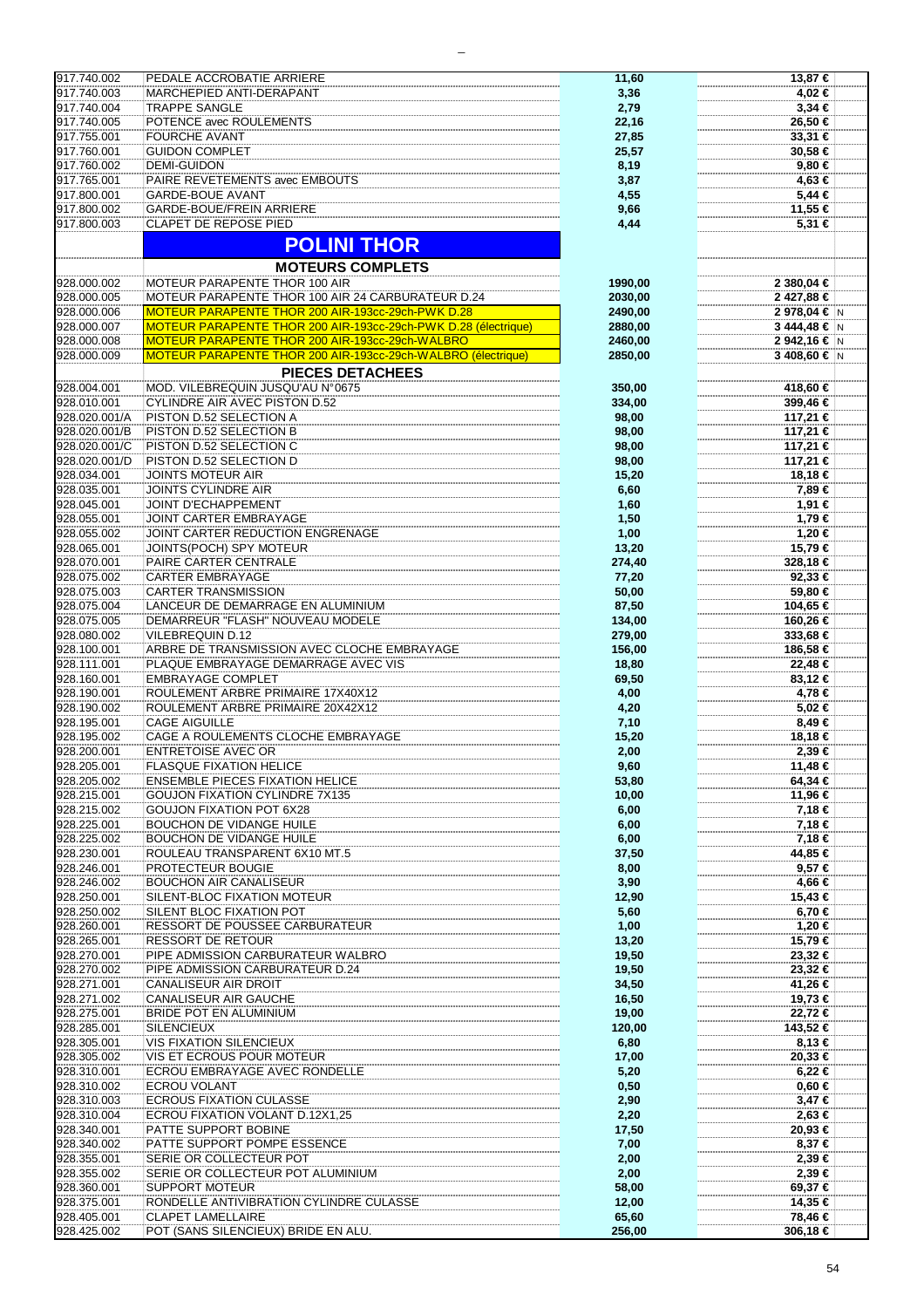| 917.740.002   | PEDALE ACCROBATIE ARRIERE                                      | 11,60   | 13,87 €       |
|---------------|----------------------------------------------------------------|---------|---------------|
|               |                                                                |         |               |
| 917.740.003   | MARCHEPIED ANTI-DERAPANT                                       | 3,36    | 4,02 €        |
| 917.740.004   | <b>TRAPPE SANGLE</b>                                           | 2,79    | $3,34 \in$    |
| 917.740.005   | POTENCE avec ROULEMENTS                                        | 22,16   | 26,50 €       |
|               |                                                                |         |               |
| 917.755.001   | <b>FOURCHE AVANT</b>                                           | 27,85   | 33,31 €       |
| 917.760.001   | <b>GUIDON COMPLET</b>                                          | 25,57   | 30,58 €       |
| 917.760.002   | <b>DEMI-GUIDON</b>                                             | 8,19    | 9,80€         |
|               |                                                                |         |               |
| 917.765.001   | PAIRE REVETEMENTS avec EMBOUTS                                 | 3,87    | 4,63 €        |
| 917.800.001   | <b>GARDE-BOUE AVANT</b>                                        | 4,55    | 5,44 €        |
| 917.800.002   | GARDE-BOUE/FREIN ARRIERE                                       |         | 11,55 €       |
|               |                                                                | 9,66    |               |
| 917.800.003   | CLAPET DE REPOSE PIED                                          | 4,44    | 5,31 €        |
|               |                                                                |         |               |
|               | <b>POLINI THOR</b>                                             |         |               |
|               |                                                                |         |               |
|               | <b>MOTEURS COMPLETS</b>                                        |         |               |
| 928.000.002   | MOTEUR PARAPENTE THOR 100 AIR                                  |         |               |
|               |                                                                | 1990,00 | 2 380,04 €    |
| 928.000.005   | MOTEUR PARAPENTE THOR 100 AIR 24 CARBURATEUR D.24              | 2030,00 | 2 427,88 €    |
| 928.000.006   | MOTEUR PARAPENTE THOR 200 AIR-193cc-29ch-PWK D.28              | 2490,00 | 2 978,04 €  N |
|               |                                                                |         |               |
| 928.000.007   | MOTEUR PARAPENTE THOR 200 AIR-193cc-29ch-PWK D.28 (électrique) | 2880,00 | 3 444,48 € N  |
| 928.000.008   | MOTEUR PARAPENTE THOR 200 AIR-193cc-29ch-WALBRO                | 2460,00 | 2 942,16 € N  |
|               |                                                                |         |               |
| 928.000.009   | MOTEUR PARAPENTE THOR 200 AIR-193cc-29ch-WALBRO (électrique)   | 2850,00 | 3 408,60 € N  |
|               | <b>PIECES DETACHEES</b>                                        |         |               |
|               |                                                                |         |               |
| 928.004.001   | MOD. VILEBREQUIN JUSQU'AU N°0675                               | 350,00  | 418,60 €      |
| 928.010.001   | <b>CYLINDRE AIR AVEC PISTON D.52</b>                           | 334,00  | 399,46 €      |
| 928.020.001/A | PISTON D.52 SELECTION A                                        |         | 117,21 €      |
|               |                                                                | 98,00   |               |
| 928.020.001/B | PISTON D.52 SELECTION B                                        | 98,00   | 117,21 €      |
| 928.020.001/C | PISTON D.52 SELECTION C                                        | 98,00   | 117,21 €      |
|               |                                                                |         |               |
| 928.020.001/D | PISTON D.52 SELECTION D                                        | 98,00   | 117,21 €      |
| 928.034.001   | <b>JOINTS MOTEUR AIR</b>                                       | 15,20   | 18,18 €       |
| 928.035.001   | JOINTS CYLINDRE AIR                                            | 6,60    | 7,89 €        |
|               |                                                                |         |               |
| 928.045.001   | <b>JOINT D'ECHAPPEMENT</b>                                     | 1,60    | 1,91 €        |
| 928.055.001   | JOINT CARTER EMBRAYAGE                                         | 1,50    | 1,79 €        |
|               |                                                                |         |               |
| 928.055.002   | JOINT CARTER REDUCTION ENGRENAGE                               | 1,00    | 1,20 €        |
| 928.065.001   | JOINTS(POCH) SPY MOTEUR                                        | 13,20   | 15,79 €       |
| 928.070.001   | PAIRE CARTER CENTRALE                                          |         | 328,18 €      |
|               |                                                                | 274,40  |               |
| 928.075.002   | <b>CARTER EMBRAYAGE</b>                                        | 77,20   | 92,33 €       |
| 928.075.003   | <b>CARTER TRANSMISSION</b>                                     | 50,00   | 59,80 €       |
|               |                                                                |         |               |
| 928.075.004   | LANCEUR DE DEMARRAGE EN ALUMINIUM                              | 87,50   | 104,65 €      |
| 928.075.005   | DEMARREUR "FLASH" NOUVEAU MODELE                               | 134,00  | 160,26 €      |
| 928.080.002   | VILEBREQUIN D.12                                               |         |               |
|               |                                                                | 279,00  | 333,68 €      |
| 928.100.001   | ARBRE DE TRANSMISSION AVEC CLOCHE EMBRAYAGE                    | 156,00  | 186,58 €      |
| 928.111.001   | PLAQUE EMBRAYAGE DEMARRAGE AVEC VIS                            | 18,80   | 22,48 €       |
|               |                                                                |         |               |
| 928.160.001   | <b>EMBRAYAGE COMPLET</b>                                       | 69,50   | 83,12 €       |
| 928.190.001   | ROULEMENT ARBRE PRIMAIRE 17X40X12                              | 4,00    | 4,78 €        |
|               | ROULEMENT ARBRE PRIMAIRE 20X42X12                              |         |               |
| 928.190.002   |                                                                | 4,20    | 5,02 €        |
| 928.195.001   | <b>CAGE AIGUILLE</b>                                           | 7,10    | 8,49€         |
| 928.195.002   | CAGE A ROULEMENTS CLOCHE EMBRAYAGE                             | 15,20   | 18,18 €       |
|               |                                                                |         |               |
| 928.200.001   | <b>ENTRETOISE AVEC OR</b>                                      | 2,00    | 2,39 €        |
| 928.205.001   | <b>FLASQUE FIXATION HELICE</b>                                 | 9,60    | 11,48 €       |
| 928.205.002   | <b>ENSEMBLE PIECES FIXATION HELICE</b>                         |         | 64,34 €       |
|               |                                                                | 53,80   |               |
| 928.215.001   | GOUJON FIXATION CYLINDRE 7X135                                 | 10,00   | 11,96 €       |
| 928.215.002   | <b>GOUJON FIXATION POT 6X28</b>                                | 6,00    | 7,18 €        |
|               |                                                                |         |               |
| 928.225.001   | <b>BOUCHON DE VIDANGE HUILE</b>                                | 6,00    | 7,18 €        |
| 928.225.002   | <b>BOUCHON DE VIDANGE HUILE</b>                                | 6,00    | 7,18 €        |
| 928.230.001   | ROULEAU TRANSPARENT 6X10 MT.5                                  | 37,50   | 44,85 €       |
|               |                                                                |         |               |
| 928.246.001   | PROTECTEUR BOUGIE                                              | 8,00    | 9,57 €        |
| 928.246.002   | <b>BOUCHON AIR CANALISEUR</b>                                  | 3,90    | 4,66 €        |
| 928.250.001   | SILENT-BLOC FIXATION MOTEUR                                    | 12,90   | 15,43 €       |
|               |                                                                |         |               |
| 928.250.002   | SILENT BLOC FIXATION POT                                       | 5,60    | 6,70 €        |
| 928.260.001   | RESSORT DE POUSSEE CARBURATEUR                                 | 1,00    | 1,20 €        |
|               |                                                                |         |               |
| 928.265.001   | <b>RESSORT DE RETOUR</b>                                       | 13,20   | 15,79 €       |
| 928.270.001   | PIPE ADMISSION CARBURATEUR WALBRO                              | 19,50   | 23,32 €       |
|               |                                                                |         |               |
| 928.270.002   | PIPE ADMISSION CARBURATEUR D.24                                | 19,50   | 23,32 €       |
| 928.271.001   | CANALISEUR AIR DROIT                                           | 34,50   | 41,26 €       |
| 928.271.002   | CANALISEUR AIR GAUCHE                                          | 16,50   | 19,73 €       |
|               |                                                                |         |               |
| 928.275.001   | <b>BRIDE POT EN ALUMINIUM</b>                                  | 19,00   | 22,72 €       |
| 928.285.001   | <b>SILENCIEUX</b>                                              | 120,00  | 143,52 €      |
| 928.305.001   | <b>VIS FIXATION SILENCIEUX</b>                                 |         | $8,13 \in$    |
|               |                                                                | 6,80    |               |
| 928.305.002   | VIS ET ECROUS POUR MOTEUR                                      | 17,00   | 20,33 €       |
| 928.310.001   | ECROU EMBRAYAGE AVEC RONDELLE                                  | 5,20    | 6,22 €        |
|               |                                                                |         |               |
| 928.310.002   | <b>ECROU VOLANT</b>                                            | 0,50    | $0,60 \in$    |
| 928.310.003   | <b>ECROUS FIXATION CULASSE</b>                                 | 2,90    | $3,47 \in$    |
|               |                                                                |         |               |
| 928.310.004   | ECROU FIXATION VOLANT D.12X1,25                                | 2,20    | 2,63 €        |
| 928.340.001   | PATTE SUPPORT BOBINE                                           | 17,50   | 20,93 €       |
| 928.340.002   | PATTE SUPPORT POMPE ESSENCE                                    | 7,00    | $8,37 \in$    |
|               |                                                                |         |               |
| 928.355.001   | SERIE OR COLLECTEUR POT                                        | 2,00    | 2,39 €        |
| 928.355.002   | SERIE OR COLLECTEUR POT ALUMINIUM                              | 2,00    | 2,39 €        |
|               |                                                                |         |               |
| 928.360.001   | <b>SUPPORT MOTEUR</b>                                          | 58,00   | 69,37€        |
| 928.375.001   | RONDELLE ANTIVIBRATION CYLINDRE CULASSE                        | 12,00   | 14,35 €       |
|               |                                                                |         |               |
| 928.405.001   | <b>CLAPET LAMELLAIRE</b>                                       | 65,60   | 78,46 €       |
| 928.425.002   | POT (SANS SILENCIEUX) BRIDE EN ALU.                            | 256,00  | 306,18 €      |